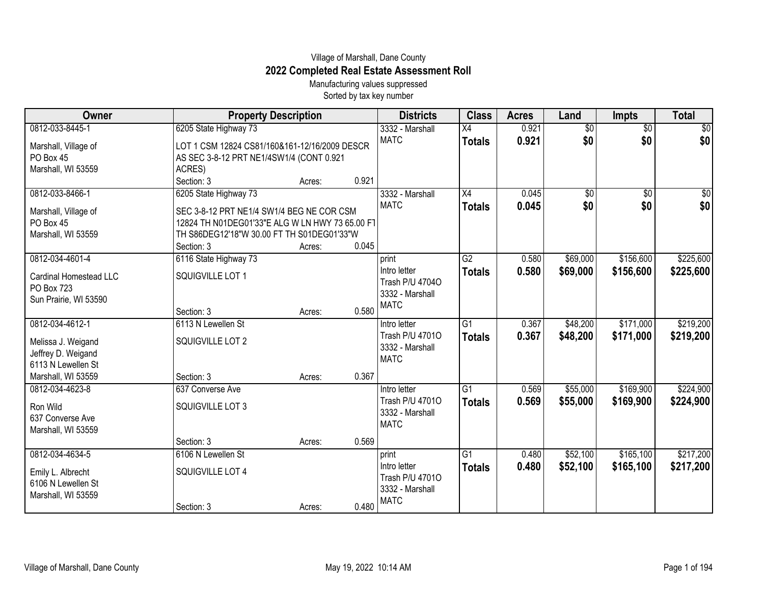## Village of Marshall, Dane County **2022 Completed Real Estate Assessment Roll**

Manufacturing values suppressed Sorted by tax key number

| Owner                  | <b>Property Description</b>                     |        |       | <b>Districts</b>               | <b>Class</b>    | <b>Acres</b> | Land            | <b>Impts</b>    | <b>Total</b>    |
|------------------------|-------------------------------------------------|--------|-------|--------------------------------|-----------------|--------------|-----------------|-----------------|-----------------|
| 0812-033-8445-1        | 6205 State Highway 73                           |        |       | 3332 - Marshall                | $\overline{X4}$ | 0.921        | $\overline{60}$ | $\overline{$0}$ | $\overline{50}$ |
| Marshall, Village of   | LOT 1 CSM 12824 CS81/160&161-12/16/2009 DESCR   |        |       | <b>MATC</b>                    | <b>Totals</b>   | 0.921        | \$0             | \$0             | \$0             |
| PO Box 45              | AS SEC 3-8-12 PRT NE1/4SW1/4 (CONT 0.921        |        |       |                                |                 |              |                 |                 |                 |
| Marshall, WI 53559     | ACRES)                                          |        |       |                                |                 |              |                 |                 |                 |
|                        | Section: 3                                      | Acres: | 0.921 |                                |                 |              |                 |                 |                 |
| 0812-033-8466-1        | 6205 State Highway 73                           |        |       | 3332 - Marshall                | X4              | 0.045        | $\sqrt{6}$      | $\overline{60}$ | \$0             |
| Marshall, Village of   | SEC 3-8-12 PRT NE1/4 SW1/4 BEG NE COR CSM       |        |       | <b>MATC</b>                    | <b>Totals</b>   | 0.045        | \$0             | \$0             | \$0             |
| PO Box 45              | 12824 TH N01DEG01'33"E ALG W LN HWY 73 65.00 FT |        |       |                                |                 |              |                 |                 |                 |
| Marshall, WI 53559     | TH S86DEG12'18"W 30.00 FT TH S01DEG01'33"W      |        |       |                                |                 |              |                 |                 |                 |
|                        | Section: 3                                      | Acres: | 0.045 |                                |                 |              |                 |                 |                 |
| 0812-034-4601-4        | 6116 State Highway 73                           |        |       | print                          | G2              | 0.580        | \$69,000        | \$156,600       | \$225,600       |
| Cardinal Homestead LLC | SQUIGVILLE LOT 1                                |        |       | Intro letter                   | <b>Totals</b>   | 0.580        | \$69,000        | \$156,600       | \$225,600       |
| PO Box 723             |                                                 |        |       | Trash P/U 47040                |                 |              |                 |                 |                 |
| Sun Prairie, WI 53590  |                                                 |        |       | 3332 - Marshall<br><b>MATC</b> |                 |              |                 |                 |                 |
|                        | Section: 3                                      | Acres: | 0.580 |                                |                 |              |                 |                 |                 |
| 0812-034-4612-1        | 6113 N Lewellen St                              |        |       | Intro letter                   | $\overline{G1}$ | 0.367        | \$48,200        | \$171,000       | \$219,200       |
| Melissa J. Weigand     | SQUIGVILLE LOT 2                                |        |       | Trash P/U 47010                | <b>Totals</b>   | 0.367        | \$48,200        | \$171,000       | \$219,200       |
| Jeffrey D. Weigand     |                                                 |        |       | 3332 - Marshall                |                 |              |                 |                 |                 |
| 6113 N Lewellen St     |                                                 |        |       | <b>MATC</b>                    |                 |              |                 |                 |                 |
| Marshall, WI 53559     | Section: 3                                      | Acres: | 0.367 |                                |                 |              |                 |                 |                 |
| 0812-034-4623-8        | 637 Converse Ave                                |        |       | Intro letter                   | $\overline{G1}$ | 0.569        | \$55,000        | \$169,900       | \$224,900       |
| Ron Wild               | SQUIGVILLE LOT 3                                |        |       | Trash P/U 47010                | <b>Totals</b>   | 0.569        | \$55,000        | \$169,900       | \$224,900       |
| 637 Converse Ave       |                                                 |        |       | 3332 - Marshall                |                 |              |                 |                 |                 |
| Marshall, WI 53559     |                                                 |        |       | <b>MATC</b>                    |                 |              |                 |                 |                 |
|                        | Section: 3                                      | Acres: | 0.569 |                                |                 |              |                 |                 |                 |
| 0812-034-4634-5        | 6106 N Lewellen St                              |        |       | print                          | $\overline{G1}$ | 0.480        | \$52,100        | \$165,100       | \$217,200       |
| Emily L. Albrecht      | SQUIGVILLE LOT 4                                |        |       | Intro letter                   | <b>Totals</b>   | 0.480        | \$52,100        | \$165,100       | \$217,200       |
| 6106 N Lewellen St     |                                                 |        |       | Trash P/U 47010                |                 |              |                 |                 |                 |
| Marshall, WI 53559     |                                                 |        |       | 3332 - Marshall<br><b>MATC</b> |                 |              |                 |                 |                 |
|                        | Section: 3                                      | Acres: | 0.480 |                                |                 |              |                 |                 |                 |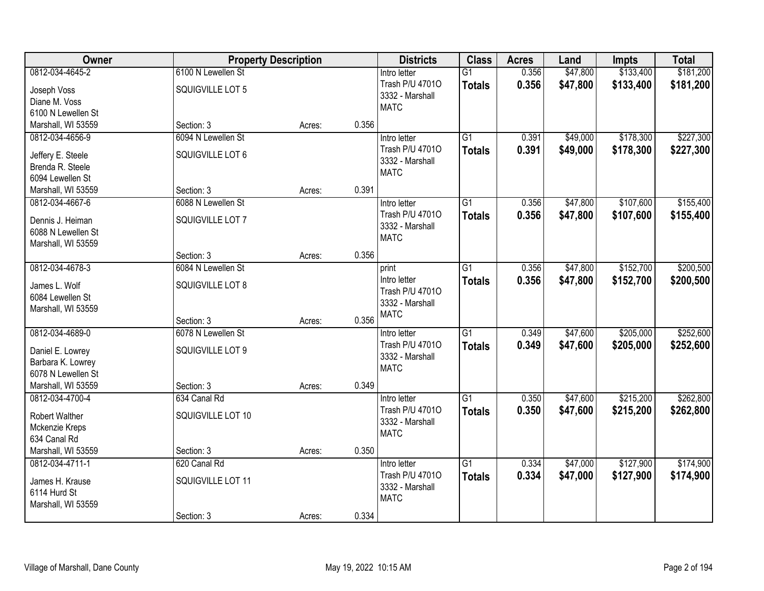| Owner              | <b>Property Description</b> |        |       | <b>Districts</b>               | <b>Class</b>    | <b>Acres</b> | Land     | <b>Impts</b> | <b>Total</b> |
|--------------------|-----------------------------|--------|-------|--------------------------------|-----------------|--------------|----------|--------------|--------------|
| 0812-034-4645-2    | 6100 N Lewellen St          |        |       | Intro letter                   | $\overline{G1}$ | 0.356        | \$47,800 | \$133,400    | \$181,200    |
| Joseph Voss        | SQUIGVILLE LOT 5            |        |       | Trash P/U 47010                | <b>Totals</b>   | 0.356        | \$47,800 | \$133,400    | \$181,200    |
| Diane M. Voss      |                             |        |       | 3332 - Marshall<br><b>MATC</b> |                 |              |          |              |              |
| 6100 N Lewellen St |                             |        |       |                                |                 |              |          |              |              |
| Marshall, WI 53559 | Section: 3                  | Acres: | 0.356 |                                |                 |              |          |              |              |
| 0812-034-4656-9    | 6094 N Lewellen St          |        |       | Intro letter                   | $\overline{G1}$ | 0.391        | \$49,000 | \$178,300    | \$227,300    |
| Jeffery E. Steele  | SQUIGVILLE LOT 6            |        |       | Trash P/U 47010                | <b>Totals</b>   | 0.391        | \$49,000 | \$178,300    | \$227,300    |
| Brenda R. Steele   |                             |        |       | 3332 - Marshall                |                 |              |          |              |              |
| 6094 Lewellen St   |                             |        |       | <b>MATC</b>                    |                 |              |          |              |              |
| Marshall, WI 53559 | Section: 3                  | Acres: | 0.391 |                                |                 |              |          |              |              |
| 0812-034-4667-6    | 6088 N Lewellen St          |        |       | Intro letter                   | G1              | 0.356        | \$47,800 | \$107,600    | \$155,400    |
|                    |                             |        |       | Trash P/U 47010                | <b>Totals</b>   | 0.356        | \$47,800 | \$107,600    | \$155,400    |
| Dennis J. Heiman   | SQUIGVILLE LOT 7            |        |       | 3332 - Marshall                |                 |              |          |              |              |
| 6088 N Lewellen St |                             |        |       | <b>MATC</b>                    |                 |              |          |              |              |
| Marshall, WI 53559 | Section: 3                  | Acres: | 0.356 |                                |                 |              |          |              |              |
| 0812-034-4678-3    | 6084 N Lewellen St          |        |       | print                          | G1              | 0.356        | \$47,800 | \$152,700    | \$200,500    |
|                    |                             |        |       | Intro letter                   | <b>Totals</b>   | 0.356        | \$47,800 | \$152,700    | \$200,500    |
| James L. Wolf      | SQUIGVILLE LOT 8            |        |       | Trash P/U 47010                |                 |              |          |              |              |
| 6084 Lewellen St   |                             |        |       | 3332 - Marshall                |                 |              |          |              |              |
| Marshall, WI 53559 |                             |        |       | <b>MATC</b>                    |                 |              |          |              |              |
|                    | Section: 3                  | Acres: | 0.356 |                                |                 |              |          |              |              |
| 0812-034-4689-0    | 6078 N Lewellen St          |        |       | Intro letter                   | $\overline{G1}$ | 0.349        | \$47,600 | \$205,000    | \$252,600    |
| Daniel E. Lowrey   | SQUIGVILLE LOT 9            |        |       | Trash P/U 47010                | <b>Totals</b>   | 0.349        | \$47,600 | \$205,000    | \$252,600    |
| Barbara K. Lowrey  |                             |        |       | 3332 - Marshall<br><b>MATC</b> |                 |              |          |              |              |
| 6078 N Lewellen St |                             |        |       |                                |                 |              |          |              |              |
| Marshall, WI 53559 | Section: 3                  | Acres: | 0.349 |                                |                 |              |          |              |              |
| 0812-034-4700-4    | 634 Canal Rd                |        |       | Intro letter                   | $\overline{G1}$ | 0.350        | \$47,600 | \$215,200    | \$262,800    |
| Robert Walther     | SQUIGVILLE LOT 10           |        |       | Trash P/U 47010                | <b>Totals</b>   | 0.350        | \$47,600 | \$215,200    | \$262,800    |
| Mckenzie Kreps     |                             |        |       | 3332 - Marshall                |                 |              |          |              |              |
| 634 Canal Rd       |                             |        |       | <b>MATC</b>                    |                 |              |          |              |              |
| Marshall, WI 53559 | Section: 3                  | Acres: | 0.350 |                                |                 |              |          |              |              |
| 0812-034-4711-1    | 620 Canal Rd                |        |       | Intro letter                   | $\overline{G1}$ | 0.334        | \$47,000 | \$127,900    | \$174,900    |
| James H. Krause    | SQUIGVILLE LOT 11           |        |       | Trash P/U 47010                | <b>Totals</b>   | 0.334        | \$47,000 | \$127,900    | \$174,900    |
| 6114 Hurd St       |                             |        |       | 3332 - Marshall                |                 |              |          |              |              |
| Marshall, WI 53559 |                             |        |       | <b>MATC</b>                    |                 |              |          |              |              |
|                    | Section: 3                  | Acres: | 0.334 |                                |                 |              |          |              |              |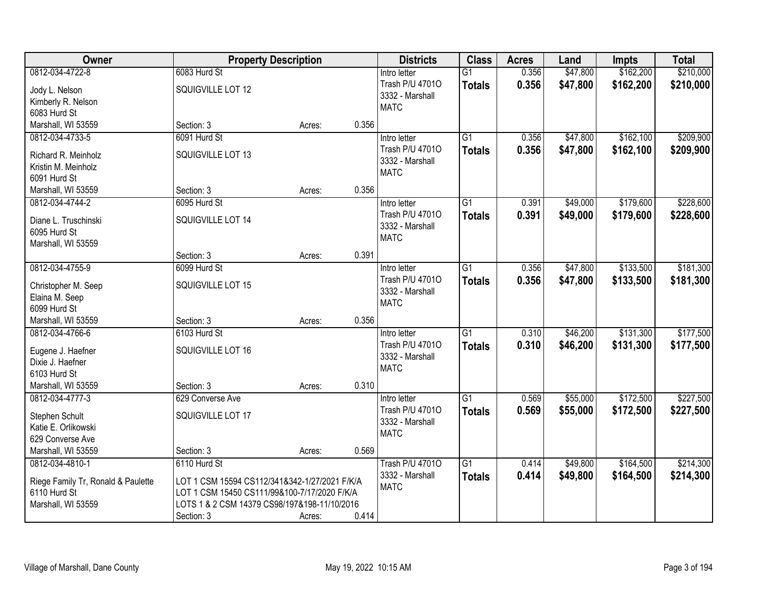| Owner                                | <b>Property Description</b>                   |        |       | <b>Districts</b>               | <b>Class</b>    | <b>Acres</b> | Land     | <b>Impts</b> | <b>Total</b> |
|--------------------------------------|-----------------------------------------------|--------|-------|--------------------------------|-----------------|--------------|----------|--------------|--------------|
| 0812-034-4722-8                      | 6083 Hurd St                                  |        |       | Intro letter                   | $\overline{G1}$ | 0.356        | \$47,800 | \$162,200    | \$210,000    |
| Jody L. Nelson                       | SQUIGVILLE LOT 12                             |        |       | Trash P/U 47010                | <b>Totals</b>   | 0.356        | \$47,800 | \$162,200    | \$210,000    |
| Kimberly R. Nelson                   |                                               |        |       | 3332 - Marshall                |                 |              |          |              |              |
| 6083 Hurd St                         |                                               |        |       | <b>MATC</b>                    |                 |              |          |              |              |
| Marshall, WI 53559                   | Section: 3                                    | Acres: | 0.356 |                                |                 |              |          |              |              |
| 0812-034-4733-5                      | 6091 Hurd St                                  |        |       | Intro letter                   | $\overline{G1}$ | 0.356        | \$47,800 | \$162,100    | \$209,900    |
| Richard R. Meinholz                  | SQUIGVILLE LOT 13                             |        |       | Trash P/U 47010                | <b>Totals</b>   | 0.356        | \$47,800 | \$162,100    | \$209,900    |
| Kristin M. Meinholz                  |                                               |        |       | 3332 - Marshall                |                 |              |          |              |              |
| 6091 Hurd St                         |                                               |        |       | <b>MATC</b>                    |                 |              |          |              |              |
| Marshall, WI 53559                   | Section: 3                                    | Acres: | 0.356 |                                |                 |              |          |              |              |
| 0812-034-4744-2                      | 6095 Hurd St                                  |        |       | Intro letter                   | G1              | 0.391        | \$49,000 | \$179,600    | \$228,600    |
|                                      | SQUIGVILLE LOT 14                             |        |       | Trash P/U 47010                | <b>Totals</b>   | 0.391        | \$49,000 | \$179,600    | \$228,600    |
| Diane L. Truschinski<br>6095 Hurd St |                                               |        |       | 3332 - Marshall                |                 |              |          |              |              |
| Marshall, WI 53559                   |                                               |        |       | <b>MATC</b>                    |                 |              |          |              |              |
|                                      | Section: 3                                    | Acres: | 0.391 |                                |                 |              |          |              |              |
| 0812-034-4755-9                      | 6099 Hurd St                                  |        |       | Intro letter                   | $\overline{G1}$ | 0.356        | \$47,800 | \$133,500    | \$181,300    |
|                                      |                                               |        |       | Trash P/U 47010                | <b>Totals</b>   | 0.356        | \$47,800 | \$133,500    | \$181,300    |
| Christopher M. Seep                  | SQUIGVILLE LOT 15                             |        |       | 3332 - Marshall                |                 |              |          |              |              |
| Elaina M. Seep<br>6099 Hurd St       |                                               |        |       | <b>MATC</b>                    |                 |              |          |              |              |
| Marshall, WI 53559                   | Section: 3                                    | Acres: | 0.356 |                                |                 |              |          |              |              |
| 0812-034-4766-6                      | 6103 Hurd St                                  |        |       | Intro letter                   | $\overline{G1}$ | 0.310        | \$46,200 | \$131,300    | \$177,500    |
|                                      |                                               |        |       | Trash P/U 47010                | <b>Totals</b>   | 0.310        | \$46,200 | \$131,300    | \$177,500    |
| Eugene J. Haefner                    | SQUIGVILLE LOT 16                             |        |       | 3332 - Marshall                |                 |              |          |              |              |
| Dixie J. Haefner                     |                                               |        |       | <b>MATC</b>                    |                 |              |          |              |              |
| 6103 Hurd St                         |                                               |        |       |                                |                 |              |          |              |              |
| Marshall, WI 53559                   | Section: 3                                    | Acres: | 0.310 |                                |                 |              |          |              |              |
| 0812-034-4777-3                      | 629 Converse Ave                              |        |       | Intro letter                   | $\overline{G1}$ | 0.569        | \$55,000 | \$172,500    | \$227,500    |
| Stephen Schult                       | SQUIGVILLE LOT 17                             |        |       | Trash P/U 47010                | <b>Totals</b>   | 0.569        | \$55,000 | \$172,500    | \$227,500    |
| Katie E. Orlikowski                  |                                               |        |       | 3332 - Marshall<br><b>MATC</b> |                 |              |          |              |              |
| 629 Converse Ave                     |                                               |        |       |                                |                 |              |          |              |              |
| Marshall, WI 53559                   | Section: 3                                    | Acres: | 0.569 |                                |                 |              |          |              |              |
| 0812-034-4810-1                      | 6110 Hurd St                                  |        |       | <b>Trash P/U 47010</b>         | $\overline{G1}$ | 0.414        | \$49,800 | \$164,500    | \$214,300    |
| Riege Family Tr, Ronald & Paulette   | LOT 1 CSM 15594 CS112/341&342-1/27/2021 F/K/A |        |       | 3332 - Marshall                | <b>Totals</b>   | 0.414        | \$49,800 | \$164,500    | \$214,300    |
| 6110 Hurd St                         | LOT 1 CSM 15450 CS111/99&100-7/17/2020 F/K/A  |        |       | <b>MATC</b>                    |                 |              |          |              |              |
| Marshall, WI 53559                   | LOTS 1 & 2 CSM 14379 CS98/197&198-11/10/2016  |        |       |                                |                 |              |          |              |              |
|                                      | Section: 3                                    | Acres: | 0.414 |                                |                 |              |          |              |              |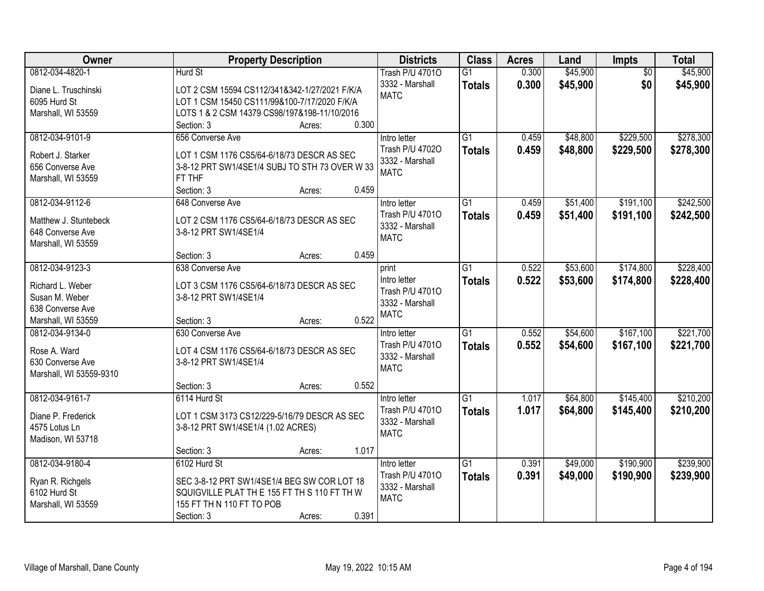| Owner                   |                                                          | <b>Property Description</b> |       | <b>Districts</b>       | <b>Class</b>    | <b>Acres</b> | Land     | <b>Impts</b>    | <b>Total</b> |
|-------------------------|----------------------------------------------------------|-----------------------------|-------|------------------------|-----------------|--------------|----------|-----------------|--------------|
| 0812-034-4820-1         | Hurd St                                                  |                             |       | <b>Trash P/U 47010</b> | $\overline{G1}$ | 0.300        | \$45,900 | $\overline{50}$ | \$45,900     |
| Diane L. Truschinski    | LOT 2 CSM 15594 CS112/341&342-1/27/2021 F/K/A            |                             |       | 3332 - Marshall        | <b>Totals</b>   | 0.300        | \$45,900 | \$0             | \$45,900     |
| 6095 Hurd St            | LOT 1 CSM 15450 CS111/99&100-7/17/2020 F/K/A             |                             |       | <b>MATC</b>            |                 |              |          |                 |              |
| Marshall, WI 53559      | LOTS 1 & 2 CSM 14379 CS98/197&198-11/10/2016             |                             |       |                        |                 |              |          |                 |              |
|                         | Section: 3                                               | Acres:                      | 0.300 |                        |                 |              |          |                 |              |
| 0812-034-9101-9         | 656 Converse Ave                                         |                             |       | Intro letter           | $\overline{G1}$ | 0.459        | \$48,800 | \$229,500       | \$278,300    |
|                         |                                                          |                             |       | Trash P/U 47020        | <b>Totals</b>   | 0.459        | \$48,800 | \$229,500       | \$278,300    |
| Robert J. Starker       | LOT 1 CSM 1176 CS5/64-6/18/73 DESCR AS SEC               |                             |       | 3332 - Marshall        |                 |              |          |                 |              |
| 656 Converse Ave        | 3-8-12 PRT SW1/4SE1/4 SUBJ TO STH 73 OVER W 33<br>FT THF |                             |       | <b>MATC</b>            |                 |              |          |                 |              |
| Marshall, WI 53559      | Section: 3                                               | Acres:                      | 0.459 |                        |                 |              |          |                 |              |
| 0812-034-9112-6         | 648 Converse Ave                                         |                             |       | Intro letter           | G1              | 0.459        | \$51,400 | \$191,100       | \$242,500    |
|                         |                                                          |                             |       | Trash P/U 47010        | <b>Totals</b>   | 0.459        | \$51,400 | \$191,100       | \$242,500    |
| Matthew J. Stuntebeck   | LOT 2 CSM 1176 CS5/64-6/18/73 DESCR AS SEC               |                             |       | 3332 - Marshall        |                 |              |          |                 |              |
| 648 Converse Ave        | 3-8-12 PRT SW1/4SE1/4                                    |                             |       | <b>MATC</b>            |                 |              |          |                 |              |
| Marshall, WI 53559      |                                                          |                             |       |                        |                 |              |          |                 |              |
|                         | Section: 3                                               | Acres:                      | 0.459 |                        |                 |              |          |                 |              |
| 0812-034-9123-3         | 638 Converse Ave                                         |                             |       | print                  | G1              | 0.522        | \$53,600 | \$174,800       | \$228,400    |
| Richard L. Weber        | LOT 3 CSM 1176 CS5/64-6/18/73 DESCR AS SEC               |                             |       | Intro letter           | <b>Totals</b>   | 0.522        | \$53,600 | \$174,800       | \$228,400    |
| Susan M. Weber          | 3-8-12 PRT SW1/4SE1/4                                    |                             |       | Trash P/U 47010        |                 |              |          |                 |              |
| 638 Converse Ave        |                                                          |                             |       | 3332 - Marshall        |                 |              |          |                 |              |
| Marshall, WI 53559      | Section: 3                                               | Acres:                      | 0.522 | <b>MATC</b>            |                 |              |          |                 |              |
| 0812-034-9134-0         | 630 Converse Ave                                         |                             |       | Intro letter           | $\overline{G1}$ | 0.552        | \$54,600 | \$167,100       | \$221,700    |
|                         |                                                          |                             |       | Trash P/U 47010        | Totals          | 0.552        | \$54,600 | \$167,100       | \$221,700    |
| Rose A. Ward            | LOT 4 CSM 1176 CS5/64-6/18/73 DESCR AS SEC               |                             |       | 3332 - Marshall        |                 |              |          |                 |              |
| 630 Converse Ave        | 3-8-12 PRT SW1/4SE1/4                                    |                             |       | <b>MATC</b>            |                 |              |          |                 |              |
| Marshall, WI 53559-9310 | Section: 3                                               | Acres:                      | 0.552 |                        |                 |              |          |                 |              |
| 0812-034-9161-7         | 6114 Hurd St                                             |                             |       | Intro letter           | $\overline{G1}$ | 1.017        | \$64,800 | \$145,400       | \$210,200    |
|                         |                                                          |                             |       | Trash P/U 47010        |                 | 1.017        | \$64,800 |                 |              |
| Diane P. Frederick      | LOT 1 CSM 3173 CS12/229-5/16/79 DESCR AS SEC             |                             |       | 3332 - Marshall        | <b>Totals</b>   |              |          | \$145,400       | \$210,200    |
| 4575 Lotus Ln           | 3-8-12 PRT SW1/4SE1/4 (1.02 ACRES)                       |                             |       | <b>MATC</b>            |                 |              |          |                 |              |
| Madison, WI 53718       |                                                          |                             |       |                        |                 |              |          |                 |              |
|                         | Section: 3                                               | Acres:                      | 1.017 |                        |                 |              |          |                 |              |
| 0812-034-9180-4         | 6102 Hurd St                                             |                             |       | Intro letter           | $\overline{G1}$ | 0.391        | \$49,000 | \$190,900       | \$239,900    |
| Ryan R. Richgels        | SEC 3-8-12 PRT SW1/4SE1/4 BEG SW COR LOT 18              |                             |       | Trash P/U 47010        | <b>Totals</b>   | 0.391        | \$49,000 | \$190,900       | \$239,900    |
| 6102 Hurd St            | SQUIGVILLE PLAT THE 155 FT TH S 110 FT TH W              |                             |       | 3332 - Marshall        |                 |              |          |                 |              |
| Marshall, WI 53559      | 155 FT TH N 110 FT TO POB                                |                             |       | <b>MATC</b>            |                 |              |          |                 |              |
|                         | Section: 3                                               | Acres:                      | 0.391 |                        |                 |              |          |                 |              |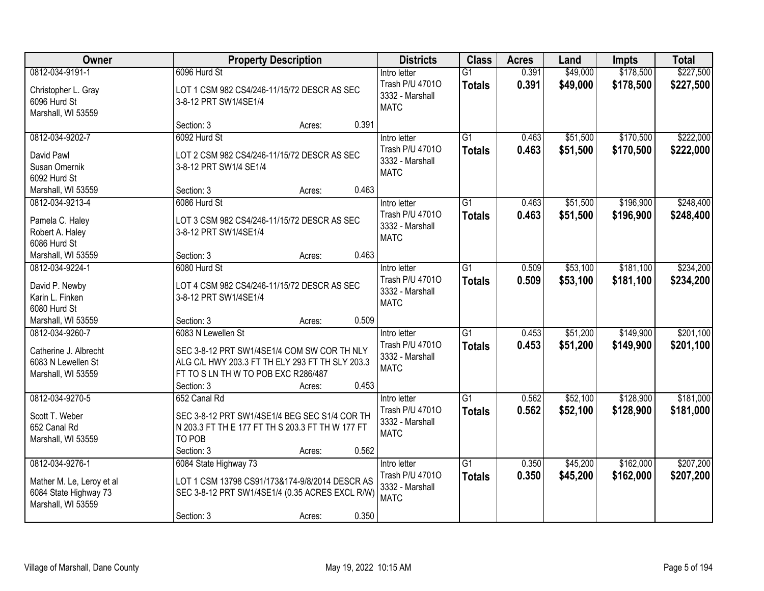| Owner                                                                                       | <b>Property Description</b>                                                                                                                                                         | <b>Districts</b>                                                           | <b>Class</b>                     | <b>Acres</b>   | Land                 | <b>Impts</b>           | <b>Total</b>           |
|---------------------------------------------------------------------------------------------|-------------------------------------------------------------------------------------------------------------------------------------------------------------------------------------|----------------------------------------------------------------------------|----------------------------------|----------------|----------------------|------------------------|------------------------|
| 0812-034-9191-1<br>Christopher L. Gray<br>6096 Hurd St<br>Marshall, WI 53559                | 6096 Hurd St<br>LOT 1 CSM 982 CS4/246-11/15/72 DESCR AS SEC<br>3-8-12 PRT SW1/4SE1/4                                                                                                | Intro letter<br>Trash P/U 47010<br>3332 - Marshall<br><b>MATC</b>          | $\overline{G1}$<br><b>Totals</b> | 0.391<br>0.391 | \$49,000<br>\$49,000 | \$178,500<br>\$178,500 | \$227,500<br>\$227,500 |
|                                                                                             | Section: 3<br>Acres:                                                                                                                                                                | 0.391                                                                      |                                  |                |                      |                        |                        |
| 0812-034-9202-7<br>David Pawl<br>Susan Omernik<br>6092 Hurd St                              | 6092 Hurd St<br>LOT 2 CSM 982 CS4/246-11/15/72 DESCR AS SEC<br>3-8-12 PRT SW1/4 SE1/4                                                                                               | Intro letter<br>Trash P/U 47010<br>3332 - Marshall<br><b>MATC</b>          | $\overline{G1}$<br><b>Totals</b> | 0.463<br>0.463 | \$51,500<br>\$51,500 | \$170,500<br>\$170,500 | \$222,000<br>\$222,000 |
| Marshall, WI 53559                                                                          | Section: 3<br>Acres:                                                                                                                                                                | 0.463                                                                      |                                  |                |                      |                        |                        |
| 0812-034-9213-4<br>Pamela C. Haley<br>Robert A. Haley<br>6086 Hurd St                       | 6086 Hurd St<br>LOT 3 CSM 982 CS4/246-11/15/72 DESCR AS SEC<br>3-8-12 PRT SW1/4SE1/4                                                                                                | Intro letter<br>Trash P/U 47010<br>3332 - Marshall<br><b>MATC</b>          | G1<br><b>Totals</b>              | 0.463<br>0.463 | \$51,500<br>\$51,500 | \$196,900<br>\$196,900 | \$248,400<br>\$248,400 |
| Marshall, WI 53559                                                                          | Section: 3<br>Acres:                                                                                                                                                                | 0.463                                                                      |                                  |                |                      |                        |                        |
| 0812-034-9224-1<br>David P. Newby<br>Karin L. Finken<br>6080 Hurd St                        | 6080 Hurd St<br>LOT 4 CSM 982 CS4/246-11/15/72 DESCR AS SEC<br>3-8-12 PRT SW1/4SE1/4                                                                                                | Intro letter<br>Trash P/U 47010<br>3332 - Marshall<br><b>MATC</b>          | G1<br><b>Totals</b>              | 0.509<br>0.509 | \$53,100<br>\$53,100 | \$181,100<br>\$181,100 | \$234,200<br>\$234,200 |
| Marshall, WI 53559                                                                          | Section: 3<br>Acres:                                                                                                                                                                | 0.509                                                                      |                                  |                |                      |                        |                        |
| 0812-034-9260-7<br>Catherine J. Albrecht<br>6083 N Lewellen St<br>Marshall, WI 53559        | 6083 N Lewellen St<br>SEC 3-8-12 PRT SW1/4SE1/4 COM SW COR TH NLY<br>ALG C/L HWY 203.3 FT TH ELY 293 FT TH SLY 203.3<br>FT TO S LN TH W TO POB EXC R286/487<br>Section: 3<br>Acres: | Intro letter<br>Trash P/U 47010<br>3332 - Marshall<br><b>MATC</b><br>0.453 | $\overline{G1}$<br>Totals        | 0.453<br>0.453 | \$51,200<br>\$51,200 | \$149,900<br>\$149,900 | \$201,100<br>\$201,100 |
| 0812-034-9270-5<br>Scott T. Weber<br>652 Canal Rd<br>Marshall, WI 53559                     | 652 Canal Rd<br>SEC 3-8-12 PRT SW1/4SE1/4 BEG SEC S1/4 COR TH<br>N 203.3 FT TH E 177 FT TH S 203.3 FT TH W 177 FT<br>TO POB<br>Section: 3<br>Acres:                                 | Intro letter<br>Trash P/U 47010<br>3332 - Marshall<br><b>MATC</b><br>0.562 | $\overline{G1}$<br><b>Totals</b> | 0.562<br>0.562 | \$52,100<br>\$52,100 | \$128,900<br>\$128,900 | \$181,000<br>\$181,000 |
| 0812-034-9276-1<br>Mather M. Le, Leroy et al<br>6084 State Highway 73<br>Marshall, WI 53559 | 6084 State Highway 73<br>LOT 1 CSM 13798 CS91/173&174-9/8/2014 DESCR AS<br>SEC 3-8-12 PRT SW1/4SE1/4 (0.35 ACRES EXCL R/W)<br>Section: 3<br>Acres:                                  | Intro letter<br>Trash P/U 47010<br>3332 - Marshall<br><b>MATC</b><br>0.350 | $\overline{G1}$<br><b>Totals</b> | 0.350<br>0.350 | \$45,200<br>\$45,200 | \$162,000<br>\$162,000 | \$207,200<br>\$207,200 |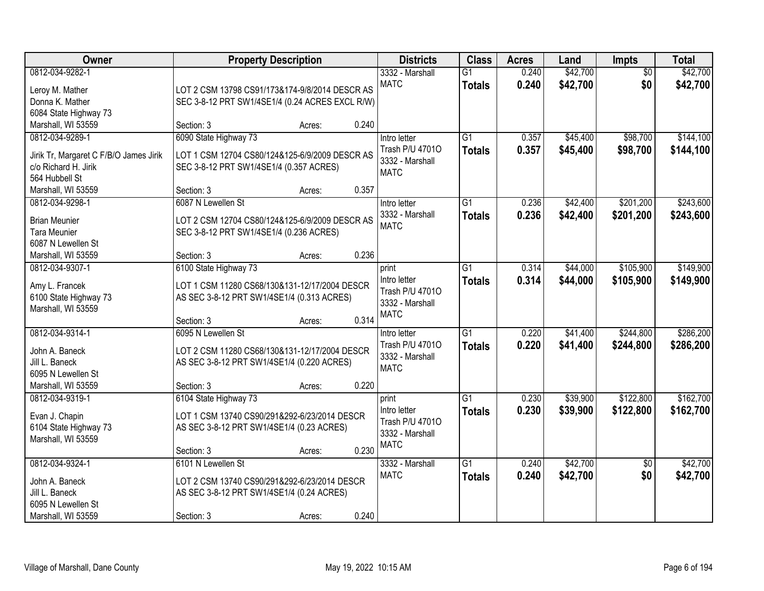| Owner                                  | <b>Property Description</b>                     |                 | <b>Districts</b>               | <b>Class</b>    | <b>Acres</b> | Land     | Impts           | <b>Total</b> |
|----------------------------------------|-------------------------------------------------|-----------------|--------------------------------|-----------------|--------------|----------|-----------------|--------------|
| 0812-034-9282-1                        |                                                 |                 | 3332 - Marshall                | $\overline{G1}$ | 0.240        | \$42,700 | $\overline{50}$ | \$42,700     |
| Leroy M. Mather                        | LOT 2 CSM 13798 CS91/173&174-9/8/2014 DESCR AS  |                 | <b>MATC</b>                    | <b>Totals</b>   | 0.240        | \$42,700 | \$0             | \$42,700     |
| Donna K. Mather                        | SEC 3-8-12 PRT SW1/4SE1/4 (0.24 ACRES EXCL R/W) |                 |                                |                 |              |          |                 |              |
| 6084 State Highway 73                  |                                                 |                 |                                |                 |              |          |                 |              |
| Marshall, WI 53559                     | Section: 3                                      | 0.240<br>Acres: |                                |                 |              |          |                 |              |
| 0812-034-9289-1                        | 6090 State Highway 73                           |                 | Intro letter                   | $\overline{G1}$ | 0.357        | \$45,400 | \$98,700        | \$144,100    |
| Jirik Tr, Margaret C F/B/O James Jirik | LOT 1 CSM 12704 CS80/124&125-6/9/2009 DESCR AS  |                 | Trash P/U 47010                | <b>Totals</b>   | 0.357        | \$45,400 | \$98,700        | \$144,100    |
| c/o Richard H. Jirik                   | SEC 3-8-12 PRT SW1/4SE1/4 (0.357 ACRES)         |                 | 3332 - Marshall                |                 |              |          |                 |              |
| 564 Hubbell St                         |                                                 |                 | <b>MATC</b>                    |                 |              |          |                 |              |
| Marshall, WI 53559                     | Section: 3                                      | 0.357<br>Acres: |                                |                 |              |          |                 |              |
| 0812-034-9298-1                        | 6087 N Lewellen St                              |                 | Intro letter                   | G1              | 0.236        | \$42,400 | \$201,200       | \$243,600    |
|                                        |                                                 |                 | 3332 - Marshall                | <b>Totals</b>   | 0.236        | \$42,400 | \$201,200       | \$243,600    |
| <b>Brian Meunier</b>                   | LOT 2 CSM 12704 CS80/124&125-6/9/2009 DESCR AS  |                 | <b>MATC</b>                    |                 |              |          |                 |              |
| <b>Tara Meunier</b>                    | SEC 3-8-12 PRT SW1/4SE1/4 (0.236 ACRES)         |                 |                                |                 |              |          |                 |              |
| 6087 N Lewellen St                     |                                                 |                 |                                |                 |              |          |                 |              |
| Marshall, WI 53559                     | Section: 3                                      | 0.236<br>Acres: |                                |                 |              |          |                 |              |
| 0812-034-9307-1                        | 6100 State Highway 73                           |                 | print                          | G1              | 0.314        | \$44,000 | \$105,900       | \$149,900    |
| Amy L. Francek                         | LOT 1 CSM 11280 CS68/130&131-12/17/2004 DESCR   |                 | Intro letter                   | <b>Totals</b>   | 0.314        | \$44,000 | \$105,900       | \$149,900    |
| 6100 State Highway 73                  | AS SEC 3-8-12 PRT SW1/4SE1/4 (0.313 ACRES)      |                 | Trash P/U 47010                |                 |              |          |                 |              |
| Marshall, WI 53559                     |                                                 |                 | 3332 - Marshall<br><b>MATC</b> |                 |              |          |                 |              |
|                                        | Section: 3                                      | 0.314<br>Acres: |                                |                 |              |          |                 |              |
| 0812-034-9314-1                        | 6095 N Lewellen St                              |                 | Intro letter                   | $\overline{G1}$ | 0.220        | \$41,400 | \$244,800       | \$286,200    |
| John A. Baneck                         | LOT 2 CSM 11280 CS68/130&131-12/17/2004 DESCR   |                 | Trash P/U 47010                | <b>Totals</b>   | 0.220        | \$41,400 | \$244,800       | \$286,200    |
| Jill L. Baneck                         | AS SEC 3-8-12 PRT SW1/4SE1/4 (0.220 ACRES)      |                 | 3332 - Marshall                |                 |              |          |                 |              |
| 6095 N Lewellen St                     |                                                 |                 | <b>MATC</b>                    |                 |              |          |                 |              |
| Marshall, WI 53559                     | Section: 3                                      | 0.220<br>Acres: |                                |                 |              |          |                 |              |
| 0812-034-9319-1                        | 6104 State Highway 73                           |                 | print                          | $\overline{G1}$ | 0.230        | \$39,900 | \$122,800       | \$162,700    |
|                                        |                                                 |                 | Intro letter                   | <b>Totals</b>   | 0.230        | \$39,900 | \$122,800       | \$162,700    |
| Evan J. Chapin                         | LOT 1 CSM 13740 CS90/291&292-6/23/2014 DESCR    |                 | Trash P/U 47010                |                 |              |          |                 |              |
| 6104 State Highway 73                  | AS SEC 3-8-12 PRT SW1/4SE1/4 (0.23 ACRES)       |                 | 3332 - Marshall                |                 |              |          |                 |              |
| Marshall, WI 53559                     |                                                 |                 | <b>MATC</b>                    |                 |              |          |                 |              |
|                                        | Section: 3                                      | 0.230<br>Acres: |                                |                 |              |          |                 |              |
| 0812-034-9324-1                        | 6101 N Lewellen St                              |                 | 3332 - Marshall                | $\overline{G1}$ | 0.240        | \$42,700 | $\overline{50}$ | \$42,700     |
| John A. Baneck                         | LOT 2 CSM 13740 CS90/291&292-6/23/2014 DESCR    |                 | <b>MATC</b>                    | <b>Totals</b>   | 0.240        | \$42,700 | \$0             | \$42,700     |
| Jill L. Baneck                         | AS SEC 3-8-12 PRT SW1/4SE1/4 (0.24 ACRES)       |                 |                                |                 |              |          |                 |              |
| 6095 N Lewellen St                     |                                                 |                 |                                |                 |              |          |                 |              |
| Marshall, WI 53559                     | Section: 3                                      | 0.240<br>Acres: |                                |                 |              |          |                 |              |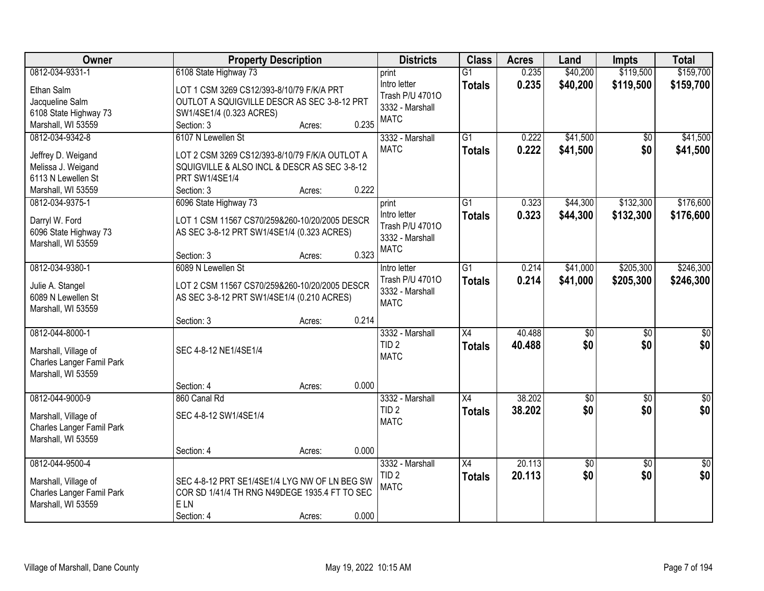| Owner                     | <b>Property Description</b>                    |                 | <b>Districts</b>                | <b>Class</b>    | <b>Acres</b> | Land            | <b>Impts</b>    | <b>Total</b>     |
|---------------------------|------------------------------------------------|-----------------|---------------------------------|-----------------|--------------|-----------------|-----------------|------------------|
| 0812-034-9331-1           | 6108 State Highway 73                          |                 | print                           | $\overline{G1}$ | 0.235        | \$40,200        | \$119,500       | \$159,700        |
| Ethan Salm                | LOT 1 CSM 3269 CS12/393-8/10/79 F/K/A PRT      |                 | Intro letter                    | <b>Totals</b>   | 0.235        | \$40,200        | \$119,500       | \$159,700        |
| Jacqueline Salm           | OUTLOT A SQUIGVILLE DESCR AS SEC 3-8-12 PRT    |                 | Trash P/U 47010                 |                 |              |                 |                 |                  |
| 6108 State Highway 73     | SW1/4SE1/4 (0.323 ACRES)                       |                 | 3332 - Marshall                 |                 |              |                 |                 |                  |
| Marshall, WI 53559        | Section: 3                                     | 0.235<br>Acres: | <b>MATC</b>                     |                 |              |                 |                 |                  |
| 0812-034-9342-8           | 6107 N Lewellen St                             |                 | 3332 - Marshall                 | $\overline{G1}$ | 0.222        | \$41,500        | $\overline{50}$ | \$41,500         |
| Jeffrey D. Weigand        | LOT 2 CSM 3269 CS12/393-8/10/79 F/K/A OUTLOT A |                 | <b>MATC</b>                     | <b>Totals</b>   | 0.222        | \$41,500        | \$0             | \$41,500         |
| Melissa J. Weigand        | SQUIGVILLE & ALSO INCL & DESCR AS SEC 3-8-12   |                 |                                 |                 |              |                 |                 |                  |
| 6113 N Lewellen St        | PRT SW1/4SE1/4                                 |                 |                                 |                 |              |                 |                 |                  |
| Marshall, WI 53559        | Section: 3                                     | 0.222<br>Acres: |                                 |                 |              |                 |                 |                  |
| 0812-034-9375-1           | 6096 State Highway 73                          |                 | print                           | $\overline{G1}$ | 0.323        | \$44,300        | \$132,300       | \$176,600        |
|                           |                                                |                 | Intro letter                    | <b>Totals</b>   | 0.323        | \$44,300        | \$132,300       | \$176,600        |
| Darryl W. Ford            | LOT 1 CSM 11567 CS70/259&260-10/20/2005 DESCR  |                 | Trash P/U 47010                 |                 |              |                 |                 |                  |
| 6096 State Highway 73     | AS SEC 3-8-12 PRT SW1/4SE1/4 (0.323 ACRES)     |                 | 3332 - Marshall                 |                 |              |                 |                 |                  |
| Marshall, WI 53559        | Section: 3                                     | 0.323<br>Acres: | <b>MATC</b>                     |                 |              |                 |                 |                  |
| 0812-034-9380-1           | 6089 N Lewellen St                             |                 | Intro letter                    | $\overline{G1}$ | 0.214        | \$41,000        | \$205,300       | \$246,300        |
|                           |                                                |                 | Trash P/U 47010                 | <b>Totals</b>   | 0.214        | \$41,000        | \$205,300       | \$246,300        |
| Julie A. Stangel          | LOT 2 CSM 11567 CS70/259&260-10/20/2005 DESCR  |                 | 3332 - Marshall                 |                 |              |                 |                 |                  |
| 6089 N Lewellen St        | AS SEC 3-8-12 PRT SW1/4SE1/4 (0.210 ACRES)     |                 | <b>MATC</b>                     |                 |              |                 |                 |                  |
| Marshall, WI 53559        |                                                |                 |                                 |                 |              |                 |                 |                  |
|                           | Section: 3                                     | 0.214<br>Acres: |                                 |                 |              |                 |                 |                  |
| 0812-044-8000-1           |                                                |                 | 3332 - Marshall                 | $\overline{X4}$ | 40.488       | $\overline{50}$ | $\overline{50}$ | $\overline{\$0}$ |
| Marshall, Village of      | SEC 4-8-12 NE1/4SE1/4                          |                 | TID <sub>2</sub><br><b>MATC</b> | <b>Totals</b>   | 40.488       | \$0             | \$0             | \$0              |
| Charles Langer Famil Park |                                                |                 |                                 |                 |              |                 |                 |                  |
| Marshall, WI 53559        |                                                |                 |                                 |                 |              |                 |                 |                  |
|                           | Section: 4                                     | 0.000<br>Acres: |                                 |                 |              |                 |                 |                  |
| 0812-044-9000-9           | 860 Canal Rd                                   |                 | 3332 - Marshall                 | $\overline{X4}$ | 38.202       | $\sqrt{50}$     | $\overline{50}$ | $\overline{50}$  |
| Marshall, Village of      | SEC 4-8-12 SW1/4SE1/4                          |                 | TID <sub>2</sub>                | <b>Totals</b>   | 38.202       | \$0             | \$0             | \$0              |
| Charles Langer Famil Park |                                                |                 | <b>MATC</b>                     |                 |              |                 |                 |                  |
| Marshall, WI 53559        |                                                |                 |                                 |                 |              |                 |                 |                  |
|                           | Section: 4                                     | 0.000<br>Acres: |                                 |                 |              |                 |                 |                  |
| 0812-044-9500-4           |                                                |                 | 3332 - Marshall                 | $\overline{X4}$ | 20.113       | \$0             | $\overline{30}$ | $\sqrt{50}$      |
| Marshall, Village of      | SEC 4-8-12 PRT SE1/4SE1/4 LYG NW OF LN BEG SW  |                 | TID <sub>2</sub>                | <b>Totals</b>   | 20.113       | \$0             | \$0             | \$0              |
| Charles Langer Famil Park | COR SD 1/41/4 TH RNG N49DEGE 1935.4 FT TO SEC  |                 | <b>MATC</b>                     |                 |              |                 |                 |                  |
| Marshall, WI 53559        | <b>ELN</b>                                     |                 |                                 |                 |              |                 |                 |                  |
|                           | Section: 4                                     | 0.000<br>Acres: |                                 |                 |              |                 |                 |                  |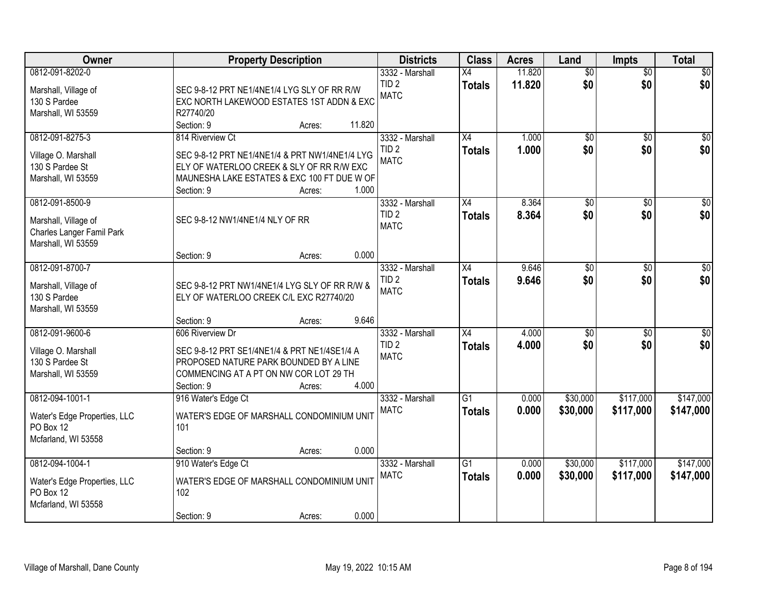| <b>Owner</b>                                                                        | <b>Property Description</b>                                                                                                                                                 | <b>Districts</b>                                   | <b>Class</b>                     | <b>Acres</b>   | Land                   | <b>Impts</b>           | <b>Total</b>           |
|-------------------------------------------------------------------------------------|-----------------------------------------------------------------------------------------------------------------------------------------------------------------------------|----------------------------------------------------|----------------------------------|----------------|------------------------|------------------------|------------------------|
| 0812-091-8202-0                                                                     |                                                                                                                                                                             | 3332 - Marshall                                    | X4                               | 11.820         | $\overline{50}$        | $\overline{50}$        | \$0                    |
| Marshall, Village of<br>130 S Pardee<br>Marshall, WI 53559                          | SEC 9-8-12 PRT NE1/4NE1/4 LYG SLY OF RR R/W<br>EXC NORTH LAKEWOOD ESTATES 1ST ADDN & EXC<br>R27740/20                                                                       | TID <sub>2</sub><br><b>MATC</b>                    | <b>Totals</b>                    | 11.820         | \$0                    | \$0                    | \$0                    |
|                                                                                     | 11.820<br>Section: 9<br>Acres:                                                                                                                                              |                                                    |                                  |                |                        |                        |                        |
| 0812-091-8275-3                                                                     | 814 Riverview Ct                                                                                                                                                            | 3332 - Marshall<br>TID <sub>2</sub>                | $\overline{X4}$<br><b>Totals</b> | 1.000<br>1.000 | $\overline{50}$<br>\$0 | $\overline{50}$<br>\$0 | \$0<br>\$0             |
| Village O. Marshall<br>130 S Pardee St<br>Marshall, WI 53559                        | SEC 9-8-12 PRT NE1/4NE1/4 & PRT NW1/4NE1/4 LYG<br>ELY OF WATERLOO CREEK & SLY OF RR R/W EXC<br>MAUNESHA LAKE ESTATES & EXC 100 FT DUE W OF<br>1.000<br>Section: 9<br>Acres: | <b>MATC</b>                                        |                                  |                |                        |                        |                        |
| 0812-091-8500-9                                                                     |                                                                                                                                                                             | 3332 - Marshall                                    | X4                               | 8.364          | \$0                    | \$0                    | $\overline{50}$        |
| Marshall, Village of<br>Charles Langer Famil Park<br>Marshall, WI 53559             | SEC 9-8-12 NW1/4NE1/4 NLY OF RR                                                                                                                                             | TID <sub>2</sub><br><b>MATC</b>                    | <b>Totals</b>                    | 8.364          | \$0                    | \$0                    | \$0                    |
|                                                                                     | Section: 9<br>0.000<br>Acres:                                                                                                                                               |                                                    |                                  |                |                        |                        |                        |
| 0812-091-8700-7<br>Marshall, Village of                                             | SEC 9-8-12 PRT NW1/4NE1/4 LYG SLY OF RR R/W &                                                                                                                               | 3332 - Marshall<br>TID <sub>2</sub><br><b>MATC</b> | X4<br><b>Totals</b>              | 9.646<br>9.646 | \$0<br>\$0             | $\sqrt{6}$<br>\$0      | $\sqrt{50}$<br>\$0     |
| 130 S Pardee<br>Marshall, WI 53559                                                  | ELY OF WATERLOO CREEK C/L EXC R27740/20                                                                                                                                     |                                                    |                                  |                |                        |                        |                        |
| 0812-091-9600-6                                                                     | 9.646<br>Section: 9<br>Acres:<br>606 Riverview Dr                                                                                                                           | 3332 - Marshall                                    | $\overline{X4}$                  | 4.000          | $\overline{50}$        | $\overline{50}$        | $\overline{50}$        |
| Village O. Marshall<br>130 S Pardee St<br>Marshall, WI 53559                        | SEC 9-8-12 PRT SE1/4NE1/4 & PRT NE1/4SE1/4 A<br>PROPOSED NATURE PARK BOUNDED BY A LINE<br>COMMENCING AT A PT ON NW COR LOT 29 TH<br>4.000<br>Section: 9<br>Acres:           | TID <sub>2</sub><br><b>MATC</b>                    | <b>Totals</b>                    | 4.000          | \$0                    | \$0                    | \$0                    |
| 0812-094-1001-1                                                                     | 916 Water's Edge Ct                                                                                                                                                         | 3332 - Marshall                                    | $\overline{G1}$                  | 0.000          | \$30,000               | \$117,000              | \$147,000              |
| Water's Edge Properties, LLC<br>PO Box 12<br>Mcfarland, WI 53558                    | WATER'S EDGE OF MARSHALL CONDOMINIUM UNIT<br>101                                                                                                                            | <b>MATC</b>                                        | <b>Totals</b>                    | 0.000          | \$30,000               | \$117,000              | \$147,000              |
|                                                                                     | 0.000<br>Section: 9<br>Acres:                                                                                                                                               |                                                    |                                  |                |                        |                        |                        |
| 0812-094-1004-1<br>Water's Edge Properties, LLC<br>PO Box 12<br>Mcfarland, WI 53558 | 910 Water's Edge Ct<br>WATER'S EDGE OF MARSHALL CONDOMINIUM UNIT<br>102                                                                                                     | 3332 - Marshall<br><b>MATC</b>                     | $\overline{G1}$<br><b>Totals</b> | 0.000<br>0.000 | \$30,000<br>\$30,000   | \$117,000<br>\$117,000 | \$147,000<br>\$147,000 |
|                                                                                     | 0.000<br>Section: 9<br>Acres:                                                                                                                                               |                                                    |                                  |                |                        |                        |                        |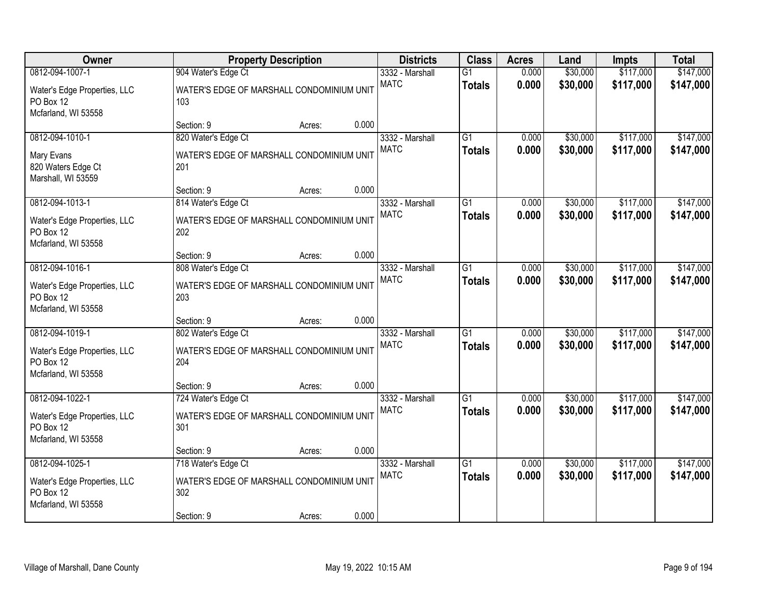| Owner                                                            |                                                  | <b>Property Description</b> |       | <b>Districts</b> | <b>Class</b>    | <b>Acres</b> | Land     | <b>Impts</b> | <b>Total</b> |
|------------------------------------------------------------------|--------------------------------------------------|-----------------------------|-------|------------------|-----------------|--------------|----------|--------------|--------------|
| 0812-094-1007-1                                                  | 904 Water's Edge Ct                              |                             |       | 3332 - Marshall  | $\overline{G1}$ | 0.000        | \$30,000 | \$117,000    | \$147,000    |
| Water's Edge Properties, LLC<br>PO Box 12<br>Mcfarland, WI 53558 | WATER'S EDGE OF MARSHALL CONDOMINIUM UNIT<br>103 |                             |       | <b>MATC</b>      | <b>Totals</b>   | 0.000        | \$30,000 | \$117,000    | \$147,000    |
|                                                                  | Section: 9                                       | Acres:                      | 0.000 |                  |                 |              |          |              |              |
| 0812-094-1010-1                                                  | 820 Water's Edge Ct                              |                             |       | 3332 - Marshall  | $\overline{G1}$ | 0.000        | \$30,000 | \$117,000    | \$147,000    |
| Mary Evans<br>820 Waters Edge Ct<br>Marshall, WI 53559           | WATER'S EDGE OF MARSHALL CONDOMINIUM UNIT<br>201 |                             |       | <b>MATC</b>      | <b>Totals</b>   | 0.000        | \$30,000 | \$117,000    | \$147,000    |
|                                                                  | Section: 9                                       | Acres:                      | 0.000 |                  |                 |              |          |              |              |
| 0812-094-1013-1                                                  | 814 Water's Edge Ct                              |                             |       | 3332 - Marshall  | G1              | 0.000        | \$30,000 | \$117,000    | \$147,000    |
| Water's Edge Properties, LLC<br>PO Box 12<br>Mcfarland, WI 53558 | WATER'S EDGE OF MARSHALL CONDOMINIUM UNIT<br>202 |                             |       | <b>MATC</b>      | <b>Totals</b>   | 0.000        | \$30,000 | \$117,000    | \$147,000    |
|                                                                  | Section: 9                                       | Acres:                      | 0.000 |                  |                 |              |          |              |              |
| 0812-094-1016-1                                                  | 808 Water's Edge Ct                              |                             |       | 3332 - Marshall  | $\overline{G1}$ | 0.000        | \$30,000 | \$117,000    | \$147,000    |
| Water's Edge Properties, LLC<br>PO Box 12<br>Mcfarland, WI 53558 | WATER'S EDGE OF MARSHALL CONDOMINIUM UNIT<br>203 |                             |       | <b>MATC</b>      | <b>Totals</b>   | 0.000        | \$30,000 | \$117,000    | \$147,000    |
|                                                                  | Section: 9                                       | Acres:                      | 0.000 |                  |                 |              |          |              |              |
| 0812-094-1019-1                                                  | 802 Water's Edge Ct                              |                             |       | 3332 - Marshall  | $\overline{G1}$ | 0.000        | \$30,000 | \$117,000    | \$147,000    |
| Water's Edge Properties, LLC<br>PO Box 12<br>Mcfarland, WI 53558 | WATER'S EDGE OF MARSHALL CONDOMINIUM UNIT<br>204 |                             |       | <b>MATC</b>      | <b>Totals</b>   | 0.000        | \$30,000 | \$117,000    | \$147,000    |
|                                                                  | Section: 9                                       | Acres:                      | 0.000 |                  |                 |              |          |              |              |
| 0812-094-1022-1                                                  | 724 Water's Edge Ct                              |                             |       | 3332 - Marshall  | $\overline{G1}$ | 0.000        | \$30,000 | \$117,000    | \$147,000    |
| Water's Edge Properties, LLC<br>PO Box 12<br>Mcfarland, WI 53558 | WATER'S EDGE OF MARSHALL CONDOMINIUM UNIT<br>301 |                             |       | <b>MATC</b>      | <b>Totals</b>   | 0.000        | \$30,000 | \$117,000    | \$147,000    |
|                                                                  | Section: 9                                       | Acres:                      | 0.000 |                  |                 |              |          |              |              |
| 0812-094-1025-1                                                  | 718 Water's Edge Ct                              |                             |       | 3332 - Marshall  | G1              | 0.000        | \$30,000 | \$117,000    | \$147,000    |
| Water's Edge Properties, LLC<br>PO Box 12<br>Mcfarland, WI 53558 | WATER'S EDGE OF MARSHALL CONDOMINIUM UNIT<br>302 |                             |       | <b>MATC</b>      | <b>Totals</b>   | 0.000        | \$30,000 | \$117,000    | \$147,000    |
|                                                                  | Section: 9                                       | Acres:                      | 0.000 |                  |                 |              |          |              |              |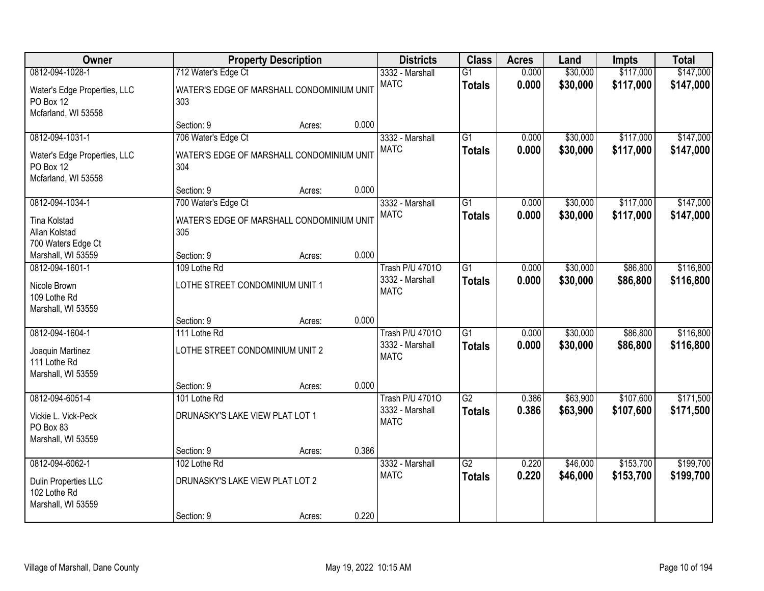| Owner                                                            |                                                  | <b>Property Description</b> |       | <b>Districts</b>                                         | <b>Class</b>                     | <b>Acres</b>   | Land                 | <b>Impts</b>         | <b>Total</b>           |
|------------------------------------------------------------------|--------------------------------------------------|-----------------------------|-------|----------------------------------------------------------|----------------------------------|----------------|----------------------|----------------------|------------------------|
| 0812-094-1028-1                                                  | 712 Water's Edge Ct                              |                             |       | 3332 - Marshall                                          | $\overline{G1}$                  | 0.000          | \$30,000             | \$117,000            | \$147,000              |
| Water's Edge Properties, LLC<br>PO Box 12<br>Mcfarland, WI 53558 | WATER'S EDGE OF MARSHALL CONDOMINIUM UNIT<br>303 |                             |       | <b>MATC</b>                                              | <b>Totals</b>                    | 0.000          | \$30,000             | \$117,000            | \$147,000              |
|                                                                  | Section: 9                                       | Acres:                      | 0.000 |                                                          |                                  |                |                      |                      |                        |
| 0812-094-1031-1                                                  | 706 Water's Edge Ct                              |                             |       | 3332 - Marshall                                          | $\overline{G1}$                  | 0.000          | \$30,000             | \$117,000            | \$147,000              |
| Water's Edge Properties, LLC<br>PO Box 12<br>Mcfarland, WI 53558 | WATER'S EDGE OF MARSHALL CONDOMINIUM UNIT<br>304 |                             |       | <b>MATC</b>                                              | <b>Totals</b>                    | 0.000          | \$30,000             | \$117,000            | \$147,000              |
|                                                                  | Section: 9                                       | Acres:                      | 0.000 |                                                          |                                  |                |                      |                      |                        |
| 0812-094-1034-1                                                  | 700 Water's Edge Ct                              |                             |       | 3332 - Marshall                                          | G1                               | 0.000          | \$30,000             | \$117,000            | \$147,000              |
| <b>Tina Kolstad</b><br>Allan Kolstad<br>700 Waters Edge Ct       | WATER'S EDGE OF MARSHALL CONDOMINIUM UNIT<br>305 |                             |       | <b>MATC</b>                                              | <b>Totals</b>                    | 0.000          | \$30,000             | \$117,000            | \$147,000              |
| Marshall, WI 53559                                               | Section: 9                                       | Acres:                      | 0.000 |                                                          |                                  |                |                      |                      |                        |
| 0812-094-1601-1                                                  | 109 Lothe Rd                                     |                             |       | <b>Trash P/U 47010</b>                                   | $\overline{G1}$                  | 0.000          | \$30,000             | \$86,800             | \$116,800              |
| Nicole Brown<br>109 Lothe Rd<br>Marshall, WI 53559               | LOTHE STREET CONDOMINIUM UNIT 1                  |                             |       | 3332 - Marshall<br><b>MATC</b>                           | <b>Totals</b>                    | 0.000          | \$30,000             | \$86,800             | \$116,800              |
|                                                                  | Section: 9                                       | Acres:                      | 0.000 |                                                          |                                  |                |                      |                      |                        |
| 0812-094-1604-1<br>Joaquin Martinez                              | 111 Lothe Rd<br>LOTHE STREET CONDOMINIUM UNIT 2  |                             |       | <b>Trash P/U 47010</b><br>3332 - Marshall<br><b>MATC</b> | $\overline{G1}$<br><b>Totals</b> | 0.000<br>0.000 | \$30,000<br>\$30,000 | \$86,800<br>\$86,800 | \$116,800<br>\$116,800 |
| 111 Lothe Rd<br>Marshall, WI 53559                               |                                                  |                             |       |                                                          |                                  |                |                      |                      |                        |
|                                                                  | Section: 9                                       | Acres:                      | 0.000 |                                                          |                                  |                |                      |                      |                        |
| 0812-094-6051-4                                                  | 101 Lothe Rd                                     |                             |       | <b>Trash P/U 47010</b>                                   | $\overline{G2}$                  | 0.386          | \$63,900             | \$107,600            | \$171,500              |
| Vickie L. Vick-Peck<br>PO Box 83<br>Marshall, WI 53559           | DRUNASKY'S LAKE VIEW PLAT LOT 1                  |                             |       | 3332 - Marshall<br><b>MATC</b>                           | <b>Totals</b>                    | 0.386          | \$63,900             | \$107,600            | \$171,500              |
|                                                                  | Section: 9                                       | Acres:                      | 0.386 |                                                          |                                  |                |                      |                      |                        |
| 0812-094-6062-1                                                  | 102 Lothe Rd                                     |                             |       | 3332 - Marshall                                          | $\overline{G2}$                  | 0.220          | \$46,000             | \$153,700            | \$199,700              |
| Dulin Properties LLC<br>102 Lothe Rd<br>Marshall, WI 53559       | DRUNASKY'S LAKE VIEW PLAT LOT 2                  |                             |       | <b>MATC</b>                                              | <b>Totals</b>                    | 0.220          | \$46,000             | \$153,700            | \$199,700              |
|                                                                  | Section: 9                                       | Acres:                      | 0.220 |                                                          |                                  |                |                      |                      |                        |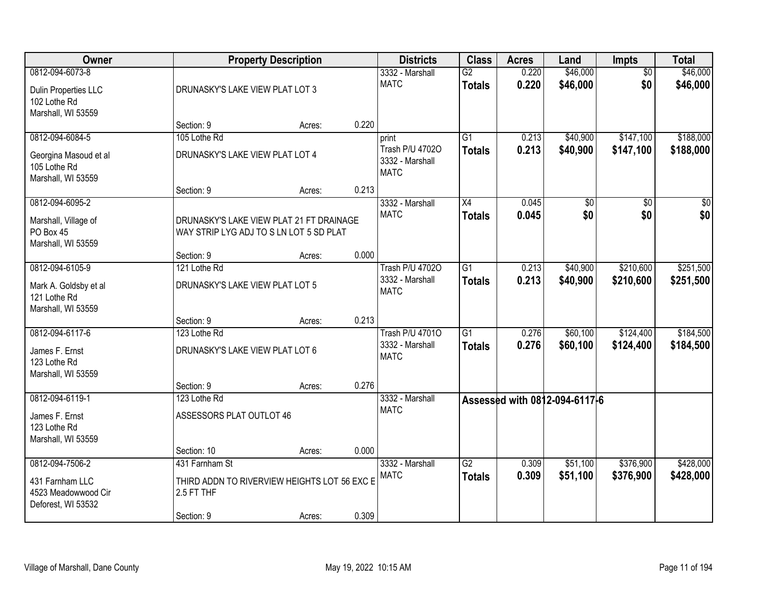| Owner                                                        |                                                                                     | <b>Property Description</b> |       | <b>Districts</b>                                  | <b>Class</b>    | <b>Acres</b> | Land                          | <b>Impts</b>    | <b>Total</b> |
|--------------------------------------------------------------|-------------------------------------------------------------------------------------|-----------------------------|-------|---------------------------------------------------|-----------------|--------------|-------------------------------|-----------------|--------------|
| 0812-094-6073-8                                              |                                                                                     |                             |       | 3332 - Marshall                                   | $\overline{G2}$ | 0.220        | \$46,000                      | $\overline{50}$ | \$46,000     |
| Dulin Properties LLC<br>102 Lothe Rd<br>Marshall, WI 53559   | DRUNASKY'S LAKE VIEW PLAT LOT 3                                                     |                             |       | <b>MATC</b>                                       | <b>Totals</b>   | 0.220        | \$46,000                      | \$0             | \$46,000     |
|                                                              | Section: 9                                                                          | Acres:                      | 0.220 |                                                   |                 |              |                               |                 |              |
| 0812-094-6084-5                                              | 105 Lothe Rd                                                                        |                             |       | print                                             | $\overline{G1}$ | 0.213        | \$40,900                      | \$147,100       | \$188,000    |
| Georgina Masoud et al<br>105 Lothe Rd<br>Marshall, WI 53559  | DRUNASKY'S LAKE VIEW PLAT LOT 4                                                     |                             |       | Trash P/U 47020<br>3332 - Marshall<br><b>MATC</b> | <b>Totals</b>   | 0.213        | \$40,900                      | \$147,100       | \$188,000    |
|                                                              | Section: 9                                                                          | Acres:                      | 0.213 |                                                   |                 |              |                               |                 |              |
| 0812-094-6095-2                                              |                                                                                     |                             |       | 3332 - Marshall                                   | X4              | 0.045        | $\overline{50}$               | \$0             | $\sqrt{50}$  |
| Marshall, Village of<br>PO Box 45<br>Marshall, WI 53559      | DRUNASKY'S LAKE VIEW PLAT 21 FT DRAINAGE<br>WAY STRIP LYG ADJ TO S LN LOT 5 SD PLAT |                             |       | <b>MATC</b>                                       | <b>Totals</b>   | 0.045        | \$0                           | \$0             | \$0          |
|                                                              | Section: 9                                                                          | Acres:                      | 0.000 |                                                   |                 |              |                               |                 |              |
| 0812-094-6105-9                                              | 121 Lothe Rd                                                                        |                             |       | <b>Trash P/U 47020</b>                            | $\overline{G1}$ | 0.213        | \$40,900                      | \$210,600       | \$251,500    |
| Mark A. Goldsby et al<br>121 Lothe Rd<br>Marshall, WI 53559  | DRUNASKY'S LAKE VIEW PLAT LOT 5                                                     |                             |       | 3332 - Marshall<br><b>MATC</b>                    | <b>Totals</b>   | 0.213        | \$40,900                      | \$210,600       | \$251,500    |
|                                                              | Section: 9                                                                          | Acres:                      | 0.213 |                                                   |                 |              |                               |                 |              |
| 0812-094-6117-6                                              | 123 Lothe Rd                                                                        |                             |       | <b>Trash P/U 47010</b>                            | $\overline{G1}$ | 0.276        | \$60,100                      | \$124,400       | \$184,500    |
| James F. Ernst<br>123 Lothe Rd<br>Marshall, WI 53559         | DRUNASKY'S LAKE VIEW PLAT LOT 6                                                     |                             |       | 3332 - Marshall<br><b>MATC</b>                    | <b>Totals</b>   | 0.276        | \$60,100                      | \$124,400       | \$184,500    |
|                                                              | Section: 9                                                                          | Acres:                      | 0.276 |                                                   |                 |              |                               |                 |              |
| 0812-094-6119-1                                              | 123 Lothe Rd                                                                        |                             |       | 3332 - Marshall                                   |                 |              | Assessed with 0812-094-6117-6 |                 |              |
| James F. Ernst<br>123 Lothe Rd<br>Marshall, WI 53559         | ASSESSORS PLAT OUTLOT 46                                                            |                             |       | <b>MATC</b>                                       |                 |              |                               |                 |              |
|                                                              | Section: 10                                                                         | Acres:                      | 0.000 |                                                   |                 |              |                               |                 |              |
| 0812-094-7506-2                                              | 431 Farnham St                                                                      |                             |       | 3332 - Marshall                                   | $\overline{G2}$ | 0.309        | \$51,100                      | \$376,900       | \$428,000    |
| 431 Farnham LLC<br>4523 Meadowwood Cir<br>Deforest, WI 53532 | THIRD ADDN TO RIVERVIEW HEIGHTS LOT 56 EXC E<br>2.5 FT THF                          |                             |       | <b>MATC</b>                                       | <b>Totals</b>   | 0.309        | \$51,100                      | \$376,900       | \$428,000    |
|                                                              | Section: 9                                                                          | Acres:                      | 0.309 |                                                   |                 |              |                               |                 |              |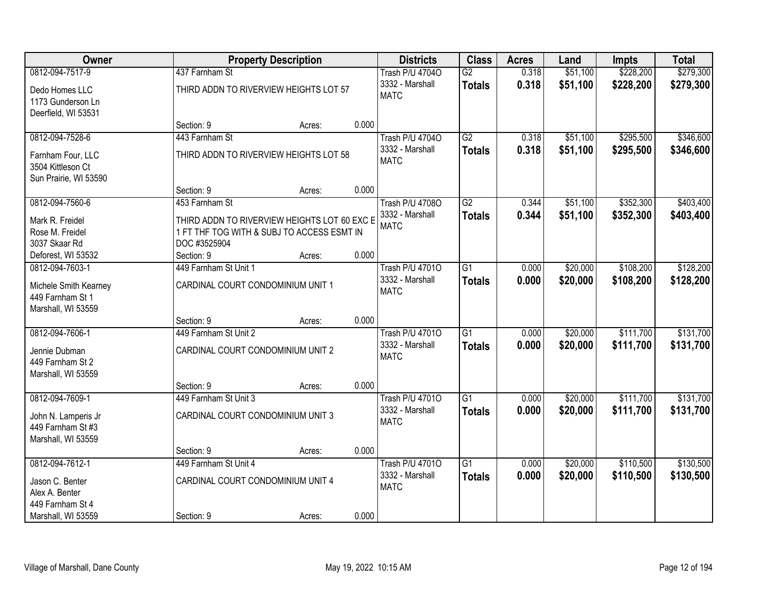| Owner                 |                                              | <b>Property Description</b> |       |                        | <b>Class</b>    | <b>Acres</b> | Land     | <b>Impts</b> | <b>Total</b> |
|-----------------------|----------------------------------------------|-----------------------------|-------|------------------------|-----------------|--------------|----------|--------------|--------------|
| 0812-094-7517-9       | 437 Farnham St                               |                             |       | Trash P/U 47040        | $\overline{G2}$ | 0.318        | \$51,100 | \$228,200    | \$279,300    |
| Dedo Homes LLC        | THIRD ADDN TO RIVERVIEW HEIGHTS LOT 57       |                             |       | 3332 - Marshall        | <b>Totals</b>   | 0.318        | \$51,100 | \$228,200    | \$279,300    |
| 1173 Gunderson Ln     |                                              |                             |       | <b>MATC</b>            |                 |              |          |              |              |
| Deerfield, WI 53531   |                                              |                             |       |                        |                 |              |          |              |              |
|                       | Section: 9                                   | Acres:                      | 0.000 |                        |                 |              |          |              |              |
| 0812-094-7528-6       | 443 Farnham St                               |                             |       | Trash P/U 47040        | G2              | 0.318        | \$51,100 | \$295,500    | \$346,600    |
| Farnham Four, LLC     | THIRD ADDN TO RIVERVIEW HEIGHTS LOT 58       |                             |       | 3332 - Marshall        | <b>Totals</b>   | 0.318        | \$51,100 | \$295,500    | \$346,600    |
| 3504 Kittleson Ct     |                                              |                             |       | <b>MATC</b>            |                 |              |          |              |              |
| Sun Prairie, WI 53590 |                                              |                             |       |                        |                 |              |          |              |              |
|                       | Section: 9                                   | Acres:                      | 0.000 |                        |                 |              |          |              |              |
| 0812-094-7560-6       | 453 Farnham St                               |                             |       | Trash P/U 47080        | G2              | 0.344        | \$51,100 | \$352,300    | \$403,400    |
| Mark R. Freidel       | THIRD ADDN TO RIVERVIEW HEIGHTS LOT 60 EXC E |                             |       | 3332 - Marshall        | <b>Totals</b>   | 0.344        | \$51,100 | \$352,300    | \$403,400    |
| Rose M. Freidel       | 1 FT THF TOG WITH & SUBJ TO ACCESS ESMT IN   |                             |       | <b>MATC</b>            |                 |              |          |              |              |
| 3037 Skaar Rd         | DOC #3525904                                 |                             |       |                        |                 |              |          |              |              |
| Deforest, WI 53532    | Section: 9                                   | Acres:                      | 0.000 |                        |                 |              |          |              |              |
| 0812-094-7603-1       | 449 Farnham St Unit 1                        |                             |       | <b>Trash P/U 47010</b> | $\overline{G1}$ | 0.000        | \$20,000 | \$108,200    | \$128,200    |
| Michele Smith Kearney | CARDINAL COURT CONDOMINIUM UNIT 1            |                             |       | 3332 - Marshall        | <b>Totals</b>   | 0.000        | \$20,000 | \$108,200    | \$128,200    |
| 449 Farnham St 1      |                                              |                             |       | <b>MATC</b>            |                 |              |          |              |              |
| Marshall, WI 53559    |                                              |                             |       |                        |                 |              |          |              |              |
|                       | Section: 9                                   | Acres:                      | 0.000 |                        |                 |              |          |              |              |
| 0812-094-7606-1       | 449 Farnham St Unit 2                        |                             |       | <b>Trash P/U 47010</b> | $\overline{G1}$ | 0.000        | \$20,000 | \$111,700    | \$131,700    |
| Jennie Dubman         | CARDINAL COURT CONDOMINIUM UNIT 2            |                             |       | 3332 - Marshall        | <b>Totals</b>   | 0.000        | \$20,000 | \$111,700    | \$131,700    |
| 449 Farnham St 2      |                                              |                             |       | <b>MATC</b>            |                 |              |          |              |              |
| Marshall, WI 53559    |                                              |                             |       |                        |                 |              |          |              |              |
|                       | Section: 9                                   | Acres:                      | 0.000 |                        |                 |              |          |              |              |
| 0812-094-7609-1       | 449 Farnham St Unit 3                        |                             |       | <b>Trash P/U 47010</b> | $\overline{G1}$ | 0.000        | \$20,000 | \$111,700    | \$131,700    |
| John N. Lamperis Jr   | CARDINAL COURT CONDOMINIUM UNIT 3            |                             |       | 3332 - Marshall        | <b>Totals</b>   | 0.000        | \$20,000 | \$111,700    | \$131,700    |
| 449 Farnham St #3     |                                              |                             |       | <b>MATC</b>            |                 |              |          |              |              |
| Marshall, WI 53559    |                                              |                             |       |                        |                 |              |          |              |              |
|                       | Section: 9                                   | Acres:                      | 0.000 |                        |                 |              |          |              |              |
| 0812-094-7612-1       | 449 Farnham St Unit 4                        |                             |       | <b>Trash P/U 47010</b> | $\overline{G1}$ | 0.000        | \$20,000 | \$110,500    | \$130,500    |
| Jason C. Benter       | CARDINAL COURT CONDOMINIUM UNIT 4            |                             |       | 3332 - Marshall        | <b>Totals</b>   | 0.000        | \$20,000 | \$110,500    | \$130,500    |
| Alex A. Benter        |                                              |                             |       | <b>MATC</b>            |                 |              |          |              |              |
| 449 Farnham St 4      |                                              |                             |       |                        |                 |              |          |              |              |
| Marshall, WI 53559    | Section: 9                                   | Acres:                      | 0.000 |                        |                 |              |          |              |              |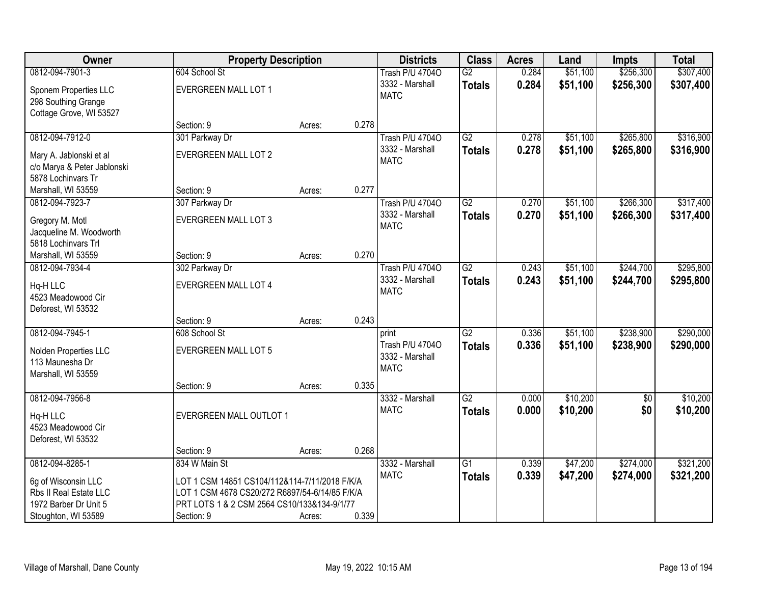| Owner                                         | <b>Property Description</b>                                                                     |        |       | <b>Districts</b>       | <b>Class</b>    | <b>Acres</b> | Land     | <b>Impts</b>    | <b>Total</b> |
|-----------------------------------------------|-------------------------------------------------------------------------------------------------|--------|-------|------------------------|-----------------|--------------|----------|-----------------|--------------|
| 0812-094-7901-3                               | 604 School St                                                                                   |        |       | Trash P/U 47040        | $\overline{G2}$ | 0.284        | \$51,100 | \$256,300       | \$307,400    |
| Sponem Properties LLC                         | EVERGREEN MALL LOT 1                                                                            |        |       | 3332 - Marshall        | <b>Totals</b>   | 0.284        | \$51,100 | \$256,300       | \$307,400    |
| 298 Southing Grange                           |                                                                                                 |        |       | <b>MATC</b>            |                 |              |          |                 |              |
| Cottage Grove, WI 53527                       |                                                                                                 |        |       |                        |                 |              |          |                 |              |
|                                               | Section: 9                                                                                      | Acres: | 0.278 |                        |                 |              |          |                 |              |
| 0812-094-7912-0                               | 301 Parkway Dr                                                                                  |        |       | <b>Trash P/U 47040</b> | G2              | 0.278        | \$51,100 | \$265,800       | \$316,900    |
| Mary A. Jablonski et al                       | <b>EVERGREEN MALL LOT 2</b>                                                                     |        |       | 3332 - Marshall        | <b>Totals</b>   | 0.278        | \$51,100 | \$265,800       | \$316,900    |
| c/o Marya & Peter Jablonski                   |                                                                                                 |        |       | <b>MATC</b>            |                 |              |          |                 |              |
| 5878 Lochinvars Tr                            |                                                                                                 |        |       |                        |                 |              |          |                 |              |
| Marshall, WI 53559                            | Section: 9                                                                                      | Acres: | 0.277 |                        |                 |              |          |                 |              |
| 0812-094-7923-7                               | 307 Parkway Dr                                                                                  |        |       | Trash P/U 47040        | G2              | 0.270        | \$51,100 | \$266,300       | \$317,400    |
| Gregory M. Motl                               | <b>EVERGREEN MALL LOT 3</b>                                                                     |        |       | 3332 - Marshall        | <b>Totals</b>   | 0.270        | \$51,100 | \$266,300       | \$317,400    |
| Jacqueline M. Woodworth                       |                                                                                                 |        |       | <b>MATC</b>            |                 |              |          |                 |              |
| 5818 Lochinvars Trl                           |                                                                                                 |        |       |                        |                 |              |          |                 |              |
| Marshall, WI 53559                            | Section: 9                                                                                      | Acres: | 0.270 |                        |                 |              |          |                 |              |
| 0812-094-7934-4                               | 302 Parkway Dr                                                                                  |        |       | <b>Trash P/U 47040</b> | $\overline{G2}$ | 0.243        | \$51,100 | \$244,700       | \$295,800    |
| Hq-H LLC                                      | EVERGREEN MALL LOT 4                                                                            |        |       | 3332 - Marshall        | <b>Totals</b>   | 0.243        | \$51,100 | \$244,700       | \$295,800    |
| 4523 Meadowood Cir                            |                                                                                                 |        |       | <b>MATC</b>            |                 |              |          |                 |              |
| Deforest, WI 53532                            |                                                                                                 |        |       |                        |                 |              |          |                 |              |
|                                               | Section: 9                                                                                      | Acres: | 0.243 |                        |                 |              |          |                 |              |
| 0812-094-7945-1                               | 608 School St                                                                                   |        |       | print                  | $\overline{G2}$ | 0.336        | \$51,100 | \$238,900       | \$290,000    |
|                                               | <b>EVERGREEN MALL LOT 5</b>                                                                     |        |       | Trash P/U 47040        | <b>Totals</b>   | 0.336        | \$51,100 | \$238,900       | \$290,000    |
| Nolden Properties LLC<br>113 Maunesha Dr      |                                                                                                 |        |       | 3332 - Marshall        |                 |              |          |                 |              |
| Marshall, WI 53559                            |                                                                                                 |        |       | <b>MATC</b>            |                 |              |          |                 |              |
|                                               | Section: 9                                                                                      | Acres: | 0.335 |                        |                 |              |          |                 |              |
| 0812-094-7956-8                               |                                                                                                 |        |       | 3332 - Marshall        | $\overline{G2}$ | 0.000        | \$10,200 | $\overline{60}$ | \$10,200     |
| Hq-H LLC                                      | EVERGREEN MALL OUTLOT 1                                                                         |        |       | <b>MATC</b>            | <b>Totals</b>   | 0.000        | \$10,200 | \$0             | \$10,200     |
| 4523 Meadowood Cir                            |                                                                                                 |        |       |                        |                 |              |          |                 |              |
| Deforest, WI 53532                            |                                                                                                 |        |       |                        |                 |              |          |                 |              |
|                                               | Section: 9                                                                                      | Acres: | 0.268 |                        |                 |              |          |                 |              |
| 0812-094-8285-1                               | 834 W Main St                                                                                   |        |       | 3332 - Marshall        | $\overline{G1}$ | 0.339        | \$47,200 | \$274,000       | \$321,200    |
|                                               |                                                                                                 |        |       | <b>MATC</b>            | <b>Totals</b>   | 0.339        | \$47,200 | \$274,000       | \$321,200    |
| 6g of Wisconsin LLC<br>Rbs II Real Estate LLC | LOT 1 CSM 14851 CS104/112&114-7/11/2018 F/K/A<br>LOT 1 CSM 4678 CS20/272 R6897/54-6/14/85 F/K/A |        |       |                        |                 |              |          |                 |              |
| 1972 Barber Dr Unit 5                         | PRT LOTS 1 & 2 CSM 2564 CS10/133&134-9/1/77                                                     |        |       |                        |                 |              |          |                 |              |
| Stoughton, WI 53589                           | Section: 9                                                                                      | Acres: | 0.339 |                        |                 |              |          |                 |              |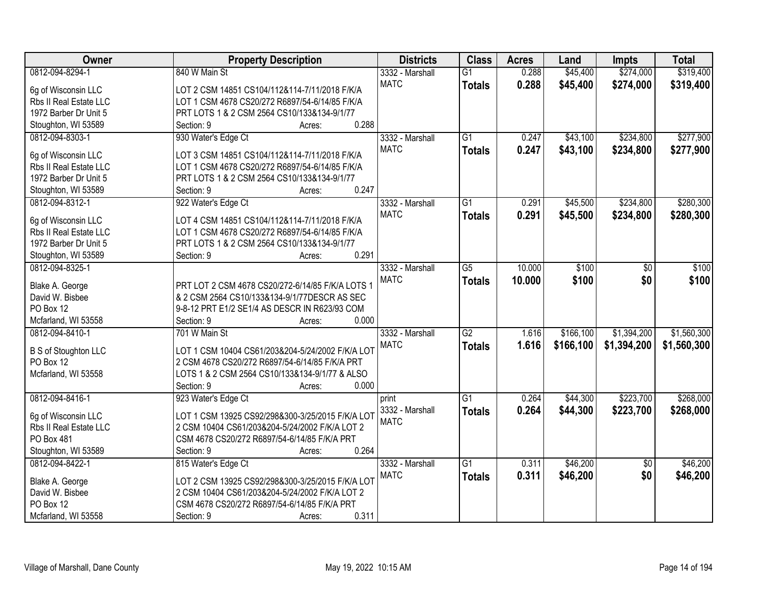| Owner                                    | <b>Property Description</b>                             | <b>Districts</b> | <b>Class</b>    | <b>Acres</b> | Land      | <b>Impts</b>    | <b>Total</b> |
|------------------------------------------|---------------------------------------------------------|------------------|-----------------|--------------|-----------|-----------------|--------------|
| 0812-094-8294-1                          | 840 W Main St                                           | 3332 - Marshall  | $\overline{G1}$ | 0.288        | \$45,400  | \$274,000       | \$319,400    |
| 6g of Wisconsin LLC                      | LOT 2 CSM 14851 CS104/112&114-7/11/2018 F/K/A           | <b>MATC</b>      | <b>Totals</b>   | 0.288        | \$45,400  | \$274,000       | \$319,400    |
| Rbs II Real Estate LLC                   | LOT 1 CSM 4678 CS20/272 R6897/54-6/14/85 F/K/A          |                  |                 |              |           |                 |              |
| 1972 Barber Dr Unit 5                    | PRT LOTS 1 & 2 CSM 2564 CS10/133&134-9/1/77             |                  |                 |              |           |                 |              |
| Stoughton, WI 53589                      | 0.288<br>Section: 9<br>Acres:                           |                  |                 |              |           |                 |              |
| 0812-094-8303-1                          | 930 Water's Edge Ct                                     | 3332 - Marshall  | $\overline{G1}$ | 0.247        | \$43,100  | \$234,800       | \$277,900    |
|                                          |                                                         | <b>MATC</b>      | <b>Totals</b>   | 0.247        | \$43,100  | \$234,800       | \$277,900    |
| 6g of Wisconsin LLC                      | LOT 3 CSM 14851 CS104/112&114-7/11/2018 F/K/A           |                  |                 |              |           |                 |              |
| Rbs II Real Estate LLC                   | LOT 1 CSM 4678 CS20/272 R6897/54-6/14/85 F/K/A          |                  |                 |              |           |                 |              |
| 1972 Barber Dr Unit 5                    | PRT LOTS 1 & 2 CSM 2564 CS10/133&134-9/1/77             |                  |                 |              |           |                 |              |
| Stoughton, WI 53589                      | 0.247<br>Section: 9<br>Acres:                           |                  |                 |              |           |                 |              |
| 0812-094-8312-1                          | 922 Water's Edge Ct                                     | 3332 - Marshall  | G1              | 0.291        | \$45,500  | \$234,800       | \$280,300    |
| 6g of Wisconsin LLC                      | LOT 4 CSM 14851 CS104/112&114-7/11/2018 F/K/A           | <b>MATC</b>      | <b>Totals</b>   | 0.291        | \$45,500  | \$234,800       | \$280,300    |
| Rbs II Real Estate LLC                   | LOT 1 CSM 4678 CS20/272 R6897/54-6/14/85 F/K/A          |                  |                 |              |           |                 |              |
| 1972 Barber Dr Unit 5                    | PRT LOTS 1 & 2 CSM 2564 CS10/133&134-9/1/77             |                  |                 |              |           |                 |              |
| Stoughton, WI 53589                      | 0.291<br>Section: 9<br>Acres:                           |                  |                 |              |           |                 |              |
| 0812-094-8325-1                          |                                                         | 3332 - Marshall  | $\overline{G5}$ | 10.000       | \$100     | \$0             | \$100        |
|                                          |                                                         | <b>MATC</b>      | <b>Totals</b>   | 10.000       | \$100     | \$0             | \$100        |
| Blake A. George                          | PRT LOT 2 CSM 4678 CS20/272-6/14/85 F/K/A LOTS 1        |                  |                 |              |           |                 |              |
| David W. Bisbee                          | & 2 CSM 2564 CS10/133&134-9/1/77DESCR AS SEC            |                  |                 |              |           |                 |              |
| PO Box 12                                | 9-8-12 PRT E1/2 SE1/4 AS DESCR IN R623/93 COM           |                  |                 |              |           |                 |              |
| Mcfarland, WI 53558                      | 0.000<br>Section: 9<br>Acres:                           |                  |                 |              |           |                 |              |
| 0812-094-8410-1                          | 701 W Main St                                           | 3332 - Marshall  | $\overline{G2}$ | 1.616        | \$166,100 | \$1,394,200     | \$1,560,300  |
|                                          | LOT 1 CSM 10404 CS61/203&204-5/24/2002 F/K/A LOT        | <b>MATC</b>      | <b>Totals</b>   | 1.616        | \$166,100 | \$1,394,200     | \$1,560,300  |
| <b>B S of Stoughton LLC</b><br>PO Box 12 |                                                         |                  |                 |              |           |                 |              |
|                                          | 2 CSM 4678 CS20/272 R6897/54-6/14/85 F/K/A PRT          |                  |                 |              |           |                 |              |
| Mcfarland, WI 53558                      | LOTS 1 & 2 CSM 2564 CS10/133&134-9/1/77 & ALSO<br>0.000 |                  |                 |              |           |                 |              |
|                                          | Section: 9<br>Acres:                                    |                  |                 |              |           |                 |              |
| 0812-094-8416-1                          | 923 Water's Edge Ct                                     | print            | $\overline{G1}$ | 0.264        | \$44,300  | \$223,700       | \$268,000    |
| 6g of Wisconsin LLC                      | LOT 1 CSM 13925 CS92/298&300-3/25/2015 F/K/A LOT        | 3332 - Marshall  | <b>Totals</b>   | 0.264        | \$44,300  | \$223,700       | \$268,000    |
| Rbs II Real Estate LLC                   | 2 CSM 10404 CS61/203&204-5/24/2002 F/K/A LOT 2          | <b>MATC</b>      |                 |              |           |                 |              |
| PO Box 481                               | CSM 4678 CS20/272 R6897/54-6/14/85 F/K/A PRT            |                  |                 |              |           |                 |              |
| Stoughton, WI 53589                      | 0.264<br>Section: 9<br>Acres:                           |                  |                 |              |           |                 |              |
| 0812-094-8422-1                          | 815 Water's Edge Ct                                     | 3332 - Marshall  | $\overline{G1}$ | 0.311        | \$46,200  | $\overline{50}$ | \$46,200     |
|                                          |                                                         | <b>MATC</b>      | <b>Totals</b>   | 0.311        | \$46,200  | \$0             | \$46,200     |
| Blake A. George                          | LOT 2 CSM 13925 CS92/298&300-3/25/2015 F/K/A LOT        |                  |                 |              |           |                 |              |
| David W. Bisbee                          | 2 CSM 10404 CS61/203&204-5/24/2002 F/K/A LOT 2          |                  |                 |              |           |                 |              |
| PO Box 12                                | CSM 4678 CS20/272 R6897/54-6/14/85 F/K/A PRT            |                  |                 |              |           |                 |              |
| Mcfarland, WI 53558                      | 0.311<br>Section: 9<br>Acres:                           |                  |                 |              |           |                 |              |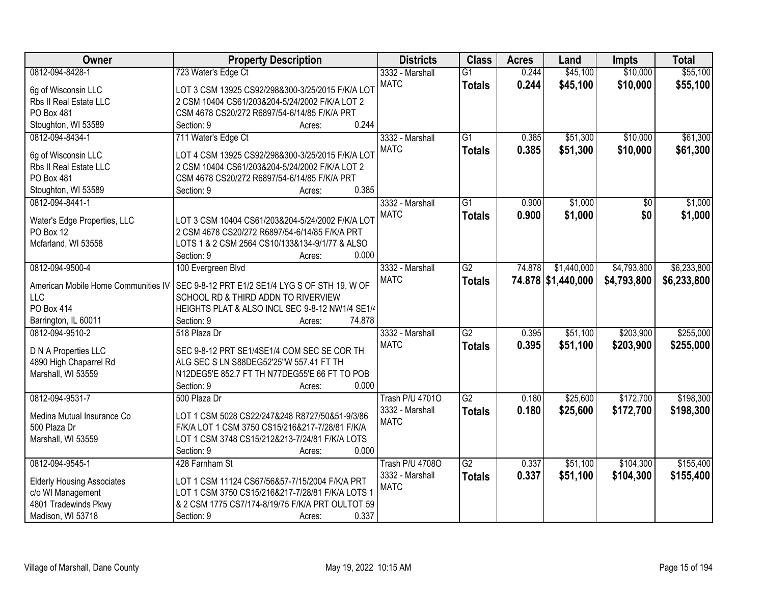| Owner                               | <b>Property Description</b>                      | <b>Districts</b>       | <b>Class</b>    | <b>Acres</b> | Land               | <b>Impts</b> | <b>Total</b> |
|-------------------------------------|--------------------------------------------------|------------------------|-----------------|--------------|--------------------|--------------|--------------|
| 0812-094-8428-1                     | 723 Water's Edge Ct                              | 3332 - Marshall        | $\overline{G1}$ | 0.244        | \$45,100           | \$10,000     | \$55,100     |
| 6g of Wisconsin LLC                 | LOT 3 CSM 13925 CS92/298&300-3/25/2015 F/K/A LOT | <b>MATC</b>            | <b>Totals</b>   | 0.244        | \$45,100           | \$10,000     | \$55,100     |
| Rbs II Real Estate LLC              | 2 CSM 10404 CS61/203&204-5/24/2002 F/K/A LOT 2   |                        |                 |              |                    |              |              |
| PO Box 481                          | CSM 4678 CS20/272 R6897/54-6/14/85 F/K/A PRT     |                        |                 |              |                    |              |              |
| Stoughton, WI 53589                 | 0.244<br>Section: 9<br>Acres:                    |                        |                 |              |                    |              |              |
| 0812-094-8434-1                     | 711 Water's Edge Ct                              | 3332 - Marshall        | $\overline{G1}$ | 0.385        | \$51,300           | \$10,000     | \$61,300     |
|                                     |                                                  | <b>MATC</b>            | <b>Totals</b>   | 0.385        | \$51,300           | \$10,000     | \$61,300     |
| 6g of Wisconsin LLC                 | LOT 4 CSM 13925 CS92/298&300-3/25/2015 F/K/A LOT |                        |                 |              |                    |              |              |
| Rbs II Real Estate LLC              | 2 CSM 10404 CS61/203&204-5/24/2002 F/K/A LOT 2   |                        |                 |              |                    |              |              |
| PO Box 481                          | CSM 4678 CS20/272 R6897/54-6/14/85 F/K/A PRT     |                        |                 |              |                    |              |              |
| Stoughton, WI 53589                 | 0.385<br>Section: 9<br>Acres:                    |                        |                 |              |                    |              |              |
| 0812-094-8441-1                     |                                                  | 3332 - Marshall        | $\overline{G1}$ | 0.900        | \$1,000            | \$0          | \$1,000      |
| Water's Edge Properties, LLC        | LOT 3 CSM 10404 CS61/203&204-5/24/2002 F/K/A LOT | <b>MATC</b>            | <b>Totals</b>   | 0.900        | \$1,000            | \$0          | \$1,000      |
| PO Box 12                           | 2 CSM 4678 CS20/272 R6897/54-6/14/85 F/K/A PRT   |                        |                 |              |                    |              |              |
| Mcfarland, WI 53558                 | LOTS 1 & 2 CSM 2564 CS10/133&134-9/1/77 & ALSO   |                        |                 |              |                    |              |              |
|                                     | 0.000<br>Section: 9<br>Acres:                    |                        |                 |              |                    |              |              |
| 0812-094-9500-4                     | 100 Evergreen Blvd                               | 3332 - Marshall        | $\overline{G2}$ | 74.878       | \$1,440,000        | \$4,793,800  | \$6,233,800  |
|                                     |                                                  | <b>MATC</b>            | <b>Totals</b>   |              | 74.878 \$1,440,000 | \$4,793,800  | \$6,233,800  |
| American Mobile Home Communities IV | SEC 9-8-12 PRT E1/2 SE1/4 LYG S OF STH 19, W OF  |                        |                 |              |                    |              |              |
| <b>LLC</b>                          | SCHOOL RD & THIRD ADDN TO RIVERVIEW              |                        |                 |              |                    |              |              |
| <b>PO Box 414</b>                   | HEIGHTS PLAT & ALSO INCL SEC 9-8-12 NW1/4 SE1/4  |                        |                 |              |                    |              |              |
| Barrington, IL 60011                | 74.878<br>Section: 9<br>Acres:                   |                        |                 |              |                    |              |              |
| 0812-094-9510-2                     | 518 Plaza Dr                                     | 3332 - Marshall        | $\overline{G2}$ | 0.395        | \$51,100           | \$203,900    | \$255,000    |
| D N A Properties LLC                | SEC 9-8-12 PRT SE1/4SE1/4 COM SEC SE COR TH      | <b>MATC</b>            | <b>Totals</b>   | 0.395        | \$51,100           | \$203,900    | \$255,000    |
| 4890 High Chaparrel Rd              | ALG SEC S LN S88DEG52'25"W 557.41 FT TH          |                        |                 |              |                    |              |              |
| Marshall, WI 53559                  | N12DEG5'E 852.7 FT TH N77DEG55'E 66 FT TO POB    |                        |                 |              |                    |              |              |
|                                     | 0.000<br>Section: 9<br>Acres:                    |                        |                 |              |                    |              |              |
| 0812-094-9531-7                     | 500 Plaza Dr                                     | <b>Trash P/U 47010</b> | $\overline{G2}$ | 0.180        | \$25,600           | \$172,700    | \$198,300    |
|                                     |                                                  | 3332 - Marshall        | <b>Totals</b>   | 0.180        | \$25,600           | \$172,700    | \$198,300    |
| Medina Mutual Insurance Co          | LOT 1 CSM 5028 CS22/247&248 R8727/50&51-9/3/86   | <b>MATC</b>            |                 |              |                    |              |              |
| 500 Plaza Dr                        | F/K/A LOT 1 CSM 3750 CS15/216&217-7/28/81 F/K/A  |                        |                 |              |                    |              |              |
| Marshall, WI 53559                  | LOT 1 CSM 3748 CS15/212&213-7/24/81 F/K/A LOTS   |                        |                 |              |                    |              |              |
|                                     | 0.000<br>Section: 9<br>Acres:                    |                        |                 |              |                    |              |              |
| 0812-094-9545-1                     | 428 Farnham St                                   | <b>Trash P/U 47080</b> | $\overline{G2}$ | 0.337        | \$51,100           | \$104,300    | \$155,400    |
| <b>Elderly Housing Associates</b>   | LOT 1 CSM 11124 CS67/56&57-7/15/2004 F/K/A PRT   | 3332 - Marshall        | <b>Totals</b>   | 0.337        | \$51,100           | \$104,300    | \$155,400    |
| c/o WI Management                   | LOT 1 CSM 3750 CS15/216&217-7/28/81 F/K/A LOTS 1 | <b>MATC</b>            |                 |              |                    |              |              |
| 4801 Tradewinds Pkwy                | & 2 CSM 1775 CS7/174-8/19/75 F/K/A PRT OULTOT 59 |                        |                 |              |                    |              |              |
| Madison, WI 53718                   | 0.337<br>Section: 9<br>Acres:                    |                        |                 |              |                    |              |              |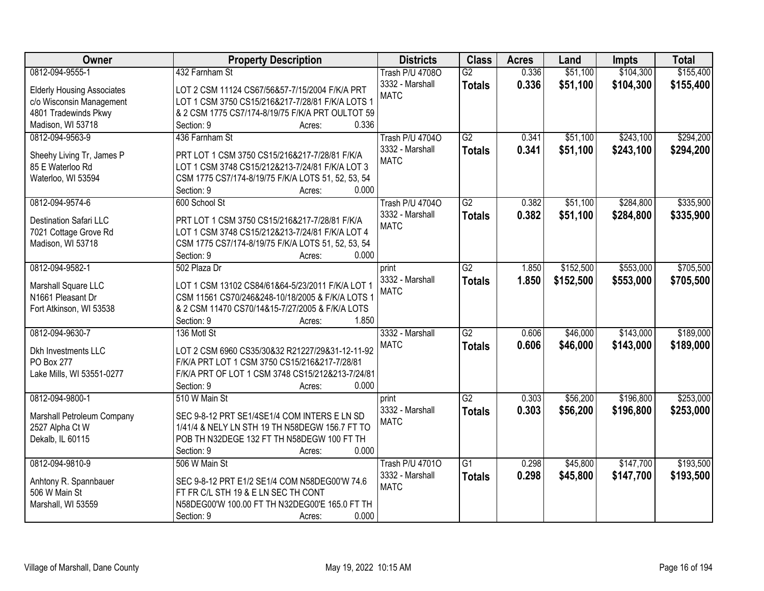| Owner                             | <b>Property Description</b>                                 | <b>Districts</b>       | <b>Class</b>    | <b>Acres</b> | Land      | <b>Impts</b> | <b>Total</b> |
|-----------------------------------|-------------------------------------------------------------|------------------------|-----------------|--------------|-----------|--------------|--------------|
| 0812-094-9555-1                   | 432 Farnham St                                              | Trash P/U 4708O        | $\overline{G2}$ | 0.336        | \$51,100  | \$104,300    | \$155,400    |
| <b>Elderly Housing Associates</b> | LOT 2 CSM 11124 CS67/56&57-7/15/2004 F/K/A PRT              | 3332 - Marshall        | <b>Totals</b>   | 0.336        | \$51,100  | \$104,300    | \$155,400    |
| c/o Wisconsin Management          | LOT 1 CSM 3750 CS15/216&217-7/28/81 F/K/A LOTS 1            | <b>MATC</b>            |                 |              |           |              |              |
| 4801 Tradewinds Pkwy              | & 2 CSM 1775 CS7/174-8/19/75 F/K/A PRT OULTOT 59            |                        |                 |              |           |              |              |
| Madison, WI 53718                 | 0.336<br>Section: 9<br>Acres:                               |                        |                 |              |           |              |              |
| 0812-094-9563-9                   | 436 Farnham St                                              | <b>Trash P/U 47040</b> | G2              | 0.341        | \$51,100  | \$243,100    | \$294,200    |
|                                   |                                                             | 3332 - Marshall        |                 | 0.341        |           |              |              |
| Sheehy Living Tr, James P         | PRT LOT 1 CSM 3750 CS15/216&217-7/28/81 F/K/A               | <b>MATC</b>            | <b>Totals</b>   |              | \$51,100  | \$243,100    | \$294,200    |
| 85 E Waterloo Rd                  | LOT 1 CSM 3748 CS15/212&213-7/24/81 F/K/A LOT 3             |                        |                 |              |           |              |              |
| Waterloo, WI 53594                | CSM 1775 CS7/174-8/19/75 F/K/A LOTS 51, 52, 53, 54          |                        |                 |              |           |              |              |
|                                   | 0.000<br>Section: 9<br>Acres:                               |                        |                 |              |           |              |              |
| 0812-094-9574-6                   | 600 School St                                               | Trash P/U 47040        | G2              | 0.382        | \$51,100  | \$284,800    | \$335,900    |
|                                   |                                                             | 3332 - Marshall        | <b>Totals</b>   | 0.382        | \$51,100  | \$284,800    | \$335,900    |
| <b>Destination Safari LLC</b>     | PRT LOT 1 CSM 3750 CS15/216&217-7/28/81 F/K/A               | <b>MATC</b>            |                 |              |           |              |              |
| 7021 Cottage Grove Rd             | LOT 1 CSM 3748 CS15/212&213-7/24/81 F/K/A LOT 4             |                        |                 |              |           |              |              |
| Madison, WI 53718                 | CSM 1775 CS7/174-8/19/75 F/K/A LOTS 51, 52, 53, 54<br>0.000 |                        |                 |              |           |              |              |
|                                   | Section: 9<br>Acres:                                        |                        |                 |              |           |              |              |
| 0812-094-9582-1                   | 502 Plaza Dr                                                | print                  | $\overline{G2}$ | 1.850        | \$152,500 | \$553,000    | \$705,500    |
| Marshall Square LLC               | LOT 1 CSM 13102 CS84/61&64-5/23/2011 F/K/A LOT 1            | 3332 - Marshall        | <b>Totals</b>   | 1.850        | \$152,500 | \$553,000    | \$705,500    |
| N1661 Pleasant Dr                 | CSM 11561 CS70/246&248-10/18/2005 & F/K/A LOTS 1            | <b>MATC</b>            |                 |              |           |              |              |
| Fort Atkinson, WI 53538           | & 2 CSM 11470 CS70/14&15-7/27/2005 & F/K/A LOTS             |                        |                 |              |           |              |              |
|                                   | 1.850<br>Section: 9<br>Acres:                               |                        |                 |              |           |              |              |
| 0812-094-9630-7                   | 136 Motl St                                                 | 3332 - Marshall        | $\overline{G2}$ | 0.606        | \$46,000  | \$143,000    | \$189,000    |
|                                   |                                                             | <b>MATC</b>            | <b>Totals</b>   | 0.606        | \$46,000  | \$143,000    | \$189,000    |
| Dkh Investments LLC               | LOT 2 CSM 6960 CS35/30&32 R21227/29&31-12-11-92             |                        |                 |              |           |              |              |
| PO Box 277                        | F/K/A PRT LOT 1 CSM 3750 CS15/216&217-7/28/81               |                        |                 |              |           |              |              |
| Lake Mills, WI 53551-0277         | F/K/A PRT OF LOT 1 CSM 3748 CS15/212&213-7/24/81            |                        |                 |              |           |              |              |
|                                   | 0.000<br>Section: 9<br>Acres:                               |                        |                 |              |           |              |              |
| 0812-094-9800-1                   | 510 W Main St                                               | print                  | $\overline{G2}$ | 0.303        | \$56,200  | \$196,800    | \$253,000    |
| Marshall Petroleum Company        | SEC 9-8-12 PRT SE1/4SE1/4 COM INTERS E LN SD                | 3332 - Marshall        | <b>Totals</b>   | 0.303        | \$56,200  | \$196,800    | \$253,000    |
| 2527 Alpha Ct W                   | 1/41/4 & NELY LN STH 19 TH N58DEGW 156.7 FT TO              | <b>MATC</b>            |                 |              |           |              |              |
| Dekalb, IL 60115                  | POB TH N32DEGE 132 FT TH N58DEGW 100 FT TH                  |                        |                 |              |           |              |              |
|                                   | 0.000<br>Section: 9<br>Acres:                               |                        |                 |              |           |              |              |
| 0812-094-9810-9                   | 506 W Main St                                               | <b>Trash P/U 47010</b> | $\overline{G1}$ | 0.298        | \$45,800  | \$147,700    | \$193,500    |
|                                   |                                                             | 3332 - Marshall        | <b>Totals</b>   | 0.298        | \$45,800  | \$147,700    | \$193,500    |
| Anhtony R. Spannbauer             | SEC 9-8-12 PRT E1/2 SE1/4 COM N58DEG00'W 74.6               | <b>MATC</b>            |                 |              |           |              |              |
| 506 W Main St                     | FT FR C/L STH 19 & E LN SEC TH CONT                         |                        |                 |              |           |              |              |
| Marshall, WI 53559                | N58DEG00'W 100.00 FT TH N32DEG00'E 165.0 FT TH              |                        |                 |              |           |              |              |
|                                   | 0.000<br>Section: 9<br>Acres:                               |                        |                 |              |           |              |              |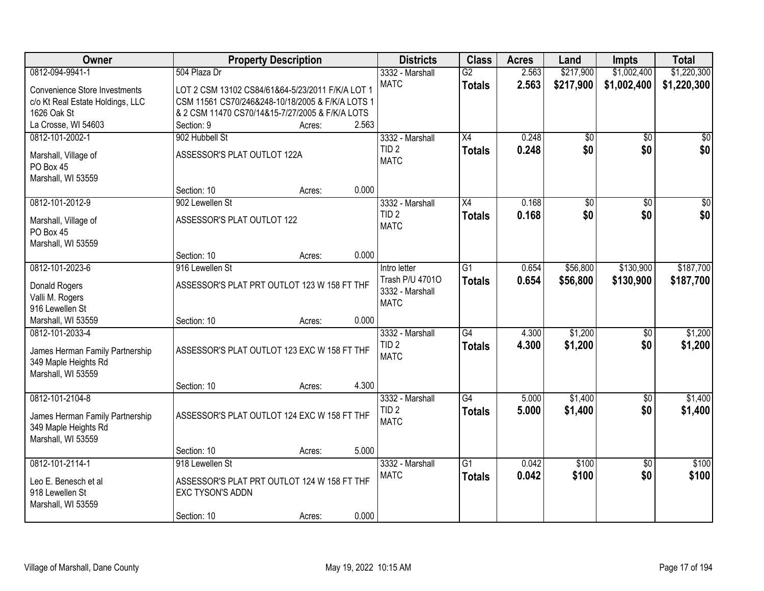| Owner                                      | <b>Property Description</b>                      |        |       | <b>Districts</b> | <b>Class</b>    | <b>Acres</b> | Land      | <b>Impts</b>    | <b>Total</b> |
|--------------------------------------------|--------------------------------------------------|--------|-------|------------------|-----------------|--------------|-----------|-----------------|--------------|
| 0812-094-9941-1                            | 504 Plaza Dr                                     |        |       | 3332 - Marshall  | $\overline{G2}$ | 2.563        | \$217,900 | \$1,002,400     | \$1,220,300  |
| <b>Convenience Store Investments</b>       | LOT 2 CSM 13102 CS84/61&64-5/23/2011 F/K/A LOT 1 |        |       | <b>MATC</b>      | <b>Totals</b>   | 2.563        | \$217,900 | \$1,002,400     | \$1,220,300  |
| c/o Kt Real Estate Holdings, LLC           | CSM 11561 CS70/246&248-10/18/2005 & F/K/A LOTS 1 |        |       |                  |                 |              |           |                 |              |
| 1626 Oak St                                | & 2 CSM 11470 CS70/14&15-7/27/2005 & F/K/A LOTS  |        |       |                  |                 |              |           |                 |              |
| La Crosse, WI 54603                        | Section: 9                                       | Acres: | 2.563 |                  |                 |              |           |                 |              |
| 0812-101-2002-1                            | 902 Hubbell St                                   |        |       | 3332 - Marshall  | $\overline{X4}$ | 0.248        | \$0       | $\overline{50}$ | \$0          |
| Marshall, Village of                       | ASSESSOR'S PLAT OUTLOT 122A                      |        |       | TID <sub>2</sub> | <b>Totals</b>   | 0.248        | \$0       | \$0             | \$0          |
| PO Box 45                                  |                                                  |        |       | <b>MATC</b>      |                 |              |           |                 |              |
| Marshall, WI 53559                         |                                                  |        |       |                  |                 |              |           |                 |              |
|                                            | Section: 10                                      | Acres: | 0.000 |                  |                 |              |           |                 |              |
| 0812-101-2012-9                            | 902 Lewellen St                                  |        |       | 3332 - Marshall  | $\overline{X4}$ | 0.168        | \$0       | $\overline{50}$ | $\sqrt{50}$  |
|                                            | ASSESSOR'S PLAT OUTLOT 122                       |        |       | TID <sub>2</sub> | <b>Totals</b>   | 0.168        | \$0       | \$0             | \$0          |
| Marshall, Village of<br>PO Box 45          |                                                  |        |       | <b>MATC</b>      |                 |              |           |                 |              |
| Marshall, WI 53559                         |                                                  |        |       |                  |                 |              |           |                 |              |
|                                            | Section: 10                                      | Acres: | 0.000 |                  |                 |              |           |                 |              |
| 0812-101-2023-6                            | 916 Lewellen St                                  |        |       | Intro letter     | G1              | 0.654        | \$56,800  | \$130,900       | \$187,700    |
|                                            |                                                  |        |       | Trash P/U 47010  | <b>Totals</b>   | 0.654        | \$56,800  | \$130,900       | \$187,700    |
| Donald Rogers                              | ASSESSOR'S PLAT PRT OUTLOT 123 W 158 FT THF      |        |       | 3332 - Marshall  |                 |              |           |                 |              |
| Valli M. Rogers<br>916 Lewellen St         |                                                  |        |       | <b>MATC</b>      |                 |              |           |                 |              |
| Marshall, WI 53559                         | Section: 10                                      | Acres: | 0.000 |                  |                 |              |           |                 |              |
| 0812-101-2033-4                            |                                                  |        |       | 3332 - Marshall  | G4              | 4.300        | \$1,200   | $\overline{50}$ | \$1,200      |
|                                            |                                                  |        |       | TID <sub>2</sub> | <b>Totals</b>   | 4.300        | \$1,200   | \$0             | \$1,200      |
| James Herman Family Partnership            | ASSESSOR'S PLAT OUTLOT 123 EXC W 158 FT THF      |        |       | <b>MATC</b>      |                 |              |           |                 |              |
| 349 Maple Heights Rd<br>Marshall, WI 53559 |                                                  |        |       |                  |                 |              |           |                 |              |
|                                            | Section: 10                                      | Acres: | 4.300 |                  |                 |              |           |                 |              |
| 0812-101-2104-8                            |                                                  |        |       | 3332 - Marshall  | $\overline{G4}$ | 5.000        | \$1,400   | $\sqrt{6}$      | \$1,400      |
|                                            |                                                  |        |       | TID <sub>2</sub> | <b>Totals</b>   | 5.000        | \$1,400   | \$0             | \$1,400      |
| James Herman Family Partnership            | ASSESSOR'S PLAT OUTLOT 124 EXC W 158 FT THF      |        |       | <b>MATC</b>      |                 |              |           |                 |              |
| 349 Maple Heights Rd                       |                                                  |        |       |                  |                 |              |           |                 |              |
| Marshall, WI 53559                         |                                                  |        | 5.000 |                  |                 |              |           |                 |              |
| 0812-101-2114-1                            | Section: 10<br>918 Lewellen St                   | Acres: |       | 3332 - Marshall  | $\overline{G1}$ | 0.042        | \$100     | $\overline{50}$ | \$100        |
|                                            |                                                  |        |       | <b>MATC</b>      | <b>Totals</b>   | 0.042        | \$100     | \$0             | \$100        |
| Leo E. Benesch et al                       | ASSESSOR'S PLAT PRT OUTLOT 124 W 158 FT THF      |        |       |                  |                 |              |           |                 |              |
| 918 Lewellen St                            | <b>EXC TYSON'S ADDN</b>                          |        |       |                  |                 |              |           |                 |              |
| Marshall, WI 53559                         |                                                  |        |       |                  |                 |              |           |                 |              |
|                                            | Section: 10                                      | Acres: | 0.000 |                  |                 |              |           |                 |              |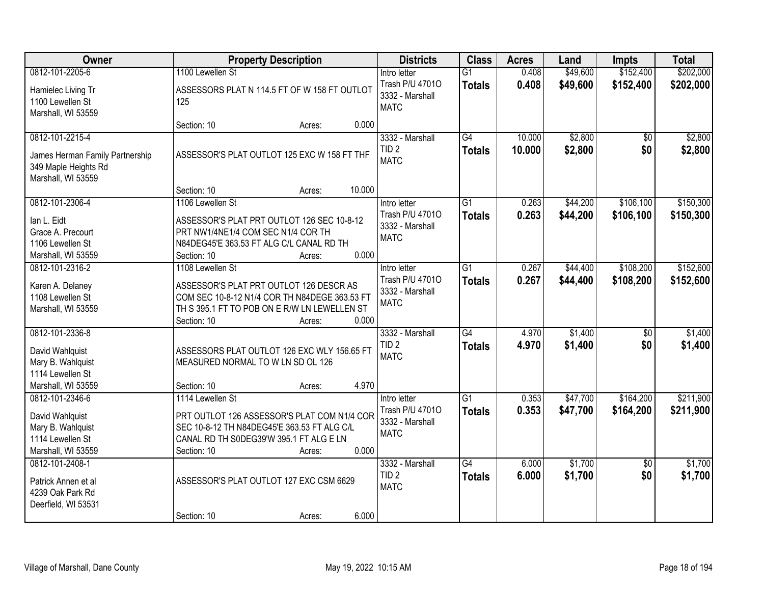| Owner                                                                                             | <b>Property Description</b>                                                                                                                                                        | <b>Districts</b>                                                  | <b>Class</b>                     | <b>Acres</b>     | Land                 | <b>Impts</b>           | <b>Total</b>           |
|---------------------------------------------------------------------------------------------------|------------------------------------------------------------------------------------------------------------------------------------------------------------------------------------|-------------------------------------------------------------------|----------------------------------|------------------|----------------------|------------------------|------------------------|
| 0812-101-2205-6                                                                                   | 1100 Lewellen St                                                                                                                                                                   | Intro letter                                                      | $\overline{G1}$                  | 0.408            | \$49,600             | \$152,400              | \$202,000              |
| Hamielec Living Tr<br>1100 Lewellen St<br>Marshall, WI 53559                                      | ASSESSORS PLAT N 114.5 FT OF W 158 FT OUTLOT<br>125                                                                                                                                | Trash P/U 47010<br>3332 - Marshall<br><b>MATC</b>                 | <b>Totals</b>                    | 0.408            | \$49,600             | \$152,400              | \$202,000              |
|                                                                                                   | 0.000<br>Section: 10<br>Acres:                                                                                                                                                     |                                                                   |                                  |                  |                      |                        |                        |
| 0812-101-2215-4<br>James Herman Family Partnership<br>349 Maple Heights Rd<br>Marshall, WI 53559  | ASSESSOR'S PLAT OUTLOT 125 EXC W 158 FT THF                                                                                                                                        | 3332 - Marshall<br>TID <sub>2</sub><br><b>MATC</b>                | $\overline{G4}$<br><b>Totals</b> | 10.000<br>10.000 | \$2,800<br>\$2,800   | $\overline{30}$<br>\$0 | \$2,800<br>\$2,800     |
|                                                                                                   | 10.000<br>Section: 10<br>Acres:                                                                                                                                                    |                                                                   |                                  |                  |                      |                        |                        |
| 0812-101-2306-4<br>lan L. Eidt<br>Grace A. Precourt<br>1106 Lewellen St<br>Marshall, WI 53559     | 1106 Lewellen St<br>ASSESSOR'S PLAT PRT OUTLOT 126 SEC 10-8-12<br>PRT NW1/4NE1/4 COM SEC N1/4 COR TH<br>N84DEG45'E 363.53 FT ALG C/L CANAL RD TH<br>0.000<br>Section: 10<br>Acres: | Intro letter<br>Trash P/U 47010<br>3332 - Marshall<br><b>MATC</b> | G1<br><b>Totals</b>              | 0.263<br>0.263   | \$44,200<br>\$44,200 | \$106,100<br>\$106,100 | \$150,300<br>\$150,300 |
| 0812-101-2316-2                                                                                   | 1108 Lewellen St                                                                                                                                                                   | Intro letter                                                      | G1                               | 0.267            | \$44,400             | \$108,200              | \$152,600              |
| Karen A. Delaney<br>1108 Lewellen St<br>Marshall, WI 53559                                        | ASSESSOR'S PLAT PRT OUTLOT 126 DESCR AS<br>COM SEC 10-8-12 N1/4 COR TH N84DEGE 363.53 FT<br>TH S 395.1 FT TO POB ON E R/W LN LEWELLEN ST<br>0.000<br>Section: 10<br>Acres:         | Trash P/U 47010<br>3332 - Marshall<br><b>MATC</b>                 | <b>Totals</b>                    | 0.267            | \$44,400             | \$108,200              | \$152,600              |
| 0812-101-2336-8<br>David Wahlquist<br>Mary B. Wahlquist<br>1114 Lewellen St<br>Marshall, WI 53559 | ASSESSORS PLAT OUTLOT 126 EXC WLY 156.65 FT<br>MEASURED NORMAL TO W LN SD OL 126<br>4.970<br>Section: 10<br>Acres:                                                                 | 3332 - Marshall<br>TID <sub>2</sub><br><b>MATC</b>                | $\overline{G4}$<br><b>Totals</b> | 4.970<br>4.970   | \$1,400<br>\$1,400   | $\overline{50}$<br>\$0 | \$1,400<br>\$1,400     |
| 0812-101-2346-6                                                                                   | 1114 Lewellen St                                                                                                                                                                   | Intro letter                                                      | $\overline{G1}$                  | 0.353            | \$47,700             | \$164,200              | \$211,900              |
| David Wahlquist<br>Mary B. Wahlquist<br>1114 Lewellen St<br>Marshall, WI 53559                    | PRT OUTLOT 126 ASSESSOR'S PLAT COM N1/4 COR<br>SEC 10-8-12 TH N84DEG45'E 363.53 FT ALG C/L<br>CANAL RD TH S0DEG39'W 395.1 FT ALG E LN<br>0.000<br>Section: 10<br>Acres:            | Trash P/U 47010<br>3332 - Marshall<br><b>MATC</b>                 | <b>Totals</b>                    | 0.353            | \$47,700             | \$164,200              | \$211,900              |
| 0812-101-2408-1<br>Patrick Annen et al<br>4239 Oak Park Rd<br>Deerfield, WI 53531                 | ASSESSOR'S PLAT OUTLOT 127 EXC CSM 6629<br>Section: 10<br>Acres:                                                                                                                   | 3332 - Marshall<br>TID <sub>2</sub><br><b>MATC</b><br>6.000       | $\overline{G4}$<br><b>Totals</b> | 6.000<br>6.000   | \$1,700<br>\$1,700   | $\overline{50}$<br>\$0 | \$1,700<br>\$1,700     |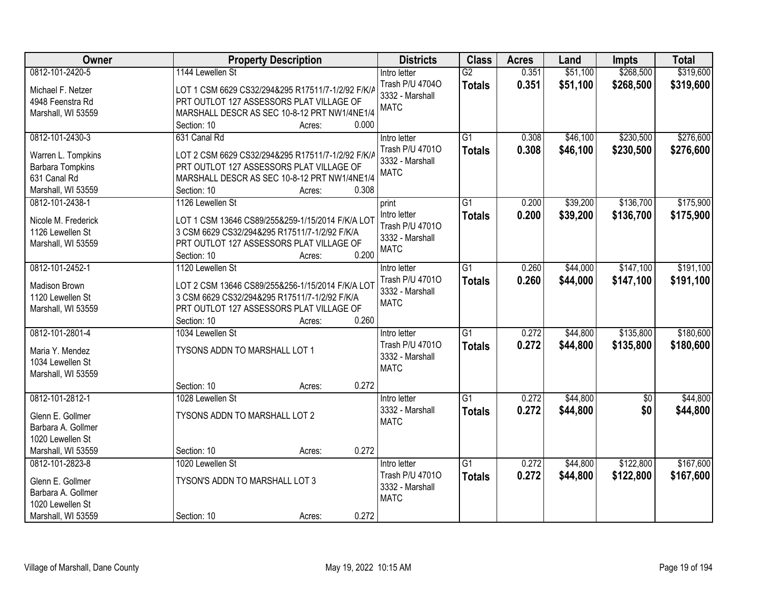| <b>Owner</b>            | <b>Property Description</b>                       | <b>Districts</b> | <b>Class</b>    | <b>Acres</b> | Land     | <b>Impts</b>    | <b>Total</b> |
|-------------------------|---------------------------------------------------|------------------|-----------------|--------------|----------|-----------------|--------------|
| 0812-101-2420-5         | 1144 Lewellen St                                  | Intro letter     | G2              | 0.351        | \$51,100 | \$268,500       | \$319,600    |
| Michael F. Netzer       | LOT 1 CSM 6629 CS32/294&295 R17511/7-1/2/92 F/K/A | Trash P/U 47040  | <b>Totals</b>   | 0.351        | \$51,100 | \$268,500       | \$319,600    |
| 4948 Feenstra Rd        | PRT OUTLOT 127 ASSESSORS PLAT VILLAGE OF          | 3332 - Marshall  |                 |              |          |                 |              |
| Marshall, WI 53559      | MARSHALL DESCR AS SEC 10-8-12 PRT NW1/4NE1/4      | <b>MATC</b>      |                 |              |          |                 |              |
|                         | 0.000<br>Section: 10<br>Acres:                    |                  |                 |              |          |                 |              |
| 0812-101-2430-3         | 631 Canal Rd                                      | Intro letter     | $\overline{G1}$ | 0.308        | \$46,100 | \$230,500       | \$276,600    |
|                         |                                                   | Trash P/U 47010  | <b>Totals</b>   | 0.308        | \$46,100 | \$230,500       | \$276,600    |
| Warren L. Tompkins      | LOT 2 CSM 6629 CS32/294&295 R17511/7-1/2/92 F/K/A | 3332 - Marshall  |                 |              |          |                 |              |
| <b>Barbara Tompkins</b> | PRT OUTLOT 127 ASSESSORS PLAT VILLAGE OF          | <b>MATC</b>      |                 |              |          |                 |              |
| 631 Canal Rd            | MARSHALL DESCR AS SEC 10-8-12 PRT NW1/4NE1/4      |                  |                 |              |          |                 |              |
| Marshall, WI 53559      | 0.308<br>Section: 10<br>Acres:                    |                  |                 |              |          |                 |              |
| 0812-101-2438-1         | 1126 Lewellen St                                  | print            | G1              | 0.200        | \$39,200 | \$136,700       | \$175,900    |
| Nicole M. Frederick     | LOT 1 CSM 13646 CS89/255&259-1/15/2014 F/K/A LOT  | Intro letter     | <b>Totals</b>   | 0.200        | \$39,200 | \$136,700       | \$175,900    |
| 1126 Lewellen St        | 3 CSM 6629 CS32/294&295 R17511/7-1/2/92 F/K/A     | Trash P/U 47010  |                 |              |          |                 |              |
| Marshall, WI 53559      | PRT OUTLOT 127 ASSESSORS PLAT VILLAGE OF          | 3332 - Marshall  |                 |              |          |                 |              |
|                         | 0.200<br>Section: 10<br>Acres:                    | <b>MATC</b>      |                 |              |          |                 |              |
| 0812-101-2452-1         | 1120 Lewellen St                                  | Intro letter     | $\overline{G1}$ | 0.260        | \$44,000 | \$147,100       | \$191,100    |
|                         |                                                   | Trash P/U 47010  | <b>Totals</b>   | 0.260        | \$44,000 | \$147,100       | \$191,100    |
| Madison Brown           | LOT 2 CSM 13646 CS89/255&256-1/15/2014 F/K/A LOT  | 3332 - Marshall  |                 |              |          |                 |              |
| 1120 Lewellen St        | 3 CSM 6629 CS32/294&295 R17511/7-1/2/92 F/K/A     | <b>MATC</b>      |                 |              |          |                 |              |
| Marshall, WI 53559      | PRT OUTLOT 127 ASSESSORS PLAT VILLAGE OF          |                  |                 |              |          |                 |              |
|                         | 0.260<br>Section: 10<br>Acres:                    |                  |                 |              |          |                 |              |
| 0812-101-2801-4         | 1034 Lewellen St                                  | Intro letter     | $\overline{G1}$ | 0.272        | \$44,800 | \$135,800       | \$180,600    |
| Maria Y. Mendez         | TYSONS ADDN TO MARSHALL LOT 1                     | Trash P/U 47010  | <b>Totals</b>   | 0.272        | \$44,800 | \$135,800       | \$180,600    |
| 1034 Lewellen St        |                                                   | 3332 - Marshall  |                 |              |          |                 |              |
| Marshall, WI 53559      |                                                   | <b>MATC</b>      |                 |              |          |                 |              |
|                         | 0.272<br>Section: 10<br>Acres:                    |                  |                 |              |          |                 |              |
| 0812-101-2812-1         | 1028 Lewellen St                                  | Intro letter     | $\overline{G1}$ | 0.272        | \$44,800 | $\overline{60}$ | \$44,800     |
|                         | TYSONS ADDN TO MARSHALL LOT 2                     | 3332 - Marshall  | <b>Totals</b>   | 0.272        | \$44,800 | \$0             | \$44,800     |
| Glenn E. Gollmer        |                                                   | <b>MATC</b>      |                 |              |          |                 |              |
| Barbara A. Gollmer      |                                                   |                  |                 |              |          |                 |              |
| 1020 Lewellen St        | 0.272<br>Section: 10                              |                  |                 |              |          |                 |              |
| Marshall, WI 53559      | Acres:                                            |                  |                 |              |          |                 |              |
| 0812-101-2823-8         | 1020 Lewellen St                                  | Intro letter     | $\overline{G1}$ | 0.272        | \$44,800 | \$122,800       | \$167,600    |
| Glenn E. Gollmer        | TYSON'S ADDN TO MARSHALL LOT 3                    | Trash P/U 47010  | <b>Totals</b>   | 0.272        | \$44,800 | \$122,800       | \$167,600    |
| Barbara A. Gollmer      |                                                   | 3332 - Marshall  |                 |              |          |                 |              |
| 1020 Lewellen St        |                                                   | <b>MATC</b>      |                 |              |          |                 |              |
| Marshall, WI 53559      | 0.272<br>Section: 10<br>Acres:                    |                  |                 |              |          |                 |              |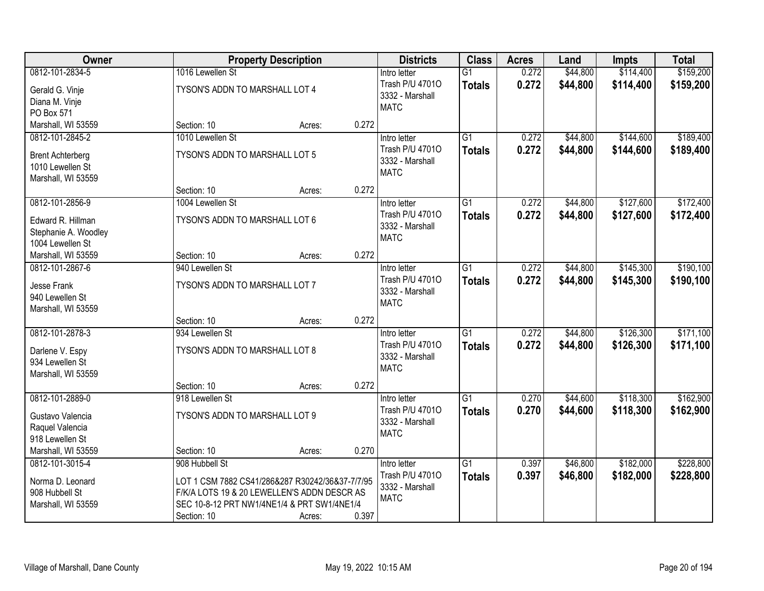| Owner                          |                                                 | <b>Property Description</b> |       | <b>Districts</b> | <b>Class</b>    | <b>Acres</b> | Land     | <b>Impts</b> | <b>Total</b> |
|--------------------------------|-------------------------------------------------|-----------------------------|-------|------------------|-----------------|--------------|----------|--------------|--------------|
| 0812-101-2834-5                | 1016 Lewellen St                                |                             |       | Intro letter     | $\overline{G1}$ | 0.272        | \$44,800 | \$114,400    | \$159,200    |
| Gerald G. Vinje                | TYSON'S ADDN TO MARSHALL LOT 4                  |                             |       | Trash P/U 47010  | <b>Totals</b>   | 0.272        | \$44,800 | \$114,400    | \$159,200    |
| Diana M. Vinje                 |                                                 |                             |       | 3332 - Marshall  |                 |              |          |              |              |
| PO Box 571                     |                                                 |                             |       | <b>MATC</b>      |                 |              |          |              |              |
| Marshall, WI 53559             | Section: 10                                     | Acres:                      | 0.272 |                  |                 |              |          |              |              |
| 0812-101-2845-2                | 1010 Lewellen St                                |                             |       | Intro letter     | $\overline{G1}$ | 0.272        | \$44,800 | \$144,600    | \$189,400    |
| <b>Brent Achterberg</b>        | TYSON'S ADDN TO MARSHALL LOT 5                  |                             |       | Trash P/U 47010  | <b>Totals</b>   | 0.272        | \$44,800 | \$144,600    | \$189,400    |
| 1010 Lewellen St               |                                                 |                             |       | 3332 - Marshall  |                 |              |          |              |              |
| Marshall, WI 53559             |                                                 |                             |       | <b>MATC</b>      |                 |              |          |              |              |
|                                | Section: 10                                     | Acres:                      | 0.272 |                  |                 |              |          |              |              |
| 0812-101-2856-9                | 1004 Lewellen St                                |                             |       | Intro letter     | G1              | 0.272        | \$44,800 | \$127,600    | \$172,400    |
| Edward R. Hillman              | TYSON'S ADDN TO MARSHALL LOT 6                  |                             |       | Trash P/U 47010  | <b>Totals</b>   | 0.272        | \$44,800 | \$127,600    | \$172,400    |
| Stephanie A. Woodley           |                                                 |                             |       | 3332 - Marshall  |                 |              |          |              |              |
| 1004 Lewellen St               |                                                 |                             |       | <b>MATC</b>      |                 |              |          |              |              |
| Marshall, WI 53559             | Section: 10                                     | Acres:                      | 0.272 |                  |                 |              |          |              |              |
| 0812-101-2867-6                | 940 Lewellen St                                 |                             |       | Intro letter     | $\overline{G1}$ | 0.272        | \$44,800 | \$145,300    | \$190,100    |
|                                | TYSON'S ADDN TO MARSHALL LOT 7                  |                             |       | Trash P/U 47010  | <b>Totals</b>   | 0.272        | \$44,800 | \$145,300    | \$190,100    |
| Jesse Frank<br>940 Lewellen St |                                                 |                             |       | 3332 - Marshall  |                 |              |          |              |              |
| Marshall, WI 53559             |                                                 |                             |       | <b>MATC</b>      |                 |              |          |              |              |
|                                | Section: 10                                     | Acres:                      | 0.272 |                  |                 |              |          |              |              |
| 0812-101-2878-3                | 934 Lewellen St                                 |                             |       | Intro letter     | $\overline{G1}$ | 0.272        | \$44,800 | \$126,300    | \$171,100    |
|                                |                                                 |                             |       | Trash P/U 47010  | <b>Totals</b>   | 0.272        | \$44,800 | \$126,300    | \$171,100    |
| Darlene V. Espy                | TYSON'S ADDN TO MARSHALL LOT 8                  |                             |       | 3332 - Marshall  |                 |              |          |              |              |
| 934 Lewellen St                |                                                 |                             |       | <b>MATC</b>      |                 |              |          |              |              |
| Marshall, WI 53559             |                                                 |                             | 0.272 |                  |                 |              |          |              |              |
| 0812-101-2889-0                | Section: 10<br>918 Lewellen St                  | Acres:                      |       | Intro letter     | $\overline{G1}$ | 0.270        | \$44,600 | \$118,300    | \$162,900    |
|                                |                                                 |                             |       | Trash P/U 47010  | <b>Totals</b>   | 0.270        | \$44,600 | \$118,300    | \$162,900    |
| Gustavo Valencia               | TYSON'S ADDN TO MARSHALL LOT 9                  |                             |       | 3332 - Marshall  |                 |              |          |              |              |
| Raquel Valencia                |                                                 |                             |       | <b>MATC</b>      |                 |              |          |              |              |
| 918 Lewellen St                |                                                 |                             |       |                  |                 |              |          |              |              |
| Marshall, WI 53559             | Section: 10                                     | Acres:                      | 0.270 |                  |                 |              |          |              |              |
| 0812-101-3015-4                | 908 Hubbell St                                  |                             |       | Intro letter     | $\overline{G1}$ | 0.397        | \$46,800 | \$182,000    | \$228,800    |
| Norma D. Leonard               | LOT 1 CSM 7882 CS41/286&287 R30242/36&37-7/7/95 |                             |       | Trash P/U 47010  | <b>Totals</b>   | 0.397        | \$46,800 | \$182,000    | \$228,800    |
| 908 Hubbell St                 | F/K/A LOTS 19 & 20 LEWELLEN'S ADDN DESCR AS     |                             |       | 3332 - Marshall  |                 |              |          |              |              |
| Marshall, WI 53559             | SEC 10-8-12 PRT NW1/4NE1/4 & PRT SW1/4NE1/4     |                             |       | <b>MATC</b>      |                 |              |          |              |              |
|                                | Section: 10                                     | Acres:                      | 0.397 |                  |                 |              |          |              |              |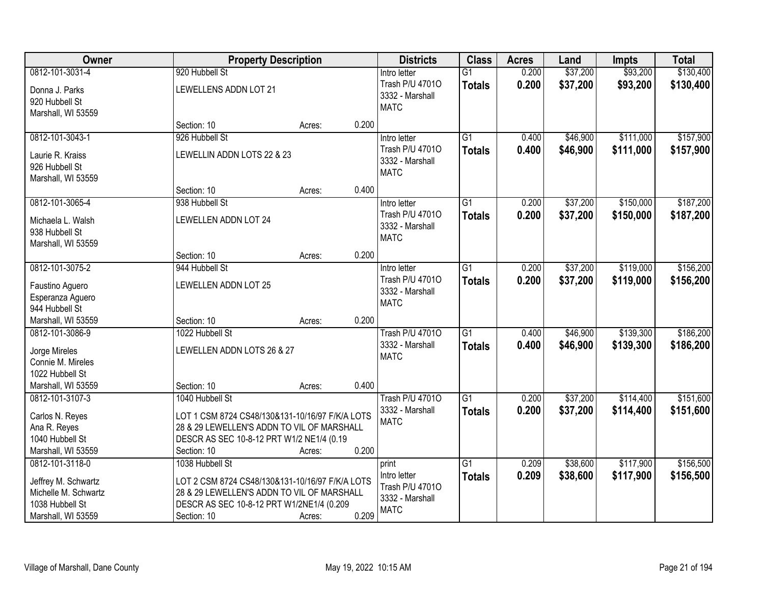| Owner                                                                                                   |                                                                                                                                                                              | <b>Property Description</b> |       | <b>Districts</b>                                                           | <b>Class</b>                     | <b>Acres</b>   | Land                 | <b>Impts</b>           | <b>Total</b>           |
|---------------------------------------------------------------------------------------------------------|------------------------------------------------------------------------------------------------------------------------------------------------------------------------------|-----------------------------|-------|----------------------------------------------------------------------------|----------------------------------|----------------|----------------------|------------------------|------------------------|
| 0812-101-3031-4                                                                                         | 920 Hubbell St                                                                                                                                                               |                             |       | Intro letter                                                               | $\overline{G1}$                  | 0.200          | \$37,200             | \$93,200               | \$130,400              |
| Donna J. Parks<br>920 Hubbell St<br>Marshall, WI 53559                                                  | LEWELLENS ADDN LOT 21                                                                                                                                                        |                             |       | Trash P/U 47010<br>3332 - Marshall<br><b>MATC</b>                          | <b>Totals</b>                    | 0.200          | \$37,200             | \$93,200               | \$130,400              |
|                                                                                                         | Section: 10                                                                                                                                                                  | Acres:                      | 0.200 |                                                                            |                                  |                |                      |                        |                        |
| 0812-101-3043-1<br>Laurie R. Kraiss<br>926 Hubbell St<br>Marshall, WI 53559                             | 926 Hubbell St<br>LEWELLIN ADDN LOTS 22 & 23                                                                                                                                 |                             |       | Intro letter<br>Trash P/U 47010<br>3332 - Marshall<br><b>MATC</b>          | $\overline{G1}$<br><b>Totals</b> | 0.400<br>0.400 | \$46,900<br>\$46,900 | \$111,000<br>\$111,000 | \$157,900<br>\$157,900 |
|                                                                                                         | Section: 10                                                                                                                                                                  | Acres:                      | 0.400 |                                                                            |                                  |                |                      |                        |                        |
| 0812-101-3065-4<br>Michaela L. Walsh<br>938 Hubbell St<br>Marshall, WI 53559                            | 938 Hubbell St<br><b>LEWELLEN ADDN LOT 24</b>                                                                                                                                |                             |       | Intro letter<br>Trash P/U 47010<br>3332 - Marshall<br><b>MATC</b>          | G1<br><b>Totals</b>              | 0.200<br>0.200 | \$37,200<br>\$37,200 | \$150,000<br>\$150,000 | \$187,200<br>\$187,200 |
|                                                                                                         | Section: 10                                                                                                                                                                  | Acres:                      | 0.200 |                                                                            |                                  |                |                      |                        |                        |
| 0812-101-3075-2<br>Faustino Aguero<br>Esperanza Aguero                                                  | 944 Hubbell St<br>LEWELLEN ADDN LOT 25                                                                                                                                       |                             |       | Intro letter<br>Trash P/U 47010<br>3332 - Marshall<br><b>MATC</b>          | G1<br><b>Totals</b>              | 0.200<br>0.200 | \$37,200<br>\$37,200 | \$119,000<br>\$119,000 | \$156,200<br>\$156,200 |
| 944 Hubbell St                                                                                          |                                                                                                                                                                              |                             |       |                                                                            |                                  |                |                      |                        |                        |
| Marshall, WI 53559                                                                                      | Section: 10                                                                                                                                                                  | Acres:                      | 0.200 |                                                                            |                                  |                |                      |                        |                        |
| 0812-101-3086-9<br>Jorge Mireles<br>Connie M. Mireles<br>1022 Hubbell St<br>Marshall, WI 53559          | 1022 Hubbell St<br>LEWELLEN ADDN LOTS 26 & 27<br>Section: 10                                                                                                                 | Acres:                      | 0.400 | <b>Trash P/U 47010</b><br>3332 - Marshall<br><b>MATC</b>                   | $\overline{G1}$<br><b>Totals</b> | 0.400<br>0.400 | \$46,900<br>\$46,900 | \$139,300<br>\$139,300 | \$186,200<br>\$186,200 |
| 0812-101-3107-3                                                                                         | 1040 Hubbell St                                                                                                                                                              |                             |       | <b>Trash P/U 47010</b>                                                     | $\overline{G1}$                  | 0.200          | \$37,200             | \$114,400              | \$151,600              |
| Carlos N. Reyes<br>Ana R. Reyes<br>1040 Hubbell St<br>Marshall, WI 53559                                | LOT 1 CSM 8724 CS48/130&131-10/16/97 F/K/A LOTS<br>28 & 29 LEWELLEN'S ADDN TO VIL OF MARSHALL<br>DESCR AS SEC 10-8-12 PRT W1/2 NE1/4 (0.19<br>Section: 10                    | Acres:                      | 0.200 | 3332 - Marshall<br><b>MATC</b>                                             | <b>Totals</b>                    | 0.200          | \$37,200             | \$114,400              | \$151,600              |
| 0812-101-3118-0<br>Jeffrey M. Schwartz<br>Michelle M. Schwartz<br>1038 Hubbell St<br>Marshall, WI 53559 | 1038 Hubbell St<br>LOT 2 CSM 8724 CS48/130&131-10/16/97 F/K/A LOTS<br>28 & 29 LEWELLEN'S ADDN TO VIL OF MARSHALL<br>DESCR AS SEC 10-8-12 PRT W1/2NE1/4 (0.209<br>Section: 10 | Acres:                      | 0.209 | print<br>Intro letter<br>Trash P/U 47010<br>3332 - Marshall<br><b>MATC</b> | $\overline{G1}$<br><b>Totals</b> | 0.209<br>0.209 | \$38,600<br>\$38,600 | \$117,900<br>\$117,900 | \$156,500<br>\$156,500 |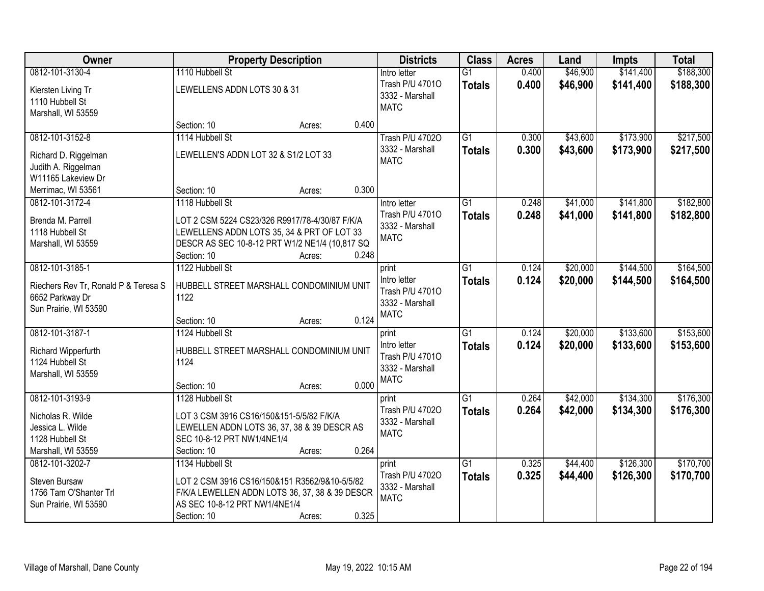| <b>Owner</b>                                                                         | <b>Property Description</b>                                                                                                                                                      | <b>Districts</b>                                                           | <b>Class</b>                     | <b>Acres</b>   | Land                 | <b>Impts</b>           | <b>Total</b>           |
|--------------------------------------------------------------------------------------|----------------------------------------------------------------------------------------------------------------------------------------------------------------------------------|----------------------------------------------------------------------------|----------------------------------|----------------|----------------------|------------------------|------------------------|
| 0812-101-3130-4                                                                      | 1110 Hubbell St                                                                                                                                                                  | Intro letter                                                               | $\overline{G1}$                  | 0.400          | \$46,900             | \$141,400              | \$188,300              |
| Kiersten Living Tr<br>1110 Hubbell St<br>Marshall, WI 53559                          | LEWELLENS ADDN LOTS 30 & 31                                                                                                                                                      | Trash P/U 47010<br>3332 - Marshall<br><b>MATC</b>                          | <b>Totals</b>                    | 0.400          | \$46,900             | \$141,400              | \$188,300              |
|                                                                                      | 0.400<br>Section: 10<br>Acres:                                                                                                                                                   |                                                                            |                                  |                |                      |                        |                        |
| 0812-101-3152-8<br>Richard D. Riggelman<br>Judith A. Riggelman<br>W11165 Lakeview Dr | 1114 Hubbell St<br>LEWELLEN'S ADDN LOT 32 & S1/2 LOT 33                                                                                                                          | <b>Trash P/U 47020</b><br>3332 - Marshall<br><b>MATC</b>                   | $\overline{G1}$<br><b>Totals</b> | 0.300<br>0.300 | \$43,600<br>\$43,600 | \$173,900<br>\$173,900 | \$217,500<br>\$217,500 |
| Merrimac, WI 53561                                                                   | 0.300<br>Section: 10<br>Acres:                                                                                                                                                   |                                                                            |                                  |                |                      |                        |                        |
| 0812-101-3172-4                                                                      | 1118 Hubbell St                                                                                                                                                                  | Intro letter                                                               | G1                               | 0.248          | \$41,000             | \$141,800              | \$182,800              |
| Brenda M. Parrell<br>1118 Hubbell St<br>Marshall, WI 53559                           | LOT 2 CSM 5224 CS23/326 R9917/78-4/30/87 F/K/A<br>LEWELLENS ADDN LOTS 35, 34 & PRT OF LOT 33<br>DESCR AS SEC 10-8-12 PRT W1/2 NE1/4 (10,817 SQ<br>0.248<br>Section: 10<br>Acres: | Trash P/U 47010<br>3332 - Marshall<br><b>MATC</b>                          | <b>Totals</b>                    | 0.248          | \$41,000             | \$141,800              | \$182,800              |
| 0812-101-3185-1                                                                      | 1122 Hubbell St                                                                                                                                                                  | print                                                                      | G1                               | 0.124          | \$20,000             | \$144,500              | \$164,500              |
| Riechers Rev Tr, Ronald P & Teresa S<br>6652 Parkway Dr<br>Sun Prairie, WI 53590     | HUBBELL STREET MARSHALL CONDOMINIUM UNIT<br>1122                                                                                                                                 | Intro letter<br>Trash P/U 47010<br>3332 - Marshall<br><b>MATC</b>          | <b>Totals</b>                    | 0.124          | \$20,000             | \$144,500              | \$164,500              |
|                                                                                      | 0.124<br>Section: 10<br>Acres:                                                                                                                                                   |                                                                            |                                  |                |                      |                        |                        |
| 0812-101-3187-1<br>Richard Wipperfurth<br>1124 Hubbell St<br>Marshall, WI 53559      | 1124 Hubbell St<br>HUBBELL STREET MARSHALL CONDOMINIUM UNIT<br>1124<br>0.000<br>Section: 10<br>Acres:                                                                            | print<br>Intro letter<br>Trash P/U 47010<br>3332 - Marshall<br><b>MATC</b> | $\overline{G1}$<br><b>Totals</b> | 0.124<br>0.124 | \$20,000<br>\$20,000 | \$133,600<br>\$133,600 | \$153,600<br>\$153,600 |
| 0812-101-3193-9                                                                      | 1128 Hubbell St                                                                                                                                                                  | print                                                                      | $\overline{G1}$                  | 0.264          | \$42,000             | \$134,300              | \$176,300              |
| Nicholas R. Wilde<br>Jessica L. Wilde<br>1128 Hubbell St<br>Marshall, WI 53559       | LOT 3 CSM 3916 CS16/150&151-5/5/82 F/K/A<br>LEWELLEN ADDN LOTS 36, 37, 38 & 39 DESCR AS<br>SEC 10-8-12 PRT NW1/4NE1/4<br>0.264<br>Section: 10<br>Acres:                          | Trash P/U 47020<br>3332 - Marshall<br><b>MATC</b>                          | <b>Totals</b>                    | 0.264          | \$42,000             | \$134,300              | \$176,300              |
| 0812-101-3202-7                                                                      | 1134 Hubbell St                                                                                                                                                                  | print                                                                      | $\overline{G1}$                  | 0.325          | \$44,400             | \$126,300              | \$170,700              |
| Steven Bursaw<br>1756 Tam O'Shanter Trl<br>Sun Prairie, WI 53590                     | LOT 2 CSM 3916 CS16/150&151 R3562/9&10-5/5/82<br>F/K/A LEWELLEN ADDN LOTS 36, 37, 38 & 39 DESCR<br>AS SEC 10-8-12 PRT NW1/4NE1/4<br>0.325<br>Section: 10<br>Acres:               | Trash P/U 47020<br>3332 - Marshall<br><b>MATC</b>                          | <b>Totals</b>                    | 0.325          | \$44,400             | \$126,300              | \$170,700              |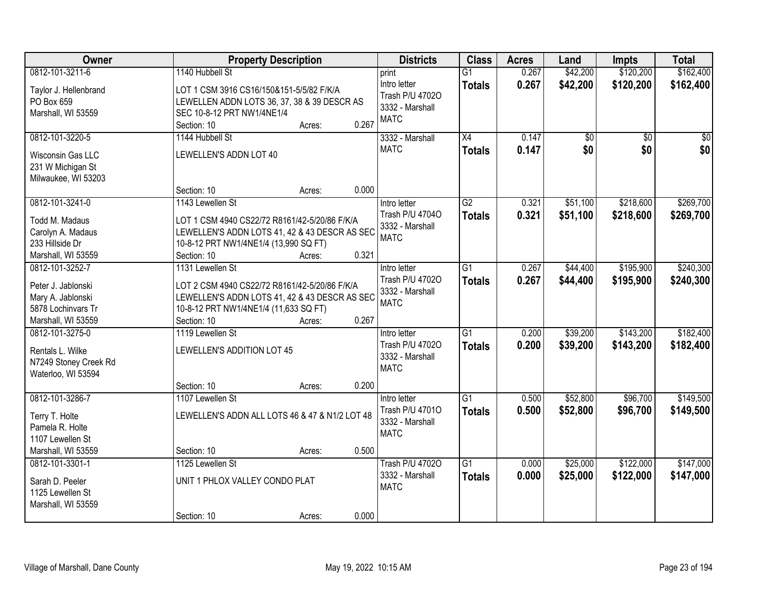| Owner                                                                               |                                                                                                                                                        | <b>Property Description</b> |       | <b>Districts</b>                                                  | <b>Class</b>                     | <b>Acres</b>   | Land                 | <b>Impts</b>           | <b>Total</b>           |
|-------------------------------------------------------------------------------------|--------------------------------------------------------------------------------------------------------------------------------------------------------|-----------------------------|-------|-------------------------------------------------------------------|----------------------------------|----------------|----------------------|------------------------|------------------------|
| 0812-101-3211-6                                                                     | 1140 Hubbell St                                                                                                                                        |                             |       | print                                                             | $\overline{G1}$                  | 0.267          | \$42,200             | \$120,200              | \$162,400              |
| Taylor J. Hellenbrand<br>PO Box 659<br>Marshall, WI 53559                           | LOT 1 CSM 3916 CS16/150&151-5/5/82 F/K/A<br>LEWELLEN ADDN LOTS 36, 37, 38 & 39 DESCR AS<br>SEC 10-8-12 PRT NW1/4NE1/4<br>Section: 10                   | Acres:                      | 0.267 | Intro letter<br>Trash P/U 47020<br>3332 - Marshall<br><b>MATC</b> | <b>Totals</b>                    | 0.267          | \$42,200             | \$120,200              | \$162,400              |
| 0812-101-3220-5                                                                     | 1144 Hubbell St                                                                                                                                        |                             |       | 3332 - Marshall                                                   | $\overline{X4}$                  | 0.147          | \$0                  | $\overline{50}$        | $\sqrt{50}$            |
| Wisconsin Gas LLC<br>231 W Michigan St<br>Milwaukee, WI 53203                       | LEWELLEN'S ADDN LOT 40<br>Section: 10                                                                                                                  | Acres:                      | 0.000 | <b>MATC</b>                                                       | <b>Totals</b>                    | 0.147          | \$0                  | \$0                    | \$0                    |
| 0812-101-3241-0                                                                     | 1143 Lewellen St                                                                                                                                       |                             |       | Intro letter                                                      | $\overline{G2}$                  | 0.321          | \$51,100             | \$218,600              | \$269,700              |
| Todd M. Madaus<br>Carolyn A. Madaus<br>233 Hillside Dr<br>Marshall, WI 53559        | LOT 1 CSM 4940 CS22/72 R8161/42-5/20/86 F/K/A<br>LEWELLEN'S ADDN LOTS 41, 42 & 43 DESCR AS SEC<br>10-8-12 PRT NW1/4NE1/4 (13,990 SQ FT)<br>Section: 10 | Acres:                      | 0.321 | Trash P/U 47040<br>3332 - Marshall<br><b>MATC</b>                 | <b>Totals</b>                    | 0.321          | \$51,100             | \$218,600              | \$269,700              |
| 0812-101-3252-7                                                                     | 1131 Lewellen St                                                                                                                                       |                             |       | Intro letter                                                      | $\overline{G1}$                  | 0.267          | \$44,400             | \$195,900              | \$240,300              |
| Peter J. Jablonski<br>Mary A. Jablonski<br>5878 Lochinvars Tr<br>Marshall, WI 53559 | LOT 2 CSM 4940 CS22/72 R8161/42-5/20/86 F/K/A<br>LEWELLEN'S ADDN LOTS 41, 42 & 43 DESCR AS SEC<br>10-8-12 PRT NW1/4NE1/4 (11,633 SQ FT)<br>Section: 10 | Acres:                      | 0.267 | Trash P/U 47020<br>3332 - Marshall<br><b>MATC</b>                 | <b>Totals</b>                    | 0.267          | \$44,400             | \$195,900              | \$240,300              |
| 0812-101-3275-0                                                                     | 1119 Lewellen St                                                                                                                                       |                             |       | Intro letter                                                      | $\overline{G1}$                  | 0.200          | \$39,200             | \$143,200              | \$182,400              |
| Rentals L. Wilke<br>N7249 Stoney Creek Rd<br>Waterloo, WI 53594                     | LEWELLEN'S ADDITION LOT 45                                                                                                                             |                             |       | Trash P/U 47020<br>3332 - Marshall<br><b>MATC</b>                 | <b>Totals</b>                    | 0.200          | \$39,200             | \$143,200              | \$182,400              |
|                                                                                     | Section: 10                                                                                                                                            | Acres:                      | 0.200 |                                                                   |                                  |                |                      |                        |                        |
| 0812-101-3286-7                                                                     | 1107 Lewellen St                                                                                                                                       |                             |       | Intro letter                                                      | $\overline{G1}$                  | 0.500          | \$52,800             | \$96,700               | \$149,500              |
| Terry T. Holte<br>Pamela R. Holte<br>1107 Lewellen St                               | LEWELLEN'S ADDN ALL LOTS 46 & 47 & N1/2 LOT 48                                                                                                         |                             |       | Trash P/U 47010<br>3332 - Marshall<br><b>MATC</b>                 | <b>Totals</b>                    | 0.500          | \$52,800             | \$96,700               | \$149,500              |
| Marshall, WI 53559                                                                  | Section: 10                                                                                                                                            | Acres:                      | 0.500 |                                                                   |                                  |                |                      |                        |                        |
| 0812-101-3301-1<br>Sarah D. Peeler<br>1125 Lewellen St<br>Marshall, WI 53559        | 1125 Lewellen St<br>UNIT 1 PHLOX VALLEY CONDO PLAT<br>Section: 10                                                                                      | Acres:                      | 0.000 | <b>Trash P/U 47020</b><br>3332 - Marshall<br><b>MATC</b>          | $\overline{G1}$<br><b>Totals</b> | 0.000<br>0.000 | \$25,000<br>\$25,000 | \$122,000<br>\$122,000 | \$147,000<br>\$147,000 |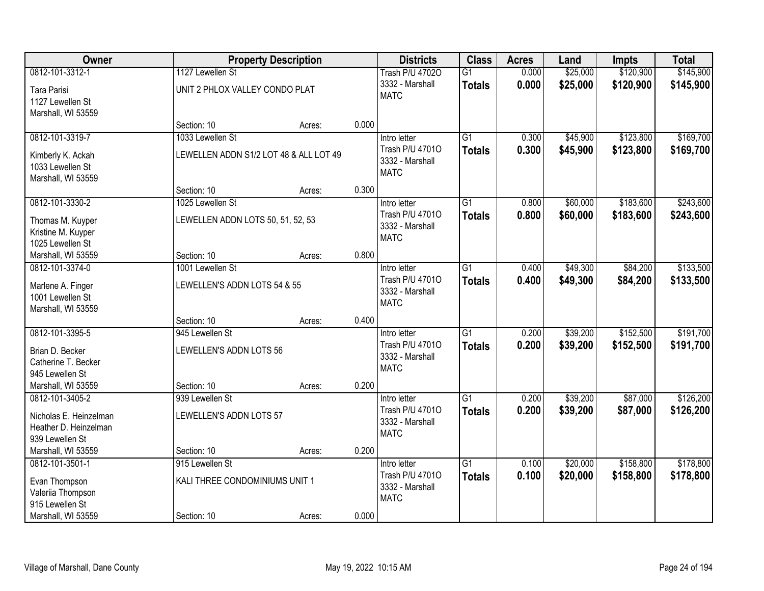| Owner                  |                                        | <b>Property Description</b> |       | <b>Districts</b>                   | <b>Class</b>    | <b>Acres</b> | Land     | <b>Impts</b> | <b>Total</b> |
|------------------------|----------------------------------------|-----------------------------|-------|------------------------------------|-----------------|--------------|----------|--------------|--------------|
| 0812-101-3312-1        | 1127 Lewellen St                       |                             |       | <b>Trash P/U 47020</b>             | $\overline{G1}$ | 0.000        | \$25,000 | \$120,900    | \$145,900    |
| Tara Parisi            | UNIT 2 PHLOX VALLEY CONDO PLAT         |                             |       | 3332 - Marshall<br><b>MATC</b>     | <b>Totals</b>   | 0.000        | \$25,000 | \$120,900    | \$145,900    |
| 1127 Lewellen St       |                                        |                             |       |                                    |                 |              |          |              |              |
| Marshall, WI 53559     |                                        |                             |       |                                    |                 |              |          |              |              |
|                        | Section: 10                            | Acres:                      | 0.000 |                                    |                 |              |          |              |              |
| 0812-101-3319-7        | 1033 Lewellen St                       |                             |       | Intro letter                       | $\overline{G1}$ | 0.300        | \$45,900 | \$123,800    | \$169,700    |
| Kimberly K. Ackah      | LEWELLEN ADDN S1/2 LOT 48 & ALL LOT 49 |                             |       | Trash P/U 47010<br>3332 - Marshall | <b>Totals</b>   | 0.300        | \$45,900 | \$123,800    | \$169,700    |
| 1033 Lewellen St       |                                        |                             |       | <b>MATC</b>                        |                 |              |          |              |              |
| Marshall, WI 53559     |                                        |                             |       |                                    |                 |              |          |              |              |
|                        | Section: 10                            | Acres:                      | 0.300 |                                    |                 |              |          |              |              |
| 0812-101-3330-2        | 1025 Lewellen St                       |                             |       | Intro letter                       | G1              | 0.800        | \$60,000 | \$183,600    | \$243,600    |
| Thomas M. Kuyper       | LEWELLEN ADDN LOTS 50, 51, 52, 53      |                             |       | Trash P/U 47010                    | <b>Totals</b>   | 0.800        | \$60,000 | \$183,600    | \$243,600    |
| Kristine M. Kuyper     |                                        |                             |       | 3332 - Marshall<br><b>MATC</b>     |                 |              |          |              |              |
| 1025 Lewellen St       |                                        |                             |       |                                    |                 |              |          |              |              |
| Marshall, WI 53559     | Section: 10                            | Acres:                      | 0.800 |                                    |                 |              |          |              |              |
| 0812-101-3374-0        | 1001 Lewellen St                       |                             |       | Intro letter                       | $\overline{G1}$ | 0.400        | \$49,300 | \$84,200     | \$133,500    |
| Marlene A. Finger      | LEWELLEN'S ADDN LOTS 54 & 55           |                             |       | Trash P/U 47010                    | <b>Totals</b>   | 0.400        | \$49,300 | \$84,200     | \$133,500    |
| 1001 Lewellen St       |                                        |                             |       | 3332 - Marshall                    |                 |              |          |              |              |
| Marshall, WI 53559     |                                        |                             |       | <b>MATC</b>                        |                 |              |          |              |              |
|                        | Section: 10                            | Acres:                      | 0.400 |                                    |                 |              |          |              |              |
| 0812-101-3395-5        | 945 Lewellen St                        |                             |       | Intro letter                       | $\overline{G1}$ | 0.200        | \$39,200 | \$152,500    | \$191,700    |
| Brian D. Becker        | LEWELLEN'S ADDN LOTS 56                |                             |       | Trash P/U 47010                    | <b>Totals</b>   | 0.200        | \$39,200 | \$152,500    | \$191,700    |
| Catherine T. Becker    |                                        |                             |       | 3332 - Marshall                    |                 |              |          |              |              |
| 945 Lewellen St        |                                        |                             |       | <b>MATC</b>                        |                 |              |          |              |              |
| Marshall, WI 53559     | Section: 10                            | Acres:                      | 0.200 |                                    |                 |              |          |              |              |
| 0812-101-3405-2        | 939 Lewellen St                        |                             |       | Intro letter                       | $\overline{G1}$ | 0.200        | \$39,200 | \$87,000     | \$126,200    |
| Nicholas E. Heinzelman | LEWELLEN'S ADDN LOTS 57                |                             |       | Trash P/U 47010                    | <b>Totals</b>   | 0.200        | \$39,200 | \$87,000     | \$126,200    |
| Heather D. Heinzelman  |                                        |                             |       | 3332 - Marshall                    |                 |              |          |              |              |
| 939 Lewellen St        |                                        |                             |       | <b>MATC</b>                        |                 |              |          |              |              |
| Marshall, WI 53559     | Section: 10                            | Acres:                      | 0.200 |                                    |                 |              |          |              |              |
| 0812-101-3501-1        | 915 Lewellen St                        |                             |       | Intro letter                       | $\overline{G1}$ | 0.100        | \$20,000 | \$158,800    | \$178,800    |
| Evan Thompson          | KALI THREE CONDOMINIUMS UNIT 1         |                             |       | Trash P/U 47010                    | <b>Totals</b>   | 0.100        | \$20,000 | \$158,800    | \$178,800    |
| Valeriia Thompson      |                                        |                             |       | 3332 - Marshall                    |                 |              |          |              |              |
| 915 Lewellen St        |                                        |                             |       | <b>MATC</b>                        |                 |              |          |              |              |
| Marshall, WI 53559     | Section: 10                            | Acres:                      | 0.000 |                                    |                 |              |          |              |              |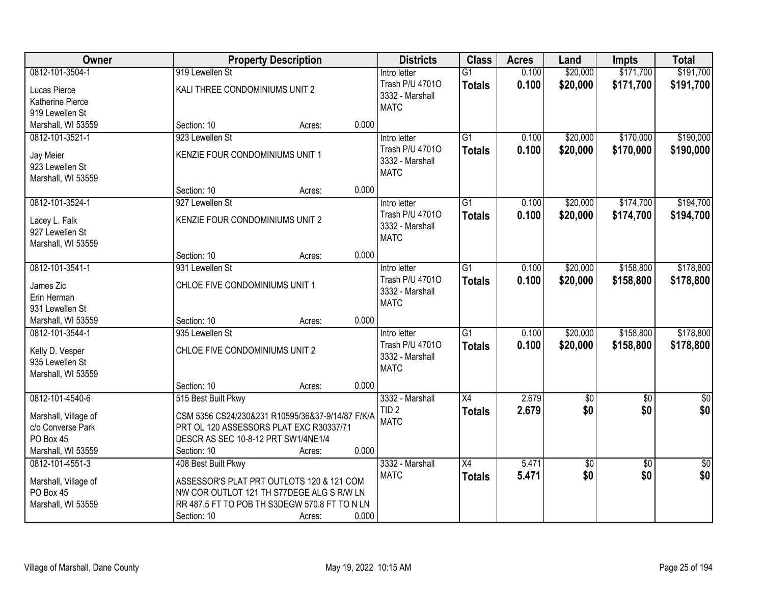| Owner                |                                     | <b>Property Description</b>                      |       | <b>Districts</b> | <b>Class</b>    | <b>Acres</b> | Land            | <b>Impts</b>    | <b>Total</b>     |
|----------------------|-------------------------------------|--------------------------------------------------|-------|------------------|-----------------|--------------|-----------------|-----------------|------------------|
| 0812-101-3504-1      | 919 Lewellen St                     |                                                  |       | Intro letter     | $\overline{G1}$ | 0.100        | \$20,000        | \$171,700       | \$191,700        |
| Lucas Pierce         | KALI THREE CONDOMINIUMS UNIT 2      |                                                  |       | Trash P/U 47010  | <b>Totals</b>   | 0.100        | \$20,000        | \$171,700       | \$191,700        |
| Katherine Pierce     |                                     |                                                  |       | 3332 - Marshall  |                 |              |                 |                 |                  |
| 919 Lewellen St      |                                     |                                                  |       | <b>MATC</b>      |                 |              |                 |                 |                  |
| Marshall, WI 53559   | Section: 10                         | Acres:                                           | 0.000 |                  |                 |              |                 |                 |                  |
| 0812-101-3521-1      | 923 Lewellen St                     |                                                  |       | Intro letter     | $\overline{G1}$ | 0.100        | \$20,000        | \$170,000       | \$190,000        |
|                      |                                     |                                                  |       | Trash P/U 47010  | <b>Totals</b>   | 0.100        | \$20,000        | \$170,000       | \$190,000        |
| Jay Meier            | KENZIE FOUR CONDOMINIUMS UNIT 1     |                                                  |       | 3332 - Marshall  |                 |              |                 |                 |                  |
| 923 Lewellen St      |                                     |                                                  |       | <b>MATC</b>      |                 |              |                 |                 |                  |
| Marshall, WI 53559   |                                     |                                                  |       |                  |                 |              |                 |                 |                  |
|                      | Section: 10                         | Acres:                                           | 0.000 |                  |                 |              |                 |                 |                  |
| 0812-101-3524-1      | 927 Lewellen St                     |                                                  |       | Intro letter     | G1              | 0.100        | \$20,000        | \$174,700       | \$194,700        |
| Lacey L. Falk        | KENZIE FOUR CONDOMINIUMS UNIT 2     |                                                  |       | Trash P/U 47010  | <b>Totals</b>   | 0.100        | \$20,000        | \$174,700       | \$194,700        |
| 927 Lewellen St      |                                     |                                                  |       | 3332 - Marshall  |                 |              |                 |                 |                  |
| Marshall, WI 53559   |                                     |                                                  |       | <b>MATC</b>      |                 |              |                 |                 |                  |
|                      | Section: 10                         | Acres:                                           | 0.000 |                  |                 |              |                 |                 |                  |
| 0812-101-3541-1      | 931 Lewellen St                     |                                                  |       | Intro letter     | G1              | 0.100        | \$20,000        | \$158,800       | \$178,800        |
| James Zic            | CHLOE FIVE CONDOMINIUMS UNIT 1      |                                                  |       | Trash P/U 47010  | <b>Totals</b>   | 0.100        | \$20,000        | \$158,800       | \$178,800        |
| Erin Herman          |                                     |                                                  |       | 3332 - Marshall  |                 |              |                 |                 |                  |
| 931 Lewellen St      |                                     |                                                  |       | <b>MATC</b>      |                 |              |                 |                 |                  |
| Marshall, WI 53559   | Section: 10                         | Acres:                                           | 0.000 |                  |                 |              |                 |                 |                  |
| 0812-101-3544-1      | 935 Lewellen St                     |                                                  |       | Intro letter     | $\overline{G1}$ | 0.100        | \$20,000        | \$158,800       | \$178,800        |
|                      |                                     |                                                  |       | Trash P/U 47010  |                 | 0.100        |                 |                 |                  |
| Kelly D. Vesper      | CHLOE FIVE CONDOMINIUMS UNIT 2      |                                                  |       | 3332 - Marshall  | <b>Totals</b>   |              | \$20,000        | \$158,800       | \$178,800        |
| 935 Lewellen St      |                                     |                                                  |       | <b>MATC</b>      |                 |              |                 |                 |                  |
| Marshall, WI 53559   |                                     |                                                  |       |                  |                 |              |                 |                 |                  |
|                      | Section: 10                         | Acres:                                           | 0.000 |                  |                 |              |                 |                 |                  |
| 0812-101-4540-6      | 515 Best Built Pkwy                 |                                                  |       | 3332 - Marshall  | $\overline{X4}$ | 2.679        | $\overline{50}$ | $\overline{50}$ | $\overline{\$0}$ |
| Marshall, Village of |                                     | CSM 5356 CS24/230&231 R10595/36&37-9/14/87 F/K/A |       | TID <sub>2</sub> | <b>Totals</b>   | 2.679        | \$0             | \$0             | \$0              |
| c/o Converse Park    |                                     | PRT OL 120 ASSESSORS PLAT EXC R30337/71          |       | <b>MATC</b>      |                 |              |                 |                 |                  |
| PO Box 45            | DESCR AS SEC 10-8-12 PRT SW1/4NE1/4 |                                                  |       |                  |                 |              |                 |                 |                  |
| Marshall, WI 53559   | Section: 10                         | Acres:                                           | 0.000 |                  |                 |              |                 |                 |                  |
| 0812-101-4551-3      | 408 Best Built Pkwy                 |                                                  |       | 3332 - Marshall  | $\overline{X4}$ | 5.471        | \$0             | $\overline{30}$ | $\overline{50}$  |
|                      |                                     |                                                  |       | <b>MATC</b>      | <b>Totals</b>   | 5.471        | \$0             | \$0             | \$0              |
| Marshall, Village of |                                     | ASSESSOR'S PLAT PRT OUTLOTS 120 & 121 COM        |       |                  |                 |              |                 |                 |                  |
| PO Box 45            |                                     | NW COR OUTLOT 121 TH S77DEGE ALG S R/W LN        |       |                  |                 |              |                 |                 |                  |
| Marshall, WI 53559   |                                     | RR 487.5 FT TO POB TH S3DEGW 570.8 FT TO N LN    |       |                  |                 |              |                 |                 |                  |
|                      | Section: 10                         | Acres:                                           | 0.000 |                  |                 |              |                 |                 |                  |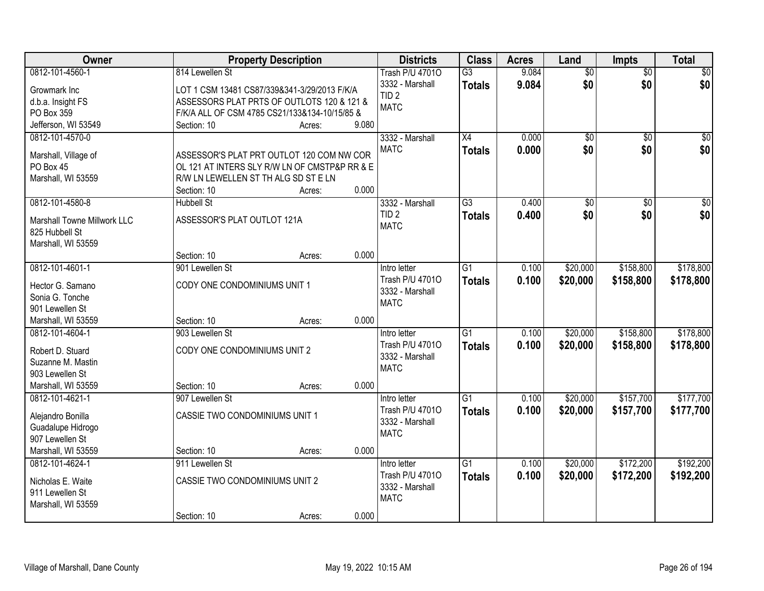| Owner                       |                                               | <b>Property Description</b> |       | <b>Districts</b>       | <b>Class</b>    | <b>Acres</b> | Land            | <b>Impts</b>    | <b>Total</b>    |
|-----------------------------|-----------------------------------------------|-----------------------------|-------|------------------------|-----------------|--------------|-----------------|-----------------|-----------------|
| 0812-101-4560-1             | 814 Lewellen St                               |                             |       | <b>Trash P/U 47010</b> | $\overline{G3}$ | 9.084        | $\overline{50}$ | $\overline{50}$ | $\sqrt{50}$     |
| Growmark Inc                | LOT 1 CSM 13481 CS87/339&341-3/29/2013 F/K/A  |                             |       | 3332 - Marshall        | <b>Totals</b>   | 9.084        | \$0             | \$0             | \$0             |
| d.b.a. Insight FS           | ASSESSORS PLAT PRTS OF OUTLOTS 120 & 121 &    |                             |       | TID <sub>2</sub>       |                 |              |                 |                 |                 |
| PO Box 359                  | F/K/A ALL OF CSM 4785 CS21/133&134-10/15/85 & |                             |       | <b>MATC</b>            |                 |              |                 |                 |                 |
| Jefferson, WI 53549         | Section: 10                                   | Acres:                      | 9.080 |                        |                 |              |                 |                 |                 |
| 0812-101-4570-0             |                                               |                             |       | 3332 - Marshall        | $\overline{X4}$ | 0.000        | $\overline{50}$ | $\overline{50}$ | $\sqrt{50}$     |
|                             |                                               |                             |       | <b>MATC</b>            | <b>Totals</b>   | 0.000        | \$0             | \$0             | \$0             |
| Marshall, Village of        | ASSESSOR'S PLAT PRT OUTLOT 120 COM NW COR     |                             |       |                        |                 |              |                 |                 |                 |
| PO Box 45                   | OL 121 AT INTERS SLY R/W LN OF CMSTP&P RR & E |                             |       |                        |                 |              |                 |                 |                 |
| Marshall, WI 53559          | R/W LN LEWELLEN ST TH ALG SD ST E LN          |                             |       |                        |                 |              |                 |                 |                 |
|                             | Section: 10                                   | Acres:                      | 0.000 |                        |                 |              |                 |                 |                 |
| 0812-101-4580-8             | <b>Hubbell St</b>                             |                             |       | 3332 - Marshall        | $\overline{G3}$ | 0.400        | $\overline{50}$ | $\overline{50}$ | $\overline{50}$ |
| Marshall Towne Millwork LLC | ASSESSOR'S PLAT OUTLOT 121A                   |                             |       | TID <sub>2</sub>       | <b>Totals</b>   | 0.400        | \$0             | \$0             | \$0             |
| 825 Hubbell St              |                                               |                             |       | <b>MATC</b>            |                 |              |                 |                 |                 |
| Marshall, WI 53559          |                                               |                             |       |                        |                 |              |                 |                 |                 |
|                             | Section: 10                                   | Acres:                      | 0.000 |                        |                 |              |                 |                 |                 |
| 0812-101-4601-1             | 901 Lewellen St                               |                             |       | Intro letter           | $\overline{G1}$ | 0.100        | \$20,000        | \$158,800       | \$178,800       |
|                             |                                               |                             |       | Trash P/U 47010        | <b>Totals</b>   | 0.100        | \$20,000        | \$158,800       | \$178,800       |
| Hector G. Samano            | CODY ONE CONDOMINIUMS UNIT 1                  |                             |       | 3332 - Marshall        |                 |              |                 |                 |                 |
| Sonia G. Tonche             |                                               |                             |       | <b>MATC</b>            |                 |              |                 |                 |                 |
| 901 Lewellen St             |                                               |                             |       |                        |                 |              |                 |                 |                 |
| Marshall, WI 53559          | Section: 10                                   | Acres:                      | 0.000 |                        |                 |              |                 |                 |                 |
| 0812-101-4604-1             | 903 Lewellen St                               |                             |       | Intro letter           | $\overline{G1}$ | 0.100        | \$20,000        | \$158,800       | \$178,800       |
| Robert D. Stuard            | CODY ONE CONDOMINIUMS UNIT 2                  |                             |       | Trash P/U 47010        | <b>Totals</b>   | 0.100        | \$20,000        | \$158,800       | \$178,800       |
| Suzanne M. Mastin           |                                               |                             |       | 3332 - Marshall        |                 |              |                 |                 |                 |
| 903 Lewellen St             |                                               |                             |       | <b>MATC</b>            |                 |              |                 |                 |                 |
| Marshall, WI 53559          | Section: 10                                   | Acres:                      | 0.000 |                        |                 |              |                 |                 |                 |
| 0812-101-4621-1             | 907 Lewellen St                               |                             |       | Intro letter           | G1              | 0.100        | \$20,000        | \$157,700       | \$177,700       |
|                             |                                               |                             |       | Trash P/U 47010        | <b>Totals</b>   | 0.100        | \$20,000        | \$157,700       | \$177,700       |
| Alejandro Bonilla           | CASSIE TWO CONDOMINIUMS UNIT 1                |                             |       | 3332 - Marshall        |                 |              |                 |                 |                 |
| Guadalupe Hidrogo           |                                               |                             |       | <b>MATC</b>            |                 |              |                 |                 |                 |
| 907 Lewellen St             |                                               |                             |       |                        |                 |              |                 |                 |                 |
| Marshall, WI 53559          | Section: 10                                   | Acres:                      | 0.000 |                        |                 |              |                 |                 |                 |
| 0812-101-4624-1             | 911 Lewellen St                               |                             |       | Intro letter           | $\overline{G1}$ | 0.100        | \$20,000        | \$172,200       | \$192,200       |
| Nicholas E. Waite           | CASSIE TWO CONDOMINIUMS UNIT 2                |                             |       | Trash P/U 47010        | Totals          | 0.100        | \$20,000        | \$172,200       | \$192,200       |
| 911 Lewellen St             |                                               |                             |       | 3332 - Marshall        |                 |              |                 |                 |                 |
| Marshall, WI 53559          |                                               |                             |       | <b>MATC</b>            |                 |              |                 |                 |                 |
|                             | Section: 10                                   | Acres:                      | 0.000 |                        |                 |              |                 |                 |                 |
|                             |                                               |                             |       |                        |                 |              |                 |                 |                 |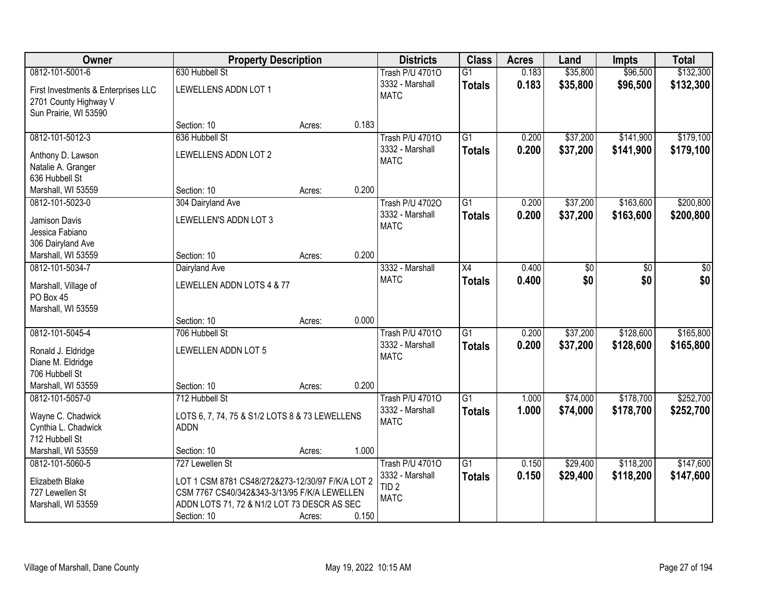| Owner                                                        | <b>Property Description</b>                      |        |       | <b>Districts</b>               | <b>Class</b>    | <b>Acres</b> | Land     | <b>Impts</b> | <b>Total</b> |
|--------------------------------------------------------------|--------------------------------------------------|--------|-------|--------------------------------|-----------------|--------------|----------|--------------|--------------|
| 0812-101-5001-6                                              | 630 Hubbell St                                   |        |       | <b>Trash P/U 47010</b>         | $\overline{G1}$ | 0.183        | \$35,800 | \$96,500     | \$132,300    |
| First Investments & Enterprises LLC<br>2701 County Highway V | LEWELLENS ADDN LOT 1                             |        |       | 3332 - Marshall<br><b>MATC</b> | <b>Totals</b>   | 0.183        | \$35,800 | \$96,500     | \$132,300    |
| Sun Prairie, WI 53590                                        |                                                  |        |       |                                |                 |              |          |              |              |
|                                                              | Section: 10                                      | Acres: | 0.183 |                                |                 |              |          |              |              |
| 0812-101-5012-3                                              | 636 Hubbell St                                   |        |       | <b>Trash P/U 47010</b>         | $\overline{G1}$ | 0.200        | \$37,200 | \$141,900    | \$179,100    |
| Anthony D. Lawson                                            | LEWELLENS ADDN LOT 2                             |        |       | 3332 - Marshall                | <b>Totals</b>   | 0.200        | \$37,200 | \$141,900    | \$179,100    |
| Natalie A. Granger                                           |                                                  |        |       | <b>MATC</b>                    |                 |              |          |              |              |
| 636 Hubbell St                                               |                                                  |        |       |                                |                 |              |          |              |              |
| Marshall, WI 53559                                           | Section: 10                                      | Acres: | 0.200 |                                |                 |              |          |              |              |
| 0812-101-5023-0                                              | 304 Dairyland Ave                                |        |       | <b>Trash P/U 47020</b>         | $\overline{G1}$ | 0.200        | \$37,200 | \$163,600    | \$200,800    |
|                                                              |                                                  |        |       | 3332 - Marshall                | <b>Totals</b>   | 0.200        | \$37,200 | \$163,600    | \$200,800    |
| Jamison Davis<br>Jessica Fabiano                             | LEWELLEN'S ADDN LOT 3                            |        |       | <b>MATC</b>                    |                 |              |          |              |              |
| 306 Dairyland Ave                                            |                                                  |        |       |                                |                 |              |          |              |              |
| Marshall, WI 53559                                           | Section: 10                                      | Acres: | 0.200 |                                |                 |              |          |              |              |
| 0812-101-5034-7                                              | Dairyland Ave                                    |        |       | 3332 - Marshall                | X4              | 0.400        | \$0      | \$0          | \$0          |
|                                                              |                                                  |        |       | <b>MATC</b>                    | <b>Totals</b>   | 0.400        | \$0      | \$0          | \$0          |
| Marshall, Village of                                         | LEWELLEN ADDN LOTS 4 & 77                        |        |       |                                |                 |              |          |              |              |
| PO Box 45                                                    |                                                  |        |       |                                |                 |              |          |              |              |
| Marshall, WI 53559                                           |                                                  |        | 0.000 |                                |                 |              |          |              |              |
| 0812-101-5045-4                                              | Section: 10<br>706 Hubbell St                    | Acres: |       | <b>Trash P/U 47010</b>         | $\overline{G1}$ | 0.200        | \$37,200 | \$128,600    | \$165,800    |
|                                                              |                                                  |        |       | 3332 - Marshall                |                 |              |          |              |              |
| Ronald J. Eldridge                                           | LEWELLEN ADDN LOT 5                              |        |       | <b>MATC</b>                    | Totals          | 0.200        | \$37,200 | \$128,600    | \$165,800    |
| Diane M. Eldridge                                            |                                                  |        |       |                                |                 |              |          |              |              |
| 706 Hubbell St                                               |                                                  |        |       |                                |                 |              |          |              |              |
| Marshall, WI 53559                                           | Section: 10                                      | Acres: | 0.200 |                                |                 |              |          |              |              |
| 0812-101-5057-0                                              | 712 Hubbell St                                   |        |       | <b>Trash P/U 47010</b>         | $\overline{G1}$ | 1.000        | \$74,000 | \$178,700    | \$252,700    |
| Wayne C. Chadwick                                            | LOTS 6, 7, 74, 75 & S1/2 LOTS 8 & 73 LEWELLENS   |        |       | 3332 - Marshall                | <b>Totals</b>   | 1.000        | \$74,000 | \$178,700    | \$252,700    |
| Cynthia L. Chadwick                                          | <b>ADDN</b>                                      |        |       | <b>MATC</b>                    |                 |              |          |              |              |
| 712 Hubbell St                                               |                                                  |        |       |                                |                 |              |          |              |              |
| Marshall, WI 53559                                           | Section: 10                                      | Acres: | 1.000 |                                |                 |              |          |              |              |
| 0812-101-5060-5                                              | 727 Lewellen St                                  |        |       | <b>Trash P/U 47010</b>         | $\overline{G1}$ | 0.150        | \$29,400 | \$118,200    | \$147,600    |
| Elizabeth Blake                                              | LOT 1 CSM 8781 CS48/272&273-12/30/97 F/K/A LOT 2 |        |       | 3332 - Marshall                | <b>Totals</b>   | 0.150        | \$29,400 | \$118,200    | \$147,600    |
| 727 Lewellen St                                              | CSM 7767 CS40/342&343-3/13/95 F/K/A LEWELLEN     |        |       | TID <sub>2</sub>               |                 |              |          |              |              |
| Marshall, WI 53559                                           | ADDN LOTS 71, 72 & N1/2 LOT 73 DESCR AS SEC      |        |       | <b>MATC</b>                    |                 |              |          |              |              |
|                                                              | Section: 10                                      | Acres: | 0.150 |                                |                 |              |          |              |              |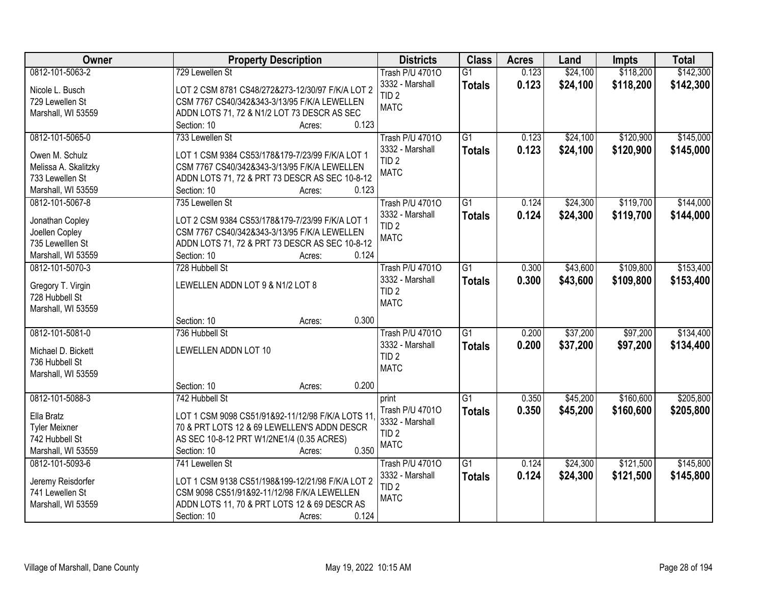| <b>Owner</b>         | <b>Property Description</b>                      | <b>Districts</b>       | <b>Class</b>    | <b>Acres</b> | Land     | <b>Impts</b> | <b>Total</b> |
|----------------------|--------------------------------------------------|------------------------|-----------------|--------------|----------|--------------|--------------|
| 0812-101-5063-2      | 729 Lewellen St                                  | <b>Trash P/U 47010</b> | $\overline{G1}$ | 0.123        | \$24,100 | \$118,200    | \$142,300    |
| Nicole L. Busch      | LOT 2 CSM 8781 CS48/272&273-12/30/97 F/K/A LOT 2 | 3332 - Marshall        | <b>Totals</b>   | 0.123        | \$24,100 | \$118,200    | \$142,300    |
| 729 Lewellen St      | CSM 7767 CS40/342&343-3/13/95 F/K/A LEWELLEN     | TID <sub>2</sub>       |                 |              |          |              |              |
| Marshall, WI 53559   | ADDN LOTS 71, 72 & N1/2 LOT 73 DESCR AS SEC      | <b>MATC</b>            |                 |              |          |              |              |
|                      | Section: 10<br>0.123<br>Acres:                   |                        |                 |              |          |              |              |
| 0812-101-5065-0      | 733 Lewellen St                                  | <b>Trash P/U 47010</b> | $\overline{G1}$ | 0.123        | \$24,100 | \$120,900    | \$145,000    |
|                      |                                                  | 3332 - Marshall        | <b>Totals</b>   | 0.123        | \$24,100 | \$120,900    | \$145,000    |
| Owen M. Schulz       | LOT 1 CSM 9384 CS53/178&179-7/23/99 F/K/A LOT 1  | TID <sub>2</sub>       |                 |              |          |              |              |
| Melissa A. Skalitzky | CSM 7767 CS40/342&343-3/13/95 F/K/A LEWELLEN     | <b>MATC</b>            |                 |              |          |              |              |
| 733 Lewellen St      | ADDN LOTS 71, 72 & PRT 73 DESCR AS SEC 10-8-12   |                        |                 |              |          |              |              |
| Marshall, WI 53559   | Section: 10<br>0.123<br>Acres:                   |                        |                 |              |          |              |              |
| 0812-101-5067-8      | 735 Lewellen St                                  | <b>Trash P/U 47010</b> | G1              | 0.124        | \$24,300 | \$119,700    | \$144,000    |
| Jonathan Copley      | LOT 2 CSM 9384 CS53/178&179-7/23/99 F/K/A LOT 1  | 3332 - Marshall        | <b>Totals</b>   | 0.124        | \$24,300 | \$119,700    | \$144,000    |
| Joellen Copley       | CSM 7767 CS40/342&343-3/13/95 F/K/A LEWELLEN     | TID <sub>2</sub>       |                 |              |          |              |              |
| 735 Lewelllen St     | ADDN LOTS 71, 72 & PRT 73 DESCR AS SEC 10-8-12   | <b>MATC</b>            |                 |              |          |              |              |
| Marshall, WI 53559   | Section: 10<br>0.124<br>Acres:                   |                        |                 |              |          |              |              |
| 0812-101-5070-3      | 728 Hubbell St                                   | <b>Trash P/U 47010</b> | G1              | 0.300        | \$43,600 | \$109,800    | \$153,400    |
|                      |                                                  | 3332 - Marshall        | <b>Totals</b>   | 0.300        | \$43,600 | \$109,800    | \$153,400    |
| Gregory T. Virgin    | LEWELLEN ADDN LOT 9 & N1/2 LOT 8                 | TID <sub>2</sub>       |                 |              |          |              |              |
| 728 Hubbell St       |                                                  | <b>MATC</b>            |                 |              |          |              |              |
| Marshall, WI 53559   |                                                  |                        |                 |              |          |              |              |
|                      | 0.300<br>Section: 10<br>Acres:                   |                        |                 |              |          |              |              |
| 0812-101-5081-0      | 736 Hubbell St                                   | <b>Trash P/U 47010</b> | $\overline{G1}$ | 0.200        | \$37,200 | \$97,200     | \$134,400    |
| Michael D. Bickett   | LEWELLEN ADDN LOT 10                             | 3332 - Marshall        | <b>Totals</b>   | 0.200        | \$37,200 | \$97,200     | \$134,400    |
| 736 Hubbell St       |                                                  | TID <sub>2</sub>       |                 |              |          |              |              |
| Marshall, WI 53559   |                                                  | <b>MATC</b>            |                 |              |          |              |              |
|                      | 0.200<br>Section: 10<br>Acres:                   |                        |                 |              |          |              |              |
| 0812-101-5088-3      | 742 Hubbell St                                   | print                  | G1              | 0.350        | \$45,200 | \$160,600    | \$205,800    |
|                      |                                                  | Trash P/U 47010        |                 | 0.350        | \$45,200 | \$160,600    | \$205,800    |
| Ella Bratz           | LOT 1 CSM 9098 CS51/91&92-11/12/98 F/K/A LOTS 11 | 3332 - Marshall        | <b>Totals</b>   |              |          |              |              |
| <b>Tyler Meixner</b> | 70 & PRT LOTS 12 & 69 LEWELLEN'S ADDN DESCR      | TID <sub>2</sub>       |                 |              |          |              |              |
| 742 Hubbell St       | AS SEC 10-8-12 PRT W1/2NE1/4 (0.35 ACRES)        | <b>MATC</b>            |                 |              |          |              |              |
| Marshall, WI 53559   | 0.350<br>Section: 10<br>Acres:                   |                        |                 |              |          |              |              |
| 0812-101-5093-6      | 741 Lewellen St                                  | <b>Trash P/U 47010</b> | G1              | 0.124        | \$24,300 | \$121,500    | \$145,800    |
| Jeremy Reisdorfer    | LOT 1 CSM 9138 CS51/198&199-12/21/98 F/K/A LOT 2 | 3332 - Marshall        | <b>Totals</b>   | 0.124        | \$24,300 | \$121,500    | \$145,800    |
| 741 Lewellen St      | CSM 9098 CS51/91&92-11/12/98 F/K/A LEWELLEN      | TID <sub>2</sub>       |                 |              |          |              |              |
| Marshall, WI 53559   | ADDN LOTS 11, 70 & PRT LOTS 12 & 69 DESCR AS     | <b>MATC</b>            |                 |              |          |              |              |
|                      | Section: 10<br>0.124<br>Acres:                   |                        |                 |              |          |              |              |
|                      |                                                  |                        |                 |              |          |              |              |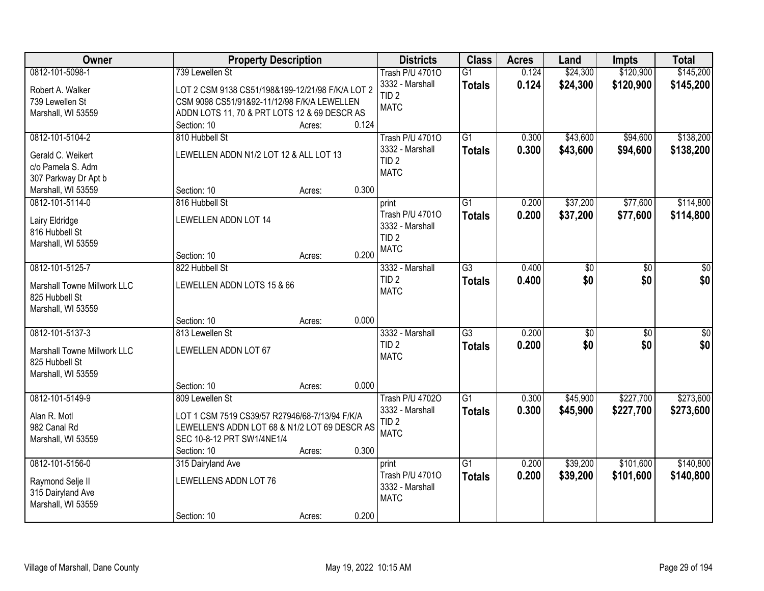| <b>Owner</b>                | <b>Property Description</b>                                                                     |        |       | <b>Districts</b>       | <b>Class</b>    | <b>Acres</b> | Land            | <b>Impts</b>    | <b>Total</b>    |
|-----------------------------|-------------------------------------------------------------------------------------------------|--------|-------|------------------------|-----------------|--------------|-----------------|-----------------|-----------------|
| 0812-101-5098-1             | 739 Lewellen St                                                                                 |        |       | <b>Trash P/U 47010</b> | $\overline{G1}$ | 0.124        | \$24,300        | \$120,900       | \$145,200       |
| Robert A. Walker            | LOT 2 CSM 9138 CS51/198&199-12/21/98 F/K/A LOT 2                                                |        |       | 3332 - Marshall        | <b>Totals</b>   | 0.124        | \$24,300        | \$120,900       | \$145,200       |
| 739 Lewellen St             | CSM 9098 CS51/91&92-11/12/98 F/K/A LEWELLEN                                                     |        |       | TID <sub>2</sub>       |                 |              |                 |                 |                 |
| Marshall, WI 53559          | ADDN LOTS 11, 70 & PRT LOTS 12 & 69 DESCR AS                                                    |        |       | <b>MATC</b>            |                 |              |                 |                 |                 |
|                             | Section: 10                                                                                     | Acres: | 0.124 |                        |                 |              |                 |                 |                 |
| 0812-101-5104-2             | 810 Hubbell St                                                                                  |        |       | <b>Trash P/U 47010</b> | $\overline{G1}$ | 0.300        | \$43,600        | \$94,600        | \$138,200       |
|                             |                                                                                                 |        |       | 3332 - Marshall        | <b>Totals</b>   | 0.300        | \$43,600        | \$94,600        | \$138,200       |
| Gerald C. Weikert           | LEWELLEN ADDN N1/2 LOT 12 & ALL LOT 13                                                          |        |       | TID <sub>2</sub>       |                 |              |                 |                 |                 |
| c/o Pamela S. Adm           |                                                                                                 |        |       | <b>MATC</b>            |                 |              |                 |                 |                 |
| 307 Parkway Dr Apt b        |                                                                                                 |        |       |                        |                 |              |                 |                 |                 |
| Marshall, WI 53559          | Section: 10                                                                                     | Acres: | 0.300 |                        |                 |              |                 |                 |                 |
| 0812-101-5114-0             | 816 Hubbell St                                                                                  |        |       | print                  | $\overline{G1}$ | 0.200        | \$37,200        | \$77,600        | \$114,800       |
| Lairy Eldridge              | LEWELLEN ADDN LOT 14                                                                            |        |       | Trash P/U 47010        | <b>Totals</b>   | 0.200        | \$37,200        | \$77,600        | \$114,800       |
| 816 Hubbell St              |                                                                                                 |        |       | 3332 - Marshall        |                 |              |                 |                 |                 |
| Marshall, WI 53559          |                                                                                                 |        |       | TID <sub>2</sub>       |                 |              |                 |                 |                 |
|                             | Section: 10                                                                                     | Acres: | 0.200 | <b>MATC</b>            |                 |              |                 |                 |                 |
| 0812-101-5125-7             | 822 Hubbell St                                                                                  |        |       | 3332 - Marshall        | $\overline{G3}$ | 0.400        | \$0             | \$0             | \$0             |
|                             |                                                                                                 |        |       | TID <sub>2</sub>       | <b>Totals</b>   | 0.400        | \$0             | \$0             | \$0             |
| Marshall Towne Millwork LLC | LEWELLEN ADDN LOTS 15 & 66                                                                      |        |       | <b>MATC</b>            |                 |              |                 |                 |                 |
| 825 Hubbell St              |                                                                                                 |        |       |                        |                 |              |                 |                 |                 |
| Marshall, WI 53559          |                                                                                                 |        |       |                        |                 |              |                 |                 |                 |
|                             | Section: 10                                                                                     | Acres: | 0.000 |                        |                 |              |                 |                 |                 |
| 0812-101-5137-3             | 813 Lewellen St                                                                                 |        |       | 3332 - Marshall        | $\overline{G3}$ | 0.200        | $\overline{50}$ | $\overline{50}$ | $\overline{50}$ |
| Marshall Towne Millwork LLC | LEWELLEN ADDN LOT 67                                                                            |        |       | TID <sub>2</sub>       | <b>Totals</b>   | 0.200        | \$0             | \$0             | \$0             |
| 825 Hubbell St              |                                                                                                 |        |       | <b>MATC</b>            |                 |              |                 |                 |                 |
| Marshall, WI 53559          |                                                                                                 |        |       |                        |                 |              |                 |                 |                 |
|                             | Section: 10                                                                                     | Acres: | 0.000 |                        |                 |              |                 |                 |                 |
| 0812-101-5149-9             | 809 Lewellen St                                                                                 |        |       | <b>Trash P/U 47020</b> | $\overline{G1}$ | 0.300        | \$45,900        | \$227,700       | \$273,600       |
| Alan R. Motl                |                                                                                                 |        |       | 3332 - Marshall        | <b>Totals</b>   | 0.300        | \$45,900        | \$227,700       | \$273,600       |
| 982 Canal Rd                | LOT 1 CSM 7519 CS39/57 R27946/68-7/13/94 F/K/A<br>LEWELLEN'S ADDN LOT 68 & N1/2 LOT 69 DESCR AS |        |       | TID <sub>2</sub>       |                 |              |                 |                 |                 |
| Marshall, WI 53559          | SEC 10-8-12 PRT SW1/4NE1/4                                                                      |        |       | <b>MATC</b>            |                 |              |                 |                 |                 |
|                             | Section: 10                                                                                     | Acres: | 0.300 |                        |                 |              |                 |                 |                 |
| 0812-101-5156-0             | 315 Dairyland Ave                                                                               |        |       | print                  | $\overline{G1}$ | 0.200        | \$39,200        | \$101,600       | \$140,800       |
|                             |                                                                                                 |        |       | Trash P/U 47010        |                 |              |                 |                 |                 |
| Raymond Selje II            | LEWELLENS ADDN LOT 76                                                                           |        |       | 3332 - Marshall        | <b>Totals</b>   | 0.200        | \$39,200        | \$101,600       | \$140,800       |
| 315 Dairyland Ave           |                                                                                                 |        |       | <b>MATC</b>            |                 |              |                 |                 |                 |
| Marshall, WI 53559          |                                                                                                 |        |       |                        |                 |              |                 |                 |                 |
|                             | Section: 10                                                                                     | Acres: | 0.200 |                        |                 |              |                 |                 |                 |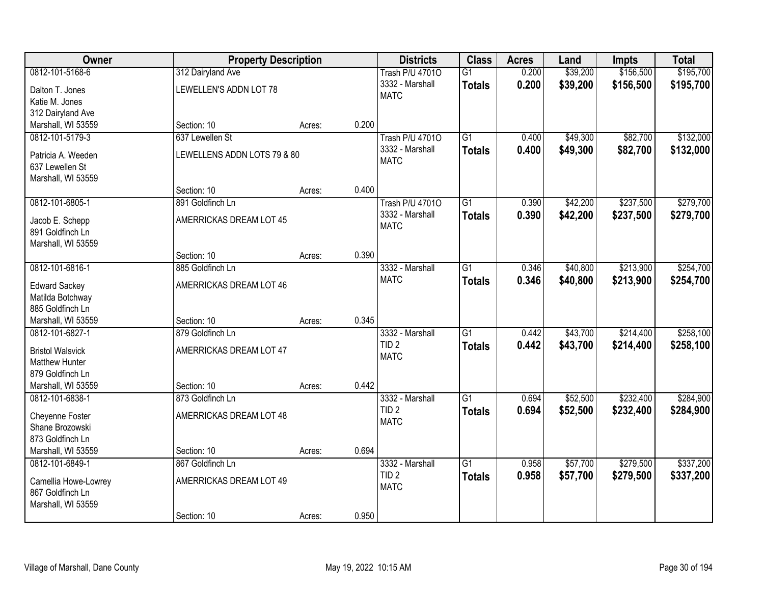| Owner                                  | <b>Property Description</b> |        |       | <b>Districts</b>       | <b>Class</b>    | <b>Acres</b> | Land     | <b>Impts</b> | <b>Total</b> |
|----------------------------------------|-----------------------------|--------|-------|------------------------|-----------------|--------------|----------|--------------|--------------|
| 0812-101-5168-6                        | 312 Dairyland Ave           |        |       | <b>Trash P/U 47010</b> | $\overline{G1}$ | 0.200        | \$39,200 | \$156,500    | \$195,700    |
| Dalton T. Jones                        | LEWELLEN'S ADDN LOT 78      |        |       | 3332 - Marshall        | <b>Totals</b>   | 0.200        | \$39,200 | \$156,500    | \$195,700    |
| Katie M. Jones                         |                             |        |       | <b>MATC</b>            |                 |              |          |              |              |
| 312 Dairyland Ave                      |                             |        |       |                        |                 |              |          |              |              |
| Marshall, WI 53559                     | Section: 10                 | Acres: | 0.200 |                        |                 |              |          |              |              |
| 0812-101-5179-3                        | 637 Lewellen St             |        |       | <b>Trash P/U 47010</b> | $\overline{G1}$ | 0.400        | \$49,300 | \$82,700     | \$132,000    |
|                                        |                             |        |       | 3332 - Marshall        | <b>Totals</b>   | 0.400        | \$49,300 | \$82,700     | \$132,000    |
| Patricia A. Weeden                     | LEWELLENS ADDN LOTS 79 & 80 |        |       | <b>MATC</b>            |                 |              |          |              |              |
| 637 Lewellen St                        |                             |        |       |                        |                 |              |          |              |              |
| Marshall, WI 53559                     | Section: 10                 | Acres: | 0.400 |                        |                 |              |          |              |              |
| 0812-101-6805-1                        | 891 Goldfinch Ln            |        |       | <b>Trash P/U 47010</b> | $\overline{G1}$ | 0.390        | \$42,200 | \$237,500    | \$279,700    |
|                                        |                             |        |       | 3332 - Marshall        |                 |              |          |              |              |
| Jacob E. Schepp                        | AMERRICKAS DREAM LOT 45     |        |       | <b>MATC</b>            | <b>Totals</b>   | 0.390        | \$42,200 | \$237,500    | \$279,700    |
| 891 Goldfinch Ln                       |                             |        |       |                        |                 |              |          |              |              |
| Marshall, WI 53559                     |                             |        |       |                        |                 |              |          |              |              |
|                                        | Section: 10                 | Acres: | 0.390 |                        |                 |              |          |              |              |
| 0812-101-6816-1                        | 885 Goldfinch Ln            |        |       | 3332 - Marshall        | $\overline{G1}$ | 0.346        | \$40,800 | \$213,900    | \$254,700    |
| <b>Edward Sackey</b>                   | AMERRICKAS DREAM LOT 46     |        |       | <b>MATC</b>            | <b>Totals</b>   | 0.346        | \$40,800 | \$213,900    | \$254,700    |
| Matilda Botchway                       |                             |        |       |                        |                 |              |          |              |              |
| 885 Goldfinch Ln                       |                             |        |       |                        |                 |              |          |              |              |
| Marshall, WI 53559                     | Section: 10                 | Acres: | 0.345 |                        |                 |              |          |              |              |
| 0812-101-6827-1                        | 879 Goldfinch Ln            |        |       | 3332 - Marshall        | $\overline{G1}$ | 0.442        | \$43,700 | \$214,400    | \$258,100    |
|                                        |                             |        |       | TID <sub>2</sub>       | <b>Totals</b>   | 0.442        | \$43,700 | \$214,400    | \$258,100    |
| <b>Bristol Walsvick</b>                | AMERRICKAS DREAM LOT 47     |        |       | <b>MATC</b>            |                 |              |          |              |              |
| <b>Matthew Hunter</b>                  |                             |        |       |                        |                 |              |          |              |              |
| 879 Goldfinch Ln<br>Marshall, WI 53559 | Section: 10                 |        | 0.442 |                        |                 |              |          |              |              |
| 0812-101-6838-1                        | 873 Goldfinch Ln            | Acres: |       | 3332 - Marshall        | $\overline{G1}$ | 0.694        | \$52,500 | \$232,400    | \$284,900    |
|                                        |                             |        |       | TID <sub>2</sub>       |                 |              |          |              |              |
| Cheyenne Foster                        | AMERRICKAS DREAM LOT 48     |        |       | <b>MATC</b>            | <b>Totals</b>   | 0.694        | \$52,500 | \$232,400    | \$284,900    |
| Shane Brozowski                        |                             |        |       |                        |                 |              |          |              |              |
| 873 Goldfinch Ln                       |                             |        |       |                        |                 |              |          |              |              |
| Marshall, WI 53559                     | Section: 10                 | Acres: | 0.694 |                        |                 |              |          |              |              |
| 0812-101-6849-1                        | 867 Goldfinch Ln            |        |       | 3332 - Marshall        | $\overline{G1}$ | 0.958        | \$57,700 | \$279,500    | \$337,200    |
| Camellia Howe-Lowrey                   | AMERRICKAS DREAM LOT 49     |        |       | TID <sub>2</sub>       | <b>Totals</b>   | 0.958        | \$57,700 | \$279,500    | \$337,200    |
| 867 Goldfinch Ln                       |                             |        |       | <b>MATC</b>            |                 |              |          |              |              |
| Marshall, WI 53559                     |                             |        |       |                        |                 |              |          |              |              |
|                                        | Section: 10                 | Acres: | 0.950 |                        |                 |              |          |              |              |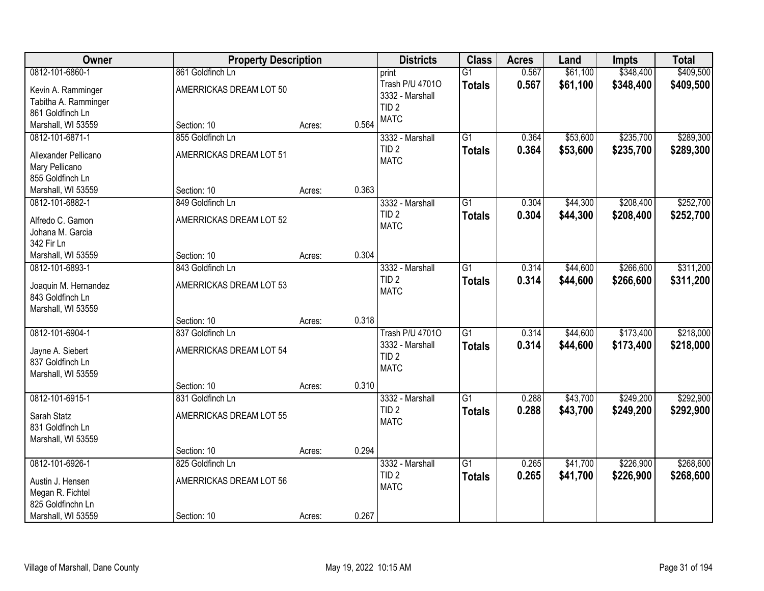| Owner                                    | <b>Property Description</b> |        |       | <b>Districts</b>                    | <b>Class</b>    | <b>Acres</b> | Land     | <b>Impts</b> | <b>Total</b> |
|------------------------------------------|-----------------------------|--------|-------|-------------------------------------|-----------------|--------------|----------|--------------|--------------|
| 0812-101-6860-1                          | 861 Goldfinch Ln            |        |       | print                               | $\overline{G1}$ | 0.567        | \$61,100 | \$348,400    | \$409,500    |
| Kevin A. Ramminger                       | AMERRICKAS DREAM LOT 50     |        |       | Trash P/U 47010                     | <b>Totals</b>   | 0.567        | \$61,100 | \$348,400    | \$409,500    |
| Tabitha A. Ramminger                     |                             |        |       | 3332 - Marshall                     |                 |              |          |              |              |
| 861 Goldfinch Ln                         |                             |        |       | TID <sub>2</sub>                    |                 |              |          |              |              |
| Marshall, WI 53559                       | Section: 10                 | Acres: | 0.564 | <b>MATC</b>                         |                 |              |          |              |              |
| 0812-101-6871-1                          | 855 Goldfinch Ln            |        |       | 3332 - Marshall                     | $\overline{G1}$ | 0.364        | \$53,600 | \$235,700    | \$289,300    |
| Allexander Pellicano                     | AMERRICKAS DREAM LOT 51     |        |       | TID <sub>2</sub>                    | <b>Totals</b>   | 0.364        | \$53,600 | \$235,700    | \$289,300    |
| Mary Pellicano                           |                             |        |       | <b>MATC</b>                         |                 |              |          |              |              |
| 855 Goldfinch Ln                         |                             |        |       |                                     |                 |              |          |              |              |
| Marshall, WI 53559                       | Section: 10                 | Acres: | 0.363 |                                     |                 |              |          |              |              |
| 0812-101-6882-1                          | 849 Goldfinch Ln            |        |       | 3332 - Marshall                     | $\overline{G1}$ | 0.304        | \$44,300 | \$208,400    | \$252,700    |
| Alfredo C. Gamon                         | AMERRICKAS DREAM LOT 52     |        |       | TID <sub>2</sub>                    | <b>Totals</b>   | 0.304        | \$44,300 | \$208,400    | \$252,700    |
| Johana M. Garcia                         |                             |        |       | <b>MATC</b>                         |                 |              |          |              |              |
| 342 Fir Ln                               |                             |        |       |                                     |                 |              |          |              |              |
| Marshall, WI 53559                       | Section: 10                 | Acres: | 0.304 |                                     |                 |              |          |              |              |
| 0812-101-6893-1                          | 843 Goldfinch Ln            |        |       | 3332 - Marshall                     | $\overline{G1}$ | 0.314        | \$44,600 | \$266,600    | \$311,200    |
|                                          |                             |        |       | TID <sub>2</sub>                    | <b>Totals</b>   | 0.314        | \$44,600 | \$266,600    | \$311,200    |
| Joaquin M. Hernandez<br>843 Goldfinch Ln | AMERRICKAS DREAM LOT 53     |        |       | <b>MATC</b>                         |                 |              |          |              |              |
| Marshall, WI 53559                       |                             |        |       |                                     |                 |              |          |              |              |
|                                          | Section: 10                 | Acres: | 0.318 |                                     |                 |              |          |              |              |
| 0812-101-6904-1                          | 837 Goldfinch Ln            |        |       | <b>Trash P/U 47010</b>              | $\overline{G1}$ | 0.314        | \$44,600 | \$173,400    | \$218,000    |
|                                          |                             |        |       | 3332 - Marshall                     | <b>Totals</b>   | 0.314        | \$44,600 | \$173,400    | \$218,000    |
| Jayne A. Siebert                         | AMERRICKAS DREAM LOT 54     |        |       | TID <sub>2</sub>                    |                 |              |          |              |              |
| 837 Goldfinch Ln                         |                             |        |       | <b>MATC</b>                         |                 |              |          |              |              |
| Marshall, WI 53559                       |                             |        |       |                                     |                 |              |          |              |              |
|                                          | Section: 10                 | Acres: | 0.310 |                                     |                 |              |          |              |              |
| 0812-101-6915-1                          | 831 Goldfinch Ln            |        |       | 3332 - Marshall<br>TID <sub>2</sub> | $\overline{G1}$ | 0.288        | \$43,700 | \$249,200    | \$292,900    |
| Sarah Statz                              | AMERRICKAS DREAM LOT 55     |        |       | <b>MATC</b>                         | <b>Totals</b>   | 0.288        | \$43,700 | \$249,200    | \$292,900    |
| 831 Goldfinch Ln                         |                             |        |       |                                     |                 |              |          |              |              |
| Marshall, WI 53559                       |                             |        |       |                                     |                 |              |          |              |              |
|                                          | Section: 10                 | Acres: | 0.294 |                                     |                 |              |          |              |              |
| 0812-101-6926-1                          | 825 Goldfinch Ln            |        |       | 3332 - Marshall                     | $\overline{G1}$ | 0.265        | \$41,700 | \$226,900    | \$268,600    |
| Austin J. Hensen                         | AMERRICKAS DREAM LOT 56     |        |       | TID <sub>2</sub>                    | <b>Totals</b>   | 0.265        | \$41,700 | \$226,900    | \$268,600    |
| Megan R. Fichtel                         |                             |        |       | <b>MATC</b>                         |                 |              |          |              |              |
| 825 Goldfinchn Ln                        |                             |        |       |                                     |                 |              |          |              |              |
| Marshall, WI 53559                       | Section: 10                 | Acres: | 0.267 |                                     |                 |              |          |              |              |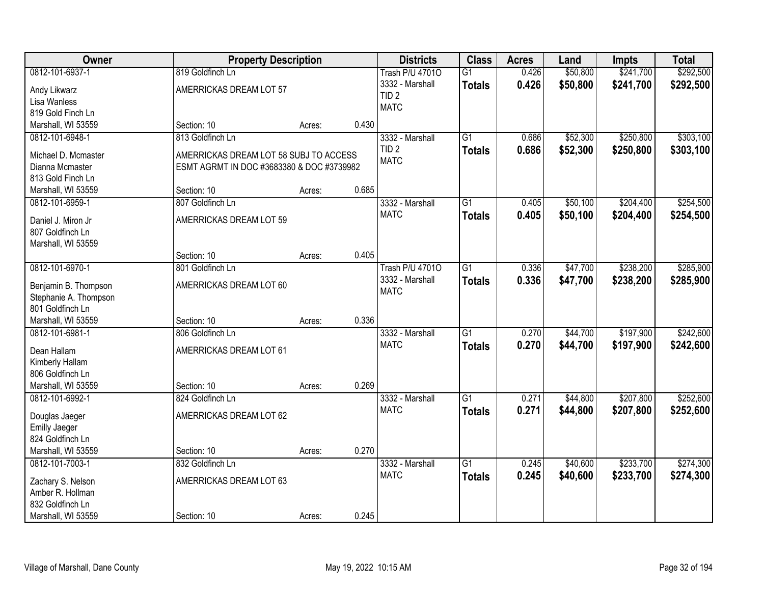| Owner                                                                                               |                                                                                                         | <b>Property Description</b> |       | <b>Districts</b>                                                             | <b>Class</b>                     | <b>Acres</b>   | Land                 | <b>Impts</b>           | <b>Total</b>           |
|-----------------------------------------------------------------------------------------------------|---------------------------------------------------------------------------------------------------------|-----------------------------|-------|------------------------------------------------------------------------------|----------------------------------|----------------|----------------------|------------------------|------------------------|
| 0812-101-6937-1<br>Andy Likwarz<br>Lisa Wanless<br>819 Gold Finch Ln                                | 819 Goldfinch Ln<br>AMERRICKAS DREAM LOT 57                                                             |                             |       | <b>Trash P/U 47010</b><br>3332 - Marshall<br>TID <sub>2</sub><br><b>MATC</b> | $\overline{G1}$<br><b>Totals</b> | 0.426<br>0.426 | \$50,800<br>\$50,800 | \$241,700<br>\$241,700 | \$292,500<br>\$292,500 |
| Marshall, WI 53559                                                                                  | Section: 10                                                                                             | Acres:                      | 0.430 |                                                                              |                                  |                |                      |                        |                        |
| 0812-101-6948-1<br>Michael D. Mcmaster<br>Dianna Mcmaster<br>813 Gold Finch Ln                      | 813 Goldfinch Ln<br>AMERRICKAS DREAM LOT 58 SUBJ TO ACCESS<br>ESMT AGRMT IN DOC #3683380 & DOC #3739982 |                             |       | 3332 - Marshall<br>TID <sub>2</sub><br><b>MATC</b>                           | $\overline{G1}$<br><b>Totals</b> | 0.686<br>0.686 | \$52,300<br>\$52,300 | \$250,800<br>\$250,800 | \$303,100<br>\$303,100 |
| Marshall, WI 53559                                                                                  | Section: 10                                                                                             | Acres:                      | 0.685 |                                                                              |                                  |                |                      |                        |                        |
| 0812-101-6959-1<br>Daniel J. Miron Jr<br>807 Goldfinch Ln<br>Marshall, WI 53559                     | 807 Goldfinch Ln<br>AMERRICKAS DREAM LOT 59                                                             |                             |       | 3332 - Marshall<br><b>MATC</b>                                               | $\overline{G1}$<br><b>Totals</b> | 0.405<br>0.405 | \$50,100<br>\$50,100 | \$204,400<br>\$204,400 | \$254,500<br>\$254,500 |
|                                                                                                     | Section: 10                                                                                             | Acres:                      | 0.405 |                                                                              |                                  |                |                      |                        |                        |
| 0812-101-6970-1<br>Benjamin B. Thompson<br>Stephanie A. Thompson<br>801 Goldfinch Ln                | 801 Goldfinch Ln<br>AMERRICKAS DREAM LOT 60                                                             |                             |       | <b>Trash P/U 47010</b><br>3332 - Marshall<br><b>MATC</b>                     | $\overline{G1}$<br><b>Totals</b> | 0.336<br>0.336 | \$47,700<br>\$47,700 | \$238,200<br>\$238,200 | \$285,900<br>\$285,900 |
| Marshall, WI 53559                                                                                  | Section: 10                                                                                             | Acres:                      | 0.336 |                                                                              |                                  |                |                      |                        |                        |
| 0812-101-6981-1<br>Dean Hallam<br>Kimberly Hallam<br>806 Goldfinch Ln<br>Marshall, WI 53559         | 806 Goldfinch Ln<br>AMERRICKAS DREAM LOT 61<br>Section: 10                                              | Acres:                      | 0.269 | 3332 - Marshall<br><b>MATC</b>                                               | $\overline{G1}$<br><b>Totals</b> | 0.270<br>0.270 | \$44,700<br>\$44,700 | \$197,900<br>\$197,900 | \$242,600<br>\$242,600 |
| 0812-101-6992-1<br>Douglas Jaeger<br><b>Emilly Jaeger</b><br>824 Goldfinch Ln<br>Marshall, WI 53559 | 824 Goldfinch Ln<br>AMERRICKAS DREAM LOT 62<br>Section: 10                                              | Acres:                      | 0.270 | 3332 - Marshall<br><b>MATC</b>                                               | $\overline{G1}$<br><b>Totals</b> | 0.271<br>0.271 | \$44,800<br>\$44,800 | \$207,800<br>\$207,800 | \$252,600<br>\$252,600 |
| 0812-101-7003-1                                                                                     | 832 Goldfinch Ln                                                                                        |                             |       | 3332 - Marshall                                                              | $\overline{G1}$                  | 0.245          | \$40,600             | \$233,700              | \$274,300              |
| Zachary S. Nelson<br>Amber R. Hollman<br>832 Goldfinch Ln<br>Marshall, WI 53559                     | AMERRICKAS DREAM LOT 63<br>Section: 10                                                                  | Acres:                      | 0.245 | <b>MATC</b>                                                                  | <b>Totals</b>                    | 0.245          | \$40,600             | \$233,700              | \$274,300              |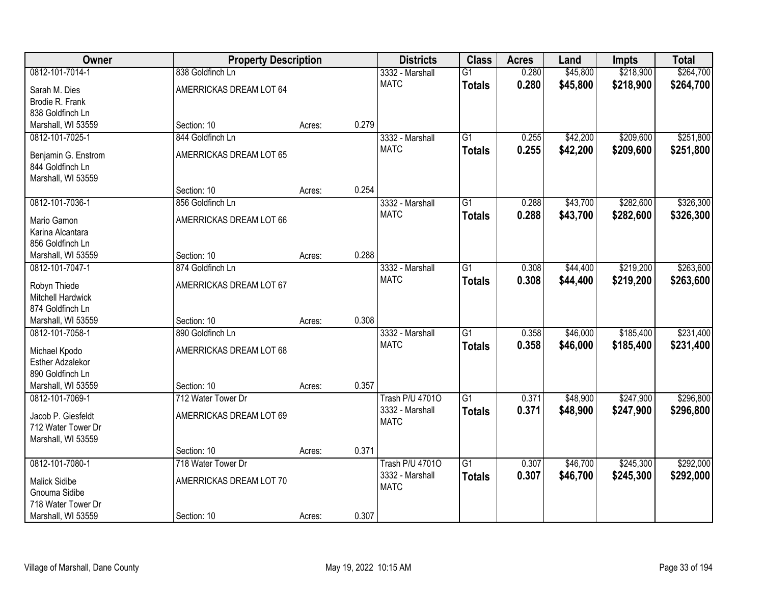| Owner<br><b>Property Description</b>   | <b>Districts</b>                            | <b>Class</b> | <b>Acres</b> | Land                           | <b>Impts</b>                     | <b>Total</b>   |                      |                        |                        |
|----------------------------------------|---------------------------------------------|--------------|--------------|--------------------------------|----------------------------------|----------------|----------------------|------------------------|------------------------|
| 0812-101-7014-1<br>Sarah M. Dies       | 838 Goldfinch Ln<br>AMERRICKAS DREAM LOT 64 |              |              | 3332 - Marshall<br><b>MATC</b> | $\overline{G1}$<br><b>Totals</b> | 0.280<br>0.280 | \$45,800<br>\$45,800 | \$218,900<br>\$218,900 | \$264,700<br>\$264,700 |
| Brodie R. Frank                        |                                             |              |              |                                |                                  |                |                      |                        |                        |
| 838 Goldfinch Ln                       |                                             |              |              |                                |                                  |                |                      |                        |                        |
| Marshall, WI 53559                     | Section: 10                                 | Acres:       | 0.279        |                                |                                  |                |                      |                        |                        |
| 0812-101-7025-1                        | 844 Goldfinch Ln                            |              |              | 3332 - Marshall                | $\overline{G1}$                  | 0.255          | \$42,200             | \$209,600              | \$251,800              |
| Benjamin G. Enstrom                    | AMERRICKAS DREAM LOT 65                     |              |              | <b>MATC</b>                    | <b>Totals</b>                    | 0.255          | \$42,200             | \$209,600              | \$251,800              |
| 844 Goldfinch Ln                       |                                             |              |              |                                |                                  |                |                      |                        |                        |
| Marshall, WI 53559                     |                                             |              |              |                                |                                  |                |                      |                        |                        |
|                                        | Section: 10                                 | Acres:       | 0.254        |                                |                                  |                |                      |                        |                        |
| 0812-101-7036-1                        | 856 Goldfinch Ln                            |              |              | 3332 - Marshall                | $\overline{G1}$                  | 0.288          | \$43,700             | \$282,600              | \$326,300              |
| Mario Gamon                            | AMERRICKAS DREAM LOT 66                     |              |              | <b>MATC</b>                    | <b>Totals</b>                    | 0.288          | \$43,700             | \$282,600              | \$326,300              |
| Karina Alcantara                       |                                             |              |              |                                |                                  |                |                      |                        |                        |
| 856 Goldfinch Ln                       |                                             |              |              |                                |                                  |                |                      |                        |                        |
| Marshall, WI 53559                     | Section: 10                                 | Acres:       | 0.288        |                                |                                  |                |                      |                        |                        |
| 0812-101-7047-1                        | 874 Goldfinch Ln                            |              |              | 3332 - Marshall                | $\overline{G1}$                  | 0.308          | \$44,400             | \$219,200              | \$263,600              |
|                                        |                                             |              |              | <b>MATC</b>                    | <b>Totals</b>                    | 0.308          | \$44,400             | \$219,200              | \$263,600              |
| Robyn Thiede<br>Mitchell Hardwick      | AMERRICKAS DREAM LOT 67                     |              |              |                                |                                  |                |                      |                        |                        |
| 874 Goldfinch Ln                       |                                             |              |              |                                |                                  |                |                      |                        |                        |
| Marshall, WI 53559                     | Section: 10                                 | Acres:       | 0.308        |                                |                                  |                |                      |                        |                        |
| 0812-101-7058-1                        | 890 Goldfinch Ln                            |              |              | 3332 - Marshall                | $\overline{G1}$                  | 0.358          | \$46,000             | \$185,400              | \$231,400              |
|                                        |                                             |              |              | <b>MATC</b>                    | <b>Totals</b>                    | 0.358          | \$46,000             | \$185,400              | \$231,400              |
| Michael Kpodo                          | AMERRICKAS DREAM LOT 68                     |              |              |                                |                                  |                |                      |                        |                        |
| <b>Esther Adzalekor</b>                |                                             |              |              |                                |                                  |                |                      |                        |                        |
| 890 Goldfinch Ln<br>Marshall, WI 53559 | Section: 10                                 |              | 0.357        |                                |                                  |                |                      |                        |                        |
| 0812-101-7069-1                        | 712 Water Tower Dr                          | Acres:       |              | <b>Trash P/U 47010</b>         | $\overline{G1}$                  | 0.371          | \$48,900             | \$247,900              | \$296,800              |
|                                        |                                             |              |              | 3332 - Marshall                |                                  | 0.371          | \$48,900             | \$247,900              | \$296,800              |
| Jacob P. Giesfeldt                     | AMERRICKAS DREAM LOT 69                     |              |              | <b>MATC</b>                    | <b>Totals</b>                    |                |                      |                        |                        |
| 712 Water Tower Dr                     |                                             |              |              |                                |                                  |                |                      |                        |                        |
| Marshall, WI 53559                     |                                             |              |              |                                |                                  |                |                      |                        |                        |
|                                        | Section: 10                                 | Acres:       | 0.371        |                                |                                  |                |                      |                        |                        |
| 0812-101-7080-1                        | 718 Water Tower Dr                          |              |              | <b>Trash P/U 47010</b>         | $\overline{G1}$                  | 0.307          | \$46,700             | \$245,300              | \$292,000              |
| <b>Malick Sidibe</b>                   | AMERRICKAS DREAM LOT 70                     |              |              | 3332 - Marshall                | <b>Totals</b>                    | 0.307          | \$46,700             | \$245,300              | \$292,000              |
| Gnouma Sidibe                          |                                             |              |              | <b>MATC</b>                    |                                  |                |                      |                        |                        |
| 718 Water Tower Dr                     |                                             |              |              |                                |                                  |                |                      |                        |                        |
| Marshall, WI 53559                     | Section: 10                                 | Acres:       | 0.307        |                                |                                  |                |                      |                        |                        |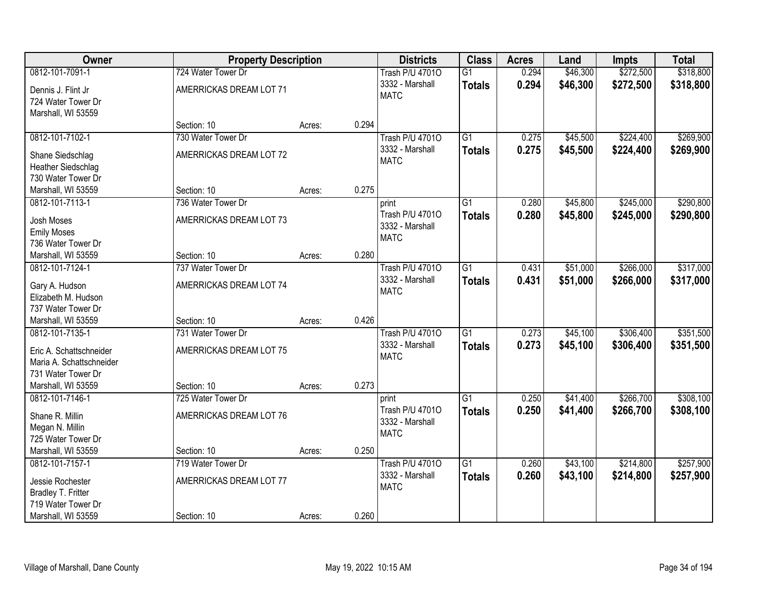| Owner                                     | <b>Property Description</b> |        |       | <b>Districts</b>               | <b>Class</b>    | <b>Acres</b> | Land     | Impts     | <b>Total</b> |
|-------------------------------------------|-----------------------------|--------|-------|--------------------------------|-----------------|--------------|----------|-----------|--------------|
| 0812-101-7091-1                           | 724 Water Tower Dr          |        |       | <b>Trash P/U 47010</b>         | $\overline{G1}$ | 0.294        | \$46,300 | \$272,500 | \$318,800    |
| Dennis J. Flint Jr<br>724 Water Tower Dr  | AMERRICKAS DREAM LOT 71     |        |       | 3332 - Marshall<br><b>MATC</b> | <b>Totals</b>   | 0.294        | \$46,300 | \$272,500 | \$318,800    |
| Marshall, WI 53559                        |                             |        |       |                                |                 |              |          |           |              |
|                                           | Section: 10                 | Acres: | 0.294 |                                |                 |              |          |           |              |
| 0812-101-7102-1                           | 730 Water Tower Dr          |        |       | <b>Trash P/U 47010</b>         | $\overline{G1}$ | 0.275        | \$45,500 | \$224,400 | \$269,900    |
| Shane Siedschlag                          | AMERRICKAS DREAM LOT 72     |        |       | 3332 - Marshall<br><b>MATC</b> | <b>Totals</b>   | 0.275        | \$45,500 | \$224,400 | \$269,900    |
| Heather Siedschlag                        |                             |        |       |                                |                 |              |          |           |              |
| 730 Water Tower Dr                        |                             |        |       |                                |                 |              |          |           |              |
| Marshall, WI 53559                        | Section: 10                 | Acres: | 0.275 |                                |                 |              |          |           |              |
| 0812-101-7113-1                           | 736 Water Tower Dr          |        |       | print                          | G1              | 0.280        | \$45,800 | \$245,000 | \$290,800    |
| Josh Moses                                | AMERRICKAS DREAM LOT 73     |        |       | Trash P/U 47010                | <b>Totals</b>   | 0.280        | \$45,800 | \$245,000 | \$290,800    |
| <b>Emily Moses</b>                        |                             |        |       | 3332 - Marshall                |                 |              |          |           |              |
| 736 Water Tower Dr                        |                             |        |       | <b>MATC</b>                    |                 |              |          |           |              |
| Marshall, WI 53559                        | Section: 10                 | Acres: | 0.280 |                                |                 |              |          |           |              |
| 0812-101-7124-1                           | 737 Water Tower Dr          |        |       | <b>Trash P/U 47010</b>         | $\overline{G1}$ | 0.431        | \$51,000 | \$266,000 | \$317,000    |
|                                           |                             |        |       | 3332 - Marshall                | <b>Totals</b>   | 0.431        | \$51,000 | \$266,000 | \$317,000    |
| Gary A. Hudson                            | AMERRICKAS DREAM LOT 74     |        |       | <b>MATC</b>                    |                 |              |          |           |              |
| Elizabeth M. Hudson<br>737 Water Tower Dr |                             |        |       |                                |                 |              |          |           |              |
| Marshall, WI 53559                        | Section: 10                 | Acres: | 0.426 |                                |                 |              |          |           |              |
| 0812-101-7135-1                           | 731 Water Tower Dr          |        |       | <b>Trash P/U 47010</b>         | $\overline{G1}$ | 0.273        | \$45,100 | \$306,400 | \$351,500    |
|                                           |                             |        |       | 3332 - Marshall                | <b>Totals</b>   | 0.273        | \$45,100 | \$306,400 | \$351,500    |
| Eric A. Schattschneider                   | AMERRICKAS DREAM LOT 75     |        |       | <b>MATC</b>                    |                 |              |          |           |              |
| Maria A. Schattschneider                  |                             |        |       |                                |                 |              |          |           |              |
| 731 Water Tower Dr                        |                             |        |       |                                |                 |              |          |           |              |
| Marshall, WI 53559                        | Section: 10                 | Acres: | 0.273 |                                |                 |              |          |           |              |
| 0812-101-7146-1                           | 725 Water Tower Dr          |        |       | print                          | $\overline{G1}$ | 0.250        | \$41,400 | \$266,700 | \$308,100    |
| Shane R. Millin                           | AMERRICKAS DREAM LOT 76     |        |       | Trash P/U 47010                | <b>Totals</b>   | 0.250        | \$41,400 | \$266,700 | \$308,100    |
| Megan N. Millin                           |                             |        |       | 3332 - Marshall                |                 |              |          |           |              |
| 725 Water Tower Dr                        |                             |        |       | <b>MATC</b>                    |                 |              |          |           |              |
| Marshall, WI 53559                        | Section: 10                 | Acres: | 0.250 |                                |                 |              |          |           |              |
| 0812-101-7157-1                           | 719 Water Tower Dr          |        |       | <b>Trash P/U 47010</b>         | $\overline{G1}$ | 0.260        | \$43,100 | \$214,800 | \$257,900    |
| Jessie Rochester                          | AMERRICKAS DREAM LOT 77     |        |       | 3332 - Marshall                | <b>Totals</b>   | 0.260        | \$43,100 | \$214,800 | \$257,900    |
| Bradley T. Fritter                        |                             |        |       | <b>MATC</b>                    |                 |              |          |           |              |
| 719 Water Tower Dr                        |                             |        |       |                                |                 |              |          |           |              |
| Marshall, WI 53559                        | Section: 10                 | Acres: | 0.260 |                                |                 |              |          |           |              |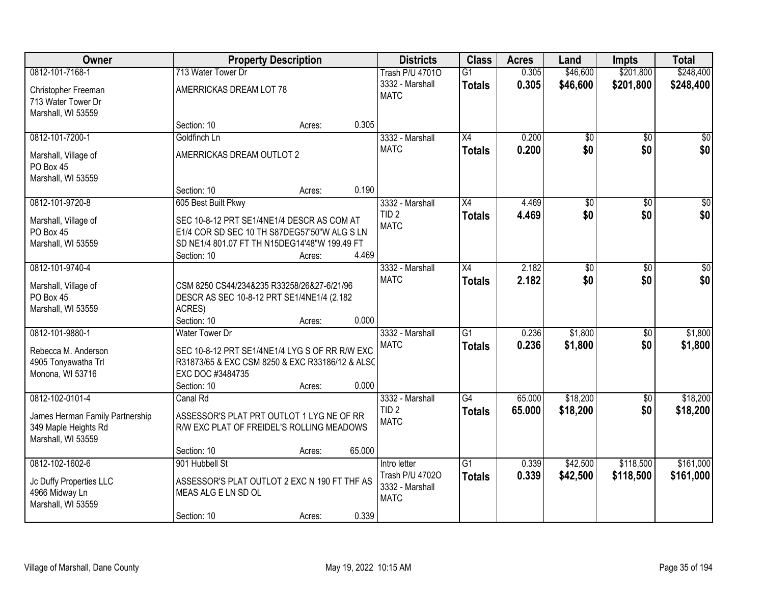| Owner                                                                         |                                                                                                                                                            | <b>Property Description</b> |        | <b>Districts</b>                                  | <b>Class</b>    | <b>Acres</b> | Land            | <b>Impts</b>    | <b>Total</b>    |
|-------------------------------------------------------------------------------|------------------------------------------------------------------------------------------------------------------------------------------------------------|-----------------------------|--------|---------------------------------------------------|-----------------|--------------|-----------------|-----------------|-----------------|
| 0812-101-7168-1                                                               | 713 Water Tower Dr                                                                                                                                         |                             |        | <b>Trash P/U 47010</b>                            | $\overline{G1}$ | 0.305        | \$46,600        | \$201,800       | \$248,400       |
| Christopher Freeman<br>713 Water Tower Dr<br>Marshall, WI 53559               | AMERRICKAS DREAM LOT 78                                                                                                                                    |                             |        | 3332 - Marshall<br><b>MATC</b>                    | <b>Totals</b>   | 0.305        | \$46,600        | \$201,800       | \$248,400       |
|                                                                               | Section: 10                                                                                                                                                | Acres:                      | 0.305  |                                                   |                 |              |                 |                 |                 |
| 0812-101-7200-1                                                               | Goldfinch Ln                                                                                                                                               |                             |        | 3332 - Marshall                                   | X4              | 0.200        | \$0             | $\overline{50}$ | \$0             |
| Marshall, Village of<br>PO Box 45<br>Marshall, WI 53559                       | AMERRICKAS DREAM OUTLOT 2                                                                                                                                  |                             |        | <b>MATC</b>                                       | <b>Totals</b>   | 0.200        | \$0             | \$0             | \$0             |
|                                                                               | Section: 10                                                                                                                                                | Acres:                      | 0.190  |                                                   |                 |              |                 |                 |                 |
| 0812-101-9720-8                                                               | 605 Best Built Pkwy                                                                                                                                        |                             |        | 3332 - Marshall                                   | X4              | 4.469        | $\overline{50}$ | \$0             | $\overline{50}$ |
| Marshall, Village of<br>PO Box 45<br>Marshall, WI 53559                       | SEC 10-8-12 PRT SE1/4NE1/4 DESCR AS COM AT<br>E1/4 COR SD SEC 10 TH S87DEG57'50"W ALG S LN<br>SD NE1/4 801.07 FT TH N15DEG14'48"W 199.49 FT<br>Section: 10 | Acres:                      | 4.469  | TID <sub>2</sub><br><b>MATC</b>                   | <b>Totals</b>   | 4.469        | \$0             | \$0             | \$0             |
| 0812-101-9740-4                                                               |                                                                                                                                                            |                             |        | 3332 - Marshall                                   | $\overline{X4}$ | 2.182        | $\overline{50}$ | \$0             | $\sqrt{50}$     |
| Marshall, Village of<br>PO Box 45<br>Marshall, WI 53559                       | CSM 8250 CS44/234&235 R33258/26&27-6/21/96<br>DESCR AS SEC 10-8-12 PRT SE1/4NE1/4 (2.182<br>ACRES)                                                         |                             |        | <b>MATC</b>                                       | <b>Totals</b>   | 2.182        | \$0             | \$0             | \$0             |
| 0812-101-9880-1                                                               | Section: 10<br><b>Water Tower Dr</b>                                                                                                                       | Acres:                      | 0.000  |                                                   | $\overline{G1}$ | 0.236        | \$1,800         | \$0             | \$1,800         |
| Rebecca M. Anderson<br>4905 Tonyawatha Trl<br>Monona, WI 53716                | SEC 10-8-12 PRT SE1/4NE1/4 LYG S OF RR R/W EXC<br>R31873/65 & EXC CSM 8250 & EXC R33186/12 & ALSC<br>EXC DOC #3484735<br>Section: 10                       | Acres:                      | 0.000  | 3332 - Marshall<br><b>MATC</b>                    | <b>Totals</b>   | 0.236        | \$1,800         | \$0             | \$1,800         |
| 0812-102-0101-4                                                               | Canal Rd                                                                                                                                                   |                             |        | 3332 - Marshall                                   | $\overline{G4}$ | 65.000       | \$18,200        | \$0             | \$18,200        |
| James Herman Family Partnership<br>349 Maple Heights Rd<br>Marshall, WI 53559 | ASSESSOR'S PLAT PRT OUTLOT 1 LYG NE OF RR<br>R/W EXC PLAT OF FREIDEL'S ROLLING MEADOWS                                                                     |                             | 65.000 | TID <sub>2</sub><br><b>MATC</b>                   | <b>Totals</b>   | 65.000       | \$18,200        | \$0             | \$18,200        |
| 0812-102-1602-6                                                               | Section: 10<br>901 Hubbell St                                                                                                                              | Acres:                      |        | Intro letter                                      | $\overline{G1}$ | 0.339        | \$42,500        | \$118,500       | \$161,000       |
| Jc Duffy Properties LLC<br>4966 Midway Ln<br>Marshall, WI 53559               | ASSESSOR'S PLAT OUTLOT 2 EXC N 190 FT THF AS<br>MEAS ALG E LN SD OL<br>Section: 10                                                                         | Acres:                      | 0.339  | Trash P/U 47020<br>3332 - Marshall<br><b>MATC</b> | <b>Totals</b>   | 0.339        | \$42,500        | \$118,500       | \$161,000       |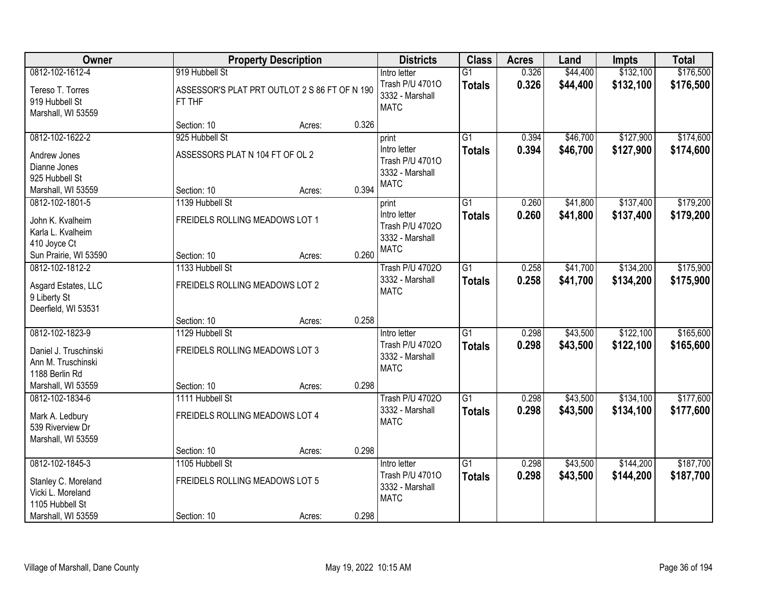| Owner                                                                                                |                                                                           | <b>Property Description</b> |       | <b>Districts</b>                                                           | <b>Class</b>                     | <b>Acres</b>   | Land                 | <b>Impts</b>           | <b>Total</b>           |
|------------------------------------------------------------------------------------------------------|---------------------------------------------------------------------------|-----------------------------|-------|----------------------------------------------------------------------------|----------------------------------|----------------|----------------------|------------------------|------------------------|
| 0812-102-1612-4<br>Tereso T. Torres<br>919 Hubbell St<br>Marshall, WI 53559                          | 919 Hubbell St<br>ASSESSOR'S PLAT PRT OUTLOT 2 S 86 FT OF N 190<br>FT THF |                             |       | Intro letter<br>Trash P/U 47010<br>3332 - Marshall<br><b>MATC</b>          | $\overline{G1}$<br><b>Totals</b> | 0.326<br>0.326 | \$44,400<br>\$44,400 | \$132,100<br>\$132,100 | \$176,500<br>\$176,500 |
|                                                                                                      | Section: 10                                                               | Acres:                      | 0.326 |                                                                            |                                  |                |                      |                        |                        |
| 0812-102-1622-2<br>Andrew Jones<br>Dianne Jones<br>925 Hubbell St<br>Marshall, WI 53559              | 925 Hubbell St<br>ASSESSORS PLAT N 104 FT OF OL 2<br>Section: 10          | Acres:                      | 0.394 | print<br>Intro letter<br>Trash P/U 47010<br>3332 - Marshall<br><b>MATC</b> | G1<br><b>Totals</b>              | 0.394<br>0.394 | \$46,700<br>\$46,700 | \$127,900<br>\$127,900 | \$174,600<br>\$174,600 |
| 0812-102-1801-5<br>John K. Kvalheim<br>Karla L. Kvalheim<br>410 Joyce Ct<br>Sun Prairie, WI 53590    | 1139 Hubbell St<br>FREIDELS ROLLING MEADOWS LOT 1<br>Section: 10          | Acres:                      | 0.260 | print<br>Intro letter<br>Trash P/U 47020<br>3332 - Marshall<br><b>MATC</b> | $\overline{G1}$<br><b>Totals</b> | 0.260<br>0.260 | \$41,800<br>\$41,800 | \$137,400<br>\$137,400 | \$179,200<br>\$179,200 |
| 0812-102-1812-2<br>Asgard Estates, LLC<br>9 Liberty St<br>Deerfield, WI 53531                        | 1133 Hubbell St<br>FREIDELS ROLLING MEADOWS LOT 2                         |                             |       | <b>Trash P/U 47020</b><br>3332 - Marshall<br><b>MATC</b>                   | $\overline{G1}$<br><b>Totals</b> | 0.258<br>0.258 | \$41,700<br>\$41,700 | \$134,200<br>\$134,200 | \$175,900<br>\$175,900 |
|                                                                                                      | Section: 10                                                               | Acres:                      | 0.258 |                                                                            |                                  |                |                      |                        |                        |
| 0812-102-1823-9<br>Daniel J. Truschinski<br>Ann M. Truschinski<br>1188 Berlin Rd                     | 1129 Hubbell St<br>FREIDELS ROLLING MEADOWS LOT 3<br>Section: 10          |                             | 0.298 | Intro letter<br>Trash P/U 47020<br>3332 - Marshall<br><b>MATC</b>          | $\overline{G1}$<br><b>Totals</b> | 0.298<br>0.298 | \$43,500<br>\$43,500 | \$122,100<br>\$122,100 | \$165,600<br>\$165,600 |
| Marshall, WI 53559<br>0812-102-1834-6                                                                | 1111 Hubbell St                                                           | Acres:                      |       | <b>Trash P/U 47020</b>                                                     | $\overline{G1}$                  | 0.298          | \$43,500             | \$134,100              | \$177,600              |
| Mark A. Ledbury<br>539 Riverview Dr<br>Marshall, WI 53559                                            | FREIDELS ROLLING MEADOWS LOT 4                                            |                             |       | 3332 - Marshall<br><b>MATC</b>                                             | <b>Totals</b>                    | 0.298          | \$43,500             | \$134,100              | \$177,600              |
|                                                                                                      | Section: 10                                                               | Acres:                      | 0.298 |                                                                            |                                  |                |                      |                        |                        |
| 0812-102-1845-3<br>Stanley C. Moreland<br>Vicki L. Moreland<br>1105 Hubbell St<br>Marshall, WI 53559 | 1105 Hubbell St<br>FREIDELS ROLLING MEADOWS LOT 5<br>Section: 10          | Acres:                      | 0.298 | Intro letter<br>Trash P/U 47010<br>3332 - Marshall<br><b>MATC</b>          | $\overline{G1}$<br><b>Totals</b> | 0.298<br>0.298 | \$43,500<br>\$43,500 | \$144,200<br>\$144,200 | \$187,700<br>\$187,700 |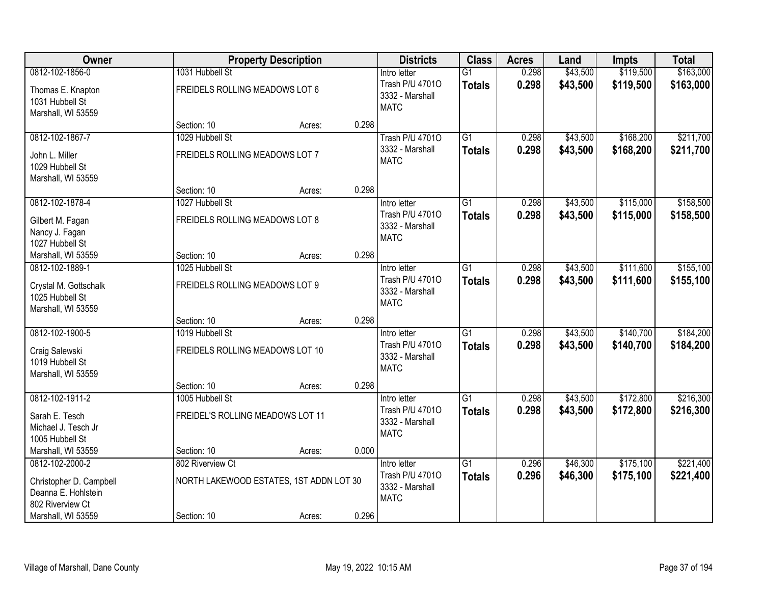| <b>Owner</b>            |                                         | <b>Property Description</b> |       | <b>Districts</b>               | <b>Class</b>    | <b>Acres</b> | Land     | <b>Impts</b> | <b>Total</b> |
|-------------------------|-----------------------------------------|-----------------------------|-------|--------------------------------|-----------------|--------------|----------|--------------|--------------|
| 0812-102-1856-0         | 1031 Hubbell St                         |                             |       | Intro letter                   | $\overline{G1}$ | 0.298        | \$43,500 | \$119,500    | \$163,000    |
| Thomas E. Knapton       | FREIDELS ROLLING MEADOWS LOT 6          |                             |       | Trash P/U 47010                | <b>Totals</b>   | 0.298        | \$43,500 | \$119,500    | \$163,000    |
| 1031 Hubbell St         |                                         |                             |       | 3332 - Marshall<br><b>MATC</b> |                 |              |          |              |              |
| Marshall, WI 53559      |                                         |                             |       |                                |                 |              |          |              |              |
|                         | Section: 10                             | Acres:                      | 0.298 |                                |                 |              |          |              |              |
| 0812-102-1867-7         | 1029 Hubbell St                         |                             |       | <b>Trash P/U 47010</b>         | $\overline{G1}$ | 0.298        | \$43,500 | \$168,200    | \$211,700    |
| John L. Miller          | FREIDELS ROLLING MEADOWS LOT 7          |                             |       | 3332 - Marshall                | Totals          | 0.298        | \$43,500 | \$168,200    | \$211,700    |
| 1029 Hubbell St         |                                         |                             |       | <b>MATC</b>                    |                 |              |          |              |              |
| Marshall, WI 53559      |                                         |                             |       |                                |                 |              |          |              |              |
|                         | Section: 10                             | Acres:                      | 0.298 |                                |                 |              |          |              |              |
| 0812-102-1878-4         | 1027 Hubbell St                         |                             |       | Intro letter                   | $\overline{G1}$ | 0.298        | \$43,500 | \$115,000    | \$158,500    |
| Gilbert M. Fagan        | FREIDELS ROLLING MEADOWS LOT 8          |                             |       | Trash P/U 47010                | <b>Totals</b>   | 0.298        | \$43,500 | \$115,000    | \$158,500    |
| Nancy J. Fagan          |                                         |                             |       | 3332 - Marshall                |                 |              |          |              |              |
| 1027 Hubbell St         |                                         |                             |       | <b>MATC</b>                    |                 |              |          |              |              |
| Marshall, WI 53559      | Section: 10                             | Acres:                      | 0.298 |                                |                 |              |          |              |              |
| 0812-102-1889-1         | 1025 Hubbell St                         |                             |       | Intro letter                   | $\overline{G1}$ | 0.298        | \$43,500 | \$111,600    | \$155,100    |
| Crystal M. Gottschalk   | FREIDELS ROLLING MEADOWS LOT 9          |                             |       | Trash P/U 47010                | <b>Totals</b>   | 0.298        | \$43,500 | \$111,600    | \$155,100    |
| 1025 Hubbell St         |                                         |                             |       | 3332 - Marshall                |                 |              |          |              |              |
| Marshall, WI 53559      |                                         |                             |       | <b>MATC</b>                    |                 |              |          |              |              |
|                         | Section: 10                             | Acres:                      | 0.298 |                                |                 |              |          |              |              |
| 0812-102-1900-5         | 1019 Hubbell St                         |                             |       | Intro letter                   | $\overline{G1}$ | 0.298        | \$43,500 | \$140,700    | \$184,200    |
| Craig Salewski          | FREIDELS ROLLING MEADOWS LOT 10         |                             |       | Trash P/U 47010                | <b>Totals</b>   | 0.298        | \$43,500 | \$140,700    | \$184,200    |
| 1019 Hubbell St         |                                         |                             |       | 3332 - Marshall                |                 |              |          |              |              |
| Marshall, WI 53559      |                                         |                             |       | <b>MATC</b>                    |                 |              |          |              |              |
|                         | Section: 10                             | Acres:                      | 0.298 |                                |                 |              |          |              |              |
| 0812-102-1911-2         | 1005 Hubbell St                         |                             |       | Intro letter                   | $\overline{G1}$ | 0.298        | \$43,500 | \$172,800    | \$216,300    |
| Sarah E. Tesch          | FREIDEL'S ROLLING MEADOWS LOT 11        |                             |       | Trash P/U 47010                | <b>Totals</b>   | 0.298        | \$43,500 | \$172,800    | \$216,300    |
| Michael J. Tesch Jr     |                                         |                             |       | 3332 - Marshall                |                 |              |          |              |              |
| 1005 Hubbell St         |                                         |                             |       | <b>MATC</b>                    |                 |              |          |              |              |
| Marshall, WI 53559      | Section: 10                             | Acres:                      | 0.000 |                                |                 |              |          |              |              |
| 0812-102-2000-2         | 802 Riverview Ct                        |                             |       | Intro letter                   | $\overline{G1}$ | 0.296        | \$46,300 | \$175,100    | \$221,400    |
| Christopher D. Campbell | NORTH LAKEWOOD ESTATES, 1ST ADDN LOT 30 |                             |       | Trash P/U 47010                | <b>Totals</b>   | 0.296        | \$46,300 | \$175,100    | \$221,400    |
| Deanna E. Hohlstein     |                                         |                             |       | 3332 - Marshall                |                 |              |          |              |              |
| 802 Riverview Ct        |                                         |                             |       | <b>MATC</b>                    |                 |              |          |              |              |
| Marshall, WI 53559      | Section: 10                             | Acres:                      | 0.296 |                                |                 |              |          |              |              |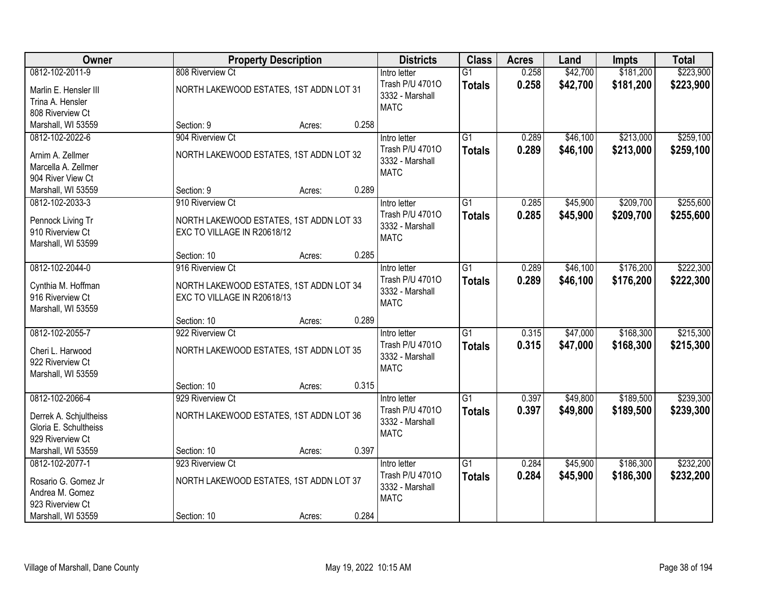| Owner                                                                                               |                                                                                            | <b>Property Description</b> |       | <b>Districts</b>                                                  | <b>Class</b>                     | <b>Acres</b>   | Land                 | <b>Impts</b>           | <b>Total</b>           |
|-----------------------------------------------------------------------------------------------------|--------------------------------------------------------------------------------------------|-----------------------------|-------|-------------------------------------------------------------------|----------------------------------|----------------|----------------------|------------------------|------------------------|
| 0812-102-2011-9                                                                                     | 808 Riverview Ct                                                                           |                             |       | Intro letter                                                      | $\overline{G1}$                  | 0.258          | \$42,700             | \$181,200              | \$223,900              |
| Marlin E. Hensler III<br>Trina A. Hensler<br>808 Riverview Ct                                       | NORTH LAKEWOOD ESTATES, 1ST ADDN LOT 31                                                    |                             |       | Trash P/U 47010<br>3332 - Marshall<br><b>MATC</b>                 | <b>Totals</b>                    | 0.258          | \$42,700             | \$181,200              | \$223,900              |
| Marshall, WI 53559                                                                                  | Section: 9                                                                                 | Acres:                      | 0.258 |                                                                   |                                  |                |                      |                        |                        |
| 0812-102-2022-6<br>Arnim A. Zellmer<br>Marcella A. Zellmer<br>904 River View Ct                     | 904 Riverview Ct<br>NORTH LAKEWOOD ESTATES, 1ST ADDN LOT 32                                |                             |       | Intro letter<br>Trash P/U 47010<br>3332 - Marshall<br><b>MATC</b> | G1<br><b>Totals</b>              | 0.289<br>0.289 | \$46,100<br>\$46,100 | \$213,000<br>\$213,000 | \$259,100<br>\$259,100 |
| Marshall, WI 53559                                                                                  | Section: 9                                                                                 | Acres:                      | 0.289 |                                                                   |                                  |                |                      |                        |                        |
| 0812-102-2033-3<br>Pennock Living Tr<br>910 Riverview Ct<br>Marshall, WI 53599                      | 910 Riverview Ct<br>NORTH LAKEWOOD ESTATES, 1ST ADDN LOT 33<br>EXC TO VILLAGE IN R20618/12 |                             |       | Intro letter<br>Trash P/U 47010<br>3332 - Marshall<br><b>MATC</b> | G1<br><b>Totals</b>              | 0.285<br>0.285 | \$45,900<br>\$45,900 | \$209,700<br>\$209,700 | \$255,600<br>\$255,600 |
|                                                                                                     | Section: 10                                                                                | Acres:                      | 0.285 |                                                                   |                                  |                |                      |                        |                        |
| 0812-102-2044-0<br>Cynthia M. Hoffman<br>916 Riverview Ct<br>Marshall, WI 53559                     | 916 Riverview Ct<br>NORTH LAKEWOOD ESTATES, 1ST ADDN LOT 34<br>EXC TO VILLAGE IN R20618/13 |                             |       | Intro letter<br>Trash P/U 47010<br>3332 - Marshall<br><b>MATC</b> | $\overline{G1}$<br><b>Totals</b> | 0.289<br>0.289 | \$46,100<br>\$46,100 | \$176,200<br>\$176,200 | \$222,300<br>\$222,300 |
|                                                                                                     | Section: 10                                                                                | Acres:                      | 0.289 |                                                                   |                                  |                |                      |                        |                        |
| 0812-102-2055-7<br>Cheri L. Harwood<br>922 Riverview Ct<br>Marshall, WI 53559                       | 922 Riverview Ct<br>NORTH LAKEWOOD ESTATES, 1ST ADDN LOT 35                                |                             |       | Intro letter<br>Trash P/U 47010<br>3332 - Marshall<br><b>MATC</b> | $\overline{G1}$<br><b>Totals</b> | 0.315<br>0.315 | \$47,000<br>\$47,000 | \$168,300<br>\$168,300 | \$215,300<br>\$215,300 |
|                                                                                                     | Section: 10                                                                                | Acres:                      | 0.315 |                                                                   |                                  |                |                      |                        |                        |
| 0812-102-2066-4<br>Derrek A. Schjultheiss<br>Gloria E. Schultheiss<br>929 Riverview Ct              | 929 Riverview Ct<br>NORTH LAKEWOOD ESTATES, 1ST ADDN LOT 36                                |                             |       | Intro letter<br>Trash P/U 47010<br>3332 - Marshall<br><b>MATC</b> | G1<br><b>Totals</b>              | 0.397<br>0.397 | \$49,800<br>\$49,800 | \$189,500<br>\$189,500 | \$239,300<br>\$239,300 |
| Marshall, WI 53559                                                                                  | Section: 10                                                                                | Acres:                      | 0.397 |                                                                   |                                  |                |                      |                        |                        |
| 0812-102-2077-1<br>Rosario G. Gomez Jr<br>Andrea M. Gomez<br>923 Riverview Ct<br>Marshall, WI 53559 | 923 Riverview Ct<br>NORTH LAKEWOOD ESTATES, 1ST ADDN LOT 37<br>Section: 10                 | Acres:                      | 0.284 | Intro letter<br>Trash P/U 47010<br>3332 - Marshall<br><b>MATC</b> | $\overline{G1}$<br><b>Totals</b> | 0.284<br>0.284 | \$45,900<br>\$45,900 | \$186,300<br>\$186,300 | \$232,200<br>\$232,200 |
|                                                                                                     |                                                                                            |                             |       |                                                                   |                                  |                |                      |                        |                        |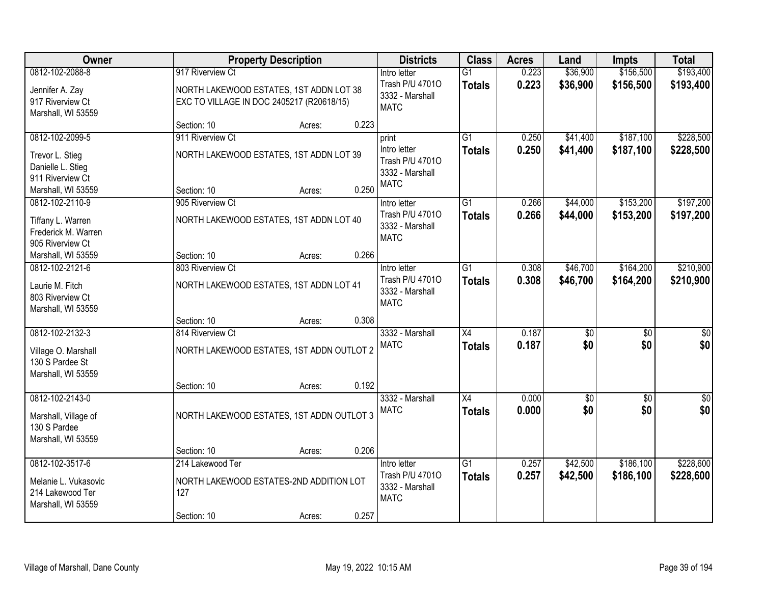| Owner                                                                          |                                                                                      | <b>Property Description</b> |       | <b>Districts</b>                                                  | <b>Class</b>                     | <b>Acres</b>   | Land                   | <b>Impts</b>           | <b>Total</b>           |
|--------------------------------------------------------------------------------|--------------------------------------------------------------------------------------|-----------------------------|-------|-------------------------------------------------------------------|----------------------------------|----------------|------------------------|------------------------|------------------------|
| 0812-102-2088-8                                                                | 917 Riverview Ct                                                                     |                             |       | Intro letter                                                      | $\overline{G1}$                  | 0.223          | \$36,900               | \$156,500              | \$193,400              |
| Jennifer A. Zay<br>917 Riverview Ct<br>Marshall, WI 53559                      | NORTH LAKEWOOD ESTATES, 1ST ADDN LOT 38<br>EXC TO VILLAGE IN DOC 2405217 (R20618/15) |                             |       | Trash P/U 47010<br>3332 - Marshall<br><b>MATC</b>                 | <b>Totals</b>                    | 0.223          | \$36,900               | \$156,500              | \$193,400              |
|                                                                                | Section: 10                                                                          | Acres:                      | 0.223 |                                                                   |                                  |                |                        |                        |                        |
| 0812-102-2099-5                                                                | 911 Riverview Ct                                                                     |                             |       | print                                                             | $\overline{G1}$                  | 0.250          | \$41,400               | \$187,100              | \$228,500              |
| Trevor L. Stieg<br>Danielle L. Stieg<br>911 Riverview Ct<br>Marshall, WI 53559 | NORTH LAKEWOOD ESTATES, 1ST ADDN LOT 39<br>Section: 10                               | Acres:                      | 0.250 | Intro letter<br>Trash P/U 47010<br>3332 - Marshall<br><b>MATC</b> | <b>Totals</b>                    | 0.250          | \$41,400               | \$187,100              | \$228,500              |
| 0812-102-2110-9                                                                | 905 Riverview Ct                                                                     |                             |       | Intro letter                                                      | G1                               | 0.266          | \$44,000               | \$153,200              | \$197,200              |
| Tiffany L. Warren<br>Frederick M. Warren<br>905 Riverview Ct                   | NORTH LAKEWOOD ESTATES, 1ST ADDN LOT 40                                              |                             |       | Trash P/U 47010<br>3332 - Marshall<br><b>MATC</b>                 | <b>Totals</b>                    | 0.266          | \$44,000               | \$153,200              | \$197,200              |
| Marshall, WI 53559                                                             | Section: 10                                                                          | Acres:                      | 0.266 |                                                                   |                                  |                |                        |                        |                        |
| 0812-102-2121-6                                                                | 803 Riverview Ct                                                                     |                             |       | Intro letter                                                      | G1                               | 0.308          | \$46,700               | \$164,200              | \$210,900              |
| Laurie M. Fitch<br>803 Riverview Ct<br>Marshall, WI 53559                      | NORTH LAKEWOOD ESTATES, 1ST ADDN LOT 41                                              |                             |       | Trash P/U 47010<br>3332 - Marshall<br><b>MATC</b>                 | <b>Totals</b>                    | 0.308          | \$46,700               | \$164,200              | \$210,900              |
|                                                                                | Section: 10                                                                          | Acres:                      | 0.308 |                                                                   |                                  |                |                        |                        |                        |
| 0812-102-2132-3<br>Village O. Marshall<br>130 S Pardee St                      | 814 Riverview Ct<br>NORTH LAKEWOOD ESTATES, 1ST ADDN OUTLOT 2                        |                             |       | 3332 - Marshall<br><b>MATC</b>                                    | $\overline{X4}$<br><b>Totals</b> | 0.187<br>0.187 | $\overline{50}$<br>\$0 | $\overline{50}$<br>\$0 | $\overline{50}$<br>\$0 |
| Marshall, WI 53559                                                             |                                                                                      |                             |       |                                                                   |                                  |                |                        |                        |                        |
|                                                                                | Section: 10                                                                          | Acres:                      | 0.192 |                                                                   |                                  |                |                        |                        |                        |
| 0812-102-2143-0<br>Marshall, Village of<br>130 S Pardee                        | NORTH LAKEWOOD ESTATES, 1ST ADDN OUTLOT 3                                            |                             |       | 3332 - Marshall<br><b>MATC</b>                                    | X4<br><b>Totals</b>              | 0.000<br>0.000 | $\sqrt{50}$<br>\$0     | $\overline{50}$<br>\$0 | $\sqrt{60}$<br>\$0     |
| Marshall, WI 53559                                                             |                                                                                      |                             |       |                                                                   |                                  |                |                        |                        |                        |
|                                                                                | Section: 10                                                                          | Acres:                      | 0.206 |                                                                   |                                  |                |                        |                        |                        |
| 0812-102-3517-6                                                                | 214 Lakewood Ter                                                                     |                             |       | Intro letter                                                      | $\overline{G1}$                  | 0.257          | \$42,500               | \$186,100              | \$228,600              |
| Melanie L. Vukasovic<br>214 Lakewood Ter<br>Marshall, WI 53559                 | NORTH LAKEWOOD ESTATES-2ND ADDITION LOT<br>127                                       |                             |       | Trash P/U 47010<br>3332 - Marshall<br><b>MATC</b>                 | <b>Totals</b>                    | 0.257          | \$42,500               | \$186,100              | \$228,600              |
|                                                                                | Section: 10                                                                          | Acres:                      | 0.257 |                                                                   |                                  |                |                        |                        |                        |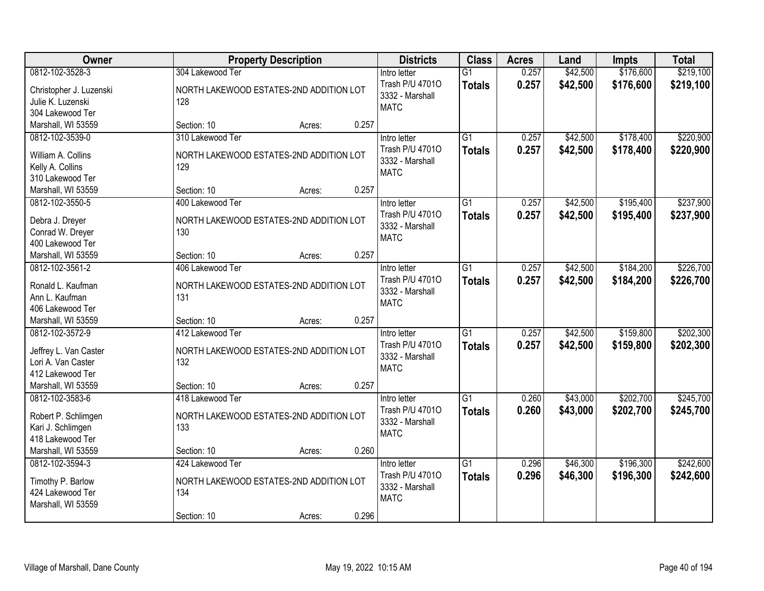| Owner                                      | <b>Property Description</b>                                 | <b>Districts</b>                | <b>Class</b>                     | <b>Acres</b>   | Land                 | <b>Impts</b>           | <b>Total</b>           |
|--------------------------------------------|-------------------------------------------------------------|---------------------------------|----------------------------------|----------------|----------------------|------------------------|------------------------|
| 0812-102-3528-3<br>Christopher J. Luzenski | 304 Lakewood Ter<br>NORTH LAKEWOOD ESTATES-2ND ADDITION LOT | Intro letter<br>Trash P/U 47010 | $\overline{G1}$<br><b>Totals</b> | 0.257<br>0.257 | \$42,500<br>\$42,500 | \$176,600<br>\$176,600 | \$219,100<br>\$219,100 |
| Julie K. Luzenski                          | 128                                                         | 3332 - Marshall                 |                                  |                |                      |                        |                        |
| 304 Lakewood Ter                           |                                                             | <b>MATC</b>                     |                                  |                |                      |                        |                        |
| Marshall, WI 53559                         | 0.257<br>Section: 10<br>Acres:                              |                                 |                                  |                |                      |                        |                        |
| 0812-102-3539-0                            | 310 Lakewood Ter                                            | Intro letter                    | $\overline{G1}$                  | 0.257          | \$42,500             | \$178,400              | \$220,900              |
| William A. Collins                         | NORTH LAKEWOOD ESTATES-2ND ADDITION LOT                     | Trash P/U 47010                 | <b>Totals</b>                    | 0.257          | \$42,500             | \$178,400              | \$220,900              |
| Kelly A. Collins                           | 129                                                         | 3332 - Marshall                 |                                  |                |                      |                        |                        |
| 310 Lakewood Ter                           |                                                             | <b>MATC</b>                     |                                  |                |                      |                        |                        |
| Marshall, WI 53559                         | 0.257<br>Section: 10<br>Acres:                              |                                 |                                  |                |                      |                        |                        |
| 0812-102-3550-5                            | 400 Lakewood Ter                                            | Intro letter                    | G1                               | 0.257          | \$42,500             | \$195,400              | \$237,900              |
| Debra J. Dreyer                            | NORTH LAKEWOOD ESTATES-2ND ADDITION LOT                     | Trash P/U 47010                 | <b>Totals</b>                    | 0.257          | \$42,500             | \$195,400              | \$237,900              |
| Conrad W. Dreyer                           | 130                                                         | 3332 - Marshall                 |                                  |                |                      |                        |                        |
| 400 Lakewood Ter                           |                                                             | <b>MATC</b>                     |                                  |                |                      |                        |                        |
| Marshall, WI 53559                         | 0.257<br>Section: 10<br>Acres:                              |                                 |                                  |                |                      |                        |                        |
| 0812-102-3561-2                            | 406 Lakewood Ter                                            | Intro letter                    | G1                               | 0.257          | \$42,500             | \$184,200              | \$226,700              |
| Ronald L. Kaufman                          | NORTH LAKEWOOD ESTATES-2ND ADDITION LOT                     | Trash P/U 47010                 | <b>Totals</b>                    | 0.257          | \$42,500             | \$184,200              | \$226,700              |
| Ann L. Kaufman                             | 131                                                         | 3332 - Marshall                 |                                  |                |                      |                        |                        |
| 406 Lakewood Ter                           |                                                             | <b>MATC</b>                     |                                  |                |                      |                        |                        |
| Marshall, WI 53559                         | 0.257<br>Section: 10<br>Acres:                              |                                 |                                  |                |                      |                        |                        |
| 0812-102-3572-9                            | 412 Lakewood Ter                                            | Intro letter                    | $\overline{G1}$                  | 0.257          | \$42,500             | \$159,800              | \$202,300              |
| Jeffrey L. Van Caster                      | NORTH LAKEWOOD ESTATES-2ND ADDITION LOT                     | Trash P/U 47010                 | Totals                           | 0.257          | \$42,500             | \$159,800              | \$202,300              |
| Lori A. Van Caster                         | 132                                                         | 3332 - Marshall                 |                                  |                |                      |                        |                        |
| 412 Lakewood Ter                           |                                                             | <b>MATC</b>                     |                                  |                |                      |                        |                        |
| Marshall, WI 53559                         | Section: 10<br>0.257<br>Acres:                              |                                 |                                  |                |                      |                        |                        |
| 0812-102-3583-6                            | 418 Lakewood Ter                                            | Intro letter                    | $\overline{G1}$                  | 0.260          | \$43,000             | \$202,700              | \$245,700              |
|                                            |                                                             | Trash P/U 47010                 | <b>Totals</b>                    | 0.260          | \$43,000             | \$202,700              | \$245,700              |
| Robert P. Schlimgen<br>Kari J. Schlimgen   | NORTH LAKEWOOD ESTATES-2ND ADDITION LOT<br>133              | 3332 - Marshall                 |                                  |                |                      |                        |                        |
| 418 Lakewood Ter                           |                                                             | <b>MATC</b>                     |                                  |                |                      |                        |                        |
| Marshall, WI 53559                         | 0.260<br>Section: 10<br>Acres:                              |                                 |                                  |                |                      |                        |                        |
| 0812-102-3594-3                            | 424 Lakewood Ter                                            | Intro letter                    | $\overline{G1}$                  | 0.296          | \$46,300             | \$196,300              | \$242,600              |
|                                            |                                                             | Trash P/U 47010                 | <b>Totals</b>                    | 0.296          | \$46,300             | \$196,300              | \$242,600              |
| Timothy P. Barlow<br>424 Lakewood Ter      | NORTH LAKEWOOD ESTATES-2ND ADDITION LOT<br>134              | 3332 - Marshall                 |                                  |                |                      |                        |                        |
| Marshall, WI 53559                         |                                                             | <b>MATC</b>                     |                                  |                |                      |                        |                        |
|                                            | 0.296<br>Section: 10<br>Acres:                              |                                 |                                  |                |                      |                        |                        |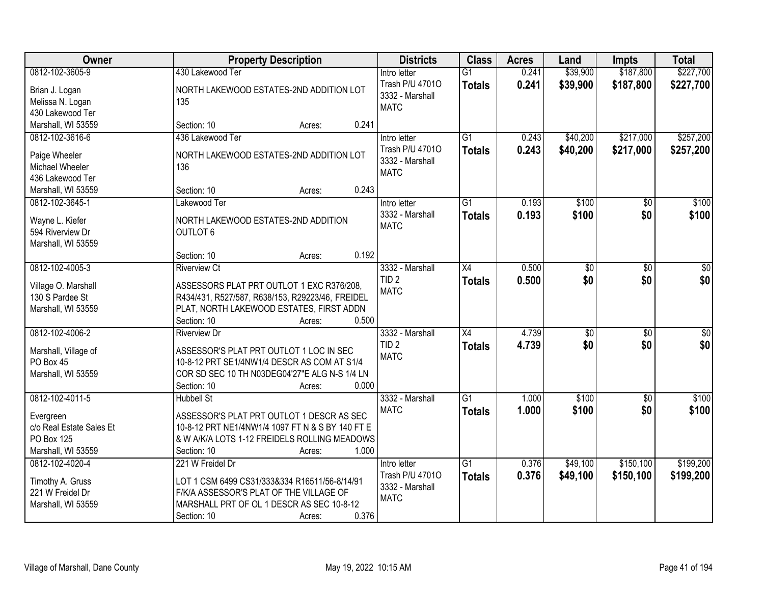| Owner                    | <b>Property Description</b>                      | <b>Districts</b>                   | <b>Class</b>    | <b>Acres</b> | Land            | <b>Impts</b>    | <b>Total</b> |
|--------------------------|--------------------------------------------------|------------------------------------|-----------------|--------------|-----------------|-----------------|--------------|
| 0812-102-3605-9          | 430 Lakewood Ter                                 | Intro letter                       | $\overline{G1}$ | 0.241        | \$39,900        | \$187,800       | \$227,700    |
| Brian J. Logan           | NORTH LAKEWOOD ESTATES-2ND ADDITION LOT          | Trash P/U 47010<br>3332 - Marshall | <b>Totals</b>   | 0.241        | \$39,900        | \$187,800       | \$227,700    |
| Melissa N. Logan         | 135                                              | <b>MATC</b>                        |                 |              |                 |                 |              |
| 430 Lakewood Ter         |                                                  |                                    |                 |              |                 |                 |              |
| Marshall, WI 53559       | 0.241<br>Section: 10<br>Acres:                   |                                    |                 |              |                 |                 |              |
| 0812-102-3616-6          | 436 Lakewood Ter                                 | Intro letter                       | $\overline{G1}$ | 0.243        | \$40,200        | \$217,000       | \$257,200    |
| Paige Wheeler            | NORTH LAKEWOOD ESTATES-2ND ADDITION LOT          | Trash P/U 47010                    | <b>Totals</b>   | 0.243        | \$40,200        | \$217,000       | \$257,200    |
| Michael Wheeler          | 136                                              | 3332 - Marshall                    |                 |              |                 |                 |              |
| 436 Lakewood Ter         |                                                  | <b>MATC</b>                        |                 |              |                 |                 |              |
| Marshall, WI 53559       | 0.243<br>Section: 10<br>Acres:                   |                                    |                 |              |                 |                 |              |
| 0812-102-3645-1          | Lakewood Ter                                     | Intro letter                       | $\overline{G1}$ | 0.193        | \$100           | $\overline{50}$ | \$100        |
| Wayne L. Kiefer          | NORTH LAKEWOOD ESTATES-2ND ADDITION              | 3332 - Marshall                    | <b>Totals</b>   | 0.193        | \$100           | \$0             | \$100        |
| 594 Riverview Dr         | <b>OUTLOT 6</b>                                  | <b>MATC</b>                        |                 |              |                 |                 |              |
| Marshall, WI 53559       |                                                  |                                    |                 |              |                 |                 |              |
|                          | 0.192<br>Section: 10<br>Acres:                   |                                    |                 |              |                 |                 |              |
| 0812-102-4005-3          | <b>Riverview Ct</b>                              | 3332 - Marshall                    | X4              | 0.500        | \$0             | \$0             | \$0          |
|                          |                                                  | TID <sub>2</sub>                   | <b>Totals</b>   | 0.500        | \$0             | \$0             | \$0          |
| Village O. Marshall      | ASSESSORS PLAT PRT OUTLOT 1 EXC R376/208,        | <b>MATC</b>                        |                 |              |                 |                 |              |
| 130 S Pardee St          | R434/431, R527/587, R638/153, R29223/46, FREIDEL |                                    |                 |              |                 |                 |              |
| Marshall, WI 53559       | PLAT, NORTH LAKEWOOD ESTATES, FIRST ADDN         |                                    |                 |              |                 |                 |              |
|                          | 0.500<br>Section: 10<br>Acres:                   |                                    |                 |              |                 |                 |              |
| 0812-102-4006-2          | <b>Riverview Dr</b>                              | 3332 - Marshall                    | $\overline{X4}$ | 4.739        | $\overline{50}$ | $\overline{30}$ | $\sqrt{50}$  |
| Marshall, Village of     | ASSESSOR'S PLAT PRT OUTLOT 1 LOC IN SEC          | TID <sub>2</sub>                   | <b>Totals</b>   | 4.739        | \$0             | \$0             | \$0          |
| PO Box 45                | 10-8-12 PRT SE1/4NW1/4 DESCR AS COM AT S1/4      | <b>MATC</b>                        |                 |              |                 |                 |              |
| Marshall, WI 53559       | COR SD SEC 10 TH N03DEG04'27"E ALG N-S 1/4 LN    |                                    |                 |              |                 |                 |              |
|                          | Section: 10<br>0.000<br>Acres:                   |                                    |                 |              |                 |                 |              |
| 0812-102-4011-5          | <b>Hubbell St</b>                                | 3332 - Marshall                    | $\overline{G1}$ | 1.000        | \$100           | $\sqrt{6}$      | \$100        |
| Evergreen                | ASSESSOR'S PLAT PRT OUTLOT 1 DESCR AS SEC        | <b>MATC</b>                        | <b>Totals</b>   | 1.000        | \$100           | \$0             | \$100        |
| c/o Real Estate Sales Et | 10-8-12 PRT NE1/4NW1/4 1097 FT N & S BY 140 FT E |                                    |                 |              |                 |                 |              |
| PO Box 125               | & W A/K/A LOTS 1-12 FREIDELS ROLLING MEADOWS     |                                    |                 |              |                 |                 |              |
| Marshall, WI 53559       | 1.000<br>Section: 10<br>Acres:                   |                                    |                 |              |                 |                 |              |
| 0812-102-4020-4          | 221 W Freidel Dr                                 | Intro letter                       | $\overline{G1}$ | 0.376        | \$49,100        | \$150,100       | \$199,200    |
| Timothy A. Gruss         | LOT 1 CSM 6499 CS31/333&334 R16511/56-8/14/91    | Trash P/U 47010                    | <b>Totals</b>   | 0.376        | \$49,100        | \$150,100       | \$199,200    |
| 221 W Freidel Dr         | F/K/A ASSESSOR'S PLAT OF THE VILLAGE OF          | 3332 - Marshall                    |                 |              |                 |                 |              |
| Marshall, WI 53559       | MARSHALL PRT OF OL 1 DESCR AS SEC 10-8-12        | <b>MATC</b>                        |                 |              |                 |                 |              |
|                          | 0.376<br>Section: 10<br>Acres:                   |                                    |                 |              |                 |                 |              |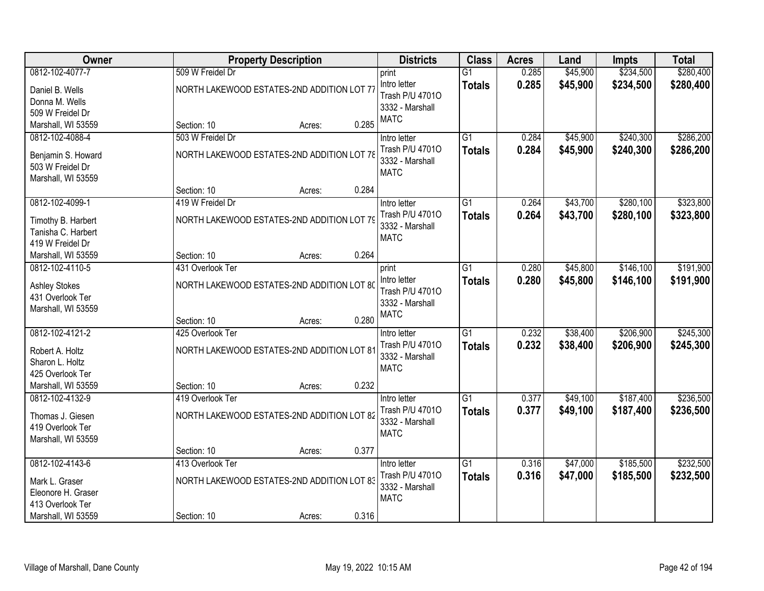| Owner                                    |                  | <b>Property Description</b>                | <b>Districts</b> | <b>Class</b>    | <b>Acres</b>    | Land  | <b>Impts</b> | <b>Total</b> |           |
|------------------------------------------|------------------|--------------------------------------------|------------------|-----------------|-----------------|-------|--------------|--------------|-----------|
| 0812-102-4077-7                          | 509 W Freidel Dr |                                            |                  | print           | $\overline{G1}$ | 0.285 | \$45,900     | \$234,500    | \$280,400 |
| Daniel B. Wells                          |                  | NORTH LAKEWOOD ESTATES-2ND ADDITION LOT 77 |                  | Intro letter    | <b>Totals</b>   | 0.285 | \$45,900     | \$234,500    | \$280,400 |
| Donna M. Wells                           |                  |                                            |                  | Trash P/U 47010 |                 |       |              |              |           |
| 509 W Freidel Dr                         |                  |                                            |                  | 3332 - Marshall |                 |       |              |              |           |
| Marshall, WI 53559                       | Section: 10      | Acres:                                     | 0.285            | <b>MATC</b>     |                 |       |              |              |           |
| 0812-102-4088-4                          | 503 W Freidel Dr |                                            |                  | Intro letter    | $\overline{G1}$ | 0.284 | \$45,900     | \$240,300    | \$286,200 |
| Benjamin S. Howard                       |                  | NORTH LAKEWOOD ESTATES-2ND ADDITION LOT 78 |                  | Trash P/U 47010 | <b>Totals</b>   | 0.284 | \$45,900     | \$240,300    | \$286,200 |
| 503 W Freidel Dr                         |                  |                                            |                  | 3332 - Marshall |                 |       |              |              |           |
| Marshall, WI 53559                       |                  |                                            |                  | <b>MATC</b>     |                 |       |              |              |           |
|                                          | Section: 10      | Acres:                                     | 0.284            |                 |                 |       |              |              |           |
| 0812-102-4099-1                          | 419 W Freidel Dr |                                            |                  | Intro letter    | G1              | 0.264 | \$43,700     | \$280,100    | \$323,800 |
| Timothy B. Harbert                       |                  | NORTH LAKEWOOD ESTATES-2ND ADDITION LOT 79 |                  | Trash P/U 47010 | <b>Totals</b>   | 0.264 | \$43,700     | \$280,100    | \$323,800 |
| Tanisha C. Harbert                       |                  |                                            |                  | 3332 - Marshall |                 |       |              |              |           |
| 419 W Freidel Dr                         |                  |                                            |                  | <b>MATC</b>     |                 |       |              |              |           |
| Marshall, WI 53559                       | Section: 10      | Acres:                                     | 0.264            |                 |                 |       |              |              |           |
| 0812-102-4110-5                          | 431 Overlook Ter |                                            |                  | print           | G1              | 0.280 | \$45,800     | \$146,100    | \$191,900 |
|                                          |                  |                                            |                  | Intro letter    | <b>Totals</b>   | 0.280 | \$45,800     | \$146,100    | \$191,900 |
| <b>Ashley Stokes</b><br>431 Overlook Ter |                  | NORTH LAKEWOOD ESTATES-2ND ADDITION LOT 80 |                  | Trash P/U 47010 |                 |       |              |              |           |
| Marshall, WI 53559                       |                  |                                            |                  | 3332 - Marshall |                 |       |              |              |           |
|                                          | Section: 10      | Acres:                                     | 0.280            | <b>MATC</b>     |                 |       |              |              |           |
| 0812-102-4121-2                          | 425 Overlook Ter |                                            |                  | Intro letter    | $\overline{G1}$ | 0.232 | \$38,400     | \$206,900    | \$245,300 |
|                                          |                  |                                            |                  | Trash P/U 47010 | <b>Totals</b>   | 0.232 | \$38,400     | \$206,900    | \$245,300 |
| Robert A. Holtz                          |                  | NORTH LAKEWOOD ESTATES-2ND ADDITION LOT 81 |                  | 3332 - Marshall |                 |       |              |              |           |
| Sharon L. Holtz<br>425 Overlook Ter      |                  |                                            |                  | <b>MATC</b>     |                 |       |              |              |           |
| Marshall, WI 53559                       | Section: 10      | Acres:                                     | 0.232            |                 |                 |       |              |              |           |
| 0812-102-4132-9                          | 419 Overlook Ter |                                            |                  | Intro letter    | $\overline{G1}$ | 0.377 | \$49,100     | \$187,400    | \$236,500 |
|                                          |                  |                                            |                  | Trash P/U 47010 | <b>Totals</b>   | 0.377 | \$49,100     | \$187,400    | \$236,500 |
| Thomas J. Giesen                         |                  | NORTH LAKEWOOD ESTATES-2ND ADDITION LOT 82 |                  | 3332 - Marshall |                 |       |              |              |           |
| 419 Overlook Ter                         |                  |                                            |                  | <b>MATC</b>     |                 |       |              |              |           |
| Marshall, WI 53559                       | Section: 10      | Acres:                                     | 0.377            |                 |                 |       |              |              |           |
| 0812-102-4143-6                          | 413 Overlook Ter |                                            |                  | Intro letter    | $\overline{G1}$ | 0.316 | \$47,000     | \$185,500    | \$232,500 |
|                                          |                  |                                            |                  | Trash P/U 47010 | <b>Totals</b>   | 0.316 | \$47,000     | \$185,500    | \$232,500 |
| Mark L. Graser                           |                  | NORTH LAKEWOOD ESTATES-2ND ADDITION LOT 83 |                  | 3332 - Marshall |                 |       |              |              |           |
| Eleonore H. Graser                       |                  |                                            |                  | <b>MATC</b>     |                 |       |              |              |           |
| 413 Overlook Ter                         |                  |                                            |                  |                 |                 |       |              |              |           |
| Marshall, WI 53559                       | Section: 10      | Acres:                                     | 0.316            |                 |                 |       |              |              |           |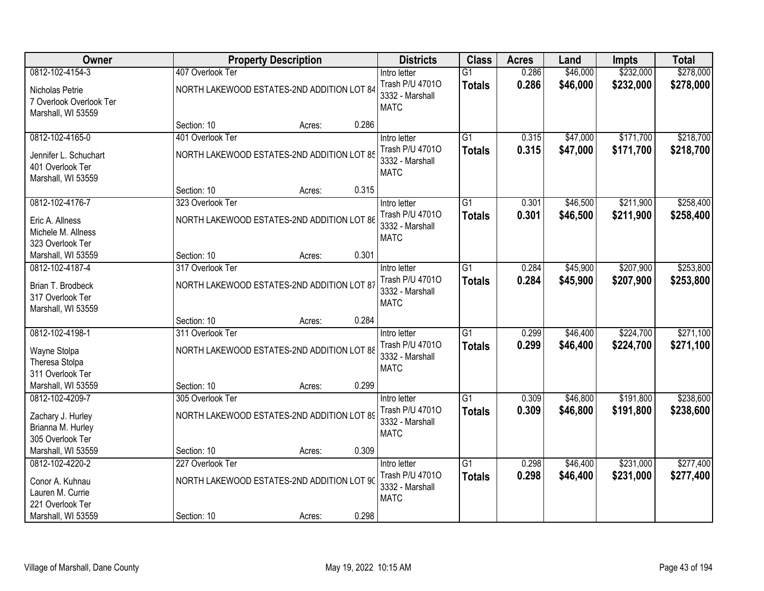| Owner                                                            | <b>Property Description</b> |                                            | <b>Districts</b> | <b>Class</b>                                      | <b>Acres</b>                     | Land           | <b>Impts</b>         | <b>Total</b>           |                        |
|------------------------------------------------------------------|-----------------------------|--------------------------------------------|------------------|---------------------------------------------------|----------------------------------|----------------|----------------------|------------------------|------------------------|
| 0812-102-4154-3                                                  | 407 Overlook Ter            |                                            |                  | Intro letter                                      | $\overline{G1}$                  | 0.286          | \$46,000             | \$232,000              | \$278,000              |
| Nicholas Petrie<br>7 Overlook Overlook Ter<br>Marshall, WI 53559 |                             | NORTH LAKEWOOD ESTATES-2ND ADDITION LOT 84 |                  | Trash P/U 47010<br>3332 - Marshall<br><b>MATC</b> | <b>Totals</b>                    | 0.286          | \$46,000             | \$232,000              | \$278,000              |
|                                                                  | Section: 10                 | Acres:                                     | 0.286            |                                                   |                                  |                |                      |                        |                        |
| 0812-102-4165-0                                                  | 401 Overlook Ter            |                                            |                  | Intro letter                                      | $\overline{G1}$                  | 0.315          | \$47,000             | \$171,700              | \$218,700              |
| Jennifer L. Schuchart<br>401 Overlook Ter<br>Marshall, WI 53559  |                             | NORTH LAKEWOOD ESTATES-2ND ADDITION LOT 85 |                  | Trash P/U 47010<br>3332 - Marshall<br><b>MATC</b> | <b>Totals</b>                    | 0.315          | \$47,000             | \$171,700              | \$218,700              |
|                                                                  | Section: 10                 | Acres:                                     | 0.315            |                                                   |                                  |                |                      |                        |                        |
| 0812-102-4176-7                                                  | 323 Overlook Ter            |                                            |                  | Intro letter                                      | G1                               | 0.301          | \$46,500             | \$211,900              | \$258,400              |
| Eric A. Allness<br>Michele M. Allness<br>323 Overlook Ter        |                             | NORTH LAKEWOOD ESTATES-2ND ADDITION LOT 86 |                  | Trash P/U 47010<br>3332 - Marshall<br><b>MATC</b> | <b>Totals</b>                    | 0.301          | \$46,500             | \$211,900              | \$258,400              |
| Marshall, WI 53559                                               | Section: 10                 | Acres:                                     | 0.301            |                                                   |                                  |                |                      |                        |                        |
| 0812-102-4187-4                                                  | 317 Overlook Ter            |                                            |                  | Intro letter                                      | G1                               | 0.284          | \$45,900             | \$207,900              | \$253,800              |
| Brian T. Brodbeck<br>317 Overlook Ter<br>Marshall, WI 53559      |                             | NORTH LAKEWOOD ESTATES-2ND ADDITION LOT 87 |                  | Trash P/U 47010<br>3332 - Marshall<br><b>MATC</b> | <b>Totals</b>                    | 0.284          | \$45,900             | \$207,900              | \$253,800              |
|                                                                  | Section: 10                 | Acres:                                     | 0.284            |                                                   |                                  |                |                      |                        |                        |
| 0812-102-4198-1<br>Wayne Stolpa                                  | 311 Overlook Ter            | NORTH LAKEWOOD ESTATES-2ND ADDITION LOT 88 |                  | Intro letter<br>Trash P/U 47010                   | $\overline{G1}$<br><b>Totals</b> | 0.299<br>0.299 | \$46,400<br>\$46,400 | \$224,700<br>\$224,700 | \$271,100<br>\$271,100 |
| Theresa Stolpa<br>311 Overlook Ter                               |                             |                                            |                  | 3332 - Marshall<br><b>MATC</b>                    |                                  |                |                      |                        |                        |
| Marshall, WI 53559                                               | Section: 10                 | Acres:                                     | 0.299            |                                                   |                                  |                |                      |                        |                        |
| 0812-102-4209-7                                                  | 305 Overlook Ter            |                                            |                  | Intro letter                                      | G1                               | 0.309          | \$46,800             | \$191,800              | \$238,600              |
| Zachary J. Hurley<br>Brianna M. Hurley<br>305 Overlook Ter       |                             | NORTH LAKEWOOD ESTATES-2ND ADDITION LOT 89 |                  | Trash P/U 47010<br>3332 - Marshall<br><b>MATC</b> | <b>Totals</b>                    | 0.309          | \$46,800             | \$191,800              | \$238,600              |
| Marshall, WI 53559                                               | Section: 10                 | Acres:                                     | 0.309            |                                                   |                                  |                |                      |                        |                        |
| 0812-102-4220-2                                                  | 227 Overlook Ter            |                                            |                  | Intro letter                                      | $\overline{G1}$                  | 0.298          | \$46,400             | \$231,000              | \$277,400              |
| Conor A. Kuhnau<br>Lauren M. Currie<br>221 Overlook Ter          |                             | NORTH LAKEWOOD ESTATES-2ND ADDITION LOT 90 |                  | Trash P/U 47010<br>3332 - Marshall<br><b>MATC</b> | <b>Totals</b>                    | 0.298          | \$46,400             | \$231,000              | \$277,400              |
| Marshall, WI 53559                                               | Section: 10                 | Acres:                                     | 0.298            |                                                   |                                  |                |                      |                        |                        |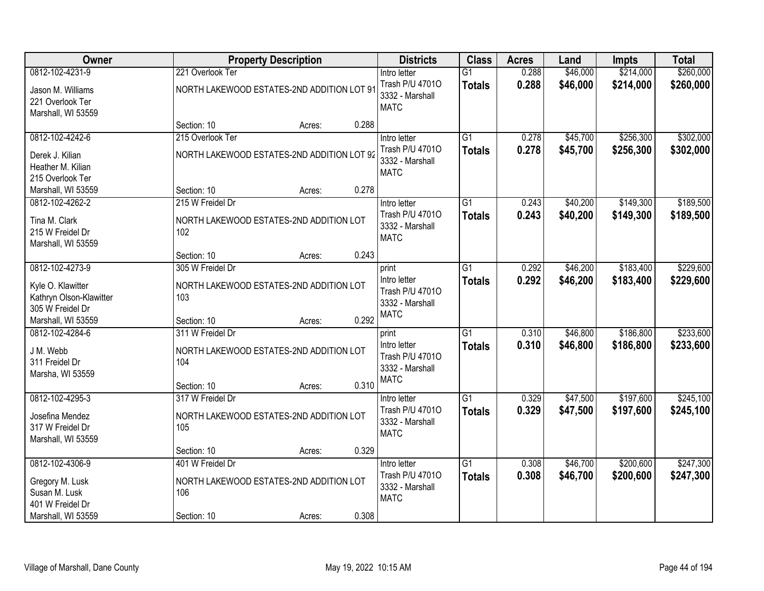| Owner                                                                   |                                                                                   | <b>Property Description</b> | <b>Districts</b> | <b>Class</b>                                                               | <b>Acres</b>                     | Land           | <b>Impts</b>         | <b>Total</b>           |                        |
|-------------------------------------------------------------------------|-----------------------------------------------------------------------------------|-----------------------------|------------------|----------------------------------------------------------------------------|----------------------------------|----------------|----------------------|------------------------|------------------------|
| 0812-102-4231-9                                                         | 221 Overlook Ter                                                                  |                             |                  | Intro letter                                                               | $\overline{G1}$                  | 0.288          | \$46,000             | \$214,000              | \$260,000              |
| Jason M. Williams<br>221 Overlook Ter<br>Marshall, WI 53559             | NORTH LAKEWOOD ESTATES-2ND ADDITION LOT 91                                        |                             |                  | Trash P/U 47010<br>3332 - Marshall<br><b>MATC</b>                          | <b>Totals</b>                    | 0.288          | \$46,000             | \$214,000              | \$260,000              |
|                                                                         | Section: 10                                                                       | Acres:                      | 0.288            |                                                                            |                                  |                |                      |                        |                        |
| 0812-102-4242-6                                                         | 215 Overlook Ter                                                                  |                             |                  | Intro letter                                                               | $\overline{G1}$                  | 0.278          | \$45,700             | \$256,300              | \$302,000              |
| Derek J. Kilian<br>Heather M. Kilian<br>215 Overlook Ter                | NORTH LAKEWOOD ESTATES-2ND ADDITION LOT 92                                        |                             |                  | Trash P/U 47010<br>3332 - Marshall<br><b>MATC</b>                          | <b>Totals</b>                    | 0.278          | \$45,700             | \$256,300              | \$302,000              |
| Marshall, WI 53559                                                      | Section: 10                                                                       | Acres:                      | 0.278            |                                                                            |                                  |                |                      |                        |                        |
| 0812-102-4262-2                                                         | 215 W Freidel Dr                                                                  |                             |                  | Intro letter                                                               | G1                               | 0.243          | \$40,200             | \$149,300              | \$189,500              |
| Tina M. Clark<br>215 W Freidel Dr<br>Marshall, WI 53559                 | NORTH LAKEWOOD ESTATES-2ND ADDITION LOT<br>102                                    |                             |                  | Trash P/U 47010<br>3332 - Marshall<br><b>MATC</b>                          | <b>Totals</b>                    | 0.243          | \$40,200             | \$149,300              | \$189,500              |
|                                                                         | Section: 10                                                                       | Acres:                      | 0.243            |                                                                            |                                  |                |                      |                        |                        |
| 0812-102-4273-9                                                         | 305 W Freidel Dr                                                                  |                             |                  | print                                                                      | $\overline{G1}$                  | 0.292          | \$46,200             | \$183,400              | \$229,600              |
| Kyle O. Klawitter<br>Kathryn Olson-Klawitter<br>305 W Freidel Dr        | NORTH LAKEWOOD ESTATES-2ND ADDITION LOT<br>103                                    |                             |                  | Intro letter<br>Trash P/U 47010<br>3332 - Marshall                         | <b>Totals</b>                    | 0.292          | \$46,200             | \$183,400              | \$229,600              |
| Marshall, WI 53559                                                      | Section: 10                                                                       | Acres:                      | 0.292            | <b>MATC</b>                                                                |                                  |                |                      |                        |                        |
| 0812-102-4284-6<br>J M. Webb<br>311 Freidel Dr<br>Marsha, WI 53559      | 311 W Freidel Dr<br>NORTH LAKEWOOD ESTATES-2ND ADDITION LOT<br>104<br>Section: 10 | Acres:                      | 0.310            | print<br>Intro letter<br>Trash P/U 47010<br>3332 - Marshall<br><b>MATC</b> | $\overline{G1}$<br><b>Totals</b> | 0.310<br>0.310 | \$46,800<br>\$46,800 | \$186,800<br>\$186,800 | \$233,600<br>\$233,600 |
| 0812-102-4295-3                                                         | 317 W Freidel Dr                                                                  |                             |                  | Intro letter                                                               | $\overline{G1}$                  | 0.329          | \$47,500             | \$197,600              | \$245,100              |
| Josefina Mendez<br>317 W Freidel Dr<br>Marshall, WI 53559               | NORTH LAKEWOOD ESTATES-2ND ADDITION LOT<br>105                                    |                             |                  | Trash P/U 47010<br>3332 - Marshall<br><b>MATC</b>                          | <b>Totals</b>                    | 0.329          | \$47,500             | \$197,600              | \$245,100              |
|                                                                         | Section: 10                                                                       | Acres:                      | 0.329            |                                                                            |                                  |                |                      |                        |                        |
| 0812-102-4306-9<br>Gregory M. Lusk<br>Susan M. Lusk<br>401 W Freidel Dr | 401 W Freidel Dr<br>NORTH LAKEWOOD ESTATES-2ND ADDITION LOT<br>106                |                             |                  | Intro letter<br>Trash P/U 47010<br>3332 - Marshall<br><b>MATC</b>          | $\overline{G1}$<br><b>Totals</b> | 0.308<br>0.308 | \$46,700<br>\$46,700 | \$200,600<br>\$200,600 | \$247,300<br>\$247,300 |
| Marshall, WI 53559                                                      | Section: 10                                                                       | Acres:                      | 0.308            |                                                                            |                                  |                |                      |                        |                        |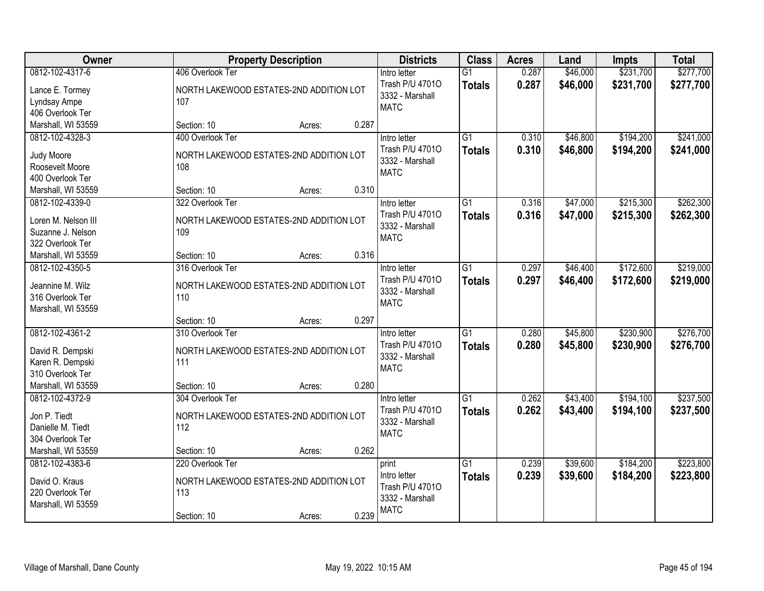| Owner                                  | <b>Property Description</b>             | <b>Districts</b>                | <b>Class</b>    | <b>Acres</b> | Land     | <b>Impts</b> | <b>Total</b> |
|----------------------------------------|-----------------------------------------|---------------------------------|-----------------|--------------|----------|--------------|--------------|
| 0812-102-4317-6                        | 406 Overlook Ter                        | Intro letter                    | $\overline{G1}$ | 0.287        | \$46,000 | \$231,700    | \$277,700    |
| Lance E. Tormey                        | NORTH LAKEWOOD ESTATES-2ND ADDITION LOT | Trash P/U 47010                 | <b>Totals</b>   | 0.287        | \$46,000 | \$231,700    | \$277,700    |
| Lyndsay Ampe                           | 107                                     | 3332 - Marshall                 |                 |              |          |              |              |
| 406 Overlook Ter                       |                                         | <b>MATC</b>                     |                 |              |          |              |              |
| Marshall, WI 53559                     | 0.287<br>Section: 10<br>Acres:          |                                 |                 |              |          |              |              |
| 0812-102-4328-3                        | 400 Overlook Ter                        | Intro letter                    | $\overline{G1}$ | 0.310        | \$46,800 | \$194,200    | \$241,000    |
|                                        |                                         | Trash P/U 47010                 | <b>Totals</b>   | 0.310        | \$46,800 | \$194,200    | \$241,000    |
| Judy Moore                             | NORTH LAKEWOOD ESTATES-2ND ADDITION LOT | 3332 - Marshall                 |                 |              |          |              |              |
| Roosevelt Moore                        | 108                                     | <b>MATC</b>                     |                 |              |          |              |              |
| 400 Overlook Ter<br>Marshall, WI 53559 | 0.310<br>Section: 10                    |                                 |                 |              |          |              |              |
| 0812-102-4339-0                        | Acres:<br>322 Overlook Ter              |                                 | $\overline{G1}$ |              | \$47,000 | \$215,300    | \$262,300    |
|                                        |                                         | Intro letter<br>Trash P/U 47010 |                 | 0.316        |          |              |              |
| Loren M. Nelson III                    | NORTH LAKEWOOD ESTATES-2ND ADDITION LOT | 3332 - Marshall                 | <b>Totals</b>   | 0.316        | \$47,000 | \$215,300    | \$262,300    |
| Suzanne J. Nelson                      | 109                                     | <b>MATC</b>                     |                 |              |          |              |              |
| 322 Overlook Ter                       |                                         |                                 |                 |              |          |              |              |
| Marshall, WI 53559                     | 0.316<br>Section: 10<br>Acres:          |                                 |                 |              |          |              |              |
| 0812-102-4350-5                        | 316 Overlook Ter                        | Intro letter                    | G1              | 0.297        | \$46,400 | \$172,600    | \$219,000    |
| Jeannine M. Wilz                       | NORTH LAKEWOOD ESTATES-2ND ADDITION LOT | Trash P/U 47010                 | <b>Totals</b>   | 0.297        | \$46,400 | \$172,600    | \$219,000    |
| 316 Overlook Ter                       | 110                                     | 3332 - Marshall                 |                 |              |          |              |              |
| Marshall, WI 53559                     |                                         | <b>MATC</b>                     |                 |              |          |              |              |
|                                        | 0.297<br>Section: 10<br>Acres:          |                                 |                 |              |          |              |              |
| 0812-102-4361-2                        | 310 Overlook Ter                        | Intro letter                    | $\overline{G1}$ | 0.280        | \$45,800 | \$230,900    | \$276,700    |
|                                        |                                         | Trash P/U 47010                 | <b>Totals</b>   | 0.280        | \$45,800 | \$230,900    | \$276,700    |
| David R. Dempski                       | NORTH LAKEWOOD ESTATES-2ND ADDITION LOT | 3332 - Marshall                 |                 |              |          |              |              |
| Karen R. Dempski                       | 111                                     | <b>MATC</b>                     |                 |              |          |              |              |
| 310 Overlook Ter                       |                                         |                                 |                 |              |          |              |              |
| Marshall, WI 53559                     | 0.280<br>Section: 10<br>Acres:          |                                 |                 |              |          |              |              |
| 0812-102-4372-9                        | 304 Overlook Ter                        | Intro letter                    | $\overline{G1}$ | 0.262        | \$43,400 | \$194,100    | \$237,500    |
| Jon P. Tiedt                           | NORTH LAKEWOOD ESTATES-2ND ADDITION LOT | Trash P/U 47010                 | <b>Totals</b>   | 0.262        | \$43,400 | \$194,100    | \$237,500    |
| Danielle M. Tiedt                      | 112                                     | 3332 - Marshall                 |                 |              |          |              |              |
| 304 Overlook Ter                       |                                         | <b>MATC</b>                     |                 |              |          |              |              |
| Marshall, WI 53559                     | 0.262<br>Section: 10<br>Acres:          |                                 |                 |              |          |              |              |
| 0812-102-4383-6                        | 220 Overlook Ter                        | print                           | $\overline{G1}$ | 0.239        | \$39,600 | \$184,200    | \$223,800    |
|                                        |                                         | Intro letter                    | <b>Totals</b>   | 0.239        | \$39,600 | \$184,200    | \$223,800    |
| David O. Kraus                         | NORTH LAKEWOOD ESTATES-2ND ADDITION LOT | Trash P/U 47010                 |                 |              |          |              |              |
| 220 Overlook Ter                       | 113                                     | 3332 - Marshall                 |                 |              |          |              |              |
| Marshall, WI 53559                     |                                         | <b>MATC</b>                     |                 |              |          |              |              |
|                                        | 0.239<br>Section: 10<br>Acres:          |                                 |                 |              |          |              |              |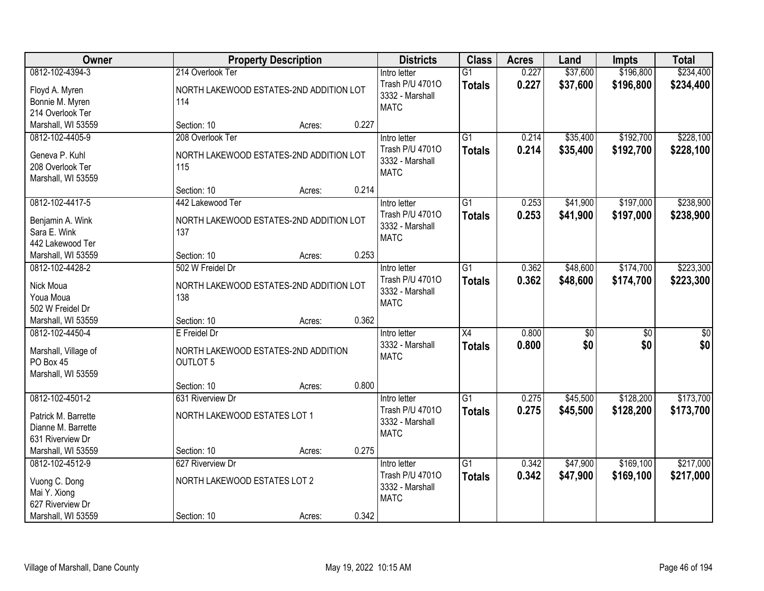| Owner                         |                                         | <b>Property Description</b> |       | <b>Districts</b>                | <b>Class</b>    | <b>Acres</b> | Land     | <b>Impts</b> | <b>Total</b> |
|-------------------------------|-----------------------------------------|-----------------------------|-------|---------------------------------|-----------------|--------------|----------|--------------|--------------|
| 0812-102-4394-3               | 214 Overlook Ter                        |                             |       | Intro letter                    | $\overline{G1}$ | 0.227        | \$37,600 | \$196,800    | \$234,400    |
| Floyd A. Myren                | NORTH LAKEWOOD ESTATES-2ND ADDITION LOT |                             |       | Trash P/U 47010                 | <b>Totals</b>   | 0.227        | \$37,600 | \$196,800    | \$234,400    |
| Bonnie M. Myren               | 114                                     |                             |       | 3332 - Marshall                 |                 |              |          |              |              |
| 214 Overlook Ter              |                                         |                             |       | <b>MATC</b>                     |                 |              |          |              |              |
| Marshall, WI 53559            | Section: 10                             | Acres:                      | 0.227 |                                 |                 |              |          |              |              |
| 0812-102-4405-9               | 208 Overlook Ter                        |                             |       | Intro letter                    | $\overline{G1}$ | 0.214        | \$35,400 | \$192,700    | \$228,100    |
| Geneva P. Kuhl                | NORTH LAKEWOOD ESTATES-2ND ADDITION LOT |                             |       | Trash P/U 47010                 | <b>Totals</b>   | 0.214        | \$35,400 | \$192,700    | \$228,100    |
| 208 Overlook Ter              | 115                                     |                             |       | 3332 - Marshall                 |                 |              |          |              |              |
| Marshall, WI 53559            |                                         |                             |       | <b>MATC</b>                     |                 |              |          |              |              |
|                               | Section: 10                             | Acres:                      | 0.214 |                                 |                 |              |          |              |              |
| 0812-102-4417-5               | 442 Lakewood Ter                        |                             |       | Intro letter                    | $\overline{G1}$ | 0.253        | \$41,900 | \$197,000    | \$238,900    |
| Benjamin A. Wink              | NORTH LAKEWOOD ESTATES-2ND ADDITION LOT |                             |       | Trash P/U 47010                 | <b>Totals</b>   | 0.253        | \$41,900 | \$197,000    | \$238,900    |
| Sara E. Wink                  | 137                                     |                             |       | 3332 - Marshall                 |                 |              |          |              |              |
| 442 Lakewood Ter              |                                         |                             |       | <b>MATC</b>                     |                 |              |          |              |              |
| Marshall, WI 53559            | Section: 10                             | Acres:                      | 0.253 |                                 |                 |              |          |              |              |
| 0812-102-4428-2               | 502 W Freidel Dr                        |                             |       | Intro letter                    | $\overline{G1}$ | 0.362        | \$48,600 | \$174,700    | \$223,300    |
|                               |                                         |                             |       | Trash P/U 47010                 | <b>Totals</b>   | 0.362        | \$48,600 | \$174,700    | \$223,300    |
| Nick Moua                     | NORTH LAKEWOOD ESTATES-2ND ADDITION LOT |                             |       | 3332 - Marshall                 |                 |              |          |              |              |
| Youa Moua<br>502 W Freidel Dr | 138                                     |                             |       | <b>MATC</b>                     |                 |              |          |              |              |
| Marshall, WI 53559            | Section: 10                             | Acres:                      | 0.362 |                                 |                 |              |          |              |              |
| 0812-102-4450-4               | E Freidel Dr                            |                             |       | Intro letter                    | $\overline{X4}$ | 0.800        | \$0      | \$0          | \$0          |
|                               |                                         |                             |       | 3332 - Marshall                 | <b>Totals</b>   | 0.800        | \$0      | \$0          | \$0          |
| Marshall, Village of          | NORTH LAKEWOOD ESTATES-2ND ADDITION     |                             |       | <b>MATC</b>                     |                 |              |          |              |              |
| PO Box 45                     | <b>OUTLOT 5</b>                         |                             |       |                                 |                 |              |          |              |              |
| Marshall, WI 53559            |                                         |                             |       |                                 |                 |              |          |              |              |
| 0812-102-4501-2               | Section: 10<br>631 Riverview Dr         | Acres:                      | 0.800 |                                 |                 |              |          | \$128,200    | \$173,700    |
|                               |                                         |                             |       | Intro letter<br>Trash P/U 47010 | G1              | 0.275        | \$45,500 |              |              |
| Patrick M. Barrette           | NORTH LAKEWOOD ESTATES LOT 1            |                             |       | 3332 - Marshall                 | <b>Totals</b>   | 0.275        | \$45,500 | \$128,200    | \$173,700    |
| Dianne M. Barrette            |                                         |                             |       | <b>MATC</b>                     |                 |              |          |              |              |
| 631 Riverview Dr              |                                         |                             |       |                                 |                 |              |          |              |              |
| Marshall, WI 53559            | Section: 10                             | Acres:                      | 0.275 |                                 |                 |              |          |              |              |
| 0812-102-4512-9               | 627 Riverview Dr                        |                             |       | Intro letter                    | $\overline{G1}$ | 0.342        | \$47,900 | \$169,100    | \$217,000    |
| Vuong C. Dong                 | NORTH LAKEWOOD ESTATES LOT 2            |                             |       | Trash P/U 47010                 | <b>Totals</b>   | 0.342        | \$47,900 | \$169,100    | \$217,000    |
| Mai Y. Xiong                  |                                         |                             |       | 3332 - Marshall                 |                 |              |          |              |              |
| 627 Riverview Dr              |                                         |                             |       | <b>MATC</b>                     |                 |              |          |              |              |
| Marshall, WI 53559            | Section: 10                             | Acres:                      | 0.342 |                                 |                 |              |          |              |              |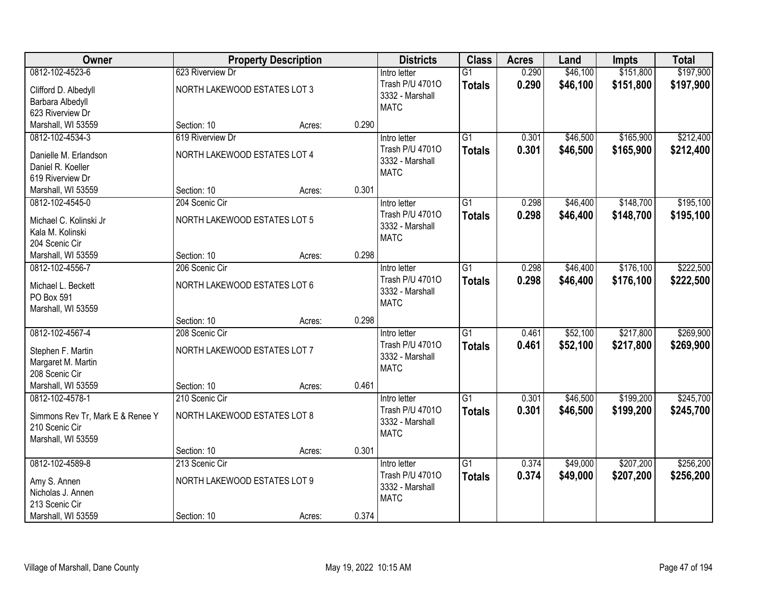| Owner                                 |                              | <b>Property Description</b> |       | <b>Districts</b>                | <b>Class</b>    | <b>Acres</b>   | Land     | <b>Impts</b> | <b>Total</b> |
|---------------------------------------|------------------------------|-----------------------------|-------|---------------------------------|-----------------|----------------|----------|--------------|--------------|
| 0812-102-4523-6                       | 623 Riverview Dr             |                             |       | Intro letter                    | $\overline{G1}$ | 0.290          | \$46,100 | \$151,800    | \$197,900    |
| Clifford D. Albedyll                  | NORTH LAKEWOOD ESTATES LOT 3 |                             |       | Trash P/U 47010                 | <b>Totals</b>   | 0.290          | \$46,100 | \$151,800    | \$197,900    |
| Barbara Albedyll                      |                              |                             |       | 3332 - Marshall                 |                 |                |          |              |              |
| 623 Riverview Dr                      |                              |                             |       | <b>MATC</b>                     |                 |                |          |              |              |
| Marshall, WI 53559                    | Section: 10                  | Acres:                      | 0.290 |                                 |                 |                |          |              |              |
| 0812-102-4534-3                       | 619 Riverview Dr             |                             |       | Intro letter                    | $\overline{G1}$ | 0.301          | \$46,500 | \$165,900    | \$212,400    |
| Danielle M. Erlandson                 | NORTH LAKEWOOD ESTATES LOT 4 |                             |       | Trash P/U 47010                 | <b>Totals</b>   | 0.301          | \$46,500 | \$165,900    | \$212,400    |
| Daniel R. Koeller                     |                              |                             |       | 3332 - Marshall                 |                 |                |          |              |              |
| 619 Riverview Dr                      |                              |                             |       | <b>MATC</b>                     |                 |                |          |              |              |
| Marshall, WI 53559                    | Section: 10                  | Acres:                      | 0.301 |                                 |                 |                |          |              |              |
| 0812-102-4545-0                       | 204 Scenic Cir               |                             |       | Intro letter                    | $\overline{G1}$ | 0.298          | \$46,400 | \$148,700    | \$195,100    |
| Michael C. Kolinski Jr                | NORTH LAKEWOOD ESTATES LOT 5 |                             |       | Trash P/U 47010                 | <b>Totals</b>   | 0.298          | \$46,400 | \$148,700    | \$195,100    |
| Kala M. Kolinski                      |                              |                             |       | 3332 - Marshall                 |                 |                |          |              |              |
| 204 Scenic Cir                        |                              |                             |       | <b>MATC</b>                     |                 |                |          |              |              |
| Marshall, WI 53559                    | Section: 10                  | Acres:                      | 0.298 |                                 |                 |                |          |              |              |
| 0812-102-4556-7                       | 206 Scenic Cir               |                             |       | Intro letter                    | $\overline{G1}$ | 0.298          | \$46,400 | \$176,100    | \$222,500    |
|                                       |                              |                             |       | Trash P/U 47010                 | <b>Totals</b>   | 0.298          | \$46,400 | \$176,100    | \$222,500    |
| Michael L. Beckett<br>PO Box 591      | NORTH LAKEWOOD ESTATES LOT 6 |                             |       | 3332 - Marshall                 |                 |                |          |              |              |
| Marshall, WI 53559                    |                              |                             |       | <b>MATC</b>                     |                 |                |          |              |              |
|                                       | Section: 10                  | Acres:                      | 0.298 |                                 |                 |                |          |              |              |
| 0812-102-4567-4                       | 208 Scenic Cir               |                             |       | Intro letter                    | $\overline{G1}$ | 0.461          | \$52,100 | \$217,800    | \$269,900    |
|                                       |                              |                             |       | Trash P/U 47010                 | <b>Totals</b>   | 0.461          | \$52,100 | \$217,800    | \$269,900    |
| Stephen F. Martin                     | NORTH LAKEWOOD ESTATES LOT 7 |                             |       | 3332 - Marshall                 |                 |                |          |              |              |
| Margaret M. Martin                    |                              |                             |       | <b>MATC</b>                     |                 |                |          |              |              |
| 208 Scenic Cir                        | Section: 10                  |                             | 0.461 |                                 |                 |                |          |              |              |
| Marshall, WI 53559<br>0812-102-4578-1 | 210 Scenic Cir               | Acres:                      |       |                                 | $\overline{G1}$ |                | \$46,500 | \$199,200    | \$245,700    |
|                                       |                              |                             |       | Intro letter<br>Trash P/U 47010 |                 | 0.301<br>0.301 | \$46,500 |              |              |
| Simmons Rev Tr, Mark E & Renee Y      | NORTH LAKEWOOD ESTATES LOT 8 |                             |       | 3332 - Marshall                 | <b>Totals</b>   |                |          | \$199,200    | \$245,700    |
| 210 Scenic Cir                        |                              |                             |       | <b>MATC</b>                     |                 |                |          |              |              |
| Marshall, WI 53559                    |                              |                             |       |                                 |                 |                |          |              |              |
|                                       | Section: 10                  | Acres:                      | 0.301 |                                 |                 |                |          |              |              |
| 0812-102-4589-8                       | 213 Scenic Cir               |                             |       | Intro letter                    | $\overline{G1}$ | 0.374          | \$49,000 | \$207,200    | \$256,200    |
| Amy S. Annen                          | NORTH LAKEWOOD ESTATES LOT 9 |                             |       | Trash P/U 47010                 | <b>Totals</b>   | 0.374          | \$49,000 | \$207,200    | \$256,200    |
| Nicholas J. Annen                     |                              |                             |       | 3332 - Marshall<br><b>MATC</b>  |                 |                |          |              |              |
| 213 Scenic Cir                        |                              |                             |       |                                 |                 |                |          |              |              |
| Marshall, WI 53559                    | Section: 10                  | Acres:                      | 0.374 |                                 |                 |                |          |              |              |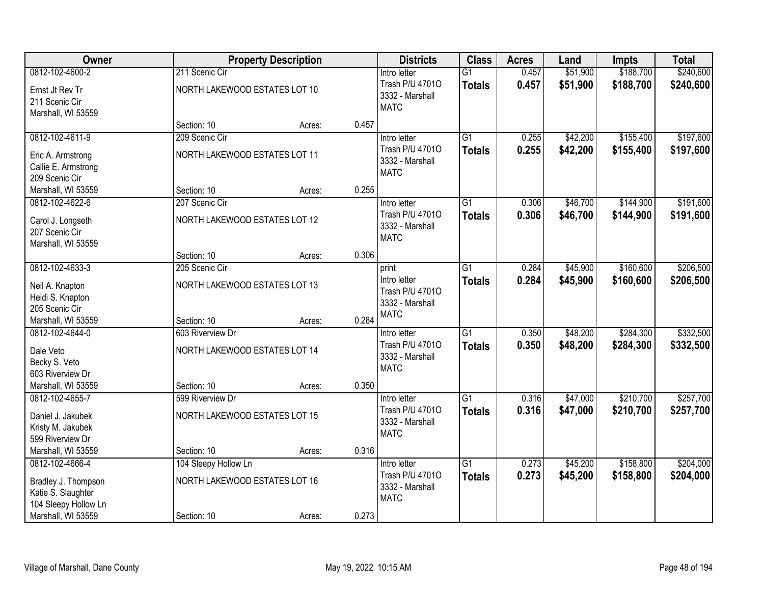| <b>Owner</b>                                                      |                               | <b>Property Description</b> |       | <b>Districts</b>                                   | <b>Class</b>    | <b>Acres</b>   | Land                 | <b>Impts</b>           | <b>Total</b>           |
|-------------------------------------------------------------------|-------------------------------|-----------------------------|-------|----------------------------------------------------|-----------------|----------------|----------------------|------------------------|------------------------|
| 0812-102-4600-2                                                   | 211 Scenic Cir                |                             |       | Intro letter                                       | $\overline{G1}$ | 0.457          | \$51,900             | \$188,700              | \$240,600              |
| Ernst Jt Rev Tr<br>211 Scenic Cir<br>Marshall, WI 53559           | NORTH LAKEWOOD ESTATES LOT 10 |                             |       | Trash P/U 47010<br>3332 - Marshall<br><b>MATC</b>  | <b>Totals</b>   | 0.457          | \$51,900             | \$188,700              | \$240,600              |
|                                                                   | Section: 10                   | Acres:                      | 0.457 |                                                    |                 |                |                      |                        |                        |
| 0812-102-4611-9                                                   | 209 Scenic Cir                |                             |       | Intro letter<br>Trash P/U 47010                    | $\overline{G1}$ | 0.255<br>0.255 | \$42,200<br>\$42,200 | \$155,400<br>\$155,400 | \$197,600<br>\$197,600 |
| Eric A. Armstrong<br>Callie E. Armstrong<br>209 Scenic Cir        | NORTH LAKEWOOD ESTATES LOT 11 |                             |       | 3332 - Marshall<br><b>MATC</b>                     | <b>Totals</b>   |                |                      |                        |                        |
| Marshall, WI 53559                                                | Section: 10                   | Acres:                      | 0.255 |                                                    |                 |                |                      |                        |                        |
| 0812-102-4622-6                                                   | 207 Scenic Cir                |                             |       | Intro letter                                       | G1              | 0.306          | \$46,700             | \$144,900              | \$191,600              |
| Carol J. Longseth<br>207 Scenic Cir<br>Marshall, WI 53559         | NORTH LAKEWOOD ESTATES LOT 12 |                             |       | Trash P/U 47010<br>3332 - Marshall<br><b>MATC</b>  | <b>Totals</b>   | 0.306          | \$46,700             | \$144,900              | \$191,600              |
|                                                                   | Section: 10                   | Acres:                      | 0.306 |                                                    |                 |                |                      |                        |                        |
| 0812-102-4633-3                                                   | 205 Scenic Cir                |                             |       | print                                              | $\overline{G1}$ | 0.284          | \$45,900             | \$160,600              | \$206,500              |
| Neil A. Knapton<br>Heidi S. Knapton                               | NORTH LAKEWOOD ESTATES LOT 13 |                             |       | Intro letter<br>Trash P/U 47010<br>3332 - Marshall | <b>Totals</b>   | 0.284          | \$45,900             | \$160,600              | \$206,500              |
| 205 Scenic Cir<br>Marshall, WI 53559                              | Section: 10                   | Acres:                      | 0.284 | <b>MATC</b>                                        |                 |                |                      |                        |                        |
| 0812-102-4644-0                                                   | 603 Riverview Dr              |                             |       | Intro letter                                       | $\overline{G1}$ | 0.350          | \$48,200             | \$284,300              | \$332,500              |
| Dale Veto<br>Becky S. Veto                                        | NORTH LAKEWOOD ESTATES LOT 14 |                             |       | Trash P/U 47010<br>3332 - Marshall                 | <b>Totals</b>   | 0.350          | \$48,200             | \$284,300              | \$332,500              |
| 603 Riverview Dr                                                  |                               |                             |       | <b>MATC</b>                                        |                 |                |                      |                        |                        |
| Marshall, WI 53559                                                | Section: 10                   | Acres:                      | 0.350 |                                                    |                 |                |                      |                        |                        |
| 0812-102-4655-7                                                   | 599 Riverview Dr              |                             |       | Intro letter                                       | $\overline{G1}$ | 0.316          | \$47,000             | \$210,700              | \$257,700              |
| Daniel J. Jakubek<br>Kristy M. Jakubek<br>599 Riverview Dr        | NORTH LAKEWOOD ESTATES LOT 15 |                             |       | Trash P/U 47010<br>3332 - Marshall<br><b>MATC</b>  | <b>Totals</b>   | 0.316          | \$47,000             | \$210,700              | \$257,700              |
| Marshall, WI 53559                                                | Section: 10                   | Acres:                      | 0.316 |                                                    |                 |                |                      |                        |                        |
| 0812-102-4666-4                                                   | 104 Sleepy Hollow Ln          |                             |       | Intro letter                                       | $\overline{G1}$ | 0.273          | \$45,200             | \$158,800              | \$204,000              |
| Bradley J. Thompson<br>Katie S. Slaughter<br>104 Sleepy Hollow Ln | NORTH LAKEWOOD ESTATES LOT 16 |                             |       | Trash P/U 47010<br>3332 - Marshall<br><b>MATC</b>  | <b>Totals</b>   | 0.273          | \$45,200             | \$158,800              | \$204,000              |
| Marshall, WI 53559                                                | Section: 10                   | Acres:                      | 0.273 |                                                    |                 |                |                      |                        |                        |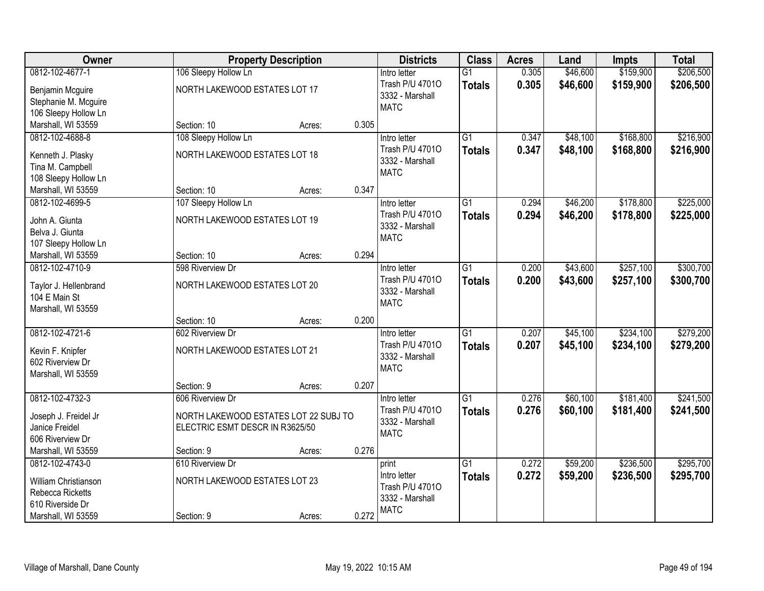| Owner                                                                                                 |                                                                          | <b>Property Description</b> |       | <b>Districts</b>                                                           | <b>Class</b>                     | <b>Acres</b>   | Land                 | <b>Impts</b>           | <b>Total</b>           |
|-------------------------------------------------------------------------------------------------------|--------------------------------------------------------------------------|-----------------------------|-------|----------------------------------------------------------------------------|----------------------------------|----------------|----------------------|------------------------|------------------------|
| 0812-102-4677-1                                                                                       | 106 Sleepy Hollow Ln                                                     |                             |       | Intro letter                                                               | $\overline{G1}$                  | 0.305          | \$46,600             | \$159,900              | \$206,500              |
| Benjamin Mcguire<br>Stephanie M. Mcguire<br>106 Sleepy Hollow Ln                                      | NORTH LAKEWOOD ESTATES LOT 17                                            |                             |       | Trash P/U 47010<br>3332 - Marshall<br><b>MATC</b>                          | <b>Totals</b>                    | 0.305          | \$46,600             | \$159,900              | \$206,500              |
| Marshall, WI 53559                                                                                    | Section: 10                                                              | Acres:                      | 0.305 |                                                                            |                                  |                |                      |                        |                        |
| 0812-102-4688-8<br>Kenneth J. Plasky<br>Tina M. Campbell<br>108 Sleepy Hollow Ln                      | 108 Sleepy Hollow Ln<br>NORTH LAKEWOOD ESTATES LOT 18                    |                             |       | Intro letter<br>Trash P/U 47010<br>3332 - Marshall<br><b>MATC</b>          | $\overline{G1}$<br><b>Totals</b> | 0.347<br>0.347 | \$48,100<br>\$48,100 | \$168,800<br>\$168,800 | \$216,900<br>\$216,900 |
| Marshall, WI 53559                                                                                    | Section: 10                                                              | Acres:                      | 0.347 |                                                                            |                                  |                |                      |                        |                        |
| 0812-102-4699-5<br>John A. Giunta<br>Belva J. Giunta<br>107 Sleepy Hollow Ln                          | 107 Sleepy Hollow Ln<br>NORTH LAKEWOOD ESTATES LOT 19                    |                             |       | Intro letter<br>Trash P/U 47010<br>3332 - Marshall<br><b>MATC</b>          | G1<br><b>Totals</b>              | 0.294<br>0.294 | \$46,200<br>\$46,200 | \$178,800<br>\$178,800 | \$225,000<br>\$225,000 |
| Marshall, WI 53559                                                                                    | Section: 10                                                              | Acres:                      | 0.294 |                                                                            |                                  |                |                      |                        |                        |
| 0812-102-4710-9<br>Taylor J. Hellenbrand<br>104 E Main St<br>Marshall, WI 53559                       | 598 Riverview Dr<br>NORTH LAKEWOOD ESTATES LOT 20                        |                             |       | Intro letter<br>Trash P/U 47010<br>3332 - Marshall<br><b>MATC</b>          | G1<br><b>Totals</b>              | 0.200<br>0.200 | \$43,600<br>\$43,600 | \$257,100<br>\$257,100 | \$300,700<br>\$300,700 |
|                                                                                                       | Section: 10                                                              | Acres:                      | 0.200 |                                                                            |                                  |                |                      |                        |                        |
| 0812-102-4721-6<br>Kevin F. Knipfer<br>602 Riverview Dr<br>Marshall, WI 53559                         | 602 Riverview Dr<br>NORTH LAKEWOOD ESTATES LOT 21<br>Section: 9          | Acres:                      | 0.207 | Intro letter<br>Trash P/U 47010<br>3332 - Marshall<br><b>MATC</b>          | $\overline{G1}$<br><b>Totals</b> | 0.207<br>0.207 | \$45,100<br>\$45,100 | \$234,100<br>\$234,100 | \$279,200<br>\$279,200 |
| 0812-102-4732-3                                                                                       | 606 Riverview Dr                                                         |                             |       | Intro letter                                                               | $\overline{G1}$                  | 0.276          | \$60,100             | \$181,400              | \$241,500              |
| Joseph J. Freidel Jr<br>Janice Freidel<br>606 Riverview Dr                                            | NORTH LAKEWOOD ESTATES LOT 22 SUBJ TO<br>ELECTRIC ESMT DESCR IN R3625/50 |                             |       | Trash P/U 47010<br>3332 - Marshall<br><b>MATC</b>                          | <b>Totals</b>                    | 0.276          | \$60,100             | \$181,400              | \$241,500              |
| Marshall, WI 53559                                                                                    | Section: 9                                                               | Acres:                      | 0.276 |                                                                            |                                  |                |                      |                        |                        |
| 0812-102-4743-0<br>William Christianson<br>Rebecca Ricketts<br>610 Riverside Dr<br>Marshall, WI 53559 | 610 Riverview Dr<br>NORTH LAKEWOOD ESTATES LOT 23<br>Section: 9          | Acres:                      | 0.272 | print<br>Intro letter<br>Trash P/U 47010<br>3332 - Marshall<br><b>MATC</b> | $\overline{G1}$<br><b>Totals</b> | 0.272<br>0.272 | \$59,200<br>\$59,200 | \$236,500<br>\$236,500 | \$295,700<br>\$295,700 |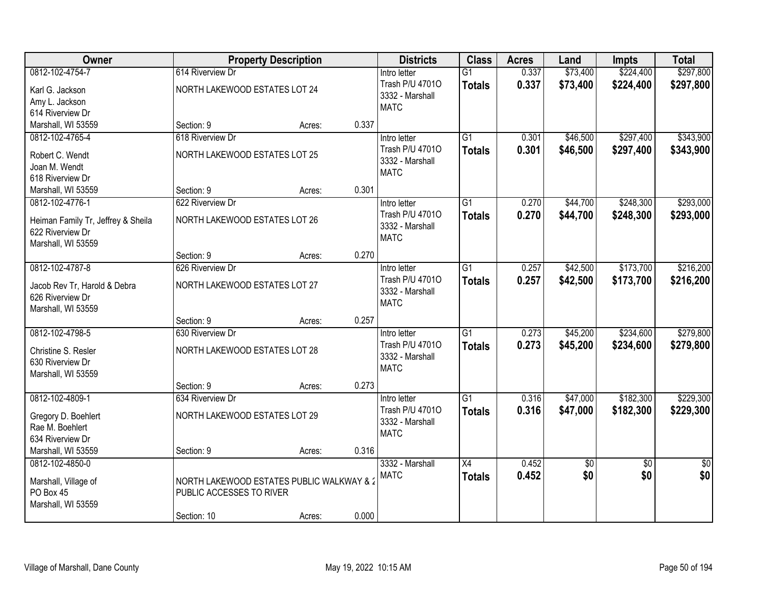| Owner                              |                                           | <b>Property Description</b> |       | <b>Districts</b> | <b>Class</b>    | <b>Acres</b> | Land            | <b>Impts</b>    | <b>Total</b>    |
|------------------------------------|-------------------------------------------|-----------------------------|-------|------------------|-----------------|--------------|-----------------|-----------------|-----------------|
| 0812-102-4754-7                    | 614 Riverview Dr                          |                             |       | Intro letter     | $\overline{G1}$ | 0.337        | \$73,400        | \$224,400       | \$297,800       |
| Karl G. Jackson                    | NORTH LAKEWOOD ESTATES LOT 24             |                             |       | Trash P/U 47010  | <b>Totals</b>   | 0.337        | \$73,400        | \$224,400       | \$297,800       |
| Amy L. Jackson                     |                                           |                             |       | 3332 - Marshall  |                 |              |                 |                 |                 |
| 614 Riverview Dr                   |                                           |                             |       | <b>MATC</b>      |                 |              |                 |                 |                 |
| Marshall, WI 53559                 | Section: 9                                | Acres:                      | 0.337 |                  |                 |              |                 |                 |                 |
| 0812-102-4765-4                    | 618 Riverview Dr                          |                             |       | Intro letter     | $\overline{G1}$ | 0.301        | \$46,500        | \$297,400       | \$343,900       |
| Robert C. Wendt                    | NORTH LAKEWOOD ESTATES LOT 25             |                             |       | Trash P/U 47010  | <b>Totals</b>   | 0.301        | \$46,500        | \$297,400       | \$343,900       |
| Joan M. Wendt                      |                                           |                             |       | 3332 - Marshall  |                 |              |                 |                 |                 |
| 618 Riverview Dr                   |                                           |                             |       | <b>MATC</b>      |                 |              |                 |                 |                 |
| Marshall, WI 53559                 | Section: 9                                | Acres:                      | 0.301 |                  |                 |              |                 |                 |                 |
| 0812-102-4776-1                    | 622 Riverview Dr                          |                             |       | Intro letter     | $\overline{G1}$ | 0.270        | \$44,700        | \$248,300       | \$293,000       |
| Heiman Family Tr, Jeffrey & Sheila | NORTH LAKEWOOD ESTATES LOT 26             |                             |       | Trash P/U 47010  | <b>Totals</b>   | 0.270        | \$44,700        | \$248,300       | \$293,000       |
| 622 Riverview Dr                   |                                           |                             |       | 3332 - Marshall  |                 |              |                 |                 |                 |
| Marshall, WI 53559                 |                                           |                             |       | <b>MATC</b>      |                 |              |                 |                 |                 |
|                                    | Section: 9                                | Acres:                      | 0.270 |                  |                 |              |                 |                 |                 |
| 0812-102-4787-8                    | 626 Riverview Dr                          |                             |       | Intro letter     | $\overline{G1}$ | 0.257        | \$42,500        | \$173,700       | \$216,200       |
| Jacob Rev Tr, Harold & Debra       | NORTH LAKEWOOD ESTATES LOT 27             |                             |       | Trash P/U 47010  | <b>Totals</b>   | 0.257        | \$42,500        | \$173,700       | \$216,200       |
| 626 Riverview Dr                   |                                           |                             |       | 3332 - Marshall  |                 |              |                 |                 |                 |
| Marshall, WI 53559                 |                                           |                             |       | <b>MATC</b>      |                 |              |                 |                 |                 |
|                                    | Section: 9                                | Acres:                      | 0.257 |                  |                 |              |                 |                 |                 |
| 0812-102-4798-5                    | 630 Riverview Dr                          |                             |       | Intro letter     | $\overline{G1}$ | 0.273        | \$45,200        | \$234,600       | \$279,800       |
| Christine S. Resler                | NORTH LAKEWOOD ESTATES LOT 28             |                             |       | Trash P/U 47010  | <b>Totals</b>   | 0.273        | \$45,200        | \$234,600       | \$279,800       |
| 630 Riverview Dr                   |                                           |                             |       | 3332 - Marshall  |                 |              |                 |                 |                 |
| Marshall, WI 53559                 |                                           |                             |       | <b>MATC</b>      |                 |              |                 |                 |                 |
|                                    | Section: 9                                | Acres:                      | 0.273 |                  |                 |              |                 |                 |                 |
| 0812-102-4809-1                    | 634 Riverview Dr                          |                             |       | Intro letter     | G1              | 0.316        | \$47,000        | \$182,300       | \$229,300       |
| Gregory D. Boehlert                | NORTH LAKEWOOD ESTATES LOT 29             |                             |       | Trash P/U 47010  | <b>Totals</b>   | 0.316        | \$47,000        | \$182,300       | \$229,300       |
| Rae M. Boehlert                    |                                           |                             |       | 3332 - Marshall  |                 |              |                 |                 |                 |
| 634 Riverview Dr                   |                                           |                             |       | <b>MATC</b>      |                 |              |                 |                 |                 |
| Marshall, WI 53559                 | Section: 9                                | Acres:                      | 0.316 |                  |                 |              |                 |                 |                 |
| 0812-102-4850-0                    |                                           |                             |       | 3332 - Marshall  | $\overline{X4}$ | 0.452        | $\overline{60}$ | $\overline{30}$ | $\overline{30}$ |
| Marshall, Village of               | NORTH LAKEWOOD ESTATES PUBLIC WALKWAY & 2 |                             |       | <b>MATC</b>      | <b>Totals</b>   | 0.452        | \$0             | \$0             | \$0             |
| PO Box 45                          | PUBLIC ACCESSES TO RIVER                  |                             |       |                  |                 |              |                 |                 |                 |
| Marshall, WI 53559                 |                                           |                             |       |                  |                 |              |                 |                 |                 |
|                                    | Section: 10                               | Acres:                      | 0.000 |                  |                 |              |                 |                 |                 |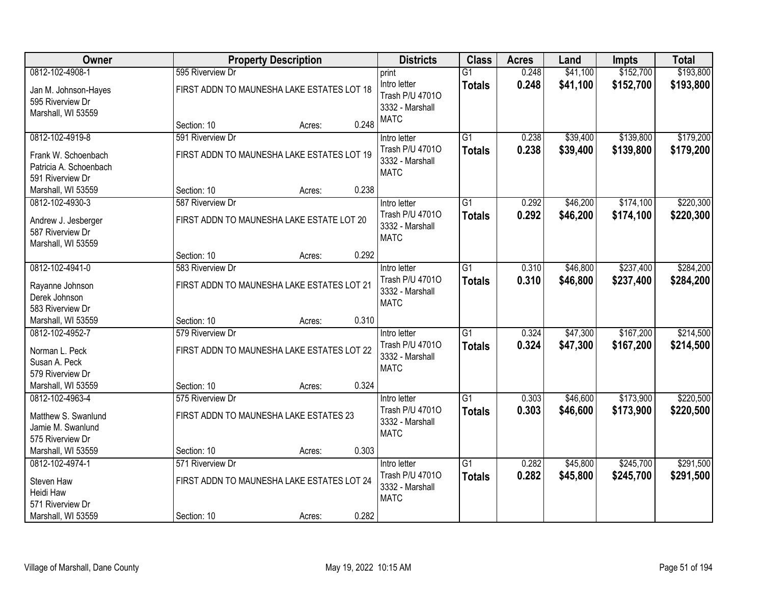| Owner                                                             | <b>Property Description</b>                                    |                 | <b>Districts</b>                                                  | <b>Class</b>                     | <b>Acres</b>   | Land                 | <b>Impts</b>           | <b>Total</b>           |
|-------------------------------------------------------------------|----------------------------------------------------------------|-----------------|-------------------------------------------------------------------|----------------------------------|----------------|----------------------|------------------------|------------------------|
| 0812-102-4908-1                                                   | 595 Riverview Dr                                               |                 | print                                                             | $\overline{G1}$                  | 0.248          | \$41,100             | \$152,700              | \$193,800              |
| Jan M. Johnson-Hayes<br>595 Riverview Dr<br>Marshall, WI 53559    | FIRST ADDN TO MAUNESHA LAKE ESTATES LOT 18                     |                 | Intro letter<br>Trash P/U 47010<br>3332 - Marshall<br><b>MATC</b> | <b>Totals</b>                    | 0.248          | \$41,100             | \$152,700              | \$193,800              |
|                                                                   | Section: 10                                                    | 0.248<br>Acres: |                                                                   |                                  |                |                      |                        |                        |
| 0812-102-4919-8                                                   | 591 Riverview Dr                                               |                 | Intro letter                                                      | $\overline{G1}$                  | 0.238          | \$39,400             | \$139,800              | \$179,200              |
| Frank W. Schoenbach<br>Patricia A. Schoenbach<br>591 Riverview Dr | FIRST ADDN TO MAUNESHA LAKE ESTATES LOT 19                     |                 | Trash P/U 47010<br>3332 - Marshall<br><b>MATC</b>                 | <b>Totals</b>                    | 0.238          | \$39,400             | \$139,800              | \$179,200              |
| Marshall, WI 53559                                                | Section: 10                                                    | 0.238<br>Acres: |                                                                   |                                  |                |                      |                        |                        |
| 0812-102-4930-3                                                   | 587 Riverview Dr                                               |                 | Intro letter                                                      | G1                               | 0.292          | \$46,200             | \$174,100              | \$220,300              |
| Andrew J. Jesberger<br>587 Riverview Dr<br>Marshall, WI 53559     | FIRST ADDN TO MAUNESHA LAKE ESTATE LOT 20                      |                 | Trash P/U 47010<br>3332 - Marshall<br><b>MATC</b>                 | <b>Totals</b>                    | 0.292          | \$46,200             | \$174,100              | \$220,300              |
|                                                                   | Section: 10                                                    | 0.292<br>Acres: |                                                                   |                                  |                |                      |                        |                        |
| 0812-102-4941-0                                                   | 583 Riverview Dr                                               |                 | Intro letter                                                      | $\overline{G1}$                  | 0.310          | \$46,800             | \$237,400              | \$284,200              |
| Rayanne Johnson<br>Derek Johnson<br>583 Riverview Dr              | FIRST ADDN TO MAUNESHA LAKE ESTATES LOT 21                     |                 | Trash P/U 47010<br>3332 - Marshall<br><b>MATC</b>                 | <b>Totals</b>                    | 0.310          | \$46,800             | \$237,400              | \$284,200              |
| Marshall, WI 53559                                                | Section: 10                                                    | 0.310<br>Acres: |                                                                   |                                  |                |                      |                        |                        |
| 0812-102-4952-7<br>Norman L. Peck<br>Susan A. Peck                | 579 Riverview Dr<br>FIRST ADDN TO MAUNESHA LAKE ESTATES LOT 22 |                 | Intro letter<br>Trash P/U 47010<br>3332 - Marshall                | $\overline{G1}$<br><b>Totals</b> | 0.324<br>0.324 | \$47,300<br>\$47,300 | \$167,200<br>\$167,200 | \$214,500<br>\$214,500 |
| 579 Riverview Dr                                                  |                                                                |                 | <b>MATC</b>                                                       |                                  |                |                      |                        |                        |
| Marshall, WI 53559                                                | Section: 10                                                    | 0.324<br>Acres: |                                                                   |                                  |                |                      |                        |                        |
| 0812-102-4963-4                                                   | 575 Riverview Dr                                               |                 | Intro letter                                                      | G1                               | 0.303          | \$46,600             | \$173,900              | \$220,500              |
| Matthew S. Swanlund<br>Jamie M. Swanlund<br>575 Riverview Dr      | FIRST ADDN TO MAUNESHA LAKE ESTATES 23                         |                 | Trash P/U 47010<br>3332 - Marshall<br><b>MATC</b>                 | <b>Totals</b>                    | 0.303          | \$46,600             | \$173,900              | \$220,500              |
| Marshall, WI 53559                                                | Section: 10                                                    | 0.303<br>Acres: |                                                                   |                                  |                |                      |                        |                        |
| 0812-102-4974-1                                                   | 571 Riverview Dr                                               |                 | Intro letter                                                      | $\overline{G1}$                  | 0.282          | \$45,800             | \$245,700              | \$291,500              |
| Steven Haw<br>Heidi Haw<br>571 Riverview Dr                       | FIRST ADDN TO MAUNESHA LAKE ESTATES LOT 24                     |                 | Trash P/U 47010<br>3332 - Marshall<br><b>MATC</b>                 | <b>Totals</b>                    | 0.282          | \$45,800             | \$245,700              | \$291,500              |
| Marshall, WI 53559                                                | Section: 10                                                    | 0.282<br>Acres: |                                                                   |                                  |                |                      |                        |                        |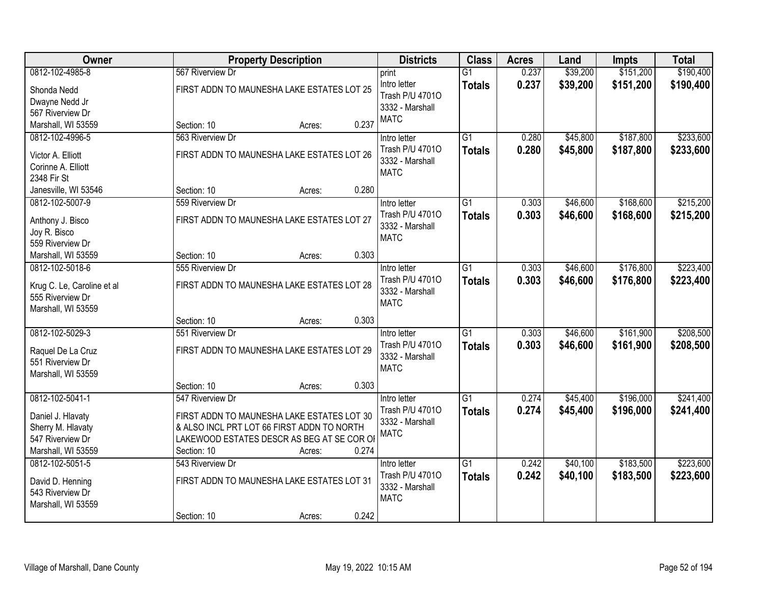| Owner                                  |                                            | <b>Property Description</b> |       | <b>Districts</b>                | <b>Class</b>    | <b>Acres</b> | Land     | <b>Impts</b> | <b>Total</b> |
|----------------------------------------|--------------------------------------------|-----------------------------|-------|---------------------------------|-----------------|--------------|----------|--------------|--------------|
| 0812-102-4985-8                        | 567 Riverview Dr                           |                             |       | print                           | $\overline{G1}$ | 0.237        | \$39,200 | \$151,200    | \$190,400    |
| Shonda Nedd                            | FIRST ADDN TO MAUNESHA LAKE ESTATES LOT 25 |                             |       | Intro letter                    | <b>Totals</b>   | 0.237        | \$39,200 | \$151,200    | \$190,400    |
| Dwayne Nedd Jr                         |                                            |                             |       | Trash P/U 47010                 |                 |              |          |              |              |
| 567 Riverview Dr                       |                                            |                             |       | 3332 - Marshall                 |                 |              |          |              |              |
| Marshall, WI 53559                     | Section: 10                                | Acres:                      | 0.237 | <b>MATC</b>                     |                 |              |          |              |              |
| 0812-102-4996-5                        | 563 Riverview Dr                           |                             |       | Intro letter                    | $\overline{G1}$ | 0.280        | \$45,800 | \$187,800    | \$233,600    |
| Victor A. Elliott                      | FIRST ADDN TO MAUNESHA LAKE ESTATES LOT 26 |                             |       | Trash P/U 47010                 | <b>Totals</b>   | 0.280        | \$45,800 | \$187,800    | \$233,600    |
| Corinne A. Elliott                     |                                            |                             |       | 3332 - Marshall                 |                 |              |          |              |              |
| 2348 Fir St                            |                                            |                             |       | <b>MATC</b>                     |                 |              |          |              |              |
| Janesville, WI 53546                   | Section: 10                                | Acres:                      | 0.280 |                                 |                 |              |          |              |              |
| 0812-102-5007-9                        | 559 Riverview Dr                           |                             |       | Intro letter                    | G1              | 0.303        | \$46,600 | \$168,600    | \$215,200    |
|                                        | FIRST ADDN TO MAUNESHA LAKE ESTATES LOT 27 |                             |       | Trash P/U 47010                 | <b>Totals</b>   | 0.303        | \$46,600 | \$168,600    | \$215,200    |
| Anthony J. Bisco<br>Joy R. Bisco       |                                            |                             |       | 3332 - Marshall                 |                 |              |          |              |              |
| 559 Riverview Dr                       |                                            |                             |       | <b>MATC</b>                     |                 |              |          |              |              |
| Marshall, WI 53559                     | Section: 10                                | Acres:                      | 0.303 |                                 |                 |              |          |              |              |
| 0812-102-5018-6                        | 555 Riverview Dr                           |                             |       | Intro letter                    | $\overline{G1}$ | 0.303        | \$46,600 | \$176,800    | \$223,400    |
|                                        |                                            |                             |       | Trash P/U 47010                 | <b>Totals</b>   | 0.303        | \$46,600 | \$176,800    | \$223,400    |
| Krug C. Le, Caroline et al             | FIRST ADDN TO MAUNESHA LAKE ESTATES LOT 28 |                             |       | 3332 - Marshall                 |                 |              |          |              |              |
| 555 Riverview Dr<br>Marshall, WI 53559 |                                            |                             |       | <b>MATC</b>                     |                 |              |          |              |              |
|                                        | Section: 10                                | Acres:                      | 0.303 |                                 |                 |              |          |              |              |
| 0812-102-5029-3                        | 551 Riverview Dr                           |                             |       | Intro letter                    | $\overline{G1}$ | 0.303        | \$46,600 | \$161,900    | \$208,500    |
|                                        |                                            |                             |       | Trash P/U 47010                 | <b>Totals</b>   | 0.303        | \$46,600 | \$161,900    | \$208,500    |
| Raquel De La Cruz                      | FIRST ADDN TO MAUNESHA LAKE ESTATES LOT 29 |                             |       | 3332 - Marshall                 |                 |              |          |              |              |
| 551 Riverview Dr                       |                                            |                             |       | <b>MATC</b>                     |                 |              |          |              |              |
| Marshall, WI 53559                     | Section: 10                                | Acres:                      | 0.303 |                                 |                 |              |          |              |              |
| 0812-102-5041-1                        | 547 Riverview Dr                           |                             |       | Intro letter                    | $\overline{G1}$ | 0.274        | \$45,400 | \$196,000    | \$241,400    |
|                                        |                                            |                             |       | Trash P/U 47010                 | <b>Totals</b>   | 0.274        | \$45,400 | \$196,000    | \$241,400    |
| Daniel J. Hlavaty                      | FIRST ADDN TO MAUNESHA LAKE ESTATES LOT 30 |                             |       | 3332 - Marshall                 |                 |              |          |              |              |
| Sherry M. Hlavaty                      | & ALSO INCL PRT LOT 66 FIRST ADDN TO NORTH |                             |       | <b>MATC</b>                     |                 |              |          |              |              |
| 547 Riverview Dr                       | LAKEWOOD ESTATES DESCR AS BEG AT SE COR OF |                             |       |                                 |                 |              |          |              |              |
| Marshall, WI 53559                     | Section: 10                                | Acres:                      | 0.274 |                                 | $\overline{G1}$ | 0.242        |          | \$183,500    | \$223,600    |
| 0812-102-5051-5                        | 543 Riverview Dr                           |                             |       | Intro letter<br>Trash P/U 47010 |                 |              | \$40,100 |              |              |
| David D. Henning                       | FIRST ADDN TO MAUNESHA LAKE ESTATES LOT 31 |                             |       | 3332 - Marshall                 | <b>Totals</b>   | 0.242        | \$40,100 | \$183,500    | \$223,600    |
| 543 Riverview Dr                       |                                            |                             |       | <b>MATC</b>                     |                 |              |          |              |              |
| Marshall, WI 53559                     |                                            |                             |       |                                 |                 |              |          |              |              |
|                                        | Section: 10                                | Acres:                      | 0.242 |                                 |                 |              |          |              |              |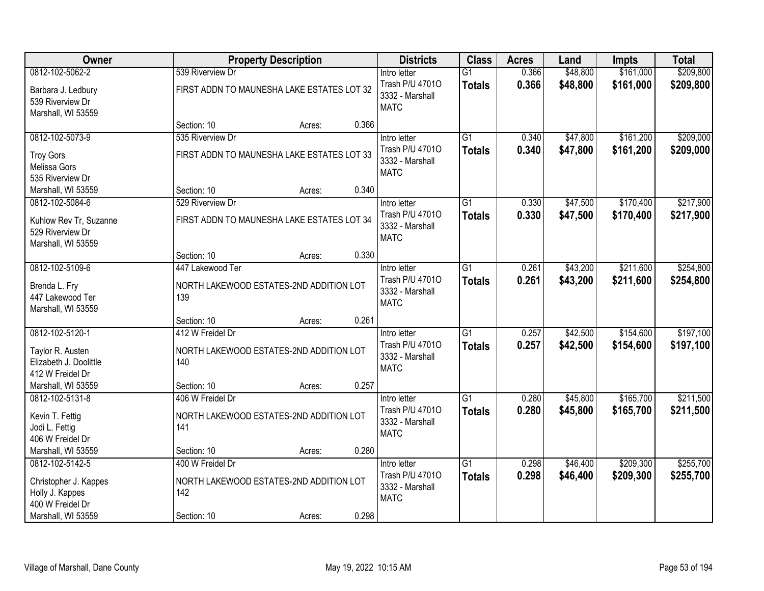| <b>Owner</b>                                                                      |                                                                    | <b>Property Description</b> | <b>Districts</b>                                                  | <b>Class</b>                     | <b>Acres</b>   | Land                 | <b>Impts</b>           | <b>Total</b>           |
|-----------------------------------------------------------------------------------|--------------------------------------------------------------------|-----------------------------|-------------------------------------------------------------------|----------------------------------|----------------|----------------------|------------------------|------------------------|
| 0812-102-5062-2                                                                   | 539 Riverview Dr                                                   |                             | Intro letter                                                      | $\overline{G1}$                  | 0.366          | \$48,800             | \$161,000              | \$209,800              |
| Barbara J. Ledbury<br>539 Riverview Dr<br>Marshall, WI 53559                      | FIRST ADDN TO MAUNESHA LAKE ESTATES LOT 32                         |                             | Trash P/U 47010<br>3332 - Marshall<br><b>MATC</b>                 | <b>Totals</b>                    | 0.366          | \$48,800             | \$161,000              | \$209,800              |
|                                                                                   | Section: 10                                                        | Acres:                      | 0.366                                                             |                                  |                |                      |                        |                        |
| 0812-102-5073-9                                                                   | 535 Riverview Dr                                                   |                             | Intro letter                                                      | $\overline{G1}$                  | 0.340          | \$47,800             | \$161,200              | \$209,000              |
| <b>Troy Gors</b><br><b>Melissa Gors</b><br>535 Riverview Dr                       | FIRST ADDN TO MAUNESHA LAKE ESTATES LOT 33                         |                             | Trash P/U 47010<br>3332 - Marshall<br><b>MATC</b>                 | <b>Totals</b>                    | 0.340          | \$47,800             | \$161,200              | \$209,000              |
| Marshall, WI 53559                                                                | Section: 10                                                        | Acres:                      | 0.340                                                             |                                  |                |                      |                        |                        |
| 0812-102-5084-6                                                                   | 529 Riverview Dr                                                   |                             | Intro letter                                                      | G1                               | 0.330          | \$47,500             | \$170,400              | \$217,900              |
| Kuhlow Rev Tr, Suzanne<br>529 Riverview Dr<br>Marshall, WI 53559                  | FIRST ADDN TO MAUNESHA LAKE ESTATES LOT 34                         |                             | Trash P/U 47010<br>3332 - Marshall<br><b>MATC</b>                 | <b>Totals</b>                    | 0.330          | \$47,500             | \$170,400              | \$217,900              |
|                                                                                   | Section: 10                                                        | Acres:                      | 0.330                                                             |                                  |                |                      |                        |                        |
| 0812-102-5109-6                                                                   | 447 Lakewood Ter                                                   |                             | Intro letter                                                      | G1                               | 0.261          | \$43,200             | \$211,600              | \$254,800              |
| Brenda L. Fry<br>447 Lakewood Ter<br>Marshall, WI 53559                           | NORTH LAKEWOOD ESTATES-2ND ADDITION LOT<br>139                     |                             | Trash P/U 47010<br>3332 - Marshall<br><b>MATC</b>                 | <b>Totals</b>                    | 0.261          | \$43,200             | \$211,600              | \$254,800              |
|                                                                                   | Section: 10                                                        | Acres:                      | 0.261                                                             |                                  |                |                      |                        |                        |
| 0812-102-5120-1<br>Taylor R. Austen<br>Elizabeth J. Doolittle<br>412 W Freidel Dr | 412 W Freidel Dr<br>NORTH LAKEWOOD ESTATES-2ND ADDITION LOT<br>140 |                             | Intro letter<br>Trash P/U 47010<br>3332 - Marshall<br><b>MATC</b> | $\overline{G1}$<br><b>Totals</b> | 0.257<br>0.257 | \$42,500<br>\$42,500 | \$154,600<br>\$154,600 | \$197,100<br>\$197,100 |
| Marshall, WI 53559                                                                | Section: 10                                                        | Acres:                      | 0.257                                                             |                                  |                |                      |                        |                        |
| 0812-102-5131-8                                                                   | 406 W Freidel Dr                                                   |                             | Intro letter                                                      | $\overline{G1}$                  | 0.280          | \$45,800             | \$165,700              | \$211,500              |
| Kevin T. Fettig<br>Jodi L. Fettig<br>406 W Freidel Dr                             | NORTH LAKEWOOD ESTATES-2ND ADDITION LOT<br>141                     |                             | Trash P/U 47010<br>3332 - Marshall<br><b>MATC</b>                 | <b>Totals</b>                    | 0.280          | \$45,800             | \$165,700              | \$211,500              |
| Marshall, WI 53559                                                                | Section: 10                                                        | Acres:                      | 0.280                                                             |                                  |                |                      |                        |                        |
| 0812-102-5142-5                                                                   | 400 W Freidel Dr                                                   |                             | Intro letter                                                      | $\overline{G1}$                  | 0.298          | \$46,400             | \$209,300              | \$255,700              |
| Christopher J. Kappes<br>Holly J. Kappes<br>400 W Freidel Dr                      | NORTH LAKEWOOD ESTATES-2ND ADDITION LOT<br>142                     |                             | Trash P/U 47010<br>3332 - Marshall<br><b>MATC</b>                 | <b>Totals</b>                    | 0.298          | \$46,400             | \$209,300              | \$255,700              |
| Marshall, WI 53559                                                                | Section: 10                                                        | Acres:                      | 0.298                                                             |                                  |                |                      |                        |                        |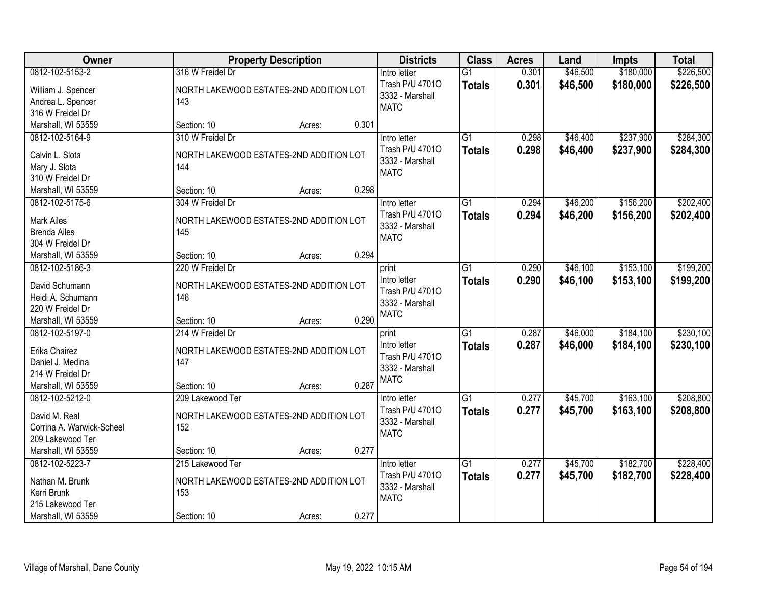| Owner                     |                                         | <b>Property Description</b> |       | <b>Districts</b>               | <b>Class</b>    | <b>Acres</b> | Land     | <b>Impts</b> | <b>Total</b> |
|---------------------------|-----------------------------------------|-----------------------------|-------|--------------------------------|-----------------|--------------|----------|--------------|--------------|
| 0812-102-5153-2           | 316 W Freidel Dr                        |                             |       | Intro letter                   | $\overline{G1}$ | 0.301        | \$46,500 | \$180,000    | \$226,500    |
| William J. Spencer        | NORTH LAKEWOOD ESTATES-2ND ADDITION LOT |                             |       | Trash P/U 47010                | <b>Totals</b>   | 0.301        | \$46,500 | \$180,000    | \$226,500    |
| Andrea L. Spencer         | 143                                     |                             |       | 3332 - Marshall<br><b>MATC</b> |                 |              |          |              |              |
| 316 W Freidel Dr          |                                         |                             |       |                                |                 |              |          |              |              |
| Marshall, WI 53559        | Section: 10                             | Acres:                      | 0.301 |                                |                 |              |          |              |              |
| 0812-102-5164-9           | 310 W Freidel Dr                        |                             |       | Intro letter                   | $\overline{G1}$ | 0.298        | \$46,400 | \$237,900    | \$284,300    |
| Calvin L. Slota           | NORTH LAKEWOOD ESTATES-2ND ADDITION LOT |                             |       | Trash P/U 47010                | <b>Totals</b>   | 0.298        | \$46,400 | \$237,900    | \$284,300    |
| Mary J. Slota             | 144                                     |                             |       | 3332 - Marshall                |                 |              |          |              |              |
| 310 W Freidel Dr          |                                         |                             |       | <b>MATC</b>                    |                 |              |          |              |              |
| Marshall, WI 53559        | Section: 10                             | Acres:                      | 0.298 |                                |                 |              |          |              |              |
| 0812-102-5175-6           | 304 W Freidel Dr                        |                             |       | Intro letter                   | $\overline{G1}$ | 0.294        | \$46,200 | \$156,200    | \$202,400    |
|                           |                                         |                             |       | Trash P/U 47010                | <b>Totals</b>   | 0.294        | \$46,200 | \$156,200    | \$202,400    |
| <b>Mark Ailes</b>         | NORTH LAKEWOOD ESTATES-2ND ADDITION LOT |                             |       | 3332 - Marshall                |                 |              |          |              |              |
| <b>Brenda Ailes</b>       | 145                                     |                             |       | <b>MATC</b>                    |                 |              |          |              |              |
| 304 W Freidel Dr          |                                         |                             |       |                                |                 |              |          |              |              |
| Marshall, WI 53559        | Section: 10                             | Acres:                      | 0.294 |                                |                 |              |          |              |              |
| 0812-102-5186-3           | 220 W Freidel Dr                        |                             |       | print                          | $\overline{G1}$ | 0.290        | \$46,100 | \$153,100    | \$199,200    |
| David Schumann            | NORTH LAKEWOOD ESTATES-2ND ADDITION LOT |                             |       | Intro letter                   | <b>Totals</b>   | 0.290        | \$46,100 | \$153,100    | \$199,200    |
| Heidi A. Schumann         | 146                                     |                             |       | Trash P/U 47010                |                 |              |          |              |              |
| 220 W Freidel Dr          |                                         |                             |       | 3332 - Marshall<br><b>MATC</b> |                 |              |          |              |              |
| Marshall, WI 53559        | Section: 10                             | Acres:                      | 0.290 |                                |                 |              |          |              |              |
| 0812-102-5197-0           | 214 W Freidel Dr                        |                             |       | print                          | $\overline{G1}$ | 0.287        | \$46,000 | \$184,100    | \$230,100    |
| Erika Chairez             | NORTH LAKEWOOD ESTATES-2ND ADDITION LOT |                             |       | Intro letter                   | <b>Totals</b>   | 0.287        | \$46,000 | \$184,100    | \$230,100    |
| Daniel J. Medina          | 147                                     |                             |       | Trash P/U 47010                |                 |              |          |              |              |
| 214 W Freidel Dr          |                                         |                             |       | 3332 - Marshall                |                 |              |          |              |              |
| Marshall, WI 53559        | Section: 10                             | Acres:                      | 0.287 | <b>MATC</b>                    |                 |              |          |              |              |
| 0812-102-5212-0           | 209 Lakewood Ter                        |                             |       | Intro letter                   | $\overline{G1}$ | 0.277        | \$45,700 | \$163,100    | \$208,800    |
|                           |                                         |                             |       | Trash P/U 47010                | <b>Totals</b>   | 0.277        | \$45,700 | \$163,100    | \$208,800    |
| David M. Real             | NORTH LAKEWOOD ESTATES-2ND ADDITION LOT |                             |       | 3332 - Marshall                |                 |              |          |              |              |
| Corrina A. Warwick-Scheel | 152                                     |                             |       | <b>MATC</b>                    |                 |              |          |              |              |
| 209 Lakewood Ter          |                                         |                             |       |                                |                 |              |          |              |              |
| Marshall, WI 53559        | Section: 10                             | Acres:                      | 0.277 |                                |                 |              |          |              |              |
| 0812-102-5223-7           | 215 Lakewood Ter                        |                             |       | Intro letter                   | $\overline{G1}$ | 0.277        | \$45,700 | \$182,700    | \$228,400    |
| Nathan M. Brunk           | NORTH LAKEWOOD ESTATES-2ND ADDITION LOT |                             |       | Trash P/U 47010                | <b>Totals</b>   | 0.277        | \$45,700 | \$182,700    | \$228,400    |
| Kerri Brunk               | 153                                     |                             |       | 3332 - Marshall                |                 |              |          |              |              |
| 215 Lakewood Ter          |                                         |                             |       | <b>MATC</b>                    |                 |              |          |              |              |
| Marshall, WI 53559        | Section: 10                             | Acres:                      | 0.277 |                                |                 |              |          |              |              |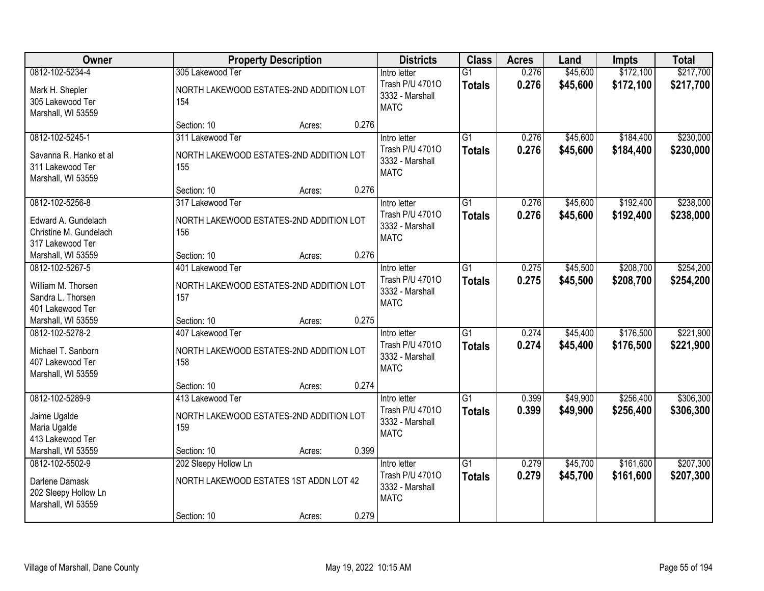| Owner                                                                           |                                                                    | <b>Property Description</b> |       | <b>Districts</b>                                                  | <b>Class</b>                     | <b>Acres</b>   | Land                 | <b>Impts</b>           | <b>Total</b>           |
|---------------------------------------------------------------------------------|--------------------------------------------------------------------|-----------------------------|-------|-------------------------------------------------------------------|----------------------------------|----------------|----------------------|------------------------|------------------------|
| 0812-102-5234-4                                                                 | 305 Lakewood Ter                                                   |                             |       | Intro letter                                                      | $\overline{G1}$                  | 0.276          | \$45,600             | \$172,100              | \$217,700              |
| Mark H. Shepler<br>305 Lakewood Ter<br>Marshall, WI 53559                       | NORTH LAKEWOOD ESTATES-2ND ADDITION LOT<br>154                     |                             |       | Trash P/U 47010<br>3332 - Marshall<br><b>MATC</b>                 | <b>Totals</b>                    | 0.276          | \$45,600             | \$172,100              | \$217,700              |
|                                                                                 | Section: 10                                                        | Acres:                      | 0.276 |                                                                   |                                  |                |                      |                        |                        |
| 0812-102-5245-1                                                                 | 311 Lakewood Ter                                                   |                             |       | Intro letter                                                      | $\overline{G1}$                  | 0.276          | \$45,600             | \$184,400              | \$230,000              |
| Savanna R. Hanko et al<br>311 Lakewood Ter<br>Marshall, WI 53559                | NORTH LAKEWOOD ESTATES-2ND ADDITION LOT<br>155                     |                             |       | Trash P/U 47010<br>3332 - Marshall<br><b>MATC</b>                 | <b>Totals</b>                    | 0.276          | \$45,600             | \$184,400              | \$230,000              |
|                                                                                 | Section: 10                                                        | Acres:                      | 0.276 |                                                                   |                                  |                |                      |                        |                        |
| 0812-102-5256-8                                                                 | 317 Lakewood Ter                                                   |                             |       | Intro letter                                                      | $\overline{G1}$                  | 0.276          | \$45,600             | \$192,400              | \$238,000              |
| Edward A. Gundelach<br>Christine M. Gundelach<br>317 Lakewood Ter               | NORTH LAKEWOOD ESTATES-2ND ADDITION LOT<br>156                     |                             |       | Trash P/U 47010<br>3332 - Marshall<br><b>MATC</b>                 | <b>Totals</b>                    | 0.276          | \$45,600             | \$192,400              | \$238,000              |
| Marshall, WI 53559                                                              | Section: 10                                                        | Acres:                      | 0.276 |                                                                   |                                  |                |                      |                        |                        |
| 0812-102-5267-5                                                                 | 401 Lakewood Ter                                                   |                             |       | Intro letter                                                      | $\overline{G1}$                  | 0.275          | \$45,500             | \$208,700              | \$254,200              |
| William M. Thorsen<br>Sandra L. Thorsen<br>401 Lakewood Ter                     | NORTH LAKEWOOD ESTATES-2ND ADDITION LOT<br>157                     |                             |       | Trash P/U 47010<br>3332 - Marshall<br><b>MATC</b>                 | <b>Totals</b>                    | 0.275          | \$45,500             | \$208,700              | \$254,200              |
| Marshall, WI 53559                                                              | Section: 10                                                        | Acres:                      | 0.275 |                                                                   |                                  |                |                      |                        |                        |
| 0812-102-5278-2<br>Michael T. Sanborn<br>407 Lakewood Ter<br>Marshall, WI 53559 | 407 Lakewood Ter<br>NORTH LAKEWOOD ESTATES-2ND ADDITION LOT<br>158 |                             |       | Intro letter<br>Trash P/U 47010<br>3332 - Marshall<br><b>MATC</b> | $\overline{G1}$<br><b>Totals</b> | 0.274<br>0.274 | \$45,400<br>\$45,400 | \$176,500<br>\$176,500 | \$221,900<br>\$221,900 |
|                                                                                 | Section: 10                                                        | Acres:                      | 0.274 |                                                                   |                                  |                |                      |                        |                        |
| 0812-102-5289-9                                                                 | 413 Lakewood Ter                                                   |                             |       | Intro letter                                                      | $\overline{G1}$                  | 0.399          | \$49,900             | \$256,400              | \$306,300              |
| Jaime Ugalde<br>Maria Ugalde<br>413 Lakewood Ter                                | NORTH LAKEWOOD ESTATES-2ND ADDITION LOT<br>159                     |                             |       | Trash P/U 47010<br>3332 - Marshall<br><b>MATC</b>                 | <b>Totals</b>                    | 0.399          | \$49,900             | \$256,400              | \$306,300              |
| Marshall, WI 53559                                                              | Section: 10                                                        | Acres:                      | 0.399 |                                                                   |                                  |                |                      |                        |                        |
| 0812-102-5502-9                                                                 | 202 Sleepy Hollow Ln                                               |                             |       | Intro letter                                                      | $\overline{G1}$                  | 0.279          | \$45,700             | \$161,600              | \$207,300              |
| Darlene Damask<br>202 Sleepy Hollow Ln<br>Marshall, WI 53559                    | NORTH LAKEWOOD ESTATES 1ST ADDN LOT 42                             |                             |       | Trash P/U 47010<br>3332 - Marshall<br><b>MATC</b>                 | <b>Totals</b>                    | 0.279          | \$45,700             | \$161,600              | \$207,300              |
|                                                                                 | Section: 10                                                        | Acres:                      | 0.279 |                                                                   |                                  |                |                      |                        |                        |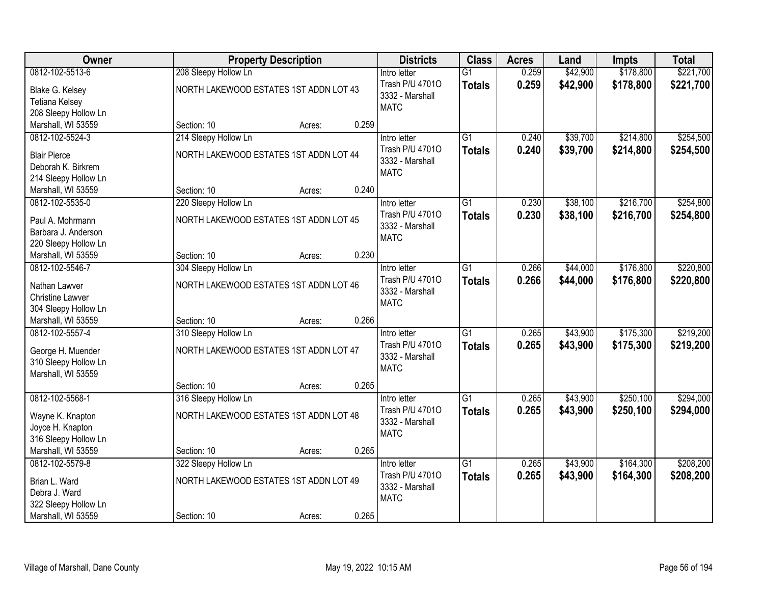| Owner                                                                     |                                                                | <b>Property Description</b> |       | <b>Districts</b>                                                  | <b>Class</b>                     | <b>Acres</b>   | Land                 | <b>Impts</b>           | <b>Total</b>           |
|---------------------------------------------------------------------------|----------------------------------------------------------------|-----------------------------|-------|-------------------------------------------------------------------|----------------------------------|----------------|----------------------|------------------------|------------------------|
| 0812-102-5513-6                                                           | 208 Sleepy Hollow Ln                                           |                             |       | Intro letter                                                      | $\overline{G1}$                  | 0.259          | \$42,900             | \$178,800              | \$221,700              |
| Blake G. Kelsey<br><b>Tetiana Kelsey</b><br>208 Sleepy Hollow Ln          | NORTH LAKEWOOD ESTATES 1ST ADDN LOT 43                         |                             |       | Trash P/U 47010<br>3332 - Marshall<br><b>MATC</b>                 | <b>Totals</b>                    | 0.259          | \$42,900             | \$178,800              | \$221,700              |
| Marshall, WI 53559                                                        | Section: 10                                                    | Acres:                      | 0.259 |                                                                   |                                  |                |                      |                        |                        |
| 0812-102-5524-3                                                           | 214 Sleepy Hollow Ln                                           |                             |       | Intro letter                                                      | $\overline{G1}$                  | 0.240          | \$39,700             | \$214,800              | \$254,500              |
| <b>Blair Pierce</b><br>Deborah K. Birkrem<br>214 Sleepy Hollow Ln         | NORTH LAKEWOOD ESTATES 1ST ADDN LOT 44                         |                             |       | Trash P/U 47010<br>3332 - Marshall<br><b>MATC</b>                 | <b>Totals</b>                    | 0.240          | \$39,700             | \$214,800              | \$254,500              |
| Marshall, WI 53559                                                        | Section: 10                                                    | Acres:                      | 0.240 |                                                                   |                                  |                |                      |                        |                        |
| 0812-102-5535-0                                                           | 220 Sleepy Hollow Ln                                           |                             |       | Intro letter                                                      | $\overline{G1}$                  | 0.230          | \$38,100             | \$216,700              | \$254,800              |
| Paul A. Mohrmann<br>Barbara J. Anderson<br>220 Sleepy Hollow Ln           | NORTH LAKEWOOD ESTATES 1ST ADDN LOT 45                         |                             |       | Trash P/U 47010<br>3332 - Marshall<br><b>MATC</b>                 | <b>Totals</b>                    | 0.230          | \$38,100             | \$216,700              | \$254,800              |
| Marshall, WI 53559                                                        | Section: 10                                                    | Acres:                      | 0.230 |                                                                   |                                  |                |                      |                        |                        |
| 0812-102-5546-7                                                           | 304 Sleepy Hollow Ln                                           |                             |       | Intro letter                                                      | $\overline{G1}$                  | 0.266          | \$44,000             | \$176,800              | \$220,800              |
| Nathan Lawver<br><b>Christine Lawver</b><br>304 Sleepy Hollow Ln          | NORTH LAKEWOOD ESTATES 1ST ADDN LOT 46                         |                             |       | Trash P/U 47010<br>3332 - Marshall<br><b>MATC</b>                 | <b>Totals</b>                    | 0.266          | \$44,000             | \$176,800              | \$220,800              |
| Marshall, WI 53559                                                        | Section: 10                                                    | Acres:                      | 0.266 |                                                                   |                                  |                |                      |                        |                        |
| 0812-102-5557-4<br>George H. Muender<br>310 Sleepy Hollow Ln              | 310 Sleepy Hollow Ln<br>NORTH LAKEWOOD ESTATES 1ST ADDN LOT 47 |                             |       | Intro letter<br>Trash P/U 47010<br>3332 - Marshall<br><b>MATC</b> | $\overline{G1}$<br><b>Totals</b> | 0.265<br>0.265 | \$43,900<br>\$43,900 | \$175,300<br>\$175,300 | \$219,200<br>\$219,200 |
| Marshall, WI 53559                                                        | Section: 10                                                    |                             | 0.265 |                                                                   |                                  |                |                      |                        |                        |
| 0812-102-5568-1                                                           | 316 Sleepy Hollow Ln                                           | Acres:                      |       | Intro letter                                                      | $\overline{G1}$                  | 0.265          | \$43,900             | \$250,100              | \$294,000              |
| Wayne K. Knapton<br>Joyce H. Knapton<br>316 Sleepy Hollow Ln              | NORTH LAKEWOOD ESTATES 1ST ADDN LOT 48                         |                             |       | Trash P/U 47010<br>3332 - Marshall<br><b>MATC</b>                 | <b>Totals</b>                    | 0.265          | \$43,900             | \$250,100              | \$294,000              |
| Marshall, WI 53559                                                        | Section: 10                                                    | Acres:                      | 0.265 |                                                                   |                                  |                |                      |                        |                        |
| 0812-102-5579-8<br>Brian L. Ward<br>Debra J. Ward<br>322 Sleepy Hollow Ln | 322 Sleepy Hollow Ln<br>NORTH LAKEWOOD ESTATES 1ST ADDN LOT 49 |                             |       | Intro letter<br>Trash P/U 47010<br>3332 - Marshall<br><b>MATC</b> | $\overline{G1}$<br><b>Totals</b> | 0.265<br>0.265 | \$43,900<br>\$43,900 | \$164,300<br>\$164,300 | \$208,200<br>\$208,200 |
| Marshall, WI 53559                                                        | Section: 10                                                    | Acres:                      | 0.265 |                                                                   |                                  |                |                      |                        |                        |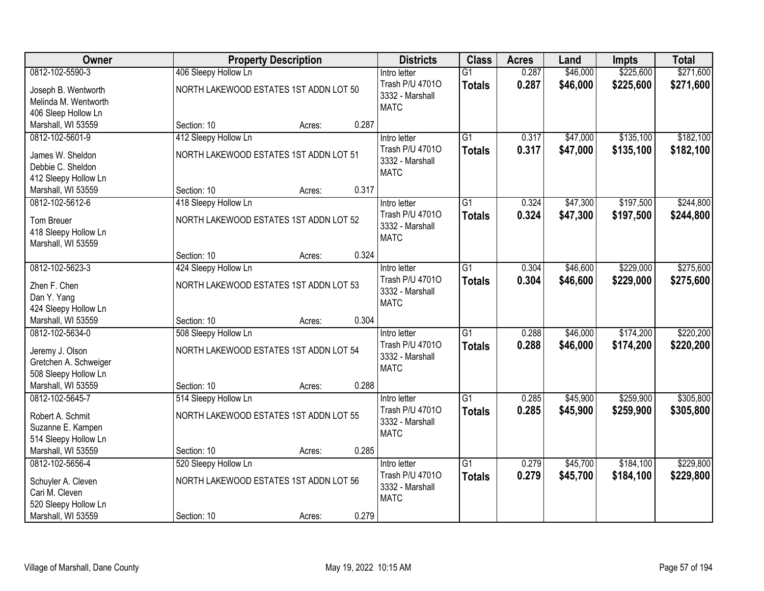| Owner                                  | <b>Property Description</b>            |        |       | <b>Districts</b> | <b>Class</b>    | <b>Acres</b> | Land     | <b>Impts</b> | <b>Total</b> |
|----------------------------------------|----------------------------------------|--------|-------|------------------|-----------------|--------------|----------|--------------|--------------|
| 0812-102-5590-3                        | 406 Sleepy Hollow Ln                   |        |       | Intro letter     | $\overline{G1}$ | 0.287        | \$46,000 | \$225,600    | \$271,600    |
| Joseph B. Wentworth                    | NORTH LAKEWOOD ESTATES 1ST ADDN LOT 50 |        |       | Trash P/U 47010  | <b>Totals</b>   | 0.287        | \$46,000 | \$225,600    | \$271,600    |
| Melinda M. Wentworth                   |                                        |        |       | 3332 - Marshall  |                 |              |          |              |              |
| 406 Sleep Hollow Ln                    |                                        |        |       | <b>MATC</b>      |                 |              |          |              |              |
| Marshall, WI 53559                     | Section: 10                            | Acres: | 0.287 |                  |                 |              |          |              |              |
| 0812-102-5601-9                        | 412 Sleepy Hollow Ln                   |        |       | Intro letter     | $\overline{G1}$ | 0.317        | \$47,000 | \$135,100    | \$182,100    |
| James W. Sheldon                       | NORTH LAKEWOOD ESTATES 1ST ADDN LOT 51 |        |       | Trash P/U 47010  | <b>Totals</b>   | 0.317        | \$47,000 | \$135,100    | \$182,100    |
| Debbie C. Sheldon                      |                                        |        |       | 3332 - Marshall  |                 |              |          |              |              |
| 412 Sleepy Hollow Ln                   |                                        |        |       | <b>MATC</b>      |                 |              |          |              |              |
| Marshall, WI 53559                     | Section: 10                            | Acres: | 0.317 |                  |                 |              |          |              |              |
| 0812-102-5612-6                        | 418 Sleepy Hollow Ln                   |        |       | Intro letter     | $\overline{G1}$ | 0.324        | \$47,300 | \$197,500    | \$244,800    |
| Tom Breuer                             | NORTH LAKEWOOD ESTATES 1ST ADDN LOT 52 |        |       | Trash P/U 47010  | <b>Totals</b>   | 0.324        | \$47,300 | \$197,500    | \$244,800    |
| 418 Sleepy Hollow Ln                   |                                        |        |       | 3332 - Marshall  |                 |              |          |              |              |
| Marshall, WI 53559                     |                                        |        |       | <b>MATC</b>      |                 |              |          |              |              |
|                                        | Section: 10                            | Acres: | 0.324 |                  |                 |              |          |              |              |
| 0812-102-5623-3                        | 424 Sleepy Hollow Ln                   |        |       | Intro letter     | $\overline{G1}$ | 0.304        | \$46,600 | \$229,000    | \$275,600    |
| Zhen F. Chen                           | NORTH LAKEWOOD ESTATES 1ST ADDN LOT 53 |        |       | Trash P/U 47010  | <b>Totals</b>   | 0.304        | \$46,600 | \$229,000    | \$275,600    |
| Dan Y. Yang                            |                                        |        |       | 3332 - Marshall  |                 |              |          |              |              |
| 424 Sleepy Hollow Ln                   |                                        |        |       | <b>MATC</b>      |                 |              |          |              |              |
| Marshall, WI 53559                     | Section: 10                            | Acres: | 0.304 |                  |                 |              |          |              |              |
| 0812-102-5634-0                        | 508 Sleepy Hollow Ln                   |        |       | Intro letter     | $\overline{G1}$ | 0.288        | \$46,000 | \$174,200    | \$220,200    |
| Jeremy J. Olson                        | NORTH LAKEWOOD ESTATES 1ST ADDN LOT 54 |        |       | Trash P/U 47010  | <b>Totals</b>   | 0.288        | \$46,000 | \$174,200    | \$220,200    |
| Gretchen A. Schweiger                  |                                        |        |       | 3332 - Marshall  |                 |              |          |              |              |
| 508 Sleepy Hollow Ln                   |                                        |        |       | <b>MATC</b>      |                 |              |          |              |              |
| Marshall, WI 53559                     | Section: 10                            | Acres: | 0.288 |                  |                 |              |          |              |              |
| 0812-102-5645-7                        | 514 Sleepy Hollow Ln                   |        |       | Intro letter     | $\overline{G1}$ | 0.285        | \$45,900 | \$259,900    | \$305,800    |
| Robert A. Schmit                       | NORTH LAKEWOOD ESTATES 1ST ADDN LOT 55 |        |       | Trash P/U 47010  | <b>Totals</b>   | 0.285        | \$45,900 | \$259,900    | \$305,800    |
| Suzanne E. Kampen                      |                                        |        |       | 3332 - Marshall  |                 |              |          |              |              |
| 514 Sleepy Hollow Ln                   |                                        |        |       | <b>MATC</b>      |                 |              |          |              |              |
| Marshall, WI 53559                     | Section: 10                            | Acres: | 0.285 |                  |                 |              |          |              |              |
| 0812-102-5656-4                        | 520 Sleepy Hollow Ln                   |        |       | Intro letter     | $\overline{G1}$ | 0.279        | \$45,700 | \$184,100    | \$229,800    |
|                                        |                                        |        |       | Trash P/U 47010  | <b>Totals</b>   | 0.279        | \$45,700 | \$184,100    | \$229,800    |
| Schuyler A. Cleven                     | NORTH LAKEWOOD ESTATES 1ST ADDN LOT 56 |        |       | 3332 - Marshall  |                 |              |          |              |              |
| Cari M. Cleven<br>520 Sleepy Hollow Ln |                                        |        |       | <b>MATC</b>      |                 |              |          |              |              |
| Marshall, WI 53559                     | Section: 10                            | Acres: | 0.279 |                  |                 |              |          |              |              |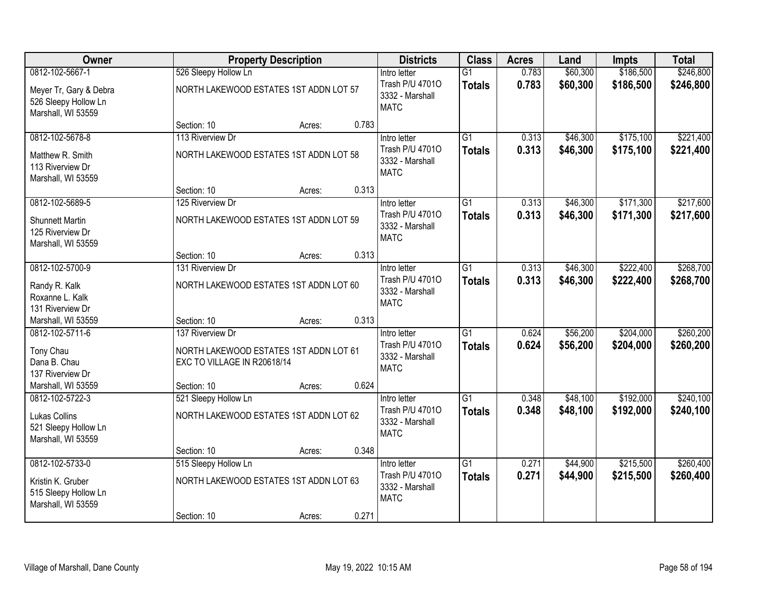| Owner                                                                |                                                                                           | <b>Property Description</b> |       | <b>Districts</b>                                                  | <b>Class</b>                     | <b>Acres</b>   | Land                 | Impts                  | <b>Total</b>           |
|----------------------------------------------------------------------|-------------------------------------------------------------------------------------------|-----------------------------|-------|-------------------------------------------------------------------|----------------------------------|----------------|----------------------|------------------------|------------------------|
| 0812-102-5667-1                                                      | 526 Sleepy Hollow Ln                                                                      |                             |       | Intro letter                                                      | $\overline{G1}$                  | 0.783          | \$60,300             | \$186,500              | \$246,800              |
| Meyer Tr, Gary & Debra<br>526 Sleepy Hollow Ln<br>Marshall, WI 53559 | NORTH LAKEWOOD ESTATES 1ST ADDN LOT 57                                                    |                             |       | Trash P/U 47010<br>3332 - Marshall<br><b>MATC</b>                 | <b>Totals</b>                    | 0.783          | \$60,300             | \$186,500              | \$246,800              |
|                                                                      | Section: 10                                                                               | Acres:                      | 0.783 |                                                                   |                                  |                |                      |                        |                        |
| 0812-102-5678-8                                                      | 113 Riverview Dr                                                                          |                             |       | Intro letter                                                      | $\overline{G1}$                  | 0.313          | \$46,300             | \$175,100              | \$221,400              |
| Matthew R. Smith<br>113 Riverview Dr<br>Marshall, WI 53559           | NORTH LAKEWOOD ESTATES 1ST ADDN LOT 58                                                    |                             |       | Trash P/U 47010<br>3332 - Marshall<br><b>MATC</b>                 | <b>Totals</b>                    | 0.313          | \$46,300             | \$175,100              | \$221,400              |
|                                                                      | Section: 10                                                                               | Acres:                      | 0.313 |                                                                   |                                  |                |                      |                        |                        |
| 0812-102-5689-5                                                      | 125 Riverview Dr                                                                          |                             |       | Intro letter                                                      | $\overline{G1}$                  | 0.313          | \$46,300             | \$171,300              | \$217,600              |
| <b>Shunnett Martin</b><br>125 Riverview Dr<br>Marshall, WI 53559     | NORTH LAKEWOOD ESTATES 1ST ADDN LOT 59                                                    |                             |       | Trash P/U 47010<br>3332 - Marshall<br><b>MATC</b>                 | <b>Totals</b>                    | 0.313          | \$46,300             | \$171,300              | \$217,600              |
|                                                                      | Section: 10                                                                               | Acres:                      | 0.313 |                                                                   |                                  |                |                      |                        |                        |
| 0812-102-5700-9                                                      | 131 Riverview Dr                                                                          |                             |       | Intro letter                                                      | $\overline{G1}$                  | 0.313          | \$46,300             | \$222,400              | \$268,700              |
| Randy R. Kalk<br>Roxanne L. Kalk<br>131 Riverview Dr                 | NORTH LAKEWOOD ESTATES 1ST ADDN LOT 60                                                    |                             |       | Trash P/U 47010<br>3332 - Marshall<br><b>MATC</b>                 | <b>Totals</b>                    | 0.313          | \$46,300             | \$222,400              | \$268,700              |
| Marshall, WI 53559                                                   | Section: 10                                                                               | Acres:                      | 0.313 |                                                                   |                                  |                |                      |                        |                        |
| 0812-102-5711-6<br>Tony Chau<br>Dana B. Chau<br>137 Riverview Dr     | 137 Riverview Dr<br>NORTH LAKEWOOD ESTATES 1ST ADDN LOT 61<br>EXC TO VILLAGE IN R20618/14 |                             |       | Intro letter<br>Trash P/U 47010<br>3332 - Marshall<br><b>MATC</b> | $\overline{G1}$<br><b>Totals</b> | 0.624<br>0.624 | \$56,200<br>\$56,200 | \$204,000<br>\$204,000 | \$260,200<br>\$260,200 |
| Marshall, WI 53559                                                   | Section: 10                                                                               | Acres:                      | 0.624 |                                                                   |                                  |                |                      |                        |                        |
| 0812-102-5722-3                                                      | 521 Sleepy Hollow Ln                                                                      |                             |       | Intro letter                                                      | $\overline{G1}$                  | 0.348          | \$48,100             | \$192,000              | \$240,100              |
| <b>Lukas Collins</b><br>521 Sleepy Hollow Ln<br>Marshall, WI 53559   | NORTH LAKEWOOD ESTATES 1ST ADDN LOT 62                                                    |                             |       | Trash P/U 47010<br>3332 - Marshall<br><b>MATC</b>                 | <b>Totals</b>                    | 0.348          | \$48,100             | \$192,000              | \$240,100              |
|                                                                      | Section: 10                                                                               | Acres:                      | 0.348 |                                                                   |                                  |                |                      |                        |                        |
| 0812-102-5733-0                                                      | 515 Sleepy Hollow Ln                                                                      |                             |       | Intro letter                                                      | $\overline{G1}$                  | 0.271          | \$44,900             | \$215,500              | \$260,400              |
| Kristin K. Gruber<br>515 Sleepy Hollow Ln<br>Marshall, WI 53559      | NORTH LAKEWOOD ESTATES 1ST ADDN LOT 63                                                    |                             |       | Trash P/U 47010<br>3332 - Marshall<br><b>MATC</b>                 | <b>Totals</b>                    | 0.271          | \$44,900             | \$215,500              | \$260,400              |
|                                                                      | Section: 10                                                                               | Acres:                      | 0.271 |                                                                   |                                  |                |                      |                        |                        |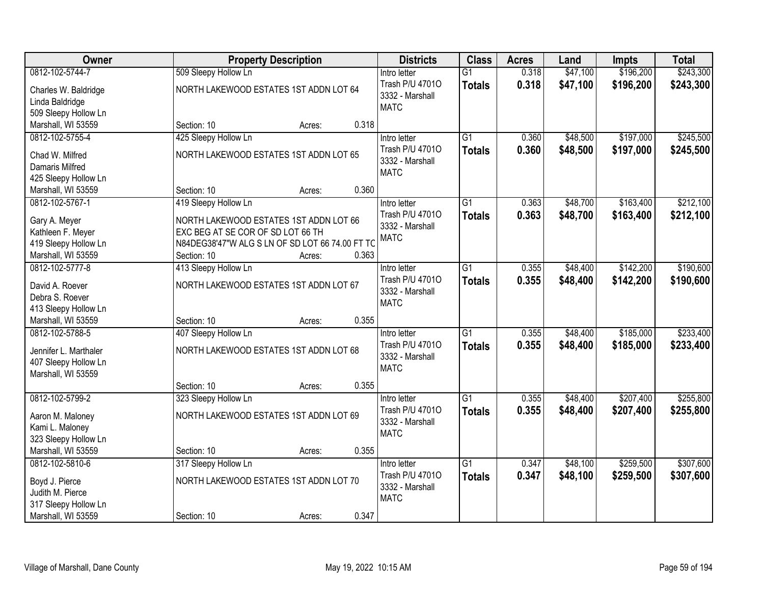| Owner                                                                                  |                                                                                                                                               | <b>Property Description</b> |       | <b>Districts</b>                                                  | <b>Class</b>                     | <b>Acres</b>   | Land                 | <b>Impts</b>           | <b>Total</b>           |
|----------------------------------------------------------------------------------------|-----------------------------------------------------------------------------------------------------------------------------------------------|-----------------------------|-------|-------------------------------------------------------------------|----------------------------------|----------------|----------------------|------------------------|------------------------|
| 0812-102-5744-7                                                                        | 509 Sleepy Hollow Ln                                                                                                                          |                             |       | Intro letter                                                      | $\overline{G1}$                  | 0.318          | \$47,100             | \$196,200              | \$243,300              |
| Charles W. Baldridge<br>Linda Baldridge<br>509 Sleepy Hollow Ln                        | NORTH LAKEWOOD ESTATES 1ST ADDN LOT 64                                                                                                        |                             |       | Trash P/U 47010<br>3332 - Marshall<br><b>MATC</b>                 | <b>Totals</b>                    | 0.318          | \$47,100             | \$196,200              | \$243,300              |
| Marshall, WI 53559                                                                     | Section: 10                                                                                                                                   | Acres:                      | 0.318 |                                                                   |                                  |                |                      |                        |                        |
| 0812-102-5755-4                                                                        | 425 Sleepy Hollow Ln                                                                                                                          |                             |       | Intro letter                                                      | $\overline{G1}$                  | 0.360          | \$48,500             | \$197,000              | \$245,500              |
| Chad W. Milfred<br>Damaris Milfred<br>425 Sleepy Hollow Ln                             | NORTH LAKEWOOD ESTATES 1ST ADDN LOT 65                                                                                                        |                             |       | Trash P/U 47010<br>3332 - Marshall<br><b>MATC</b>                 | <b>Totals</b>                    | 0.360          | \$48,500             | \$197,000              | \$245,500              |
| Marshall, WI 53559                                                                     | Section: 10                                                                                                                                   | Acres:                      | 0.360 |                                                                   |                                  |                |                      |                        |                        |
| 0812-102-5767-1                                                                        | 419 Sleepy Hollow Ln                                                                                                                          |                             |       | Intro letter                                                      | $\overline{G1}$                  | 0.363          | \$48,700             | \$163,400              | \$212,100              |
| Gary A. Meyer<br>Kathleen F. Meyer<br>419 Sleepy Hollow Ln<br>Marshall, WI 53559       | NORTH LAKEWOOD ESTATES 1ST ADDN LOT 66<br>EXC BEG AT SE COR OF SD LOT 66 TH<br>N84DEG38'47"W ALG S LN OF SD LOT 66 74.00 FT TC<br>Section: 10 | Acres:                      | 0.363 | Trash P/U 47010<br>3332 - Marshall<br><b>MATC</b>                 | <b>Totals</b>                    | 0.363          | \$48,700             | \$163,400              | \$212,100              |
| 0812-102-5777-8                                                                        | 413 Sleepy Hollow Ln                                                                                                                          |                             |       | Intro letter                                                      | $\overline{G1}$                  | 0.355          | \$48,400             | \$142,200              | \$190,600              |
| David A. Roever<br>Debra S. Roever<br>413 Sleepy Hollow Ln                             | NORTH LAKEWOOD ESTATES 1ST ADDN LOT 67                                                                                                        |                             |       | Trash P/U 47010<br>3332 - Marshall<br><b>MATC</b>                 | <b>Totals</b>                    | 0.355          | \$48,400             | \$142,200              | \$190,600              |
| Marshall, WI 53559                                                                     | Section: 10                                                                                                                                   | Acres:                      | 0.355 |                                                                   |                                  |                |                      |                        |                        |
| 0812-102-5788-5<br>Jennifer L. Marthaler<br>407 Sleepy Hollow Ln<br>Marshall, WI 53559 | 407 Sleepy Hollow Ln<br>NORTH LAKEWOOD ESTATES 1ST ADDN LOT 68                                                                                |                             |       | Intro letter<br>Trash P/U 47010<br>3332 - Marshall<br><b>MATC</b> | $\overline{G1}$<br><b>Totals</b> | 0.355<br>0.355 | \$48,400<br>\$48,400 | \$185,000<br>\$185,000 | \$233,400<br>\$233,400 |
|                                                                                        | Section: 10                                                                                                                                   | Acres:                      | 0.355 |                                                                   |                                  |                |                      |                        |                        |
| 0812-102-5799-2                                                                        | 323 Sleepy Hollow Ln                                                                                                                          |                             |       | Intro letter                                                      | $\overline{G1}$                  | 0.355          | \$48,400             | \$207,400              | \$255,800              |
| Aaron M. Maloney<br>Kami L. Maloney<br>323 Sleepy Hollow Ln                            | NORTH LAKEWOOD ESTATES 1ST ADDN LOT 69                                                                                                        |                             |       | Trash P/U 47010<br>3332 - Marshall<br><b>MATC</b>                 | <b>Totals</b>                    | 0.355          | \$48,400             | \$207,400              | \$255,800              |
| Marshall, WI 53559                                                                     | Section: 10                                                                                                                                   | Acres:                      | 0.355 |                                                                   |                                  |                |                      |                        |                        |
| 0812-102-5810-6<br>Boyd J. Pierce<br>Judith M. Pierce<br>317 Sleepy Hollow Ln          | 317 Sleepy Hollow Ln<br>NORTH LAKEWOOD ESTATES 1ST ADDN LOT 70                                                                                |                             |       | Intro letter<br>Trash P/U 47010<br>3332 - Marshall<br><b>MATC</b> | $\overline{G1}$<br><b>Totals</b> | 0.347<br>0.347 | \$48,100<br>\$48,100 | \$259,500<br>\$259,500 | \$307,600<br>\$307,600 |
| Marshall, WI 53559                                                                     | Section: 10                                                                                                                                   | Acres:                      | 0.347 |                                                                   |                                  |                |                      |                        |                        |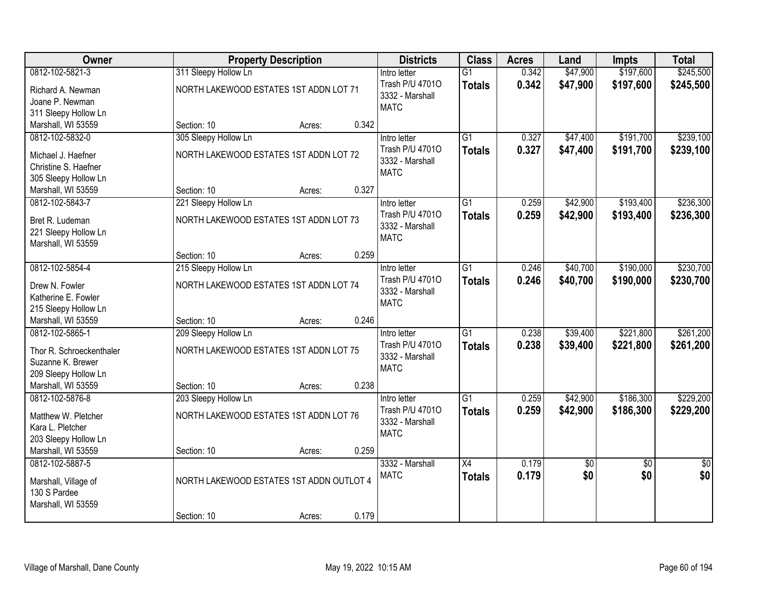| <b>Owner</b>                               |                                          | <b>Property Description</b> |       | <b>Districts</b>                   | <b>Class</b>    | <b>Acres</b> | Land       | <b>Impts</b>    | <b>Total</b>    |
|--------------------------------------------|------------------------------------------|-----------------------------|-------|------------------------------------|-----------------|--------------|------------|-----------------|-----------------|
| 0812-102-5821-3                            | 311 Sleepy Hollow Ln                     |                             |       | Intro letter                       | $\overline{G1}$ | 0.342        | \$47,900   | \$197,600       | \$245,500       |
| Richard A. Newman                          | NORTH LAKEWOOD ESTATES 1ST ADDN LOT 71   |                             |       | Trash P/U 47010<br>3332 - Marshall | <b>Totals</b>   | 0.342        | \$47,900   | \$197,600       | \$245,500       |
| Joane P. Newman                            |                                          |                             |       | <b>MATC</b>                        |                 |              |            |                 |                 |
| 311 Sleepy Hollow Ln                       |                                          |                             | 0.342 |                                    |                 |              |            |                 |                 |
| Marshall, WI 53559                         | Section: 10                              | Acres:                      |       |                                    |                 |              |            |                 |                 |
| 0812-102-5832-0                            | 305 Sleepy Hollow Ln                     |                             |       | Intro letter                       | G1              | 0.327        | \$47,400   | \$191,700       | \$239,100       |
| Michael J. Haefner                         | NORTH LAKEWOOD ESTATES 1ST ADDN LOT 72   |                             |       | Trash P/U 47010                    | <b>Totals</b>   | 0.327        | \$47,400   | \$191,700       | \$239,100       |
| Christine S. Haefner                       |                                          |                             |       | 3332 - Marshall<br><b>MATC</b>     |                 |              |            |                 |                 |
| 305 Sleepy Hollow Ln                       |                                          |                             |       |                                    |                 |              |            |                 |                 |
| Marshall, WI 53559                         | Section: 10                              | Acres:                      | 0.327 |                                    |                 |              |            |                 |                 |
| 0812-102-5843-7                            | 221 Sleepy Hollow Ln                     |                             |       | Intro letter                       | $\overline{G1}$ | 0.259        | \$42,900   | \$193,400       | \$236,300       |
| Bret R. Ludeman                            | NORTH LAKEWOOD ESTATES 1ST ADDN LOT 73   |                             |       | Trash P/U 47010                    | <b>Totals</b>   | 0.259        | \$42,900   | \$193,400       | \$236,300       |
|                                            |                                          |                             |       | 3332 - Marshall                    |                 |              |            |                 |                 |
| 221 Sleepy Hollow Ln<br>Marshall, WI 53559 |                                          |                             |       | <b>MATC</b>                        |                 |              |            |                 |                 |
|                                            | Section: 10                              | Acres:                      | 0.259 |                                    |                 |              |            |                 |                 |
| 0812-102-5854-4                            | 215 Sleepy Hollow Ln                     |                             |       | Intro letter                       | $\overline{G1}$ | 0.246        | \$40,700   | \$190,000       | \$230,700       |
|                                            |                                          |                             |       | Trash P/U 47010                    | <b>Totals</b>   | 0.246        | \$40,700   | \$190,000       | \$230,700       |
| Drew N. Fowler                             | NORTH LAKEWOOD ESTATES 1ST ADDN LOT 74   |                             |       | 3332 - Marshall                    |                 |              |            |                 |                 |
| Katherine E. Fowler                        |                                          |                             |       | <b>MATC</b>                        |                 |              |            |                 |                 |
| 215 Sleepy Hollow Ln                       |                                          |                             |       |                                    |                 |              |            |                 |                 |
| Marshall, WI 53559                         | Section: 10                              | Acres:                      | 0.246 |                                    |                 |              |            |                 |                 |
| 0812-102-5865-1                            | 209 Sleepy Hollow Ln                     |                             |       | Intro letter                       | $\overline{G1}$ | 0.238        | \$39,400   | \$221,800       | \$261,200       |
| Thor R. Schroeckenthaler                   | NORTH LAKEWOOD ESTATES 1ST ADDN LOT 75   |                             |       | Trash P/U 47010                    | <b>Totals</b>   | 0.238        | \$39,400   | \$221,800       | \$261,200       |
| Suzanne K. Brewer                          |                                          |                             |       | 3332 - Marshall                    |                 |              |            |                 |                 |
| 209 Sleepy Hollow Ln                       |                                          |                             |       | <b>MATC</b>                        |                 |              |            |                 |                 |
| Marshall, WI 53559                         | Section: 10                              | Acres:                      | 0.238 |                                    |                 |              |            |                 |                 |
| 0812-102-5876-8                            | 203 Sleepy Hollow Ln                     |                             |       | Intro letter                       | $\overline{G1}$ | 0.259        | \$42,900   | \$186,300       | \$229,200       |
| Matthew W. Pletcher                        | NORTH LAKEWOOD ESTATES 1ST ADDN LOT 76   |                             |       | Trash P/U 47010                    | <b>Totals</b>   | 0.259        | \$42,900   | \$186,300       | \$229,200       |
| Kara L. Pletcher                           |                                          |                             |       | 3332 - Marshall                    |                 |              |            |                 |                 |
| 203 Sleepy Hollow Ln                       |                                          |                             |       | <b>MATC</b>                        |                 |              |            |                 |                 |
| Marshall, WI 53559                         | Section: 10                              | Acres:                      | 0.259 |                                    |                 |              |            |                 |                 |
| 0812-102-5887-5                            |                                          |                             |       | 3332 - Marshall                    | $\overline{X4}$ | 0.179        | $\sqrt{6}$ | $\overline{50}$ | $\overline{50}$ |
|                                            |                                          |                             |       | <b>MATC</b>                        | <b>Totals</b>   | 0.179        | \$0        | \$0             | \$0             |
| Marshall, Village of                       | NORTH LAKEWOOD ESTATES 1ST ADDN OUTLOT 4 |                             |       |                                    |                 |              |            |                 |                 |
| 130 S Pardee                               |                                          |                             |       |                                    |                 |              |            |                 |                 |
| Marshall, WI 53559                         |                                          |                             |       |                                    |                 |              |            |                 |                 |
|                                            | Section: 10                              | Acres:                      | 0.179 |                                    |                 |              |            |                 |                 |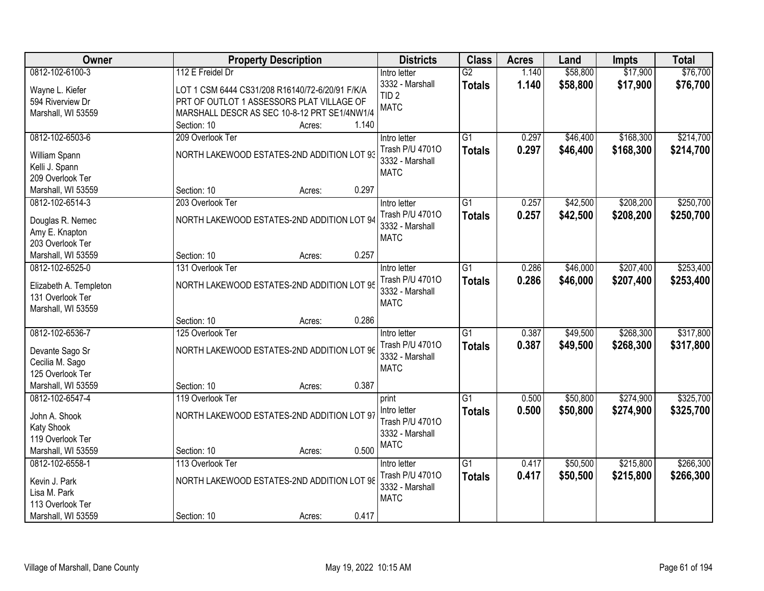| Owner                          |                                                 | <b>Property Description</b> |       | <b>Districts</b>               | <b>Class</b>    | <b>Acres</b> | Land     | <b>Impts</b> | <b>Total</b> |
|--------------------------------|-------------------------------------------------|-----------------------------|-------|--------------------------------|-----------------|--------------|----------|--------------|--------------|
| 0812-102-6100-3                | 112 E Freidel Dr                                |                             |       | Intro letter                   | $\overline{G2}$ | 1.140        | \$58,800 | \$17,900     | \$76,700     |
| Wayne L. Kiefer                | LOT 1 CSM 6444 CS31/208 R16140/72-6/20/91 F/K/A |                             |       | 3332 - Marshall                | <b>Totals</b>   | 1.140        | \$58,800 | \$17,900     | \$76,700     |
| 594 Riverview Dr               | PRT OF OUTLOT 1 ASSESSORS PLAT VILLAGE OF       |                             |       | TID <sub>2</sub>               |                 |              |          |              |              |
| Marshall, WI 53559             | MARSHALL DESCR AS SEC 10-8-12 PRT SE1/4NW1/4    |                             |       | <b>MATC</b>                    |                 |              |          |              |              |
|                                | Section: 10                                     | Acres:                      | 1.140 |                                |                 |              |          |              |              |
| 0812-102-6503-6                | 209 Overlook Ter                                |                             |       | Intro letter                   | $\overline{G1}$ | 0.297        | \$46,400 | \$168,300    | \$214,700    |
|                                |                                                 |                             |       | Trash P/U 47010                | <b>Totals</b>   | 0.297        | \$46,400 | \$168,300    | \$214,700    |
| William Spann                  | NORTH LAKEWOOD ESTATES-2ND ADDITION LOT 93      |                             |       | 3332 - Marshall                |                 |              |          |              |              |
| Kelli J. Spann                 |                                                 |                             |       | <b>MATC</b>                    |                 |              |          |              |              |
| 209 Overlook Ter               |                                                 |                             |       |                                |                 |              |          |              |              |
| Marshall, WI 53559             | Section: 10                                     | Acres:                      | 0.297 |                                |                 |              |          |              |              |
| 0812-102-6514-3                | 203 Overlook Ter                                |                             |       | Intro letter                   | G1              | 0.257        | \$42,500 | \$208,200    | \$250,700    |
| Douglas R. Nemec               | NORTH LAKEWOOD ESTATES-2ND ADDITION LOT 94      |                             |       | Trash P/U 47010                | <b>Totals</b>   | 0.257        | \$42,500 | \$208,200    | \$250,700    |
| Amy E. Knapton                 |                                                 |                             |       | 3332 - Marshall                |                 |              |          |              |              |
| 203 Overlook Ter               |                                                 |                             |       | <b>MATC</b>                    |                 |              |          |              |              |
| Marshall, WI 53559             | Section: 10                                     | Acres:                      | 0.257 |                                |                 |              |          |              |              |
| 0812-102-6525-0                | 131 Overlook Ter                                |                             |       | Intro letter                   | G1              | 0.286        | \$46,000 | \$207,400    | \$253,400    |
|                                |                                                 |                             |       | Trash P/U 47010                | <b>Totals</b>   | 0.286        | \$46,000 | \$207,400    | \$253,400    |
| Elizabeth A. Templeton         | NORTH LAKEWOOD ESTATES-2ND ADDITION LOT 95      |                             |       | 3332 - Marshall                |                 |              |          |              |              |
| 131 Overlook Ter               |                                                 |                             |       | <b>MATC</b>                    |                 |              |          |              |              |
| Marshall, WI 53559             |                                                 |                             |       |                                |                 |              |          |              |              |
|                                | Section: 10                                     | Acres:                      | 0.286 |                                |                 |              |          |              |              |
| 0812-102-6536-7                | 125 Overlook Ter                                |                             |       | Intro letter                   | $\overline{G1}$ | 0.387        | \$49,500 | \$268,300    | \$317,800    |
| Devante Sago Sr                | NORTH LAKEWOOD ESTATES-2ND ADDITION LOT 96      |                             |       | Trash P/U 47010                | <b>Totals</b>   | 0.387        | \$49,500 | \$268,300    | \$317,800    |
| Cecilia M. Sago                |                                                 |                             |       | 3332 - Marshall                |                 |              |          |              |              |
| 125 Overlook Ter               |                                                 |                             |       | <b>MATC</b>                    |                 |              |          |              |              |
| Marshall, WI 53559             | Section: 10                                     | Acres:                      | 0.387 |                                |                 |              |          |              |              |
| 0812-102-6547-4                | 119 Overlook Ter                                |                             |       | print                          | $\overline{G1}$ | 0.500        | \$50,800 | \$274,900    | \$325,700    |
|                                | NORTH LAKEWOOD ESTATES-2ND ADDITION LOT 97      |                             |       | Intro letter                   | <b>Totals</b>   | 0.500        | \$50,800 | \$274,900    | \$325,700    |
| John A. Shook                  |                                                 |                             |       | Trash P/U 47010                |                 |              |          |              |              |
| Katy Shook<br>119 Overlook Ter |                                                 |                             |       | 3332 - Marshall                |                 |              |          |              |              |
| Marshall, WI 53559             | Section: 10                                     |                             | 0.500 | <b>MATC</b>                    |                 |              |          |              |              |
| 0812-102-6558-1                | 113 Overlook Ter                                | Acres:                      |       |                                | $\overline{G1}$ | 0.417        | \$50,500 | \$215,800    | \$266,300    |
|                                |                                                 |                             |       | Intro letter                   |                 |              |          |              |              |
| Kevin J. Park                  | NORTH LAKEWOOD ESTATES-2ND ADDITION LOT 98      |                             |       | Trash P/U 47010                | <b>Totals</b>   | 0.417        | \$50,500 | \$215,800    | \$266,300    |
| Lisa M. Park                   |                                                 |                             |       | 3332 - Marshall<br><b>MATC</b> |                 |              |          |              |              |
| 113 Overlook Ter               |                                                 |                             |       |                                |                 |              |          |              |              |
| Marshall, WI 53559             | Section: 10                                     | Acres:                      | 0.417 |                                |                 |              |          |              |              |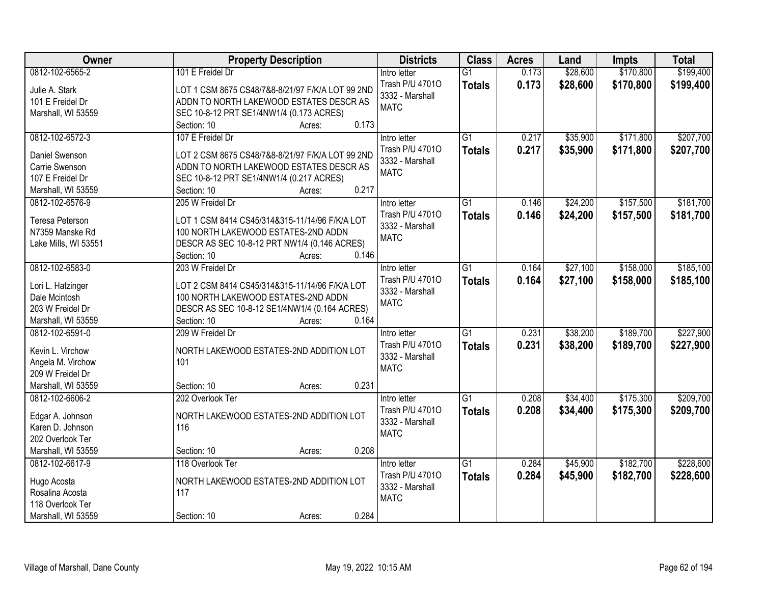| Owner                | <b>Property Description</b>                      | <b>Districts</b> | <b>Class</b>    | <b>Acres</b> | Land     | <b>Impts</b> | <b>Total</b> |
|----------------------|--------------------------------------------------|------------------|-----------------|--------------|----------|--------------|--------------|
| 0812-102-6565-2      | 101 E Freidel Dr                                 | Intro letter     | $\overline{G1}$ | 0.173        | \$28,600 | \$170,800    | \$199,400    |
| Julie A. Stark       | LOT 1 CSM 8675 CS48/7&8-8/21/97 F/K/A LOT 99 2ND | Trash P/U 47010  | <b>Totals</b>   | 0.173        | \$28,600 | \$170,800    | \$199,400    |
| 101 E Freidel Dr     | ADDN TO NORTH LAKEWOOD ESTATES DESCR AS          | 3332 - Marshall  |                 |              |          |              |              |
| Marshall, WI 53559   | SEC 10-8-12 PRT SE1/4NW1/4 (0.173 ACRES)         | <b>MATC</b>      |                 |              |          |              |              |
|                      | 0.173<br>Section: 10<br>Acres:                   |                  |                 |              |          |              |              |
| 0812-102-6572-3      | 107 E Freidel Dr                                 | Intro letter     | $\overline{G1}$ | 0.217        | \$35,900 | \$171,800    | \$207,700    |
|                      |                                                  | Trash P/U 47010  | <b>Totals</b>   | 0.217        | \$35,900 | \$171,800    | \$207,700    |
| Daniel Swenson       | LOT 2 CSM 8675 CS48/7&8-8/21/97 F/K/A LOT 99 2ND | 3332 - Marshall  |                 |              |          |              |              |
| Carrie Swenson       | ADDN TO NORTH LAKEWOOD ESTATES DESCR AS          | <b>MATC</b>      |                 |              |          |              |              |
| 107 E Freidel Dr     | SEC 10-8-12 PRT SE1/4NW1/4 (0.217 ACRES)         |                  |                 |              |          |              |              |
| Marshall, WI 53559   | 0.217<br>Section: 10<br>Acres:                   |                  |                 |              |          |              |              |
| 0812-102-6576-9      | 205 W Freidel Dr                                 | Intro letter     | G1              | 0.146        | \$24,200 | \$157,500    | \$181,700    |
| Teresa Peterson      | LOT 1 CSM 8414 CS45/314&315-11/14/96 F/K/A LOT   | Trash P/U 47010  | <b>Totals</b>   | 0.146        | \$24,200 | \$157,500    | \$181,700    |
| N7359 Manske Rd      | 100 NORTH LAKEWOOD ESTATES-2ND ADDN              | 3332 - Marshall  |                 |              |          |              |              |
| Lake Mills, WI 53551 | DESCR AS SEC 10-8-12 PRT NW1/4 (0.146 ACRES)     | <b>MATC</b>      |                 |              |          |              |              |
|                      | 0.146<br>Section: 10<br>Acres:                   |                  |                 |              |          |              |              |
| 0812-102-6583-0      | 203 W Freidel Dr                                 | Intro letter     | $\overline{G1}$ | 0.164        | \$27,100 | \$158,000    | \$185,100    |
|                      |                                                  | Trash P/U 47010  | <b>Totals</b>   | 0.164        | \$27,100 | \$158,000    | \$185,100    |
| Lori L. Hatzinger    | LOT 2 CSM 8414 CS45/314&315-11/14/96 F/K/A LOT   | 3332 - Marshall  |                 |              |          |              |              |
| Dale Mcintosh        | 100 NORTH LAKEWOOD ESTATES-2ND ADDN              | <b>MATC</b>      |                 |              |          |              |              |
| 203 W Freidel Dr     | DESCR AS SEC 10-8-12 SE1/4NW1/4 (0.164 ACRES)    |                  |                 |              |          |              |              |
| Marshall, WI 53559   | 0.164<br>Section: 10<br>Acres:                   |                  |                 |              |          |              |              |
| 0812-102-6591-0      | 209 W Freidel Dr                                 | Intro letter     | $\overline{G1}$ | 0.231        | \$38,200 | \$189,700    | \$227,900    |
| Kevin L. Virchow     | NORTH LAKEWOOD ESTATES-2ND ADDITION LOT          | Trash P/U 47010  | <b>Totals</b>   | 0.231        | \$38,200 | \$189,700    | \$227,900    |
| Angela M. Virchow    | 101                                              | 3332 - Marshall  |                 |              |          |              |              |
| 209 W Freidel Dr     |                                                  | <b>MATC</b>      |                 |              |          |              |              |
| Marshall, WI 53559   | 0.231<br>Section: 10<br>Acres:                   |                  |                 |              |          |              |              |
| 0812-102-6606-2      | 202 Overlook Ter                                 | Intro letter     | $\overline{G1}$ | 0.208        | \$34,400 | \$175,300    | \$209,700    |
|                      |                                                  | Trash P/U 47010  |                 |              |          |              |              |
| Edgar A. Johnson     | NORTH LAKEWOOD ESTATES-2ND ADDITION LOT          |                  | <b>Totals</b>   | 0.208        | \$34,400 | \$175,300    | \$209,700    |
| Karen D. Johnson     | 116                                              | 3332 - Marshall  |                 |              |          |              |              |
| 202 Overlook Ter     |                                                  | <b>MATC</b>      |                 |              |          |              |              |
| Marshall, WI 53559   | 0.208<br>Section: 10<br>Acres:                   |                  |                 |              |          |              |              |
| 0812-102-6617-9      | 118 Overlook Ter                                 | Intro letter     | $\overline{G1}$ | 0.284        | \$45,900 | \$182,700    | \$228,600    |
|                      |                                                  | Trash P/U 47010  | <b>Totals</b>   | 0.284        | \$45,900 | \$182,700    | \$228,600    |
| Hugo Acosta          | NORTH LAKEWOOD ESTATES-2ND ADDITION LOT          | 3332 - Marshall  |                 |              |          |              |              |
| Rosalina Acosta      | 117                                              | <b>MATC</b>      |                 |              |          |              |              |
| 118 Overlook Ter     |                                                  |                  |                 |              |          |              |              |
| Marshall, WI 53559   | 0.284<br>Section: 10<br>Acres:                   |                  |                 |              |          |              |              |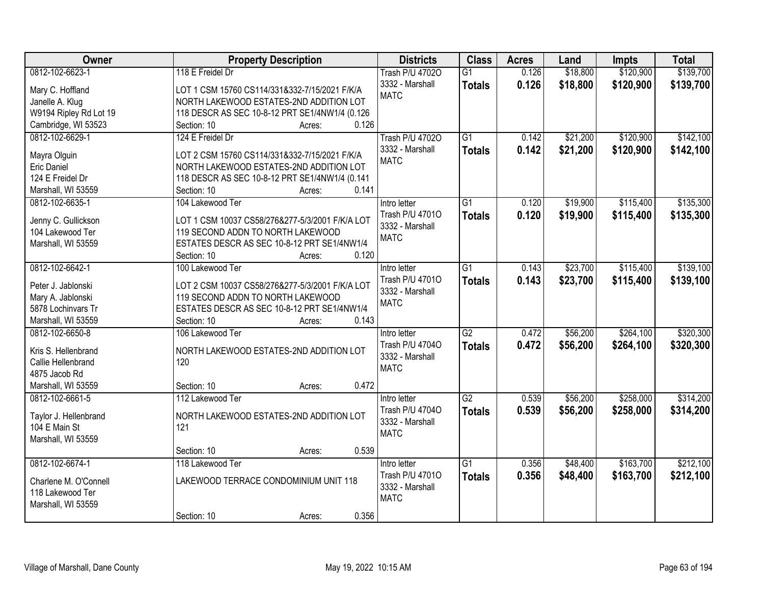| Owner                  | <b>Property Description</b>                     | <b>Districts</b>       | <b>Class</b>    | <b>Acres</b> | Land     | <b>Impts</b> | <b>Total</b> |
|------------------------|-------------------------------------------------|------------------------|-----------------|--------------|----------|--------------|--------------|
| 0812-102-6623-1        | 118 E Freidel Dr                                | <b>Trash P/U 47020</b> | $\overline{G1}$ | 0.126        | \$18,800 | \$120,900    | \$139,700    |
| Mary C. Hoffland       | LOT 1 CSM 15760 CS114/331&332-7/15/2021 F/K/A   | 3332 - Marshall        | <b>Totals</b>   | 0.126        | \$18,800 | \$120,900    | \$139,700    |
| Janelle A. Klug        | NORTH LAKEWOOD ESTATES-2ND ADDITION LOT         | <b>MATC</b>            |                 |              |          |              |              |
| W9194 Ripley Rd Lot 19 | 118 DESCR AS SEC 10-8-12 PRT SE1/4NW1/4 (0.126  |                        |                 |              |          |              |              |
| Cambridge, WI 53523    | 0.126<br>Section: 10<br>Acres:                  |                        |                 |              |          |              |              |
| 0812-102-6629-1        | 124 E Freidel Dr                                | <b>Trash P/U 47020</b> | $\overline{G1}$ | 0.142        | \$21,200 | \$120,900    | \$142,100    |
|                        |                                                 | 3332 - Marshall        | <b>Totals</b>   | 0.142        | \$21,200 | \$120,900    | \$142,100    |
| Mayra Olguin           | LOT 2 CSM 15760 CS114/331&332-7/15/2021 F/K/A   | <b>MATC</b>            |                 |              |          |              |              |
| <b>Eric Daniel</b>     | NORTH LAKEWOOD ESTATES-2ND ADDITION LOT         |                        |                 |              |          |              |              |
| 124 E Freidel Dr       | 118 DESCR AS SEC 10-8-12 PRT SE1/4NW1/4 (0.141  |                        |                 |              |          |              |              |
| Marshall, WI 53559     | 0.141<br>Section: 10<br>Acres:                  |                        |                 |              |          |              |              |
| 0812-102-6635-1        | 104 Lakewood Ter                                | Intro letter           | $\overline{G1}$ | 0.120        | \$19,900 | \$115,400    | \$135,300    |
| Jenny C. Gullickson    | LOT 1 CSM 10037 CS58/276&277-5/3/2001 F/K/A LOT | Trash P/U 47010        | <b>Totals</b>   | 0.120        | \$19,900 | \$115,400    | \$135,300    |
| 104 Lakewood Ter       | 119 SECOND ADDN TO NORTH LAKEWOOD               | 3332 - Marshall        |                 |              |          |              |              |
| Marshall, WI 53559     | ESTATES DESCR AS SEC 10-8-12 PRT SE1/4NW1/4     | <b>MATC</b>            |                 |              |          |              |              |
|                        | 0.120<br>Section: 10<br>Acres:                  |                        |                 |              |          |              |              |
| 0812-102-6642-1        | 100 Lakewood Ter                                | Intro letter           | $\overline{G1}$ | 0.143        | \$23,700 | \$115,400    | \$139,100    |
|                        |                                                 | Trash P/U 47010        | <b>Totals</b>   | 0.143        | \$23,700 | \$115,400    | \$139,100    |
| Peter J. Jablonski     | LOT 2 CSM 10037 CS58/276&277-5/3/2001 F/K/A LOT | 3332 - Marshall        |                 |              |          |              |              |
| Mary A. Jablonski      | 119 SECOND ADDN TO NORTH LAKEWOOD               | <b>MATC</b>            |                 |              |          |              |              |
| 5878 Lochinvars Tr     | ESTATES DESCR AS SEC 10-8-12 PRT SE1/4NW1/4     |                        |                 |              |          |              |              |
| Marshall, WI 53559     | Section: 10<br>0.143<br>Acres:                  |                        |                 |              |          |              |              |
| 0812-102-6650-8        | 106 Lakewood Ter                                | Intro letter           | $\overline{G2}$ | 0.472        | \$56,200 | \$264,100    | \$320,300    |
| Kris S. Hellenbrand    | NORTH LAKEWOOD ESTATES-2ND ADDITION LOT         | Trash P/U 47040        | <b>Totals</b>   | 0.472        | \$56,200 | \$264,100    | \$320,300    |
| Callie Hellenbrand     | 120                                             | 3332 - Marshall        |                 |              |          |              |              |
| 4875 Jacob Rd          |                                                 | <b>MATC</b>            |                 |              |          |              |              |
| Marshall, WI 53559     | 0.472<br>Section: 10<br>Acres:                  |                        |                 |              |          |              |              |
| 0812-102-6661-5        | 112 Lakewood Ter                                | Intro letter           | $\overline{G2}$ | 0.539        | \$56,200 | \$258,000    | \$314,200    |
|                        |                                                 | Trash P/U 47040        |                 | 0.539        | \$56,200 |              |              |
| Taylor J. Hellenbrand  | NORTH LAKEWOOD ESTATES-2ND ADDITION LOT         | 3332 - Marshall        | <b>Totals</b>   |              |          | \$258,000    | \$314,200    |
| 104 E Main St          | 121                                             | <b>MATC</b>            |                 |              |          |              |              |
| Marshall, WI 53559     |                                                 |                        |                 |              |          |              |              |
|                        | 0.539<br>Section: 10<br>Acres:                  |                        |                 |              |          |              |              |
| 0812-102-6674-1        | 118 Lakewood Ter                                | Intro letter           | $\overline{G1}$ | 0.356        | \$48,400 | \$163,700    | \$212,100    |
| Charlene M. O'Connell  | LAKEWOOD TERRACE CONDOMINIUM UNIT 118           | Trash P/U 47010        | <b>Totals</b>   | 0.356        | \$48,400 | \$163,700    | \$212,100    |
| 118 Lakewood Ter       |                                                 | 3332 - Marshall        |                 |              |          |              |              |
| Marshall, WI 53559     |                                                 | <b>MATC</b>            |                 |              |          |              |              |
|                        | 0.356<br>Section: 10                            |                        |                 |              |          |              |              |
|                        | Acres:                                          |                        |                 |              |          |              |              |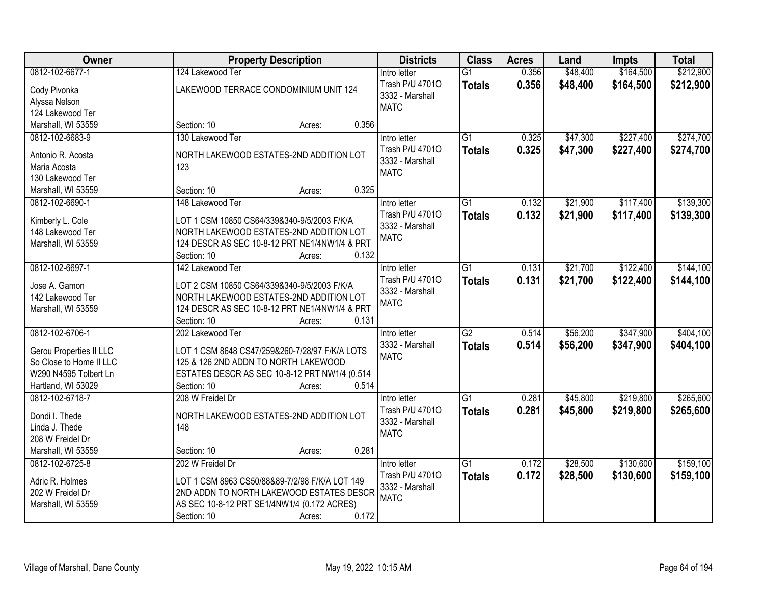| Owner                          | <b>Property Description</b>                    | <b>Districts</b> | <b>Class</b>    | <b>Acres</b> | Land     | <b>Impts</b> | <b>Total</b> |
|--------------------------------|------------------------------------------------|------------------|-----------------|--------------|----------|--------------|--------------|
| 0812-102-6677-1                | 124 Lakewood Ter                               | Intro letter     | $\overline{G1}$ | 0.356        | \$48,400 | \$164,500    | \$212,900    |
| Cody Pivonka                   | LAKEWOOD TERRACE CONDOMINIUM UNIT 124          | Trash P/U 47010  | <b>Totals</b>   | 0.356        | \$48,400 | \$164,500    | \$212,900    |
| Alyssa Nelson                  |                                                | 3332 - Marshall  |                 |              |          |              |              |
| 124 Lakewood Ter               |                                                | <b>MATC</b>      |                 |              |          |              |              |
| Marshall, WI 53559             | 0.356<br>Section: 10<br>Acres:                 |                  |                 |              |          |              |              |
| 0812-102-6683-9                | 130 Lakewood Ter                               | Intro letter     | $\overline{G1}$ | 0.325        | \$47,300 | \$227,400    | \$274,700    |
|                                |                                                | Trash P/U 47010  | <b>Totals</b>   | 0.325        | \$47,300 | \$227,400    | \$274,700    |
| Antonio R. Acosta              | NORTH LAKEWOOD ESTATES-2ND ADDITION LOT        | 3332 - Marshall  |                 |              |          |              |              |
| Maria Acosta                   | 123                                            | <b>MATC</b>      |                 |              |          |              |              |
| 130 Lakewood Ter               |                                                |                  |                 |              |          |              |              |
| Marshall, WI 53559             | 0.325<br>Section: 10<br>Acres:                 |                  |                 |              |          |              |              |
| 0812-102-6690-1                | 148 Lakewood Ter                               | Intro letter     | G1              | 0.132        | \$21,900 | \$117,400    | \$139,300    |
| Kimberly L. Cole               | LOT 1 CSM 10850 CS64/339&340-9/5/2003 F/K/A    | Trash P/U 47010  | <b>Totals</b>   | 0.132        | \$21,900 | \$117,400    | \$139,300    |
| 148 Lakewood Ter               | NORTH LAKEWOOD ESTATES-2ND ADDITION LOT        | 3332 - Marshall  |                 |              |          |              |              |
| Marshall, WI 53559             | 124 DESCR AS SEC 10-8-12 PRT NE1/4NW1/4 & PRT  | <b>MATC</b>      |                 |              |          |              |              |
|                                | 0.132<br>Section: 10<br>Acres:                 |                  |                 |              |          |              |              |
| 0812-102-6697-1                | 142 Lakewood Ter                               | Intro letter     | $\overline{G1}$ | 0.131        | \$21,700 | \$122,400    | \$144,100    |
|                                |                                                | Trash P/U 47010  | <b>Totals</b>   | 0.131        | \$21,700 | \$122,400    | \$144,100    |
| Jose A. Gamon                  | LOT 2 CSM 10850 CS64/339&340-9/5/2003 F/K/A    | 3332 - Marshall  |                 |              |          |              |              |
| 142 Lakewood Ter               | NORTH LAKEWOOD ESTATES-2ND ADDITION LOT        | <b>MATC</b>      |                 |              |          |              |              |
| Marshall, WI 53559             | 124 DESCR AS SEC 10-8-12 PRT NE1/4NW1/4 & PRT  |                  |                 |              |          |              |              |
|                                | Section: 10<br>0.131<br>Acres:                 |                  |                 |              |          |              |              |
| 0812-102-6706-1                | 202 Lakewood Ter                               | Intro letter     | $\overline{G2}$ | 0.514        | \$56,200 | \$347,900    | \$404,100    |
| <b>Gerou Properties II LLC</b> | LOT 1 CSM 8648 CS47/259&260-7/28/97 F/K/A LOTS | 3332 - Marshall  | <b>Totals</b>   | 0.514        | \$56,200 | \$347,900    | \$404,100    |
| So Close to Home II LLC        | 125 & 126 2ND ADDN TO NORTH LAKEWOOD           | <b>MATC</b>      |                 |              |          |              |              |
| W290 N4595 Tolbert Ln          | ESTATES DESCR AS SEC 10-8-12 PRT NW1/4 (0.514  |                  |                 |              |          |              |              |
| Hartland, WI 53029             | 0.514<br>Section: 10<br>Acres:                 |                  |                 |              |          |              |              |
| 0812-102-6718-7                | 208 W Freidel Dr                               | Intro letter     | $\overline{G1}$ | 0.281        | \$45,800 | \$219,800    | \$265,600    |
|                                |                                                | Trash P/U 47010  | <b>Totals</b>   | 0.281        | \$45,800 | \$219,800    | \$265,600    |
| Dondi I. Thede                 | NORTH LAKEWOOD ESTATES-2ND ADDITION LOT        | 3332 - Marshall  |                 |              |          |              |              |
| Linda J. Thede                 | 148                                            | <b>MATC</b>      |                 |              |          |              |              |
| 208 W Freidel Dr               |                                                |                  |                 |              |          |              |              |
| Marshall, WI 53559             | 0.281<br>Section: 10<br>Acres:                 |                  |                 |              |          |              |              |
| 0812-102-6725-8                | 202 W Freidel Dr                               | Intro letter     | $\overline{G1}$ | 0.172        | \$28,500 | \$130,600    | \$159,100    |
| Adric R. Holmes                | LOT 1 CSM 8963 CS50/88&89-7/2/98 F/K/A LOT 149 | Trash P/U 47010  | <b>Totals</b>   | 0.172        | \$28,500 | \$130,600    | \$159,100    |
| 202 W Freidel Dr               | 2ND ADDN TO NORTH LAKEWOOD ESTATES DESCR       | 3332 - Marshall  |                 |              |          |              |              |
| Marshall, WI 53559             | AS SEC 10-8-12 PRT SE1/4NW1/4 (0.172 ACRES)    | <b>MATC</b>      |                 |              |          |              |              |
|                                | 0.172<br>Section: 10<br>Acres:                 |                  |                 |              |          |              |              |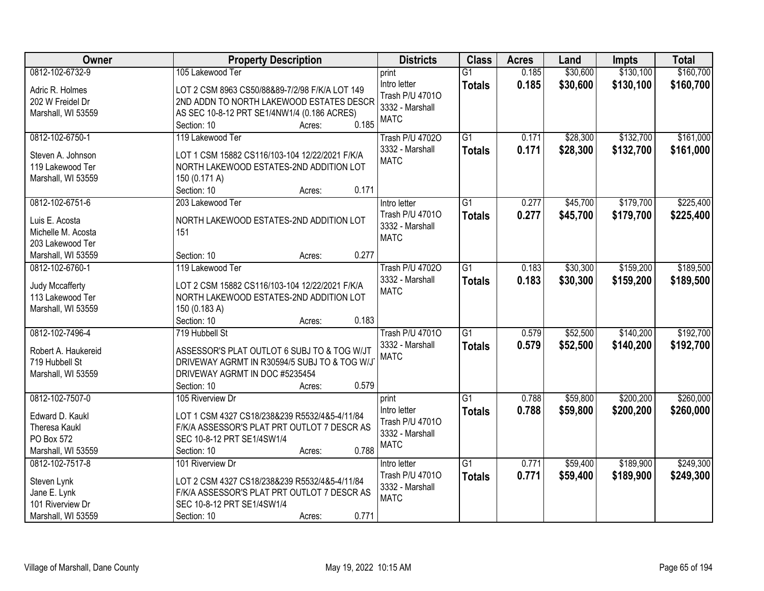| Owner               | <b>Property Description</b>                    | <b>Districts</b>       | <b>Class</b>    | <b>Acres</b> | Land     | <b>Impts</b> | <b>Total</b> |
|---------------------|------------------------------------------------|------------------------|-----------------|--------------|----------|--------------|--------------|
| 0812-102-6732-9     | 105 Lakewood Ter                               | print                  | $\overline{G1}$ | 0.185        | \$30,600 | \$130,100    | \$160,700    |
| Adric R. Holmes     | LOT 2 CSM 8963 CS50/88&89-7/2/98 F/K/A LOT 149 | Intro letter           | <b>Totals</b>   | 0.185        | \$30,600 | \$130,100    | \$160,700    |
| 202 W Freidel Dr    | 2ND ADDN TO NORTH LAKEWOOD ESTATES DESCR       | Trash P/U 47010        |                 |              |          |              |              |
| Marshall, WI 53559  | AS SEC 10-8-12 PRT SE1/4NW1/4 (0.186 ACRES)    | 3332 - Marshall        |                 |              |          |              |              |
|                     | 0.185<br>Section: 10<br>Acres:                 | <b>MATC</b>            |                 |              |          |              |              |
| 0812-102-6750-1     | 119 Lakewood Ter                               | <b>Trash P/U 47020</b> | $\overline{G1}$ | 0.171        | \$28,300 | \$132,700    | \$161,000    |
|                     |                                                | 3332 - Marshall        | <b>Totals</b>   | 0.171        | \$28,300 | \$132,700    | \$161,000    |
| Steven A. Johnson   | LOT 1 CSM 15882 CS116/103-104 12/22/2021 F/K/A | <b>MATC</b>            |                 |              |          |              |              |
| 119 Lakewood Ter    | NORTH LAKEWOOD ESTATES-2ND ADDITION LOT        |                        |                 |              |          |              |              |
| Marshall, WI 53559  | 150 (0.171 A)                                  |                        |                 |              |          |              |              |
|                     | 0.171<br>Section: 10<br>Acres:                 |                        |                 |              |          |              |              |
| 0812-102-6751-6     | 203 Lakewood Ter                               | Intro letter           | $\overline{G1}$ | 0.277        | \$45,700 | \$179,700    | \$225,400    |
| Luis E. Acosta      | NORTH LAKEWOOD ESTATES-2ND ADDITION LOT        | Trash P/U 47010        | <b>Totals</b>   | 0.277        | \$45,700 | \$179,700    | \$225,400    |
| Michelle M. Acosta  | 151                                            | 3332 - Marshall        |                 |              |          |              |              |
| 203 Lakewood Ter    |                                                | <b>MATC</b>            |                 |              |          |              |              |
| Marshall, WI 53559  | 0.277<br>Section: 10<br>Acres:                 |                        |                 |              |          |              |              |
| 0812-102-6760-1     | 119 Lakewood Ter                               | <b>Trash P/U 47020</b> | $\overline{G1}$ | 0.183        | \$30,300 | \$159,200    | \$189,500    |
|                     |                                                | 3332 - Marshall        | <b>Totals</b>   | 0.183        | \$30,300 | \$159,200    | \$189,500    |
| Judy Mccafferty     | LOT 2 CSM 15882 CS116/103-104 12/22/2021 F/K/A | <b>MATC</b>            |                 |              |          |              |              |
| 113 Lakewood Ter    | NORTH LAKEWOOD ESTATES-2ND ADDITION LOT        |                        |                 |              |          |              |              |
| Marshall, WI 53559  | 150 (0.183 A)                                  |                        |                 |              |          |              |              |
|                     | Section: 10<br>0.183<br>Acres:                 |                        |                 |              |          |              |              |
| 0812-102-7496-4     | 719 Hubbell St                                 | <b>Trash P/U 47010</b> | $\overline{G1}$ | 0.579        | \$52,500 | \$140,200    | \$192,700    |
| Robert A. Haukereid | ASSESSOR'S PLAT OUTLOT 6 SUBJ TO & TOG W/JT    | 3332 - Marshall        | <b>Totals</b>   | 0.579        | \$52,500 | \$140,200    | \$192,700    |
|                     | DRIVEWAY AGRMT IN R30594/5 SUBJ TO & TOG W/J   | <b>MATC</b>            |                 |              |          |              |              |
| 719 Hubbell St      | DRIVEWAY AGRMT IN DOC #5235454                 |                        |                 |              |          |              |              |
| Marshall, WI 53559  | 0.579                                          |                        |                 |              |          |              |              |
|                     | Section: 10<br>Acres:                          |                        |                 |              |          |              |              |
| 0812-102-7507-0     | 105 Riverview Dr                               | print                  | $\overline{G1}$ | 0.788        | \$59,800 | \$200,200    | \$260,000    |
| Edward D. Kaukl     | LOT 1 CSM 4327 CS18/238&239 R5532/4&5-4/11/84  | Intro letter           | <b>Totals</b>   | 0.788        | \$59,800 | \$200,200    | \$260,000    |
| Theresa Kaukl       | F/K/A ASSESSOR'S PLAT PRT OUTLOT 7 DESCR AS    | Trash P/U 47010        |                 |              |          |              |              |
| PO Box 572          | SEC 10-8-12 PRT SE1/4SW1/4                     | 3332 - Marshall        |                 |              |          |              |              |
| Marshall, WI 53559  | 0.788<br>Section: 10<br>Acres:                 | <b>MATC</b>            |                 |              |          |              |              |
| 0812-102-7517-8     | 101 Riverview Dr                               | Intro letter           | $\overline{G1}$ | 0.771        | \$59,400 | \$189,900    | \$249,300    |
|                     |                                                | Trash P/U 47010        | <b>Totals</b>   | 0.771        | \$59,400 | \$189,900    | \$249,300    |
| Steven Lynk         | LOT 2 CSM 4327 CS18/238&239 R5532/4&5-4/11/84  | 3332 - Marshall        |                 |              |          |              |              |
| Jane E. Lynk        | F/K/A ASSESSOR'S PLAT PRT OUTLOT 7 DESCR AS    | <b>MATC</b>            |                 |              |          |              |              |
| 101 Riverview Dr    | SEC 10-8-12 PRT SE1/4SW1/4                     |                        |                 |              |          |              |              |
| Marshall, WI 53559  | 0.771<br>Section: 10<br>Acres:                 |                        |                 |              |          |              |              |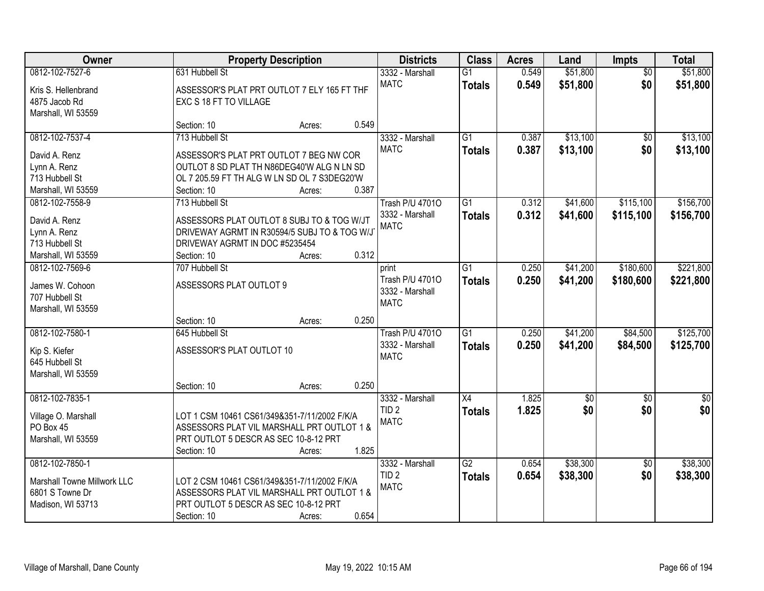| 0812-102-7527-6<br>0.549<br>\$51,800<br>\$51,800<br>631 Hubbell St<br>3332 - Marshall<br>$\overline{G1}$<br>$\overline{50}$<br>\$0<br><b>MATC</b><br>0.549<br>\$51,800<br>\$51,800<br><b>Totals</b><br>ASSESSOR'S PLAT PRT OUTLOT 7 ELY 165 FT THF<br>Kris S. Hellenbrand<br>4875 Jacob Rd<br>EXC S 18 FT TO VILLAGE<br>Marshall, WI 53559<br>0.549<br>Section: 10<br>Acres:<br>\$13,100<br>0812-102-7537-4<br>713 Hubbell St<br>$\overline{G1}$<br>3332 - Marshall<br>0.387<br>$\overline{50}$<br><b>MATC</b><br>\$0<br>0.387<br>\$13,100<br><b>Totals</b><br>David A. Renz<br>ASSESSOR'S PLAT PRT OUTLOT 7 BEG NW COR<br>OUTLOT 8 SD PLAT TH N86DEG40'W ALG N LN SD<br>Lynn A. Renz<br>713 Hubbell St<br>OL 7 205.59 FT TH ALG W LN SD OL 7 S3DEG20'W<br>0.387<br>Marshall, WI 53559<br>Section: 10<br>Acres:<br>\$115,100<br>0812-102-7558-9<br>713 Hubbell St<br><b>Trash P/U 47010</b><br>G1<br>0.312<br>\$41,600<br>\$41,600<br>3332 - Marshall<br>0.312<br>\$115,100<br><b>Totals</b><br>David A. Renz<br>ASSESSORS PLAT OUTLOT 8 SUBJ TO & TOG W/JT<br><b>MATC</b><br>DRIVEWAY AGRMT IN R30594/5 SUBJ TO & TOG W/J<br>Lynn A. Renz<br>DRIVEWAY AGRMT IN DOC #5235454<br>713 Hubbell St<br>0.312<br>Section: 10<br>Marshall, WI 53559<br>Acres:<br>\$41,200<br>\$180,600<br>0812-102-7569-6<br>707 Hubbell St<br>G1<br>0.250<br>print<br>Trash P/U 47010<br>0.250<br>\$41,200<br>\$180,600<br><b>Totals</b><br>ASSESSORS PLAT OUTLOT 9<br>James W. Cohoon<br>3332 - Marshall<br>707 Hubbell St<br><b>MATC</b><br>Marshall, WI 53559<br>0.250<br>Section: 10<br>Acres:<br>$\overline{G1}$<br>\$41,200<br>\$84,500<br>0812-102-7580-1<br>0.250<br>645 Hubbell St<br><b>Trash P/U 47010</b><br>3332 - Marshall<br>0.250<br>\$41,200<br>\$84,500<br><b>Totals</b><br>ASSESSOR'S PLAT OUTLOT 10<br>Kip S. Kiefer<br><b>MATC</b><br>645 Hubbell St<br>Marshall, WI 53559<br>0.250<br>Section: 10<br>Acres:<br>$\overline{X4}$<br>0812-102-7835-1<br>3332 - Marshall<br>1.825<br>$\overline{60}$<br>$\sqrt{50}$<br>\$0<br>\$0<br>TID <sub>2</sub><br>1.825<br><b>Totals</b><br>Village O. Marshall<br>LOT 1 CSM 10461 CS61/349&351-7/11/2002 F/K/A<br><b>MATC</b><br>PO Box 45<br>ASSESSORS PLAT VIL MARSHALL PRT OUTLOT 1 &<br>Marshall, WI 53559<br>PRT OUTLOT 5 DESCR AS SEC 10-8-12 PRT<br>1.825<br>Section: 10<br>Acres:<br>0812-102-7850-1<br>$\overline{G2}$<br>\$38,300<br>3332 - Marshall<br>0.654<br>$\overline{50}$<br>0.654<br>\$0<br>TID <sub>2</sub><br>\$38,300<br><b>Totals</b><br>Marshall Towne Millwork LLC<br>LOT 2 CSM 10461 CS61/349&351-7/11/2002 F/K/A<br><b>MATC</b><br>6801 S Towne Dr<br>ASSESSORS PLAT VIL MARSHALL PRT OUTLOT 1 & | <b>Owner</b> | <b>Property Description</b> | <b>Districts</b> | <b>Class</b> | <b>Acres</b> | Land | Impts | <b>Total</b> |
|----------------------------------------------------------------------------------------------------------------------------------------------------------------------------------------------------------------------------------------------------------------------------------------------------------------------------------------------------------------------------------------------------------------------------------------------------------------------------------------------------------------------------------------------------------------------------------------------------------------------------------------------------------------------------------------------------------------------------------------------------------------------------------------------------------------------------------------------------------------------------------------------------------------------------------------------------------------------------------------------------------------------------------------------------------------------------------------------------------------------------------------------------------------------------------------------------------------------------------------------------------------------------------------------------------------------------------------------------------------------------------------------------------------------------------------------------------------------------------------------------------------------------------------------------------------------------------------------------------------------------------------------------------------------------------------------------------------------------------------------------------------------------------------------------------------------------------------------------------------------------------------------------------------------------------------------------------------------------------------------------------------------------------------------------------------------------------------------------------------------------------------------------------------------------------------------------------------------------------------------------------------------------------------------------------------------------------------------------------------------------------------------------------------------------------------------------------------------------------------------------------------------------------------------------------------------------------------------------------------------------------------------------------------|--------------|-----------------------------|------------------|--------------|--------------|------|-------|--------------|
|                                                                                                                                                                                                                                                                                                                                                                                                                                                                                                                                                                                                                                                                                                                                                                                                                                                                                                                                                                                                                                                                                                                                                                                                                                                                                                                                                                                                                                                                                                                                                                                                                                                                                                                                                                                                                                                                                                                                                                                                                                                                                                                                                                                                                                                                                                                                                                                                                                                                                                                                                                                                                                                                |              |                             |                  |              |              |      |       |              |
| \$13,100<br>\$13,100<br>\$156,700<br>\$156,700<br>\$221,800<br>\$221,800                                                                                                                                                                                                                                                                                                                                                                                                                                                                                                                                                                                                                                                                                                                                                                                                                                                                                                                                                                                                                                                                                                                                                                                                                                                                                                                                                                                                                                                                                                                                                                                                                                                                                                                                                                                                                                                                                                                                                                                                                                                                                                                                                                                                                                                                                                                                                                                                                                                                                                                                                                                       |              |                             |                  |              |              |      |       |              |
|                                                                                                                                                                                                                                                                                                                                                                                                                                                                                                                                                                                                                                                                                                                                                                                                                                                                                                                                                                                                                                                                                                                                                                                                                                                                                                                                                                                                                                                                                                                                                                                                                                                                                                                                                                                                                                                                                                                                                                                                                                                                                                                                                                                                                                                                                                                                                                                                                                                                                                                                                                                                                                                                |              |                             |                  |              |              |      |       |              |
|                                                                                                                                                                                                                                                                                                                                                                                                                                                                                                                                                                                                                                                                                                                                                                                                                                                                                                                                                                                                                                                                                                                                                                                                                                                                                                                                                                                                                                                                                                                                                                                                                                                                                                                                                                                                                                                                                                                                                                                                                                                                                                                                                                                                                                                                                                                                                                                                                                                                                                                                                                                                                                                                |              |                             |                  |              |              |      |       |              |
|                                                                                                                                                                                                                                                                                                                                                                                                                                                                                                                                                                                                                                                                                                                                                                                                                                                                                                                                                                                                                                                                                                                                                                                                                                                                                                                                                                                                                                                                                                                                                                                                                                                                                                                                                                                                                                                                                                                                                                                                                                                                                                                                                                                                                                                                                                                                                                                                                                                                                                                                                                                                                                                                |              |                             |                  |              |              |      |       |              |
|                                                                                                                                                                                                                                                                                                                                                                                                                                                                                                                                                                                                                                                                                                                                                                                                                                                                                                                                                                                                                                                                                                                                                                                                                                                                                                                                                                                                                                                                                                                                                                                                                                                                                                                                                                                                                                                                                                                                                                                                                                                                                                                                                                                                                                                                                                                                                                                                                                                                                                                                                                                                                                                                |              |                             |                  |              |              |      |       |              |
|                                                                                                                                                                                                                                                                                                                                                                                                                                                                                                                                                                                                                                                                                                                                                                                                                                                                                                                                                                                                                                                                                                                                                                                                                                                                                                                                                                                                                                                                                                                                                                                                                                                                                                                                                                                                                                                                                                                                                                                                                                                                                                                                                                                                                                                                                                                                                                                                                                                                                                                                                                                                                                                                |              |                             |                  |              |              |      |       |              |
|                                                                                                                                                                                                                                                                                                                                                                                                                                                                                                                                                                                                                                                                                                                                                                                                                                                                                                                                                                                                                                                                                                                                                                                                                                                                                                                                                                                                                                                                                                                                                                                                                                                                                                                                                                                                                                                                                                                                                                                                                                                                                                                                                                                                                                                                                                                                                                                                                                                                                                                                                                                                                                                                |              |                             |                  |              |              |      |       |              |
|                                                                                                                                                                                                                                                                                                                                                                                                                                                                                                                                                                                                                                                                                                                                                                                                                                                                                                                                                                                                                                                                                                                                                                                                                                                                                                                                                                                                                                                                                                                                                                                                                                                                                                                                                                                                                                                                                                                                                                                                                                                                                                                                                                                                                                                                                                                                                                                                                                                                                                                                                                                                                                                                |              |                             |                  |              |              |      |       |              |
|                                                                                                                                                                                                                                                                                                                                                                                                                                                                                                                                                                                                                                                                                                                                                                                                                                                                                                                                                                                                                                                                                                                                                                                                                                                                                                                                                                                                                                                                                                                                                                                                                                                                                                                                                                                                                                                                                                                                                                                                                                                                                                                                                                                                                                                                                                                                                                                                                                                                                                                                                                                                                                                                |              |                             |                  |              |              |      |       |              |
|                                                                                                                                                                                                                                                                                                                                                                                                                                                                                                                                                                                                                                                                                                                                                                                                                                                                                                                                                                                                                                                                                                                                                                                                                                                                                                                                                                                                                                                                                                                                                                                                                                                                                                                                                                                                                                                                                                                                                                                                                                                                                                                                                                                                                                                                                                                                                                                                                                                                                                                                                                                                                                                                |              |                             |                  |              |              |      |       |              |
|                                                                                                                                                                                                                                                                                                                                                                                                                                                                                                                                                                                                                                                                                                                                                                                                                                                                                                                                                                                                                                                                                                                                                                                                                                                                                                                                                                                                                                                                                                                                                                                                                                                                                                                                                                                                                                                                                                                                                                                                                                                                                                                                                                                                                                                                                                                                                                                                                                                                                                                                                                                                                                                                |              |                             |                  |              |              |      |       |              |
|                                                                                                                                                                                                                                                                                                                                                                                                                                                                                                                                                                                                                                                                                                                                                                                                                                                                                                                                                                                                                                                                                                                                                                                                                                                                                                                                                                                                                                                                                                                                                                                                                                                                                                                                                                                                                                                                                                                                                                                                                                                                                                                                                                                                                                                                                                                                                                                                                                                                                                                                                                                                                                                                |              |                             |                  |              |              |      |       |              |
|                                                                                                                                                                                                                                                                                                                                                                                                                                                                                                                                                                                                                                                                                                                                                                                                                                                                                                                                                                                                                                                                                                                                                                                                                                                                                                                                                                                                                                                                                                                                                                                                                                                                                                                                                                                                                                                                                                                                                                                                                                                                                                                                                                                                                                                                                                                                                                                                                                                                                                                                                                                                                                                                |              |                             |                  |              |              |      |       |              |
|                                                                                                                                                                                                                                                                                                                                                                                                                                                                                                                                                                                                                                                                                                                                                                                                                                                                                                                                                                                                                                                                                                                                                                                                                                                                                                                                                                                                                                                                                                                                                                                                                                                                                                                                                                                                                                                                                                                                                                                                                                                                                                                                                                                                                                                                                                                                                                                                                                                                                                                                                                                                                                                                |              |                             |                  |              |              |      |       |              |
|                                                                                                                                                                                                                                                                                                                                                                                                                                                                                                                                                                                                                                                                                                                                                                                                                                                                                                                                                                                                                                                                                                                                                                                                                                                                                                                                                                                                                                                                                                                                                                                                                                                                                                                                                                                                                                                                                                                                                                                                                                                                                                                                                                                                                                                                                                                                                                                                                                                                                                                                                                                                                                                                |              |                             |                  |              |              |      |       |              |
|                                                                                                                                                                                                                                                                                                                                                                                                                                                                                                                                                                                                                                                                                                                                                                                                                                                                                                                                                                                                                                                                                                                                                                                                                                                                                                                                                                                                                                                                                                                                                                                                                                                                                                                                                                                                                                                                                                                                                                                                                                                                                                                                                                                                                                                                                                                                                                                                                                                                                                                                                                                                                                                                |              |                             |                  |              |              |      |       |              |
|                                                                                                                                                                                                                                                                                                                                                                                                                                                                                                                                                                                                                                                                                                                                                                                                                                                                                                                                                                                                                                                                                                                                                                                                                                                                                                                                                                                                                                                                                                                                                                                                                                                                                                                                                                                                                                                                                                                                                                                                                                                                                                                                                                                                                                                                                                                                                                                                                                                                                                                                                                                                                                                                |              |                             |                  |              |              |      |       |              |
|                                                                                                                                                                                                                                                                                                                                                                                                                                                                                                                                                                                                                                                                                                                                                                                                                                                                                                                                                                                                                                                                                                                                                                                                                                                                                                                                                                                                                                                                                                                                                                                                                                                                                                                                                                                                                                                                                                                                                                                                                                                                                                                                                                                                                                                                                                                                                                                                                                                                                                                                                                                                                                                                |              |                             |                  |              |              |      |       |              |
| \$125,700<br>\$125,700<br>$\sqrt{30}$<br>\$0<br>\$38,300<br>\$38,300                                                                                                                                                                                                                                                                                                                                                                                                                                                                                                                                                                                                                                                                                                                                                                                                                                                                                                                                                                                                                                                                                                                                                                                                                                                                                                                                                                                                                                                                                                                                                                                                                                                                                                                                                                                                                                                                                                                                                                                                                                                                                                                                                                                                                                                                                                                                                                                                                                                                                                                                                                                           |              |                             |                  |              |              |      |       |              |
|                                                                                                                                                                                                                                                                                                                                                                                                                                                                                                                                                                                                                                                                                                                                                                                                                                                                                                                                                                                                                                                                                                                                                                                                                                                                                                                                                                                                                                                                                                                                                                                                                                                                                                                                                                                                                                                                                                                                                                                                                                                                                                                                                                                                                                                                                                                                                                                                                                                                                                                                                                                                                                                                |              |                             |                  |              |              |      |       |              |
|                                                                                                                                                                                                                                                                                                                                                                                                                                                                                                                                                                                                                                                                                                                                                                                                                                                                                                                                                                                                                                                                                                                                                                                                                                                                                                                                                                                                                                                                                                                                                                                                                                                                                                                                                                                                                                                                                                                                                                                                                                                                                                                                                                                                                                                                                                                                                                                                                                                                                                                                                                                                                                                                |              |                             |                  |              |              |      |       |              |
|                                                                                                                                                                                                                                                                                                                                                                                                                                                                                                                                                                                                                                                                                                                                                                                                                                                                                                                                                                                                                                                                                                                                                                                                                                                                                                                                                                                                                                                                                                                                                                                                                                                                                                                                                                                                                                                                                                                                                                                                                                                                                                                                                                                                                                                                                                                                                                                                                                                                                                                                                                                                                                                                |              |                             |                  |              |              |      |       |              |
|                                                                                                                                                                                                                                                                                                                                                                                                                                                                                                                                                                                                                                                                                                                                                                                                                                                                                                                                                                                                                                                                                                                                                                                                                                                                                                                                                                                                                                                                                                                                                                                                                                                                                                                                                                                                                                                                                                                                                                                                                                                                                                                                                                                                                                                                                                                                                                                                                                                                                                                                                                                                                                                                |              |                             |                  |              |              |      |       |              |
|                                                                                                                                                                                                                                                                                                                                                                                                                                                                                                                                                                                                                                                                                                                                                                                                                                                                                                                                                                                                                                                                                                                                                                                                                                                                                                                                                                                                                                                                                                                                                                                                                                                                                                                                                                                                                                                                                                                                                                                                                                                                                                                                                                                                                                                                                                                                                                                                                                                                                                                                                                                                                                                                |              |                             |                  |              |              |      |       |              |
|                                                                                                                                                                                                                                                                                                                                                                                                                                                                                                                                                                                                                                                                                                                                                                                                                                                                                                                                                                                                                                                                                                                                                                                                                                                                                                                                                                                                                                                                                                                                                                                                                                                                                                                                                                                                                                                                                                                                                                                                                                                                                                                                                                                                                                                                                                                                                                                                                                                                                                                                                                                                                                                                |              |                             |                  |              |              |      |       |              |
|                                                                                                                                                                                                                                                                                                                                                                                                                                                                                                                                                                                                                                                                                                                                                                                                                                                                                                                                                                                                                                                                                                                                                                                                                                                                                                                                                                                                                                                                                                                                                                                                                                                                                                                                                                                                                                                                                                                                                                                                                                                                                                                                                                                                                                                                                                                                                                                                                                                                                                                                                                                                                                                                |              |                             |                  |              |              |      |       |              |
|                                                                                                                                                                                                                                                                                                                                                                                                                                                                                                                                                                                                                                                                                                                                                                                                                                                                                                                                                                                                                                                                                                                                                                                                                                                                                                                                                                                                                                                                                                                                                                                                                                                                                                                                                                                                                                                                                                                                                                                                                                                                                                                                                                                                                                                                                                                                                                                                                                                                                                                                                                                                                                                                |              |                             |                  |              |              |      |       |              |
|                                                                                                                                                                                                                                                                                                                                                                                                                                                                                                                                                                                                                                                                                                                                                                                                                                                                                                                                                                                                                                                                                                                                                                                                                                                                                                                                                                                                                                                                                                                                                                                                                                                                                                                                                                                                                                                                                                                                                                                                                                                                                                                                                                                                                                                                                                                                                                                                                                                                                                                                                                                                                                                                |              |                             |                  |              |              |      |       |              |
|                                                                                                                                                                                                                                                                                                                                                                                                                                                                                                                                                                                                                                                                                                                                                                                                                                                                                                                                                                                                                                                                                                                                                                                                                                                                                                                                                                                                                                                                                                                                                                                                                                                                                                                                                                                                                                                                                                                                                                                                                                                                                                                                                                                                                                                                                                                                                                                                                                                                                                                                                                                                                                                                |              |                             |                  |              |              |      |       |              |
|                                                                                                                                                                                                                                                                                                                                                                                                                                                                                                                                                                                                                                                                                                                                                                                                                                                                                                                                                                                                                                                                                                                                                                                                                                                                                                                                                                                                                                                                                                                                                                                                                                                                                                                                                                                                                                                                                                                                                                                                                                                                                                                                                                                                                                                                                                                                                                                                                                                                                                                                                                                                                                                                |              |                             |                  |              |              |      |       |              |
|                                                                                                                                                                                                                                                                                                                                                                                                                                                                                                                                                                                                                                                                                                                                                                                                                                                                                                                                                                                                                                                                                                                                                                                                                                                                                                                                                                                                                                                                                                                                                                                                                                                                                                                                                                                                                                                                                                                                                                                                                                                                                                                                                                                                                                                                                                                                                                                                                                                                                                                                                                                                                                                                |              |                             |                  |              |              |      |       |              |
|                                                                                                                                                                                                                                                                                                                                                                                                                                                                                                                                                                                                                                                                                                                                                                                                                                                                                                                                                                                                                                                                                                                                                                                                                                                                                                                                                                                                                                                                                                                                                                                                                                                                                                                                                                                                                                                                                                                                                                                                                                                                                                                                                                                                                                                                                                                                                                                                                                                                                                                                                                                                                                                                |              |                             |                  |              |              |      |       |              |
|                                                                                                                                                                                                                                                                                                                                                                                                                                                                                                                                                                                                                                                                                                                                                                                                                                                                                                                                                                                                                                                                                                                                                                                                                                                                                                                                                                                                                                                                                                                                                                                                                                                                                                                                                                                                                                                                                                                                                                                                                                                                                                                                                                                                                                                                                                                                                                                                                                                                                                                                                                                                                                                                |              |                             |                  |              |              |      |       |              |
|                                                                                                                                                                                                                                                                                                                                                                                                                                                                                                                                                                                                                                                                                                                                                                                                                                                                                                                                                                                                                                                                                                                                                                                                                                                                                                                                                                                                                                                                                                                                                                                                                                                                                                                                                                                                                                                                                                                                                                                                                                                                                                                                                                                                                                                                                                                                                                                                                                                                                                                                                                                                                                                                |              |                             |                  |              |              |      |       |              |
| PRT OUTLOT 5 DESCR AS SEC 10-8-12 PRT<br>Madison, WI 53713                                                                                                                                                                                                                                                                                                                                                                                                                                                                                                                                                                                                                                                                                                                                                                                                                                                                                                                                                                                                                                                                                                                                                                                                                                                                                                                                                                                                                                                                                                                                                                                                                                                                                                                                                                                                                                                                                                                                                                                                                                                                                                                                                                                                                                                                                                                                                                                                                                                                                                                                                                                                     |              |                             |                  |              |              |      |       |              |
| 0.654<br>Section: 10<br>Acres:                                                                                                                                                                                                                                                                                                                                                                                                                                                                                                                                                                                                                                                                                                                                                                                                                                                                                                                                                                                                                                                                                                                                                                                                                                                                                                                                                                                                                                                                                                                                                                                                                                                                                                                                                                                                                                                                                                                                                                                                                                                                                                                                                                                                                                                                                                                                                                                                                                                                                                                                                                                                                                 |              |                             |                  |              |              |      |       |              |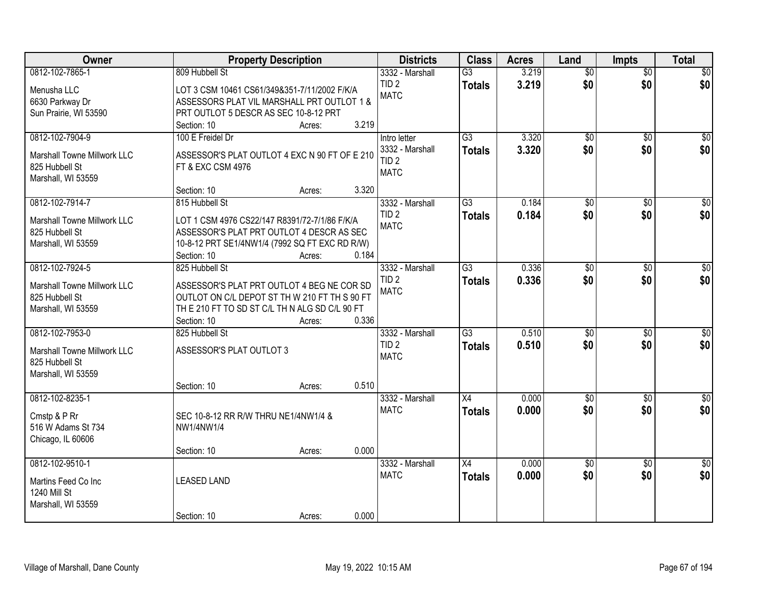| Owner                          | <b>Property Description</b>                                                                | <b>Districts</b>                | <b>Class</b>    | <b>Acres</b> | Land            | <b>Impts</b>    | <b>Total</b>     |
|--------------------------------|--------------------------------------------------------------------------------------------|---------------------------------|-----------------|--------------|-----------------|-----------------|------------------|
| 0812-102-7865-1                | 809 Hubbell St                                                                             | 3332 - Marshall                 | $\overline{G3}$ | 3.219        | $\overline{50}$ | $\overline{50}$ | \$0              |
| Menusha LLC<br>6630 Parkway Dr | LOT 3 CSM 10461 CS61/349&351-7/11/2002 F/K/A<br>ASSESSORS PLAT VIL MARSHALL PRT OUTLOT 1 & | TID <sub>2</sub><br><b>MATC</b> | <b>Totals</b>   | 3.219        | \$0             | \$0             | \$0              |
| Sun Prairie, WI 53590          | PRT OUTLOT 5 DESCR AS SEC 10-8-12 PRT                                                      |                                 |                 |              |                 |                 |                  |
|                                | 3.219<br>Section: 10<br>Acres:                                                             |                                 |                 |              |                 |                 |                  |
| 0812-102-7904-9                | 100 E Freidel Dr                                                                           | Intro letter                    | $\overline{G3}$ | 3.320        | $\overline{50}$ | $\overline{50}$ | \$0              |
| Marshall Towne Millwork LLC    | ASSESSOR'S PLAT OUTLOT 4 EXC N 90 FT OF E 210                                              | 3332 - Marshall                 | <b>Totals</b>   | 3.320        | \$0             | \$0             | \$0              |
| 825 Hubbell St                 | FT & EXC CSM 4976                                                                          | TID <sub>2</sub>                |                 |              |                 |                 |                  |
| Marshall, WI 53559             |                                                                                            | <b>MATC</b>                     |                 |              |                 |                 |                  |
|                                | 3.320<br>Section: 10<br>Acres:                                                             |                                 |                 |              |                 |                 |                  |
| 0812-102-7914-7                | 815 Hubbell St                                                                             | 3332 - Marshall                 | $\overline{G3}$ | 0.184        | $\overline{50}$ | \$0             | $\overline{\$0}$ |
| Marshall Towne Millwork LLC    | LOT 1 CSM 4976 CS22/147 R8391/72-7/1/86 F/K/A                                              | TID <sub>2</sub>                | <b>Totals</b>   | 0.184        | \$0             | \$0             | \$0              |
| 825 Hubbell St                 | ASSESSOR'S PLAT PRT OUTLOT 4 DESCR AS SEC                                                  | <b>MATC</b>                     |                 |              |                 |                 |                  |
| Marshall, WI 53559             | 10-8-12 PRT SE1/4NW1/4 (7992 SQ FT EXC RD R/W)                                             |                                 |                 |              |                 |                 |                  |
|                                | 0.184<br>Section: 10<br>Acres:                                                             |                                 |                 |              |                 |                 |                  |
| 0812-102-7924-5                | 825 Hubbell St                                                                             | 3332 - Marshall                 | $\overline{G3}$ | 0.336        | $\overline{50}$ | \$0             | $\sqrt{50}$      |
| Marshall Towne Millwork LLC    | ASSESSOR'S PLAT PRT OUTLOT 4 BEG NE COR SD                                                 | TID <sub>2</sub>                | <b>Totals</b>   | 0.336        | \$0             | \$0             | \$0              |
| 825 Hubbell St                 | OUTLOT ON C/L DEPOT ST TH W 210 FT TH S 90 FT                                              | <b>MATC</b>                     |                 |              |                 |                 |                  |
| Marshall, WI 53559             | THE 210 FT TO SD ST C/L THN ALG SD C/L 90 FT                                               |                                 |                 |              |                 |                 |                  |
|                                | 0.336<br>Section: 10<br>Acres:                                                             |                                 |                 |              |                 |                 |                  |
| 0812-102-7953-0                | 825 Hubbell St                                                                             | 3332 - Marshall                 | $\overline{G3}$ | 0.510        | \$0             | \$0             | $\sqrt{50}$      |
|                                |                                                                                            | TID <sub>2</sub>                | <b>Totals</b>   | 0.510        | \$0             | \$0             | \$0              |
| Marshall Towne Millwork LLC    | ASSESSOR'S PLAT OUTLOT 3                                                                   | <b>MATC</b>                     |                 |              |                 |                 |                  |
| 825 Hubbell St                 |                                                                                            |                                 |                 |              |                 |                 |                  |
| Marshall, WI 53559             | 0.510                                                                                      |                                 |                 |              |                 |                 |                  |
| 0812-102-8235-1                | Section: 10<br>Acres:                                                                      | 3332 - Marshall                 | X4              | 0.000        | $\sqrt{$0}$     |                 | $\sqrt{30}$      |
|                                |                                                                                            | <b>MATC</b>                     |                 | 0.000        | \$0             | \$0<br>\$0      | \$0              |
| Cmstp & P Rr                   | SEC 10-8-12 RR R/W THRU NE1/4NW1/4 &                                                       |                                 | <b>Totals</b>   |              |                 |                 |                  |
| 516 W Adams St 734             | NW1/4NW1/4                                                                                 |                                 |                 |              |                 |                 |                  |
| Chicago, IL 60606              |                                                                                            |                                 |                 |              |                 |                 |                  |
|                                | 0.000<br>Section: 10<br>Acres:                                                             |                                 |                 |              |                 |                 |                  |
| 0812-102-9510-1                |                                                                                            | 3332 - Marshall                 | $\overline{X4}$ | 0.000        | $\overline{50}$ | $\overline{50}$ | $\overline{50}$  |
| Martins Feed Co Inc            | <b>LEASED LAND</b>                                                                         | <b>MATC</b>                     | <b>Totals</b>   | 0.000        | \$0             | \$0             | \$0              |
| 1240 Mill St                   |                                                                                            |                                 |                 |              |                 |                 |                  |
| Marshall, WI 53559             |                                                                                            |                                 |                 |              |                 |                 |                  |
|                                | 0.000<br>Section: 10<br>Acres:                                                             |                                 |                 |              |                 |                 |                  |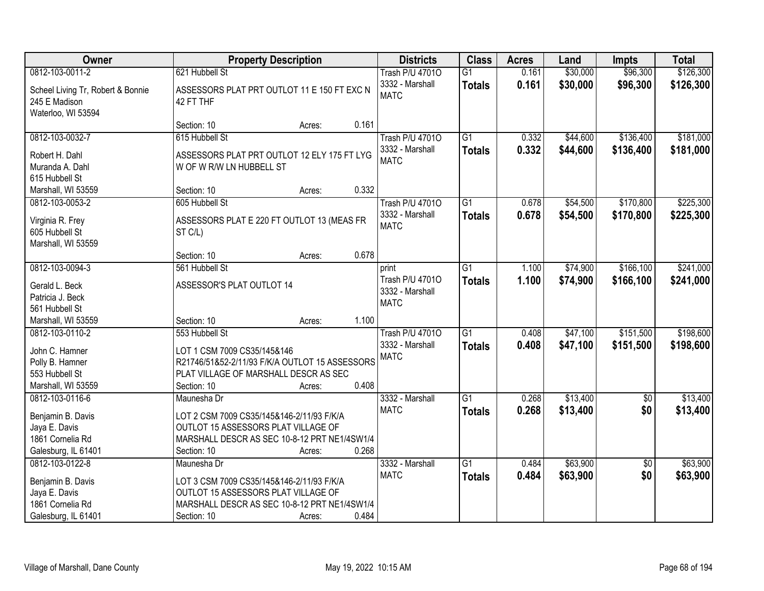| Owner                                                                                            |                                                                                                                                                                | <b>Property Description</b> |       | <b>Districts</b>                                           | <b>Class</b>                     | <b>Acres</b>   | Land                 | <b>Impts</b>           | <b>Total</b>           |
|--------------------------------------------------------------------------------------------------|----------------------------------------------------------------------------------------------------------------------------------------------------------------|-----------------------------|-------|------------------------------------------------------------|----------------------------------|----------------|----------------------|------------------------|------------------------|
| 0812-103-0011-2<br>Scheel Living Tr, Robert & Bonnie<br>245 E Madison<br>Waterloo, WI 53594      | 621 Hubbell St<br>ASSESSORS PLAT PRT OUTLOT 11 E 150 FT EXC N<br>42 FT THF                                                                                     |                             |       | <b>Trash P/U 47010</b><br>3332 - Marshall<br><b>MATC</b>   | $\overline{G1}$<br><b>Totals</b> | 0.161<br>0.161 | \$30,000<br>\$30,000 | \$96,300<br>\$96,300   | \$126,300<br>\$126,300 |
|                                                                                                  | Section: 10                                                                                                                                                    | Acres:                      | 0.161 |                                                            |                                  |                |                      |                        |                        |
| 0812-103-0032-7<br>Robert H. Dahl<br>Muranda A. Dahl<br>615 Hubbell St                           | 615 Hubbell St<br>ASSESSORS PLAT PRT OUTLOT 12 ELY 175 FT LYG<br>W OF W R/W LN HUBBELL ST                                                                      |                             |       | <b>Trash P/U 47010</b><br>3332 - Marshall<br><b>MATC</b>   | $\overline{G1}$<br><b>Totals</b> | 0.332<br>0.332 | \$44,600<br>\$44,600 | \$136,400<br>\$136,400 | \$181,000<br>\$181,000 |
| Marshall, WI 53559                                                                               | Section: 10                                                                                                                                                    | Acres:                      | 0.332 |                                                            |                                  |                |                      |                        |                        |
| 0812-103-0053-2<br>Virginia R. Frey<br>605 Hubbell St<br>Marshall, WI 53559                      | 605 Hubbell St<br>ASSESSORS PLAT E 220 FT OUTLOT 13 (MEAS FR<br>ST C/L)                                                                                        |                             |       | <b>Trash P/U 47010</b><br>3332 - Marshall<br><b>MATC</b>   | $\overline{G1}$<br><b>Totals</b> | 0.678<br>0.678 | \$54,500<br>\$54,500 | \$170,800<br>\$170,800 | \$225,300<br>\$225,300 |
|                                                                                                  | Section: 10                                                                                                                                                    | Acres:                      | 0.678 |                                                            |                                  |                |                      |                        |                        |
| 0812-103-0094-3<br>Gerald L. Beck<br>Patricia J. Beck<br>561 Hubbell St                          | 561 Hubbell St<br>ASSESSOR'S PLAT OUTLOT 14                                                                                                                    |                             |       | print<br>Trash P/U 47010<br>3332 - Marshall<br><b>MATC</b> | G1<br><b>Totals</b>              | 1.100<br>1.100 | \$74,900<br>\$74,900 | \$166,100<br>\$166,100 | \$241,000<br>\$241,000 |
| Marshall, WI 53559                                                                               | Section: 10                                                                                                                                                    | Acres:                      | 1.100 |                                                            |                                  |                |                      |                        |                        |
| 0812-103-0110-2<br>John C. Hamner<br>Polly B. Hamner<br>553 Hubbell St<br>Marshall, WI 53559     | 553 Hubbell St<br>LOT 1 CSM 7009 CS35/145&146<br>R21746/51&52-2/11/93 F/K/A OUTLOT 15 ASSESSORS<br>PLAT VILLAGE OF MARSHALL DESCR AS SEC<br>Section: 10        | Acres:                      | 0.408 | <b>Trash P/U 47010</b><br>3332 - Marshall<br><b>MATC</b>   | $\overline{G1}$<br><b>Totals</b> | 0.408<br>0.408 | \$47,100<br>\$47,100 | \$151,500<br>\$151,500 | \$198,600<br>\$198,600 |
| 0812-103-0116-6<br>Benjamin B. Davis<br>Jaya E. Davis<br>1861 Cornelia Rd<br>Galesburg, IL 61401 | Maunesha Dr<br>LOT 2 CSM 7009 CS35/145&146-2/11/93 F/K/A<br>OUTLOT 15 ASSESSORS PLAT VILLAGE OF<br>MARSHALL DESCR AS SEC 10-8-12 PRT NE1/4SW1/4<br>Section: 10 | Acres:                      | 0.268 | 3332 - Marshall<br><b>MATC</b>                             | $\overline{G1}$<br><b>Totals</b> | 0.268<br>0.268 | \$13,400<br>\$13,400 | $\sqrt{6}$<br>\$0      | \$13,400<br>\$13,400   |
| 0812-103-0122-8<br>Benjamin B. Davis<br>Jaya E. Davis<br>1861 Cornelia Rd<br>Galesburg, IL 61401 | Maunesha Dr<br>LOT 3 CSM 7009 CS35/145&146-2/11/93 F/K/A<br>OUTLOT 15 ASSESSORS PLAT VILLAGE OF<br>MARSHALL DESCR AS SEC 10-8-12 PRT NE1/4SW1/4<br>Section: 10 | Acres:                      | 0.484 | 3332 - Marshall<br><b>MATC</b>                             | $\overline{G1}$<br><b>Totals</b> | 0.484<br>0.484 | \$63,900<br>\$63,900 | $\overline{50}$<br>\$0 | \$63,900<br>\$63,900   |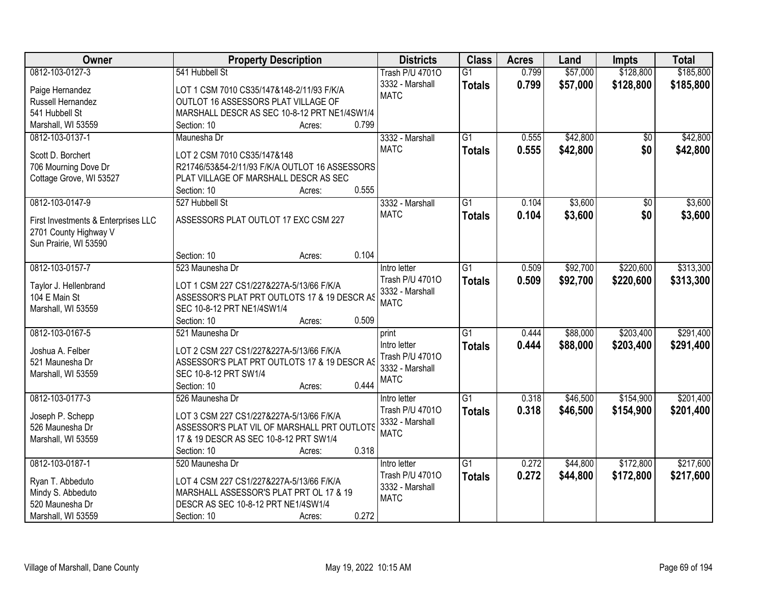| Owner                               | <b>Property Description</b>                    | <b>Districts</b>       | <b>Class</b>    | <b>Acres</b> | Land     | Impts     | <b>Total</b> |
|-------------------------------------|------------------------------------------------|------------------------|-----------------|--------------|----------|-----------|--------------|
| 0812-103-0127-3                     | 541 Hubbell St                                 | <b>Trash P/U 47010</b> | $\overline{G1}$ | 0.799        | \$57,000 | \$128,800 | \$185,800    |
| Paige Hernandez                     | LOT 1 CSM 7010 CS35/147&148-2/11/93 F/K/A      | 3332 - Marshall        | <b>Totals</b>   | 0.799        | \$57,000 | \$128,800 | \$185,800    |
| Russell Hernandez                   | OUTLOT 16 ASSESSORS PLAT VILLAGE OF            | <b>MATC</b>            |                 |              |          |           |              |
| 541 Hubbell St                      | MARSHALL DESCR AS SEC 10-8-12 PRT NE1/4SW1/4   |                        |                 |              |          |           |              |
| Marshall, WI 53559                  | 0.799<br>Section: 10<br>Acres:                 |                        |                 |              |          |           |              |
| 0812-103-0137-1                     | Maunesha Dr                                    | 3332 - Marshall        | $\overline{G1}$ | 0.555        | \$42,800 | \$0       | \$42,800     |
|                                     |                                                | <b>MATC</b>            |                 |              |          |           |              |
| Scott D. Borchert                   | LOT 2 CSM 7010 CS35/147&148                    |                        | <b>Totals</b>   | 0.555        | \$42,800 | \$0       | \$42,800     |
| 706 Mourning Dove Dr                | R21746/53&54-2/11/93 F/K/A OUTLOT 16 ASSESSORS |                        |                 |              |          |           |              |
| Cottage Grove, WI 53527             | PLAT VILLAGE OF MARSHALL DESCR AS SEC          |                        |                 |              |          |           |              |
|                                     | 0.555<br>Section: 10<br>Acres:                 |                        |                 |              |          |           |              |
| 0812-103-0147-9                     | 527 Hubbell St                                 | 3332 - Marshall        | G1              | 0.104        | \$3,600  | \$0       | \$3,600      |
|                                     |                                                | <b>MATC</b>            | <b>Totals</b>   | 0.104        | \$3,600  | \$0       | \$3,600      |
| First Investments & Enterprises LLC | ASSESSORS PLAT OUTLOT 17 EXC CSM 227           |                        |                 |              |          |           |              |
| 2701 County Highway V               |                                                |                        |                 |              |          |           |              |
| Sun Prairie, WI 53590               |                                                |                        |                 |              |          |           |              |
|                                     | 0.104<br>Section: 10<br>Acres:                 |                        |                 |              |          |           |              |
| 0812-103-0157-7                     | 523 Maunesha Dr                                | Intro letter           | G1              | 0.509        | \$92,700 | \$220,600 | \$313,300    |
| Taylor J. Hellenbrand               | LOT 1 CSM 227 CS1/227&227A-5/13/66 F/K/A       | Trash P/U 47010        | <b>Totals</b>   | 0.509        | \$92,700 | \$220,600 | \$313,300    |
| 104 E Main St                       | ASSESSOR'S PLAT PRT OUTLOTS 17 & 19 DESCR AS   | 3332 - Marshall        |                 |              |          |           |              |
| Marshall, WI 53559                  | SEC 10-8-12 PRT NE1/4SW1/4                     | <b>MATC</b>            |                 |              |          |           |              |
|                                     | 0.509<br>Section: 10<br>Acres:                 |                        |                 |              |          |           |              |
| 0812-103-0167-5                     | 521 Maunesha Dr                                | print                  | $\overline{G1}$ | 0.444        | \$88,000 | \$203,400 | \$291,400    |
|                                     |                                                | Intro letter           | <b>Totals</b>   | 0.444        | \$88,000 | \$203,400 | \$291,400    |
| Joshua A. Felber                    | LOT 2 CSM 227 CS1/227&227A-5/13/66 F/K/A       | Trash P/U 47010        |                 |              |          |           |              |
| 521 Maunesha Dr                     | ASSESSOR'S PLAT PRT OUTLOTS 17 & 19 DESCR AS   | 3332 - Marshall        |                 |              |          |           |              |
| Marshall, WI 53559                  | SEC 10-8-12 PRT SW1/4                          | <b>MATC</b>            |                 |              |          |           |              |
|                                     | 0.444<br>Section: 10<br>Acres:                 |                        |                 |              |          |           |              |
| 0812-103-0177-3                     | 526 Maunesha Dr                                | Intro letter           | $\overline{G1}$ | 0.318        | \$46,500 | \$154,900 | \$201,400    |
| Joseph P. Schepp                    | LOT 3 CSM 227 CS1/227&227A-5/13/66 F/K/A       | Trash P/U 47010        | <b>Totals</b>   | 0.318        | \$46,500 | \$154,900 | \$201,400    |
| 526 Maunesha Dr                     | ASSESSOR'S PLAT VIL OF MARSHALL PRT OUTLOTS    | 3332 - Marshall        |                 |              |          |           |              |
| Marshall, WI 53559                  | 17 & 19 DESCR AS SEC 10-8-12 PRT SW1/4         | <b>MATC</b>            |                 |              |          |           |              |
|                                     | 0.318<br>Section: 10<br>Acres:                 |                        |                 |              |          |           |              |
| 0812-103-0187-1                     | 520 Maunesha Dr                                | Intro letter           | $\overline{G1}$ | 0.272        | \$44,800 | \$172,800 | \$217,600    |
|                                     |                                                | Trash P/U 47010        | <b>Totals</b>   | 0.272        | \$44,800 | \$172,800 | \$217,600    |
| Ryan T. Abbeduto                    | LOT 4 CSM 227 CS1/227&227A-5/13/66 F/K/A       | 3332 - Marshall        |                 |              |          |           |              |
| Mindy S. Abbeduto                   | MARSHALL ASSESSOR'S PLAT PRT OL 17 & 19        | <b>MATC</b>            |                 |              |          |           |              |
| 520 Maunesha Dr                     | DESCR AS SEC 10-8-12 PRT NE1/4SW1/4            |                        |                 |              |          |           |              |
| Marshall, WI 53559                  | 0.272<br>Section: 10<br>Acres:                 |                        |                 |              |          |           |              |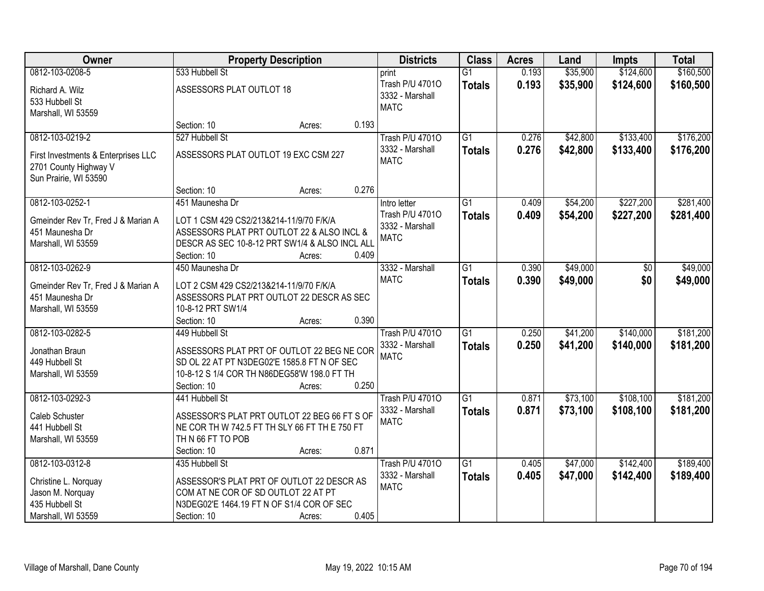| Owner                                                                                 |                                                                                                                                                        | <b>Property Description</b> | <b>Districts</b>                                           | <b>Class</b>                     | <b>Acres</b>   | Land                 | <b>Impts</b>           | <b>Total</b>           |
|---------------------------------------------------------------------------------------|--------------------------------------------------------------------------------------------------------------------------------------------------------|-----------------------------|------------------------------------------------------------|----------------------------------|----------------|----------------------|------------------------|------------------------|
| 0812-103-0208-5                                                                       | 533 Hubbell St                                                                                                                                         |                             | print                                                      | $\overline{G1}$                  | 0.193          | \$35,900             | \$124,600              | \$160,500              |
| Richard A. Wilz<br>533 Hubbell St<br>Marshall, WI 53559                               | ASSESSORS PLAT OUTLOT 18                                                                                                                               |                             | Trash P/U 47010<br>3332 - Marshall<br><b>MATC</b>          | <b>Totals</b>                    | 0.193          | \$35,900             | \$124,600              | \$160,500              |
|                                                                                       | Section: 10                                                                                                                                            | Acres:                      | 0.193                                                      |                                  |                |                      |                        |                        |
| 0812-103-0219-2                                                                       | 527 Hubbell St                                                                                                                                         |                             | <b>Trash P/U 47010</b>                                     | $\overline{G1}$                  | 0.276          | \$42,800             | \$133,400              | \$176,200              |
| First Investments & Enterprises LLC<br>2701 County Highway V<br>Sun Prairie, WI 53590 | ASSESSORS PLAT OUTLOT 19 EXC CSM 227                                                                                                                   |                             | 3332 - Marshall<br><b>MATC</b>                             | <b>Totals</b>                    | 0.276          | \$42,800             | \$133,400              | \$176,200              |
|                                                                                       | Section: 10                                                                                                                                            | Acres:                      | 0.276                                                      |                                  |                |                      |                        |                        |
| 0812-103-0252-1                                                                       | 451 Maunesha Dr                                                                                                                                        |                             | Intro letter                                               | $\overline{G1}$                  | 0.409          | \$54,200             | \$227,200              | \$281,400              |
| Gmeinder Rev Tr, Fred J & Marian A<br>451 Maunesha Dr<br>Marshall, WI 53559           | LOT 1 CSM 429 CS2/213&214-11/9/70 F/K/A<br>ASSESSORS PLAT PRT OUTLOT 22 & ALSO INCL &<br>DESCR AS SEC 10-8-12 PRT SW1/4 & ALSO INCL ALL<br>Section: 10 | Acres:                      | Trash P/U 47010<br>3332 - Marshall<br><b>MATC</b><br>0.409 | <b>Totals</b>                    | 0.409          | \$54,200             | \$227,200              | \$281,400              |
| 0812-103-0262-9                                                                       | 450 Maunesha Dr                                                                                                                                        |                             | 3332 - Marshall                                            | $\overline{G1}$                  | 0.390          | \$49,000             | $\sqrt[6]{}$           | \$49,000               |
| Gmeinder Rev Tr, Fred J & Marian A<br>451 Maunesha Dr<br>Marshall, WI 53559           | LOT 2 CSM 429 CS2/213&214-11/9/70 F/K/A<br>ASSESSORS PLAT PRT OUTLOT 22 DESCR AS SEC<br>10-8-12 PRT SW1/4                                              |                             | <b>MATC</b>                                                | <b>Totals</b>                    | 0.390          | \$49,000             | \$0                    | \$49,000               |
|                                                                                       | Section: 10                                                                                                                                            | Acres:                      | 0.390                                                      |                                  |                |                      |                        |                        |
| 0812-103-0282-5                                                                       | 449 Hubbell St                                                                                                                                         |                             | <b>Trash P/U 47010</b><br>3332 - Marshall                  | $\overline{G1}$<br><b>Totals</b> | 0.250<br>0.250 | \$41,200<br>\$41,200 | \$140,000<br>\$140,000 | \$181,200<br>\$181,200 |
| Jonathan Braun                                                                        | ASSESSORS PLAT PRT OF OUTLOT 22 BEG NE COR                                                                                                             |                             | <b>MATC</b>                                                |                                  |                |                      |                        |                        |
| 449 Hubbell St<br>Marshall, WI 53559                                                  | SD OL 22 AT PT N3DEG02'E 1585.8 FT N OF SEC<br>10-8-12 S 1/4 COR TH N86DEG58'W 198.0 FT TH<br>Section: 10                                              |                             | 0.250                                                      |                                  |                |                      |                        |                        |
| 0812-103-0292-3                                                                       | 441 Hubbell St                                                                                                                                         | Acres:                      | <b>Trash P/U 47010</b>                                     | $\overline{G1}$                  | 0.871          | \$73,100             | \$108,100              | \$181,200              |
| Caleb Schuster<br>441 Hubbell St<br>Marshall, WI 53559                                | ASSESSOR'S PLAT PRT OUTLOT 22 BEG 66 FT S OF<br>NE COR TH W 742.5 FT TH SLY 66 FT TH E 750 FT<br>THN 66 FT TO POB                                      |                             | 3332 - Marshall<br><b>MATC</b>                             | <b>Totals</b>                    | 0.871          | \$73,100             | \$108,100              | \$181,200              |
|                                                                                       | Section: 10                                                                                                                                            | Acres:                      | 0.871                                                      |                                  |                |                      |                        |                        |
| 0812-103-0312-8                                                                       | 435 Hubbell St                                                                                                                                         |                             | <b>Trash P/U 47010</b>                                     | $\overline{G1}$                  | 0.405          | \$47,000             | \$142,400              | \$189,400              |
| Christine L. Norquay<br>Jason M. Norquay<br>435 Hubbell St                            | ASSESSOR'S PLAT PRT OF OUTLOT 22 DESCR AS<br>COM AT NE COR OF SD OUTLOT 22 AT PT<br>N3DEG02'E 1464.19 FT N OF S1/4 COR OF SEC                          |                             | 3332 - Marshall<br><b>MATC</b>                             | <b>Totals</b>                    | 0.405          | \$47,000             | \$142,400              | \$189,400              |
| Marshall, WI 53559                                                                    | Section: 10                                                                                                                                            | Acres:                      | 0.405                                                      |                                  |                |                      |                        |                        |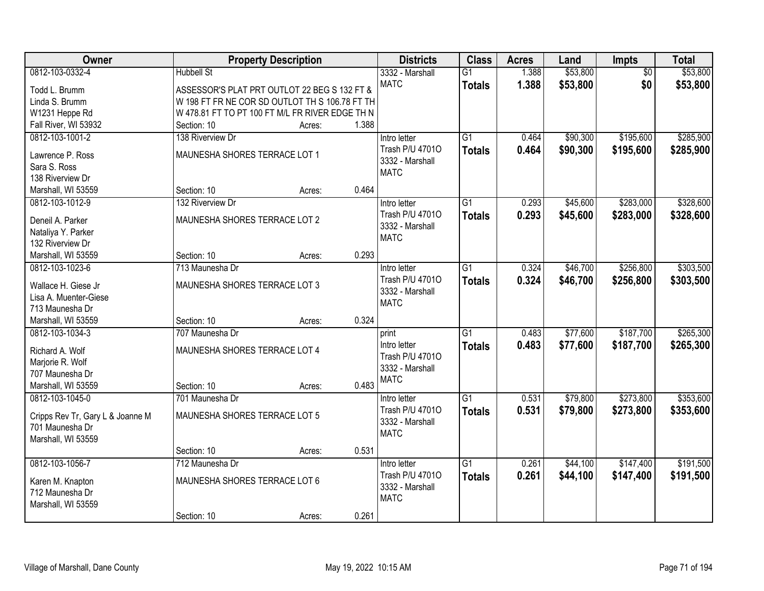| Owner                            |                                                 | <b>Property Description</b> |       | <b>Districts</b>               | <b>Class</b>    | <b>Acres</b> | Land     | Impts           | <b>Total</b> |
|----------------------------------|-------------------------------------------------|-----------------------------|-------|--------------------------------|-----------------|--------------|----------|-----------------|--------------|
| 0812-103-0332-4                  | <b>Hubbell St</b>                               |                             |       | 3332 - Marshall                | $\overline{G1}$ | 1.388        | \$53,800 | $\overline{50}$ | \$53,800     |
| Todd L. Brumm                    | ASSESSOR'S PLAT PRT OUTLOT 22 BEG S 132 FT &    |                             |       | <b>MATC</b>                    | <b>Totals</b>   | 1.388        | \$53,800 | \$0             | \$53,800     |
| Linda S. Brumm                   | W 198 FT FR NE COR SD OUTLOT TH S 106.78 FT TH  |                             |       |                                |                 |              |          |                 |              |
| W1231 Heppe Rd                   | W 478.81 FT TO PT 100 FT M/L FR RIVER EDGE TH N |                             |       |                                |                 |              |          |                 |              |
| Fall River, WI 53932             | Section: 10                                     | Acres:                      | 1.388 |                                |                 |              |          |                 |              |
| 0812-103-1001-2                  | 138 Riverview Dr                                |                             |       | Intro letter                   | $\overline{G1}$ | 0.464        | \$90,300 | \$195,600       | \$285,900    |
| Lawrence P. Ross                 | MAUNESHA SHORES TERRACE LOT 1                   |                             |       | Trash P/U 47010                | <b>Totals</b>   | 0.464        | \$90,300 | \$195,600       | \$285,900    |
| Sara S. Ross                     |                                                 |                             |       | 3332 - Marshall                |                 |              |          |                 |              |
| 138 Riverview Dr                 |                                                 |                             |       | <b>MATC</b>                    |                 |              |          |                 |              |
| Marshall, WI 53559               | Section: 10                                     | Acres:                      | 0.464 |                                |                 |              |          |                 |              |
| 0812-103-1012-9                  | 132 Riverview Dr                                |                             |       | Intro letter                   | G1              | 0.293        | \$45,600 | \$283,000       | \$328,600    |
|                                  |                                                 |                             |       | Trash P/U 47010                | <b>Totals</b>   | 0.293        | \$45,600 | \$283,000       | \$328,600    |
| Deneil A. Parker                 | MAUNESHA SHORES TERRACE LOT 2                   |                             |       | 3332 - Marshall                |                 |              |          |                 |              |
| Nataliya Y. Parker               |                                                 |                             |       | <b>MATC</b>                    |                 |              |          |                 |              |
| 132 Riverview Dr                 |                                                 |                             |       |                                |                 |              |          |                 |              |
| Marshall, WI 53559               | Section: 10                                     | Acres:                      | 0.293 |                                |                 |              |          |                 |              |
| 0812-103-1023-6                  | 713 Maunesha Dr                                 |                             |       | Intro letter                   | G1              | 0.324        | \$46,700 | \$256,800       | \$303,500    |
| Wallace H. Giese Jr              | MAUNESHA SHORES TERRACE LOT 3                   |                             |       | Trash P/U 47010                | <b>Totals</b>   | 0.324        | \$46,700 | \$256,800       | \$303,500    |
| Lisa A. Muenter-Giese            |                                                 |                             |       | 3332 - Marshall<br><b>MATC</b> |                 |              |          |                 |              |
| 713 Maunesha Dr                  |                                                 |                             |       |                                |                 |              |          |                 |              |
| Marshall, WI 53559               | Section: 10                                     | Acres:                      | 0.324 |                                |                 |              |          |                 |              |
| 0812-103-1034-3                  | 707 Maunesha Dr                                 |                             |       | print                          | $\overline{G1}$ | 0.483        | \$77,600 | \$187,700       | \$265,300    |
| Richard A. Wolf                  | MAUNESHA SHORES TERRACE LOT 4                   |                             |       | Intro letter                   | <b>Totals</b>   | 0.483        | \$77,600 | \$187,700       | \$265,300    |
| Marjorie R. Wolf                 |                                                 |                             |       | Trash P/U 47010                |                 |              |          |                 |              |
| 707 Maunesha Dr                  |                                                 |                             |       | 3332 - Marshall                |                 |              |          |                 |              |
| Marshall, WI 53559               | Section: 10                                     | Acres:                      | 0.483 | <b>MATC</b>                    |                 |              |          |                 |              |
| 0812-103-1045-0                  | 701 Maunesha Dr                                 |                             |       | Intro letter                   | $\overline{G1}$ | 0.531        | \$79,800 | \$273,800       | \$353,600    |
|                                  |                                                 |                             |       | Trash P/U 47010                | <b>Totals</b>   | 0.531        | \$79,800 | \$273,800       | \$353,600    |
| Cripps Rev Tr, Gary L & Joanne M | MAUNESHA SHORES TERRACE LOT 5                   |                             |       | 3332 - Marshall                |                 |              |          |                 |              |
| 701 Maunesha Dr                  |                                                 |                             |       | <b>MATC</b>                    |                 |              |          |                 |              |
| Marshall, WI 53559               |                                                 |                             |       |                                |                 |              |          |                 |              |
|                                  | Section: 10                                     | Acres:                      | 0.531 |                                |                 |              |          |                 |              |
| 0812-103-1056-7                  | 712 Maunesha Dr                                 |                             |       | Intro letter                   | $\overline{G1}$ | 0.261        | \$44,100 | \$147,400       | \$191,500    |
| Karen M. Knapton                 | MAUNESHA SHORES TERRACE LOT 6                   |                             |       | Trash P/U 47010                | <b>Totals</b>   | 0.261        | \$44,100 | \$147,400       | \$191,500    |
| 712 Maunesha Dr                  |                                                 |                             |       | 3332 - Marshall<br><b>MATC</b> |                 |              |          |                 |              |
| Marshall, WI 53559               |                                                 |                             |       |                                |                 |              |          |                 |              |
|                                  | Section: 10                                     | Acres:                      | 0.261 |                                |                 |              |          |                 |              |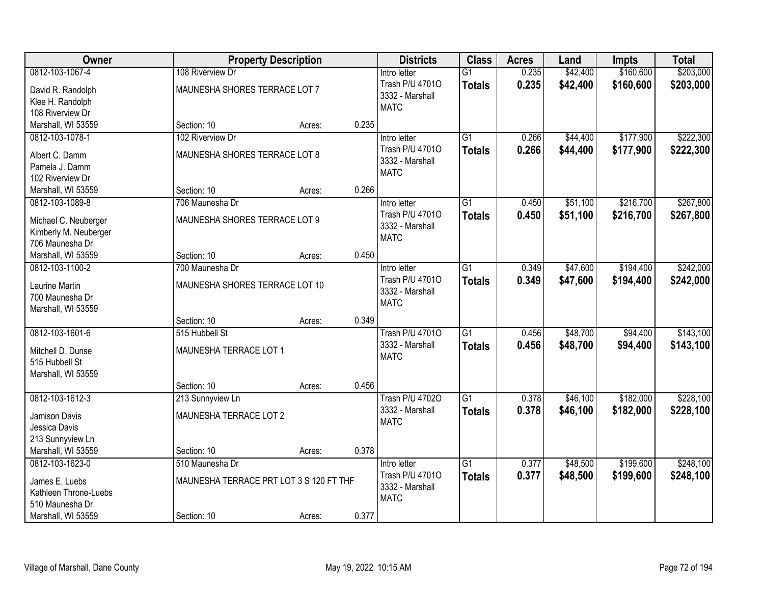| Owner                                 |                                         | <b>Property Description</b> |       | <b>Districts</b>               | <b>Class</b>    | <b>Acres</b> | Land     | <b>Impts</b> | <b>Total</b> |
|---------------------------------------|-----------------------------------------|-----------------------------|-------|--------------------------------|-----------------|--------------|----------|--------------|--------------|
| 0812-103-1067-4                       | 108 Riverview Dr                        |                             |       | Intro letter                   | $\overline{G1}$ | 0.235        | \$42,400 | \$160,600    | \$203,000    |
| David R. Randolph                     | MAUNESHA SHORES TERRACE LOT 7           |                             |       | Trash P/U 47010                | <b>Totals</b>   | 0.235        | \$42,400 | \$160,600    | \$203,000    |
| Klee H. Randolph                      |                                         |                             |       | 3332 - Marshall<br><b>MATC</b> |                 |              |          |              |              |
| 108 Riverview Dr                      |                                         |                             |       |                                |                 |              |          |              |              |
| Marshall, WI 53559                    | Section: 10                             | Acres:                      | 0.235 |                                |                 |              |          |              |              |
| 0812-103-1078-1                       | 102 Riverview Dr                        |                             |       | Intro letter                   | $\overline{G1}$ | 0.266        | \$44,400 | \$177,900    | \$222,300    |
| Albert C. Damm                        | MAUNESHA SHORES TERRACE LOT 8           |                             |       | Trash P/U 47010                | <b>Totals</b>   | 0.266        | \$44,400 | \$177,900    | \$222,300    |
| Pamela J. Damm                        |                                         |                             |       | 3332 - Marshall                |                 |              |          |              |              |
| 102 Riverview Dr                      |                                         |                             |       | <b>MATC</b>                    |                 |              |          |              |              |
| Marshall, WI 53559                    | Section: 10                             | Acres:                      | 0.266 |                                |                 |              |          |              |              |
| 0812-103-1089-8                       | 706 Maunesha Dr                         |                             |       | Intro letter                   | $\overline{G1}$ | 0.450        | \$51,100 | \$216,700    | \$267,800    |
| Michael C. Neuberger                  | MAUNESHA SHORES TERRACE LOT 9           |                             |       | Trash P/U 47010                | <b>Totals</b>   | 0.450        | \$51,100 | \$216,700    | \$267,800    |
| Kimberly M. Neuberger                 |                                         |                             |       | 3332 - Marshall                |                 |              |          |              |              |
| 706 Maunesha Dr                       |                                         |                             |       | <b>MATC</b>                    |                 |              |          |              |              |
| Marshall, WI 53559                    | Section: 10                             | Acres:                      | 0.450 |                                |                 |              |          |              |              |
| 0812-103-1100-2                       | 700 Maunesha Dr                         |                             |       | Intro letter                   | $\overline{G1}$ | 0.349        | \$47,600 | \$194,400    | \$242,000    |
| <b>Laurine Martin</b>                 | MAUNESHA SHORES TERRACE LOT 10          |                             |       | Trash P/U 47010                | <b>Totals</b>   | 0.349        | \$47,600 | \$194,400    | \$242,000    |
| 700 Maunesha Dr                       |                                         |                             |       | 3332 - Marshall                |                 |              |          |              |              |
| Marshall, WI 53559                    |                                         |                             |       | <b>MATC</b>                    |                 |              |          |              |              |
|                                       | Section: 10                             | Acres:                      | 0.349 |                                |                 |              |          |              |              |
| 0812-103-1601-6                       | 515 Hubbell St                          |                             |       | <b>Trash P/U 47010</b>         | $\overline{G1}$ | 0.456        | \$48,700 | \$94,400     | \$143,100    |
|                                       |                                         |                             |       | 3332 - Marshall                | <b>Totals</b>   | 0.456        | \$48,700 | \$94,400     | \$143,100    |
| Mitchell D. Dunse                     | MAUNESHA TERRACE LOT 1                  |                             |       | <b>MATC</b>                    |                 |              |          |              |              |
| 515 Hubbell St<br>Marshall, WI 53559  |                                         |                             |       |                                |                 |              |          |              |              |
|                                       | Section: 10                             | Acres:                      | 0.456 |                                |                 |              |          |              |              |
| 0812-103-1612-3                       | 213 Sunnyview Ln                        |                             |       | <b>Trash P/U 47020</b>         | $\overline{G1}$ | 0.378        | \$46,100 | \$182,000    | \$228,100    |
|                                       |                                         |                             |       | 3332 - Marshall                | <b>Totals</b>   | 0.378        | \$46,100 | \$182,000    | \$228,100    |
| Jamison Davis                         | MAUNESHA TERRACE LOT 2                  |                             |       | <b>MATC</b>                    |                 |              |          |              |              |
| Jessica Davis                         |                                         |                             |       |                                |                 |              |          |              |              |
| 213 Sunnyview Ln                      | Section: 10                             |                             | 0.378 |                                |                 |              |          |              |              |
| Marshall, WI 53559<br>0812-103-1623-0 | 510 Maunesha Dr                         | Acres:                      |       | Intro letter                   | $\overline{G1}$ | 0.377        | \$48,500 | \$199,600    | \$248,100    |
|                                       |                                         |                             |       | Trash P/U 47010                |                 | 0.377        | \$48,500 | \$199,600    |              |
| James E. Luebs                        | MAUNESHA TERRACE PRT LOT 3 S 120 FT THF |                             |       | 3332 - Marshall                | <b>Totals</b>   |              |          |              | \$248,100    |
| Kathleen Throne-Luebs                 |                                         |                             |       | <b>MATC</b>                    |                 |              |          |              |              |
| 510 Maunesha Dr                       |                                         |                             |       |                                |                 |              |          |              |              |
| Marshall, WI 53559                    | Section: 10                             | Acres:                      | 0.377 |                                |                 |              |          |              |              |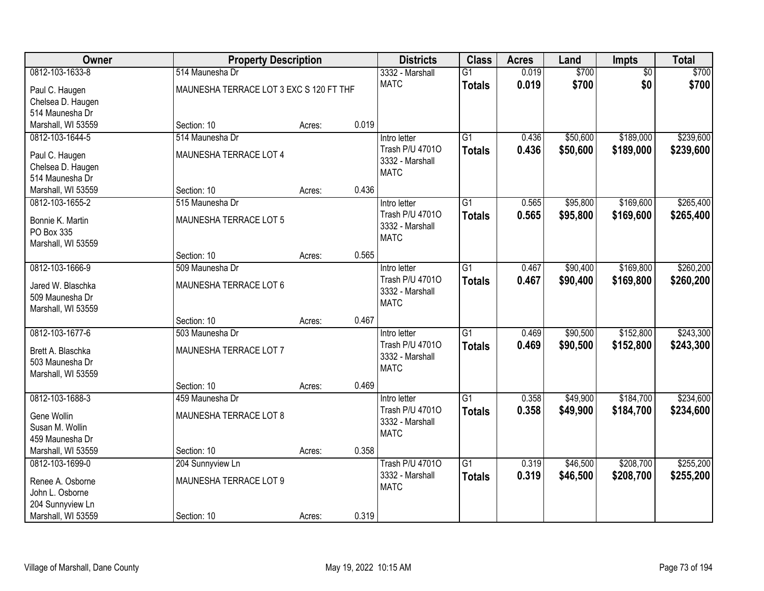| Owner              | <b>Property Description</b>             |        |       | <b>Districts</b>               | <b>Class</b>    | <b>Acres</b> | Land     | <b>Impts</b>    | <b>Total</b> |
|--------------------|-----------------------------------------|--------|-------|--------------------------------|-----------------|--------------|----------|-----------------|--------------|
| 0812-103-1633-8    | 514 Maunesha Dr                         |        |       | 3332 - Marshall                | $\overline{G1}$ | 0.019        | \$700    | $\overline{60}$ | \$700        |
| Paul C. Haugen     | MAUNESHA TERRACE LOT 3 EXC S 120 FT THF |        |       | <b>MATC</b>                    | <b>Totals</b>   | 0.019        | \$700    | \$0             | \$700        |
| Chelsea D. Haugen  |                                         |        |       |                                |                 |              |          |                 |              |
| 514 Maunesha Dr    |                                         |        |       |                                |                 |              |          |                 |              |
| Marshall, WI 53559 | Section: 10                             | Acres: | 0.019 |                                |                 |              |          |                 |              |
| 0812-103-1644-5    | 514 Maunesha Dr                         |        |       | Intro letter                   | $\overline{G1}$ | 0.436        | \$50,600 | \$189,000       | \$239,600    |
| Paul C. Haugen     | MAUNESHA TERRACE LOT 4                  |        |       | Trash P/U 47010                | <b>Totals</b>   | 0.436        | \$50,600 | \$189,000       | \$239,600    |
| Chelsea D. Haugen  |                                         |        |       | 3332 - Marshall<br><b>MATC</b> |                 |              |          |                 |              |
| 514 Maunesha Dr    |                                         |        |       |                                |                 |              |          |                 |              |
| Marshall, WI 53559 | Section: 10                             | Acres: | 0.436 |                                |                 |              |          |                 |              |
| 0812-103-1655-2    | 515 Maunesha Dr                         |        |       | Intro letter                   | $\overline{G1}$ | 0.565        | \$95,800 | \$169,600       | \$265,400    |
| Bonnie K. Martin   | MAUNESHA TERRACE LOT 5                  |        |       | Trash P/U 47010                | <b>Totals</b>   | 0.565        | \$95,800 | \$169,600       | \$265,400    |
| PO Box 335         |                                         |        |       | 3332 - Marshall                |                 |              |          |                 |              |
| Marshall, WI 53559 |                                         |        |       | <b>MATC</b>                    |                 |              |          |                 |              |
|                    | Section: 10                             | Acres: | 0.565 |                                |                 |              |          |                 |              |
| 0812-103-1666-9    | 509 Maunesha Dr                         |        |       | Intro letter                   | $\overline{G1}$ | 0.467        | \$90,400 | \$169,800       | \$260,200    |
| Jared W. Blaschka  | MAUNESHA TERRACE LOT 6                  |        |       | Trash P/U 47010                | <b>Totals</b>   | 0.467        | \$90,400 | \$169,800       | \$260,200    |
| 509 Maunesha Dr    |                                         |        |       | 3332 - Marshall                |                 |              |          |                 |              |
| Marshall, WI 53559 |                                         |        |       | <b>MATC</b>                    |                 |              |          |                 |              |
|                    | Section: 10                             | Acres: | 0.467 |                                |                 |              |          |                 |              |
| 0812-103-1677-6    | 503 Maunesha Dr                         |        |       | Intro letter                   | $\overline{G1}$ | 0.469        | \$90,500 | \$152,800       | \$243,300    |
| Brett A. Blaschka  | MAUNESHA TERRACE LOT 7                  |        |       | Trash P/U 47010                | <b>Totals</b>   | 0.469        | \$90,500 | \$152,800       | \$243,300    |
| 503 Maunesha Dr    |                                         |        |       | 3332 - Marshall                |                 |              |          |                 |              |
| Marshall, WI 53559 |                                         |        |       | <b>MATC</b>                    |                 |              |          |                 |              |
|                    | Section: 10                             | Acres: | 0.469 |                                |                 |              |          |                 |              |
| 0812-103-1688-3    | 459 Maunesha Dr                         |        |       | Intro letter                   | $\overline{G1}$ | 0.358        | \$49,900 | \$184,700       | \$234,600    |
| Gene Wollin        | MAUNESHA TERRACE LOT 8                  |        |       | Trash P/U 47010                | <b>Totals</b>   | 0.358        | \$49,900 | \$184,700       | \$234,600    |
| Susan M. Wollin    |                                         |        |       | 3332 - Marshall                |                 |              |          |                 |              |
| 459 Maunesha Dr    |                                         |        |       | <b>MATC</b>                    |                 |              |          |                 |              |
| Marshall, WI 53559 | Section: 10                             | Acres: | 0.358 |                                |                 |              |          |                 |              |
| 0812-103-1699-0    | 204 Sunnyview Ln                        |        |       | <b>Trash P/U 47010</b>         | $\overline{G1}$ | 0.319        | \$46,500 | \$208,700       | \$255,200    |
| Renee A. Osborne   | MAUNESHA TERRACE LOT 9                  |        |       | 3332 - Marshall                | <b>Totals</b>   | 0.319        | \$46,500 | \$208,700       | \$255,200    |
| John L. Osborne    |                                         |        |       | <b>MATC</b>                    |                 |              |          |                 |              |
| 204 Sunnyview Ln   |                                         |        |       |                                |                 |              |          |                 |              |
| Marshall, WI 53559 | Section: 10                             | Acres: | 0.319 |                                |                 |              |          |                 |              |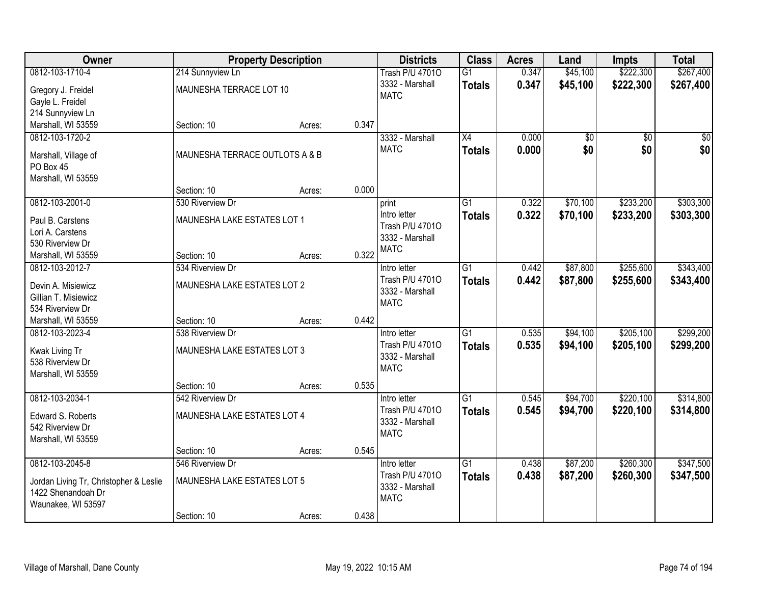| Owner                                  |                                | <b>Property Description</b> |       | <b>Districts</b>       | <b>Class</b>    | <b>Acres</b> | Land     | <b>Impts</b>    | <b>Total</b> |
|----------------------------------------|--------------------------------|-----------------------------|-------|------------------------|-----------------|--------------|----------|-----------------|--------------|
| 0812-103-1710-4                        | 214 Sunnyview Ln               |                             |       | <b>Trash P/U 47010</b> | $\overline{G1}$ | 0.347        | \$45,100 | \$222,300       | \$267,400    |
| Gregory J. Freidel                     | MAUNESHA TERRACE LOT 10        |                             |       | 3332 - Marshall        | <b>Totals</b>   | 0.347        | \$45,100 | \$222,300       | \$267,400    |
| Gayle L. Freidel                       |                                |                             |       | <b>MATC</b>            |                 |              |          |                 |              |
| 214 Sunnyview Ln                       |                                |                             |       |                        |                 |              |          |                 |              |
| Marshall, WI 53559                     | Section: 10                    | Acres:                      | 0.347 |                        |                 |              |          |                 |              |
| 0812-103-1720-2                        |                                |                             |       | 3332 - Marshall        | $\overline{X4}$ | 0.000        | \$0      | $\overline{50}$ | \$0          |
| Marshall, Village of                   | MAUNESHA TERRACE OUTLOTS A & B |                             |       | <b>MATC</b>            | <b>Totals</b>   | 0.000        | \$0      | \$0             | \$0          |
| PO Box 45                              |                                |                             |       |                        |                 |              |          |                 |              |
| Marshall, WI 53559                     |                                |                             |       |                        |                 |              |          |                 |              |
|                                        | Section: 10                    | Acres:                      | 0.000 |                        |                 |              |          |                 |              |
| 0812-103-2001-0                        | 530 Riverview Dr               |                             |       | print                  | $\overline{G1}$ | 0.322        | \$70,100 | \$233,200       | \$303,300    |
| Paul B. Carstens                       | MAUNESHA LAKE ESTATES LOT 1    |                             |       | Intro letter           | <b>Totals</b>   | 0.322        | \$70,100 | \$233,200       | \$303,300    |
| Lori A. Carstens                       |                                |                             |       | Trash P/U 47010        |                 |              |          |                 |              |
| 530 Riverview Dr                       |                                |                             |       | 3332 - Marshall        |                 |              |          |                 |              |
| Marshall, WI 53559                     | Section: 10                    | Acres:                      | 0.322 | <b>MATC</b>            |                 |              |          |                 |              |
| 0812-103-2012-7                        | 534 Riverview Dr               |                             |       | Intro letter           | $\overline{G1}$ | 0.442        | \$87,800 | \$255,600       | \$343,400    |
| Devin A. Misiewicz                     | MAUNESHA LAKE ESTATES LOT 2    |                             |       | Trash P/U 47010        | <b>Totals</b>   | 0.442        | \$87,800 | \$255,600       | \$343,400    |
| Gillian T. Misiewicz                   |                                |                             |       | 3332 - Marshall        |                 |              |          |                 |              |
| 534 Riverview Dr                       |                                |                             |       | <b>MATC</b>            |                 |              |          |                 |              |
| Marshall, WI 53559                     | Section: 10                    | Acres:                      | 0.442 |                        |                 |              |          |                 |              |
| 0812-103-2023-4                        | 538 Riverview Dr               |                             |       | Intro letter           | $\overline{G1}$ | 0.535        | \$94,100 | \$205,100       | \$299,200    |
| Kwak Living Tr                         | MAUNESHA LAKE ESTATES LOT 3    |                             |       | Trash P/U 47010        | <b>Totals</b>   | 0.535        | \$94,100 | \$205,100       | \$299,200    |
| 538 Riverview Dr                       |                                |                             |       | 3332 - Marshall        |                 |              |          |                 |              |
| Marshall, WI 53559                     |                                |                             |       | <b>MATC</b>            |                 |              |          |                 |              |
|                                        | Section: 10                    | Acres:                      | 0.535 |                        |                 |              |          |                 |              |
| 0812-103-2034-1                        | 542 Riverview Dr               |                             |       | Intro letter           | $\overline{G1}$ | 0.545        | \$94,700 | \$220,100       | \$314,800    |
| Edward S. Roberts                      | MAUNESHA LAKE ESTATES LOT 4    |                             |       | Trash P/U 47010        | <b>Totals</b>   | 0.545        | \$94,700 | \$220,100       | \$314,800    |
| 542 Riverview Dr                       |                                |                             |       | 3332 - Marshall        |                 |              |          |                 |              |
| Marshall, WI 53559                     |                                |                             |       | <b>MATC</b>            |                 |              |          |                 |              |
|                                        | Section: 10                    | Acres:                      | 0.545 |                        |                 |              |          |                 |              |
| 0812-103-2045-8                        | 546 Riverview Dr               |                             |       | Intro letter           | $\overline{G1}$ | 0.438        | \$87,200 | \$260,300       | \$347,500    |
| Jordan Living Tr, Christopher & Leslie | MAUNESHA LAKE ESTATES LOT 5    |                             |       | Trash P/U 47010        | <b>Totals</b>   | 0.438        | \$87,200 | \$260,300       | \$347,500    |
| 1422 Shenandoah Dr                     |                                |                             |       | 3332 - Marshall        |                 |              |          |                 |              |
| Waunakee, WI 53597                     |                                |                             |       | <b>MATC</b>            |                 |              |          |                 |              |
|                                        | Section: 10                    | Acres:                      | 0.438 |                        |                 |              |          |                 |              |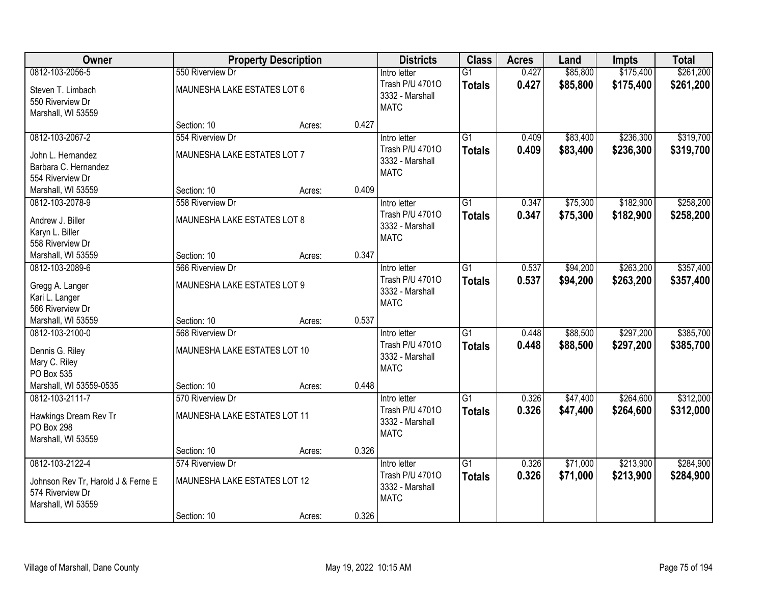| <b>Owner</b>                                                                                    |                                                                 | <b>Property Description</b> |       | <b>Districts</b>                                                  | <b>Class</b>                     | <b>Acres</b>   | Land                 | <b>Impts</b>           | <b>Total</b>           |
|-------------------------------------------------------------------------------------------------|-----------------------------------------------------------------|-----------------------------|-------|-------------------------------------------------------------------|----------------------------------|----------------|----------------------|------------------------|------------------------|
| 0812-103-2056-5                                                                                 | 550 Riverview Dr                                                |                             |       | Intro letter                                                      | $\overline{G1}$                  | 0.427          | \$85,800             | \$175,400              | \$261,200              |
| Steven T. Limbach<br>550 Riverview Dr<br>Marshall, WI 53559                                     | MAUNESHA LAKE ESTATES LOT 6                                     |                             |       | Trash P/U 47010<br>3332 - Marshall<br><b>MATC</b>                 | <b>Totals</b>                    | 0.427          | \$85,800             | \$175,400              | \$261,200              |
|                                                                                                 | Section: 10                                                     | Acres:                      | 0.427 |                                                                   |                                  |                |                      |                        |                        |
| 0812-103-2067-2<br>John L. Hernandez<br>Barbara C. Hernandez<br>554 Riverview Dr                | 554 Riverview Dr<br>MAUNESHA LAKE ESTATES LOT 7                 |                             |       | Intro letter<br>Trash P/U 47010<br>3332 - Marshall<br><b>MATC</b> | $\overline{G1}$<br><b>Totals</b> | 0.409<br>0.409 | \$83,400<br>\$83,400 | \$236,300<br>\$236,300 | \$319,700<br>\$319,700 |
| Marshall, WI 53559                                                                              | Section: 10                                                     | Acres:                      | 0.409 |                                                                   |                                  |                |                      |                        |                        |
| 0812-103-2078-9<br>Andrew J. Biller<br>Karyn L. Biller<br>558 Riverview Dr                      | 558 Riverview Dr<br>MAUNESHA LAKE ESTATES LOT 8                 |                             |       | Intro letter<br>Trash P/U 47010<br>3332 - Marshall<br><b>MATC</b> | G1<br><b>Totals</b>              | 0.347<br>0.347 | \$75,300<br>\$75,300 | \$182,900<br>\$182,900 | \$258,200<br>\$258,200 |
| Marshall, WI 53559                                                                              | Section: 10                                                     | Acres:                      | 0.347 |                                                                   |                                  |                |                      |                        |                        |
| 0812-103-2089-6<br>Gregg A. Langer<br>Kari L. Langer<br>566 Riverview Dr                        | 566 Riverview Dr<br>MAUNESHA LAKE ESTATES LOT 9                 |                             |       | Intro letter<br>Trash P/U 47010<br>3332 - Marshall<br><b>MATC</b> | $\overline{G1}$<br><b>Totals</b> | 0.537<br>0.537 | \$94,200<br>\$94,200 | \$263,200<br>\$263,200 | \$357,400<br>\$357,400 |
| Marshall, WI 53559                                                                              | Section: 10                                                     | Acres:                      | 0.537 |                                                                   |                                  |                |                      |                        |                        |
| 0812-103-2100-0<br>Dennis G. Riley<br>Mary C. Riley<br>PO Box 535                               | 568 Riverview Dr<br>MAUNESHA LAKE ESTATES LOT 10                |                             |       | Intro letter<br>Trash P/U 47010<br>3332 - Marshall<br><b>MATC</b> | $\overline{G1}$<br><b>Totals</b> | 0.448<br>0.448 | \$88,500<br>\$88,500 | \$297,200<br>\$297,200 | \$385,700<br>\$385,700 |
| Marshall, WI 53559-0535                                                                         | Section: 10                                                     | Acres:                      | 0.448 |                                                                   |                                  |                |                      |                        |                        |
| 0812-103-2111-7<br>Hawkings Dream Rev Tr<br>PO Box 298<br>Marshall, WI 53559                    | 570 Riverview Dr<br>MAUNESHA LAKE ESTATES LOT 11                |                             |       | Intro letter<br>Trash P/U 47010<br>3332 - Marshall<br><b>MATC</b> | $\overline{G1}$<br><b>Totals</b> | 0.326<br>0.326 | \$47,400<br>\$47,400 | \$264,600<br>\$264,600 | \$312,000<br>\$312,000 |
|                                                                                                 | Section: 10                                                     | Acres:                      | 0.326 |                                                                   |                                  |                |                      |                        |                        |
| 0812-103-2122-4<br>Johnson Rev Tr, Harold J & Ferne E<br>574 Riverview Dr<br>Marshall, WI 53559 | 574 Riverview Dr<br>MAUNESHA LAKE ESTATES LOT 12<br>Section: 10 |                             | 0.326 | Intro letter<br>Trash P/U 47010<br>3332 - Marshall<br><b>MATC</b> | $\overline{G1}$<br><b>Totals</b> | 0.326<br>0.326 | \$71,000<br>\$71,000 | \$213,900<br>\$213,900 | \$284,900<br>\$284,900 |
|                                                                                                 |                                                                 | Acres:                      |       |                                                                   |                                  |                |                      |                        |                        |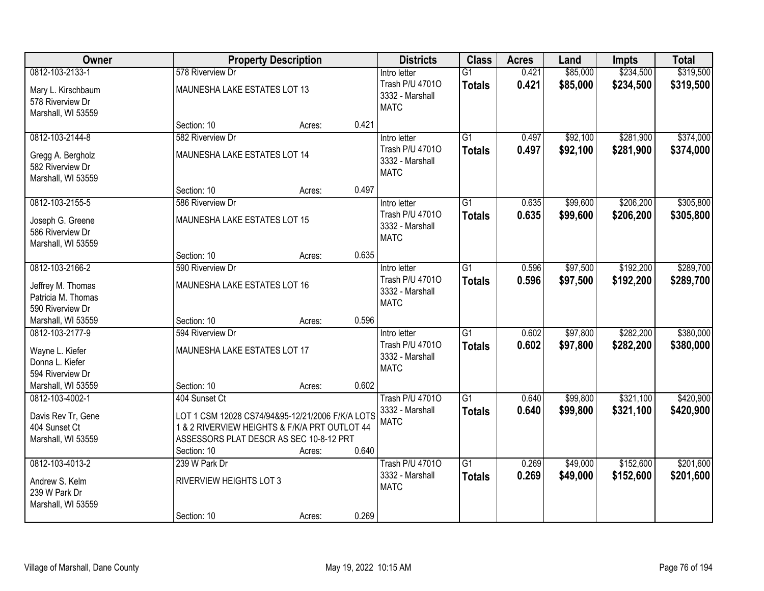| Owner                                                                     |                                                                                                                                                             | <b>Property Description</b> |       | <b>Districts</b>                                                  | <b>Class</b>                     | <b>Acres</b>   | Land                 | Impts                  | <b>Total</b>           |
|---------------------------------------------------------------------------|-------------------------------------------------------------------------------------------------------------------------------------------------------------|-----------------------------|-------|-------------------------------------------------------------------|----------------------------------|----------------|----------------------|------------------------|------------------------|
| 0812-103-2133-1                                                           | 578 Riverview Dr                                                                                                                                            |                             |       | Intro letter                                                      | $\overline{G1}$                  | 0.421          | \$85,000             | \$234,500              | \$319,500              |
| Mary L. Kirschbaum<br>578 Riverview Dr<br>Marshall, WI 53559              | MAUNESHA LAKE ESTATES LOT 13                                                                                                                                |                             |       | Trash P/U 47010<br>3332 - Marshall<br><b>MATC</b>                 | <b>Totals</b>                    | 0.421          | \$85,000             | \$234,500              | \$319,500              |
|                                                                           | Section: 10                                                                                                                                                 | Acres:                      | 0.421 |                                                                   |                                  |                |                      |                        |                        |
| 0812-103-2144-8                                                           | 582 Riverview Dr                                                                                                                                            |                             |       | Intro letter                                                      | $\overline{G1}$                  | 0.497          | \$92,100             | \$281,900              | \$374,000              |
| Gregg A. Bergholz<br>582 Riverview Dr<br>Marshall, WI 53559               | MAUNESHA LAKE ESTATES LOT 14                                                                                                                                |                             |       | Trash P/U 47010<br>3332 - Marshall<br><b>MATC</b>                 | <b>Totals</b>                    | 0.497          | \$92,100             | \$281,900              | \$374,000              |
|                                                                           | Section: 10                                                                                                                                                 | Acres:                      | 0.497 |                                                                   |                                  |                |                      |                        |                        |
| 0812-103-2155-5                                                           | 586 Riverview Dr                                                                                                                                            |                             |       | Intro letter                                                      | G1                               | 0.635          | \$99,600             | \$206,200              | \$305,800              |
| Joseph G. Greene<br>586 Riverview Dr<br>Marshall, WI 53559                | MAUNESHA LAKE ESTATES LOT 15                                                                                                                                |                             |       | Trash P/U 47010<br>3332 - Marshall<br><b>MATC</b>                 | <b>Totals</b>                    | 0.635          | \$99,600             | \$206,200              | \$305,800              |
|                                                                           | Section: 10                                                                                                                                                 | Acres:                      | 0.635 |                                                                   |                                  |                |                      |                        |                        |
| 0812-103-2166-2                                                           | 590 Riverview Dr                                                                                                                                            |                             |       | Intro letter                                                      | $\overline{G1}$                  | 0.596          | \$97,500             | \$192,200              | \$289,700              |
| Jeffrey M. Thomas<br>Patricia M. Thomas<br>590 Riverview Dr               | MAUNESHA LAKE ESTATES LOT 16                                                                                                                                |                             |       | Trash P/U 47010<br>3332 - Marshall<br><b>MATC</b>                 | <b>Totals</b>                    | 0.596          | \$97,500             | \$192,200              | \$289,700              |
| Marshall, WI 53559                                                        | Section: 10                                                                                                                                                 | Acres:                      | 0.596 |                                                                   |                                  |                |                      |                        |                        |
| 0812-103-2177-9<br>Wayne L. Kiefer<br>Donna L. Kiefer<br>594 Riverview Dr | 594 Riverview Dr<br>MAUNESHA LAKE ESTATES LOT 17                                                                                                            |                             |       | Intro letter<br>Trash P/U 47010<br>3332 - Marshall<br><b>MATC</b> | $\overline{G1}$<br><b>Totals</b> | 0.602<br>0.602 | \$97,800<br>\$97,800 | \$282,200<br>\$282,200 | \$380,000<br>\$380,000 |
| Marshall, WI 53559                                                        | Section: 10                                                                                                                                                 | Acres:                      | 0.602 |                                                                   |                                  |                |                      |                        |                        |
| 0812-103-4002-1                                                           | 404 Sunset Ct                                                                                                                                               |                             |       | <b>Trash P/U 47010</b>                                            | G1                               | 0.640          | \$99,800             | \$321,100              | \$420,900              |
| Davis Rev Tr, Gene<br>404 Sunset Ct<br>Marshall, WI 53559                 | LOT 1 CSM 12028 CS74/94&95-12/21/2006 F/K/A LOTS<br>1 & 2 RIVERVIEW HEIGHTS & F/K/A PRT OUTLOT 44<br>ASSESSORS PLAT DESCR AS SEC 10-8-12 PRT<br>Section: 10 | Acres:                      | 0.640 | 3332 - Marshall<br><b>MATC</b>                                    | <b>Totals</b>                    | 0.640          | \$99,800             | \$321,100              | \$420,900              |
| 0812-103-4013-2                                                           | 239 W Park Dr                                                                                                                                               |                             |       | <b>Trash P/U 47010</b>                                            | $\overline{G1}$                  | 0.269          | \$49,000             | \$152,600              | \$201,600              |
| Andrew S. Kelm<br>239 W Park Dr<br>Marshall, WI 53559                     | RIVERVIEW HEIGHTS LOT 3                                                                                                                                     |                             |       | 3332 - Marshall<br><b>MATC</b>                                    | <b>Totals</b>                    | 0.269          | \$49,000             | \$152,600              | \$201,600              |
|                                                                           | Section: 10                                                                                                                                                 | Acres:                      | 0.269 |                                                                   |                                  |                |                      |                        |                        |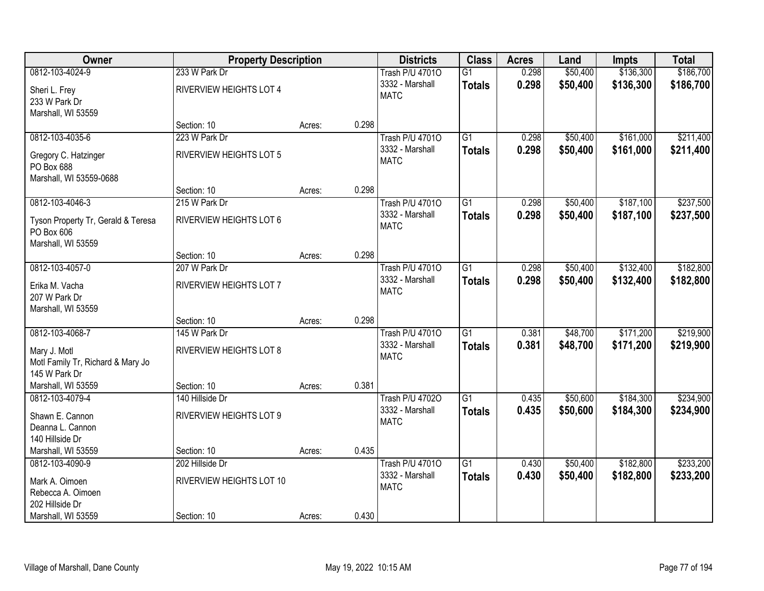| Owner                                | <b>Property Description</b>    |        |       | <b>Districts</b>       | <b>Class</b>    | <b>Acres</b> | Land     | <b>Impts</b> | <b>Total</b> |
|--------------------------------------|--------------------------------|--------|-------|------------------------|-----------------|--------------|----------|--------------|--------------|
| 0812-103-4024-9                      | 233 W Park Dr                  |        |       | <b>Trash P/U 47010</b> | $\overline{G1}$ | 0.298        | \$50,400 | \$136,300    | \$186,700    |
| Sheri L. Frey                        | <b>RIVERVIEW HEIGHTS LOT 4</b> |        |       | 3332 - Marshall        | <b>Totals</b>   | 0.298        | \$50,400 | \$136,300    | \$186,700    |
| 233 W Park Dr                        |                                |        |       | <b>MATC</b>            |                 |              |          |              |              |
| Marshall, WI 53559                   |                                |        |       |                        |                 |              |          |              |              |
|                                      | Section: 10                    | Acres: | 0.298 |                        |                 |              |          |              |              |
| 0812-103-4035-6                      | 223 W Park Dr                  |        |       | <b>Trash P/U 47010</b> | $\overline{G1}$ | 0.298        | \$50,400 | \$161,000    | \$211,400    |
| Gregory C. Hatzinger                 | <b>RIVERVIEW HEIGHTS LOT 5</b> |        |       | 3332 - Marshall        | <b>Totals</b>   | 0.298        | \$50,400 | \$161,000    | \$211,400    |
| PO Box 688                           |                                |        |       | <b>MATC</b>            |                 |              |          |              |              |
| Marshall, WI 53559-0688              |                                |        |       |                        |                 |              |          |              |              |
|                                      | Section: 10                    | Acres: | 0.298 |                        |                 |              |          |              |              |
| 0812-103-4046-3                      | 215 W Park Dr                  |        |       | <b>Trash P/U 47010</b> | G1              | 0.298        | \$50,400 | \$187,100    | \$237,500    |
| Tyson Property Tr, Gerald & Teresa   | RIVERVIEW HEIGHTS LOT 6        |        |       | 3332 - Marshall        | <b>Totals</b>   | 0.298        | \$50,400 | \$187,100    | \$237,500    |
| PO Box 606                           |                                |        |       | <b>MATC</b>            |                 |              |          |              |              |
| Marshall, WI 53559                   |                                |        |       |                        |                 |              |          |              |              |
|                                      | Section: 10                    | Acres: | 0.298 |                        |                 |              |          |              |              |
| 0812-103-4057-0                      | 207 W Park Dr                  |        |       | <b>Trash P/U 47010</b> | $\overline{G1}$ | 0.298        | \$50,400 | \$132,400    | \$182,800    |
| Erika M. Vacha                       | RIVERVIEW HEIGHTS LOT 7        |        |       | 3332 - Marshall        | <b>Totals</b>   | 0.298        | \$50,400 | \$132,400    | \$182,800    |
| 207 W Park Dr                        |                                |        |       | <b>MATC</b>            |                 |              |          |              |              |
| Marshall, WI 53559                   |                                |        |       |                        |                 |              |          |              |              |
|                                      | Section: 10                    | Acres: | 0.298 |                        |                 |              |          |              |              |
| 0812-103-4068-7                      | 145 W Park Dr                  |        |       | <b>Trash P/U 47010</b> | $\overline{G1}$ | 0.381        | \$48,700 | \$171,200    | \$219,900    |
| Mary J. Motl                         | <b>RIVERVIEW HEIGHTS LOT 8</b> |        |       | 3332 - Marshall        | <b>Totals</b>   | 0.381        | \$48,700 | \$171,200    | \$219,900    |
| Motl Family Tr, Richard & Mary Jo    |                                |        |       | <b>MATC</b>            |                 |              |          |              |              |
| 145 W Park Dr                        |                                |        |       |                        |                 |              |          |              |              |
| Marshall, WI 53559                   | Section: 10                    | Acres: | 0.381 |                        |                 |              |          |              |              |
| 0812-103-4079-4                      | 140 Hillside Dr                |        |       | <b>Trash P/U 47020</b> | $\overline{G1}$ | 0.435        | \$50,600 | \$184,300    | \$234,900    |
| Shawn E. Cannon                      | RIVERVIEW HEIGHTS LOT 9        |        |       | 3332 - Marshall        | <b>Totals</b>   | 0.435        | \$50,600 | \$184,300    | \$234,900    |
| Deanna L. Cannon                     |                                |        |       | <b>MATC</b>            |                 |              |          |              |              |
| 140 Hillside Dr                      |                                |        |       |                        |                 |              |          |              |              |
| Marshall, WI 53559                   | Section: 10                    | Acres: | 0.435 |                        |                 |              |          |              |              |
| 0812-103-4090-9                      | 202 Hillside Dr                |        |       | <b>Trash P/U 47010</b> | $\overline{G1}$ | 0.430        | \$50,400 | \$182,800    | \$233,200    |
|                                      |                                |        |       | 3332 - Marshall        | <b>Totals</b>   | 0.430        | \$50,400 | \$182,800    | \$233,200    |
| Mark A. Oimoen                       | RIVERVIEW HEIGHTS LOT 10       |        |       | <b>MATC</b>            |                 |              |          |              |              |
| Rebecca A. Oimoen<br>202 Hillside Dr |                                |        |       |                        |                 |              |          |              |              |
| Marshall, WI 53559                   | Section: 10                    | Acres: | 0.430 |                        |                 |              |          |              |              |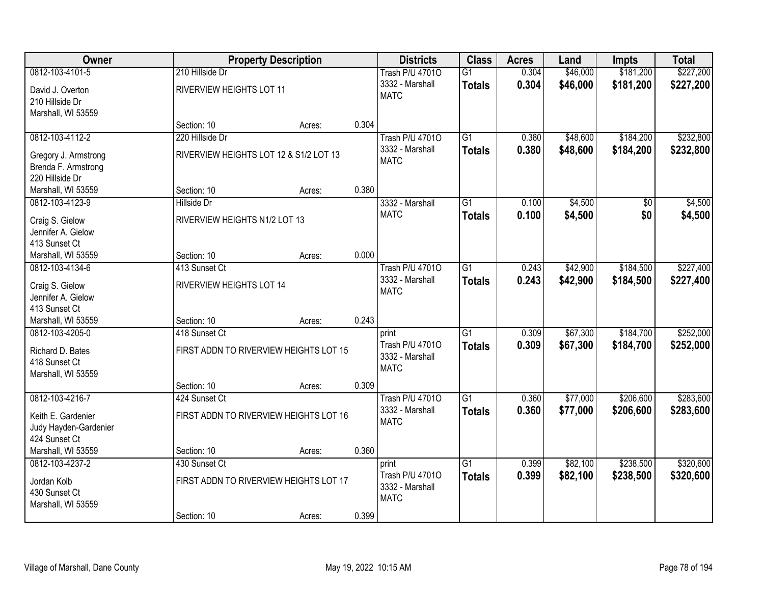| Owner                 |                                        | <b>Property Description</b> |       | <b>Districts</b>       | <b>Class</b>    | <b>Acres</b> | Land     | <b>Impts</b> | <b>Total</b> |
|-----------------------|----------------------------------------|-----------------------------|-------|------------------------|-----------------|--------------|----------|--------------|--------------|
| 0812-103-4101-5       | 210 Hillside Dr                        |                             |       | <b>Trash P/U 47010</b> | $\overline{G1}$ | 0.304        | \$46,000 | \$181,200    | \$227,200    |
| David J. Overton      | RIVERVIEW HEIGHTS LOT 11               |                             |       | 3332 - Marshall        | <b>Totals</b>   | 0.304        | \$46,000 | \$181,200    | \$227,200    |
| 210 Hillside Dr       |                                        |                             |       | <b>MATC</b>            |                 |              |          |              |              |
| Marshall, WI 53559    |                                        |                             |       |                        |                 |              |          |              |              |
|                       | Section: 10                            | Acres:                      | 0.304 |                        |                 |              |          |              |              |
| 0812-103-4112-2       | 220 Hillside Dr                        |                             |       | <b>Trash P/U 47010</b> | $\overline{G1}$ | 0.380        | \$48,600 | \$184,200    | \$232,800    |
| Gregory J. Armstrong  | RIVERVIEW HEIGHTS LOT 12 & S1/2 LOT 13 |                             |       | 3332 - Marshall        | <b>Totals</b>   | 0.380        | \$48,600 | \$184,200    | \$232,800    |
| Brenda F. Armstrong   |                                        |                             |       | <b>MATC</b>            |                 |              |          |              |              |
| 220 Hillside Dr       |                                        |                             |       |                        |                 |              |          |              |              |
| Marshall, WI 53559    | Section: 10                            | Acres:                      | 0.380 |                        |                 |              |          |              |              |
| 0812-103-4123-9       | Hillside Dr                            |                             |       | 3332 - Marshall        | $\overline{G1}$ | 0.100        | \$4,500  | \$0          | \$4,500      |
| Craig S. Gielow       | RIVERVIEW HEIGHTS N1/2 LOT 13          |                             |       | <b>MATC</b>            | <b>Totals</b>   | 0.100        | \$4,500  | \$0          | \$4,500      |
| Jennifer A. Gielow    |                                        |                             |       |                        |                 |              |          |              |              |
| 413 Sunset Ct         |                                        |                             |       |                        |                 |              |          |              |              |
| Marshall, WI 53559    | Section: 10                            | Acres:                      | 0.000 |                        |                 |              |          |              |              |
| 0812-103-4134-6       | 413 Sunset Ct                          |                             |       | <b>Trash P/U 47010</b> | $\overline{G1}$ | 0.243        | \$42,900 | \$184,500    | \$227,400    |
| Craig S. Gielow       | RIVERVIEW HEIGHTS LOT 14               |                             |       | 3332 - Marshall        | <b>Totals</b>   | 0.243        | \$42,900 | \$184,500    | \$227,400    |
| Jennifer A. Gielow    |                                        |                             |       | <b>MATC</b>            |                 |              |          |              |              |
| 413 Sunset Ct         |                                        |                             |       |                        |                 |              |          |              |              |
| Marshall, WI 53559    | Section: 10                            | Acres:                      | 0.243 |                        |                 |              |          |              |              |
| 0812-103-4205-0       | 418 Sunset Ct                          |                             |       | print                  | $\overline{G1}$ | 0.309        | \$67,300 | \$184,700    | \$252,000    |
| Richard D. Bates      | FIRST ADDN TO RIVERVIEW HEIGHTS LOT 15 |                             |       | Trash P/U 47010        | <b>Totals</b>   | 0.309        | \$67,300 | \$184,700    | \$252,000    |
| 418 Sunset Ct         |                                        |                             |       | 3332 - Marshall        |                 |              |          |              |              |
| Marshall, WI 53559    |                                        |                             |       | <b>MATC</b>            |                 |              |          |              |              |
|                       | Section: 10                            | Acres:                      | 0.309 |                        |                 |              |          |              |              |
| 0812-103-4216-7       | 424 Sunset Ct                          |                             |       | <b>Trash P/U 47010</b> | $\overline{G1}$ | 0.360        | \$77,000 | \$206,600    | \$283,600    |
| Keith E. Gardenier    | FIRST ADDN TO RIVERVIEW HEIGHTS LOT 16 |                             |       | 3332 - Marshall        | <b>Totals</b>   | 0.360        | \$77,000 | \$206,600    | \$283,600    |
| Judy Hayden-Gardenier |                                        |                             |       | <b>MATC</b>            |                 |              |          |              |              |
| 424 Sunset Ct         |                                        |                             |       |                        |                 |              |          |              |              |
| Marshall, WI 53559    | Section: 10                            | Acres:                      | 0.360 |                        |                 |              |          |              |              |
| 0812-103-4237-2       | 430 Sunset Ct                          |                             |       | print                  | $\overline{G1}$ | 0.399        | \$82,100 | \$238,500    | \$320,600    |
| Jordan Kolb           | FIRST ADDN TO RIVERVIEW HEIGHTS LOT 17 |                             |       | Trash P/U 47010        | <b>Totals</b>   | 0.399        | \$82,100 | \$238,500    | \$320,600    |
| 430 Sunset Ct         |                                        |                             |       | 3332 - Marshall        |                 |              |          |              |              |
| Marshall, WI 53559    |                                        |                             |       | <b>MATC</b>            |                 |              |          |              |              |
|                       | Section: 10                            | Acres:                      | 0.399 |                        |                 |              |          |              |              |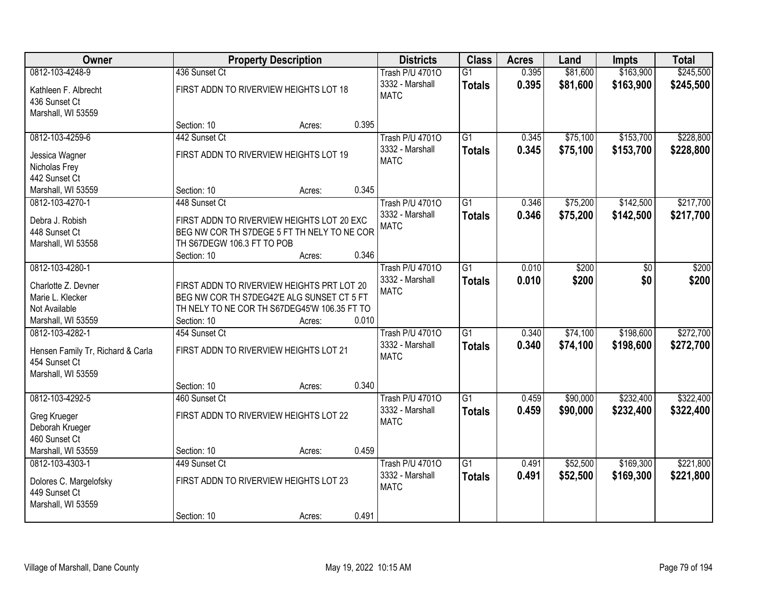| Owner                                   |                            | <b>Property Description</b>                                                              |       | <b>Districts</b>       | <b>Class</b>    | <b>Acres</b> | Land     | <b>Impts</b> | <b>Total</b> |
|-----------------------------------------|----------------------------|------------------------------------------------------------------------------------------|-------|------------------------|-----------------|--------------|----------|--------------|--------------|
| 0812-103-4248-9                         | 436 Sunset Ct              |                                                                                          |       | <b>Trash P/U 47010</b> | G1              | 0.395        | \$81,600 | \$163,900    | \$245,500    |
| Kathleen F. Albrecht                    |                            | FIRST ADDN TO RIVERVIEW HEIGHTS LOT 18                                                   |       | 3332 - Marshall        | <b>Totals</b>   | 0.395        | \$81,600 | \$163,900    | \$245,500    |
| 436 Sunset Ct                           |                            |                                                                                          |       | <b>MATC</b>            |                 |              |          |              |              |
| Marshall, WI 53559                      |                            |                                                                                          |       |                        |                 |              |          |              |              |
|                                         | Section: 10                | Acres:                                                                                   | 0.395 |                        |                 |              |          |              |              |
| 0812-103-4259-6                         | 442 Sunset Ct              |                                                                                          |       | <b>Trash P/U 47010</b> | $\overline{G1}$ | 0.345        | \$75,100 | \$153,700    | \$228,800    |
| Jessica Wagner                          |                            | FIRST ADDN TO RIVERVIEW HEIGHTS LOT 19                                                   |       | 3332 - Marshall        | <b>Totals</b>   | 0.345        | \$75,100 | \$153,700    | \$228,800    |
| Nicholas Frey                           |                            |                                                                                          |       | <b>MATC</b>            |                 |              |          |              |              |
| 442 Sunset Ct                           |                            |                                                                                          |       |                        |                 |              |          |              |              |
| Marshall, WI 53559                      | Section: 10                | Acres:                                                                                   | 0.345 |                        |                 |              |          |              |              |
| 0812-103-4270-1                         | 448 Sunset Ct              |                                                                                          |       | <b>Trash P/U 47010</b> | G1              | 0.346        | \$75,200 | \$142,500    | \$217,700    |
| Debra J. Robish                         |                            | FIRST ADDN TO RIVERVIEW HEIGHTS LOT 20 EXC                                               |       | 3332 - Marshall        | <b>Totals</b>   | 0.346        | \$75,200 | \$142,500    | \$217,700    |
| 448 Sunset Ct                           |                            | BEG NW COR TH S7DEGE 5 FT TH NELY TO NE COR                                              |       | <b>MATC</b>            |                 |              |          |              |              |
| Marshall, WI 53558                      | TH S67DEGW 106.3 FT TO POB |                                                                                          |       |                        |                 |              |          |              |              |
|                                         | Section: 10                | Acres:                                                                                   | 0.346 |                        |                 |              |          |              |              |
| 0812-103-4280-1                         |                            |                                                                                          |       | <b>Trash P/U 47010</b> | $\overline{G1}$ | 0.010        | \$200    | \$0          | \$200        |
|                                         |                            |                                                                                          |       | 3332 - Marshall        | <b>Totals</b>   | 0.010        | \$200    | \$0          | \$200        |
| Charlotte Z. Devner<br>Marie L. Klecker |                            | FIRST ADDN TO RIVERVIEW HEIGHTS PRT LOT 20<br>BEG NW COR TH S7DEG42'E ALG SUNSET CT 5 FT |       | <b>MATC</b>            |                 |              |          |              |              |
| Not Available                           |                            | TH NELY TO NE COR TH S67DEG45'W 106.35 FT TO                                             |       |                        |                 |              |          |              |              |
| Marshall, WI 53559                      | Section: 10                | Acres:                                                                                   | 0.010 |                        |                 |              |          |              |              |
| 0812-103-4282-1                         | 454 Sunset Ct              |                                                                                          |       | <b>Trash P/U 47010</b> | G <sub>1</sub>  | 0.340        | \$74,100 | \$198,600    | \$272,700    |
|                                         |                            |                                                                                          |       | 3332 - Marshall        | <b>Totals</b>   | 0.340        | \$74,100 | \$198,600    | \$272,700    |
| Hensen Family Tr, Richard & Carla       |                            | FIRST ADDN TO RIVERVIEW HEIGHTS LOT 21                                                   |       | <b>MATC</b>            |                 |              |          |              |              |
| 454 Sunset Ct                           |                            |                                                                                          |       |                        |                 |              |          |              |              |
| Marshall, WI 53559                      | Section: 10                | Acres:                                                                                   | 0.340 |                        |                 |              |          |              |              |
| 0812-103-4292-5                         | 460 Sunset Ct              |                                                                                          |       | <b>Trash P/U 47010</b> | $\overline{G1}$ | 0.459        | \$90,000 | \$232,400    | \$322,400    |
|                                         |                            |                                                                                          |       | 3332 - Marshall        | <b>Totals</b>   | 0.459        | \$90,000 | \$232,400    | \$322,400    |
| Greg Krueger                            |                            | FIRST ADDN TO RIVERVIEW HEIGHTS LOT 22                                                   |       | <b>MATC</b>            |                 |              |          |              |              |
| Deborah Krueger                         |                            |                                                                                          |       |                        |                 |              |          |              |              |
| 460 Sunset Ct<br>Marshall, WI 53559     | Section: 10                | Acres:                                                                                   | 0.459 |                        |                 |              |          |              |              |
| 0812-103-4303-1                         | 449 Sunset Ct              |                                                                                          |       | <b>Trash P/U 47010</b> | $\overline{G1}$ | 0.491        | \$52,500 | \$169,300    | \$221,800    |
|                                         |                            |                                                                                          |       | 3332 - Marshall        | <b>Totals</b>   | 0.491        | \$52,500 | \$169,300    | \$221,800    |
| Dolores C. Margelofsky                  |                            | FIRST ADDN TO RIVERVIEW HEIGHTS LOT 23                                                   |       | <b>MATC</b>            |                 |              |          |              |              |
| 449 Sunset Ct                           |                            |                                                                                          |       |                        |                 |              |          |              |              |
| Marshall, WI 53559                      |                            |                                                                                          |       |                        |                 |              |          |              |              |
|                                         | Section: 10                | Acres:                                                                                   | 0.491 |                        |                 |              |          |              |              |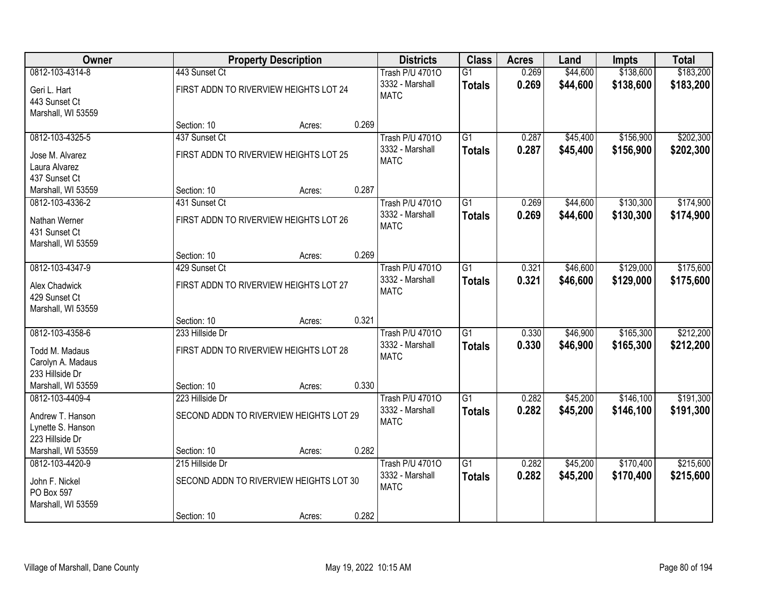| <b>Owner</b>                          |                                         | <b>Property Description</b> |       | <b>Districts</b>       | <b>Class</b>    | <b>Acres</b> | Land     | Impts     | <b>Total</b> |
|---------------------------------------|-----------------------------------------|-----------------------------|-------|------------------------|-----------------|--------------|----------|-----------|--------------|
| 0812-103-4314-8                       | 443 Sunset Ct                           |                             |       | <b>Trash P/U 47010</b> | $\overline{G1}$ | 0.269        | \$44,600 | \$138,600 | \$183,200    |
| Geri L. Hart                          | FIRST ADDN TO RIVERVIEW HEIGHTS LOT 24  |                             |       | 3332 - Marshall        | <b>Totals</b>   | 0.269        | \$44,600 | \$138,600 | \$183,200    |
| 443 Sunset Ct                         |                                         |                             |       | <b>MATC</b>            |                 |              |          |           |              |
| Marshall, WI 53559                    |                                         |                             |       |                        |                 |              |          |           |              |
|                                       | Section: 10                             | Acres:                      | 0.269 |                        |                 |              |          |           |              |
| 0812-103-4325-5                       | 437 Sunset Ct                           |                             |       | <b>Trash P/U 47010</b> | $\overline{G1}$ | 0.287        | \$45,400 | \$156,900 | \$202,300    |
| Jose M. Alvarez                       | FIRST ADDN TO RIVERVIEW HEIGHTS LOT 25  |                             |       | 3332 - Marshall        | <b>Totals</b>   | 0.287        | \$45,400 | \$156,900 | \$202,300    |
| Laura Alvarez                         |                                         |                             |       | <b>MATC</b>            |                 |              |          |           |              |
| 437 Sunset Ct                         |                                         |                             |       |                        |                 |              |          |           |              |
| Marshall, WI 53559                    | Section: 10                             | Acres:                      | 0.287 |                        |                 |              |          |           |              |
| 0812-103-4336-2                       | 431 Sunset Ct                           |                             |       | <b>Trash P/U 47010</b> | G1              | 0.269        | \$44,600 | \$130,300 | \$174,900    |
| Nathan Werner                         | FIRST ADDN TO RIVERVIEW HEIGHTS LOT 26  |                             |       | 3332 - Marshall        | <b>Totals</b>   | 0.269        | \$44,600 | \$130,300 | \$174,900    |
| 431 Sunset Ct                         |                                         |                             |       | <b>MATC</b>            |                 |              |          |           |              |
| Marshall, WI 53559                    |                                         |                             |       |                        |                 |              |          |           |              |
|                                       | Section: 10                             | Acres:                      | 0.269 |                        |                 |              |          |           |              |
| 0812-103-4347-9                       | 429 Sunset Ct                           |                             |       | <b>Trash P/U 47010</b> | $\overline{G1}$ | 0.321        | \$46,600 | \$129,000 | \$175,600    |
| Alex Chadwick                         | FIRST ADDN TO RIVERVIEW HEIGHTS LOT 27  |                             |       | 3332 - Marshall        | Totals          | 0.321        | \$46,600 | \$129,000 | \$175,600    |
| 429 Sunset Ct                         |                                         |                             |       | <b>MATC</b>            |                 |              |          |           |              |
| Marshall, WI 53559                    |                                         |                             |       |                        |                 |              |          |           |              |
|                                       | Section: 10                             | Acres:                      | 0.321 |                        |                 |              |          |           |              |
| 0812-103-4358-6                       | 233 Hillside Dr                         |                             |       | <b>Trash P/U 47010</b> | G <sub>1</sub>  | 0.330        | \$46,900 | \$165,300 | \$212,200    |
| Todd M. Madaus                        | FIRST ADDN TO RIVERVIEW HEIGHTS LOT 28  |                             |       | 3332 - Marshall        | <b>Totals</b>   | 0.330        | \$46,900 | \$165,300 | \$212,200    |
| Carolyn A. Madaus                     |                                         |                             |       | <b>MATC</b>            |                 |              |          |           |              |
| 233 Hillside Dr                       |                                         |                             |       |                        |                 |              |          |           |              |
| Marshall, WI 53559                    | Section: 10                             | Acres:                      | 0.330 |                        |                 |              |          |           |              |
| 0812-103-4409-4                       | 223 Hillside Dr                         |                             |       | <b>Trash P/U 47010</b> | $\overline{G1}$ | 0.282        | \$45,200 | \$146,100 | \$191,300    |
|                                       |                                         |                             |       | 3332 - Marshall        | <b>Totals</b>   | 0.282        | \$45,200 | \$146,100 | \$191,300    |
| Andrew T. Hanson<br>Lynette S. Hanson | SECOND ADDN TO RIVERVIEW HEIGHTS LOT 29 |                             |       | <b>MATC</b>            |                 |              |          |           |              |
| 223 Hillside Dr                       |                                         |                             |       |                        |                 |              |          |           |              |
| Marshall, WI 53559                    | Section: 10                             | Acres:                      | 0.282 |                        |                 |              |          |           |              |
| 0812-103-4420-9                       | 215 Hillside Dr                         |                             |       | <b>Trash P/U 47010</b> | $\overline{G1}$ | 0.282        | \$45,200 | \$170,400 | \$215,600    |
|                                       |                                         |                             |       | 3332 - Marshall        | <b>Totals</b>   | 0.282        | \$45,200 | \$170,400 | \$215,600    |
| John F. Nickel<br>PO Box 597          | SECOND ADDN TO RIVERVIEW HEIGHTS LOT 30 |                             |       | <b>MATC</b>            |                 |              |          |           |              |
| Marshall, WI 53559                    |                                         |                             |       |                        |                 |              |          |           |              |
|                                       | Section: 10                             | Acres:                      | 0.282 |                        |                 |              |          |           |              |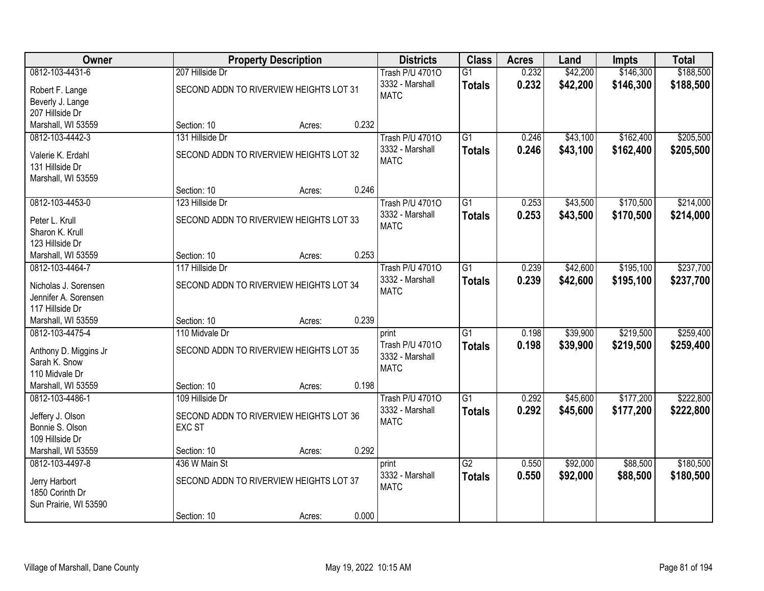| <b>Owner</b>                                 |                                         | <b>Property Description</b> |       | <b>Districts</b>         | <b>Class</b>    | <b>Acres</b> | Land     | <b>Impts</b> | <b>Total</b> |
|----------------------------------------------|-----------------------------------------|-----------------------------|-------|--------------------------|-----------------|--------------|----------|--------------|--------------|
| 0812-103-4431-6                              | 207 Hillside Dr                         |                             |       | <b>Trash P/U 47010</b>   | $\overline{G1}$ | 0.232        | \$42,200 | \$146,300    | \$188,500    |
| Robert F. Lange                              | SECOND ADDN TO RIVERVIEW HEIGHTS LOT 31 |                             |       | 3332 - Marshall          | <b>Totals</b>   | 0.232        | \$42,200 | \$146,300    | \$188,500    |
| Beverly J. Lange                             |                                         |                             |       | <b>MATC</b>              |                 |              |          |              |              |
| 207 Hillside Dr                              |                                         |                             |       |                          |                 |              |          |              |              |
| Marshall, WI 53559                           | Section: 10                             | Acres:                      | 0.232 |                          |                 |              |          |              |              |
| 0812-103-4442-3                              | 131 Hillside Dr                         |                             |       | <b>Trash P/U 47010</b>   | $\overline{G1}$ | 0.246        | \$43,100 | \$162,400    | \$205,500    |
| Valerie K. Erdahl                            | SECOND ADDN TO RIVERVIEW HEIGHTS LOT 32 |                             |       | 3332 - Marshall          | <b>Totals</b>   | 0.246        | \$43,100 | \$162,400    | \$205,500    |
| 131 Hillside Dr                              |                                         |                             |       | <b>MATC</b>              |                 |              |          |              |              |
| Marshall, WI 53559                           |                                         |                             |       |                          |                 |              |          |              |              |
|                                              | Section: 10                             | Acres:                      | 0.246 |                          |                 |              |          |              |              |
| 0812-103-4453-0                              | 123 Hillside Dr                         |                             |       | <b>Trash P/U 47010</b>   | $\overline{G1}$ | 0.253        | \$43,500 | \$170,500    | \$214,000    |
| Peter L. Krull                               | SECOND ADDN TO RIVERVIEW HEIGHTS LOT 33 |                             |       | 3332 - Marshall          | <b>Totals</b>   | 0.253        | \$43,500 | \$170,500    | \$214,000    |
| Sharon K. Krull                              |                                         |                             |       | <b>MATC</b>              |                 |              |          |              |              |
| 123 Hillside Dr                              |                                         |                             |       |                          |                 |              |          |              |              |
| Marshall, WI 53559                           | Section: 10                             | Acres:                      | 0.253 |                          |                 |              |          |              |              |
| 0812-103-4464-7                              | 117 Hillside Dr                         |                             |       | <b>Trash P/U 47010</b>   | $\overline{G1}$ | 0.239        | \$42,600 | \$195,100    | \$237,700    |
|                                              |                                         |                             |       | 3332 - Marshall          | <b>Totals</b>   | 0.239        | \$42,600 | \$195,100    | \$237,700    |
| Nicholas J. Sorensen<br>Jennifer A. Sorensen | SECOND ADDN TO RIVERVIEW HEIGHTS LOT 34 |                             |       | <b>MATC</b>              |                 |              |          |              |              |
| 117 Hillside Dr                              |                                         |                             |       |                          |                 |              |          |              |              |
| Marshall, WI 53559                           | Section: 10                             | Acres:                      | 0.239 |                          |                 |              |          |              |              |
| 0812-103-4475-4                              | 110 Midvale Dr                          |                             |       | print                    | $\overline{G1}$ | 0.198        | \$39,900 | \$219,500    | \$259,400    |
|                                              |                                         |                             |       | Trash P/U 47010          | <b>Totals</b>   | 0.198        | \$39,900 | \$219,500    | \$259,400    |
| Anthony D. Miggins Jr                        | SECOND ADDN TO RIVERVIEW HEIGHTS LOT 35 |                             |       | 3332 - Marshall          |                 |              |          |              |              |
| Sarah K. Snow                                |                                         |                             |       | <b>MATC</b>              |                 |              |          |              |              |
| 110 Midvale Dr<br>Marshall, WI 53559         | Section: 10                             |                             | 0.198 |                          |                 |              |          |              |              |
| 0812-103-4486-1                              | 109 Hillside Dr                         | Acres:                      |       | <b>Trash P/U 47010</b>   | $\overline{G1}$ | 0.292        | \$45,600 | \$177,200    | \$222,800    |
|                                              |                                         |                             |       | 3332 - Marshall          | <b>Totals</b>   | 0.292        | \$45,600 | \$177,200    | \$222,800    |
| Jeffery J. Olson                             | SECOND ADDN TO RIVERVIEW HEIGHTS LOT 36 |                             |       | <b>MATC</b>              |                 |              |          |              |              |
| Bonnie S. Olson                              | <b>EXC ST</b>                           |                             |       |                          |                 |              |          |              |              |
| 109 Hillside Dr                              |                                         |                             |       |                          |                 |              |          |              |              |
| Marshall, WI 53559                           | Section: 10                             | Acres:                      | 0.292 |                          |                 |              |          |              |              |
| 0812-103-4497-8                              | 436 W Main St                           |                             |       | print<br>3332 - Marshall | $\overline{G2}$ | 0.550        | \$92,000 | \$88,500     | \$180,500    |
| Jerry Harbort                                | SECOND ADDN TO RIVERVIEW HEIGHTS LOT 37 |                             |       | <b>MATC</b>              | <b>Totals</b>   | 0.550        | \$92,000 | \$88,500     | \$180,500    |
| 1850 Corinth Dr                              |                                         |                             |       |                          |                 |              |          |              |              |
| Sun Prairie, WI 53590                        |                                         |                             |       |                          |                 |              |          |              |              |
|                                              | Section: 10                             | Acres:                      | 0.000 |                          |                 |              |          |              |              |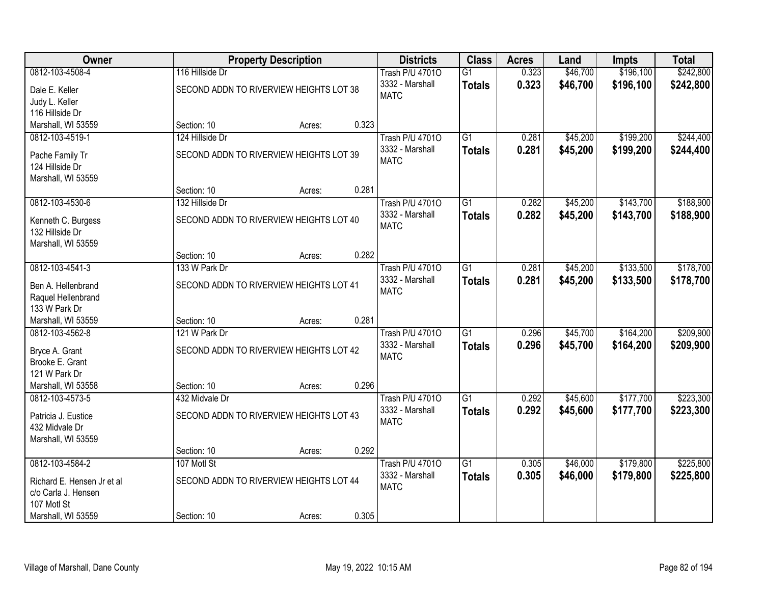| Owner                      |                                         | <b>Property Description</b> |       | <b>Districts</b>       | <b>Class</b>    | <b>Acres</b> | Land     | Impts     | <b>Total</b> |
|----------------------------|-----------------------------------------|-----------------------------|-------|------------------------|-----------------|--------------|----------|-----------|--------------|
| 0812-103-4508-4            | 116 Hillside Dr                         |                             |       | <b>Trash P/U 47010</b> | $\overline{G1}$ | 0.323        | \$46,700 | \$196,100 | \$242,800    |
| Dale E. Keller             | SECOND ADDN TO RIVERVIEW HEIGHTS LOT 38 |                             |       | 3332 - Marshall        | <b>Totals</b>   | 0.323        | \$46,700 | \$196,100 | \$242,800    |
| Judy L. Keller             |                                         |                             |       | <b>MATC</b>            |                 |              |          |           |              |
| 116 Hillside Dr            |                                         |                             |       |                        |                 |              |          |           |              |
| Marshall, WI 53559         | Section: 10                             | Acres:                      | 0.323 |                        |                 |              |          |           |              |
| 0812-103-4519-1            | 124 Hillside Dr                         |                             |       | <b>Trash P/U 47010</b> | $\overline{G1}$ | 0.281        | \$45,200 | \$199,200 | \$244,400    |
| Pache Family Tr            | SECOND ADDN TO RIVERVIEW HEIGHTS LOT 39 |                             |       | 3332 - Marshall        | <b>Totals</b>   | 0.281        | \$45,200 | \$199,200 | \$244,400    |
| 124 Hillside Dr            |                                         |                             |       | <b>MATC</b>            |                 |              |          |           |              |
| Marshall, WI 53559         |                                         |                             |       |                        |                 |              |          |           |              |
|                            | Section: 10                             | Acres:                      | 0.281 |                        |                 |              |          |           |              |
| 0812-103-4530-6            | 132 Hillside Dr                         |                             |       | <b>Trash P/U 47010</b> | G1              | 0.282        | \$45,200 | \$143,700 | \$188,900    |
| Kenneth C. Burgess         | SECOND ADDN TO RIVERVIEW HEIGHTS LOT 40 |                             |       | 3332 - Marshall        | <b>Totals</b>   | 0.282        | \$45,200 | \$143,700 | \$188,900    |
| 132 Hillside Dr            |                                         |                             |       | <b>MATC</b>            |                 |              |          |           |              |
| Marshall, WI 53559         |                                         |                             |       |                        |                 |              |          |           |              |
|                            | Section: 10                             | Acres:                      | 0.282 |                        |                 |              |          |           |              |
| 0812-103-4541-3            | 133 W Park Dr                           |                             |       | <b>Trash P/U 47010</b> | $\overline{G1}$ | 0.281        | \$45,200 | \$133,500 | \$178,700    |
| Ben A. Hellenbrand         | SECOND ADDN TO RIVERVIEW HEIGHTS LOT 41 |                             |       | 3332 - Marshall        | <b>Totals</b>   | 0.281        | \$45,200 | \$133,500 | \$178,700    |
| Raquel Hellenbrand         |                                         |                             |       | <b>MATC</b>            |                 |              |          |           |              |
| 133 W Park Dr              |                                         |                             |       |                        |                 |              |          |           |              |
| Marshall, WI 53559         | Section: 10                             | Acres:                      | 0.281 |                        |                 |              |          |           |              |
| 0812-103-4562-8            | 121 W Park Dr                           |                             |       | <b>Trash P/U 47010</b> | $\overline{G1}$ | 0.296        | \$45,700 | \$164,200 | \$209,900    |
| Bryce A. Grant             | SECOND ADDN TO RIVERVIEW HEIGHTS LOT 42 |                             |       | 3332 - Marshall        | <b>Totals</b>   | 0.296        | \$45,700 | \$164,200 | \$209,900    |
| Brooke E. Grant            |                                         |                             |       | <b>MATC</b>            |                 |              |          |           |              |
| 121 W Park Dr              |                                         |                             |       |                        |                 |              |          |           |              |
| Marshall, WI 53558         | Section: 10                             | Acres:                      | 0.296 |                        |                 |              |          |           |              |
| 0812-103-4573-5            | 432 Midvale Dr                          |                             |       | <b>Trash P/U 47010</b> | $\overline{G1}$ | 0.292        | \$45,600 | \$177,700 | \$223,300    |
| Patricia J. Eustice        | SECOND ADDN TO RIVERVIEW HEIGHTS LOT 43 |                             |       | 3332 - Marshall        | <b>Totals</b>   | 0.292        | \$45,600 | \$177,700 | \$223,300    |
| 432 Midvale Dr             |                                         |                             |       | <b>MATC</b>            |                 |              |          |           |              |
| Marshall, WI 53559         |                                         |                             |       |                        |                 |              |          |           |              |
|                            | Section: 10                             | Acres:                      | 0.292 |                        |                 |              |          |           |              |
| 0812-103-4584-2            | 107 Motl St                             |                             |       | <b>Trash P/U 47010</b> | $\overline{G1}$ | 0.305        | \$46,000 | \$179,800 | \$225,800    |
| Richard E. Hensen Jr et al | SECOND ADDN TO RIVERVIEW HEIGHTS LOT 44 |                             |       | 3332 - Marshall        | <b>Totals</b>   | 0.305        | \$46,000 | \$179,800 | \$225,800    |
| c/o Carla J. Hensen        |                                         |                             |       | <b>MATC</b>            |                 |              |          |           |              |
| 107 Motl St                |                                         |                             |       |                        |                 |              |          |           |              |
| Marshall, WI 53559         | Section: 10                             | Acres:                      | 0.305 |                        |                 |              |          |           |              |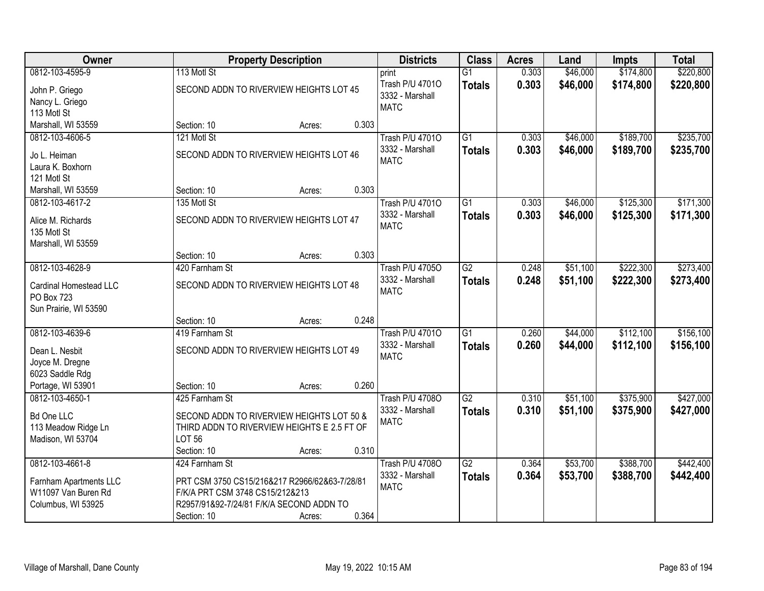| Owner                                                                                        |                                                                                                                                             | <b>Property Description</b> |       | <b>Districts</b>                                         | <b>Class</b>                     | <b>Acres</b>   | Land                 | <b>Impts</b>           | <b>Total</b>           |
|----------------------------------------------------------------------------------------------|---------------------------------------------------------------------------------------------------------------------------------------------|-----------------------------|-------|----------------------------------------------------------|----------------------------------|----------------|----------------------|------------------------|------------------------|
| 0812-103-4595-9                                                                              | 113 Motl St                                                                                                                                 |                             |       | print                                                    | $\overline{G1}$                  | 0.303          | \$46,000             | \$174,800              | \$220,800              |
| John P. Griego<br>Nancy L. Griego<br>113 Motl St                                             | SECOND ADDN TO RIVERVIEW HEIGHTS LOT 45                                                                                                     |                             |       | Trash P/U 47010<br>3332 - Marshall<br><b>MATC</b>        | <b>Totals</b>                    | 0.303          | \$46,000             | \$174,800              | \$220,800              |
| Marshall, WI 53559                                                                           | Section: 10                                                                                                                                 | Acres:                      | 0.303 |                                                          |                                  |                |                      |                        |                        |
| 0812-103-4606-5<br>Jo L. Heiman<br>Laura K. Boxhorn<br>121 Motl St                           | 121 Motl St<br>SECOND ADDN TO RIVERVIEW HEIGHTS LOT 46                                                                                      |                             |       | <b>Trash P/U 47010</b><br>3332 - Marshall<br><b>MATC</b> | $\overline{G1}$<br><b>Totals</b> | 0.303<br>0.303 | \$46,000<br>\$46,000 | \$189,700<br>\$189,700 | \$235,700<br>\$235,700 |
| Marshall, WI 53559                                                                           | Section: 10                                                                                                                                 | Acres:                      | 0.303 |                                                          |                                  |                |                      |                        |                        |
| 0812-103-4617-2<br>Alice M. Richards<br>135 Motl St<br>Marshall, WI 53559                    | 135 Motl St<br>SECOND ADDN TO RIVERVIEW HEIGHTS LOT 47                                                                                      |                             |       | <b>Trash P/U 47010</b><br>3332 - Marshall<br><b>MATC</b> | G1<br><b>Totals</b>              | 0.303<br>0.303 | \$46,000<br>\$46,000 | \$125,300<br>\$125,300 | \$171,300<br>\$171,300 |
|                                                                                              | Section: 10                                                                                                                                 | Acres:                      | 0.303 |                                                          |                                  |                |                      |                        |                        |
| 0812-103-4628-9<br>Cardinal Homestead LLC<br><b>PO Box 723</b><br>Sun Prairie, WI 53590      | 420 Farnham St<br>SECOND ADDN TO RIVERVIEW HEIGHTS LOT 48                                                                                   |                             |       | <b>Trash P/U 47050</b><br>3332 - Marshall<br><b>MATC</b> | $\overline{G2}$<br><b>Totals</b> | 0.248<br>0.248 | \$51,100<br>\$51,100 | \$222,300<br>\$222,300 | \$273,400<br>\$273,400 |
|                                                                                              | Section: 10                                                                                                                                 | Acres:                      | 0.248 |                                                          |                                  |                |                      |                        |                        |
| 0812-103-4639-6<br>Dean L. Nesbit<br>Joyce M. Dregne<br>6023 Saddle Rdg<br>Portage, WI 53901 | 419 Farnham St<br>SECOND ADDN TO RIVERVIEW HEIGHTS LOT 49<br>Section: 10                                                                    | Acres:                      | 0.260 | <b>Trash P/U 47010</b><br>3332 - Marshall<br><b>MATC</b> | $\overline{G1}$<br><b>Totals</b> | 0.260<br>0.260 | \$44,000<br>\$44,000 | \$112,100<br>\$112,100 | \$156,100<br>\$156,100 |
| 0812-103-4650-1                                                                              | 425 Farnham St                                                                                                                              |                             |       | Trash P/U 4708O                                          | $\overline{G2}$                  | 0.310          | \$51,100             | \$375,900              | \$427,000              |
| <b>Bd One LLC</b><br>113 Meadow Ridge Ln<br>Madison, WI 53704                                | SECOND ADDN TO RIVERVIEW HEIGHTS LOT 50 &<br>THIRD ADDN TO RIVERVIEW HEIGHTS E 2.5 FT OF<br><b>LOT 56</b><br>Section: 10                    | Acres:                      | 0.310 | 3332 - Marshall<br><b>MATC</b>                           | <b>Totals</b>                    | 0.310          | \$51,100             | \$375,900              | \$427,000              |
| 0812-103-4661-8                                                                              | 424 Farnham St                                                                                                                              |                             |       | <b>Trash P/U 47080</b>                                   | $\overline{G2}$                  | 0.364          | \$53,700             | \$388,700              | \$442,400              |
| Farnham Apartments LLC<br>W11097 Van Buren Rd<br>Columbus, WI 53925                          | PRT CSM 3750 CS15/216&217 R2966/62&63-7/28/81<br>F/K/A PRT CSM 3748 CS15/212&213<br>R2957/91&92-7/24/81 F/K/A SECOND ADDN TO<br>Section: 10 | Acres:                      | 0.364 | 3332 - Marshall<br><b>MATC</b>                           | <b>Totals</b>                    | 0.364          | \$53,700             | \$388,700              | \$442,400              |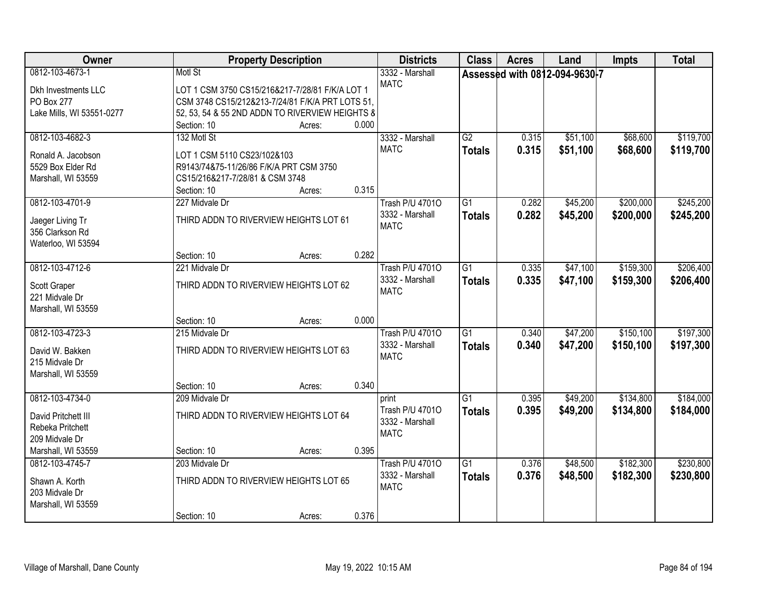| <b>Owner</b>                            |                                                  | <b>Property Description</b> |       | <b>Districts</b>       | <b>Class</b>    | <b>Acres</b> | Land                          | <b>Impts</b> | <b>Total</b> |
|-----------------------------------------|--------------------------------------------------|-----------------------------|-------|------------------------|-----------------|--------------|-------------------------------|--------------|--------------|
| 0812-103-4673-1                         | Motl St                                          |                             |       | 3332 - Marshall        |                 |              | Assessed with 0812-094-9630-7 |              |              |
| <b>Dkh Investments LLC</b>              | LOT 1 CSM 3750 CS15/216&217-7/28/81 F/K/A LOT 1  |                             |       | <b>MATC</b>            |                 |              |                               |              |              |
| PO Box 277                              | CSM 3748 CS15/212&213-7/24/81 F/K/A PRT LOTS 51, |                             |       |                        |                 |              |                               |              |              |
| Lake Mills, WI 53551-0277               | 52, 53, 54 & 55 2ND ADDN TO RIVERVIEW HEIGHTS &  |                             |       |                        |                 |              |                               |              |              |
|                                         | Section: 10                                      | Acres:                      | 0.000 |                        |                 |              |                               |              |              |
| 0812-103-4682-3                         | 132 Motl St                                      |                             |       | 3332 - Marshall        | G2              | 0.315        | \$51,100                      | \$68,600     | \$119,700    |
|                                         | LOT 1 CSM 5110 CS23/102&103                      |                             |       | <b>MATC</b>            | <b>Totals</b>   | 0.315        | \$51,100                      | \$68,600     | \$119,700    |
| Ronald A. Jacobson<br>5529 Box Elder Rd | R9143/74&75-11/26/86 F/K/A PRT CSM 3750          |                             |       |                        |                 |              |                               |              |              |
| Marshall, WI 53559                      | CS15/216&217-7/28/81 & CSM 3748                  |                             |       |                        |                 |              |                               |              |              |
|                                         | Section: 10                                      | Acres:                      | 0.315 |                        |                 |              |                               |              |              |
| 0812-103-4701-9                         | 227 Midvale Dr                                   |                             |       | <b>Trash P/U 47010</b> | G1              | 0.282        | \$45,200                      | \$200,000    | \$245,200    |
|                                         |                                                  |                             |       | 3332 - Marshall        | <b>Totals</b>   | 0.282        | \$45,200                      | \$200,000    | \$245,200    |
| Jaeger Living Tr                        | THIRD ADDN TO RIVERVIEW HEIGHTS LOT 61           |                             |       | <b>MATC</b>            |                 |              |                               |              |              |
| 356 Clarkson Rd                         |                                                  |                             |       |                        |                 |              |                               |              |              |
| Waterloo, WI 53594                      |                                                  |                             |       |                        |                 |              |                               |              |              |
|                                         | Section: 10                                      | Acres:                      | 0.282 |                        |                 |              |                               |              |              |
| 0812-103-4712-6                         | 221 Midvale Dr                                   |                             |       | <b>Trash P/U 47010</b> | G1              | 0.335        | \$47,100                      | \$159,300    | \$206,400    |
| Scott Graper                            | THIRD ADDN TO RIVERVIEW HEIGHTS LOT 62           |                             |       | 3332 - Marshall        | Totals          | 0.335        | \$47,100                      | \$159,300    | \$206,400    |
| 221 Midvale Dr                          |                                                  |                             |       | <b>MATC</b>            |                 |              |                               |              |              |
| Marshall, WI 53559                      |                                                  |                             |       |                        |                 |              |                               |              |              |
|                                         | Section: 10                                      | Acres:                      | 0.000 |                        |                 |              |                               |              |              |
| 0812-103-4723-3                         | 215 Midvale Dr                                   |                             |       | <b>Trash P/U 47010</b> | l G1            | 0.340        | \$47,200                      | \$150,100    | \$197,300    |
| David W. Bakken                         | THIRD ADDN TO RIVERVIEW HEIGHTS LOT 63           |                             |       | 3332 - Marshall        | <b>Totals</b>   | 0.340        | \$47,200                      | \$150,100    | \$197,300    |
| 215 Midvale Dr                          |                                                  |                             |       | <b>MATC</b>            |                 |              |                               |              |              |
| Marshall, WI 53559                      |                                                  |                             |       |                        |                 |              |                               |              |              |
|                                         | Section: 10                                      | Acres:                      | 0.340 |                        |                 |              |                               |              |              |
| 0812-103-4734-0                         | 209 Midvale Dr                                   |                             |       | print                  | $\overline{G1}$ | 0.395        | \$49,200                      | \$134,800    | \$184,000    |
|                                         |                                                  |                             |       | Trash P/U 47010        | <b>Totals</b>   | 0.395        | \$49,200                      | \$134,800    | \$184,000    |
| David Pritchett III                     | THIRD ADDN TO RIVERVIEW HEIGHTS LOT 64           |                             |       | 3332 - Marshall        |                 |              |                               |              |              |
| Rebeka Pritchett                        |                                                  |                             |       | <b>MATC</b>            |                 |              |                               |              |              |
| 209 Midvale Dr                          |                                                  |                             |       |                        |                 |              |                               |              |              |
| Marshall, WI 53559                      | Section: 10                                      | Acres:                      | 0.395 |                        |                 |              |                               |              |              |
| 0812-103-4745-7                         | 203 Midvale Dr                                   |                             |       | <b>Trash P/U 47010</b> | $\overline{G1}$ | 0.376        | \$48,500                      | \$182,300    | \$230,800    |
| Shawn A. Korth                          | THIRD ADDN TO RIVERVIEW HEIGHTS LOT 65           |                             |       | 3332 - Marshall        | <b>Totals</b>   | 0.376        | \$48,500                      | \$182,300    | \$230,800    |
| 203 Midvale Dr                          |                                                  |                             |       | <b>MATC</b>            |                 |              |                               |              |              |
| Marshall, WI 53559                      |                                                  |                             |       |                        |                 |              |                               |              |              |
|                                         | Section: 10                                      | Acres:                      | 0.376 |                        |                 |              |                               |              |              |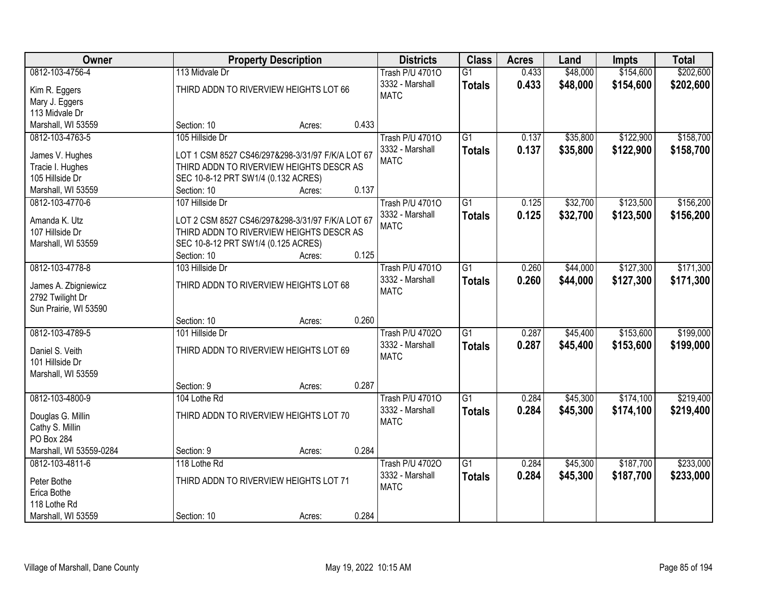| Owner                   |                                          | <b>Property Description</b>                      |       | <b>Districts</b>       | <b>Class</b>    | <b>Acres</b> | Land     | <b>Impts</b> | <b>Total</b> |
|-------------------------|------------------------------------------|--------------------------------------------------|-------|------------------------|-----------------|--------------|----------|--------------|--------------|
| 0812-103-4756-4         | 113 Midvale Dr                           |                                                  |       | <b>Trash P/U 47010</b> | $\overline{G1}$ | 0.433        | \$48,000 | \$154,600    | \$202,600    |
| Kim R. Eggers           |                                          | THIRD ADDN TO RIVERVIEW HEIGHTS LOT 66           |       | 3332 - Marshall        | <b>Totals</b>   | 0.433        | \$48,000 | \$154,600    | \$202,600    |
| Mary J. Eggers          |                                          |                                                  |       | <b>MATC</b>            |                 |              |          |              |              |
| 113 Midvale Dr          |                                          |                                                  |       |                        |                 |              |          |              |              |
| Marshall, WI 53559      | Section: 10                              | Acres:                                           | 0.433 |                        |                 |              |          |              |              |
| 0812-103-4763-5         | 105 Hillside Dr                          |                                                  |       | <b>Trash P/U 47010</b> | $\overline{G1}$ | 0.137        | \$35,800 | \$122,900    | \$158,700    |
|                         |                                          |                                                  |       | 3332 - Marshall        | <b>Totals</b>   | 0.137        | \$35,800 | \$122,900    | \$158,700    |
| James V. Hughes         |                                          | LOT 1 CSM 8527 CS46/297&298-3/31/97 F/K/A LOT 67 |       | <b>MATC</b>            |                 |              |          |              |              |
| Tracie I. Hughes        | THIRD ADDN TO RIVERVIEW HEIGHTS DESCR AS |                                                  |       |                        |                 |              |          |              |              |
| 105 Hillside Dr         | SEC 10-8-12 PRT SW1/4 (0.132 ACRES)      |                                                  |       |                        |                 |              |          |              |              |
| Marshall, WI 53559      | Section: 10                              | Acres:                                           | 0.137 |                        |                 |              |          |              |              |
| 0812-103-4770-6         | 107 Hillside Dr                          |                                                  |       | <b>Trash P/U 47010</b> | G1              | 0.125        | \$32,700 | \$123,500    | \$156,200    |
| Amanda K. Utz           |                                          | LOT 2 CSM 8527 CS46/297&298-3/31/97 F/K/A LOT 67 |       | 3332 - Marshall        | <b>Totals</b>   | 0.125        | \$32,700 | \$123,500    | \$156,200    |
| 107 Hillside Dr         | THIRD ADDN TO RIVERVIEW HEIGHTS DESCR AS |                                                  |       | <b>MATC</b>            |                 |              |          |              |              |
| Marshall, WI 53559      | SEC 10-8-12 PRT SW1/4 (0.125 ACRES)      |                                                  |       |                        |                 |              |          |              |              |
|                         | Section: 10                              | Acres:                                           | 0.125 |                        |                 |              |          |              |              |
| 0812-103-4778-8         | 103 Hillside Dr                          |                                                  |       | <b>Trash P/U 47010</b> | $\overline{G1}$ | 0.260        | \$44,000 | \$127,300    | \$171,300    |
|                         |                                          |                                                  |       | 3332 - Marshall        | <b>Totals</b>   | 0.260        | \$44,000 | \$127,300    | \$171,300    |
| James A. Zbigniewicz    |                                          | THIRD ADDN TO RIVERVIEW HEIGHTS LOT 68           |       | <b>MATC</b>            |                 |              |          |              |              |
| 2792 Twilight Dr        |                                          |                                                  |       |                        |                 |              |          |              |              |
| Sun Prairie, WI 53590   |                                          |                                                  |       |                        |                 |              |          |              |              |
|                         | Section: 10                              | Acres:                                           | 0.260 |                        |                 |              |          |              |              |
| 0812-103-4789-5         | 101 Hillside Dr                          |                                                  |       | <b>Trash P/U 47020</b> | $\overline{G1}$ | 0.287        | \$45,400 | \$153,600    | \$199,000    |
| Daniel S. Veith         | THIRD ADDN TO RIVERVIEW HEIGHTS LOT 69   |                                                  |       | 3332 - Marshall        | <b>Totals</b>   | 0.287        | \$45,400 | \$153,600    | \$199,000    |
| 101 Hillside Dr         |                                          |                                                  |       | <b>MATC</b>            |                 |              |          |              |              |
| Marshall, WI 53559      |                                          |                                                  |       |                        |                 |              |          |              |              |
|                         | Section: 9                               | Acres:                                           | 0.287 |                        |                 |              |          |              |              |
| 0812-103-4800-9         | 104 Lothe Rd                             |                                                  |       | <b>Trash P/U 47010</b> | $\overline{G1}$ | 0.284        | \$45,300 | \$174,100    | \$219,400    |
|                         |                                          |                                                  |       | 3332 - Marshall        | <b>Totals</b>   | 0.284        | \$45,300 | \$174,100    | \$219,400    |
| Douglas G. Millin       |                                          | THIRD ADDN TO RIVERVIEW HEIGHTS LOT 70           |       | <b>MATC</b>            |                 |              |          |              |              |
| Cathy S. Millin         |                                          |                                                  |       |                        |                 |              |          |              |              |
| PO Box 284              |                                          |                                                  |       |                        |                 |              |          |              |              |
| Marshall, WI 53559-0284 | Section: 9                               | Acres:                                           | 0.284 |                        |                 |              |          |              |              |
| 0812-103-4811-6         | 118 Lothe Rd                             |                                                  |       | <b>Trash P/U 47020</b> | $\overline{G1}$ | 0.284        | \$45,300 | \$187,700    | \$233,000    |
| Peter Bothe             |                                          | THIRD ADDN TO RIVERVIEW HEIGHTS LOT 71           |       | 3332 - Marshall        | <b>Totals</b>   | 0.284        | \$45,300 | \$187,700    | \$233,000    |
| Erica Bothe             |                                          |                                                  |       | <b>MATC</b>            |                 |              |          |              |              |
| 118 Lothe Rd            |                                          |                                                  |       |                        |                 |              |          |              |              |
| Marshall, WI 53559      | Section: 10                              | Acres:                                           | 0.284 |                        |                 |              |          |              |              |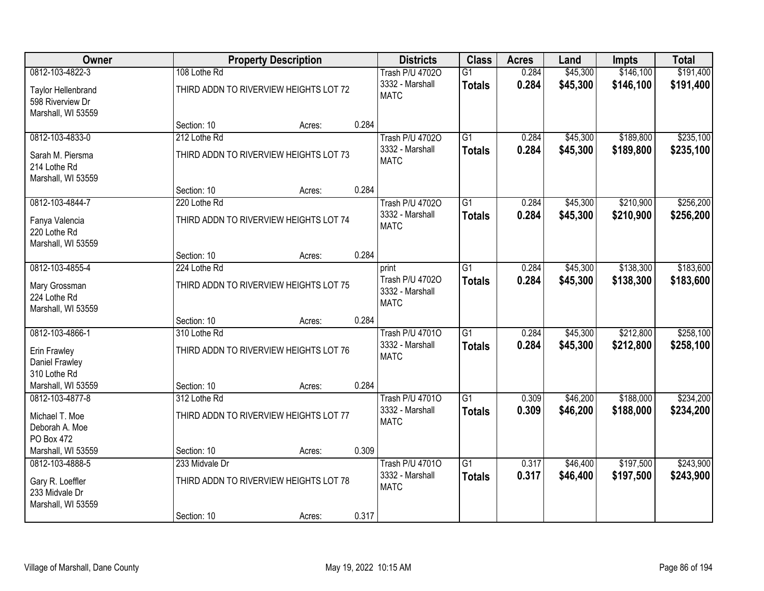| Owner                                  |                                                        | <b>Property Description</b> |       | <b>Districts</b>                                         | <b>Class</b>                     | <b>Acres</b>   | Land                 | Impts                  | <b>Total</b>           |
|----------------------------------------|--------------------------------------------------------|-----------------------------|-------|----------------------------------------------------------|----------------------------------|----------------|----------------------|------------------------|------------------------|
| 0812-103-4822-3<br>Taylor Hellenbrand  | 108 Lothe Rd<br>THIRD ADDN TO RIVERVIEW HEIGHTS LOT 72 |                             |       | <b>Trash P/U 47020</b><br>3332 - Marshall<br><b>MATC</b> | $\overline{G1}$<br><b>Totals</b> | 0.284<br>0.284 | \$45,300<br>\$45,300 | \$146,100<br>\$146,100 | \$191,400<br>\$191,400 |
| 598 Riverview Dr<br>Marshall, WI 53559 | Section: 10                                            |                             | 0.284 |                                                          |                                  |                |                      |                        |                        |
| 0812-103-4833-0                        | 212 Lothe Rd                                           | Acres:                      |       | <b>Trash P/U 47020</b>                                   | $\overline{G1}$                  | 0.284          | \$45,300             | \$189,800              | \$235,100              |
|                                        |                                                        |                             |       | 3332 - Marshall                                          | <b>Totals</b>                    | 0.284          | \$45,300             | \$189,800              | \$235,100              |
| Sarah M. Piersma                       | THIRD ADDN TO RIVERVIEW HEIGHTS LOT 73                 |                             |       | <b>MATC</b>                                              |                                  |                |                      |                        |                        |
| 214 Lothe Rd                           |                                                        |                             |       |                                                          |                                  |                |                      |                        |                        |
| Marshall, WI 53559                     |                                                        |                             |       |                                                          |                                  |                |                      |                        |                        |
|                                        | Section: 10                                            | Acres:                      | 0.284 |                                                          |                                  |                |                      |                        |                        |
| 0812-103-4844-7                        | 220 Lothe Rd                                           |                             |       | <b>Trash P/U 47020</b>                                   | $\overline{G1}$                  | 0.284          | \$45,300             | \$210,900              | \$256,200              |
| Fanya Valencia                         | THIRD ADDN TO RIVERVIEW HEIGHTS LOT 74                 |                             |       | 3332 - Marshall<br><b>MATC</b>                           | <b>Totals</b>                    | 0.284          | \$45,300             | \$210,900              | \$256,200              |
| 220 Lothe Rd                           |                                                        |                             |       |                                                          |                                  |                |                      |                        |                        |
| Marshall, WI 53559                     |                                                        |                             |       |                                                          |                                  |                |                      |                        |                        |
|                                        | Section: 10                                            | Acres:                      | 0.284 |                                                          |                                  |                |                      |                        |                        |
| 0812-103-4855-4                        | 224 Lothe Rd                                           |                             |       | print                                                    | $\overline{G1}$                  | 0.284          | \$45,300             | \$138,300              | \$183,600              |
| Mary Grossman                          | THIRD ADDN TO RIVERVIEW HEIGHTS LOT 75                 |                             |       | Trash P/U 47020                                          | <b>Totals</b>                    | 0.284          | \$45,300             | \$138,300              | \$183,600              |
| 224 Lothe Rd                           |                                                        |                             |       | 3332 - Marshall                                          |                                  |                |                      |                        |                        |
| Marshall, WI 53559                     |                                                        |                             |       | <b>MATC</b>                                              |                                  |                |                      |                        |                        |
|                                        | Section: 10                                            | Acres:                      | 0.284 |                                                          |                                  |                |                      |                        |                        |
| 0812-103-4866-1                        | 310 Lothe Rd                                           |                             |       | <b>Trash P/U 47010</b>                                   | $\overline{G1}$                  | 0.284          | \$45,300             | \$212,800              | \$258,100              |
| Erin Frawley                           | THIRD ADDN TO RIVERVIEW HEIGHTS LOT 76                 |                             |       | 3332 - Marshall                                          | <b>Totals</b>                    | 0.284          | \$45,300             | \$212,800              | \$258,100              |
| Daniel Frawley                         |                                                        |                             |       | <b>MATC</b>                                              |                                  |                |                      |                        |                        |
| 310 Lothe Rd                           |                                                        |                             |       |                                                          |                                  |                |                      |                        |                        |
| Marshall, WI 53559                     | Section: 10                                            | Acres:                      | 0.284 |                                                          |                                  |                |                      |                        |                        |
| 0812-103-4877-8                        | 312 Lothe Rd                                           |                             |       | <b>Trash P/U 47010</b>                                   | $\overline{G1}$                  | 0.309          | \$46,200             | \$188,000              | \$234,200              |
| Michael T. Moe                         | THIRD ADDN TO RIVERVIEW HEIGHTS LOT 77                 |                             |       | 3332 - Marshall                                          | <b>Totals</b>                    | 0.309          | \$46,200             | \$188,000              | \$234,200              |
| Deborah A. Moe                         |                                                        |                             |       | <b>MATC</b>                                              |                                  |                |                      |                        |                        |
| PO Box 472                             |                                                        |                             |       |                                                          |                                  |                |                      |                        |                        |
| Marshall, WI 53559                     | Section: 10                                            | Acres:                      | 0.309 |                                                          |                                  |                |                      |                        |                        |
| 0812-103-4888-5                        | 233 Midvale Dr                                         |                             |       | <b>Trash P/U 47010</b>                                   | $\overline{G1}$                  | 0.317          | \$46,400             | \$197,500              | \$243,900              |
|                                        |                                                        |                             |       | 3332 - Marshall                                          | <b>Totals</b>                    | 0.317          | \$46,400             | \$197,500              | \$243,900              |
| Gary R. Loeffler<br>233 Midvale Dr     | THIRD ADDN TO RIVERVIEW HEIGHTS LOT 78                 |                             |       | <b>MATC</b>                                              |                                  |                |                      |                        |                        |
| Marshall, WI 53559                     |                                                        |                             |       |                                                          |                                  |                |                      |                        |                        |
|                                        | Section: 10                                            | Acres:                      | 0.317 |                                                          |                                  |                |                      |                        |                        |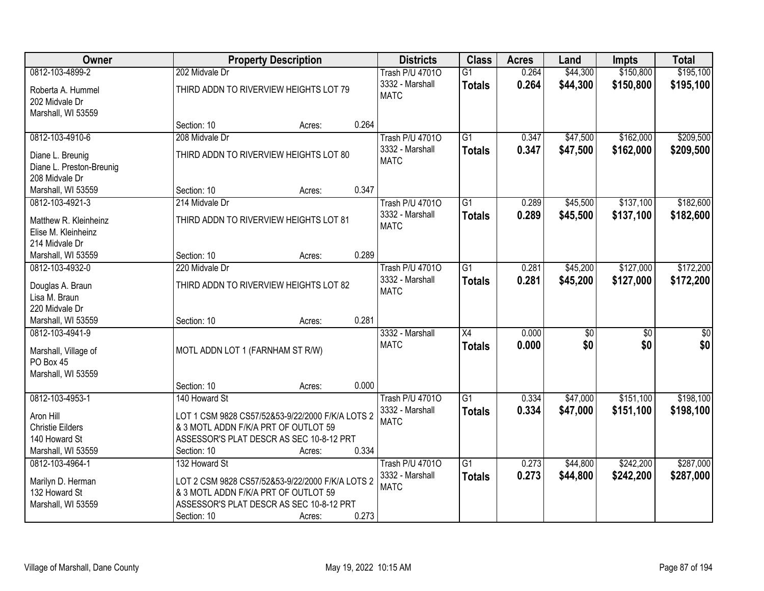| Owner                    |                                                  | <b>Property Description</b> |       | <b>Districts</b>       | <b>Class</b>    | <b>Acres</b> | Land            | <b>Impts</b>    | <b>Total</b>    |
|--------------------------|--------------------------------------------------|-----------------------------|-------|------------------------|-----------------|--------------|-----------------|-----------------|-----------------|
| 0812-103-4899-2          | 202 Midvale Dr                                   |                             |       | <b>Trash P/U 47010</b> | G1              | 0.264        | \$44,300        | \$150,800       | \$195,100       |
| Roberta A. Hummel        | THIRD ADDN TO RIVERVIEW HEIGHTS LOT 79           |                             |       | 3332 - Marshall        | <b>Totals</b>   | 0.264        | \$44,300        | \$150,800       | \$195,100       |
| 202 Midvale Dr           |                                                  |                             |       | <b>MATC</b>            |                 |              |                 |                 |                 |
| Marshall, WI 53559       |                                                  |                             |       |                        |                 |              |                 |                 |                 |
|                          | Section: 10                                      | Acres:                      | 0.264 |                        |                 |              |                 |                 |                 |
| 0812-103-4910-6          | 208 Midvale Dr                                   |                             |       | <b>Trash P/U 47010</b> | $\overline{G1}$ | 0.347        | \$47,500        | \$162,000       | \$209,500       |
| Diane L. Breunig         | THIRD ADDN TO RIVERVIEW HEIGHTS LOT 80           |                             |       | 3332 - Marshall        | <b>Totals</b>   | 0.347        | \$47,500        | \$162,000       | \$209,500       |
| Diane L. Preston-Breunig |                                                  |                             |       | <b>MATC</b>            |                 |              |                 |                 |                 |
| 208 Midvale Dr           |                                                  |                             |       |                        |                 |              |                 |                 |                 |
| Marshall, WI 53559       | Section: 10                                      | Acres:                      | 0.347 |                        |                 |              |                 |                 |                 |
| 0812-103-4921-3          | 214 Midvale Dr                                   |                             |       | <b>Trash P/U 47010</b> | G1              | 0.289        | \$45,500        | \$137,100       | \$182,600       |
|                          |                                                  |                             |       | 3332 - Marshall        | <b>Totals</b>   | 0.289        | \$45,500        | \$137,100       | \$182,600       |
| Matthew R. Kleinheinz    | THIRD ADDN TO RIVERVIEW HEIGHTS LOT 81           |                             |       | <b>MATC</b>            |                 |              |                 |                 |                 |
| Elise M. Kleinheinz      |                                                  |                             |       |                        |                 |              |                 |                 |                 |
| 214 Midvale Dr           |                                                  |                             |       |                        |                 |              |                 |                 |                 |
| Marshall, WI 53559       | Section: 10                                      | Acres:                      | 0.289 |                        |                 |              |                 |                 |                 |
| 0812-103-4932-0          | 220 Midvale Dr                                   |                             |       | <b>Trash P/U 47010</b> | $\overline{G1}$ | 0.281        | \$45,200        | \$127,000       | \$172,200       |
| Douglas A. Braun         | THIRD ADDN TO RIVERVIEW HEIGHTS LOT 82           |                             |       | 3332 - Marshall        | <b>Totals</b>   | 0.281        | \$45,200        | \$127,000       | \$172,200       |
| Lisa M. Braun            |                                                  |                             |       | <b>MATC</b>            |                 |              |                 |                 |                 |
| 220 Midvale Dr           |                                                  |                             |       |                        |                 |              |                 |                 |                 |
| Marshall, WI 53559       | Section: 10                                      | Acres:                      | 0.281 |                        |                 |              |                 |                 |                 |
| 0812-103-4941-9          |                                                  |                             |       | 3332 - Marshall        | $\overline{X4}$ | 0.000        | $\overline{50}$ | $\overline{50}$ | $\overline{50}$ |
| Marshall, Village of     | MOTL ADDN LOT 1 (FARNHAM ST R/W)                 |                             |       | <b>MATC</b>            | <b>Totals</b>   | 0.000        | \$0             | \$0             | \$0             |
| PO Box 45                |                                                  |                             |       |                        |                 |              |                 |                 |                 |
| Marshall, WI 53559       |                                                  |                             |       |                        |                 |              |                 |                 |                 |
|                          | Section: 10                                      | Acres:                      | 0.000 |                        |                 |              |                 |                 |                 |
| 0812-103-4953-1          | 140 Howard St                                    |                             |       | <b>Trash P/U 47010</b> | $\overline{G1}$ | 0.334        | \$47,000        | \$151,100       | \$198,100       |
| Aron Hill                | LOT 1 CSM 9828 CS57/52&53-9/22/2000 F/K/A LOTS 2 |                             |       | 3332 - Marshall        | <b>Totals</b>   | 0.334        | \$47,000        | \$151,100       | \$198,100       |
| <b>Christie Eilders</b>  | & 3 MOTL ADDN F/K/A PRT OF OUTLOT 59             |                             |       | <b>MATC</b>            |                 |              |                 |                 |                 |
| 140 Howard St            | ASSESSOR'S PLAT DESCR AS SEC 10-8-12 PRT         |                             |       |                        |                 |              |                 |                 |                 |
| Marshall, WI 53559       | Section: 10                                      | Acres:                      | 0.334 |                        |                 |              |                 |                 |                 |
| 0812-103-4964-1          | 132 Howard St                                    |                             |       | <b>Trash P/U 47010</b> | $\overline{G1}$ | 0.273        | \$44,800        | \$242,200       | \$287,000       |
|                          |                                                  |                             |       | 3332 - Marshall        | <b>Totals</b>   | 0.273        | \$44,800        | \$242,200       | \$287,000       |
| Marilyn D. Herman        | LOT 2 CSM 9828 CS57/52&53-9/22/2000 F/K/A LOTS 2 |                             |       | <b>MATC</b>            |                 |              |                 |                 |                 |
| 132 Howard St            | & 3 MOTL ADDN F/K/A PRT OF OUTLOT 59             |                             |       |                        |                 |              |                 |                 |                 |
| Marshall, WI 53559       | ASSESSOR'S PLAT DESCR AS SEC 10-8-12 PRT         |                             |       |                        |                 |              |                 |                 |                 |
|                          | Section: 10                                      | Acres:                      | 0.273 |                        |                 |              |                 |                 |                 |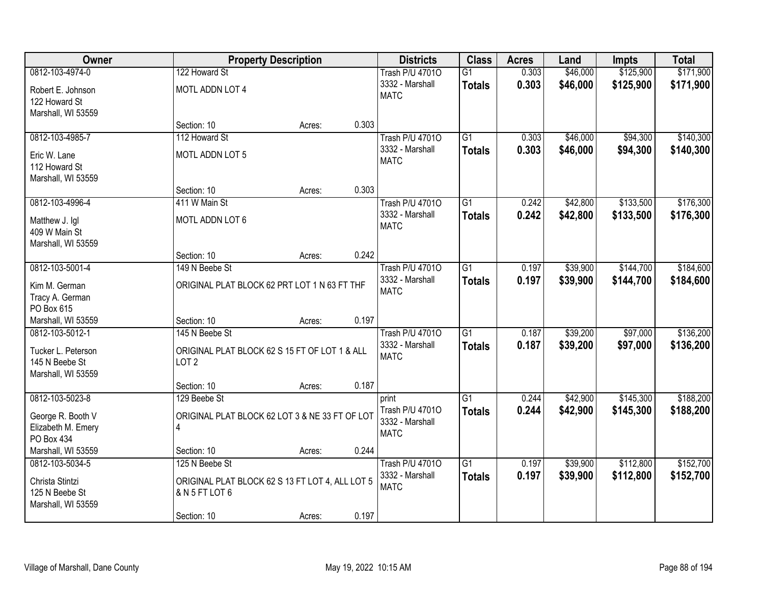| Owner                              |                                                 | <b>Property Description</b> |       | <b>Districts</b>               | <b>Class</b>    | <b>Acres</b> | Land     | <b>Impts</b> | <b>Total</b> |
|------------------------------------|-------------------------------------------------|-----------------------------|-------|--------------------------------|-----------------|--------------|----------|--------------|--------------|
| 0812-103-4974-0                    | 122 Howard St                                   |                             |       | <b>Trash P/U 47010</b>         | G1              | 0.303        | \$46,000 | \$125,900    | \$171,900    |
| Robert E. Johnson<br>122 Howard St | MOTL ADDN LOT 4                                 |                             |       | 3332 - Marshall<br><b>MATC</b> | <b>Totals</b>   | 0.303        | \$46,000 | \$125,900    | \$171,900    |
| Marshall, WI 53559                 |                                                 |                             |       |                                |                 |              |          |              |              |
|                                    | Section: 10                                     | Acres:                      | 0.303 |                                |                 |              |          |              |              |
| 0812-103-4985-7                    | 112 Howard St                                   |                             |       | <b>Trash P/U 47010</b>         | G1              | 0.303        | \$46,000 | \$94,300     | \$140,300    |
| Eric W. Lane                       | MOTL ADDN LOT 5                                 |                             |       | 3332 - Marshall                | <b>Totals</b>   | 0.303        | \$46,000 | \$94,300     | \$140,300    |
| 112 Howard St                      |                                                 |                             |       | <b>MATC</b>                    |                 |              |          |              |              |
| Marshall, WI 53559                 |                                                 |                             |       |                                |                 |              |          |              |              |
|                                    | Section: 10                                     | Acres:                      | 0.303 |                                |                 |              |          |              |              |
| 0812-103-4996-4                    | 411 W Main St                                   |                             |       | <b>Trash P/U 47010</b>         | G1              | 0.242        | \$42,800 | \$133,500    | \$176,300    |
| Matthew J. Igl                     | MOTL ADDN LOT 6                                 |                             |       | 3332 - Marshall                | <b>Totals</b>   | 0.242        | \$42,800 | \$133,500    | \$176,300    |
| 409 W Main St                      |                                                 |                             |       | <b>MATC</b>                    |                 |              |          |              |              |
| Marshall, WI 53559                 |                                                 |                             |       |                                |                 |              |          |              |              |
|                                    | Section: 10                                     | Acres:                      | 0.242 |                                |                 |              |          |              |              |
| 0812-103-5001-4                    | 149 N Beebe St                                  |                             |       | <b>Trash P/U 47010</b>         | $\overline{G1}$ | 0.197        | \$39,900 | \$144,700    | \$184,600    |
| Kim M. German                      | ORIGINAL PLAT BLOCK 62 PRT LOT 1 N 63 FT THF    |                             |       | 3332 - Marshall                | <b>Totals</b>   | 0.197        | \$39,900 | \$144,700    | \$184,600    |
| Tracy A. German                    |                                                 |                             |       | <b>MATC</b>                    |                 |              |          |              |              |
| PO Box 615                         |                                                 |                             |       |                                |                 |              |          |              |              |
| Marshall, WI 53559                 | Section: 10                                     | Acres:                      | 0.197 |                                |                 |              |          |              |              |
| 0812-103-5012-1                    | 145 N Beebe St                                  |                             |       | <b>Trash P/U 47010</b>         | $\overline{G1}$ | 0.187        | \$39,200 | \$97,000     | \$136,200    |
| Tucker L. Peterson                 | ORIGINAL PLAT BLOCK 62 S 15 FT OF LOT 1 & ALL   |                             |       | 3332 - Marshall                | <b>Totals</b>   | 0.187        | \$39,200 | \$97,000     | \$136,200    |
| 145 N Beebe St                     | LOT <sub>2</sub>                                |                             |       | <b>MATC</b>                    |                 |              |          |              |              |
| Marshall, WI 53559                 |                                                 |                             |       |                                |                 |              |          |              |              |
|                                    | Section: 10                                     | Acres:                      | 0.187 |                                |                 |              |          |              |              |
| 0812-103-5023-8                    | 129 Beebe St                                    |                             |       | print                          | $\overline{G1}$ | 0.244        | \$42,900 | \$145,300    | \$188,200    |
| George R. Booth V                  | ORIGINAL PLAT BLOCK 62 LOT 3 & NE 33 FT OF LOT  |                             |       | Trash P/U 47010                | <b>Totals</b>   | 0.244        | \$42,900 | \$145,300    | \$188,200    |
| Elizabeth M. Emery                 | 4                                               |                             |       | 3332 - Marshall                |                 |              |          |              |              |
| PO Box 434                         |                                                 |                             |       | <b>MATC</b>                    |                 |              |          |              |              |
| Marshall, WI 53559                 | Section: 10                                     | Acres:                      | 0.244 |                                |                 |              |          |              |              |
| 0812-103-5034-5                    | 125 N Beebe St                                  |                             |       | <b>Trash P/U 47010</b>         | $\overline{G1}$ | 0.197        | \$39,900 | \$112,800    | \$152,700    |
| Christa Stintzi                    | ORIGINAL PLAT BLOCK 62 S 13 FT LOT 4, ALL LOT 5 |                             |       | 3332 - Marshall                | <b>Totals</b>   | 0.197        | \$39,900 | \$112,800    | \$152,700    |
| 125 N Beebe St                     | & N 5 FT LOT 6                                  |                             |       | <b>MATC</b>                    |                 |              |          |              |              |
| Marshall, WI 53559                 |                                                 |                             |       |                                |                 |              |          |              |              |
|                                    | Section: 10                                     | Acres:                      | 0.197 |                                |                 |              |          |              |              |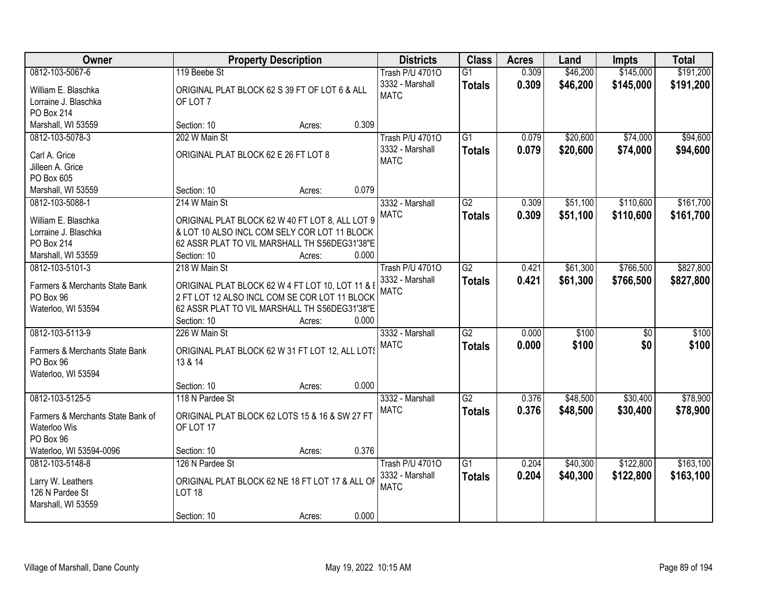| <b>Owner</b>                      |                                                  | <b>Property Description</b> |       | <b>Districts</b>       | <b>Class</b>    | <b>Acres</b> | Land     | <b>Impts</b>    | <b>Total</b> |
|-----------------------------------|--------------------------------------------------|-----------------------------|-------|------------------------|-----------------|--------------|----------|-----------------|--------------|
| 0812-103-5067-6                   | 119 Beebe St                                     |                             |       | <b>Trash P/U 47010</b> | $\overline{G1}$ | 0.309        | \$46,200 | \$145,000       | \$191,200    |
| William E. Blaschka               | ORIGINAL PLAT BLOCK 62 S 39 FT OF LOT 6 & ALL    |                             |       | 3332 - Marshall        | <b>Totals</b>   | 0.309        | \$46,200 | \$145,000       | \$191,200    |
| Lorraine J. Blaschka              | OF LOT 7                                         |                             |       | <b>MATC</b>            |                 |              |          |                 |              |
| PO Box 214                        |                                                  |                             |       |                        |                 |              |          |                 |              |
| Marshall, WI 53559                | Section: 10                                      | Acres:                      | 0.309 |                        |                 |              |          |                 |              |
| 0812-103-5078-3                   | 202 W Main St                                    |                             |       | <b>Trash P/U 47010</b> | $\overline{G1}$ | 0.079        | \$20,600 | \$74,000        | \$94,600     |
| Carl A. Grice                     | ORIGINAL PLAT BLOCK 62 E 26 FT LOT 8             |                             |       | 3332 - Marshall        | <b>Totals</b>   | 0.079        | \$20,600 | \$74,000        | \$94,600     |
| Jilleen A. Grice                  |                                                  |                             |       | <b>MATC</b>            |                 |              |          |                 |              |
| PO Box 605                        |                                                  |                             |       |                        |                 |              |          |                 |              |
| Marshall, WI 53559                | Section: 10                                      | Acres:                      | 0.079 |                        |                 |              |          |                 |              |
| 0812-103-5088-1                   | 214 W Main St                                    |                             |       | 3332 - Marshall        | G2              | 0.309        | \$51,100 | \$110,600       | \$161,700    |
|                                   |                                                  |                             |       | <b>MATC</b>            | <b>Totals</b>   | 0.309        | \$51,100 | \$110,600       | \$161,700    |
| William E. Blaschka               | ORIGINAL PLAT BLOCK 62 W 40 FT LOT 8, ALL LOT 9  |                             |       |                        |                 |              |          |                 |              |
| Lorraine J. Blaschka              | & LOT 10 ALSO INCL COM SELY COR LOT 11 BLOCK     |                             |       |                        |                 |              |          |                 |              |
| PO Box 214                        | 62 ASSR PLAT TO VIL MARSHALL TH S56DEG31'38"E    |                             |       |                        |                 |              |          |                 |              |
| Marshall, WI 53559                | Section: 10                                      | Acres:                      | 0.000 |                        |                 |              |          |                 |              |
| 0812-103-5101-3                   | 218 W Main St                                    |                             |       | <b>Trash P/U 47010</b> | G2              | 0.421        | \$61,300 | \$766,500       | \$827,800    |
| Farmers & Merchants State Bank    | ORIGINAL PLAT BLOCK 62 W 4 FT LOT 10, LOT 11 & E |                             |       | 3332 - Marshall        | <b>Totals</b>   | 0.421        | \$61,300 | \$766,500       | \$827,800    |
| PO Box 96                         | 2 FT LOT 12 ALSO INCL COM SE COR LOT 11 BLOCK    |                             |       | <b>MATC</b>            |                 |              |          |                 |              |
| Waterloo, WI 53594                | 62 ASSR PLAT TO VIL MARSHALL TH S56DEG31'38"E    |                             |       |                        |                 |              |          |                 |              |
|                                   | Section: 10                                      | Acres:                      | 0.000 |                        |                 |              |          |                 |              |
| 0812-103-5113-9                   | 226 W Main St                                    |                             |       | 3332 - Marshall        | $\overline{G2}$ | 0.000        | \$100    | $\overline{50}$ | \$100        |
|                                   |                                                  |                             |       | <b>MATC</b>            | <b>Totals</b>   | 0.000        | \$100    | \$0             | \$100        |
| Farmers & Merchants State Bank    | ORIGINAL PLAT BLOCK 62 W 31 FT LOT 12, ALL LOTS  |                             |       |                        |                 |              |          |                 |              |
| PO Box 96<br>Waterloo, WI 53594   | 13 & 14                                          |                             |       |                        |                 |              |          |                 |              |
|                                   | Section: 10                                      | Acres:                      | 0.000 |                        |                 |              |          |                 |              |
| 0812-103-5125-5                   | 118 N Pardee St                                  |                             |       | 3332 - Marshall        | G2              | 0.376        | \$48,500 | \$30,400        | \$78,900     |
|                                   |                                                  |                             |       | <b>MATC</b>            |                 |              |          |                 |              |
| Farmers & Merchants State Bank of | ORIGINAL PLAT BLOCK 62 LOTS 15 & 16 & SW 27 FT   |                             |       |                        | <b>Totals</b>   | 0.376        | \$48,500 | \$30,400        | \$78,900     |
| Waterloo Wis                      | OF LOT 17                                        |                             |       |                        |                 |              |          |                 |              |
| PO Box 96                         |                                                  |                             |       |                        |                 |              |          |                 |              |
| Waterloo, WI 53594-0096           | Section: 10                                      | Acres:                      | 0.376 |                        |                 |              |          |                 |              |
| 0812-103-5148-8                   | 126 N Pardee St                                  |                             |       | <b>Trash P/U 47010</b> | $\overline{G1}$ | 0.204        | \$40,300 | \$122,800       | \$163,100    |
| Larry W. Leathers                 | ORIGINAL PLAT BLOCK 62 NE 18 FT LOT 17 & ALL OF  |                             |       | 3332 - Marshall        | <b>Totals</b>   | 0.204        | \$40,300 | \$122,800       | \$163,100    |
| 126 N Pardee St                   | <b>LOT 18</b>                                    |                             |       | <b>MATC</b>            |                 |              |          |                 |              |
| Marshall, WI 53559                |                                                  |                             |       |                        |                 |              |          |                 |              |
|                                   | Section: 10                                      | Acres:                      | 0.000 |                        |                 |              |          |                 |              |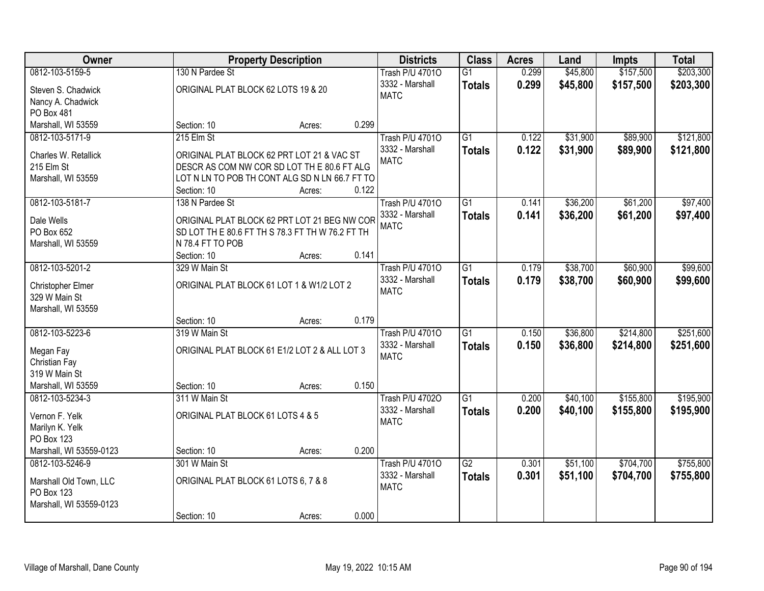| Owner                                      |                                      | <b>Property Description</b>                      |       | <b>Districts</b>       | <b>Class</b>    | <b>Acres</b> | Land     | <b>Impts</b> | <b>Total</b> |
|--------------------------------------------|--------------------------------------|--------------------------------------------------|-------|------------------------|-----------------|--------------|----------|--------------|--------------|
| 0812-103-5159-5                            | 130 N Pardee St                      |                                                  |       | <b>Trash P/U 47010</b> | $\overline{G1}$ | 0.299        | \$45,800 | \$157,500    | \$203,300    |
| Steven S. Chadwick                         | ORIGINAL PLAT BLOCK 62 LOTS 19 & 20  |                                                  |       | 3332 - Marshall        | <b>Totals</b>   | 0.299        | \$45,800 | \$157,500    | \$203,300    |
| Nancy A. Chadwick                          |                                      |                                                  |       | <b>MATC</b>            |                 |              |          |              |              |
| PO Box 481                                 |                                      |                                                  |       |                        |                 |              |          |              |              |
| Marshall, WI 53559                         | Section: 10                          | Acres:                                           | 0.299 |                        |                 |              |          |              |              |
| 0812-103-5171-9                            | 215 Elm St                           |                                                  |       | <b>Trash P/U 47010</b> | $\overline{G1}$ | 0.122        | \$31,900 | \$89,900     | \$121,800    |
| Charles W. Retallick                       |                                      | ORIGINAL PLAT BLOCK 62 PRT LOT 21 & VAC ST       |       | 3332 - Marshall        | <b>Totals</b>   | 0.122        | \$31,900 | \$89,900     | \$121,800    |
| 215 Elm St                                 |                                      | DESCR AS COM NW COR SD LOT THE 80.6 FT ALG       |       | <b>MATC</b>            |                 |              |          |              |              |
| Marshall, WI 53559                         |                                      | LOT N LN TO POB TH CONT ALG SD N LN 66.7 FT TO   |       |                        |                 |              |          |              |              |
|                                            | Section: 10                          | Acres:                                           | 0.122 |                        |                 |              |          |              |              |
| 0812-103-5181-7                            | 138 N Pardee St                      |                                                  |       | Trash P/U 47010        | $\overline{G1}$ | 0.141        | \$36,200 | \$61,200     | \$97,400     |
| Dale Wells                                 |                                      | ORIGINAL PLAT BLOCK 62 PRT LOT 21 BEG NW COR     |       | 3332 - Marshall        | <b>Totals</b>   | 0.141        | \$36,200 | \$61,200     | \$97,400     |
| PO Box 652                                 |                                      | SD LOT TH E 80.6 FT TH S 78.3 FT TH W 76.2 FT TH |       | <b>MATC</b>            |                 |              |          |              |              |
| Marshall, WI 53559                         | N 78.4 FT TO POB                     |                                                  |       |                        |                 |              |          |              |              |
|                                            | Section: 10                          | Acres:                                           | 0.141 |                        |                 |              |          |              |              |
| 0812-103-5201-2                            | 329 W Main St                        |                                                  |       | <b>Trash P/U 47010</b> | $\overline{G1}$ | 0.179        | \$38,700 | \$60,900     | \$99,600     |
|                                            |                                      |                                                  |       | 3332 - Marshall        | <b>Totals</b>   | 0.179        | \$38,700 | \$60,900     | \$99,600     |
| Christopher Elmer<br>329 W Main St         |                                      | ORIGINAL PLAT BLOCK 61 LOT 1 & W1/2 LOT 2        |       | <b>MATC</b>            |                 |              |          |              |              |
| Marshall, WI 53559                         |                                      |                                                  |       |                        |                 |              |          |              |              |
|                                            | Section: 10                          | Acres:                                           | 0.179 |                        |                 |              |          |              |              |
| 0812-103-5223-6                            | 319 W Main St                        |                                                  |       | <b>Trash P/U 47010</b> | $\overline{G1}$ | 0.150        | \$36,800 | \$214,800    | \$251,600    |
|                                            |                                      |                                                  |       | 3332 - Marshall        | <b>Totals</b>   | 0.150        | \$36,800 | \$214,800    | \$251,600    |
| Megan Fay                                  |                                      | ORIGINAL PLAT BLOCK 61 E1/2 LOT 2 & ALL LOT 3    |       | <b>MATC</b>            |                 |              |          |              |              |
| Christian Fay<br>319 W Main St             |                                      |                                                  |       |                        |                 |              |          |              |              |
| Marshall, WI 53559                         | Section: 10                          | Acres:                                           | 0.150 |                        |                 |              |          |              |              |
| 0812-103-5234-3                            | 311 W Main St                        |                                                  |       | <b>Trash P/U 47020</b> | $\overline{G1}$ | 0.200        | \$40,100 | \$155,800    | \$195,900    |
|                                            |                                      |                                                  |       | 3332 - Marshall        | <b>Totals</b>   | 0.200        | \$40,100 | \$155,800    | \$195,900    |
| Vernon F. Yelk                             | ORIGINAL PLAT BLOCK 61 LOTS 4 & 5    |                                                  |       | <b>MATC</b>            |                 |              |          |              |              |
| Marilyn K. Yelk                            |                                      |                                                  |       |                        |                 |              |          |              |              |
| <b>PO Box 123</b>                          |                                      |                                                  | 0.200 |                        |                 |              |          |              |              |
| Marshall, WI 53559-0123<br>0812-103-5246-9 | Section: 10<br>301 W Main St         | Acres:                                           |       | <b>Trash P/U 47010</b> | $\overline{G2}$ | 0.301        | \$51,100 | \$704,700    | \$755,800    |
|                                            |                                      |                                                  |       | 3332 - Marshall        | <b>Totals</b>   | 0.301        | \$51,100 | \$704,700    | \$755,800    |
| Marshall Old Town, LLC                     | ORIGINAL PLAT BLOCK 61 LOTS 6, 7 & 8 |                                                  |       | <b>MATC</b>            |                 |              |          |              |              |
| PO Box 123                                 |                                      |                                                  |       |                        |                 |              |          |              |              |
| Marshall, WI 53559-0123                    |                                      |                                                  |       |                        |                 |              |          |              |              |
|                                            | Section: 10                          | Acres:                                           | 0.000 |                        |                 |              |          |              |              |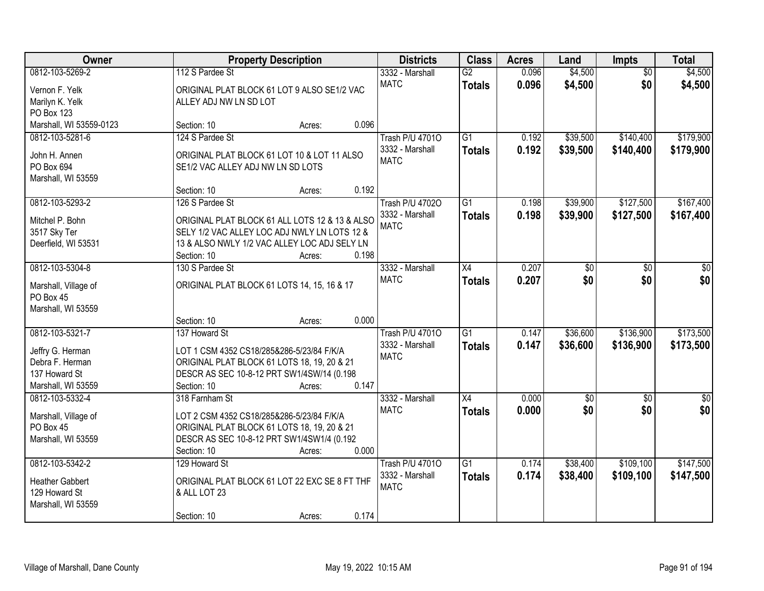| Owner                   |                                                | <b>Property Description</b> |       | <b>Districts</b>       | <b>Class</b>    | <b>Acres</b> | Land            | Impts           | <b>Total</b>    |
|-------------------------|------------------------------------------------|-----------------------------|-------|------------------------|-----------------|--------------|-----------------|-----------------|-----------------|
| 0812-103-5269-2         | 112 S Pardee St                                |                             |       | 3332 - Marshall        | G2              | 0.096        | \$4,500         | $\overline{50}$ | \$4,500         |
| Vernon F. Yelk          | ORIGINAL PLAT BLOCK 61 LOT 9 ALSO SE1/2 VAC    |                             |       | <b>MATC</b>            | <b>Totals</b>   | 0.096        | \$4,500         | \$0             | \$4,500         |
| Marilyn K. Yelk         | ALLEY ADJ NW LN SD LOT                         |                             |       |                        |                 |              |                 |                 |                 |
| PO Box 123              |                                                |                             |       |                        |                 |              |                 |                 |                 |
| Marshall, WI 53559-0123 | Section: 10                                    | Acres:                      | 0.096 |                        |                 |              |                 |                 |                 |
| 0812-103-5281-6         | 124 S Pardee St                                |                             |       | <b>Trash P/U 47010</b> | $\overline{G1}$ | 0.192        | \$39,500        | \$140,400       | \$179,900       |
| John H. Annen           | ORIGINAL PLAT BLOCK 61 LOT 10 & LOT 11 ALSO    |                             |       | 3332 - Marshall        | <b>Totals</b>   | 0.192        | \$39,500        | \$140,400       | \$179,900       |
| PO Box 694              | SE1/2 VAC ALLEY ADJ NW LN SD LOTS              |                             |       | <b>MATC</b>            |                 |              |                 |                 |                 |
| Marshall, WI 53559      |                                                |                             |       |                        |                 |              |                 |                 |                 |
|                         | Section: 10                                    | Acres:                      | 0.192 |                        |                 |              |                 |                 |                 |
| 0812-103-5293-2         | 126 S Pardee St                                |                             |       | Trash P/U 47020        | G1              | 0.198        | \$39,900        | \$127,500       | \$167,400       |
| Mitchel P. Bohn         | ORIGINAL PLAT BLOCK 61 ALL LOTS 12 & 13 & ALSO |                             |       | 3332 - Marshall        | <b>Totals</b>   | 0.198        | \$39,900        | \$127,500       | \$167,400       |
| 3517 Sky Ter            | SELY 1/2 VAC ALLEY LOC ADJ NWLY LN LOTS 12 &   |                             |       | <b>MATC</b>            |                 |              |                 |                 |                 |
| Deerfield, WI 53531     | 13 & ALSO NWLY 1/2 VAC ALLEY LOC ADJ SELY LN   |                             |       |                        |                 |              |                 |                 |                 |
|                         | Section: 10                                    | Acres:                      | 0.198 |                        |                 |              |                 |                 |                 |
| 0812-103-5304-8         | 130 S Pardee St                                |                             |       | 3332 - Marshall        | X4              | 0.207        | \$0             | \$0             | \$0             |
|                         |                                                |                             |       | <b>MATC</b>            | <b>Totals</b>   | 0.207        | \$0             | \$0             | \$0             |
| Marshall, Village of    | ORIGINAL PLAT BLOCK 61 LOTS 14, 15, 16 & 17    |                             |       |                        |                 |              |                 |                 |                 |
| PO Box 45               |                                                |                             |       |                        |                 |              |                 |                 |                 |
| Marshall, WI 53559      |                                                |                             | 0.000 |                        |                 |              |                 |                 |                 |
| 0812-103-5321-7         | Section: 10<br>137 Howard St                   | Acres:                      |       | <b>Trash P/U 47010</b> | $\overline{G1}$ | 0.147        | \$36,600        | \$136,900       | \$173,500       |
|                         |                                                |                             |       | 3332 - Marshall        |                 | 0.147        |                 |                 |                 |
| Jeffry G. Herman        | LOT 1 CSM 4352 CS18/285&286-5/23/84 F/K/A      |                             |       | <b>MATC</b>            | <b>Totals</b>   |              | \$36,600        | \$136,900       | \$173,500       |
| Debra F. Herman         | ORIGINAL PLAT BLOCK 61 LOTS 18, 19, 20 & 21    |                             |       |                        |                 |              |                 |                 |                 |
| 137 Howard St           | DESCR AS SEC 10-8-12 PRT SW1/4SW/14 (0.198     |                             |       |                        |                 |              |                 |                 |                 |
| Marshall, WI 53559      | Section: 10                                    | Acres:                      | 0.147 |                        |                 |              |                 |                 |                 |
| 0812-103-5332-4         | 318 Farnham St                                 |                             |       | 3332 - Marshall        | X4              | 0.000        | $\overline{60}$ | $\overline{50}$ | $\overline{50}$ |
| Marshall, Village of    | LOT 2 CSM 4352 CS18/285&286-5/23/84 F/K/A      |                             |       | <b>MATC</b>            | <b>Totals</b>   | 0.000        | \$0             | \$0             | \$0             |
| PO Box 45               | ORIGINAL PLAT BLOCK 61 LOTS 18, 19, 20 & 21    |                             |       |                        |                 |              |                 |                 |                 |
| Marshall, WI 53559      | DESCR AS SEC 10-8-12 PRT SW1/4SW1/4 (0.192     |                             |       |                        |                 |              |                 |                 |                 |
|                         | Section: 10                                    | Acres:                      | 0.000 |                        |                 |              |                 |                 |                 |
| 0812-103-5342-2         | 129 Howard St                                  |                             |       | <b>Trash P/U 47010</b> | $\overline{G1}$ | 0.174        | \$38,400        | \$109,100       | \$147,500       |
| <b>Heather Gabbert</b>  | ORIGINAL PLAT BLOCK 61 LOT 22 EXC SE 8 FT THF  |                             |       | 3332 - Marshall        | <b>Totals</b>   | 0.174        | \$38,400        | \$109,100       | \$147,500       |
| 129 Howard St           | & ALL LOT 23                                   |                             |       | <b>MATC</b>            |                 |              |                 |                 |                 |
| Marshall, WI 53559      |                                                |                             |       |                        |                 |              |                 |                 |                 |
|                         | Section: 10                                    | Acres:                      | 0.174 |                        |                 |              |                 |                 |                 |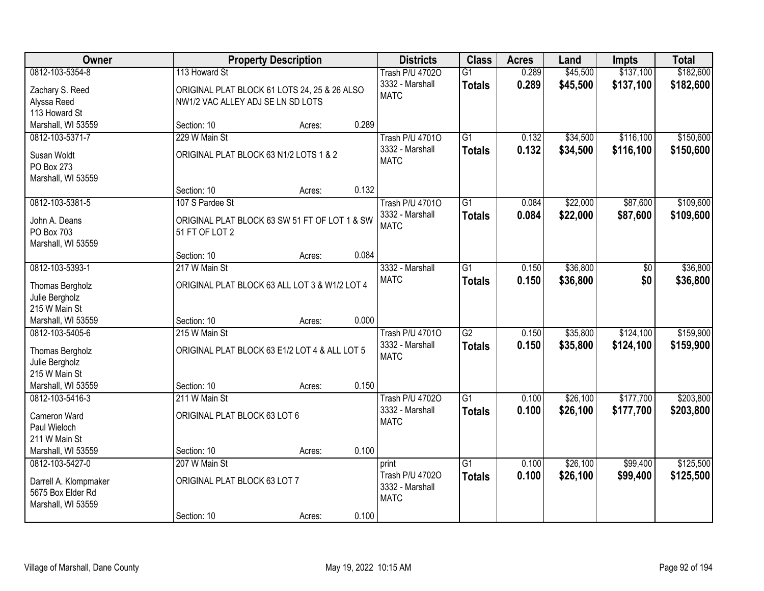| Owner                               |                                                                 | <b>Property Description</b> |       | <b>Districts</b>                   | <b>Class</b>    | <b>Acres</b> | Land     | <b>Impts</b> | <b>Total</b> |
|-------------------------------------|-----------------------------------------------------------------|-----------------------------|-------|------------------------------------|-----------------|--------------|----------|--------------|--------------|
| 0812-103-5354-8                     | 113 Howard St                                                   |                             |       | <b>Trash P/U 47020</b>             | $\overline{G1}$ | 0.289        | \$45,500 | \$137,100    | \$182,600    |
| Zachary S. Reed                     | ORIGINAL PLAT BLOCK 61 LOTS 24, 25 & 26 ALSO                    |                             |       | 3332 - Marshall                    | <b>Totals</b>   | 0.289        | \$45,500 | \$137,100    | \$182,600    |
| Alyssa Reed                         | NW1/2 VAC ALLEY ADJ SE LN SD LOTS                               |                             |       | <b>MATC</b>                        |                 |              |          |              |              |
| 113 Howard St                       |                                                                 |                             |       |                                    |                 |              |          |              |              |
| Marshall, WI 53559                  | Section: 10                                                     | Acres:                      | 0.289 |                                    |                 |              |          |              |              |
| 0812-103-5371-7                     | 229 W Main St                                                   |                             |       | <b>Trash P/U 47010</b>             | $\overline{G1}$ | 0.132        | \$34,500 | \$116,100    | \$150,600    |
| Susan Woldt                         | ORIGINAL PLAT BLOCK 63 N1/2 LOTS 1 & 2                          |                             |       | 3332 - Marshall                    | <b>Totals</b>   | 0.132        | \$34,500 | \$116,100    | \$150,600    |
| PO Box 273                          |                                                                 |                             |       | <b>MATC</b>                        |                 |              |          |              |              |
| Marshall, WI 53559                  |                                                                 |                             |       |                                    |                 |              |          |              |              |
|                                     | Section: 10                                                     | Acres:                      | 0.132 |                                    |                 |              |          |              |              |
| 0812-103-5381-5                     | 107 S Pardee St                                                 |                             |       | <b>Trash P/U 47010</b>             | G1              | 0.084        | \$22,000 | \$87,600     | \$109,600    |
|                                     |                                                                 |                             |       | 3332 - Marshall                    | <b>Totals</b>   | 0.084        | \$22,000 | \$87,600     | \$109,600    |
| John A. Deans<br>PO Box 703         | ORIGINAL PLAT BLOCK 63 SW 51 FT OF LOT 1 & SW<br>51 FT OF LOT 2 |                             |       | <b>MATC</b>                        |                 |              |          |              |              |
| Marshall, WI 53559                  |                                                                 |                             |       |                                    |                 |              |          |              |              |
|                                     | Section: 10                                                     | Acres:                      | 0.084 |                                    |                 |              |          |              |              |
| 0812-103-5393-1                     | 217 W Main St                                                   |                             |       | 3332 - Marshall                    | $\overline{G1}$ | 0.150        | \$36,800 | \$0          | \$36,800     |
|                                     |                                                                 |                             |       | <b>MATC</b>                        | <b>Totals</b>   | 0.150        | \$36,800 | \$0          | \$36,800     |
| Thomas Bergholz                     | ORIGINAL PLAT BLOCK 63 ALL LOT 3 & W1/2 LOT 4                   |                             |       |                                    |                 |              |          |              |              |
| Julie Bergholz<br>215 W Main St     |                                                                 |                             |       |                                    |                 |              |          |              |              |
| Marshall, WI 53559                  | Section: 10                                                     | Acres:                      | 0.000 |                                    |                 |              |          |              |              |
| 0812-103-5405-6                     | 215 W Main St                                                   |                             |       | <b>Trash P/U 47010</b>             | $\overline{G2}$ | 0.150        | \$35,800 | \$124,100    | \$159,900    |
|                                     |                                                                 |                             |       | 3332 - Marshall                    | <b>Totals</b>   | 0.150        | \$35,800 | \$124,100    | \$159,900    |
| Thomas Bergholz                     | ORIGINAL PLAT BLOCK 63 E1/2 LOT 4 & ALL LOT 5                   |                             |       | <b>MATC</b>                        |                 |              |          |              |              |
| Julie Bergholz                      |                                                                 |                             |       |                                    |                 |              |          |              |              |
| 215 W Main St<br>Marshall, WI 53559 | Section: 10                                                     |                             | 0.150 |                                    |                 |              |          |              |              |
| 0812-103-5416-3                     | 211 W Main St                                                   | Acres:                      |       | <b>Trash P/U 47020</b>             | $\overline{G1}$ | 0.100        | \$26,100 | \$177,700    | \$203,800    |
|                                     |                                                                 |                             |       | 3332 - Marshall                    | <b>Totals</b>   | 0.100        | \$26,100 | \$177,700    | \$203,800    |
| Cameron Ward                        | ORIGINAL PLAT BLOCK 63 LOT 6                                    |                             |       | <b>MATC</b>                        |                 |              |          |              |              |
| Paul Wieloch                        |                                                                 |                             |       |                                    |                 |              |          |              |              |
| 211 W Main St                       |                                                                 |                             |       |                                    |                 |              |          |              |              |
| Marshall, WI 53559                  | Section: 10                                                     | Acres:                      | 0.100 |                                    |                 |              |          |              |              |
| 0812-103-5427-0                     | 207 W Main St                                                   |                             |       | print                              | $\overline{G1}$ | 0.100        | \$26,100 | \$99,400     | \$125,500    |
| Darrell A. Klompmaker               | ORIGINAL PLAT BLOCK 63 LOT 7                                    |                             |       | Trash P/U 47020<br>3332 - Marshall | <b>Totals</b>   | 0.100        | \$26,100 | \$99,400     | \$125,500    |
| 5675 Box Elder Rd                   |                                                                 |                             |       | <b>MATC</b>                        |                 |              |          |              |              |
| Marshall, WI 53559                  |                                                                 |                             |       |                                    |                 |              |          |              |              |
|                                     | Section: 10                                                     | Acres:                      | 0.100 |                                    |                 |              |          |              |              |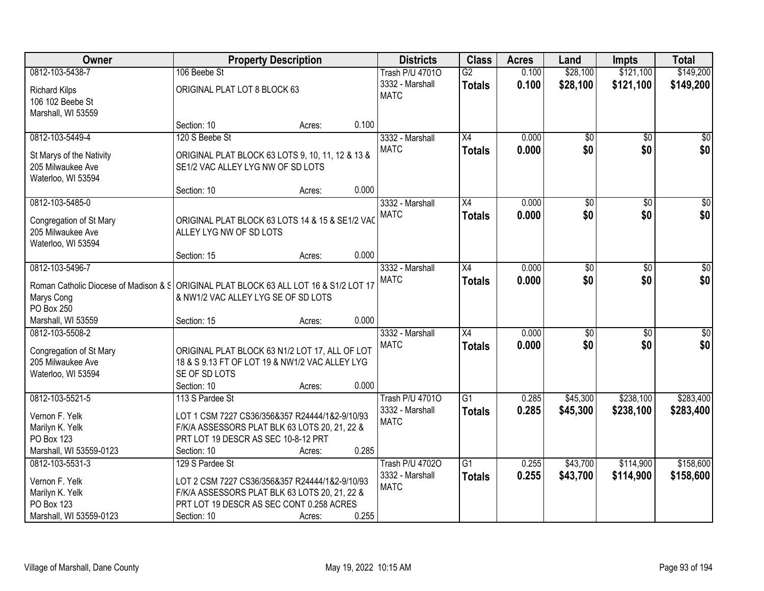| Owner                                                                                 |                                                                                                 | <b>Property Description</b> |       | <b>Districts</b>       | <b>Class</b>    | <b>Acres</b> | Land            | <b>Impts</b>    | <b>Total</b>     |
|---------------------------------------------------------------------------------------|-------------------------------------------------------------------------------------------------|-----------------------------|-------|------------------------|-----------------|--------------|-----------------|-----------------|------------------|
| 0812-103-5438-7                                                                       | 106 Beebe St                                                                                    |                             |       | <b>Trash P/U 47010</b> | $\overline{G2}$ | 0.100        | \$28,100        | \$121,100       | \$149,200        |
| <b>Richard Kilps</b>                                                                  | ORIGINAL PLAT LOT 8 BLOCK 63                                                                    |                             |       | 3332 - Marshall        | <b>Totals</b>   | 0.100        | \$28,100        | \$121,100       | \$149,200        |
| 106 102 Beebe St                                                                      |                                                                                                 |                             |       | <b>MATC</b>            |                 |              |                 |                 |                  |
| Marshall, WI 53559                                                                    |                                                                                                 |                             |       |                        |                 |              |                 |                 |                  |
|                                                                                       | Section: 10                                                                                     | Acres:                      | 0.100 |                        |                 |              |                 |                 |                  |
| 0812-103-5449-4                                                                       | 120 S Beebe St                                                                                  |                             |       | 3332 - Marshall        | X4              | 0.000        | $\overline{50}$ | $\overline{50}$ | $\overline{\$0}$ |
| St Marys of the Nativity                                                              | ORIGINAL PLAT BLOCK 63 LOTS 9, 10, 11, 12 & 13 &                                                |                             |       | <b>MATC</b>            | <b>Totals</b>   | 0.000        | \$0             | \$0             | \$0              |
| 205 Milwaukee Ave                                                                     | SE1/2 VAC ALLEY LYG NW OF SD LOTS                                                               |                             |       |                        |                 |              |                 |                 |                  |
| Waterloo, WI 53594                                                                    |                                                                                                 |                             |       |                        |                 |              |                 |                 |                  |
|                                                                                       | Section: 10                                                                                     | Acres:                      | 0.000 |                        |                 |              |                 |                 |                  |
| 0812-103-5485-0                                                                       |                                                                                                 |                             |       | 3332 - Marshall        | X4              | 0.000        | $\overline{50}$ | $\overline{50}$ | $\overline{\$0}$ |
| Congregation of St Mary                                                               | ORIGINAL PLAT BLOCK 63 LOTS 14 & 15 & SE1/2 VAC                                                 |                             |       | <b>MATC</b>            | <b>Totals</b>   | 0.000        | \$0             | \$0             | \$0              |
| 205 Milwaukee Ave                                                                     | ALLEY LYG NW OF SD LOTS                                                                         |                             |       |                        |                 |              |                 |                 |                  |
| Waterloo, WI 53594                                                                    |                                                                                                 |                             |       |                        |                 |              |                 |                 |                  |
|                                                                                       | Section: 15                                                                                     | Acres:                      | 0.000 |                        |                 |              |                 |                 |                  |
| 0812-103-5496-7                                                                       |                                                                                                 |                             |       | 3332 - Marshall        | $\overline{X4}$ | 0.000        | $\overline{50}$ | \$0             | $\overline{50}$  |
| Roman Catholic Diocese of Madison & § ORIGINAL PLAT BLOCK 63 ALL LOT 16 & S1/2 LOT 17 |                                                                                                 |                             |       | <b>MATC</b>            | <b>Totals</b>   | 0.000        | \$0             | \$0             | \$0              |
| Marys Cong                                                                            | & NW1/2 VAC ALLEY LYG SE OF SD LOTS                                                             |                             |       |                        |                 |              |                 |                 |                  |
| PO Box 250                                                                            |                                                                                                 |                             |       |                        |                 |              |                 |                 |                  |
| Marshall, WI 53559                                                                    | Section: 15                                                                                     | Acres:                      | 0.000 |                        |                 |              |                 |                 |                  |
| 0812-103-5508-2                                                                       |                                                                                                 |                             |       | 3332 - Marshall        | $\overline{X4}$ | 0.000        | $\overline{30}$ | $\overline{50}$ | \$0              |
|                                                                                       | ORIGINAL PLAT BLOCK 63 N1/2 LOT 17, ALL OF LOT                                                  |                             |       | <b>MATC</b>            | <b>Totals</b>   | 0.000        | \$0             | \$0             | \$0              |
| Congregation of St Mary<br>205 Milwaukee Ave                                          | 18 & S 9.13 FT OF LOT 19 & NW1/2 VAC ALLEY LYG                                                  |                             |       |                        |                 |              |                 |                 |                  |
| Waterloo, WI 53594                                                                    | SE OF SD LOTS                                                                                   |                             |       |                        |                 |              |                 |                 |                  |
|                                                                                       | Section: 10                                                                                     | Acres:                      | 0.000 |                        |                 |              |                 |                 |                  |
| 0812-103-5521-5                                                                       | 113 S Pardee St                                                                                 |                             |       | <b>Trash P/U 47010</b> | $\overline{G1}$ | 0.285        | \$45,300        | \$238,100       | \$283,400        |
|                                                                                       |                                                                                                 |                             |       | 3332 - Marshall        | <b>Totals</b>   | 0.285        | \$45,300        | \$238,100       | \$283,400        |
| Vernon F. Yelk<br>Marilyn K. Yelk                                                     | LOT 1 CSM 7227 CS36/356&357 R24444/1&2-9/10/93<br>F/K/A ASSESSORS PLAT BLK 63 LOTS 20, 21, 22 & |                             |       | <b>MATC</b>            |                 |              |                 |                 |                  |
| PO Box 123                                                                            | PRT LOT 19 DESCR AS SEC 10-8-12 PRT                                                             |                             |       |                        |                 |              |                 |                 |                  |
| Marshall, WI 53559-0123                                                               | Section: 10                                                                                     | Acres:                      | 0.285 |                        |                 |              |                 |                 |                  |
| 0812-103-5531-3                                                                       | 129 S Pardee St                                                                                 |                             |       | <b>Trash P/U 47020</b> | $\overline{G1}$ | 0.255        | \$43,700        | \$114,900       | \$158,600        |
|                                                                                       |                                                                                                 |                             |       | 3332 - Marshall        | <b>Totals</b>   | 0.255        | \$43,700        | \$114,900       | \$158,600        |
| Vernon F. Yelk<br>Marilyn K. Yelk                                                     | LOT 2 CSM 7227 CS36/356&357 R24444/1&2-9/10/93<br>F/K/A ASSESSORS PLAT BLK 63 LOTS 20, 21, 22 & |                             |       | <b>MATC</b>            |                 |              |                 |                 |                  |
| PO Box 123                                                                            | PRT LOT 19 DESCR AS SEC CONT 0.258 ACRES                                                        |                             |       |                        |                 |              |                 |                 |                  |
| Marshall, WI 53559-0123                                                               | Section: 10                                                                                     | Acres:                      | 0.255 |                        |                 |              |                 |                 |                  |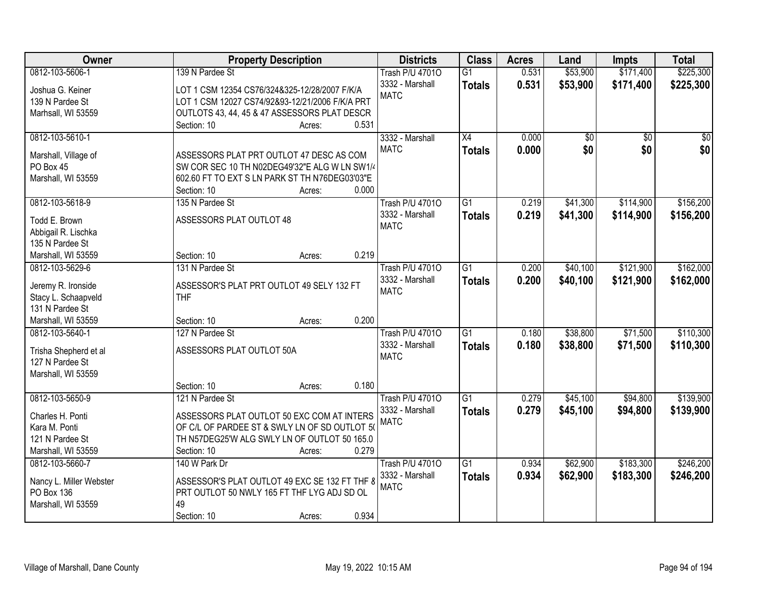| Owner                   | <b>Property Description</b>                     | <b>Districts</b>       | <b>Class</b>    | <b>Acres</b> | Land     | <b>Impts</b>    | <b>Total</b>    |
|-------------------------|-------------------------------------------------|------------------------|-----------------|--------------|----------|-----------------|-----------------|
| 0812-103-5606-1         | 139 N Pardee St                                 | <b>Trash P/U 47010</b> | $\overline{G1}$ | 0.531        | \$53,900 | \$171,400       | \$225,300       |
| Joshua G. Keiner        | LOT 1 CSM 12354 CS76/324&325-12/28/2007 F/K/A   | 3332 - Marshall        | <b>Totals</b>   | 0.531        | \$53,900 | \$171,400       | \$225,300       |
| 139 N Pardee St         | LOT 1 CSM 12027 CS74/92&93-12/21/2006 F/K/A PRT | <b>MATC</b>            |                 |              |          |                 |                 |
| Marhsall, WI 53559      | OUTLOTS 43, 44, 45 & 47 ASSESSORS PLAT DESCR    |                        |                 |              |          |                 |                 |
|                         | 0.531<br>Section: 10<br>Acres:                  |                        |                 |              |          |                 |                 |
| 0812-103-5610-1         |                                                 | 3332 - Marshall        | $\overline{X4}$ | 0.000        | \$0      | $\overline{50}$ | $\overline{50}$ |
|                         |                                                 | <b>MATC</b>            | <b>Totals</b>   | 0.000        | \$0      | \$0             | \$0             |
| Marshall, Village of    | ASSESSORS PLAT PRT OUTLOT 47 DESC AS COM        |                        |                 |              |          |                 |                 |
| PO Box 45               | SW COR SEC 10 TH N02DEG49'32"E ALG W LN SW1/4   |                        |                 |              |          |                 |                 |
| Marshall, WI 53559      | 602.60 FT TO EXT S LN PARK ST TH N76DEG03'03"E  |                        |                 |              |          |                 |                 |
|                         | 0.000<br>Section: 10<br>Acres:                  |                        |                 |              |          |                 |                 |
| 0812-103-5618-9         | 135 N Pardee St                                 | <b>Trash P/U 47010</b> | G1              | 0.219        | \$41,300 | \$114,900       | \$156,200       |
| Todd E. Brown           | ASSESSORS PLAT OUTLOT 48                        | 3332 - Marshall        | <b>Totals</b>   | 0.219        | \$41,300 | \$114,900       | \$156,200       |
| Abbigail R. Lischka     |                                                 | <b>MATC</b>            |                 |              |          |                 |                 |
| 135 N Pardee St         |                                                 |                        |                 |              |          |                 |                 |
| Marshall, WI 53559      | 0.219<br>Section: 10<br>Acres:                  |                        |                 |              |          |                 |                 |
| 0812-103-5629-6         | 131 N Pardee St                                 | <b>Trash P/U 47010</b> | G1              | 0.200        | \$40,100 | \$121,900       | \$162,000       |
|                         |                                                 | 3332 - Marshall        | <b>Totals</b>   | 0.200        | \$40,100 | \$121,900       | \$162,000       |
| Jeremy R. Ironside      | ASSESSOR'S PLAT PRT OUTLOT 49 SELY 132 FT       | <b>MATC</b>            |                 |              |          |                 |                 |
| Stacy L. Schaapveld     | <b>THF</b>                                      |                        |                 |              |          |                 |                 |
| 131 N Pardee St         | 0.200                                           |                        |                 |              |          |                 |                 |
| Marshall, WI 53559      | Section: 10<br>Acres:                           |                        |                 |              |          |                 |                 |
| 0812-103-5640-1         | 127 N Pardee St                                 | <b>Trash P/U 47010</b> | $\overline{G1}$ | 0.180        | \$38,800 | \$71,500        | \$110,300       |
| Trisha Shepherd et al   | ASSESSORS PLAT OUTLOT 50A                       | 3332 - Marshall        | <b>Totals</b>   | 0.180        | \$38,800 | \$71,500        | \$110,300       |
| 127 N Pardee St         |                                                 | <b>MATC</b>            |                 |              |          |                 |                 |
| Marshall, WI 53559      |                                                 |                        |                 |              |          |                 |                 |
|                         | 0.180<br>Section: 10<br>Acres:                  |                        |                 |              |          |                 |                 |
| 0812-103-5650-9         | 121 N Pardee St                                 | <b>Trash P/U 47010</b> | $\overline{G1}$ | 0.279        | \$45,100 | \$94,800        | \$139,900       |
| Charles H. Ponti        | ASSESSORS PLAT OUTLOT 50 EXC COM AT INTERS      | 3332 - Marshall        | <b>Totals</b>   | 0.279        | \$45,100 | \$94,800        | \$139,900       |
| Kara M. Ponti           | OF C/L OF PARDEE ST & SWLY LN OF SD OUTLOT 50   | <b>MATC</b>            |                 |              |          |                 |                 |
| 121 N Pardee St         | TH N57DEG25'W ALG SWLY LN OF OUTLOT 50 165.0    |                        |                 |              |          |                 |                 |
| Marshall, WI 53559      | 0.279<br>Section: 10<br>Acres:                  |                        |                 |              |          |                 |                 |
| 0812-103-5660-7         | 140 W Park Dr                                   | <b>Trash P/U 47010</b> | G1              | 0.934        | \$62,900 | \$183,300       | \$246,200       |
|                         |                                                 | 3332 - Marshall        |                 | 0.934        | \$62,900 | \$183,300       | \$246,200       |
| Nancy L. Miller Webster | ASSESSOR'S PLAT OUTLOT 49 EXC SE 132 FT THF 8   | <b>MATC</b>            | <b>Totals</b>   |              |          |                 |                 |
| PO Box 136              | PRT OUTLOT 50 NWLY 165 FT THF LYG ADJ SD OL     |                        |                 |              |          |                 |                 |
| Marshall, WI 53559      | 49                                              |                        |                 |              |          |                 |                 |
|                         | 0.934<br>Section: 10<br>Acres:                  |                        |                 |              |          |                 |                 |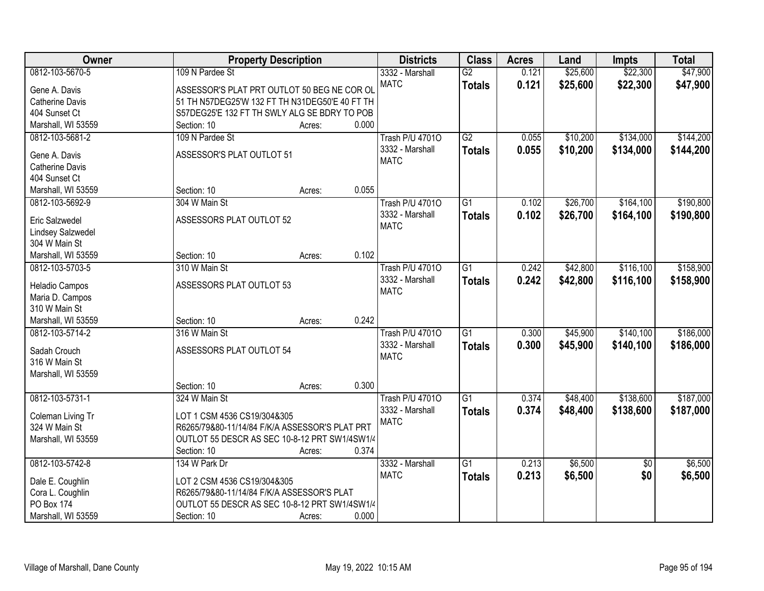| Owner                            | <b>Property Description</b>                    |                 | <b>Districts</b>       | <b>Class</b>    | <b>Acres</b> | Land     | Impts           | <b>Total</b> |
|----------------------------------|------------------------------------------------|-----------------|------------------------|-----------------|--------------|----------|-----------------|--------------|
| 0812-103-5670-5                  | 109 N Pardee St                                |                 | 3332 - Marshall        | $\overline{G2}$ | 0.121        | \$25,600 | \$22,300        | \$47,900     |
| Gene A. Davis                    | ASSESSOR'S PLAT PRT OUTLOT 50 BEG NE COR OL    |                 | <b>MATC</b>            | <b>Totals</b>   | 0.121        | \$25,600 | \$22,300        | \$47,900     |
| <b>Catherine Davis</b>           | 51 TH N57DEG25'W 132 FT TH N31DEG50'E 40 FT TH |                 |                        |                 |              |          |                 |              |
| 404 Sunset Ct                    | S57DEG25'E 132 FT TH SWLY ALG SE BDRY TO POB   |                 |                        |                 |              |          |                 |              |
| Marshall, WI 53559               | Section: 10                                    | 0.000<br>Acres: |                        |                 |              |          |                 |              |
| 0812-103-5681-2                  | 109 N Pardee St                                |                 | <b>Trash P/U 47010</b> | $\overline{G2}$ | 0.055        | \$10,200 | \$134,000       | \$144,200    |
|                                  |                                                |                 | 3332 - Marshall        | <b>Totals</b>   | 0.055        | \$10,200 | \$134,000       | \$144,200    |
| Gene A. Davis                    | ASSESSOR'S PLAT OUTLOT 51                      |                 | <b>MATC</b>            |                 |              |          |                 |              |
| Catherine Davis                  |                                                |                 |                        |                 |              |          |                 |              |
| 404 Sunset Ct                    |                                                | 0.055           |                        |                 |              |          |                 |              |
| Marshall, WI 53559               | Section: 10                                    | Acres:          |                        |                 |              |          |                 |              |
| 0812-103-5692-9                  | 304 W Main St                                  |                 | <b>Trash P/U 47010</b> | $\overline{G1}$ | 0.102        | \$26,700 | \$164,100       | \$190,800    |
| Eric Salzwedel                   | ASSESSORS PLAT OUTLOT 52                       |                 | 3332 - Marshall        | <b>Totals</b>   | 0.102        | \$26,700 | \$164,100       | \$190,800    |
| Lindsey Salzwedel                |                                                |                 | <b>MATC</b>            |                 |              |          |                 |              |
| 304 W Main St                    |                                                |                 |                        |                 |              |          |                 |              |
| Marshall, WI 53559               | Section: 10                                    | 0.102<br>Acres: |                        |                 |              |          |                 |              |
| 0812-103-5703-5                  | 310 W Main St                                  |                 | <b>Trash P/U 47010</b> | $\overline{G1}$ | 0.242        | \$42,800 | \$116,100       | \$158,900    |
|                                  |                                                |                 | 3332 - Marshall        | <b>Totals</b>   | 0.242        | \$42,800 | \$116,100       | \$158,900    |
| Heladio Campos                   | ASSESSORS PLAT OUTLOT 53                       |                 | <b>MATC</b>            |                 |              |          |                 |              |
| Maria D. Campos<br>310 W Main St |                                                |                 |                        |                 |              |          |                 |              |
| Marshall, WI 53559               | Section: 10                                    | 0.242<br>Acres: |                        |                 |              |          |                 |              |
| 0812-103-5714-2                  | 316 W Main St                                  |                 | <b>Trash P/U 47010</b> | $\overline{G1}$ | 0.300        | \$45,900 | \$140,100       | \$186,000    |
|                                  |                                                |                 | 3332 - Marshall        |                 | 0.300        |          |                 |              |
| Sadah Crouch                     | ASSESSORS PLAT OUTLOT 54                       |                 | <b>MATC</b>            | <b>Totals</b>   |              | \$45,900 | \$140,100       | \$186,000    |
| 316 W Main St                    |                                                |                 |                        |                 |              |          |                 |              |
| Marshall, WI 53559               |                                                |                 |                        |                 |              |          |                 |              |
|                                  | Section: 10                                    | 0.300<br>Acres: |                        |                 |              |          |                 |              |
| 0812-103-5731-1                  | 324 W Main St                                  |                 | <b>Trash P/U 47010</b> | G1              | 0.374        | \$48,400 | \$138,600       | \$187,000    |
| Coleman Living Tr                | LOT 1 CSM 4536 CS19/304&305                    |                 | 3332 - Marshall        | <b>Totals</b>   | 0.374        | \$48,400 | \$138,600       | \$187,000    |
| 324 W Main St                    | R6265/79&80-11/14/84 F/K/A ASSESSOR'S PLAT PRT |                 | <b>MATC</b>            |                 |              |          |                 |              |
| Marshall, WI 53559               | OUTLOT 55 DESCR AS SEC 10-8-12 PRT SW1/4SW1/4  |                 |                        |                 |              |          |                 |              |
|                                  | Section: 10                                    | 0.374<br>Acres: |                        |                 |              |          |                 |              |
| 0812-103-5742-8                  | 134 W Park Dr                                  |                 | 3332 - Marshall        | $\overline{G1}$ | 0.213        | \$6,500  | $\overline{50}$ | \$6,500      |
|                                  |                                                |                 | <b>MATC</b>            | <b>Totals</b>   | 0.213        | \$6,500  | \$0             | \$6,500      |
| Dale E. Coughlin                 | LOT 2 CSM 4536 CS19/304&305                    |                 |                        |                 |              |          |                 |              |
| Cora L. Coughlin                 | R6265/79&80-11/14/84 F/K/A ASSESSOR'S PLAT     |                 |                        |                 |              |          |                 |              |
| PO Box 174                       | OUTLOT 55 DESCR AS SEC 10-8-12 PRT SW1/4SW1/4  |                 |                        |                 |              |          |                 |              |
| Marshall, WI 53559               | Section: 10                                    | 0.000<br>Acres: |                        |                 |              |          |                 |              |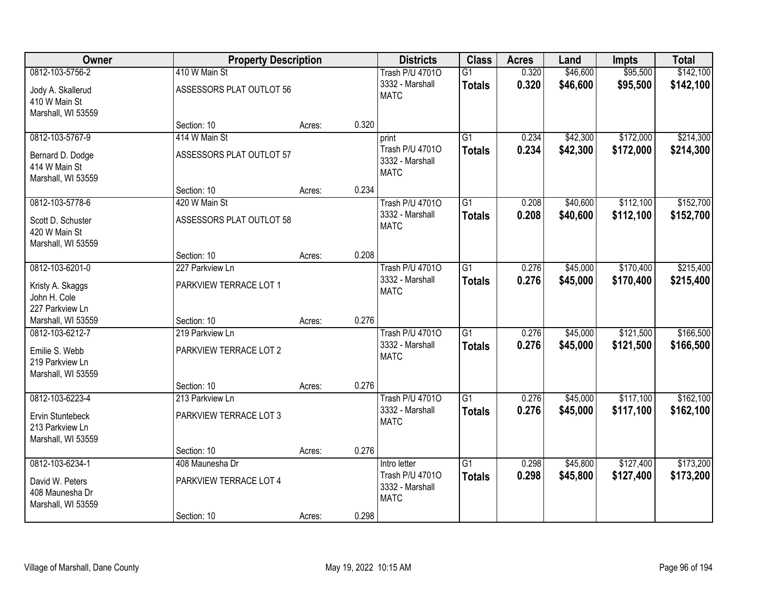| Owner                                                     | <b>Property Description</b>               |        |       | <b>Districts</b>                                         | <b>Class</b>                     | <b>Acres</b>   | Land                 | <b>Impts</b>         | <b>Total</b>           |
|-----------------------------------------------------------|-------------------------------------------|--------|-------|----------------------------------------------------------|----------------------------------|----------------|----------------------|----------------------|------------------------|
| 0812-103-5756-2<br>Jody A. Skallerud<br>410 W Main St     | 410 W Main St<br>ASSESSORS PLAT OUTLOT 56 |        |       | <b>Trash P/U 47010</b><br>3332 - Marshall<br><b>MATC</b> | $\overline{G1}$<br><b>Totals</b> | 0.320<br>0.320 | \$46,600<br>\$46,600 | \$95,500<br>\$95,500 | \$142,100<br>\$142,100 |
| Marshall, WI 53559                                        | Section: 10                               | Acres: | 0.320 |                                                          |                                  |                |                      |                      |                        |
| 0812-103-5767-9                                           | 414 W Main St                             |        |       | print                                                    | $\overline{G1}$                  | 0.234          | \$42,300             | \$172,000            | \$214,300              |
| Bernard D. Dodge<br>414 W Main St<br>Marshall, WI 53559   | ASSESSORS PLAT OUTLOT 57                  |        |       | Trash P/U 47010<br>3332 - Marshall<br><b>MATC</b>        | <b>Totals</b>                    | 0.234          | \$42,300             | \$172,000            | \$214,300              |
|                                                           | Section: 10                               | Acres: | 0.234 |                                                          |                                  |                |                      |                      |                        |
| 0812-103-5778-6                                           | 420 W Main St                             |        |       | <b>Trash P/U 47010</b>                                   | $\overline{G1}$                  | 0.208          | \$40,600             | \$112,100            | \$152,700              |
| Scott D. Schuster<br>420 W Main St<br>Marshall, WI 53559  | ASSESSORS PLAT OUTLOT 58                  |        |       | 3332 - Marshall<br><b>MATC</b>                           | <b>Totals</b>                    | 0.208          | \$40,600             | \$112,100            | \$152,700              |
|                                                           | Section: 10                               | Acres: | 0.208 |                                                          |                                  |                |                      |                      |                        |
| 0812-103-6201-0                                           | 227 Parkview Ln                           |        |       | <b>Trash P/U 47010</b>                                   | $\overline{G1}$                  | 0.276          | \$45,000             | \$170,400            | \$215,400              |
| Kristy A. Skaggs<br>John H. Cole                          | PARKVIEW TERRACE LOT 1                    |        |       | 3332 - Marshall<br><b>MATC</b>                           | <b>Totals</b>                    | 0.276          | \$45,000             | \$170,400            | \$215,400              |
| 227 Parkview Ln<br>Marshall, WI 53559                     | Section: 10                               | Acres: | 0.276 |                                                          |                                  |                |                      |                      |                        |
| 0812-103-6212-7                                           | 219 Parkview Ln                           |        |       | <b>Trash P/U 47010</b>                                   | $\overline{G1}$                  | 0.276          | \$45,000             | \$121,500            | \$166,500              |
|                                                           |                                           |        |       | 3332 - Marshall                                          | <b>Totals</b>                    | 0.276          | \$45,000             | \$121,500            | \$166,500              |
| Emilie S. Webb<br>219 Parkview Ln                         | PARKVIEW TERRACE LOT 2                    |        |       | <b>MATC</b>                                              |                                  |                |                      |                      |                        |
| Marshall, WI 53559                                        |                                           |        |       |                                                          |                                  |                |                      |                      |                        |
|                                                           | Section: 10                               | Acres: | 0.276 |                                                          |                                  |                |                      |                      |                        |
| 0812-103-6223-4                                           | 213 Parkview Ln                           |        |       | <b>Trash P/U 47010</b>                                   | $\overline{G1}$                  | 0.276          | \$45,000             | \$117,100            | \$162,100              |
| Ervin Stuntebeck<br>213 Parkview Ln<br>Marshall, WI 53559 | PARKVIEW TERRACE LOT 3                    |        |       | 3332 - Marshall<br><b>MATC</b>                           | <b>Totals</b>                    | 0.276          | \$45,000             | \$117,100            | \$162,100              |
|                                                           | Section: 10                               | Acres: | 0.276 |                                                          |                                  |                |                      |                      |                        |
| 0812-103-6234-1                                           | 408 Maunesha Dr                           |        |       | Intro letter                                             | $\overline{G1}$                  | 0.298          | \$45,800             | \$127,400            | \$173,200              |
| David W. Peters<br>408 Maunesha Dr<br>Marshall, WI 53559  | PARKVIEW TERRACE LOT 4                    |        |       | Trash P/U 47010<br>3332 - Marshall<br><b>MATC</b>        | <b>Totals</b>                    | 0.298          | \$45,800             | \$127,400            | \$173,200              |
|                                                           | Section: 10                               | Acres: | 0.298 |                                                          |                                  |                |                      |                      |                        |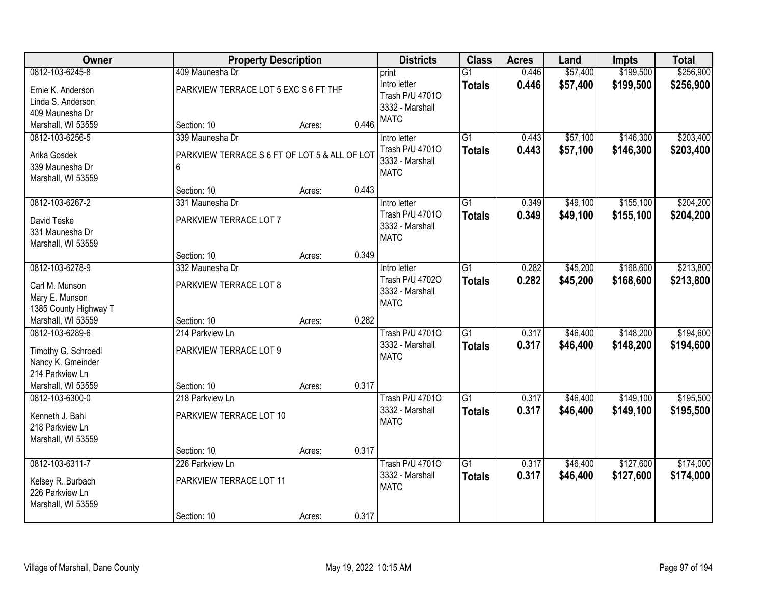| Owner                 |                                               | <b>Property Description</b> |       | <b>Districts</b>               | <b>Class</b>    | <b>Acres</b> | Land     | <b>Impts</b> | <b>Total</b> |
|-----------------------|-----------------------------------------------|-----------------------------|-------|--------------------------------|-----------------|--------------|----------|--------------|--------------|
| 0812-103-6245-8       | 409 Maunesha Dr                               |                             |       | print                          | $\overline{G1}$ | 0.446        | \$57,400 | \$199,500    | \$256,900    |
| Ernie K. Anderson     | PARKVIEW TERRACE LOT 5 EXC S 6 FT THF         |                             |       | Intro letter                   | <b>Totals</b>   | 0.446        | \$57,400 | \$199,500    | \$256,900    |
| Linda S. Anderson     |                                               |                             |       | Trash P/U 47010                |                 |              |          |              |              |
| 409 Maunesha Dr       |                                               |                             |       | 3332 - Marshall                |                 |              |          |              |              |
| Marshall, WI 53559    | Section: 10                                   | Acres:                      | 0.446 | <b>MATC</b>                    |                 |              |          |              |              |
| 0812-103-6256-5       | 339 Maunesha Dr                               |                             |       | Intro letter                   | $\overline{G1}$ | 0.443        | \$57,100 | \$146,300    | \$203,400    |
| Arika Gosdek          | PARKVIEW TERRACE S 6 FT OF LOT 5 & ALL OF LOT |                             |       | Trash P/U 47010                | <b>Totals</b>   | 0.443        | \$57,100 | \$146,300    | \$203,400    |
| 339 Maunesha Dr       | 6                                             |                             |       | 3332 - Marshall                |                 |              |          |              |              |
| Marshall, WI 53559    |                                               |                             |       | <b>MATC</b>                    |                 |              |          |              |              |
|                       | Section: 10                                   | Acres:                      | 0.443 |                                |                 |              |          |              |              |
| 0812-103-6267-2       | 331 Maunesha Dr                               |                             |       | Intro letter                   | $\overline{G1}$ | 0.349        | \$49,100 | \$155,100    | \$204,200    |
| David Teske           | PARKVIEW TERRACE LOT 7                        |                             |       | Trash P/U 47010                | <b>Totals</b>   | 0.349        | \$49,100 | \$155,100    | \$204,200    |
| 331 Maunesha Dr       |                                               |                             |       | 3332 - Marshall                |                 |              |          |              |              |
| Marshall, WI 53559    |                                               |                             |       | <b>MATC</b>                    |                 |              |          |              |              |
|                       | Section: 10                                   | Acres:                      | 0.349 |                                |                 |              |          |              |              |
| 0812-103-6278-9       | 332 Maunesha Dr                               |                             |       | Intro letter                   | $\overline{G1}$ | 0.282        | \$45,200 | \$168,600    | \$213,800    |
|                       |                                               |                             |       | Trash P/U 47020                | <b>Totals</b>   | 0.282        | \$45,200 | \$168,600    | \$213,800    |
| Carl M. Munson        | PARKVIEW TERRACE LOT 8                        |                             |       | 3332 - Marshall                |                 |              |          |              |              |
| Mary E. Munson        |                                               |                             |       | <b>MATC</b>                    |                 |              |          |              |              |
| 1385 County Highway T |                                               |                             | 0.282 |                                |                 |              |          |              |              |
| Marshall, WI 53559    | Section: 10                                   | Acres:                      |       |                                | $\overline{G1}$ |              |          |              |              |
| 0812-103-6289-6       | 214 Parkview Ln                               |                             |       | <b>Trash P/U 47010</b>         |                 | 0.317        | \$46,400 | \$148,200    | \$194,600    |
| Timothy G. Schroedl   | PARKVIEW TERRACE LOT 9                        |                             |       | 3332 - Marshall<br><b>MATC</b> | <b>Totals</b>   | 0.317        | \$46,400 | \$148,200    | \$194,600    |
| Nancy K. Gmeinder     |                                               |                             |       |                                |                 |              |          |              |              |
| 214 Parkview Ln       |                                               |                             |       |                                |                 |              |          |              |              |
| Marshall, WI 53559    | Section: 10                                   | Acres:                      | 0.317 |                                |                 |              |          |              |              |
| 0812-103-6300-0       | 218 Parkview Ln                               |                             |       | <b>Trash P/U 47010</b>         | $\overline{G1}$ | 0.317        | \$46,400 | \$149,100    | \$195,500    |
| Kenneth J. Bahl       | PARKVIEW TERRACE LOT 10                       |                             |       | 3332 - Marshall                | <b>Totals</b>   | 0.317        | \$46,400 | \$149,100    | \$195,500    |
| 218 Parkview Ln       |                                               |                             |       | <b>MATC</b>                    |                 |              |          |              |              |
| Marshall, WI 53559    |                                               |                             |       |                                |                 |              |          |              |              |
|                       | Section: 10                                   | Acres:                      | 0.317 |                                |                 |              |          |              |              |
| 0812-103-6311-7       | 226 Parkview Ln                               |                             |       | <b>Trash P/U 47010</b>         | $\overline{G1}$ | 0.317        | \$46,400 | \$127,600    | \$174,000    |
| Kelsey R. Burbach     | PARKVIEW TERRACE LOT 11                       |                             |       | 3332 - Marshall                | <b>Totals</b>   | 0.317        | \$46,400 | \$127,600    | \$174,000    |
| 226 Parkview Ln       |                                               |                             |       | <b>MATC</b>                    |                 |              |          |              |              |
| Marshall, WI 53559    |                                               |                             |       |                                |                 |              |          |              |              |
|                       | Section: 10                                   | Acres:                      | 0.317 |                                |                 |              |          |              |              |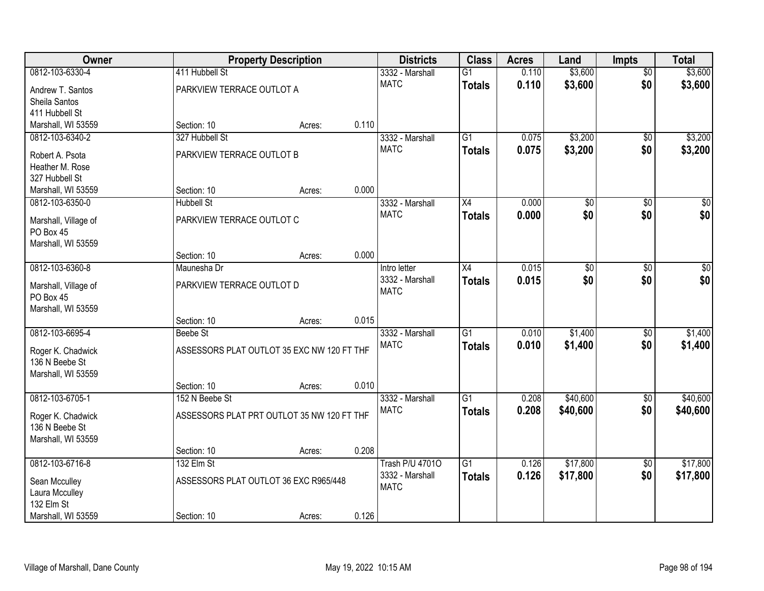| Owner                                 |                                            | <b>Property Description</b>                |       | <b>Districts</b>               | <b>Class</b>    | <b>Acres</b> | Land            | <b>Impts</b>    | <b>Total</b> |
|---------------------------------------|--------------------------------------------|--------------------------------------------|-------|--------------------------------|-----------------|--------------|-----------------|-----------------|--------------|
| 0812-103-6330-4                       | 411 Hubbell St                             |                                            |       | 3332 - Marshall                | $\overline{G1}$ | 0.110        | \$3,600         | $\overline{50}$ | \$3,600      |
| Andrew T. Santos                      | PARKVIEW TERRACE OUTLOT A                  |                                            |       | <b>MATC</b>                    | <b>Totals</b>   | 0.110        | \$3,600         | \$0             | \$3,600      |
| Sheila Santos                         |                                            |                                            |       |                                |                 |              |                 |                 |              |
| 411 Hubbell St                        |                                            |                                            |       |                                |                 |              |                 |                 |              |
| Marshall, WI 53559                    | Section: 10                                | Acres:                                     | 0.110 |                                |                 |              |                 |                 |              |
| 0812-103-6340-2                       | 327 Hubbell St                             |                                            |       | 3332 - Marshall<br><b>MATC</b> | $\overline{G1}$ | 0.075        | \$3,200         | $\overline{50}$ | \$3,200      |
| Robert A. Psota                       | PARKVIEW TERRACE OUTLOT B                  |                                            |       |                                | <b>Totals</b>   | 0.075        | \$3,200         | \$0             | \$3,200      |
| Heather M. Rose                       |                                            |                                            |       |                                |                 |              |                 |                 |              |
| 327 Hubbell St                        |                                            |                                            | 0.000 |                                |                 |              |                 |                 |              |
| Marshall, WI 53559<br>0812-103-6350-0 | Section: 10<br><b>Hubbell St</b>           | Acres:                                     |       | 3332 - Marshall                | X4              | 0.000        | $\overline{50}$ | \$0             | \$0          |
|                                       |                                            |                                            |       | <b>MATC</b>                    | <b>Totals</b>   | 0.000        | \$0             | \$0             | \$0          |
| Marshall, Village of                  | PARKVIEW TERRACE OUTLOT C                  |                                            |       |                                |                 |              |                 |                 |              |
| PO Box 45                             |                                            |                                            |       |                                |                 |              |                 |                 |              |
| Marshall, WI 53559                    | Section: 10                                | Acres:                                     | 0.000 |                                |                 |              |                 |                 |              |
| 0812-103-6360-8                       | Maunesha Dr                                |                                            |       | Intro letter                   | X4              | 0.015        | $\overline{50}$ | \$0             | $\sqrt{50}$  |
|                                       |                                            |                                            |       | 3332 - Marshall                | <b>Totals</b>   | 0.015        | \$0             | \$0             | \$0          |
| Marshall, Village of<br>PO Box 45     | PARKVIEW TERRACE OUTLOT D                  |                                            |       | <b>MATC</b>                    |                 |              |                 |                 |              |
| Marshall, WI 53559                    |                                            |                                            |       |                                |                 |              |                 |                 |              |
|                                       | Section: 10                                | Acres:                                     | 0.015 |                                |                 |              |                 |                 |              |
| 0812-103-6695-4                       | <b>Beebe St</b>                            |                                            |       | 3332 - Marshall                | $\overline{G1}$ | 0.010        | \$1,400         | \$0             | \$1,400      |
| Roger K. Chadwick                     | ASSESSORS PLAT OUTLOT 35 EXC NW 120 FT THF |                                            |       | <b>MATC</b>                    | <b>Totals</b>   | 0.010        | \$1,400         | \$0             | \$1,400      |
| 136 N Beebe St                        |                                            |                                            |       |                                |                 |              |                 |                 |              |
| Marshall, WI 53559                    |                                            |                                            |       |                                |                 |              |                 |                 |              |
|                                       | Section: 10                                | Acres:                                     | 0.010 |                                |                 |              |                 |                 |              |
| 0812-103-6705-1                       | 152 N Beebe St                             |                                            |       | 3332 - Marshall                | $\overline{G1}$ | 0.208        | \$40,600        | \$0             | \$40,600     |
| Roger K. Chadwick                     |                                            | ASSESSORS PLAT PRT OUTLOT 35 NW 120 FT THF |       | <b>MATC</b>                    | <b>Totals</b>   | 0.208        | \$40,600        | \$0             | \$40,600     |
| 136 N Beebe St                        |                                            |                                            |       |                                |                 |              |                 |                 |              |
| Marshall, WI 53559                    |                                            |                                            |       |                                |                 |              |                 |                 |              |
|                                       | Section: 10                                | Acres:                                     | 0.208 |                                |                 |              |                 |                 |              |
| 0812-103-6716-8                       | 132 Elm St                                 |                                            |       | <b>Trash P/U 47010</b>         | $\overline{G1}$ | 0.126        | \$17,800        | $\overline{50}$ | \$17,800     |
| Sean Mcculley                         |                                            | ASSESSORS PLAT OUTLOT 36 EXC R965/448      |       | 3332 - Marshall                | <b>Totals</b>   | 0.126        | \$17,800        | \$0             | \$17,800     |
| Laura Mcculley                        |                                            |                                            |       | <b>MATC</b>                    |                 |              |                 |                 |              |
| 132 Elm St                            |                                            |                                            |       |                                |                 |              |                 |                 |              |
| Marshall, WI 53559                    | Section: 10                                | Acres:                                     | 0.126 |                                |                 |              |                 |                 |              |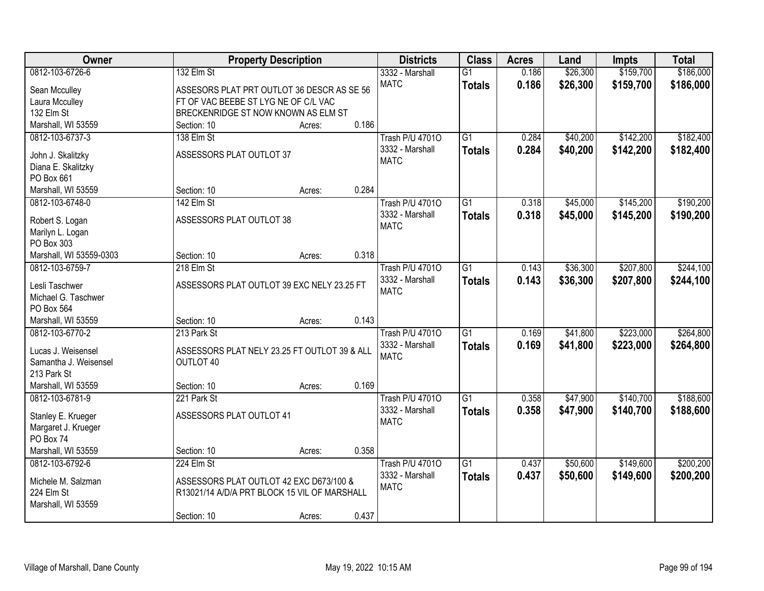| <b>Owner</b>                     |                                              | <b>Property Description</b> |       | <b>Districts</b>               | <b>Class</b>    | <b>Acres</b> | Land     | <b>Impts</b> | <b>Total</b> |
|----------------------------------|----------------------------------------------|-----------------------------|-------|--------------------------------|-----------------|--------------|----------|--------------|--------------|
| 0812-103-6726-6                  | 132 Elm St                                   |                             |       | 3332 - Marshall                | $\overline{G1}$ | 0.186        | \$26,300 | \$159,700    | \$186,000    |
| Sean Mcculley                    | ASSESORS PLAT PRT OUTLOT 36 DESCR AS SE 56   |                             |       | <b>MATC</b>                    | <b>Totals</b>   | 0.186        | \$26,300 | \$159,700    | \$186,000    |
| Laura Mcculley                   | FT OF VAC BEEBE ST LYG NE OF C/L VAC         |                             |       |                                |                 |              |          |              |              |
| 132 Elm St                       | BRECKENRIDGE ST NOW KNOWN AS ELM ST          |                             |       |                                |                 |              |          |              |              |
| Marshall, WI 53559               | Section: 10                                  | Acres:                      | 0.186 |                                |                 |              |          |              |              |
| 0812-103-6737-3                  | 138 Elm St                                   |                             |       | <b>Trash P/U 47010</b>         | $\overline{G1}$ | 0.284        | \$40,200 | \$142,200    | \$182,400    |
|                                  | ASSESSORS PLAT OUTLOT 37                     |                             |       | 3332 - Marshall                | <b>Totals</b>   | 0.284        | \$40,200 | \$142,200    | \$182,400    |
| John J. Skalitzky                |                                              |                             |       | <b>MATC</b>                    |                 |              |          |              |              |
| Diana E. Skalitzky<br>PO Box 661 |                                              |                             |       |                                |                 |              |          |              |              |
| Marshall, WI 53559               | Section: 10                                  |                             | 0.284 |                                |                 |              |          |              |              |
| 0812-103-6748-0                  | 142 Elm St                                   | Acres:                      |       | <b>Trash P/U 47010</b>         | G1              | 0.318        | \$45,000 | \$145,200    | \$190,200    |
|                                  |                                              |                             |       |                                |                 |              |          |              |              |
| Robert S. Logan                  | ASSESSORS PLAT OUTLOT 38                     |                             |       | 3332 - Marshall<br><b>MATC</b> | <b>Totals</b>   | 0.318        | \$45,000 | \$145,200    | \$190,200    |
| Marilyn L. Logan                 |                                              |                             |       |                                |                 |              |          |              |              |
| PO Box 303                       |                                              |                             |       |                                |                 |              |          |              |              |
| Marshall, WI 53559-0303          | Section: 10                                  | Acres:                      | 0.318 |                                |                 |              |          |              |              |
| 0812-103-6759-7                  | 218 Elm St                                   |                             |       | <b>Trash P/U 47010</b>         | G1              | 0.143        | \$36,300 | \$207,800    | \$244,100    |
| Lesli Taschwer                   | ASSESSORS PLAT OUTLOT 39 EXC NELY 23.25 FT   |                             |       | 3332 - Marshall                | <b>Totals</b>   | 0.143        | \$36,300 | \$207,800    | \$244,100    |
| Michael G. Taschwer              |                                              |                             |       | <b>MATC</b>                    |                 |              |          |              |              |
| PO Box 564                       |                                              |                             |       |                                |                 |              |          |              |              |
| Marshall, WI 53559               | Section: 10                                  | Acres:                      | 0.143 |                                |                 |              |          |              |              |
| 0812-103-6770-2                  | 213 Park St                                  |                             |       | <b>Trash P/U 47010</b>         | $\overline{G1}$ | 0.169        | \$41,800 | \$223,000    | \$264,800    |
|                                  |                                              |                             |       | 3332 - Marshall                | <b>Totals</b>   | 0.169        | \$41,800 | \$223,000    | \$264,800    |
| Lucas J. Weisensel               | ASSESSORS PLAT NELY 23.25 FT OUTLOT 39 & ALL |                             |       | <b>MATC</b>                    |                 |              |          |              |              |
| Samantha J. Weisensel            | OUTLOT 40                                    |                             |       |                                |                 |              |          |              |              |
| 213 Park St                      |                                              |                             |       |                                |                 |              |          |              |              |
| Marshall, WI 53559               | Section: 10                                  | Acres:                      | 0.169 |                                |                 |              |          |              |              |
| 0812-103-6781-9                  | 221 Park St                                  |                             |       | <b>Trash P/U 47010</b>         | $\overline{G1}$ | 0.358        | \$47,900 | \$140,700    | \$188,600    |
| Stanley E. Krueger               | ASSESSORS PLAT OUTLOT 41                     |                             |       | 3332 - Marshall                | <b>Totals</b>   | 0.358        | \$47,900 | \$140,700    | \$188,600    |
| Margaret J. Krueger              |                                              |                             |       | <b>MATC</b>                    |                 |              |          |              |              |
| PO Box 74                        |                                              |                             |       |                                |                 |              |          |              |              |
| Marshall, WI 53559               | Section: 10                                  | Acres:                      | 0.358 |                                |                 |              |          |              |              |
| 0812-103-6792-6                  | 224 Elm St                                   |                             |       | <b>Trash P/U 47010</b>         | $\overline{G1}$ | 0.437        | \$50,600 | \$149,600    | \$200,200    |
|                                  |                                              |                             |       | 3332 - Marshall                | <b>Totals</b>   | 0.437        | \$50,600 | \$149,600    | \$200,200    |
| Michele M. Salzman               | ASSESSORS PLAT OUTLOT 42 EXC D673/100 &      |                             |       | <b>MATC</b>                    |                 |              |          |              |              |
| 224 Elm St                       | R13021/14 A/D/A PRT BLOCK 15 VIL OF MARSHALL |                             |       |                                |                 |              |          |              |              |
| Marshall, WI 53559               |                                              |                             | 0.437 |                                |                 |              |          |              |              |
|                                  | Section: 10                                  | Acres:                      |       |                                |                 |              |          |              |              |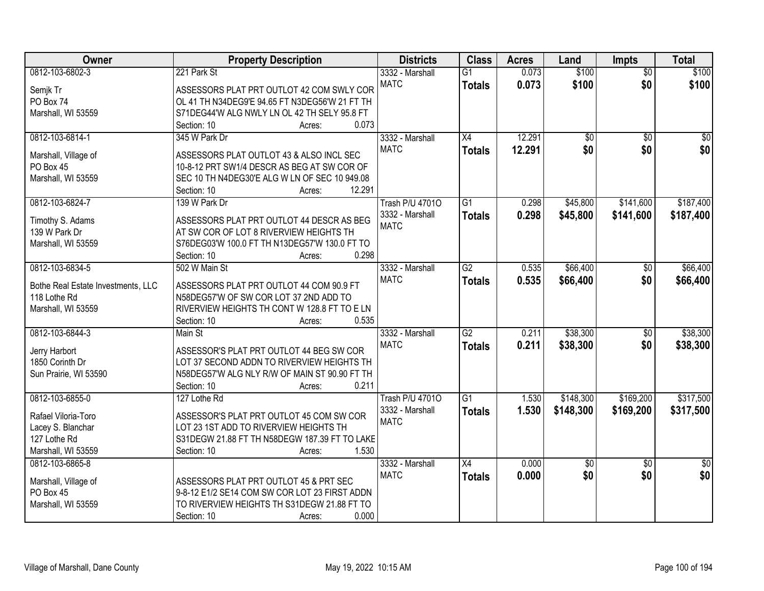| Owner                              | <b>Property Description</b>                    | <b>Districts</b>       | <b>Class</b>    | <b>Acres</b> | Land            | Impts           | <b>Total</b>    |
|------------------------------------|------------------------------------------------|------------------------|-----------------|--------------|-----------------|-----------------|-----------------|
| 0812-103-6802-3                    | 221 Park St                                    | 3332 - Marshall        | $\overline{G1}$ | 0.073        | \$100           | $\overline{50}$ | \$100           |
| Semjk Tr                           | ASSESSORS PLAT PRT OUTLOT 42 COM SWLY COR      | <b>MATC</b>            | <b>Totals</b>   | 0.073        | \$100           | \$0             | \$100           |
| PO Box 74                          | OL 41 TH N34DEG9'E 94.65 FT N3DEG56'W 21 FT TH |                        |                 |              |                 |                 |                 |
| Marshall, WI 53559                 | S71DEG44'W ALG NWLY LN OL 42 TH SELY 95.8 FT   |                        |                 |              |                 |                 |                 |
|                                    | 0.073<br>Section: 10<br>Acres:                 |                        |                 |              |                 |                 |                 |
| 0812-103-6814-1                    | 345 W Park Dr                                  | 3332 - Marshall        | X4              | 12.291       | $\overline{60}$ | $\overline{30}$ | $\overline{50}$ |
|                                    |                                                | <b>MATC</b>            | <b>Totals</b>   | 12.291       | \$0             | \$0             | \$0             |
| Marshall, Village of               | ASSESSORS PLAT OUTLOT 43 & ALSO INCL SEC       |                        |                 |              |                 |                 |                 |
| PO Box 45                          | 10-8-12 PRT SW1/4 DESCR AS BEG AT SW COR OF    |                        |                 |              |                 |                 |                 |
| Marshall, WI 53559                 | SEC 10 TH N4DEG30'E ALG W LN OF SEC 10 949.08  |                        |                 |              |                 |                 |                 |
|                                    | 12.291<br>Section: 10<br>Acres:                |                        |                 |              |                 |                 |                 |
| 0812-103-6824-7                    | 139 W Park Dr                                  | <b>Trash P/U 47010</b> | G1              | 0.298        | \$45,800        | \$141,600       | \$187,400       |
| Timothy S. Adams                   | ASSESSORS PLAT PRT OUTLOT 44 DESCR AS BEG      | 3332 - Marshall        | <b>Totals</b>   | 0.298        | \$45,800        | \$141,600       | \$187,400       |
| 139 W Park Dr                      | AT SW COR OF LOT 8 RIVERVIEW HEIGHTS TH        | <b>MATC</b>            |                 |              |                 |                 |                 |
| Marshall, WI 53559                 | S76DEG03'W 100.0 FT TH N13DEG57'W 130.0 FT TO  |                        |                 |              |                 |                 |                 |
|                                    | 0.298<br>Section: 10<br>Acres:                 |                        |                 |              |                 |                 |                 |
| 0812-103-6834-5                    | 502 W Main St                                  | 3332 - Marshall        | G2              | 0.535        | \$66,400        | \$0             | \$66,400        |
|                                    |                                                | <b>MATC</b>            | <b>Totals</b>   | 0.535        | \$66,400        | \$0             | \$66,400        |
| Bothe Real Estate Investments, LLC | ASSESSORS PLAT PRT OUTLOT 44 COM 90.9 FT       |                        |                 |              |                 |                 |                 |
| 118 Lothe Rd                       | N58DEG57'W OF SW COR LOT 37 2ND ADD TO         |                        |                 |              |                 |                 |                 |
| Marshall, WI 53559                 | RIVERVIEW HEIGHTS TH CONT W 128.8 FT TO E LN   |                        |                 |              |                 |                 |                 |
|                                    | 0.535<br>Section: 10<br>Acres:                 |                        |                 |              |                 |                 |                 |
| 0812-103-6844-3                    | Main St                                        | 3332 - Marshall        | $\overline{G2}$ | 0.211        | \$38,300        | $\overline{50}$ | \$38,300        |
| Jerry Harbort                      | ASSESSOR'S PLAT PRT OUTLOT 44 BEG SW COR       | <b>MATC</b>            | <b>Totals</b>   | 0.211        | \$38,300        | \$0             | \$38,300        |
| 1850 Corinth Dr                    | LOT 37 SECOND ADDN TO RIVERVIEW HEIGHTS TH     |                        |                 |              |                 |                 |                 |
| Sun Prairie, WI 53590              | N58DEG57'W ALG NLY R/W OF MAIN ST 90.90 FT TH  |                        |                 |              |                 |                 |                 |
|                                    | 0.211<br>Section: 10<br>Acres:                 |                        |                 |              |                 |                 |                 |
| 0812-103-6855-0                    | 127 Lothe Rd                                   | <b>Trash P/U 47010</b> | G1              | 1.530        | \$148,300       | \$169,200       | \$317,500       |
|                                    |                                                | 3332 - Marshall        | <b>Totals</b>   | 1.530        | \$148,300       | \$169,200       | \$317,500       |
| Rafael Viloria-Toro                | ASSESSOR'S PLAT PRT OUTLOT 45 COM SW COR       | <b>MATC</b>            |                 |              |                 |                 |                 |
| Lacey S. Blanchar                  | LOT 23 1ST ADD TO RIVERVIEW HEIGHTS TH         |                        |                 |              |                 |                 |                 |
| 127 Lothe Rd                       | S31DEGW 21.88 FT TH N58DEGW 187.39 FT TO LAKE  |                        |                 |              |                 |                 |                 |
| Marshall, WI 53559                 | 1.530<br>Section: 10<br>Acres:                 |                        |                 |              |                 |                 |                 |
| 0812-103-6865-8                    |                                                | 3332 - Marshall        | $\overline{X4}$ | 0.000        | $\sqrt{$0}$     | $\overline{50}$ | $\overline{50}$ |
| Marshall, Village of               | ASSESSORS PLAT PRT OUTLOT 45 & PRT SEC         | <b>MATC</b>            | <b>Totals</b>   | 0.000        | \$0             | \$0             | \$0             |
| PO Box 45                          | 9-8-12 E1/2 SE14 COM SW COR LOT 23 FIRST ADDN  |                        |                 |              |                 |                 |                 |
| Marshall, WI 53559                 | TO RIVERVIEW HEIGHTS TH S31DEGW 21.88 FT TO    |                        |                 |              |                 |                 |                 |
|                                    | 0.000<br>Section: 10<br>Acres:                 |                        |                 |              |                 |                 |                 |
|                                    |                                                |                        |                 |              |                 |                 |                 |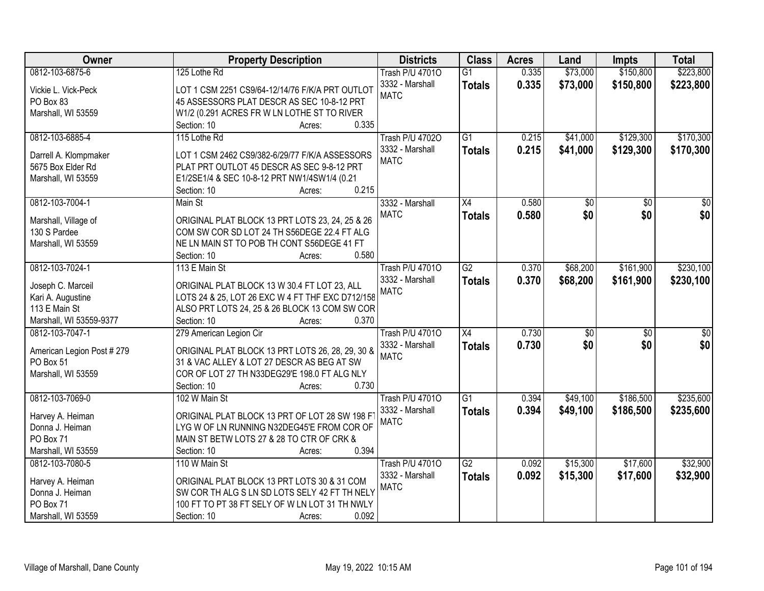| <b>Owner</b>                        | <b>Property Description</b>                                       | <b>Districts</b>       | <b>Class</b>    | <b>Acres</b> | Land            | <b>Impts</b>    | <b>Total</b>    |
|-------------------------------------|-------------------------------------------------------------------|------------------------|-----------------|--------------|-----------------|-----------------|-----------------|
| 0812-103-6875-6                     | 125 Lothe Rd                                                      | <b>Trash P/U 47010</b> | $\overline{G1}$ | 0.335        | \$73,000        | \$150,800       | \$223,800       |
| Vickie L. Vick-Peck                 | LOT 1 CSM 2251 CS9/64-12/14/76 F/K/A PRT OUTLOT                   | 3332 - Marshall        | <b>Totals</b>   | 0.335        | \$73,000        | \$150,800       | \$223,800       |
| PO Box 83                           | 45 ASSESSORS PLAT DESCR AS SEC 10-8-12 PRT                        | <b>MATC</b>            |                 |              |                 |                 |                 |
| Marshall, WI 53559                  | W1/2 (0.291 ACRES FR W LN LOTHE ST TO RIVER                       |                        |                 |              |                 |                 |                 |
|                                     | 0.335<br>Section: 10<br>Acres:                                    |                        |                 |              |                 |                 |                 |
| 0812-103-6885-4                     | 115 Lothe Rd                                                      | <b>Trash P/U 47020</b> | $\overline{G1}$ | 0.215        | \$41,000        | \$129,300       | \$170,300       |
|                                     |                                                                   | 3332 - Marshall        | <b>Totals</b>   | 0.215        | \$41,000        | \$129,300       | \$170,300       |
| Darrell A. Klompmaker               | LOT 1 CSM 2462 CS9/382-6/29/77 F/K/A ASSESSORS                    | <b>MATC</b>            |                 |              |                 |                 |                 |
| 5675 Box Elder Rd                   | PLAT PRT OUTLOT 45 DESCR AS SEC 9-8-12 PRT                        |                        |                 |              |                 |                 |                 |
| Marshall, WI 53559                  | E1/2SE1/4 & SEC 10-8-12 PRT NW1/4SW1/4 (0.21                      |                        |                 |              |                 |                 |                 |
|                                     | 0.215<br>Section: 10<br>Acres:                                    |                        |                 |              |                 |                 |                 |
| 0812-103-7004-1                     | Main St                                                           | 3332 - Marshall        | $\overline{X4}$ | 0.580        | $\overline{50}$ | $\overline{50}$ | $\overline{30}$ |
| Marshall, Village of                | ORIGINAL PLAT BLOCK 13 PRT LOTS 23, 24, 25 & 26                   | <b>MATC</b>            | <b>Totals</b>   | 0.580        | \$0             | \$0             | \$0             |
| 130 S Pardee                        | COM SW COR SD LOT 24 TH S56DEGE 22.4 FT ALG                       |                        |                 |              |                 |                 |                 |
| Marshall, WI 53559                  | NE LN MAIN ST TO POB TH CONT S56DEGE 41 FT                        |                        |                 |              |                 |                 |                 |
|                                     | 0.580<br>Section: 10<br>Acres:                                    |                        |                 |              |                 |                 |                 |
| 0812-103-7024-1                     | 113 E Main St                                                     | <b>Trash P/U 47010</b> | $\overline{G2}$ | 0.370        | \$68,200        | \$161,900       | \$230,100       |
|                                     |                                                                   | 3332 - Marshall        | <b>Totals</b>   | 0.370        | \$68,200        | \$161,900       | \$230,100       |
| Joseph C. Marceil                   | ORIGINAL PLAT BLOCK 13 W 30.4 FT LOT 23, ALL                      | <b>MATC</b>            |                 |              |                 |                 |                 |
| Kari A. Augustine                   | LOTS 24 & 25, LOT 26 EXC W 4 FT THF EXC D712/158                  |                        |                 |              |                 |                 |                 |
| 113 E Main St                       | ALSO PRT LOTS 24, 25 & 26 BLOCK 13 COM SW COR                     |                        |                 |              |                 |                 |                 |
| Marshall, WI 53559-9377             | Section: 10<br>0.370<br>Acres:                                    |                        |                 |              |                 |                 |                 |
| 0812-103-7047-1                     | 279 American Legion Cir                                           | <b>Trash P/U 47010</b> | $\overline{X4}$ | 0.730        | $\overline{50}$ | $\overline{30}$ | $\overline{30}$ |
| American Legion Post # 279          | ORIGINAL PLAT BLOCK 13 PRT LOTS 26, 28, 29, 30 &                  | 3332 - Marshall        | <b>Totals</b>   | 0.730        | \$0             | \$0             | \$0             |
| PO Box 51                           | 31 & VAC ALLEY & LOT 27 DESCR AS BEG AT SW                        | <b>MATC</b>            |                 |              |                 |                 |                 |
| Marshall, WI 53559                  | COR OF LOT 27 TH N33DEG29'E 198.0 FT ALG NLY                      |                        |                 |              |                 |                 |                 |
|                                     | 0.730<br>Section: 10<br>Acres:                                    |                        |                 |              |                 |                 |                 |
| 0812-103-7069-0                     | 102 W Main St                                                     | <b>Trash P/U 47010</b> | $\overline{G1}$ | 0.394        | \$49,100        | \$186,500       | \$235,600       |
|                                     | ORIGINAL PLAT BLOCK 13 PRT OF LOT 28 SW 198 FT                    | 3332 - Marshall        | <b>Totals</b>   | 0.394        | \$49,100        | \$186,500       | \$235,600       |
| Harvey A. Heiman<br>Donna J. Heiman | LYG W OF LN RUNNING N32DEG45'E FROM COR OF                        | <b>MATC</b>            |                 |              |                 |                 |                 |
| PO Box 71                           |                                                                   |                        |                 |              |                 |                 |                 |
| Marshall, WI 53559                  | MAIN ST BETW LOTS 27 & 28 TO CTR OF CRK &<br>0.394<br>Section: 10 |                        |                 |              |                 |                 |                 |
| 0812-103-7080-5                     | Acres:                                                            |                        | G2              | 0.092        | \$15,300        | \$17,600        | \$32,900        |
|                                     | 110 W Main St                                                     | <b>Trash P/U 47010</b> |                 |              |                 |                 |                 |
| Harvey A. Heiman                    | ORIGINAL PLAT BLOCK 13 PRT LOTS 30 & 31 COM                       | 3332 - Marshall        | <b>Totals</b>   | 0.092        | \$15,300        | \$17,600        | \$32,900        |
| Donna J. Heiman                     | SW COR TH ALG S LN SD LOTS SELY 42 FT TH NELY                     | <b>MATC</b>            |                 |              |                 |                 |                 |
| PO Box 71                           | 100 FT TO PT 38 FT SELY OF W LN LOT 31 TH NWLY                    |                        |                 |              |                 |                 |                 |
| Marshall, WI 53559                  | 0.092<br>Section: 10<br>Acres:                                    |                        |                 |              |                 |                 |                 |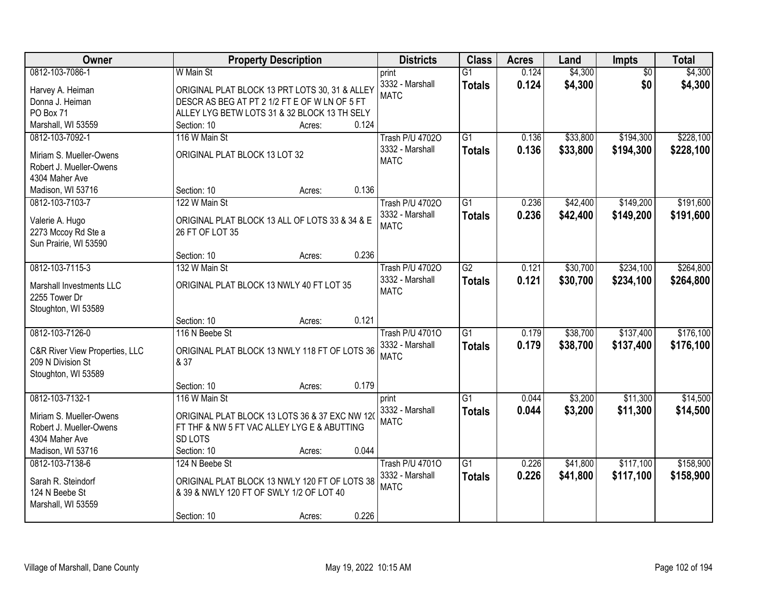| <b>Owner</b>                              | <b>Property Description</b>                    | <b>Districts</b>       | <b>Class</b>    | <b>Acres</b> | Land     | <b>Impts</b>    | <b>Total</b> |
|-------------------------------------------|------------------------------------------------|------------------------|-----------------|--------------|----------|-----------------|--------------|
| 0812-103-7086-1                           | W Main St                                      | print                  | $\overline{G1}$ | 0.124        | \$4,300  | $\overline{50}$ | \$4,300      |
| Harvey A. Heiman                          | ORIGINAL PLAT BLOCK 13 PRT LOTS 30, 31 & ALLEY | 3332 - Marshall        | <b>Totals</b>   | 0.124        | \$4,300  | \$0             | \$4,300      |
| Donna J. Heiman                           | DESCR AS BEG AT PT 2 1/2 FT E OF W LN OF 5 FT  | <b>MATC</b>            |                 |              |          |                 |              |
| PO Box 71                                 | ALLEY LYG BETW LOTS 31 & 32 BLOCK 13 TH SELY   |                        |                 |              |          |                 |              |
| Marshall, WI 53559                        | 0.124<br>Section: 10<br>Acres:                 |                        |                 |              |          |                 |              |
| 0812-103-7092-1                           | 116 W Main St                                  | <b>Trash P/U 47020</b> | $\overline{G1}$ | 0.136        | \$33,800 | \$194,300       | \$228,100    |
| Miriam S. Mueller-Owens                   | ORIGINAL PLAT BLOCK 13 LOT 32                  | 3332 - Marshall        | <b>Totals</b>   | 0.136        | \$33,800 | \$194,300       | \$228,100    |
| Robert J. Mueller-Owens                   |                                                | <b>MATC</b>            |                 |              |          |                 |              |
| 4304 Maher Ave                            |                                                |                        |                 |              |          |                 |              |
| Madison, WI 53716                         | 0.136<br>Section: 10<br>Acres:                 |                        |                 |              |          |                 |              |
| 0812-103-7103-7                           | 122 W Main St                                  | <b>Trash P/U 47020</b> | $\overline{G1}$ | 0.236        | \$42,400 | \$149,200       | \$191,600    |
| Valerie A. Hugo                           | ORIGINAL PLAT BLOCK 13 ALL OF LOTS 33 & 34 & E | 3332 - Marshall        | <b>Totals</b>   | 0.236        | \$42,400 | \$149,200       | \$191,600    |
| 2273 Mccoy Rd Ste a                       | 26 FT OF LOT 35                                | <b>MATC</b>            |                 |              |          |                 |              |
| Sun Prairie, WI 53590                     |                                                |                        |                 |              |          |                 |              |
|                                           | 0.236<br>Section: 10<br>Acres:                 |                        |                 |              |          |                 |              |
| 0812-103-7115-3                           | 132 W Main St                                  | <b>Trash P/U 47020</b> | $\overline{G2}$ | 0.121        | \$30,700 | \$234,100       | \$264,800    |
|                                           |                                                | 3332 - Marshall        | <b>Totals</b>   | 0.121        | \$30,700 | \$234,100       | \$264,800    |
| Marshall Investments LLC<br>2255 Tower Dr | ORIGINAL PLAT BLOCK 13 NWLY 40 FT LOT 35       | <b>MATC</b>            |                 |              |          |                 |              |
| Stoughton, WI 53589                       |                                                |                        |                 |              |          |                 |              |
|                                           | 0.121<br>Section: 10<br>Acres:                 |                        |                 |              |          |                 |              |
| 0812-103-7126-0                           | 116 N Beebe St                                 | <b>Trash P/U 47010</b> | $\overline{G1}$ | 0.179        | \$38,700 | \$137,400       | \$176,100    |
|                                           |                                                | 3332 - Marshall        | <b>Totals</b>   | 0.179        | \$38,700 | \$137,400       | \$176,100    |
| C&R River View Properties, LLC            | ORIGINAL PLAT BLOCK 13 NWLY 118 FT OF LOTS 36  | <b>MATC</b>            |                 |              |          |                 |              |
| 209 N Division St<br>Stoughton, WI 53589  | & 37                                           |                        |                 |              |          |                 |              |
|                                           | 0.179<br>Section: 10<br>Acres:                 |                        |                 |              |          |                 |              |
| 0812-103-7132-1                           | 116 W Main St                                  | print                  | $\overline{G1}$ | 0.044        | \$3,200  | \$11,300        | \$14,500     |
|                                           |                                                | 3332 - Marshall        | <b>Totals</b>   | 0.044        | \$3,200  | \$11,300        | \$14,500     |
| Miriam S. Mueller-Owens                   | ORIGINAL PLAT BLOCK 13 LOTS 36 & 37 EXC NW 120 | <b>MATC</b>            |                 |              |          |                 |              |
| Robert J. Mueller-Owens                   | FT THF & NW 5 FT VAC ALLEY LYG E & ABUTTING    |                        |                 |              |          |                 |              |
| 4304 Maher Ave                            | SD LOTS<br>0.044                               |                        |                 |              |          |                 |              |
| Madison, WI 53716<br>0812-103-7138-6      | Section: 10<br>Acres:<br>124 N Beebe St        | <b>Trash P/U 47010</b> | $\overline{G1}$ | 0.226        | \$41,800 | \$117,100       | \$158,900    |
|                                           |                                                | 3332 - Marshall        |                 | 0.226        | \$41,800 | \$117,100       | \$158,900    |
| Sarah R. Steindorf                        | ORIGINAL PLAT BLOCK 13 NWLY 120 FT OF LOTS 38  | <b>MATC</b>            | <b>Totals</b>   |              |          |                 |              |
| 124 N Beebe St                            | & 39 & NWLY 120 FT OF SWLY 1/2 OF LOT 40       |                        |                 |              |          |                 |              |
| Marshall, WI 53559                        |                                                |                        |                 |              |          |                 |              |
|                                           | 0.226<br>Section: 10<br>Acres:                 |                        |                 |              |          |                 |              |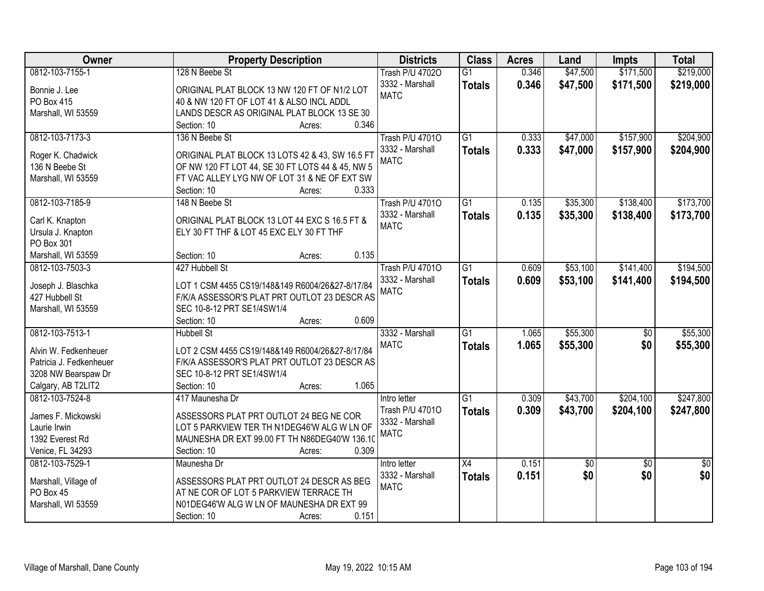| Owner                   | <b>Property Description</b>                      | <b>Districts</b>       | <b>Class</b>    | <b>Acres</b> | Land            | <b>Impts</b>    | <b>Total</b>    |
|-------------------------|--------------------------------------------------|------------------------|-----------------|--------------|-----------------|-----------------|-----------------|
| 0812-103-7155-1         | 128 N Beebe St                                   | <b>Trash P/U 47020</b> | $\overline{G1}$ | 0.346        | \$47,500        | \$171,500       | \$219,000       |
| Bonnie J. Lee           | ORIGINAL PLAT BLOCK 13 NW 120 FT OF N1/2 LOT     | 3332 - Marshall        | <b>Totals</b>   | 0.346        | \$47,500        | \$171,500       | \$219,000       |
| PO Box 415              | 40 & NW 120 FT OF LOT 41 & ALSO INCL ADDL        | <b>MATC</b>            |                 |              |                 |                 |                 |
| Marshall, WI 53559      | LANDS DESCR AS ORIGINAL PLAT BLOCK 13 SE 30      |                        |                 |              |                 |                 |                 |
|                         | 0.346<br>Section: 10<br>Acres:                   |                        |                 |              |                 |                 |                 |
| 0812-103-7173-3         | 136 N Beebe St                                   | <b>Trash P/U 47010</b> | $\overline{G1}$ | 0.333        | \$47,000        | \$157,900       | \$204,900       |
|                         |                                                  | 3332 - Marshall        | <b>Totals</b>   | 0.333        | \$47,000        | \$157,900       | \$204,900       |
| Roger K. Chadwick       | ORIGINAL PLAT BLOCK 13 LOTS 42 & 43, SW 16.5 FT  | <b>MATC</b>            |                 |              |                 |                 |                 |
| 136 N Beebe St          | OF NW 120 FT LOT 44, SE 30 FT LOTS 44 & 45, NW 5 |                        |                 |              |                 |                 |                 |
| Marshall, WI 53559      | FT VAC ALLEY LYG NW OF LOT 31 & NE OF EXT SW     |                        |                 |              |                 |                 |                 |
|                         | 0.333<br>Section: 10<br>Acres:                   |                        |                 |              |                 |                 |                 |
| 0812-103-7185-9         | 148 N Beebe St                                   | <b>Trash P/U 47010</b> | $\overline{G1}$ | 0.135        | \$35,300        | \$138,400       | \$173,700       |
| Carl K. Knapton         | ORIGINAL PLAT BLOCK 13 LOT 44 EXC S 16.5 FT &    | 3332 - Marshall        | <b>Totals</b>   | 0.135        | \$35,300        | \$138,400       | \$173,700       |
| Ursula J. Knapton       | ELY 30 FT THF & LOT 45 EXC ELY 30 FT THF         | <b>MATC</b>            |                 |              |                 |                 |                 |
| PO Box 301              |                                                  |                        |                 |              |                 |                 |                 |
| Marshall, WI 53559      | 0.135<br>Section: 10<br>Acres:                   |                        |                 |              |                 |                 |                 |
| 0812-103-7503-3         | 427 Hubbell St                                   | <b>Trash P/U 47010</b> | $\overline{G1}$ | 0.609        | \$53,100        | \$141,400       | \$194,500       |
|                         |                                                  | 3332 - Marshall        | <b>Totals</b>   | 0.609        | \$53,100        | \$141,400       | \$194,500       |
| Joseph J. Blaschka      | LOT 1 CSM 4455 CS19/148&149 R6004/26&27-8/17/84  | <b>MATC</b>            |                 |              |                 |                 |                 |
| 427 Hubbell St          | F/K/A ASSESSOR'S PLAT PRT OUTLOT 23 DESCR AS     |                        |                 |              |                 |                 |                 |
| Marshall, WI 53559      | SEC 10-8-12 PRT SE1/4SW1/4                       |                        |                 |              |                 |                 |                 |
|                         | 0.609<br>Section: 10<br>Acres:                   |                        |                 |              |                 |                 |                 |
| 0812-103-7513-1         | <b>Hubbell St</b>                                | 3332 - Marshall        | $\overline{G1}$ | 1.065        | \$55,300        | $\overline{50}$ | \$55,300        |
| Alvin W. Fedkenheuer    | LOT 2 CSM 4455 CS19/148&149 R6004/26&27-8/17/84  | <b>MATC</b>            | <b>Totals</b>   | 1.065        | \$55,300        | \$0             | \$55,300        |
| Patricia J. Fedkenheuer | F/K/A ASSESSOR'S PLAT PRT OUTLOT 23 DESCR AS     |                        |                 |              |                 |                 |                 |
| 3208 NW Bearspaw Dr     | SEC 10-8-12 PRT SE1/4SW1/4                       |                        |                 |              |                 |                 |                 |
| Calgary, AB T2LIT2      | 1.065<br>Section: 10<br>Acres:                   |                        |                 |              |                 |                 |                 |
| 0812-103-7524-8         | 417 Maunesha Dr                                  | Intro letter           | $\overline{G1}$ | 0.309        | \$43,700        | \$204,100       | \$247,800       |
|                         |                                                  | Trash P/U 47010        |                 |              |                 |                 |                 |
| James F. Mickowski      | ASSESSORS PLAT PRT OUTLOT 24 BEG NE COR          | 3332 - Marshall        | <b>Totals</b>   | 0.309        | \$43,700        | \$204,100       | \$247,800       |
| Laurie Irwin            | LOT 5 PARKVIEW TER TH N1DEG46'W ALG W LN OF      | <b>MATC</b>            |                 |              |                 |                 |                 |
| 1392 Everest Rd         | MAUNESHA DR EXT 99.00 FT TH N86DEG40'W 136.10    |                        |                 |              |                 |                 |                 |
| Venice, FL 34293        | 0.309<br>Section: 10<br>Acres:                   |                        |                 |              |                 |                 |                 |
| 0812-103-7529-1         | Maunesha Dr                                      | Intro letter           | $\overline{X4}$ | 0.151        | $\overline{50}$ | $\overline{30}$ | $\overline{50}$ |
| Marshall, Village of    | ASSESSORS PLAT PRT OUTLOT 24 DESCR AS BEG        | 3332 - Marshall        | <b>Totals</b>   | 0.151        | \$0             | \$0             | \$0             |
| PO Box 45               | AT NE COR OF LOT 5 PARKVIEW TERRACE TH           | <b>MATC</b>            |                 |              |                 |                 |                 |
| Marshall, WI 53559      | N01DEG46'W ALG W LN OF MAUNESHA DR EXT 99        |                        |                 |              |                 |                 |                 |
|                         | 0.151<br>Section: 10<br>Acres:                   |                        |                 |              |                 |                 |                 |
|                         |                                                  |                        |                 |              |                 |                 |                 |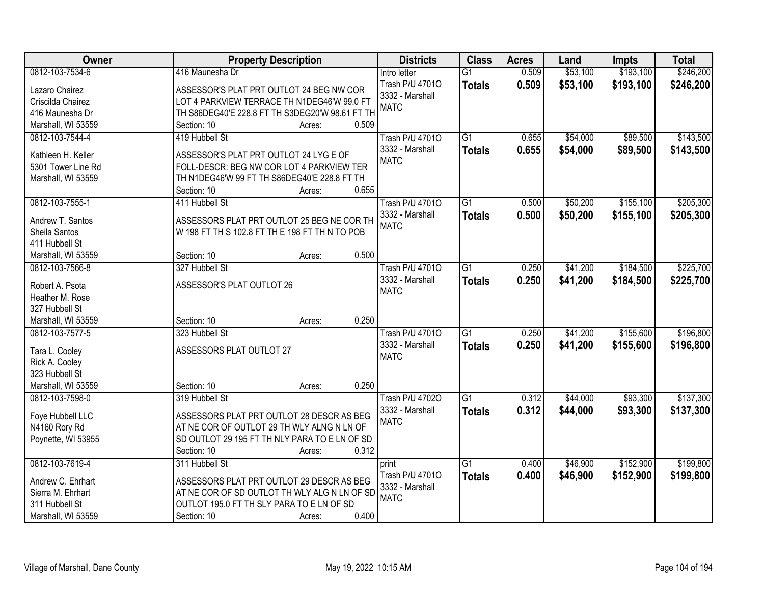| \$53,100<br>\$193,100<br>\$246,200<br>0812-103-7534-6<br>416 Maunesha Dr<br>0.509<br>$\overline{G1}$<br>Intro letter<br>Trash P/U 47010<br>0.509<br>\$53,100<br>\$193,100<br>\$246,200<br><b>Totals</b><br>Lazaro Chairez<br>ASSESSOR'S PLAT PRT OUTLOT 24 BEG NW COR<br>3332 - Marshall<br>LOT 4 PARKVIEW TERRACE TH N1DEG46'W 99.0 FT<br>Criscilda Chairez<br><b>MATC</b><br>416 Maunesha Dr<br>TH S86DEG40'E 228.8 FT TH S3DEG20'W 98.61 FT TH<br>Marshall, WI 53559<br>0.509<br>Section: 10<br>Acres:<br>0812-103-7544-4<br>419 Hubbell St<br>$\overline{G1}$<br>\$54,000<br>\$89,500<br><b>Trash P/U 47010</b><br>0.655<br>0.655<br>3332 - Marshall<br>\$54,000<br>\$89,500<br>\$143,500<br><b>Totals</b><br>Kathleen H. Keller<br>ASSESSOR'S PLAT PRT OUTLOT 24 LYG E OF<br><b>MATC</b><br>FOLL-DESCR: BEG NW COR LOT 4 PARKVIEW TER<br>5301 Tower Line Rd<br>Marshall, WI 53559<br>TH N1DEG46'W 99 FT TH S86DEG40'E 228.8 FT TH<br>0.655<br>Section: 10<br>Acres:<br>\$155,100<br>0812-103-7555-1<br>G1<br>\$50,200<br>411 Hubbell St<br><b>Trash P/U 47010</b><br>0.500<br>3332 - Marshall<br>\$50,200<br>\$155,100<br>0.500<br><b>Totals</b><br>ASSESSORS PLAT PRT OUTLOT 25 BEG NE COR TH<br>Andrew T. Santos<br><b>MATC</b><br>W 198 FT TH S 102.8 FT TH E 198 FT TH N TO POB<br>Sheila Santos<br>411 Hubbell St<br>0.500<br>Marshall, WI 53559<br>Section: 10<br>Acres:<br>0812-103-7566-8<br>327 Hubbell St<br>$\overline{G1}$<br>\$41,200<br>\$184,500<br><b>Trash P/U 47010</b><br>0.250<br>3332 - Marshall<br>0.250<br>\$41,200<br>\$184,500<br><b>Totals</b><br>ASSESSOR'S PLAT OUTLOT 26<br>Robert A. Psota<br><b>MATC</b><br>Heather M. Rose<br>327 Hubbell St<br>0.250<br>Marshall, WI 53559<br>Section: 10<br>Acres:<br>$\overline{G1}$<br>0.250<br>\$41,200<br>\$155,600<br>0812-103-7577-5<br>323 Hubbell St<br><b>Trash P/U 47010</b><br>0.250<br>\$196,800<br>3332 - Marshall<br>\$41,200<br>\$155,600<br><b>Totals</b><br>ASSESSORS PLAT OUTLOT 27<br>Tara L. Cooley<br><b>MATC</b><br>Rick A. Cooley<br>323 Hubbell St<br>Marshall, WI 53559<br>0.250<br>Section: 10<br>Acres:<br>$\overline{G1}$<br>\$44,000<br>\$93,300<br>0812-103-7598-0<br>319 Hubbell St<br><b>Trash P/U 47020</b><br>0.312<br>3332 - Marshall<br>0.312<br>\$44,000<br>\$93,300<br><b>Totals</b><br>ASSESSORS PLAT PRT OUTLOT 28 DESCR AS BEG<br>Foye Hubbell LLC<br><b>MATC</b><br>N4160 Rory Rd<br>AT NE COR OF OUTLOT 29 TH WLY ALNG N LN OF<br>SD OUTLOT 29 195 FT TH NLY PARA TO E LN OF SD<br>Poynette, WI 53955<br>0.312<br>Section: 10<br>Acres:<br>\$152,900<br>0812-103-7619-4<br>311 Hubbell St<br>$\overline{G1}$<br>\$46,900<br>0.400<br>print<br>0.400<br>Trash P/U 47010<br>\$46,900<br>\$152,900<br>\$199,800<br><b>Totals</b><br>ASSESSORS PLAT PRT OUTLOT 29 DESCR AS BEG<br>Andrew C. Ehrhart<br>3332 - Marshall<br>AT NE COR OF SD OUTLOT TH WLY ALG N LN OF SD<br>Sierra M. Ehrhart<br><b>MATC</b><br>311 Hubbell St<br>OUTLOT 195.0 FT TH SLY PARA TO E LN OF SD | Owner | <b>Property Description</b> | <b>Districts</b> | <b>Class</b> | <b>Acres</b> | Land | Impts | <b>Total</b> |
|-----------------------------------------------------------------------------------------------------------------------------------------------------------------------------------------------------------------------------------------------------------------------------------------------------------------------------------------------------------------------------------------------------------------------------------------------------------------------------------------------------------------------------------------------------------------------------------------------------------------------------------------------------------------------------------------------------------------------------------------------------------------------------------------------------------------------------------------------------------------------------------------------------------------------------------------------------------------------------------------------------------------------------------------------------------------------------------------------------------------------------------------------------------------------------------------------------------------------------------------------------------------------------------------------------------------------------------------------------------------------------------------------------------------------------------------------------------------------------------------------------------------------------------------------------------------------------------------------------------------------------------------------------------------------------------------------------------------------------------------------------------------------------------------------------------------------------------------------------------------------------------------------------------------------------------------------------------------------------------------------------------------------------------------------------------------------------------------------------------------------------------------------------------------------------------------------------------------------------------------------------------------------------------------------------------------------------------------------------------------------------------------------------------------------------------------------------------------------------------------------------------------------------------------------------------------------------------------------------------------------------------------------------------------------------------------------------------------------------------------------------------------------------------------------------------------------------------------------------------------------------------------------------------------------------------------------------------------------------------------|-------|-----------------------------|------------------|--------------|--------------|------|-------|--------------|
|                                                                                                                                                                                                                                                                                                                                                                                                                                                                                                                                                                                                                                                                                                                                                                                                                                                                                                                                                                                                                                                                                                                                                                                                                                                                                                                                                                                                                                                                                                                                                                                                                                                                                                                                                                                                                                                                                                                                                                                                                                                                                                                                                                                                                                                                                                                                                                                                                                                                                                                                                                                                                                                                                                                                                                                                                                                                                                                                                                                         |       |                             |                  |              |              |      |       |              |
| \$143,500<br>\$205,300<br>\$205,300<br>\$225,700<br>\$225,700<br>\$196,800<br>\$137,300<br>\$137,300<br>\$199,800                                                                                                                                                                                                                                                                                                                                                                                                                                                                                                                                                                                                                                                                                                                                                                                                                                                                                                                                                                                                                                                                                                                                                                                                                                                                                                                                                                                                                                                                                                                                                                                                                                                                                                                                                                                                                                                                                                                                                                                                                                                                                                                                                                                                                                                                                                                                                                                                                                                                                                                                                                                                                                                                                                                                                                                                                                                                       |       |                             |                  |              |              |      |       |              |
|                                                                                                                                                                                                                                                                                                                                                                                                                                                                                                                                                                                                                                                                                                                                                                                                                                                                                                                                                                                                                                                                                                                                                                                                                                                                                                                                                                                                                                                                                                                                                                                                                                                                                                                                                                                                                                                                                                                                                                                                                                                                                                                                                                                                                                                                                                                                                                                                                                                                                                                                                                                                                                                                                                                                                                                                                                                                                                                                                                                         |       |                             |                  |              |              |      |       |              |
|                                                                                                                                                                                                                                                                                                                                                                                                                                                                                                                                                                                                                                                                                                                                                                                                                                                                                                                                                                                                                                                                                                                                                                                                                                                                                                                                                                                                                                                                                                                                                                                                                                                                                                                                                                                                                                                                                                                                                                                                                                                                                                                                                                                                                                                                                                                                                                                                                                                                                                                                                                                                                                                                                                                                                                                                                                                                                                                                                                                         |       |                             |                  |              |              |      |       |              |
|                                                                                                                                                                                                                                                                                                                                                                                                                                                                                                                                                                                                                                                                                                                                                                                                                                                                                                                                                                                                                                                                                                                                                                                                                                                                                                                                                                                                                                                                                                                                                                                                                                                                                                                                                                                                                                                                                                                                                                                                                                                                                                                                                                                                                                                                                                                                                                                                                                                                                                                                                                                                                                                                                                                                                                                                                                                                                                                                                                                         |       |                             |                  |              |              |      |       |              |
|                                                                                                                                                                                                                                                                                                                                                                                                                                                                                                                                                                                                                                                                                                                                                                                                                                                                                                                                                                                                                                                                                                                                                                                                                                                                                                                                                                                                                                                                                                                                                                                                                                                                                                                                                                                                                                                                                                                                                                                                                                                                                                                                                                                                                                                                                                                                                                                                                                                                                                                                                                                                                                                                                                                                                                                                                                                                                                                                                                                         |       |                             |                  |              |              |      |       |              |
|                                                                                                                                                                                                                                                                                                                                                                                                                                                                                                                                                                                                                                                                                                                                                                                                                                                                                                                                                                                                                                                                                                                                                                                                                                                                                                                                                                                                                                                                                                                                                                                                                                                                                                                                                                                                                                                                                                                                                                                                                                                                                                                                                                                                                                                                                                                                                                                                                                                                                                                                                                                                                                                                                                                                                                                                                                                                                                                                                                                         |       |                             |                  |              |              |      |       |              |
|                                                                                                                                                                                                                                                                                                                                                                                                                                                                                                                                                                                                                                                                                                                                                                                                                                                                                                                                                                                                                                                                                                                                                                                                                                                                                                                                                                                                                                                                                                                                                                                                                                                                                                                                                                                                                                                                                                                                                                                                                                                                                                                                                                                                                                                                                                                                                                                                                                                                                                                                                                                                                                                                                                                                                                                                                                                                                                                                                                                         |       |                             |                  |              |              |      |       |              |
|                                                                                                                                                                                                                                                                                                                                                                                                                                                                                                                                                                                                                                                                                                                                                                                                                                                                                                                                                                                                                                                                                                                                                                                                                                                                                                                                                                                                                                                                                                                                                                                                                                                                                                                                                                                                                                                                                                                                                                                                                                                                                                                                                                                                                                                                                                                                                                                                                                                                                                                                                                                                                                                                                                                                                                                                                                                                                                                                                                                         |       |                             |                  |              |              |      |       |              |
|                                                                                                                                                                                                                                                                                                                                                                                                                                                                                                                                                                                                                                                                                                                                                                                                                                                                                                                                                                                                                                                                                                                                                                                                                                                                                                                                                                                                                                                                                                                                                                                                                                                                                                                                                                                                                                                                                                                                                                                                                                                                                                                                                                                                                                                                                                                                                                                                                                                                                                                                                                                                                                                                                                                                                                                                                                                                                                                                                                                         |       |                             |                  |              |              |      |       |              |
|                                                                                                                                                                                                                                                                                                                                                                                                                                                                                                                                                                                                                                                                                                                                                                                                                                                                                                                                                                                                                                                                                                                                                                                                                                                                                                                                                                                                                                                                                                                                                                                                                                                                                                                                                                                                                                                                                                                                                                                                                                                                                                                                                                                                                                                                                                                                                                                                                                                                                                                                                                                                                                                                                                                                                                                                                                                                                                                                                                                         |       |                             |                  |              |              |      |       |              |
|                                                                                                                                                                                                                                                                                                                                                                                                                                                                                                                                                                                                                                                                                                                                                                                                                                                                                                                                                                                                                                                                                                                                                                                                                                                                                                                                                                                                                                                                                                                                                                                                                                                                                                                                                                                                                                                                                                                                                                                                                                                                                                                                                                                                                                                                                                                                                                                                                                                                                                                                                                                                                                                                                                                                                                                                                                                                                                                                                                                         |       |                             |                  |              |              |      |       |              |
|                                                                                                                                                                                                                                                                                                                                                                                                                                                                                                                                                                                                                                                                                                                                                                                                                                                                                                                                                                                                                                                                                                                                                                                                                                                                                                                                                                                                                                                                                                                                                                                                                                                                                                                                                                                                                                                                                                                                                                                                                                                                                                                                                                                                                                                                                                                                                                                                                                                                                                                                                                                                                                                                                                                                                                                                                                                                                                                                                                                         |       |                             |                  |              |              |      |       |              |
|                                                                                                                                                                                                                                                                                                                                                                                                                                                                                                                                                                                                                                                                                                                                                                                                                                                                                                                                                                                                                                                                                                                                                                                                                                                                                                                                                                                                                                                                                                                                                                                                                                                                                                                                                                                                                                                                                                                                                                                                                                                                                                                                                                                                                                                                                                                                                                                                                                                                                                                                                                                                                                                                                                                                                                                                                                                                                                                                                                                         |       |                             |                  |              |              |      |       |              |
|                                                                                                                                                                                                                                                                                                                                                                                                                                                                                                                                                                                                                                                                                                                                                                                                                                                                                                                                                                                                                                                                                                                                                                                                                                                                                                                                                                                                                                                                                                                                                                                                                                                                                                                                                                                                                                                                                                                                                                                                                                                                                                                                                                                                                                                                                                                                                                                                                                                                                                                                                                                                                                                                                                                                                                                                                                                                                                                                                                                         |       |                             |                  |              |              |      |       |              |
|                                                                                                                                                                                                                                                                                                                                                                                                                                                                                                                                                                                                                                                                                                                                                                                                                                                                                                                                                                                                                                                                                                                                                                                                                                                                                                                                                                                                                                                                                                                                                                                                                                                                                                                                                                                                                                                                                                                                                                                                                                                                                                                                                                                                                                                                                                                                                                                                                                                                                                                                                                                                                                                                                                                                                                                                                                                                                                                                                                                         |       |                             |                  |              |              |      |       |              |
|                                                                                                                                                                                                                                                                                                                                                                                                                                                                                                                                                                                                                                                                                                                                                                                                                                                                                                                                                                                                                                                                                                                                                                                                                                                                                                                                                                                                                                                                                                                                                                                                                                                                                                                                                                                                                                                                                                                                                                                                                                                                                                                                                                                                                                                                                                                                                                                                                                                                                                                                                                                                                                                                                                                                                                                                                                                                                                                                                                                         |       |                             |                  |              |              |      |       |              |
|                                                                                                                                                                                                                                                                                                                                                                                                                                                                                                                                                                                                                                                                                                                                                                                                                                                                                                                                                                                                                                                                                                                                                                                                                                                                                                                                                                                                                                                                                                                                                                                                                                                                                                                                                                                                                                                                                                                                                                                                                                                                                                                                                                                                                                                                                                                                                                                                                                                                                                                                                                                                                                                                                                                                                                                                                                                                                                                                                                                         |       |                             |                  |              |              |      |       |              |
|                                                                                                                                                                                                                                                                                                                                                                                                                                                                                                                                                                                                                                                                                                                                                                                                                                                                                                                                                                                                                                                                                                                                                                                                                                                                                                                                                                                                                                                                                                                                                                                                                                                                                                                                                                                                                                                                                                                                                                                                                                                                                                                                                                                                                                                                                                                                                                                                                                                                                                                                                                                                                                                                                                                                                                                                                                                                                                                                                                                         |       |                             |                  |              |              |      |       |              |
|                                                                                                                                                                                                                                                                                                                                                                                                                                                                                                                                                                                                                                                                                                                                                                                                                                                                                                                                                                                                                                                                                                                                                                                                                                                                                                                                                                                                                                                                                                                                                                                                                                                                                                                                                                                                                                                                                                                                                                                                                                                                                                                                                                                                                                                                                                                                                                                                                                                                                                                                                                                                                                                                                                                                                                                                                                                                                                                                                                                         |       |                             |                  |              |              |      |       |              |
|                                                                                                                                                                                                                                                                                                                                                                                                                                                                                                                                                                                                                                                                                                                                                                                                                                                                                                                                                                                                                                                                                                                                                                                                                                                                                                                                                                                                                                                                                                                                                                                                                                                                                                                                                                                                                                                                                                                                                                                                                                                                                                                                                                                                                                                                                                                                                                                                                                                                                                                                                                                                                                                                                                                                                                                                                                                                                                                                                                                         |       |                             |                  |              |              |      |       |              |
|                                                                                                                                                                                                                                                                                                                                                                                                                                                                                                                                                                                                                                                                                                                                                                                                                                                                                                                                                                                                                                                                                                                                                                                                                                                                                                                                                                                                                                                                                                                                                                                                                                                                                                                                                                                                                                                                                                                                                                                                                                                                                                                                                                                                                                                                                                                                                                                                                                                                                                                                                                                                                                                                                                                                                                                                                                                                                                                                                                                         |       |                             |                  |              |              |      |       |              |
|                                                                                                                                                                                                                                                                                                                                                                                                                                                                                                                                                                                                                                                                                                                                                                                                                                                                                                                                                                                                                                                                                                                                                                                                                                                                                                                                                                                                                                                                                                                                                                                                                                                                                                                                                                                                                                                                                                                                                                                                                                                                                                                                                                                                                                                                                                                                                                                                                                                                                                                                                                                                                                                                                                                                                                                                                                                                                                                                                                                         |       |                             |                  |              |              |      |       |              |
|                                                                                                                                                                                                                                                                                                                                                                                                                                                                                                                                                                                                                                                                                                                                                                                                                                                                                                                                                                                                                                                                                                                                                                                                                                                                                                                                                                                                                                                                                                                                                                                                                                                                                                                                                                                                                                                                                                                                                                                                                                                                                                                                                                                                                                                                                                                                                                                                                                                                                                                                                                                                                                                                                                                                                                                                                                                                                                                                                                                         |       |                             |                  |              |              |      |       |              |
|                                                                                                                                                                                                                                                                                                                                                                                                                                                                                                                                                                                                                                                                                                                                                                                                                                                                                                                                                                                                                                                                                                                                                                                                                                                                                                                                                                                                                                                                                                                                                                                                                                                                                                                                                                                                                                                                                                                                                                                                                                                                                                                                                                                                                                                                                                                                                                                                                                                                                                                                                                                                                                                                                                                                                                                                                                                                                                                                                                                         |       |                             |                  |              |              |      |       |              |
|                                                                                                                                                                                                                                                                                                                                                                                                                                                                                                                                                                                                                                                                                                                                                                                                                                                                                                                                                                                                                                                                                                                                                                                                                                                                                                                                                                                                                                                                                                                                                                                                                                                                                                                                                                                                                                                                                                                                                                                                                                                                                                                                                                                                                                                                                                                                                                                                                                                                                                                                                                                                                                                                                                                                                                                                                                                                                                                                                                                         |       |                             |                  |              |              |      |       |              |
|                                                                                                                                                                                                                                                                                                                                                                                                                                                                                                                                                                                                                                                                                                                                                                                                                                                                                                                                                                                                                                                                                                                                                                                                                                                                                                                                                                                                                                                                                                                                                                                                                                                                                                                                                                                                                                                                                                                                                                                                                                                                                                                                                                                                                                                                                                                                                                                                                                                                                                                                                                                                                                                                                                                                                                                                                                                                                                                                                                                         |       |                             |                  |              |              |      |       |              |
|                                                                                                                                                                                                                                                                                                                                                                                                                                                                                                                                                                                                                                                                                                                                                                                                                                                                                                                                                                                                                                                                                                                                                                                                                                                                                                                                                                                                                                                                                                                                                                                                                                                                                                                                                                                                                                                                                                                                                                                                                                                                                                                                                                                                                                                                                                                                                                                                                                                                                                                                                                                                                                                                                                                                                                                                                                                                                                                                                                                         |       |                             |                  |              |              |      |       |              |
|                                                                                                                                                                                                                                                                                                                                                                                                                                                                                                                                                                                                                                                                                                                                                                                                                                                                                                                                                                                                                                                                                                                                                                                                                                                                                                                                                                                                                                                                                                                                                                                                                                                                                                                                                                                                                                                                                                                                                                                                                                                                                                                                                                                                                                                                                                                                                                                                                                                                                                                                                                                                                                                                                                                                                                                                                                                                                                                                                                                         |       |                             |                  |              |              |      |       |              |
|                                                                                                                                                                                                                                                                                                                                                                                                                                                                                                                                                                                                                                                                                                                                                                                                                                                                                                                                                                                                                                                                                                                                                                                                                                                                                                                                                                                                                                                                                                                                                                                                                                                                                                                                                                                                                                                                                                                                                                                                                                                                                                                                                                                                                                                                                                                                                                                                                                                                                                                                                                                                                                                                                                                                                                                                                                                                                                                                                                                         |       |                             |                  |              |              |      |       |              |
|                                                                                                                                                                                                                                                                                                                                                                                                                                                                                                                                                                                                                                                                                                                                                                                                                                                                                                                                                                                                                                                                                                                                                                                                                                                                                                                                                                                                                                                                                                                                                                                                                                                                                                                                                                                                                                                                                                                                                                                                                                                                                                                                                                                                                                                                                                                                                                                                                                                                                                                                                                                                                                                                                                                                                                                                                                                                                                                                                                                         |       |                             |                  |              |              |      |       |              |
|                                                                                                                                                                                                                                                                                                                                                                                                                                                                                                                                                                                                                                                                                                                                                                                                                                                                                                                                                                                                                                                                                                                                                                                                                                                                                                                                                                                                                                                                                                                                                                                                                                                                                                                                                                                                                                                                                                                                                                                                                                                                                                                                                                                                                                                                                                                                                                                                                                                                                                                                                                                                                                                                                                                                                                                                                                                                                                                                                                                         |       |                             |                  |              |              |      |       |              |
|                                                                                                                                                                                                                                                                                                                                                                                                                                                                                                                                                                                                                                                                                                                                                                                                                                                                                                                                                                                                                                                                                                                                                                                                                                                                                                                                                                                                                                                                                                                                                                                                                                                                                                                                                                                                                                                                                                                                                                                                                                                                                                                                                                                                                                                                                                                                                                                                                                                                                                                                                                                                                                                                                                                                                                                                                                                                                                                                                                                         |       |                             |                  |              |              |      |       |              |
|                                                                                                                                                                                                                                                                                                                                                                                                                                                                                                                                                                                                                                                                                                                                                                                                                                                                                                                                                                                                                                                                                                                                                                                                                                                                                                                                                                                                                                                                                                                                                                                                                                                                                                                                                                                                                                                                                                                                                                                                                                                                                                                                                                                                                                                                                                                                                                                                                                                                                                                                                                                                                                                                                                                                                                                                                                                                                                                                                                                         |       |                             |                  |              |              |      |       |              |
|                                                                                                                                                                                                                                                                                                                                                                                                                                                                                                                                                                                                                                                                                                                                                                                                                                                                                                                                                                                                                                                                                                                                                                                                                                                                                                                                                                                                                                                                                                                                                                                                                                                                                                                                                                                                                                                                                                                                                                                                                                                                                                                                                                                                                                                                                                                                                                                                                                                                                                                                                                                                                                                                                                                                                                                                                                                                                                                                                                                         |       |                             |                  |              |              |      |       |              |
|                                                                                                                                                                                                                                                                                                                                                                                                                                                                                                                                                                                                                                                                                                                                                                                                                                                                                                                                                                                                                                                                                                                                                                                                                                                                                                                                                                                                                                                                                                                                                                                                                                                                                                                                                                                                                                                                                                                                                                                                                                                                                                                                                                                                                                                                                                                                                                                                                                                                                                                                                                                                                                                                                                                                                                                                                                                                                                                                                                                         |       |                             |                  |              |              |      |       |              |
|                                                                                                                                                                                                                                                                                                                                                                                                                                                                                                                                                                                                                                                                                                                                                                                                                                                                                                                                                                                                                                                                                                                                                                                                                                                                                                                                                                                                                                                                                                                                                                                                                                                                                                                                                                                                                                                                                                                                                                                                                                                                                                                                                                                                                                                                                                                                                                                                                                                                                                                                                                                                                                                                                                                                                                                                                                                                                                                                                                                         |       |                             |                  |              |              |      |       |              |
| 0.400<br>Marshall, WI 53559<br>Section: 10<br>Acres:                                                                                                                                                                                                                                                                                                                                                                                                                                                                                                                                                                                                                                                                                                                                                                                                                                                                                                                                                                                                                                                                                                                                                                                                                                                                                                                                                                                                                                                                                                                                                                                                                                                                                                                                                                                                                                                                                                                                                                                                                                                                                                                                                                                                                                                                                                                                                                                                                                                                                                                                                                                                                                                                                                                                                                                                                                                                                                                                    |       |                             |                  |              |              |      |       |              |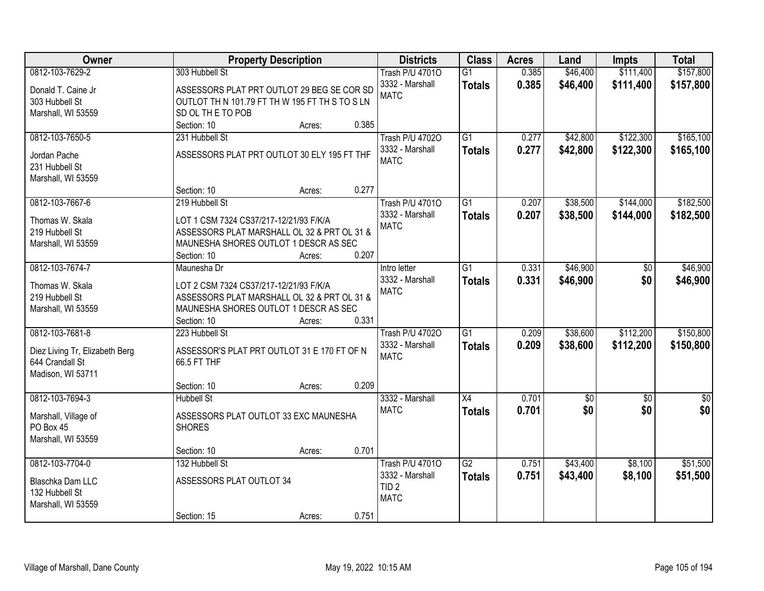| <b>Owner</b>                   | <b>Property Description</b>                    |        |       | <b>Districts</b>                | <b>Class</b>    | <b>Acres</b> | Land       | <b>Impts</b>    | <b>Total</b>     |
|--------------------------------|------------------------------------------------|--------|-------|---------------------------------|-----------------|--------------|------------|-----------------|------------------|
| 0812-103-7629-2                | 303 Hubbell St                                 |        |       | <b>Trash P/U 47010</b>          | $\overline{G1}$ | 0.385        | \$46,400   | \$111,400       | \$157,800        |
| Donald T. Caine Jr             | ASSESSORS PLAT PRT OUTLOT 29 BEG SE COR SD     |        |       | 3332 - Marshall                 | <b>Totals</b>   | 0.385        | \$46,400   | \$111,400       | \$157,800        |
| 303 Hubbell St                 | OUTLOT TH N 101.79 FT TH W 195 FT TH S TO S LN |        |       | <b>MATC</b>                     |                 |              |            |                 |                  |
| Marshall, WI 53559             | SD OL THE TO POB                               |        |       |                                 |                 |              |            |                 |                  |
|                                | Section: 10                                    | Acres: | 0.385 |                                 |                 |              |            |                 |                  |
| 0812-103-7650-5                | 231 Hubbell St                                 |        |       | <b>Trash P/U 47020</b>          | $\overline{G1}$ | 0.277        | \$42,800   | \$122,300       | \$165,100        |
|                                |                                                |        |       |                                 |                 |              |            |                 |                  |
| Jordan Pache                   | ASSESSORS PLAT PRT OUTLOT 30 ELY 195 FT THF    |        |       | 3332 - Marshall<br><b>MATC</b>  | <b>Totals</b>   | 0.277        | \$42,800   | \$122,300       | \$165,100        |
| 231 Hubbell St                 |                                                |        |       |                                 |                 |              |            |                 |                  |
| Marshall, WI 53559             |                                                |        |       |                                 |                 |              |            |                 |                  |
|                                | Section: 10                                    | Acres: | 0.277 |                                 |                 |              |            |                 |                  |
| 0812-103-7667-6                | 219 Hubbell St                                 |        |       | <b>Trash P/U 47010</b>          | G1              | 0.207        | \$38,500   | \$144,000       | \$182,500        |
|                                |                                                |        |       | 3332 - Marshall                 | <b>Totals</b>   | 0.207        | \$38,500   | \$144,000       | \$182,500        |
| Thomas W. Skala                | LOT 1 CSM 7324 CS37/217-12/21/93 F/K/A         |        |       | <b>MATC</b>                     |                 |              |            |                 |                  |
| 219 Hubbell St                 | ASSESSORS PLAT MARSHALL OL 32 & PRT OL 31 &    |        |       |                                 |                 |              |            |                 |                  |
| Marshall, WI 53559             | MAUNESHA SHORES OUTLOT 1 DESCR AS SEC          |        |       |                                 |                 |              |            |                 |                  |
|                                | Section: 10                                    | Acres: | 0.207 |                                 |                 |              |            |                 |                  |
| 0812-103-7674-7                | Maunesha Dr                                    |        |       | Intro letter                    | $\overline{G1}$ | 0.331        | \$46,900   | \$0             | \$46,900         |
| Thomas W. Skala                | LOT 2 CSM 7324 CS37/217-12/21/93 F/K/A         |        |       | 3332 - Marshall                 | <b>Totals</b>   | 0.331        | \$46,900   | \$0             | \$46,900         |
| 219 Hubbell St                 | ASSESSORS PLAT MARSHALL OL 32 & PRT OL 31 &    |        |       | <b>MATC</b>                     |                 |              |            |                 |                  |
| Marshall, WI 53559             | MAUNESHA SHORES OUTLOT 1 DESCR AS SEC          |        |       |                                 |                 |              |            |                 |                  |
|                                | Section: 10                                    | Acres: | 0.331 |                                 |                 |              |            |                 |                  |
| 0812-103-7681-8                | 223 Hubbell St                                 |        |       | <b>Trash P/U 47020</b>          | $\overline{G1}$ | 0.209        | \$38,600   | \$112,200       | \$150,800        |
|                                |                                                |        |       | 3332 - Marshall                 | <b>Totals</b>   | 0.209        | \$38,600   | \$112,200       | \$150,800        |
| Diez Living Tr, Elizabeth Berg | ASSESSOR'S PLAT PRT OUTLOT 31 E 170 FT OF N    |        |       | <b>MATC</b>                     |                 |              |            |                 |                  |
| 644 Crandall St                | 66.5 FT THF                                    |        |       |                                 |                 |              |            |                 |                  |
| Madison, WI 53711              |                                                |        |       |                                 |                 |              |            |                 |                  |
|                                | Section: 10                                    | Acres: | 0.209 |                                 |                 |              |            |                 |                  |
| 0812-103-7694-3                | <b>Hubbell St</b>                              |        |       | 3332 - Marshall                 | X4              | 0.701        | $\sqrt{6}$ | $\overline{50}$ | $\overline{\$0}$ |
| Marshall, Village of           | ASSESSORS PLAT OUTLOT 33 EXC MAUNESHA          |        |       | <b>MATC</b>                     | <b>Totals</b>   | 0.701        | \$0        | \$0             | \$0              |
| PO Box 45                      | <b>SHORES</b>                                  |        |       |                                 |                 |              |            |                 |                  |
| Marshall, WI 53559             |                                                |        |       |                                 |                 |              |            |                 |                  |
|                                | Section: 10                                    |        | 0.701 |                                 |                 |              |            |                 |                  |
| 0812-103-7704-0                | 132 Hubbell St                                 | Acres: |       |                                 | $\overline{G2}$ | 0.751        | \$43,400   |                 | \$51,500         |
|                                |                                                |        |       | <b>Trash P/U 47010</b>          |                 |              |            | \$8,100         |                  |
| Blaschka Dam LLC               | ASSESSORS PLAT OUTLOT 34                       |        |       | 3332 - Marshall                 | <b>Totals</b>   | 0.751        | \$43,400   | \$8,100         | \$51,500         |
| 132 Hubbell St                 |                                                |        |       | TID <sub>2</sub><br><b>MATC</b> |                 |              |            |                 |                  |
| Marshall, WI 53559             |                                                |        |       |                                 |                 |              |            |                 |                  |
|                                | Section: 15                                    | Acres: | 0.751 |                                 |                 |              |            |                 |                  |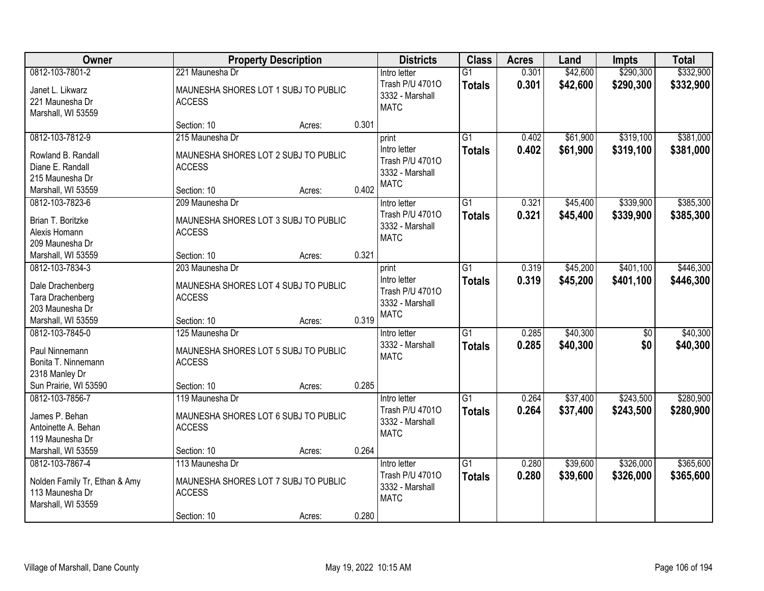| Owner                                                                                     |                                                                          | <b>Property Description</b> |       | <b>Districts</b>                                                  | <b>Class</b>                     | <b>Acres</b>   | Land                 | <b>Impts</b>           | <b>Total</b>           |
|-------------------------------------------------------------------------------------------|--------------------------------------------------------------------------|-----------------------------|-------|-------------------------------------------------------------------|----------------------------------|----------------|----------------------|------------------------|------------------------|
| 0812-103-7801-2                                                                           | 221 Maunesha Dr                                                          |                             |       | Intro letter                                                      | $\overline{G1}$                  | 0.301          | \$42,600             | \$290,300              | \$332,900              |
| Janet L. Likwarz<br>221 Maunesha Dr<br>Marshall, WI 53559                                 | MAUNESHA SHORES LOT 1 SUBJ TO PUBLIC<br><b>ACCESS</b>                    |                             |       | Trash P/U 47010<br>3332 - Marshall<br><b>MATC</b>                 | <b>Totals</b>                    | 0.301          | \$42,600             | \$290,300              | \$332,900              |
|                                                                                           | Section: 10                                                              | Acres:                      | 0.301 |                                                                   |                                  |                |                      |                        |                        |
| 0812-103-7812-9                                                                           | 215 Maunesha Dr                                                          |                             |       | print                                                             | $\overline{G1}$                  | 0.402          | \$61,900             | \$319,100              | \$381,000              |
| Rowland B. Randall<br>Diane E. Randall<br>215 Maunesha Dr                                 | MAUNESHA SHORES LOT 2 SUBJ TO PUBLIC<br><b>ACCESS</b>                    |                             |       | Intro letter<br>Trash P/U 47010<br>3332 - Marshall<br><b>MATC</b> | <b>Totals</b>                    | 0.402          | \$61,900             | \$319,100              | \$381,000              |
| Marshall, WI 53559                                                                        | Section: 10                                                              | Acres:                      | 0.402 |                                                                   |                                  |                |                      |                        |                        |
| 0812-103-7823-6<br>Brian T. Boritzke<br>Alexis Homann<br>209 Maunesha Dr                  | 209 Maunesha Dr<br>MAUNESHA SHORES LOT 3 SUBJ TO PUBLIC<br><b>ACCESS</b> |                             |       | Intro letter<br>Trash P/U 47010<br>3332 - Marshall<br><b>MATC</b> | $\overline{G1}$<br><b>Totals</b> | 0.321<br>0.321 | \$45,400<br>\$45,400 | \$339,900<br>\$339,900 | \$385,300<br>\$385,300 |
| Marshall, WI 53559                                                                        | Section: 10                                                              | Acres:                      | 0.321 |                                                                   |                                  |                |                      |                        |                        |
| 0812-103-7834-3                                                                           | 203 Maunesha Dr                                                          |                             |       | print                                                             | $\overline{G1}$                  | 0.319          | \$45,200             | \$401,100              | \$446,300              |
| Dale Drachenberg<br>Tara Drachenberg<br>203 Maunesha Dr                                   | MAUNESHA SHORES LOT 4 SUBJ TO PUBLIC<br><b>ACCESS</b>                    |                             |       | Intro letter<br>Trash P/U 47010<br>3332 - Marshall                | <b>Totals</b>                    | 0.319          | \$45,200             | \$401,100              | \$446,300              |
| Marshall, WI 53559                                                                        | Section: 10                                                              | Acres:                      | 0.319 | <b>MATC</b>                                                       |                                  |                |                      |                        |                        |
| 0812-103-7845-0<br>Paul Ninnemann<br>Bonita T. Ninnemann<br>2318 Manley Dr                | 125 Maunesha Dr<br>MAUNESHA SHORES LOT 5 SUBJ TO PUBLIC<br><b>ACCESS</b> |                             |       | Intro letter<br>3332 - Marshall<br><b>MATC</b>                    | $\overline{G1}$<br><b>Totals</b> | 0.285<br>0.285 | \$40,300<br>\$40,300 | \$0<br>\$0             | \$40,300<br>\$40,300   |
| Sun Prairie, WI 53590                                                                     | Section: 10                                                              | Acres:                      | 0.285 |                                                                   |                                  |                |                      |                        |                        |
| 0812-103-7856-7                                                                           | 119 Maunesha Dr                                                          |                             |       | Intro letter                                                      | $\overline{G1}$                  | 0.264          | \$37,400             | \$243,500              | \$280,900              |
| James P. Behan<br>Antoinette A. Behan<br>119 Maunesha Dr                                  | MAUNESHA SHORES LOT 6 SUBJ TO PUBLIC<br><b>ACCESS</b>                    |                             |       | Trash P/U 47010<br>3332 - Marshall<br><b>MATC</b>                 | <b>Totals</b>                    | 0.264          | \$37,400             | \$243,500              | \$280,900              |
| Marshall, WI 53559                                                                        | Section: 10                                                              | Acres:                      | 0.264 |                                                                   |                                  |                |                      |                        |                        |
| 0812-103-7867-4<br>Nolden Family Tr, Ethan & Amy<br>113 Maunesha Dr<br>Marshall, WI 53559 | 113 Maunesha Dr<br>MAUNESHA SHORES LOT 7 SUBJ TO PUBLIC<br><b>ACCESS</b> |                             |       | Intro letter<br>Trash P/U 47010<br>3332 - Marshall<br><b>MATC</b> | $\overline{G1}$<br><b>Totals</b> | 0.280<br>0.280 | \$39,600<br>\$39,600 | \$326,000<br>\$326,000 | \$365,600<br>\$365,600 |
|                                                                                           | Section: 10                                                              | Acres:                      | 0.280 |                                                                   |                                  |                |                      |                        |                        |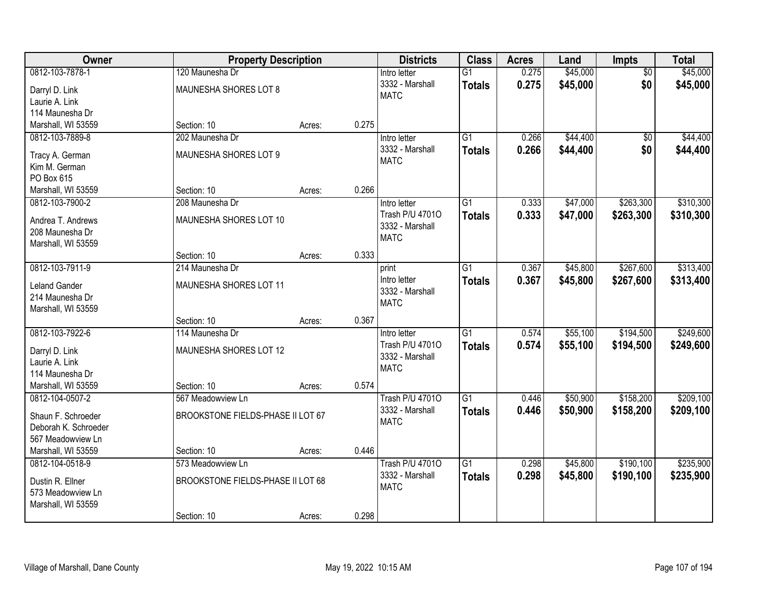| Owner                             |                                          | <b>Property Description</b> |       | <b>Districts</b>                | <b>Class</b>                     | <b>Acres</b>   | Land                 | Impts                  | <b>Total</b>         |
|-----------------------------------|------------------------------------------|-----------------------------|-------|---------------------------------|----------------------------------|----------------|----------------------|------------------------|----------------------|
| 0812-103-7878-1<br>Darryl D. Link | 120 Maunesha Dr<br>MAUNESHA SHORES LOT 8 |                             |       | Intro letter<br>3332 - Marshall | $\overline{G1}$<br><b>Totals</b> | 0.275<br>0.275 | \$45,000<br>\$45,000 | $\overline{50}$<br>\$0 | \$45,000<br>\$45,000 |
| Laurie A. Link                    |                                          |                             |       | <b>MATC</b>                     |                                  |                |                      |                        |                      |
| 114 Maunesha Dr                   |                                          |                             |       |                                 |                                  |                |                      |                        |                      |
| Marshall, WI 53559                | Section: 10                              | Acres:                      | 0.275 |                                 |                                  |                |                      |                        |                      |
| 0812-103-7889-8                   | 202 Maunesha Dr                          |                             |       | Intro letter                    | $\overline{G1}$                  | 0.266          | \$44,400             | $\overline{50}$        | \$44,400             |
| Tracy A. German                   | MAUNESHA SHORES LOT 9                    |                             |       | 3332 - Marshall                 | <b>Totals</b>                    | 0.266          | \$44,400             | \$0                    | \$44,400             |
| Kim M. German                     |                                          |                             |       | <b>MATC</b>                     |                                  |                |                      |                        |                      |
| PO Box 615                        |                                          |                             |       |                                 |                                  |                |                      |                        |                      |
| Marshall, WI 53559                | Section: 10                              | Acres:                      | 0.266 |                                 |                                  |                |                      |                        |                      |
| 0812-103-7900-2                   | 208 Maunesha Dr                          |                             |       | Intro letter                    | G1                               | 0.333          | \$47,000             | \$263,300              | \$310,300            |
| Andrea T. Andrews                 | MAUNESHA SHORES LOT 10                   |                             |       | Trash P/U 47010                 | <b>Totals</b>                    | 0.333          | \$47,000             | \$263,300              | \$310,300            |
| 208 Maunesha Dr                   |                                          |                             |       | 3332 - Marshall                 |                                  |                |                      |                        |                      |
| Marshall, WI 53559                |                                          |                             |       | <b>MATC</b>                     |                                  |                |                      |                        |                      |
|                                   | Section: 10                              | Acres:                      | 0.333 |                                 |                                  |                |                      |                        |                      |
| 0812-103-7911-9                   | 214 Maunesha Dr                          |                             |       | print                           | $\overline{G1}$                  | 0.367          | \$45,800             | \$267,600              | \$313,400            |
| <b>Leland Gander</b>              | MAUNESHA SHORES LOT 11                   |                             |       | Intro letter                    | <b>Totals</b>                    | 0.367          | \$45,800             | \$267,600              | \$313,400            |
| 214 Maunesha Dr                   |                                          |                             |       | 3332 - Marshall                 |                                  |                |                      |                        |                      |
| Marshall, WI 53559                |                                          |                             |       | <b>MATC</b>                     |                                  |                |                      |                        |                      |
|                                   | Section: 10                              | Acres:                      | 0.367 |                                 |                                  |                |                      |                        |                      |
| 0812-103-7922-6                   | 114 Maunesha Dr                          |                             |       | Intro letter                    | $\overline{G1}$                  | 0.574          | \$55,100             | \$194,500              | \$249,600            |
| Darryl D. Link                    | MAUNESHA SHORES LOT 12                   |                             |       | Trash P/U 47010                 | <b>Totals</b>                    | 0.574          | \$55,100             | \$194,500              | \$249,600            |
| Laurie A. Link                    |                                          |                             |       | 3332 - Marshall                 |                                  |                |                      |                        |                      |
| 114 Maunesha Dr                   |                                          |                             |       | <b>MATC</b>                     |                                  |                |                      |                        |                      |
| Marshall, WI 53559                | Section: 10                              | Acres:                      | 0.574 |                                 |                                  |                |                      |                        |                      |
| 0812-104-0507-2                   | 567 Meadowview Ln                        |                             |       | <b>Trash P/U 47010</b>          | G1                               | 0.446          | \$50,900             | \$158,200              | \$209,100            |
| Shaun F. Schroeder                | BROOKSTONE FIELDS-PHASE II LOT 67        |                             |       | 3332 - Marshall                 | <b>Totals</b>                    | 0.446          | \$50,900             | \$158,200              | \$209,100            |
| Deborah K. Schroeder              |                                          |                             |       | <b>MATC</b>                     |                                  |                |                      |                        |                      |
| 567 Meadowview Ln                 |                                          |                             |       |                                 |                                  |                |                      |                        |                      |
| Marshall, WI 53559                | Section: 10                              | Acres:                      | 0.446 |                                 |                                  |                |                      |                        |                      |
| 0812-104-0518-9                   | 573 Meadowview Ln                        |                             |       | <b>Trash P/U 47010</b>          | G1                               | 0.298          | \$45,800             | \$190,100              | \$235,900            |
| Dustin R. Ellner                  | BROOKSTONE FIELDS-PHASE II LOT 68        |                             |       | 3332 - Marshall                 | <b>Totals</b>                    | 0.298          | \$45,800             | \$190,100              | \$235,900            |
| 573 Meadowview Ln                 |                                          |                             |       | <b>MATC</b>                     |                                  |                |                      |                        |                      |
| Marshall, WI 53559                |                                          |                             |       |                                 |                                  |                |                      |                        |                      |
|                                   | Section: 10                              | Acres:                      | 0.298 |                                 |                                  |                |                      |                        |                      |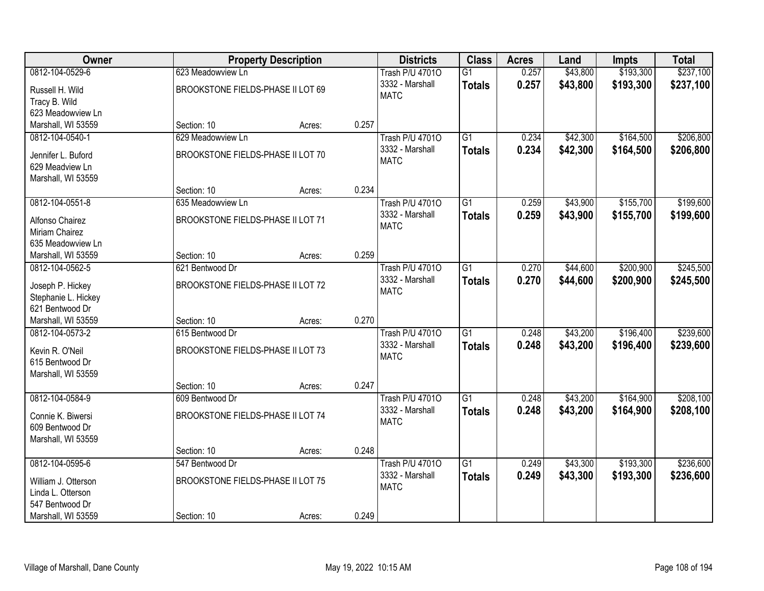| Owner               |                                   | <b>Property Description</b> |       | <b>Districts</b>               | <b>Class</b>    | <b>Acres</b> | Land     | Impts     | <b>Total</b> |
|---------------------|-----------------------------------|-----------------------------|-------|--------------------------------|-----------------|--------------|----------|-----------|--------------|
| 0812-104-0529-6     | 623 Meadowview Ln                 |                             |       | <b>Trash P/U 47010</b>         | $\overline{G1}$ | 0.257        | \$43,800 | \$193,300 | \$237,100    |
| Russell H. Wild     | BROOKSTONE FIELDS-PHASE II LOT 69 |                             |       | 3332 - Marshall                | <b>Totals</b>   | 0.257        | \$43,800 | \$193,300 | \$237,100    |
| Tracy B. Wild       |                                   |                             |       | <b>MATC</b>                    |                 |              |          |           |              |
| 623 Meadowview Ln   |                                   |                             |       |                                |                 |              |          |           |              |
| Marshall, WI 53559  | Section: 10                       | Acres:                      | 0.257 |                                |                 |              |          |           |              |
| 0812-104-0540-1     | 629 Meadowview Ln                 |                             |       | <b>Trash P/U 47010</b>         | $\overline{G1}$ | 0.234        | \$42,300 | \$164,500 | \$206,800    |
|                     |                                   |                             |       | 3332 - Marshall                | <b>Totals</b>   | 0.234        | \$42,300 | \$164,500 | \$206,800    |
| Jennifer L. Buford  | BROOKSTONE FIELDS-PHASE II LOT 70 |                             |       | <b>MATC</b>                    |                 |              |          |           |              |
| 629 Meadview Ln     |                                   |                             |       |                                |                 |              |          |           |              |
| Marshall, WI 53559  |                                   |                             | 0.234 |                                |                 |              |          |           |              |
| 0812-104-0551-8     | Section: 10<br>635 Meadowview Ln  | Acres:                      |       |                                | $\overline{G1}$ | 0.259        | \$43,900 | \$155,700 | \$199,600    |
|                     |                                   |                             |       | <b>Trash P/U 47010</b>         |                 |              |          |           |              |
| Alfonso Chairez     | BROOKSTONE FIELDS-PHASE II LOT 71 |                             |       | 3332 - Marshall<br><b>MATC</b> | <b>Totals</b>   | 0.259        | \$43,900 | \$155,700 | \$199,600    |
| Miriam Chairez      |                                   |                             |       |                                |                 |              |          |           |              |
| 635 Meadowview Ln   |                                   |                             |       |                                |                 |              |          |           |              |
| Marshall, WI 53559  | Section: 10                       | Acres:                      | 0.259 |                                |                 |              |          |           |              |
| 0812-104-0562-5     | 621 Bentwood Dr                   |                             |       | <b>Trash P/U 47010</b>         | $\overline{G1}$ | 0.270        | \$44,600 | \$200,900 | \$245,500    |
| Joseph P. Hickey    | BROOKSTONE FIELDS-PHASE II LOT 72 |                             |       | 3332 - Marshall                | <b>Totals</b>   | 0.270        | \$44,600 | \$200,900 | \$245,500    |
| Stephanie L. Hickey |                                   |                             |       | <b>MATC</b>                    |                 |              |          |           |              |
| 621 Bentwood Dr     |                                   |                             |       |                                |                 |              |          |           |              |
| Marshall, WI 53559  | Section: 10                       | Acres:                      | 0.270 |                                |                 |              |          |           |              |
| 0812-104-0573-2     | 615 Bentwood Dr                   |                             |       | <b>Trash P/U 47010</b>         | $\overline{G1}$ | 0.248        | \$43,200 | \$196,400 | \$239,600    |
|                     |                                   |                             |       | 3332 - Marshall                | <b>Totals</b>   | 0.248        | \$43,200 | \$196,400 | \$239,600    |
| Kevin R. O'Neil     | BROOKSTONE FIELDS-PHASE II LOT 73 |                             |       | <b>MATC</b>                    |                 |              |          |           |              |
| 615 Bentwood Dr     |                                   |                             |       |                                |                 |              |          |           |              |
| Marshall, WI 53559  |                                   |                             |       |                                |                 |              |          |           |              |
|                     | Section: 10                       | Acres:                      | 0.247 |                                |                 |              |          |           |              |
| 0812-104-0584-9     | 609 Bentwood Dr                   |                             |       | <b>Trash P/U 47010</b>         | $\overline{G1}$ | 0.248        | \$43,200 | \$164,900 | \$208,100    |
| Connie K. Biwersi   | BROOKSTONE FIELDS-PHASE II LOT 74 |                             |       | 3332 - Marshall                | <b>Totals</b>   | 0.248        | \$43,200 | \$164,900 | \$208,100    |
| 609 Bentwood Dr     |                                   |                             |       | <b>MATC</b>                    |                 |              |          |           |              |
| Marshall, WI 53559  |                                   |                             |       |                                |                 |              |          |           |              |
|                     | Section: 10                       | Acres:                      | 0.248 |                                |                 |              |          |           |              |
| 0812-104-0595-6     | 547 Bentwood Dr                   |                             |       | <b>Trash P/U 47010</b>         | $\overline{G1}$ | 0.249        | \$43,300 | \$193,300 | \$236,600    |
| William J. Otterson | BROOKSTONE FIELDS-PHASE II LOT 75 |                             |       | 3332 - Marshall                | <b>Totals</b>   | 0.249        | \$43,300 | \$193,300 | \$236,600    |
| Linda L. Otterson   |                                   |                             |       | <b>MATC</b>                    |                 |              |          |           |              |
| 547 Bentwood Dr     |                                   |                             |       |                                |                 |              |          |           |              |
| Marshall, WI 53559  | Section: 10                       | Acres:                      | 0.249 |                                |                 |              |          |           |              |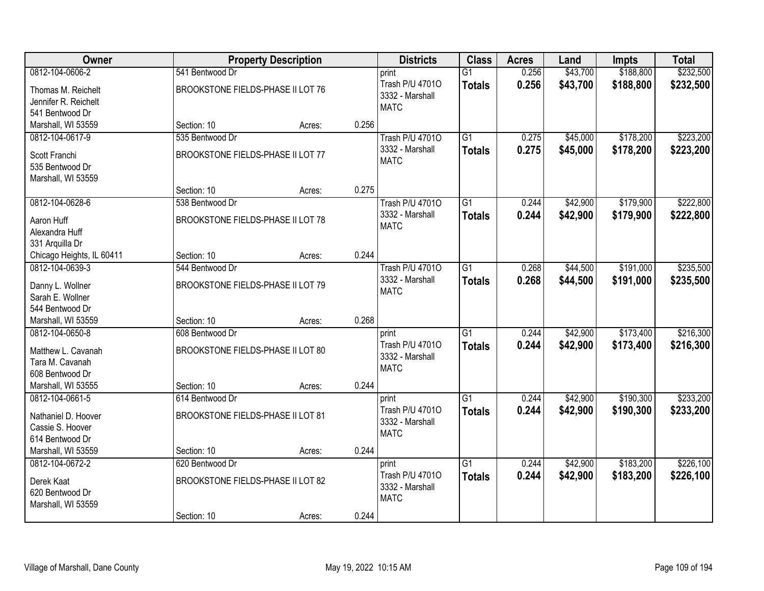| Owner                                                         |                                   | <b>Property Description</b> |       | <b>Districts</b>                                  | <b>Class</b>    | <b>Acres</b> | Land     | Impts     | <b>Total</b> |
|---------------------------------------------------------------|-----------------------------------|-----------------------------|-------|---------------------------------------------------|-----------------|--------------|----------|-----------|--------------|
| 0812-104-0606-2                                               | 541 Bentwood Dr                   |                             |       | print                                             | $\overline{G1}$ | 0.256        | \$43,700 | \$188,800 | \$232,500    |
| Thomas M. Reichelt<br>Jennifer R. Reichelt<br>541 Bentwood Dr | BROOKSTONE FIELDS-PHASE II LOT 76 |                             |       | Trash P/U 47010<br>3332 - Marshall<br><b>MATC</b> | <b>Totals</b>   | 0.256        | \$43,700 | \$188,800 | \$232,500    |
| Marshall, WI 53559                                            | Section: 10                       | Acres:                      | 0.256 |                                                   |                 |              |          |           |              |
| 0812-104-0617-9                                               | 535 Bentwood Dr                   |                             |       | <b>Trash P/U 47010</b>                            | $\overline{G1}$ | 0.275        | \$45,000 | \$178,200 | \$223,200    |
| Scott Franchi<br>535 Bentwood Dr<br>Marshall, WI 53559        | BROOKSTONE FIELDS-PHASE II LOT 77 |                             |       | 3332 - Marshall<br><b>MATC</b>                    | <b>Totals</b>   | 0.275        | \$45,000 | \$178,200 | \$223,200    |
|                                                               | Section: 10                       | Acres:                      | 0.275 |                                                   |                 |              |          |           |              |
| 0812-104-0628-6                                               | 538 Bentwood Dr                   |                             |       | <b>Trash P/U 47010</b>                            | G1              | 0.244        | \$42,900 | \$179,900 | \$222,800    |
| Aaron Huff<br>Alexandra Huff<br>331 Arquilla Dr               | BROOKSTONE FIELDS-PHASE II LOT 78 |                             |       | 3332 - Marshall<br><b>MATC</b>                    | <b>Totals</b>   | 0.244        | \$42,900 | \$179,900 | \$222,800    |
| Chicago Heights, IL 60411                                     | Section: 10                       | Acres:                      | 0.244 |                                                   |                 |              |          |           |              |
| 0812-104-0639-3                                               | 544 Bentwood Dr                   |                             |       | <b>Trash P/U 47010</b>                            | G1              | 0.268        | \$44,500 | \$191,000 | \$235,500    |
| Danny L. Wollner<br>Sarah E. Wollner<br>544 Bentwood Dr       | BROOKSTONE FIELDS-PHASE II LOT 79 |                             |       | 3332 - Marshall<br><b>MATC</b>                    | <b>Totals</b>   | 0.268        | \$44,500 | \$191,000 | \$235,500    |
| Marshall, WI 53559                                            | Section: 10                       | Acres:                      | 0.268 |                                                   |                 |              |          |           |              |
| 0812-104-0650-8                                               | 608 Bentwood Dr                   |                             |       | print                                             | $\overline{G1}$ | 0.244        | \$42,900 | \$173,400 | \$216,300    |
| Matthew L. Cavanah<br>Tara M. Cavanah<br>608 Bentwood Dr      | BROOKSTONE FIELDS-PHASE II LOT 80 |                             |       | Trash P/U 47010<br>3332 - Marshall<br><b>MATC</b> | <b>Totals</b>   | 0.244        | \$42,900 | \$173,400 | \$216,300    |
| Marshall, WI 53555                                            | Section: 10                       | Acres:                      | 0.244 |                                                   |                 |              |          |           |              |
| 0812-104-0661-5                                               | 614 Bentwood Dr                   |                             |       | print                                             | $\overline{G1}$ | 0.244        | \$42,900 | \$190,300 | \$233,200    |
| Nathaniel D. Hoover<br>Cassie S. Hoover<br>614 Bentwood Dr    | BROOKSTONE FIELDS-PHASE II LOT 81 |                             |       | Trash P/U 47010<br>3332 - Marshall<br><b>MATC</b> | <b>Totals</b>   | 0.244        | \$42,900 | \$190,300 | \$233,200    |
| Marshall, WI 53559                                            | Section: 10                       | Acres:                      | 0.244 |                                                   |                 |              |          |           |              |
| 0812-104-0672-2                                               | 620 Bentwood Dr                   |                             |       | print                                             | $\overline{G1}$ | 0.244        | \$42,900 | \$183,200 | \$226,100    |
| Derek Kaat<br>620 Bentwood Dr<br>Marshall, WI 53559           | BROOKSTONE FIELDS-PHASE II LOT 82 |                             |       | Trash P/U 47010<br>3332 - Marshall<br><b>MATC</b> | <b>Totals</b>   | 0.244        | \$42,900 | \$183,200 | \$226,100    |
|                                                               | Section: 10                       | Acres:                      | 0.244 |                                                   |                 |              |          |           |              |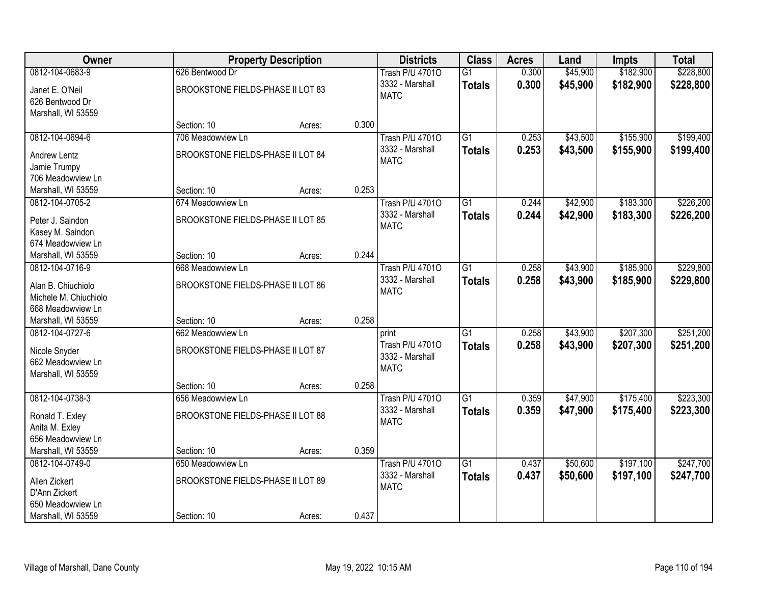| Owner                 |                                   | <b>Property Description</b> |       | <b>Districts</b>       | <b>Class</b>    | <b>Acres</b> | Land     | <b>Impts</b> | <b>Total</b> |
|-----------------------|-----------------------------------|-----------------------------|-------|------------------------|-----------------|--------------|----------|--------------|--------------|
| 0812-104-0683-9       | 626 Bentwood Dr                   |                             |       | <b>Trash P/U 47010</b> | $\overline{G1}$ | 0.300        | \$45,900 | \$182,900    | \$228,800    |
| Janet E. O'Neil       | BROOKSTONE FIELDS-PHASE II LOT 83 |                             |       | 3332 - Marshall        | <b>Totals</b>   | 0.300        | \$45,900 | \$182,900    | \$228,800    |
| 626 Bentwood Dr       |                                   |                             |       | <b>MATC</b>            |                 |              |          |              |              |
| Marshall, WI 53559    |                                   |                             |       |                        |                 |              |          |              |              |
|                       | Section: 10                       | Acres:                      | 0.300 |                        |                 |              |          |              |              |
| 0812-104-0694-6       | 706 Meadowview Ln                 |                             |       | <b>Trash P/U 47010</b> | $\overline{G1}$ | 0.253        | \$43,500 | \$155,900    | \$199,400    |
| Andrew Lentz          | BROOKSTONE FIELDS-PHASE II LOT 84 |                             |       | 3332 - Marshall        | <b>Totals</b>   | 0.253        | \$43,500 | \$155,900    | \$199,400    |
| Jamie Trumpy          |                                   |                             |       | <b>MATC</b>            |                 |              |          |              |              |
| 706 Meadowview Ln     |                                   |                             |       |                        |                 |              |          |              |              |
| Marshall, WI 53559    | Section: 10                       | Acres:                      | 0.253 |                        |                 |              |          |              |              |
| 0812-104-0705-2       | 674 Meadowview Ln                 |                             |       | <b>Trash P/U 47010</b> | G1              | 0.244        | \$42,900 | \$183,300    | \$226,200    |
| Peter J. Saindon      | BROOKSTONE FIELDS-PHASE II LOT 85 |                             |       | 3332 - Marshall        | <b>Totals</b>   | 0.244        | \$42,900 | \$183,300    | \$226,200    |
| Kasey M. Saindon      |                                   |                             |       | <b>MATC</b>            |                 |              |          |              |              |
| 674 Meadowview Ln     |                                   |                             |       |                        |                 |              |          |              |              |
| Marshall, WI 53559    | Section: 10                       | Acres:                      | 0.244 |                        |                 |              |          |              |              |
| 0812-104-0716-9       | 668 Meadowview Ln                 |                             |       | <b>Trash P/U 47010</b> | $\overline{G1}$ | 0.258        | \$43,900 | \$185,900    | \$229,800    |
| Alan B. Chiuchiolo    | BROOKSTONE FIELDS-PHASE II LOT 86 |                             |       | 3332 - Marshall        | <b>Totals</b>   | 0.258        | \$43,900 | \$185,900    | \$229,800    |
| Michele M. Chiuchiolo |                                   |                             |       | <b>MATC</b>            |                 |              |          |              |              |
| 668 Meadowview Ln     |                                   |                             |       |                        |                 |              |          |              |              |
| Marshall, WI 53559    | Section: 10                       | Acres:                      | 0.258 |                        |                 |              |          |              |              |
| 0812-104-0727-6       | 662 Meadowview Ln                 |                             |       | print                  | $\overline{G1}$ | 0.258        | \$43,900 | \$207,300    | \$251,200    |
| Nicole Snyder         | BROOKSTONE FIELDS-PHASE II LOT 87 |                             |       | Trash P/U 47010        | <b>Totals</b>   | 0.258        | \$43,900 | \$207,300    | \$251,200    |
| 662 Meadowview Ln     |                                   |                             |       | 3332 - Marshall        |                 |              |          |              |              |
| Marshall, WI 53559    |                                   |                             |       | <b>MATC</b>            |                 |              |          |              |              |
|                       | Section: 10                       | Acres:                      | 0.258 |                        |                 |              |          |              |              |
| 0812-104-0738-3       | 656 Meadowview Ln                 |                             |       | <b>Trash P/U 47010</b> | $\overline{G1}$ | 0.359        | \$47,900 | \$175,400    | \$223,300    |
| Ronald T. Exley       | BROOKSTONE FIELDS-PHASE II LOT 88 |                             |       | 3332 - Marshall        | <b>Totals</b>   | 0.359        | \$47,900 | \$175,400    | \$223,300    |
| Anita M. Exley        |                                   |                             |       | <b>MATC</b>            |                 |              |          |              |              |
| 656 Meadowview Ln     |                                   |                             |       |                        |                 |              |          |              |              |
| Marshall, WI 53559    | Section: 10                       | Acres:                      | 0.359 |                        |                 |              |          |              |              |
| 0812-104-0749-0       | 650 Meadowview Ln                 |                             |       | <b>Trash P/U 47010</b> | G <sub>1</sub>  | 0.437        | \$50,600 | \$197,100    | \$247,700    |
| Allen Zickert         | BROOKSTONE FIELDS-PHASE II LOT 89 |                             |       | 3332 - Marshall        | <b>Totals</b>   | 0.437        | \$50,600 | \$197,100    | \$247,700    |
| D'Ann Zickert         |                                   |                             |       | <b>MATC</b>            |                 |              |          |              |              |
| 650 Meadowview Ln     |                                   |                             |       |                        |                 |              |          |              |              |
| Marshall, WI 53559    | Section: 10                       | Acres:                      | 0.437 |                        |                 |              |          |              |              |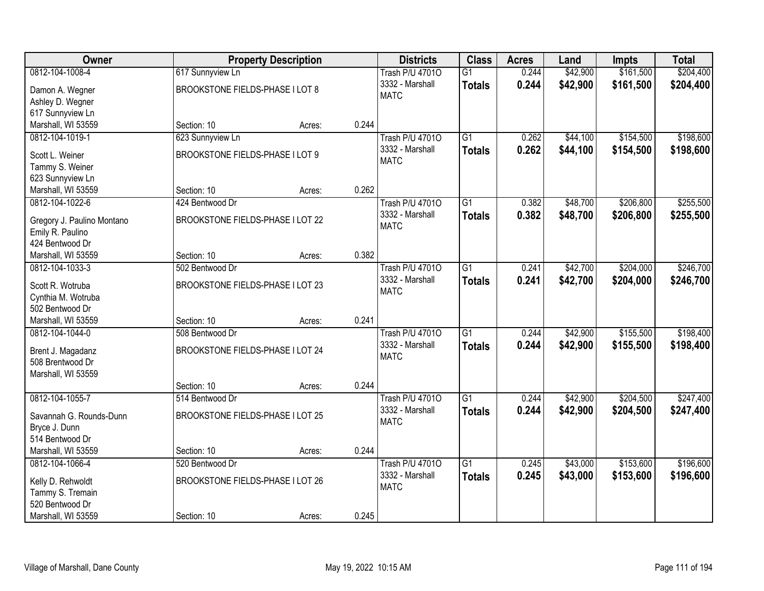| Owner                                    | <b>Property Description</b>      |        |       | <b>Districts</b>       | <b>Class</b>    | <b>Acres</b> | Land     | <b>Impts</b> | <b>Total</b> |
|------------------------------------------|----------------------------------|--------|-------|------------------------|-----------------|--------------|----------|--------------|--------------|
| 0812-104-1008-4                          | 617 Sunnyview Ln                 |        |       | <b>Trash P/U 47010</b> | $\overline{G1}$ | 0.244        | \$42,900 | \$161,500    | \$204,400    |
| Damon A. Wegner                          | BROOKSTONE FIELDS-PHASE I LOT 8  |        |       | 3332 - Marshall        | <b>Totals</b>   | 0.244        | \$42,900 | \$161,500    | \$204,400    |
| Ashley D. Wegner                         |                                  |        |       | <b>MATC</b>            |                 |              |          |              |              |
| 617 Sunnyview Ln                         |                                  |        |       |                        |                 |              |          |              |              |
| Marshall, WI 53559                       | Section: 10                      | Acres: | 0.244 |                        |                 |              |          |              |              |
| 0812-104-1019-1                          | 623 Sunnyview Ln                 |        |       | <b>Trash P/U 47010</b> | $\overline{G1}$ | 0.262        | \$44,100 | \$154,500    | \$198,600    |
| Scott L. Weiner                          | BROOKSTONE FIELDS-PHASE I LOT 9  |        |       | 3332 - Marshall        | <b>Totals</b>   | 0.262        | \$44,100 | \$154,500    | \$198,600    |
| Tammy S. Weiner                          |                                  |        |       | <b>MATC</b>            |                 |              |          |              |              |
| 623 Sunnyview Ln                         |                                  |        |       |                        |                 |              |          |              |              |
| Marshall, WI 53559                       | Section: 10                      | Acres: | 0.262 |                        |                 |              |          |              |              |
| 0812-104-1022-6                          | 424 Bentwood Dr                  |        |       | <b>Trash P/U 47010</b> | $\overline{G1}$ | 0.382        | \$48,700 | \$206,800    | \$255,500    |
| Gregory J. Paulino Montano               | BROOKSTONE FIELDS-PHASE I LOT 22 |        |       | 3332 - Marshall        | <b>Totals</b>   | 0.382        | \$48,700 | \$206,800    | \$255,500    |
| Emily R. Paulino                         |                                  |        |       | <b>MATC</b>            |                 |              |          |              |              |
| 424 Bentwood Dr                          |                                  |        |       |                        |                 |              |          |              |              |
| Marshall, WI 53559                       | Section: 10                      | Acres: | 0.382 |                        |                 |              |          |              |              |
| 0812-104-1033-3                          | 502 Bentwood Dr                  |        |       | <b>Trash P/U 47010</b> | $\overline{G1}$ | 0.241        | \$42,700 | \$204,000    | \$246,700    |
| Scott R. Wotruba                         | BROOKSTONE FIELDS-PHASE I LOT 23 |        |       | 3332 - Marshall        | <b>Totals</b>   | 0.241        | \$42,700 | \$204,000    | \$246,700    |
| Cynthia M. Wotruba                       |                                  |        |       | <b>MATC</b>            |                 |              |          |              |              |
| 502 Bentwood Dr                          |                                  |        |       |                        |                 |              |          |              |              |
| Marshall, WI 53559                       | Section: 10                      | Acres: | 0.241 |                        |                 |              |          |              |              |
| 0812-104-1044-0                          | 508 Bentwood Dr                  |        |       | <b>Trash P/U 47010</b> | $\overline{G1}$ | 0.244        | \$42,900 | \$155,500    | \$198,400    |
|                                          |                                  |        |       | 3332 - Marshall        | <b>Totals</b>   | 0.244        | \$42,900 | \$155,500    | \$198,400    |
| Brent J. Magadanz<br>508 Brentwood Dr    | BROOKSTONE FIELDS-PHASE I LOT 24 |        |       | <b>MATC</b>            |                 |              |          |              |              |
| Marshall, WI 53559                       |                                  |        |       |                        |                 |              |          |              |              |
|                                          | Section: 10                      | Acres: | 0.244 |                        |                 |              |          |              |              |
| 0812-104-1055-7                          | 514 Bentwood Dr                  |        |       | <b>Trash P/U 47010</b> | $\overline{G1}$ | 0.244        | \$42,900 | \$204,500    | \$247,400    |
|                                          |                                  |        |       | 3332 - Marshall        | <b>Totals</b>   | 0.244        | \$42,900 | \$204,500    | \$247,400    |
| Savannah G. Rounds-Dunn<br>Bryce J. Dunn | BROOKSTONE FIELDS-PHASE I LOT 25 |        |       | <b>MATC</b>            |                 |              |          |              |              |
| 514 Bentwood Dr                          |                                  |        |       |                        |                 |              |          |              |              |
| Marshall, WI 53559                       | Section: 10                      | Acres: | 0.244 |                        |                 |              |          |              |              |
| 0812-104-1066-4                          | 520 Bentwood Dr                  |        |       | <b>Trash P/U 47010</b> | $\overline{G1}$ | 0.245        | \$43,000 | \$153,600    | \$196,600    |
|                                          | BROOKSTONE FIELDS-PHASE I LOT 26 |        |       | 3332 - Marshall        | <b>Totals</b>   | 0.245        | \$43,000 | \$153,600    | \$196,600    |
| Kelly D. Rehwoldt<br>Tammy S. Tremain    |                                  |        |       | <b>MATC</b>            |                 |              |          |              |              |
| 520 Bentwood Dr                          |                                  |        |       |                        |                 |              |          |              |              |
| Marshall, WI 53559                       | Section: 10                      | Acres: | 0.245 |                        |                 |              |          |              |              |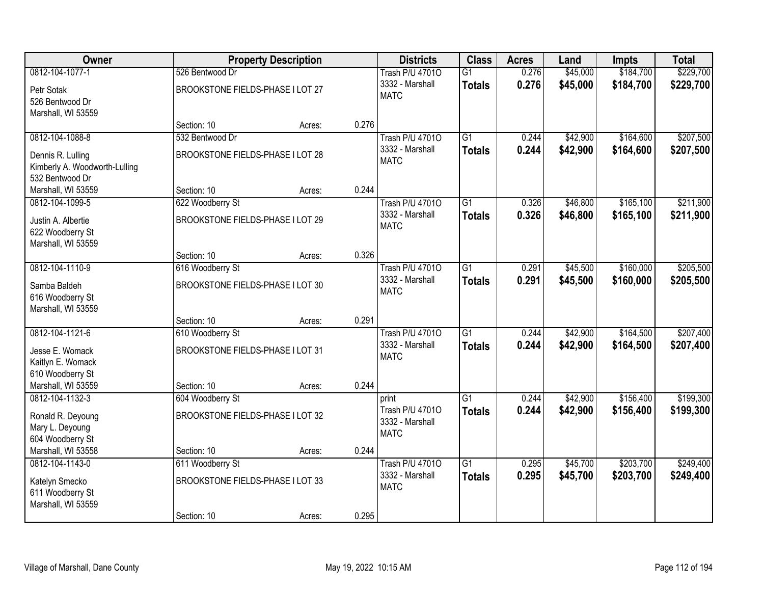| Owner                         |                                  | <b>Property Description</b> |       | <b>Districts</b>       | <b>Class</b>    | <b>Acres</b> | Land     | <b>Impts</b> | <b>Total</b> |
|-------------------------------|----------------------------------|-----------------------------|-------|------------------------|-----------------|--------------|----------|--------------|--------------|
| 0812-104-1077-1               | 526 Bentwood Dr                  |                             |       | <b>Trash P/U 47010</b> | $\overline{G1}$ | 0.276        | \$45,000 | \$184,700    | \$229,700    |
| Petr Sotak                    | BROOKSTONE FIELDS-PHASE I LOT 27 |                             |       | 3332 - Marshall        | <b>Totals</b>   | 0.276        | \$45,000 | \$184,700    | \$229,700    |
| 526 Bentwood Dr               |                                  |                             |       | <b>MATC</b>            |                 |              |          |              |              |
| Marshall, WI 53559            |                                  |                             |       |                        |                 |              |          |              |              |
|                               | Section: 10                      | Acres:                      | 0.276 |                        |                 |              |          |              |              |
| 0812-104-1088-8               | 532 Bentwood Dr                  |                             |       | <b>Trash P/U 47010</b> | $\overline{G1}$ | 0.244        | \$42,900 | \$164,600    | \$207,500    |
| Dennis R. Lulling             | BROOKSTONE FIELDS-PHASE I LOT 28 |                             |       | 3332 - Marshall        | <b>Totals</b>   | 0.244        | \$42,900 | \$164,600    | \$207,500    |
| Kimberly A. Woodworth-Lulling |                                  |                             |       | <b>MATC</b>            |                 |              |          |              |              |
| 532 Bentwood Dr               |                                  |                             |       |                        |                 |              |          |              |              |
| Marshall, WI 53559            | Section: 10                      | Acres:                      | 0.244 |                        |                 |              |          |              |              |
| 0812-104-1099-5               | 622 Woodberry St                 |                             |       | <b>Trash P/U 47010</b> | G1              | 0.326        | \$46,800 | \$165,100    | \$211,900    |
| Justin A. Albertie            | BROOKSTONE FIELDS-PHASE I LOT 29 |                             |       | 3332 - Marshall        | <b>Totals</b>   | 0.326        | \$46,800 | \$165,100    | \$211,900    |
| 622 Woodberry St              |                                  |                             |       | <b>MATC</b>            |                 |              |          |              |              |
| Marshall, WI 53559            |                                  |                             |       |                        |                 |              |          |              |              |
|                               | Section: 10                      | Acres:                      | 0.326 |                        |                 |              |          |              |              |
| 0812-104-1110-9               | 616 Woodberry St                 |                             |       | <b>Trash P/U 47010</b> | $\overline{G1}$ | 0.291        | \$45,500 | \$160,000    | \$205,500    |
| Samba Baldeh                  | BROOKSTONE FIELDS-PHASE I LOT 30 |                             |       | 3332 - Marshall        | <b>Totals</b>   | 0.291        | \$45,500 | \$160,000    | \$205,500    |
| 616 Woodberry St              |                                  |                             |       | <b>MATC</b>            |                 |              |          |              |              |
| Marshall, WI 53559            |                                  |                             |       |                        |                 |              |          |              |              |
|                               | Section: 10                      | Acres:                      | 0.291 |                        |                 |              |          |              |              |
| 0812-104-1121-6               | 610 Woodberry St                 |                             |       | <b>Trash P/U 47010</b> | $\overline{G1}$ | 0.244        | \$42,900 | \$164,500    | \$207,400    |
| Jesse E. Womack               | BROOKSTONE FIELDS-PHASE I LOT 31 |                             |       | 3332 - Marshall        | <b>Totals</b>   | 0.244        | \$42,900 | \$164,500    | \$207,400    |
| Kaitlyn E. Womack             |                                  |                             |       | <b>MATC</b>            |                 |              |          |              |              |
| 610 Woodberry St              |                                  |                             |       |                        |                 |              |          |              |              |
| Marshall, WI 53559            | Section: 10                      | Acres:                      | 0.244 |                        |                 |              |          |              |              |
| 0812-104-1132-3               | 604 Woodberry St                 |                             |       | print                  | $\overline{G1}$ | 0.244        | \$42,900 | \$156,400    | \$199,300    |
| Ronald R. Deyoung             | BROOKSTONE FIELDS-PHASE I LOT 32 |                             |       | Trash P/U 47010        | <b>Totals</b>   | 0.244        | \$42,900 | \$156,400    | \$199,300    |
| Mary L. Deyoung               |                                  |                             |       | 3332 - Marshall        |                 |              |          |              |              |
| 604 Woodberry St              |                                  |                             |       | <b>MATC</b>            |                 |              |          |              |              |
| Marshall, WI 53558            | Section: 10                      | Acres:                      | 0.244 |                        |                 |              |          |              |              |
| 0812-104-1143-0               | 611 Woodberry St                 |                             |       | <b>Trash P/U 47010</b> | $\overline{G1}$ | 0.295        | \$45,700 | \$203,700    | \$249,400    |
| Katelyn Smecko                | BROOKSTONE FIELDS-PHASE I LOT 33 |                             |       | 3332 - Marshall        | <b>Totals</b>   | 0.295        | \$45,700 | \$203,700    | \$249,400    |
| 611 Woodberry St              |                                  |                             |       | <b>MATC</b>            |                 |              |          |              |              |
| Marshall, WI 53559            |                                  |                             |       |                        |                 |              |          |              |              |
|                               | Section: 10                      | Acres:                      | 0.295 |                        |                 |              |          |              |              |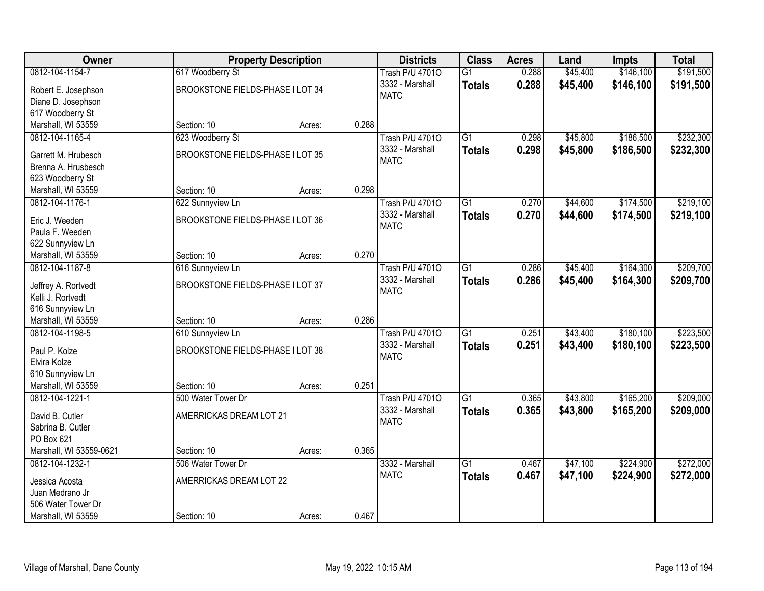| Owner                                    |                                  | <b>Property Description</b> |       | <b>Districts</b>       | <b>Class</b>    | <b>Acres</b> | Land     | <b>Impts</b> | <b>Total</b> |
|------------------------------------------|----------------------------------|-----------------------------|-------|------------------------|-----------------|--------------|----------|--------------|--------------|
| 0812-104-1154-7                          | 617 Woodberry St                 |                             |       | <b>Trash P/U 47010</b> | $\overline{G1}$ | 0.288        | \$45,400 | \$146,100    | \$191,500    |
| Robert E. Josephson                      | BROOKSTONE FIELDS-PHASE I LOT 34 |                             |       | 3332 - Marshall        | <b>Totals</b>   | 0.288        | \$45,400 | \$146,100    | \$191,500    |
| Diane D. Josephson                       |                                  |                             |       | <b>MATC</b>            |                 |              |          |              |              |
| 617 Woodberry St                         |                                  |                             |       |                        |                 |              |          |              |              |
| Marshall, WI 53559                       | Section: 10                      | Acres:                      | 0.288 |                        |                 |              |          |              |              |
| 0812-104-1165-4                          | 623 Woodberry St                 |                             |       | <b>Trash P/U 47010</b> | $\overline{G1}$ | 0.298        | \$45,800 | \$186,500    | \$232,300    |
|                                          |                                  |                             |       | 3332 - Marshall        | Totals          | 0.298        | \$45,800 | \$186,500    | \$232,300    |
| Garrett M. Hrubesch                      | BROOKSTONE FIELDS-PHASE I LOT 35 |                             |       | <b>MATC</b>            |                 |              |          |              |              |
| Brenna A. Hrusbesch                      |                                  |                             |       |                        |                 |              |          |              |              |
| 623 Woodberry St                         |                                  |                             |       |                        |                 |              |          |              |              |
| Marshall, WI 53559                       | Section: 10                      | Acres:                      | 0.298 |                        |                 |              |          |              |              |
| 0812-104-1176-1                          | 622 Sunnyview Ln                 |                             |       | <b>Trash P/U 47010</b> | $\overline{G1}$ | 0.270        | \$44,600 | \$174,500    | \$219,100    |
| Eric J. Weeden                           | BROOKSTONE FIELDS-PHASE I LOT 36 |                             |       | 3332 - Marshall        | <b>Totals</b>   | 0.270        | \$44,600 | \$174,500    | \$219,100    |
| Paula F. Weeden                          |                                  |                             |       | <b>MATC</b>            |                 |              |          |              |              |
| 622 Sunnyview Ln                         |                                  |                             |       |                        |                 |              |          |              |              |
| Marshall, WI 53559                       | Section: 10                      | Acres:                      | 0.270 |                        |                 |              |          |              |              |
| 0812-104-1187-8                          | 616 Sunnyview Ln                 |                             |       | <b>Trash P/U 47010</b> | $\overline{G1}$ | 0.286        | \$45,400 | \$164,300    | \$209,700    |
|                                          | BROOKSTONE FIELDS-PHASE I LOT 37 |                             |       | 3332 - Marshall        | <b>Totals</b>   | 0.286        | \$45,400 | \$164,300    | \$209,700    |
| Jeffrey A. Rortvedt<br>Kelli J. Rortvedt |                                  |                             |       | <b>MATC</b>            |                 |              |          |              |              |
| 616 Sunnyview Ln                         |                                  |                             |       |                        |                 |              |          |              |              |
| Marshall, WI 53559                       | Section: 10                      | Acres:                      | 0.286 |                        |                 |              |          |              |              |
| 0812-104-1198-5                          | 610 Sunnyview Ln                 |                             |       | <b>Trash P/U 47010</b> | $\overline{G1}$ | 0.251        | \$43,400 | \$180,100    | \$223,500    |
|                                          |                                  |                             |       | 3332 - Marshall        |                 | 0.251        | \$43,400 |              | \$223,500    |
| Paul P. Kolze                            | BROOKSTONE FIELDS-PHASE I LOT 38 |                             |       | <b>MATC</b>            | <b>Totals</b>   |              |          | \$180,100    |              |
| Elvira Kolze                             |                                  |                             |       |                        |                 |              |          |              |              |
| 610 Sunnyview Ln                         |                                  |                             |       |                        |                 |              |          |              |              |
| Marshall, WI 53559                       | Section: 10                      | Acres:                      | 0.251 |                        |                 |              |          |              |              |
| 0812-104-1221-1                          | 500 Water Tower Dr               |                             |       | <b>Trash P/U 47010</b> | $\overline{G1}$ | 0.365        | \$43,800 | \$165,200    | \$209,000    |
| David B. Cutler                          | AMERRICKAS DREAM LOT 21          |                             |       | 3332 - Marshall        | <b>Totals</b>   | 0.365        | \$43,800 | \$165,200    | \$209,000    |
| Sabrina B. Cutler                        |                                  |                             |       | <b>MATC</b>            |                 |              |          |              |              |
| PO Box 621                               |                                  |                             |       |                        |                 |              |          |              |              |
| Marshall, WI 53559-0621                  | Section: 10                      | Acres:                      | 0.365 |                        |                 |              |          |              |              |
| 0812-104-1232-1                          | 506 Water Tower Dr               |                             |       | 3332 - Marshall        | $\overline{G1}$ | 0.467        | \$47,100 | \$224,900    | \$272,000    |
|                                          |                                  |                             |       | <b>MATC</b>            | <b>Totals</b>   | 0.467        | \$47,100 | \$224,900    | \$272,000    |
| Jessica Acosta                           | AMERRICKAS DREAM LOT 22          |                             |       |                        |                 |              |          |              |              |
| Juan Medrano Jr                          |                                  |                             |       |                        |                 |              |          |              |              |
| 506 Water Tower Dr                       |                                  |                             |       |                        |                 |              |          |              |              |
| Marshall, WI 53559                       | Section: 10                      | Acres:                      | 0.467 |                        |                 |              |          |              |              |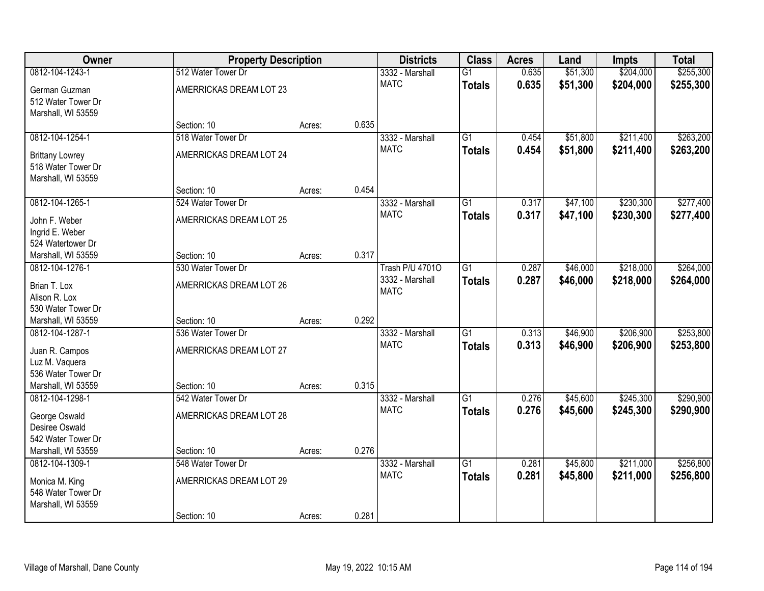| Owner                                        | <b>Property Description</b>       |        |       | <b>Districts</b>       | <b>Class</b>    | <b>Acres</b> | Land     | <b>Impts</b> | <b>Total</b> |
|----------------------------------------------|-----------------------------------|--------|-------|------------------------|-----------------|--------------|----------|--------------|--------------|
| 0812-104-1243-1                              | 512 Water Tower Dr                |        |       | 3332 - Marshall        | $\overline{G1}$ | 0.635        | \$51,300 | \$204,000    | \$255,300    |
| German Guzman<br>512 Water Tower Dr          | AMERRICKAS DREAM LOT 23           |        |       | <b>MATC</b>            | <b>Totals</b>   | 0.635        | \$51,300 | \$204,000    | \$255,300    |
| Marshall, WI 53559                           | Section: 10                       | Acres: | 0.635 |                        |                 |              |          |              |              |
| 0812-104-1254-1                              | 518 Water Tower Dr                |        |       | 3332 - Marshall        | $\overline{G1}$ | 0.454        | \$51,800 | \$211,400    | \$263,200    |
|                                              |                                   |        |       | <b>MATC</b>            | <b>Totals</b>   | 0.454        | \$51,800 | \$211,400    | \$263,200    |
| <b>Brittany Lowrey</b><br>518 Water Tower Dr | AMERRICKAS DREAM LOT 24           |        |       |                        |                 |              |          |              |              |
| Marshall, WI 53559                           |                                   |        |       |                        |                 |              |          |              |              |
|                                              | Section: 10                       | Acres: | 0.454 |                        |                 |              |          |              |              |
| 0812-104-1265-1                              | 524 Water Tower Dr                |        |       | 3332 - Marshall        | $\overline{G1}$ | 0.317        | \$47,100 | \$230,300    | \$277,400    |
| John F. Weber                                | AMERRICKAS DREAM LOT 25           |        |       | <b>MATC</b>            | <b>Totals</b>   | 0.317        | \$47,100 | \$230,300    | \$277,400    |
| Ingrid E. Weber                              |                                   |        |       |                        |                 |              |          |              |              |
| 524 Watertower Dr                            |                                   |        |       |                        |                 |              |          |              |              |
| Marshall, WI 53559                           | Section: 10                       | Acres: | 0.317 |                        |                 |              |          |              |              |
| 0812-104-1276-1                              | 530 Water Tower Dr                |        |       | <b>Trash P/U 47010</b> | $\overline{G1}$ | 0.287        | \$46,000 | \$218,000    | \$264,000    |
| Brian T. Lox                                 | AMERRICKAS DREAM LOT 26           |        |       | 3332 - Marshall        | <b>Totals</b>   | 0.287        | \$46,000 | \$218,000    | \$264,000    |
| Alison R. Lox                                |                                   |        |       | <b>MATC</b>            |                 |              |          |              |              |
| 530 Water Tower Dr                           |                                   |        |       |                        |                 |              |          |              |              |
| Marshall, WI 53559                           | Section: 10                       | Acres: | 0.292 |                        |                 |              |          |              |              |
| 0812-104-1287-1                              | 536 Water Tower Dr                |        |       | 3332 - Marshall        | $\overline{G1}$ | 0.313        | \$46,900 | \$206,900    | \$253,800    |
| Juan R. Campos                               | AMERRICKAS DREAM LOT 27           |        |       | <b>MATC</b>            | <b>Totals</b>   | 0.313        | \$46,900 | \$206,900    | \$253,800    |
| Luz M. Vaquera                               |                                   |        |       |                        |                 |              |          |              |              |
| 536 Water Tower Dr                           |                                   |        |       |                        |                 |              |          |              |              |
| Marshall, WI 53559                           | Section: 10                       | Acres: | 0.315 |                        |                 |              |          |              |              |
| 0812-104-1298-1                              | 542 Water Tower Dr                |        |       | 3332 - Marshall        | $\overline{G1}$ | 0.276        | \$45,600 | \$245,300    | \$290,900    |
| George Oswald                                | AMERRICKAS DREAM LOT 28           |        |       | <b>MATC</b>            | <b>Totals</b>   | 0.276        | \$45,600 | \$245,300    | \$290,900    |
| Desiree Oswald                               |                                   |        |       |                        |                 |              |          |              |              |
| 542 Water Tower Dr                           |                                   |        |       |                        |                 |              |          |              |              |
| Marshall, WI 53559<br>0812-104-1309-1        | Section: 10<br>548 Water Tower Dr | Acres: | 0.276 | 3332 - Marshall        | $\overline{G1}$ | 0.281        | \$45,800 | \$211,000    | \$256,800    |
|                                              |                                   |        |       | <b>MATC</b>            | <b>Totals</b>   | 0.281        | \$45,800 | \$211,000    | \$256,800    |
| Monica M. King                               | AMERRICKAS DREAM LOT 29           |        |       |                        |                 |              |          |              |              |
| 548 Water Tower Dr                           |                                   |        |       |                        |                 |              |          |              |              |
| Marshall, WI 53559                           | Section: 10                       | Acres: | 0.281 |                        |                 |              |          |              |              |
|                                              |                                   |        |       |                        |                 |              |          |              |              |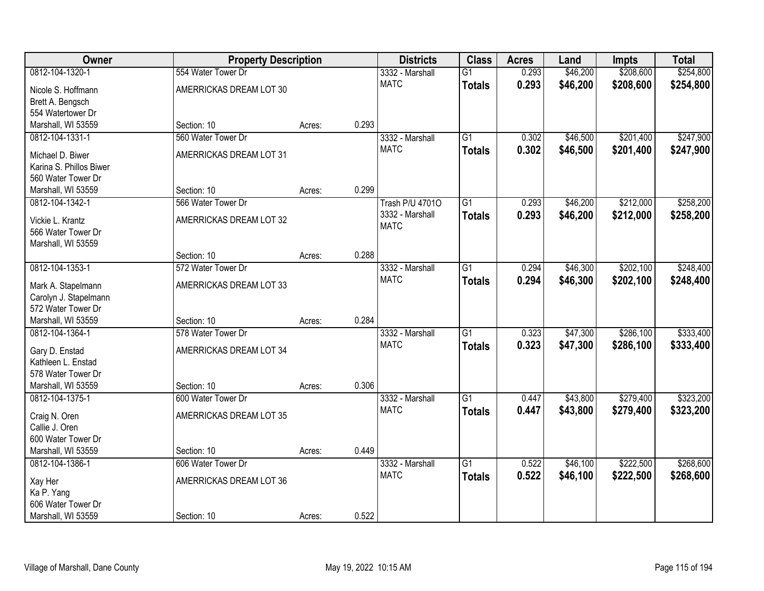| Owner                                    | <b>Property Description</b> |        |       | <b>Districts</b>       | <b>Class</b>    | <b>Acres</b> | Land     | <b>Impts</b> | <b>Total</b> |
|------------------------------------------|-----------------------------|--------|-------|------------------------|-----------------|--------------|----------|--------------|--------------|
| 0812-104-1320-1                          | 554 Water Tower Dr          |        |       | 3332 - Marshall        | $\overline{G1}$ | 0.293        | \$46,200 | \$208,600    | \$254,800    |
| Nicole S. Hoffmann                       | AMERRICKAS DREAM LOT 30     |        |       | <b>MATC</b>            | <b>Totals</b>   | 0.293        | \$46,200 | \$208,600    | \$254,800    |
| Brett A. Bengsch                         |                             |        |       |                        |                 |              |          |              |              |
| 554 Watertower Dr                        |                             |        |       |                        |                 |              |          |              |              |
| Marshall, WI 53559                       | Section: 10                 | Acres: | 0.293 |                        |                 |              |          |              |              |
| 0812-104-1331-1                          | 560 Water Tower Dr          |        |       | 3332 - Marshall        | $\overline{G1}$ | 0.302        | \$46,500 | \$201,400    | \$247,900    |
| Michael D. Biwer                         | AMERRICKAS DREAM LOT 31     |        |       | <b>MATC</b>            | <b>Totals</b>   | 0.302        | \$46,500 | \$201,400    | \$247,900    |
| Karina S. Phillos Biwer                  |                             |        |       |                        |                 |              |          |              |              |
| 560 Water Tower Dr                       |                             |        |       |                        |                 |              |          |              |              |
| Marshall, WI 53559                       | Section: 10                 | Acres: | 0.299 |                        |                 |              |          |              |              |
| 0812-104-1342-1                          | 566 Water Tower Dr          |        |       | <b>Trash P/U 47010</b> | $\overline{G1}$ | 0.293        | \$46,200 | \$212,000    | \$258,200    |
|                                          |                             |        |       | 3332 - Marshall        | <b>Totals</b>   | 0.293        | \$46,200 | \$212,000    | \$258,200    |
| Vickie L. Krantz<br>566 Water Tower Dr   | AMERRICKAS DREAM LOT 32     |        |       | <b>MATC</b>            |                 |              |          |              |              |
| Marshall, WI 53559                       |                             |        |       |                        |                 |              |          |              |              |
|                                          | Section: 10                 | Acres: | 0.288 |                        |                 |              |          |              |              |
| 0812-104-1353-1                          | 572 Water Tower Dr          |        |       | 3332 - Marshall        | $\overline{G1}$ | 0.294        | \$46,300 | \$202,100    | \$248,400    |
|                                          |                             |        |       | <b>MATC</b>            | <b>Totals</b>   | 0.294        | \$46,300 | \$202,100    | \$248,400    |
| Mark A. Stapelmann                       | AMERRICKAS DREAM LOT 33     |        |       |                        |                 |              |          |              |              |
| Carolyn J. Stapelmann                    |                             |        |       |                        |                 |              |          |              |              |
| 572 Water Tower Dr<br>Marshall, WI 53559 | Section: 10                 |        | 0.284 |                        |                 |              |          |              |              |
| 0812-104-1364-1                          | 578 Water Tower Dr          | Acres: |       | 3332 - Marshall        | $\overline{G1}$ | 0.323        | \$47,300 | \$286,100    | \$333,400    |
|                                          |                             |        |       | <b>MATC</b>            |                 | 0.323        |          | \$286,100    |              |
| Gary D. Enstad                           | AMERRICKAS DREAM LOT 34     |        |       |                        | <b>Totals</b>   |              | \$47,300 |              | \$333,400    |
| Kathleen L. Enstad                       |                             |        |       |                        |                 |              |          |              |              |
| 578 Water Tower Dr                       |                             |        |       |                        |                 |              |          |              |              |
| Marshall, WI 53559                       | Section: 10                 | Acres: | 0.306 |                        |                 |              |          |              |              |
| 0812-104-1375-1                          | 600 Water Tower Dr          |        |       | 3332 - Marshall        | $\overline{G1}$ | 0.447        | \$43,800 | \$279,400    | \$323,200    |
| Craig N. Oren                            | AMERRICKAS DREAM LOT 35     |        |       | <b>MATC</b>            | <b>Totals</b>   | 0.447        | \$43,800 | \$279,400    | \$323,200    |
| Callie J. Oren                           |                             |        |       |                        |                 |              |          |              |              |
| 600 Water Tower Dr                       |                             |        |       |                        |                 |              |          |              |              |
| Marshall, WI 53559                       | Section: 10                 | Acres: | 0.449 |                        |                 |              |          |              |              |
| 0812-104-1386-1                          | 606 Water Tower Dr          |        |       | 3332 - Marshall        | $\overline{G1}$ | 0.522        | \$46,100 | \$222,500    | \$268,600    |
| Xay Her                                  | AMERRICKAS DREAM LOT 36     |        |       | <b>MATC</b>            | <b>Totals</b>   | 0.522        | \$46,100 | \$222,500    | \$268,600    |
| Ka P. Yang                               |                             |        |       |                        |                 |              |          |              |              |
| 606 Water Tower Dr                       |                             |        |       |                        |                 |              |          |              |              |
| Marshall, WI 53559                       | Section: 10                 | Acres: | 0.522 |                        |                 |              |          |              |              |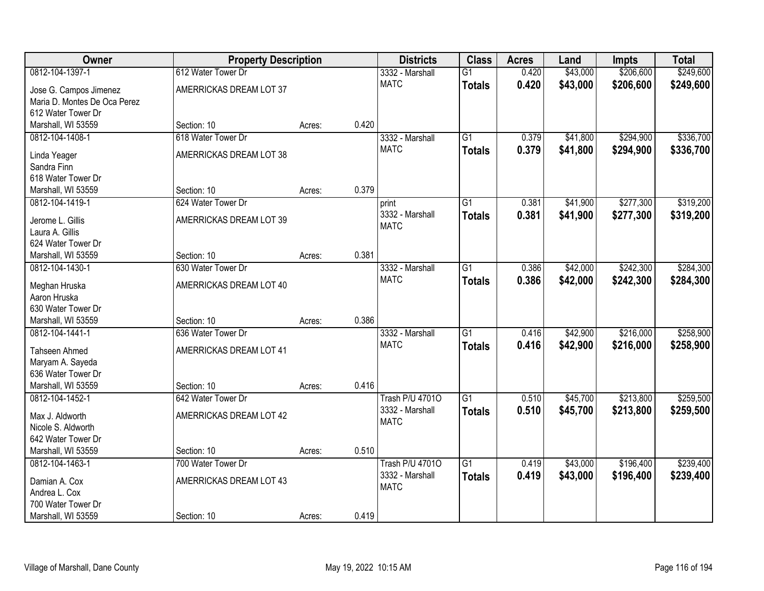| Owner                                    | <b>Property Description</b> |        |       | <b>Districts</b>       | <b>Class</b>    | <b>Acres</b> | Land     | <b>Impts</b> | <b>Total</b> |
|------------------------------------------|-----------------------------|--------|-------|------------------------|-----------------|--------------|----------|--------------|--------------|
| 0812-104-1397-1                          | 612 Water Tower Dr          |        |       | 3332 - Marshall        | $\overline{G1}$ | 0.420        | \$43,000 | \$206,600    | \$249,600    |
| Jose G. Campos Jimenez                   | AMERRICKAS DREAM LOT 37     |        |       | <b>MATC</b>            | <b>Totals</b>   | 0.420        | \$43,000 | \$206,600    | \$249,600    |
| Maria D. Montes De Oca Perez             |                             |        |       |                        |                 |              |          |              |              |
| 612 Water Tower Dr                       |                             |        |       |                        |                 |              |          |              |              |
| Marshall, WI 53559                       | Section: 10                 | Acres: | 0.420 |                        |                 |              |          |              |              |
| 0812-104-1408-1                          | 618 Water Tower Dr          |        |       | 3332 - Marshall        | $\overline{G1}$ | 0.379        | \$41,800 | \$294,900    | \$336,700    |
|                                          | AMERRICKAS DREAM LOT 38     |        |       | <b>MATC</b>            | <b>Totals</b>   | 0.379        | \$41,800 | \$294,900    | \$336,700    |
| Linda Yeager<br>Sandra Finn              |                             |        |       |                        |                 |              |          |              |              |
| 618 Water Tower Dr                       |                             |        |       |                        |                 |              |          |              |              |
| Marshall, WI 53559                       | Section: 10                 | Acres: | 0.379 |                        |                 |              |          |              |              |
| 0812-104-1419-1                          | 624 Water Tower Dr          |        |       | print                  | $\overline{G1}$ | 0.381        | \$41,900 | \$277,300    | \$319,200    |
|                                          |                             |        |       | 3332 - Marshall        | <b>Totals</b>   | 0.381        | \$41,900 | \$277,300    | \$319,200    |
| Jerome L. Gillis                         | AMERRICKAS DREAM LOT 39     |        |       | <b>MATC</b>            |                 |              |          |              |              |
| Laura A. Gillis                          |                             |        |       |                        |                 |              |          |              |              |
| 624 Water Tower Dr                       |                             |        |       |                        |                 |              |          |              |              |
| Marshall, WI 53559                       | Section: 10                 | Acres: | 0.381 |                        |                 |              |          |              |              |
| 0812-104-1430-1                          | 630 Water Tower Dr          |        |       | 3332 - Marshall        | $\overline{G1}$ | 0.386        | \$42,000 | \$242,300    | \$284,300    |
| Meghan Hruska                            | AMERRICKAS DREAM LOT 40     |        |       | <b>MATC</b>            | <b>Totals</b>   | 0.386        | \$42,000 | \$242,300    | \$284,300    |
| Aaron Hruska                             |                             |        |       |                        |                 |              |          |              |              |
| 630 Water Tower Dr                       |                             |        |       |                        |                 |              |          |              |              |
| Marshall, WI 53559                       | Section: 10                 | Acres: | 0.386 |                        |                 |              |          |              |              |
| 0812-104-1441-1                          | 636 Water Tower Dr          |        |       | 3332 - Marshall        | $\overline{G1}$ | 0.416        | \$42,900 | \$216,000    | \$258,900    |
| Tahseen Ahmed                            | AMERRICKAS DREAM LOT 41     |        |       | <b>MATC</b>            | <b>Totals</b>   | 0.416        | \$42,900 | \$216,000    | \$258,900    |
| Maryam A. Sayeda                         |                             |        |       |                        |                 |              |          |              |              |
| 636 Water Tower Dr                       |                             |        |       |                        |                 |              |          |              |              |
| Marshall, WI 53559                       | Section: 10                 | Acres: | 0.416 |                        |                 |              |          |              |              |
| 0812-104-1452-1                          | 642 Water Tower Dr          |        |       | <b>Trash P/U 47010</b> | $\overline{G1}$ | 0.510        | \$45,700 | \$213,800    | \$259,500    |
|                                          |                             |        |       | 3332 - Marshall        | <b>Totals</b>   | 0.510        | \$45,700 | \$213,800    | \$259,500    |
| Max J. Aldworth                          | AMERRICKAS DREAM LOT 42     |        |       | <b>MATC</b>            |                 |              |          |              |              |
| Nicole S. Aldworth                       |                             |        |       |                        |                 |              |          |              |              |
| 642 Water Tower Dr<br>Marshall, WI 53559 | Section: 10                 |        | 0.510 |                        |                 |              |          |              |              |
| 0812-104-1463-1                          | 700 Water Tower Dr          | Acres: |       | <b>Trash P/U 47010</b> | $\overline{G1}$ | 0.419        | \$43,000 | \$196,400    | \$239,400    |
|                                          |                             |        |       | 3332 - Marshall        |                 |              |          |              |              |
| Damian A. Cox                            | AMERRICKAS DREAM LOT 43     |        |       | <b>MATC</b>            | <b>Totals</b>   | 0.419        | \$43,000 | \$196,400    | \$239,400    |
| Andrea L. Cox                            |                             |        |       |                        |                 |              |          |              |              |
| 700 Water Tower Dr                       |                             |        |       |                        |                 |              |          |              |              |
| Marshall, WI 53559                       | Section: 10                 | Acres: | 0.419 |                        |                 |              |          |              |              |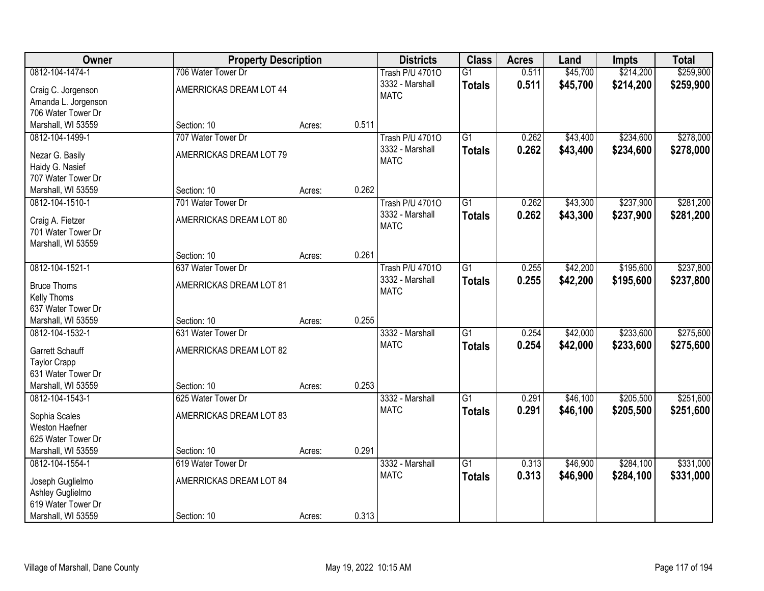| Owner                                     | <b>Property Description</b> |        |       | <b>Districts</b>       | <b>Class</b>    | <b>Acres</b> | Land     | <b>Impts</b> | <b>Total</b> |
|-------------------------------------------|-----------------------------|--------|-------|------------------------|-----------------|--------------|----------|--------------|--------------|
| 0812-104-1474-1                           | 706 Water Tower Dr          |        |       | <b>Trash P/U 47010</b> | $\overline{G1}$ | 0.511        | \$45,700 | \$214,200    | \$259,900    |
| Craig C. Jorgenson                        | AMERRICKAS DREAM LOT 44     |        |       | 3332 - Marshall        | <b>Totals</b>   | 0.511        | \$45,700 | \$214,200    | \$259,900    |
| Amanda L. Jorgenson                       |                             |        |       | <b>MATC</b>            |                 |              |          |              |              |
| 706 Water Tower Dr                        |                             |        |       |                        |                 |              |          |              |              |
| Marshall, WI 53559                        | Section: 10                 | Acres: | 0.511 |                        |                 |              |          |              |              |
| 0812-104-1499-1                           | 707 Water Tower Dr          |        |       | <b>Trash P/U 47010</b> | $\overline{G1}$ | 0.262        | \$43,400 | \$234,600    | \$278,000    |
|                                           |                             |        |       | 3332 - Marshall        | <b>Totals</b>   | 0.262        | \$43,400 | \$234,600    | \$278,000    |
| Nezar G. Basily                           | AMERRICKAS DREAM LOT 79     |        |       | <b>MATC</b>            |                 |              |          |              |              |
| Haidy G. Nasief<br>707 Water Tower Dr     |                             |        |       |                        |                 |              |          |              |              |
| Marshall, WI 53559                        | Section: 10                 | Acres: | 0.262 |                        |                 |              |          |              |              |
| 0812-104-1510-1                           | 701 Water Tower Dr          |        |       | <b>Trash P/U 47010</b> | $\overline{G1}$ | 0.262        | \$43,300 | \$237,900    | \$281,200    |
|                                           |                             |        |       | 3332 - Marshall        |                 | 0.262        | \$43,300 |              |              |
| Craig A. Fietzer                          | AMERRICKAS DREAM LOT 80     |        |       | <b>MATC</b>            | <b>Totals</b>   |              |          | \$237,900    | \$281,200    |
| 701 Water Tower Dr                        |                             |        |       |                        |                 |              |          |              |              |
| Marshall, WI 53559                        |                             |        |       |                        |                 |              |          |              |              |
|                                           | Section: 10                 | Acres: | 0.261 |                        |                 |              |          |              |              |
| 0812-104-1521-1                           | 637 Water Tower Dr          |        |       | <b>Trash P/U 47010</b> | $\overline{G1}$ | 0.255        | \$42,200 | \$195,600    | \$237,800    |
| <b>Bruce Thoms</b>                        | AMERRICKAS DREAM LOT 81     |        |       | 3332 - Marshall        | <b>Totals</b>   | 0.255        | \$42,200 | \$195,600    | \$237,800    |
| Kelly Thoms                               |                             |        |       | <b>MATC</b>            |                 |              |          |              |              |
| 637 Water Tower Dr                        |                             |        |       |                        |                 |              |          |              |              |
| Marshall, WI 53559                        | Section: 10                 | Acres: | 0.255 |                        |                 |              |          |              |              |
| 0812-104-1532-1                           | 631 Water Tower Dr          |        |       | 3332 - Marshall        | $\overline{G1}$ | 0.254        | \$42,000 | \$233,600    | \$275,600    |
|                                           |                             |        |       | <b>MATC</b>            | <b>Totals</b>   | 0.254        | \$42,000 | \$233,600    | \$275,600    |
| Garrett Schauff                           | AMERRICKAS DREAM LOT 82     |        |       |                        |                 |              |          |              |              |
| <b>Taylor Crapp</b><br>631 Water Tower Dr |                             |        |       |                        |                 |              |          |              |              |
| Marshall, WI 53559                        | Section: 10                 | Acres: | 0.253 |                        |                 |              |          |              |              |
| 0812-104-1543-1                           | 625 Water Tower Dr          |        |       | 3332 - Marshall        | $\overline{G1}$ | 0.291        | \$46,100 | \$205,500    | \$251,600    |
|                                           |                             |        |       | <b>MATC</b>            | <b>Totals</b>   | 0.291        | \$46,100 | \$205,500    | \$251,600    |
| Sophia Scales                             | AMERRICKAS DREAM LOT 83     |        |       |                        |                 |              |          |              |              |
| Weston Haefner                            |                             |        |       |                        |                 |              |          |              |              |
| 625 Water Tower Dr                        |                             |        |       |                        |                 |              |          |              |              |
| Marshall, WI 53559                        | Section: 10                 | Acres: | 0.291 |                        |                 |              |          |              |              |
| 0812-104-1554-1                           | 619 Water Tower Dr          |        |       | 3332 - Marshall        | $\overline{G1}$ | 0.313        | \$46,900 | \$284,100    | \$331,000    |
| Joseph Guglielmo                          | AMERRICKAS DREAM LOT 84     |        |       | <b>MATC</b>            | <b>Totals</b>   | 0.313        | \$46,900 | \$284,100    | \$331,000    |
| Ashley Guglielmo                          |                             |        |       |                        |                 |              |          |              |              |
| 619 Water Tower Dr                        |                             |        |       |                        |                 |              |          |              |              |
| Marshall, WI 53559                        | Section: 10                 | Acres: | 0.313 |                        |                 |              |          |              |              |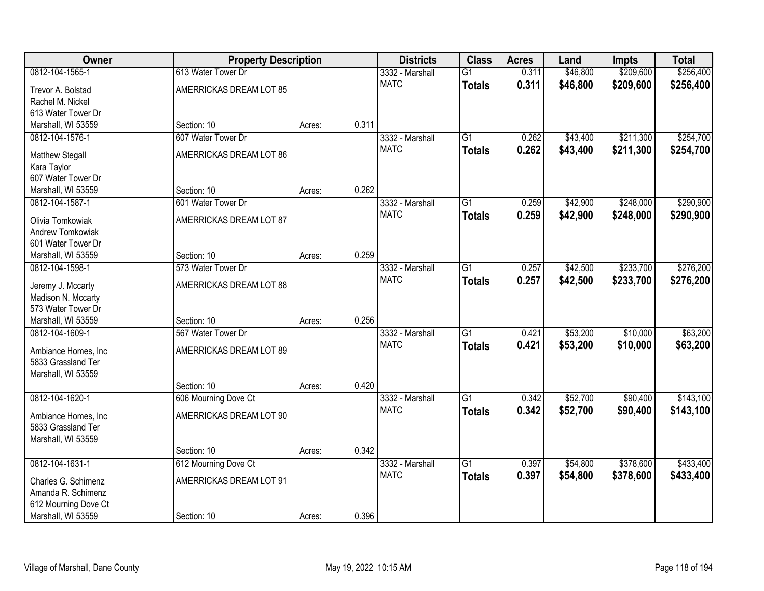| Owner                                     | <b>Property Description</b> |        |       | <b>Districts</b> | <b>Class</b>    | <b>Acres</b> | Land     | <b>Impts</b> | <b>Total</b> |
|-------------------------------------------|-----------------------------|--------|-------|------------------|-----------------|--------------|----------|--------------|--------------|
| 0812-104-1565-1                           | 613 Water Tower Dr          |        |       | 3332 - Marshall  | $\overline{G1}$ | 0.311        | \$46,800 | \$209,600    | \$256,400    |
| Trevor A. Bolstad                         | AMERRICKAS DREAM LOT 85     |        |       | <b>MATC</b>      | <b>Totals</b>   | 0.311        | \$46,800 | \$209,600    | \$256,400    |
| Rachel M. Nickel                          |                             |        |       |                  |                 |              |          |              |              |
| 613 Water Tower Dr                        |                             |        |       |                  |                 |              |          |              |              |
| Marshall, WI 53559                        | Section: 10                 | Acres: | 0.311 |                  |                 |              |          |              |              |
| 0812-104-1576-1                           | 607 Water Tower Dr          |        |       | 3332 - Marshall  | $\overline{G1}$ | 0.262        | \$43,400 | \$211,300    | \$254,700    |
|                                           | AMERRICKAS DREAM LOT 86     |        |       | <b>MATC</b>      | <b>Totals</b>   | 0.262        | \$43,400 | \$211,300    | \$254,700    |
| <b>Matthew Stegall</b>                    |                             |        |       |                  |                 |              |          |              |              |
| Kara Taylor<br>607 Water Tower Dr         |                             |        |       |                  |                 |              |          |              |              |
| Marshall, WI 53559                        | Section: 10                 | Acres: | 0.262 |                  |                 |              |          |              |              |
| 0812-104-1587-1                           | 601 Water Tower Dr          |        |       | 3332 - Marshall  | $\overline{G1}$ | 0.259        | \$42,900 | \$248,000    | \$290,900    |
|                                           |                             |        |       | <b>MATC</b>      |                 |              |          |              |              |
| Olivia Tomkowiak                          | AMERRICKAS DREAM LOT 87     |        |       |                  | <b>Totals</b>   | 0.259        | \$42,900 | \$248,000    | \$290,900    |
| Andrew Tomkowiak                          |                             |        |       |                  |                 |              |          |              |              |
| 601 Water Tower Dr                        |                             |        |       |                  |                 |              |          |              |              |
| Marshall, WI 53559                        | Section: 10                 | Acres: | 0.259 |                  |                 |              |          |              |              |
| 0812-104-1598-1                           | 573 Water Tower Dr          |        |       | 3332 - Marshall  | $\overline{G1}$ | 0.257        | \$42,500 | \$233,700    | \$276,200    |
| Jeremy J. Mccarty                         | AMERRICKAS DREAM LOT 88     |        |       | <b>MATC</b>      | <b>Totals</b>   | 0.257        | \$42,500 | \$233,700    | \$276,200    |
| Madison N. Mccarty                        |                             |        |       |                  |                 |              |          |              |              |
| 573 Water Tower Dr                        |                             |        |       |                  |                 |              |          |              |              |
| Marshall, WI 53559                        | Section: 10                 | Acres: | 0.256 |                  |                 |              |          |              |              |
| 0812-104-1609-1                           | 567 Water Tower Dr          |        |       | 3332 - Marshall  | $\overline{G1}$ | 0.421        | \$53,200 | \$10,000     | \$63,200     |
|                                           |                             |        |       | <b>MATC</b>      | <b>Totals</b>   | 0.421        | \$53,200 | \$10,000     | \$63,200     |
| Ambiance Homes, Inc                       | AMERRICKAS DREAM LOT 89     |        |       |                  |                 |              |          |              |              |
| 5833 Grassland Ter                        |                             |        |       |                  |                 |              |          |              |              |
| Marshall, WI 53559                        |                             |        |       |                  |                 |              |          |              |              |
|                                           | Section: 10                 | Acres: | 0.420 |                  |                 |              |          |              |              |
| 0812-104-1620-1                           | 606 Mourning Dove Ct        |        |       | 3332 - Marshall  | $\overline{G1}$ | 0.342        | \$52,700 | \$90,400     | \$143,100    |
| Ambiance Homes, Inc                       | AMERRICKAS DREAM LOT 90     |        |       | <b>MATC</b>      | <b>Totals</b>   | 0.342        | \$52,700 | \$90,400     | \$143,100    |
| 5833 Grassland Ter                        |                             |        |       |                  |                 |              |          |              |              |
| Marshall, WI 53559                        |                             |        |       |                  |                 |              |          |              |              |
|                                           | Section: 10                 | Acres: | 0.342 |                  |                 |              |          |              |              |
| 0812-104-1631-1                           | 612 Mourning Dove Ct        |        |       | 3332 - Marshall  | $\overline{G1}$ | 0.397        | \$54,800 | \$378,600    | \$433,400    |
|                                           | AMERRICKAS DREAM LOT 91     |        |       | <b>MATC</b>      | <b>Totals</b>   | 0.397        | \$54,800 | \$378,600    | \$433,400    |
| Charles G. Schimenz<br>Amanda R. Schimenz |                             |        |       |                  |                 |              |          |              |              |
| 612 Mourning Dove Ct                      |                             |        |       |                  |                 |              |          |              |              |
| Marshall, WI 53559                        | Section: 10                 | Acres: | 0.396 |                  |                 |              |          |              |              |
|                                           |                             |        |       |                  |                 |              |          |              |              |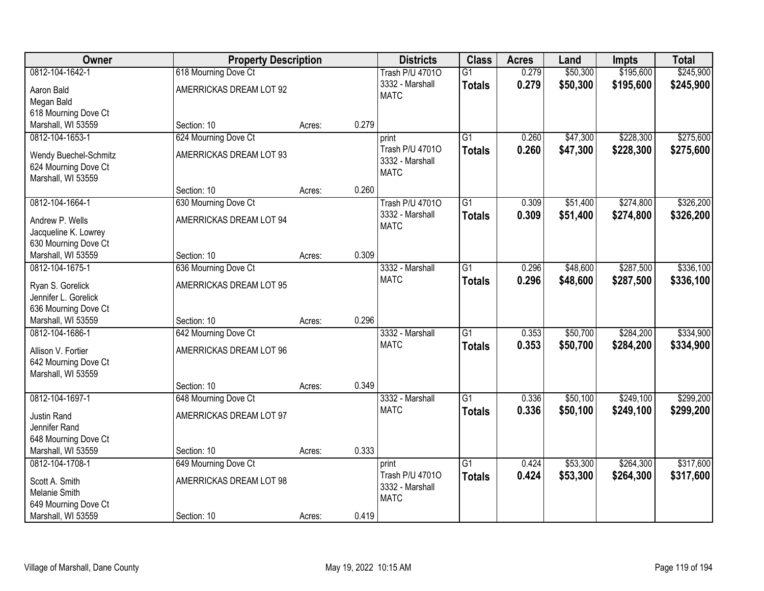| Owner                 | <b>Property Description</b> |        |       | <b>Districts</b>                   | <b>Class</b>    | <b>Acres</b> | Land     | <b>Impts</b> | <b>Total</b> |
|-----------------------|-----------------------------|--------|-------|------------------------------------|-----------------|--------------|----------|--------------|--------------|
| 0812-104-1642-1       | 618 Mourning Dove Ct        |        |       | <b>Trash P/U 47010</b>             | $\overline{G1}$ | 0.279        | \$50,300 | \$195,600    | \$245,900    |
| Aaron Bald            | AMERRICKAS DREAM LOT 92     |        |       | 3332 - Marshall<br><b>MATC</b>     | <b>Totals</b>   | 0.279        | \$50,300 | \$195,600    | \$245,900    |
| Megan Bald            |                             |        |       |                                    |                 |              |          |              |              |
| 618 Mourning Dove Ct  |                             |        | 0.279 |                                    |                 |              |          |              |              |
| Marshall, WI 53559    | Section: 10                 | Acres: |       |                                    |                 |              |          |              |              |
| 0812-104-1653-1       | 624 Mourning Dove Ct        |        |       | print                              | $\overline{G1}$ | 0.260        | \$47,300 | \$228,300    | \$275,600    |
| Wendy Buechel-Schmitz | AMERRICKAS DREAM LOT 93     |        |       | Trash P/U 47010<br>3332 - Marshall | <b>Totals</b>   | 0.260        | \$47,300 | \$228,300    | \$275,600    |
| 624 Mourning Dove Ct  |                             |        |       | <b>MATC</b>                        |                 |              |          |              |              |
| Marshall, WI 53559    |                             |        |       |                                    |                 |              |          |              |              |
|                       | Section: 10                 | Acres: | 0.260 |                                    |                 |              |          |              |              |
| 0812-104-1664-1       | 630 Mourning Dove Ct        |        |       | Trash P/U 47010                    | G1              | 0.309        | \$51,400 | \$274,800    | \$326,200    |
| Andrew P. Wells       | AMERRICKAS DREAM LOT 94     |        |       | 3332 - Marshall                    | <b>Totals</b>   | 0.309        | \$51,400 | \$274,800    | \$326,200    |
| Jacqueline K. Lowrey  |                             |        |       | <b>MATC</b>                        |                 |              |          |              |              |
| 630 Mourning Dove Ct  |                             |        |       |                                    |                 |              |          |              |              |
| Marshall, WI 53559    | Section: 10                 | Acres: | 0.309 |                                    |                 |              |          |              |              |
| 0812-104-1675-1       | 636 Mourning Dove Ct        |        |       | 3332 - Marshall                    | $\overline{G1}$ | 0.296        | \$48,600 | \$287,500    | \$336,100    |
|                       |                             |        |       | <b>MATC</b>                        | <b>Totals</b>   | 0.296        | \$48,600 | \$287,500    | \$336,100    |
| Ryan S. Gorelick      | AMERRICKAS DREAM LOT 95     |        |       |                                    |                 |              |          |              |              |
| Jennifer L. Gorelick  |                             |        |       |                                    |                 |              |          |              |              |
| 636 Mourning Dove Ct  |                             |        |       |                                    |                 |              |          |              |              |
| Marshall, WI 53559    | Section: 10                 | Acres: | 0.296 |                                    |                 |              |          |              |              |
| 0812-104-1686-1       | 642 Mourning Dove Ct        |        |       | 3332 - Marshall                    | $\overline{G1}$ | 0.353        | \$50,700 | \$284,200    | \$334,900    |
| Allison V. Fortier    | AMERRICKAS DREAM LOT 96     |        |       | <b>MATC</b>                        | <b>Totals</b>   | 0.353        | \$50,700 | \$284,200    | \$334,900    |
| 642 Mourning Dove Ct  |                             |        |       |                                    |                 |              |          |              |              |
| Marshall, WI 53559    |                             |        |       |                                    |                 |              |          |              |              |
|                       | Section: 10                 | Acres: | 0.349 |                                    |                 |              |          |              |              |
| 0812-104-1697-1       | 648 Mourning Dove Ct        |        |       | 3332 - Marshall                    | $\overline{G1}$ | 0.336        | \$50,100 | \$249,100    | \$299,200    |
| <b>Justin Rand</b>    | AMERRICKAS DREAM LOT 97     |        |       | <b>MATC</b>                        | <b>Totals</b>   | 0.336        | \$50,100 | \$249,100    | \$299,200    |
| Jennifer Rand         |                             |        |       |                                    |                 |              |          |              |              |
| 648 Mourning Dove Ct  |                             |        |       |                                    |                 |              |          |              |              |
| Marshall, WI 53559    | Section: 10                 | Acres: | 0.333 |                                    |                 |              |          |              |              |
| 0812-104-1708-1       | 649 Mourning Dove Ct        |        |       | print                              | $\overline{G1}$ | 0.424        | \$53,300 | \$264,300    | \$317,600    |
|                       |                             |        |       | Trash P/U 47010                    | <b>Totals</b>   | 0.424        | \$53,300 | \$264,300    | \$317,600    |
| Scott A. Smith        | AMERRICKAS DREAM LOT 98     |        |       | 3332 - Marshall                    |                 |              |          |              |              |
| Melanie Smith         |                             |        |       | <b>MATC</b>                        |                 |              |          |              |              |
| 649 Mourning Dove Ct  |                             |        |       |                                    |                 |              |          |              |              |
| Marshall, WI 53559    | Section: 10                 | Acres: | 0.419 |                                    |                 |              |          |              |              |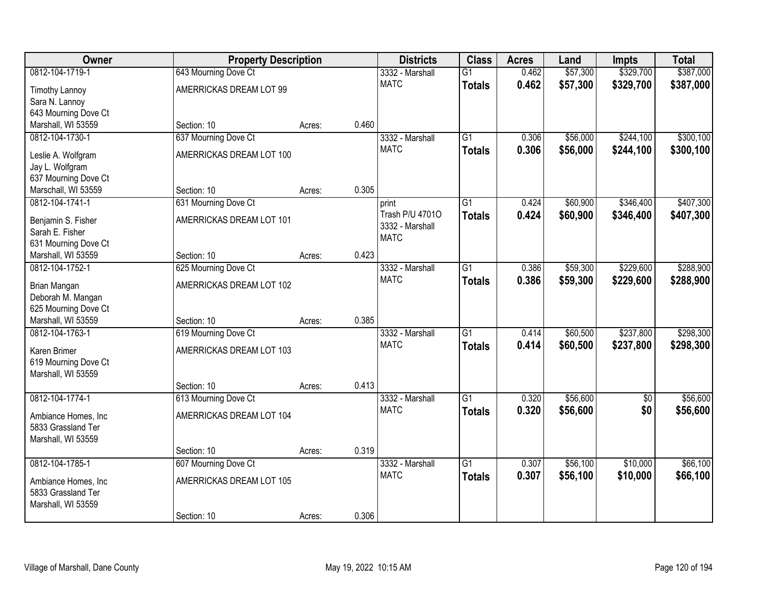| Owner                                     | <b>Property Description</b> |        |       | <b>Districts</b>               | <b>Class</b>    | <b>Acres</b> | Land     | <b>Impts</b> | <b>Total</b> |
|-------------------------------------------|-----------------------------|--------|-------|--------------------------------|-----------------|--------------|----------|--------------|--------------|
| 0812-104-1719-1                           | 643 Mourning Dove Ct        |        |       | 3332 - Marshall                | $\overline{G1}$ | 0.462        | \$57,300 | \$329,700    | \$387,000    |
| <b>Timothy Lannoy</b>                     | AMERRICKAS DREAM LOT 99     |        |       | <b>MATC</b>                    | <b>Totals</b>   | 0.462        | \$57,300 | \$329,700    | \$387,000    |
| Sara N. Lannoy                            |                             |        |       |                                |                 |              |          |              |              |
| 643 Mourning Dove Ct                      |                             |        |       |                                |                 |              |          |              |              |
| Marshall, WI 53559                        | Section: 10                 | Acres: | 0.460 |                                |                 |              |          |              |              |
| 0812-104-1730-1                           | 637 Mourning Dove Ct        |        |       | 3332 - Marshall                | $\overline{G1}$ | 0.306        | \$56,000 | \$244,100    | \$300,100    |
| Leslie A. Wolfgram                        | AMERRICKAS DREAM LOT 100    |        |       | <b>MATC</b>                    | <b>Totals</b>   | 0.306        | \$56,000 | \$244,100    | \$300,100    |
| Jay L. Wolfgram                           |                             |        |       |                                |                 |              |          |              |              |
| 637 Mourning Dove Ct                      |                             |        |       |                                |                 |              |          |              |              |
| Marschall, WI 53559                       | Section: 10                 | Acres: | 0.305 |                                |                 |              |          |              |              |
| 0812-104-1741-1                           | 631 Mourning Dove Ct        |        |       | print                          | $\overline{G1}$ | 0.424        | \$60,900 | \$346,400    | \$407,300    |
|                                           | AMERRICKAS DREAM LOT 101    |        |       | Trash P/U 47010                | <b>Totals</b>   | 0.424        | \$60,900 | \$346,400    | \$407,300    |
| Benjamin S. Fisher<br>Sarah E. Fisher     |                             |        |       | 3332 - Marshall                |                 |              |          |              |              |
| 631 Mourning Dove Ct                      |                             |        |       | <b>MATC</b>                    |                 |              |          |              |              |
| Marshall, WI 53559                        | Section: 10                 | Acres: | 0.423 |                                |                 |              |          |              |              |
| 0812-104-1752-1                           | 625 Mourning Dove Ct        |        |       | 3332 - Marshall                | $\overline{G1}$ | 0.386        | \$59,300 | \$229,600    | \$288,900    |
|                                           |                             |        |       | <b>MATC</b>                    | <b>Totals</b>   | 0.386        | \$59,300 | \$229,600    | \$288,900    |
| Brian Mangan                              | AMERRICKAS DREAM LOT 102    |        |       |                                |                 |              |          |              |              |
| Deborah M. Mangan<br>625 Mourning Dove Ct |                             |        |       |                                |                 |              |          |              |              |
| Marshall, WI 53559                        | Section: 10                 | Acres: | 0.385 |                                |                 |              |          |              |              |
| 0812-104-1763-1                           | 619 Mourning Dove Ct        |        |       | 3332 - Marshall                | $\overline{G1}$ | 0.414        | \$60,500 | \$237,800    | \$298,300    |
|                                           |                             |        |       | <b>MATC</b>                    | <b>Totals</b>   | 0.414        | \$60,500 | \$237,800    | \$298,300    |
| Karen Brimer                              | AMERRICKAS DREAM LOT 103    |        |       |                                |                 |              |          |              |              |
| 619 Mourning Dove Ct                      |                             |        |       |                                |                 |              |          |              |              |
| Marshall, WI 53559                        | Section: 10                 |        | 0.413 |                                |                 |              |          |              |              |
| 0812-104-1774-1                           | 613 Mourning Dove Ct        | Acres: |       | 3332 - Marshall                | $\overline{G1}$ | 0.320        | \$56,600 | $\sqrt{6}$   | \$56,600     |
|                                           |                             |        |       | <b>MATC</b>                    | <b>Totals</b>   | 0.320        | \$56,600 | \$0          | \$56,600     |
| Ambiance Homes, Inc                       | AMERRICKAS DREAM LOT 104    |        |       |                                |                 |              |          |              |              |
| 5833 Grassland Ter                        |                             |        |       |                                |                 |              |          |              |              |
| Marshall, WI 53559                        |                             |        |       |                                |                 |              |          |              |              |
|                                           | Section: 10                 | Acres: | 0.319 |                                |                 |              |          |              |              |
| 0812-104-1785-1                           | 607 Mourning Dove Ct        |        |       | 3332 - Marshall<br><b>MATC</b> | $\overline{G1}$ | 0.307        | \$56,100 | \$10,000     | \$66,100     |
| Ambiance Homes, Inc                       | AMERRICKAS DREAM LOT 105    |        |       |                                | <b>Totals</b>   | 0.307        | \$56,100 | \$10,000     | \$66,100     |
| 5833 Grassland Ter                        |                             |        |       |                                |                 |              |          |              |              |
| Marshall, WI 53559                        |                             |        |       |                                |                 |              |          |              |              |
|                                           | Section: 10                 | Acres: | 0.306 |                                |                 |              |          |              |              |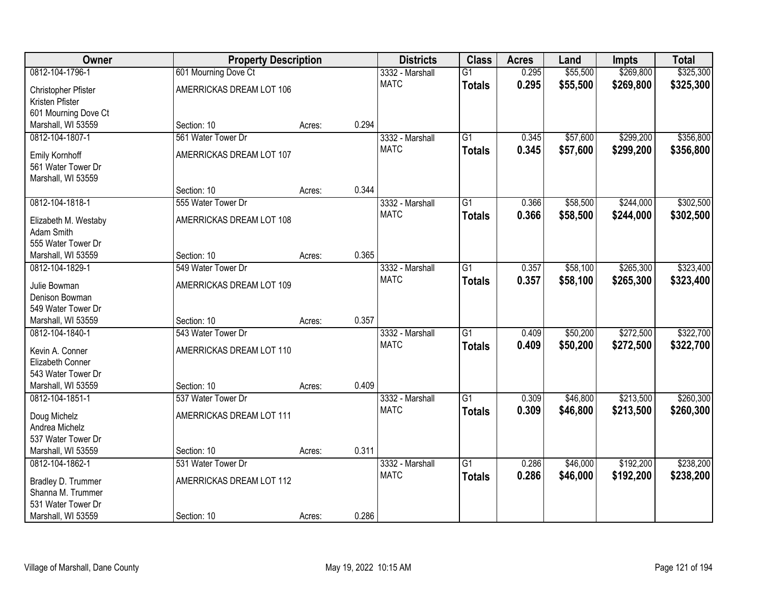| Owner                              |                                   | <b>Property Description</b> |       | <b>Districts</b>               | <b>Class</b>    | <b>Acres</b> | Land     | <b>Impts</b> | <b>Total</b> |
|------------------------------------|-----------------------------------|-----------------------------|-------|--------------------------------|-----------------|--------------|----------|--------------|--------------|
| 0812-104-1796-1                    | 601 Mourning Dove Ct              |                             |       | 3332 - Marshall                | $\overline{G1}$ | 0.295        | \$55,500 | \$269,800    | \$325,300    |
| Christopher Pfister                | AMERRICKAS DREAM LOT 106          |                             |       | <b>MATC</b>                    | <b>Totals</b>   | 0.295        | \$55,500 | \$269,800    | \$325,300    |
| Kristen Pfister                    |                                   |                             |       |                                |                 |              |          |              |              |
| 601 Mourning Dove Ct               |                                   |                             |       |                                |                 |              |          |              |              |
| Marshall, WI 53559                 | Section: 10                       | Acres:                      | 0.294 |                                |                 |              |          |              |              |
| 0812-104-1807-1                    | 561 Water Tower Dr                |                             |       | 3332 - Marshall                | $\overline{G1}$ | 0.345        | \$57,600 | \$299,200    | \$356,800    |
| Emily Kornhoff                     | AMERRICKAS DREAM LOT 107          |                             |       | <b>MATC</b>                    | <b>Totals</b>   | 0.345        | \$57,600 | \$299,200    | \$356,800    |
| 561 Water Tower Dr                 |                                   |                             |       |                                |                 |              |          |              |              |
| Marshall, WI 53559                 |                                   |                             |       |                                |                 |              |          |              |              |
|                                    | Section: 10                       | Acres:                      | 0.344 |                                |                 |              |          |              |              |
| 0812-104-1818-1                    | 555 Water Tower Dr                |                             |       | 3332 - Marshall                | $\overline{G1}$ | 0.366        | \$58,500 | \$244,000    | \$302,500    |
|                                    | AMERRICKAS DREAM LOT 108          |                             |       | <b>MATC</b>                    | <b>Totals</b>   | 0.366        | \$58,500 | \$244,000    | \$302,500    |
| Elizabeth M. Westaby<br>Adam Smith |                                   |                             |       |                                |                 |              |          |              |              |
| 555 Water Tower Dr                 |                                   |                             |       |                                |                 |              |          |              |              |
| Marshall, WI 53559                 | Section: 10                       | Acres:                      | 0.365 |                                |                 |              |          |              |              |
| 0812-104-1829-1                    | 549 Water Tower Dr                |                             |       | 3332 - Marshall                | $\overline{G1}$ | 0.357        | \$58,100 | \$265,300    | \$323,400    |
|                                    |                                   |                             |       | <b>MATC</b>                    | <b>Totals</b>   | 0.357        | \$58,100 | \$265,300    | \$323,400    |
| Julie Bowman                       | AMERRICKAS DREAM LOT 109          |                             |       |                                |                 |              |          |              |              |
| Denison Bowman                     |                                   |                             |       |                                |                 |              |          |              |              |
| 549 Water Tower Dr                 |                                   |                             |       |                                |                 |              |          |              |              |
| Marshall, WI 53559                 | Section: 10<br>543 Water Tower Dr | Acres:                      | 0.357 |                                | $\overline{G1}$ |              | \$50,200 | \$272,500    | \$322,700    |
| 0812-104-1840-1                    |                                   |                             |       | 3332 - Marshall<br><b>MATC</b> |                 | 0.409        |          |              |              |
| Kevin A. Conner                    | AMERRICKAS DREAM LOT 110          |                             |       |                                | <b>Totals</b>   | 0.409        | \$50,200 | \$272,500    | \$322,700    |
| Elizabeth Conner                   |                                   |                             |       |                                |                 |              |          |              |              |
| 543 Water Tower Dr                 |                                   |                             |       |                                |                 |              |          |              |              |
| Marshall, WI 53559                 | Section: 10                       | Acres:                      | 0.409 |                                |                 |              |          |              |              |
| 0812-104-1851-1                    | 537 Water Tower Dr                |                             |       | 3332 - Marshall                | $\overline{G1}$ | 0.309        | \$46,800 | \$213,500    | \$260,300    |
| Doug Michelz                       | AMERRICKAS DREAM LOT 111          |                             |       | <b>MATC</b>                    | <b>Totals</b>   | 0.309        | \$46,800 | \$213,500    | \$260,300    |
| Andrea Michelz                     |                                   |                             |       |                                |                 |              |          |              |              |
| 537 Water Tower Dr                 |                                   |                             |       |                                |                 |              |          |              |              |
| Marshall, WI 53559                 | Section: 10                       | Acres:                      | 0.311 |                                |                 |              |          |              |              |
| 0812-104-1862-1                    | 531 Water Tower Dr                |                             |       | 3332 - Marshall                | $\overline{G1}$ | 0.286        | \$46,000 | \$192,200    | \$238,200    |
| Bradley D. Trummer                 | AMERRICKAS DREAM LOT 112          |                             |       | <b>MATC</b>                    | <b>Totals</b>   | 0.286        | \$46,000 | \$192,200    | \$238,200    |
| Shanna M. Trummer                  |                                   |                             |       |                                |                 |              |          |              |              |
| 531 Water Tower Dr                 |                                   |                             |       |                                |                 |              |          |              |              |
| Marshall, WI 53559                 | Section: 10                       | Acres:                      | 0.286 |                                |                 |              |          |              |              |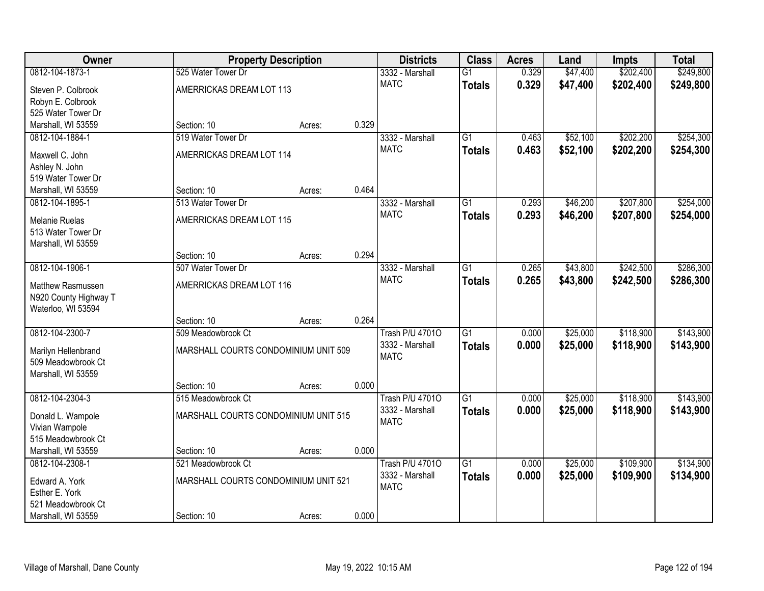| <b>Owner</b>          | <b>Property Description</b>          |        | <b>Districts</b> | <b>Class</b>           | <b>Acres</b>    | Land  | <b>Impts</b> | <b>Total</b> |           |
|-----------------------|--------------------------------------|--------|------------------|------------------------|-----------------|-------|--------------|--------------|-----------|
| 0812-104-1873-1       | 525 Water Tower Dr                   |        |                  | 3332 - Marshall        | $\overline{G1}$ | 0.329 | \$47,400     | \$202,400    | \$249,800 |
| Steven P. Colbrook    | AMERRICKAS DREAM LOT 113             |        |                  | <b>MATC</b>            | <b>Totals</b>   | 0.329 | \$47,400     | \$202,400    | \$249,800 |
| Robyn E. Colbrook     |                                      |        |                  |                        |                 |       |              |              |           |
| 525 Water Tower Dr    |                                      |        |                  |                        |                 |       |              |              |           |
| Marshall, WI 53559    | Section: 10                          | Acres: | 0.329            |                        |                 |       |              |              |           |
| 0812-104-1884-1       | 519 Water Tower Dr                   |        |                  | 3332 - Marshall        | G1              | 0.463 | \$52,100     | \$202,200    | \$254,300 |
| Maxwell C. John       | AMERRICKAS DREAM LOT 114             |        |                  | <b>MATC</b>            | <b>Totals</b>   | 0.463 | \$52,100     | \$202,200    | \$254,300 |
| Ashley N. John        |                                      |        |                  |                        |                 |       |              |              |           |
| 519 Water Tower Dr    |                                      |        |                  |                        |                 |       |              |              |           |
| Marshall, WI 53559    | Section: 10                          | Acres: | 0.464            |                        |                 |       |              |              |           |
| 0812-104-1895-1       | 513 Water Tower Dr                   |        |                  | 3332 - Marshall        | $\overline{G1}$ | 0.293 | \$46,200     | \$207,800    | \$254,000 |
| <b>Melanie Ruelas</b> | AMERRICKAS DREAM LOT 115             |        |                  | <b>MATC</b>            | <b>Totals</b>   | 0.293 | \$46,200     | \$207,800    | \$254,000 |
| 513 Water Tower Dr    |                                      |        |                  |                        |                 |       |              |              |           |
| Marshall, WI 53559    |                                      |        |                  |                        |                 |       |              |              |           |
|                       | Section: 10                          | Acres: | 0.294            |                        |                 |       |              |              |           |
| 0812-104-1906-1       | 507 Water Tower Dr                   |        |                  | 3332 - Marshall        | $\overline{G1}$ | 0.265 | \$43,800     | \$242,500    | \$286,300 |
| Matthew Rasmussen     | AMERRICKAS DREAM LOT 116             |        |                  | <b>MATC</b>            | <b>Totals</b>   | 0.265 | \$43,800     | \$242,500    | \$286,300 |
| N920 County Highway T |                                      |        |                  |                        |                 |       |              |              |           |
| Waterloo, WI 53594    |                                      |        |                  |                        |                 |       |              |              |           |
|                       | Section: 10                          | Acres: | 0.264            |                        |                 |       |              |              |           |
| 0812-104-2300-7       | 509 Meadowbrook Ct                   |        |                  | <b>Trash P/U 47010</b> | $\overline{G1}$ | 0.000 | \$25,000     | \$118,900    | \$143,900 |
| Marilyn Hellenbrand   | MARSHALL COURTS CONDOMINIUM UNIT 509 |        |                  | 3332 - Marshall        | <b>Totals</b>   | 0.000 | \$25,000     | \$118,900    | \$143,900 |
| 509 Meadowbrook Ct    |                                      |        |                  | <b>MATC</b>            |                 |       |              |              |           |
| Marshall, WI 53559    |                                      |        |                  |                        |                 |       |              |              |           |
|                       | Section: 10                          | Acres: | 0.000            |                        |                 |       |              |              |           |
| 0812-104-2304-3       | 515 Meadowbrook Ct                   |        |                  | <b>Trash P/U 47010</b> | $\overline{G1}$ | 0.000 | \$25,000     | \$118,900    | \$143,900 |
| Donald L. Wampole     | MARSHALL COURTS CONDOMINIUM UNIT 515 |        |                  | 3332 - Marshall        | <b>Totals</b>   | 0.000 | \$25,000     | \$118,900    | \$143,900 |
| Vivian Wampole        |                                      |        |                  | <b>MATC</b>            |                 |       |              |              |           |
| 515 Meadowbrook Ct    |                                      |        |                  |                        |                 |       |              |              |           |
| Marshall, WI 53559    | Section: 10                          | Acres: | 0.000            |                        |                 |       |              |              |           |
| 0812-104-2308-1       | 521 Meadowbrook Ct                   |        |                  | <b>Trash P/U 47010</b> | $\overline{G1}$ | 0.000 | \$25,000     | \$109,900    | \$134,900 |
| Edward A. York        | MARSHALL COURTS CONDOMINIUM UNIT 521 |        |                  | 3332 - Marshall        | <b>Totals</b>   | 0.000 | \$25,000     | \$109,900    | \$134,900 |
| Esther E. York        |                                      |        |                  | <b>MATC</b>            |                 |       |              |              |           |
| 521 Meadowbrook Ct    |                                      |        |                  |                        |                 |       |              |              |           |
| Marshall, WI 53559    | Section: 10                          | Acres: | 0.000            |                        |                 |       |              |              |           |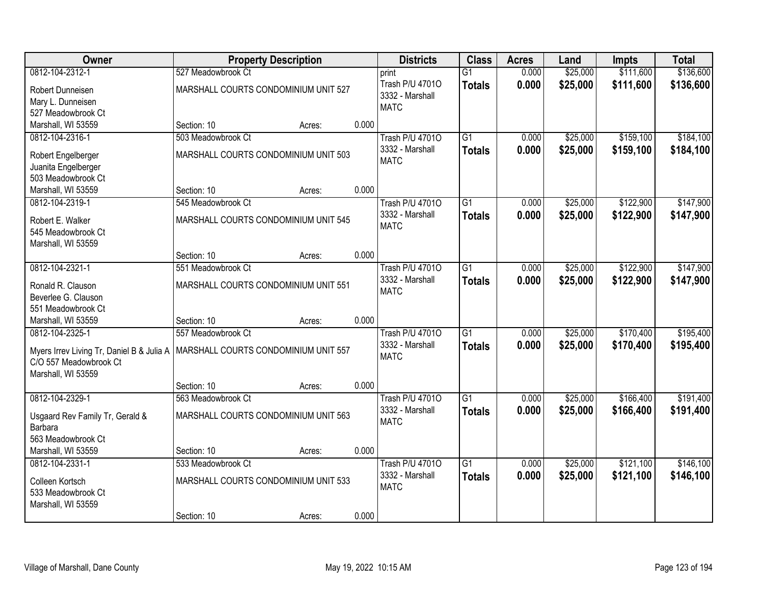| Owner                                     | <b>Property Description</b>          |        | <b>Districts</b> | <b>Class</b>           | <b>Acres</b>    | Land  | <b>Impts</b> | <b>Total</b> |           |
|-------------------------------------------|--------------------------------------|--------|------------------|------------------------|-----------------|-------|--------------|--------------|-----------|
| 0812-104-2312-1                           | 527 Meadowbrook Ct                   |        |                  | print                  | $\overline{G1}$ | 0.000 | \$25,000     | \$111,600    | \$136,600 |
| Robert Dunneisen                          | MARSHALL COURTS CONDOMINIUM UNIT 527 |        |                  | Trash P/U 47010        | <b>Totals</b>   | 0.000 | \$25,000     | \$111,600    | \$136,600 |
| Mary L. Dunneisen                         |                                      |        |                  | 3332 - Marshall        |                 |       |              |              |           |
| 527 Meadowbrook Ct                        |                                      |        |                  | <b>MATC</b>            |                 |       |              |              |           |
| Marshall, WI 53559                        | Section: 10                          | Acres: | 0.000            |                        |                 |       |              |              |           |
| 0812-104-2316-1                           | 503 Meadowbrook Ct                   |        |                  | <b>Trash P/U 47010</b> | $\overline{G1}$ | 0.000 | \$25,000     | \$159,100    | \$184,100 |
|                                           | MARSHALL COURTS CONDOMINIUM UNIT 503 |        |                  | 3332 - Marshall        | <b>Totals</b>   | 0.000 | \$25,000     | \$159,100    | \$184,100 |
| Robert Engelberger<br>Juanita Engelberger |                                      |        |                  | <b>MATC</b>            |                 |       |              |              |           |
| 503 Meadowbrook Ct                        |                                      |        |                  |                        |                 |       |              |              |           |
| Marshall, WI 53559                        | Section: 10                          | Acres: | 0.000            |                        |                 |       |              |              |           |
| 0812-104-2319-1                           | 545 Meadowbrook Ct                   |        |                  | <b>Trash P/U 47010</b> | $\overline{G1}$ | 0.000 | \$25,000     | \$122,900    | \$147,900 |
|                                           |                                      |        |                  | 3332 - Marshall        | <b>Totals</b>   | 0.000 | \$25,000     | \$122,900    | \$147,900 |
| Robert E. Walker                          | MARSHALL COURTS CONDOMINIUM UNIT 545 |        |                  | <b>MATC</b>            |                 |       |              |              |           |
| 545 Meadowbrook Ct                        |                                      |        |                  |                        |                 |       |              |              |           |
| Marshall, WI 53559                        |                                      |        |                  |                        |                 |       |              |              |           |
|                                           | Section: 10                          | Acres: | 0.000            |                        |                 |       |              |              |           |
| 0812-104-2321-1                           | 551 Meadowbrook Ct                   |        |                  | <b>Trash P/U 47010</b> | $\overline{G1}$ | 0.000 | \$25,000     | \$122,900    | \$147,900 |
| Ronald R. Clauson                         | MARSHALL COURTS CONDOMINIUM UNIT 551 |        |                  | 3332 - Marshall        | <b>Totals</b>   | 0.000 | \$25,000     | \$122,900    | \$147,900 |
| Beverlee G. Clauson                       |                                      |        |                  | <b>MATC</b>            |                 |       |              |              |           |
| 551 Meadowbrook Ct                        |                                      |        |                  |                        |                 |       |              |              |           |
| Marshall, WI 53559                        | Section: 10                          | Acres: | 0.000            |                        |                 |       |              |              |           |
| 0812-104-2325-1                           | 557 Meadowbrook Ct                   |        |                  | <b>Trash P/U 47010</b> | $\overline{G1}$ | 0.000 | \$25,000     | \$170,400    | \$195,400 |
| Myers Irrev Living Tr, Daniel B & Julia A | MARSHALL COURTS CONDOMINIUM UNIT 557 |        |                  | 3332 - Marshall        | <b>Totals</b>   | 0.000 | \$25,000     | \$170,400    | \$195,400 |
| C/O 557 Meadowbrook Ct                    |                                      |        |                  | <b>MATC</b>            |                 |       |              |              |           |
| Marshall, WI 53559                        |                                      |        |                  |                        |                 |       |              |              |           |
|                                           | Section: 10                          | Acres: | 0.000            |                        |                 |       |              |              |           |
| 0812-104-2329-1                           | 563 Meadowbrook Ct                   |        |                  | <b>Trash P/U 47010</b> | $\overline{G1}$ | 0.000 | \$25,000     | \$166,400    | \$191,400 |
|                                           |                                      |        |                  | 3332 - Marshall        | <b>Totals</b>   | 0.000 | \$25,000     | \$166,400    | \$191,400 |
| Usgaard Rev Family Tr, Gerald &           | MARSHALL COURTS CONDOMINIUM UNIT 563 |        |                  | <b>MATC</b>            |                 |       |              |              |           |
| Barbara<br>563 Meadowbrook Ct             |                                      |        |                  |                        |                 |       |              |              |           |
| Marshall, WI 53559                        | Section: 10                          | Acres: | 0.000            |                        |                 |       |              |              |           |
| 0812-104-2331-1                           | 533 Meadowbrook Ct                   |        |                  | <b>Trash P/U 47010</b> | $\overline{G1}$ | 0.000 | \$25,000     | \$121,100    | \$146,100 |
|                                           |                                      |        |                  | 3332 - Marshall        |                 | 0.000 | \$25,000     | \$121,100    | \$146,100 |
| Colleen Kortsch                           | MARSHALL COURTS CONDOMINIUM UNIT 533 |        |                  | <b>MATC</b>            | <b>Totals</b>   |       |              |              |           |
| 533 Meadowbrook Ct                        |                                      |        |                  |                        |                 |       |              |              |           |
| Marshall, WI 53559                        |                                      |        |                  |                        |                 |       |              |              |           |
|                                           | Section: 10                          | Acres: | 0.000            |                        |                 |       |              |              |           |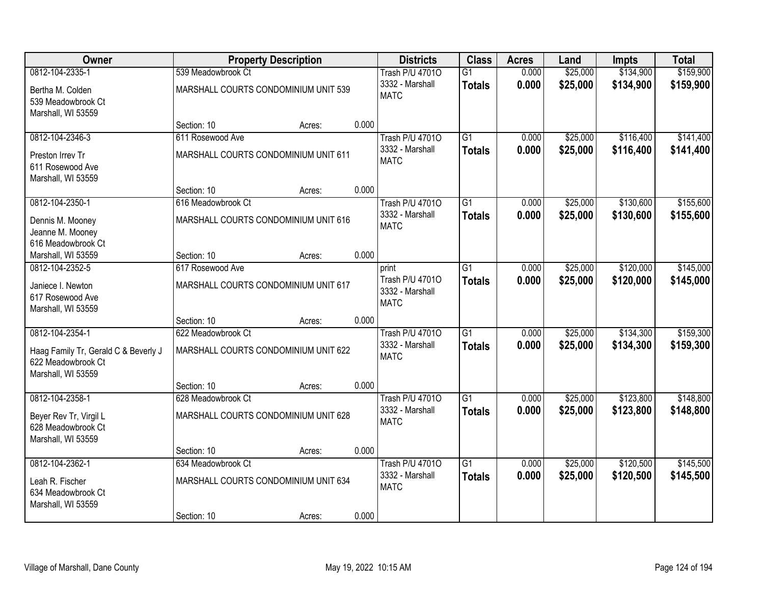| Owner                                                                                               | <b>Property Description</b>                                |        |       | <b>Districts</b>                                         | <b>Class</b>                     | <b>Acres</b>   | Land                 | Impts                  | <b>Total</b>           |
|-----------------------------------------------------------------------------------------------------|------------------------------------------------------------|--------|-------|----------------------------------------------------------|----------------------------------|----------------|----------------------|------------------------|------------------------|
| 0812-104-2335-1                                                                                     | 539 Meadowbrook Ct                                         |        |       | <b>Trash P/U 47010</b>                                   | $\overline{G1}$                  | 0.000          | \$25,000             | \$134,900              | \$159,900              |
| Bertha M. Colden<br>539 Meadowbrook Ct<br>Marshall, WI 53559                                        | MARSHALL COURTS CONDOMINIUM UNIT 539                       |        |       | 3332 - Marshall<br><b>MATC</b>                           | <b>Totals</b>                    | 0.000          | \$25,000             | \$134,900              | \$159,900              |
|                                                                                                     | Section: 10                                                | Acres: | 0.000 |                                                          |                                  |                |                      |                        |                        |
| 0812-104-2346-3                                                                                     | 611 Rosewood Ave                                           |        |       | <b>Trash P/U 47010</b>                                   | $\overline{G1}$                  | 0.000          | \$25,000             | \$116,400              | \$141,400              |
| Preston Irrev Tr<br>611 Rosewood Ave<br>Marshall, WI 53559                                          | MARSHALL COURTS CONDOMINIUM UNIT 611                       |        |       | 3332 - Marshall<br><b>MATC</b>                           | <b>Totals</b>                    | 0.000          | \$25,000             | \$116,400              | \$141,400              |
|                                                                                                     | Section: 10                                                | Acres: | 0.000 |                                                          |                                  |                |                      |                        |                        |
| 0812-104-2350-1                                                                                     | 616 Meadowbrook Ct                                         |        |       | <b>Trash P/U 47010</b>                                   | $\overline{G1}$                  | 0.000          | \$25,000             | \$130,600              | \$155,600              |
| Dennis M. Mooney<br>Jeanne M. Mooney<br>616 Meadowbrook Ct                                          | MARSHALL COURTS CONDOMINIUM UNIT 616                       |        |       | 3332 - Marshall<br><b>MATC</b>                           | <b>Totals</b>                    | 0.000          | \$25,000             | \$130,600              | \$155,600              |
| Marshall, WI 53559                                                                                  | Section: 10                                                | Acres: | 0.000 |                                                          |                                  |                |                      |                        |                        |
| 0812-104-2352-5                                                                                     | 617 Rosewood Ave                                           |        |       | print                                                    | $\overline{G1}$                  | 0.000          | \$25,000             | \$120,000              | \$145,000              |
| Janiece I. Newton<br>617 Rosewood Ave<br>Marshall, WI 53559                                         | MARSHALL COURTS CONDOMINIUM UNIT 617                       |        |       | Trash P/U 47010<br>3332 - Marshall<br><b>MATC</b>        | <b>Totals</b>                    | 0.000          | \$25,000             | \$120,000              | \$145,000              |
|                                                                                                     | Section: 10                                                | Acres: | 0.000 |                                                          |                                  |                |                      |                        |                        |
| 0812-104-2354-1<br>Haag Family Tr, Gerald C & Beverly J<br>622 Meadowbrook Ct<br>Marshall, WI 53559 | 622 Meadowbrook Ct<br>MARSHALL COURTS CONDOMINIUM UNIT 622 |        |       | <b>Trash P/U 47010</b><br>3332 - Marshall<br><b>MATC</b> | $\overline{G1}$<br><b>Totals</b> | 0.000<br>0.000 | \$25,000<br>\$25,000 | \$134,300<br>\$134,300 | \$159,300<br>\$159,300 |
|                                                                                                     | Section: 10                                                | Acres: | 0.000 |                                                          |                                  |                |                      |                        |                        |
| 0812-104-2358-1                                                                                     | 628 Meadowbrook Ct                                         |        |       | <b>Trash P/U 47010</b>                                   | $\overline{G1}$                  | 0.000          | \$25,000             | \$123,800              | \$148,800              |
| Beyer Rev Tr, Virgil L<br>628 Meadowbrook Ct<br>Marshall, WI 53559                                  | MARSHALL COURTS CONDOMINIUM UNIT 628                       |        |       | 3332 - Marshall<br><b>MATC</b>                           | <b>Totals</b>                    | 0.000          | \$25,000             | \$123,800              | \$148,800              |
|                                                                                                     | Section: 10                                                | Acres: | 0.000 |                                                          |                                  |                |                      |                        |                        |
| 0812-104-2362-1                                                                                     | 634 Meadowbrook Ct                                         |        |       | <b>Trash P/U 47010</b>                                   | $\overline{G1}$                  | 0.000          | \$25,000             | \$120,500              | \$145,500              |
| Leah R. Fischer<br>634 Meadowbrook Ct<br>Marshall, WI 53559                                         | MARSHALL COURTS CONDOMINIUM UNIT 634                       |        |       | 3332 - Marshall<br><b>MATC</b>                           | <b>Totals</b>                    | 0.000          | \$25,000             | \$120,500              | \$145,500              |
|                                                                                                     | Section: 10                                                | Acres: | 0.000 |                                                          |                                  |                |                      |                        |                        |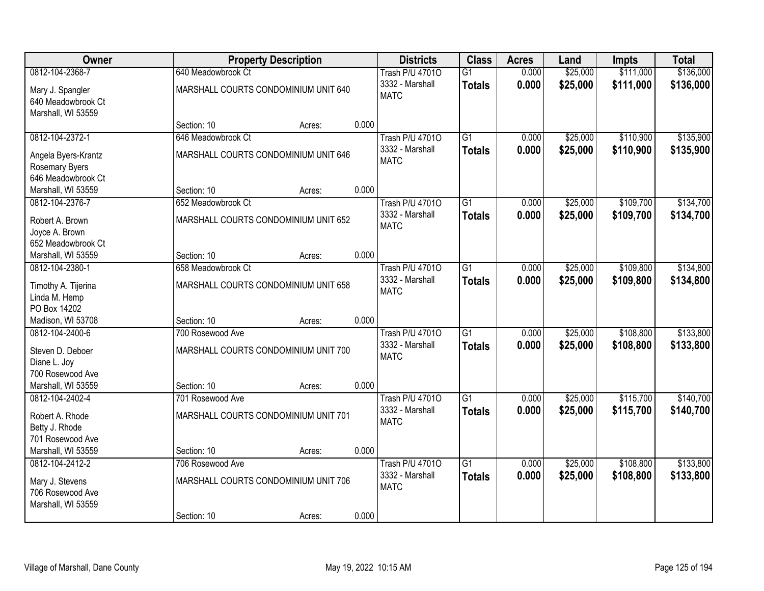| Owner                                  |                                      | <b>Property Description</b> |       |                                | <b>Class</b>    | <b>Acres</b> | Land     | Impts     | <b>Total</b> |
|----------------------------------------|--------------------------------------|-----------------------------|-------|--------------------------------|-----------------|--------------|----------|-----------|--------------|
| 0812-104-2368-7                        | 640 Meadowbrook Ct                   |                             |       | <b>Trash P/U 47010</b>         | $\overline{G1}$ | 0.000        | \$25,000 | \$111,000 | \$136,000    |
| Mary J. Spangler<br>640 Meadowbrook Ct | MARSHALL COURTS CONDOMINIUM UNIT 640 |                             |       | 3332 - Marshall<br><b>MATC</b> | <b>Totals</b>   | 0.000        | \$25,000 | \$111,000 | \$136,000    |
| Marshall, WI 53559                     | Section: 10                          |                             | 0.000 |                                |                 |              |          |           |              |
| 0812-104-2372-1                        | 646 Meadowbrook Ct                   | Acres:                      |       | <b>Trash P/U 47010</b>         | $\overline{G1}$ | 0.000        | \$25,000 | \$110,900 | \$135,900    |
|                                        |                                      |                             |       | 3332 - Marshall                | <b>Totals</b>   | 0.000        | \$25,000 | \$110,900 | \$135,900    |
| Angela Byers-Krantz                    | MARSHALL COURTS CONDOMINIUM UNIT 646 |                             |       | <b>MATC</b>                    |                 |              |          |           |              |
| Rosemary Byers                         |                                      |                             |       |                                |                 |              |          |           |              |
| 646 Meadowbrook Ct                     |                                      |                             |       |                                |                 |              |          |           |              |
| Marshall, WI 53559                     | Section: 10                          | Acres:                      | 0.000 |                                |                 |              |          |           |              |
| 0812-104-2376-7                        | 652 Meadowbrook Ct                   |                             |       | <b>Trash P/U 47010</b>         | G1              | 0.000        | \$25,000 | \$109,700 | \$134,700    |
| Robert A. Brown                        | MARSHALL COURTS CONDOMINIUM UNIT 652 |                             |       | 3332 - Marshall                | <b>Totals</b>   | 0.000        | \$25,000 | \$109,700 | \$134,700    |
| Joyce A. Brown                         |                                      |                             |       | <b>MATC</b>                    |                 |              |          |           |              |
| 652 Meadowbrook Ct                     |                                      |                             |       |                                |                 |              |          |           |              |
| Marshall, WI 53559                     | Section: 10                          | Acres:                      | 0.000 |                                |                 |              |          |           |              |
| 0812-104-2380-1                        | 658 Meadowbrook Ct                   |                             |       | <b>Trash P/U 47010</b>         | $\overline{G1}$ | 0.000        | \$25,000 | \$109,800 | \$134,800    |
| Timothy A. Tijerina                    | MARSHALL COURTS CONDOMINIUM UNIT 658 |                             |       | 3332 - Marshall                | <b>Totals</b>   | 0.000        | \$25,000 | \$109,800 | \$134,800    |
| Linda M. Hemp                          |                                      |                             |       | <b>MATC</b>                    |                 |              |          |           |              |
| PO Box 14202                           |                                      |                             |       |                                |                 |              |          |           |              |
| Madison, WI 53708                      | Section: 10                          | Acres:                      | 0.000 |                                |                 |              |          |           |              |
| 0812-104-2400-6                        | 700 Rosewood Ave                     |                             |       | <b>Trash P/U 47010</b>         | $\overline{G1}$ | 0.000        | \$25,000 | \$108,800 | \$133,800    |
|                                        |                                      |                             |       | 3332 - Marshall                | <b>Totals</b>   | 0.000        | \$25,000 | \$108,800 | \$133,800    |
| Steven D. Deboer                       | MARSHALL COURTS CONDOMINIUM UNIT 700 |                             |       | <b>MATC</b>                    |                 |              |          |           |              |
| Diane L. Joy<br>700 Rosewood Ave       |                                      |                             |       |                                |                 |              |          |           |              |
| Marshall, WI 53559                     | Section: 10                          | Acres:                      | 0.000 |                                |                 |              |          |           |              |
| 0812-104-2402-4                        | 701 Rosewood Ave                     |                             |       | <b>Trash P/U 47010</b>         | $\overline{G1}$ | 0.000        | \$25,000 | \$115,700 | \$140,700    |
|                                        |                                      |                             |       | 3332 - Marshall                | <b>Totals</b>   | 0.000        | \$25,000 | \$115,700 | \$140,700    |
| Robert A. Rhode                        | MARSHALL COURTS CONDOMINIUM UNIT 701 |                             |       | <b>MATC</b>                    |                 |              |          |           |              |
| Betty J. Rhode                         |                                      |                             |       |                                |                 |              |          |           |              |
| 701 Rosewood Ave                       |                                      |                             |       |                                |                 |              |          |           |              |
| Marshall, WI 53559                     | Section: 10                          | Acres:                      | 0.000 |                                |                 |              |          |           |              |
| 0812-104-2412-2                        | 706 Rosewood Ave                     |                             |       | <b>Trash P/U 47010</b>         | $\overline{G1}$ | 0.000        | \$25,000 | \$108,800 | \$133,800    |
| Mary J. Stevens                        | MARSHALL COURTS CONDOMINIUM UNIT 706 |                             |       | 3332 - Marshall<br><b>MATC</b> | <b>Totals</b>   | 0.000        | \$25,000 | \$108,800 | \$133,800    |
| 706 Rosewood Ave                       |                                      |                             |       |                                |                 |              |          |           |              |
| Marshall, WI 53559                     |                                      |                             |       |                                |                 |              |          |           |              |
|                                        | Section: 10                          | Acres:                      | 0.000 |                                |                 |              |          |           |              |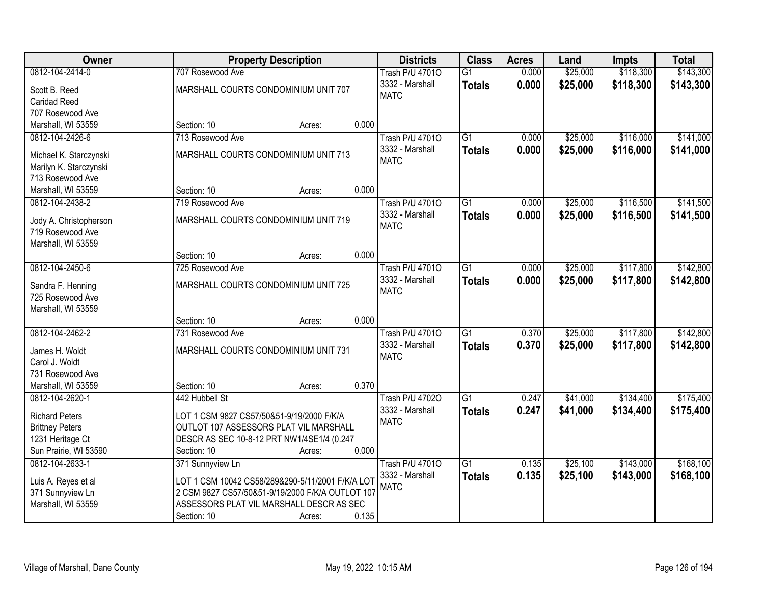| Owner                                   | <b>Property Description</b>                                                                          | <b>Districts</b>       | <b>Class</b>    | <b>Acres</b> | Land     | <b>Impts</b> | <b>Total</b> |
|-----------------------------------------|------------------------------------------------------------------------------------------------------|------------------------|-----------------|--------------|----------|--------------|--------------|
| 0812-104-2414-0                         | 707 Rosewood Ave                                                                                     | <b>Trash P/U 47010</b> | $\overline{G1}$ | 0.000        | \$25,000 | \$118,300    | \$143,300    |
| Scott B. Reed                           | MARSHALL COURTS CONDOMINIUM UNIT 707                                                                 | 3332 - Marshall        | <b>Totals</b>   | 0.000        | \$25,000 | \$118,300    | \$143,300    |
| <b>Caridad Reed</b>                     |                                                                                                      | <b>MATC</b>            |                 |              |          |              |              |
| 707 Rosewood Ave                        |                                                                                                      |                        |                 |              |          |              |              |
| Marshall, WI 53559                      | 0.000<br>Section: 10<br>Acres:                                                                       |                        |                 |              |          |              |              |
| 0812-104-2426-6                         | 713 Rosewood Ave                                                                                     | <b>Trash P/U 47010</b> | $\overline{G1}$ | 0.000        | \$25,000 | \$116,000    | \$141,000    |
|                                         |                                                                                                      | 3332 - Marshall        | <b>Totals</b>   | 0.000        | \$25,000 | \$116,000    | \$141,000    |
| Michael K. Starczynski                  | MARSHALL COURTS CONDOMINIUM UNIT 713                                                                 | <b>MATC</b>            |                 |              |          |              |              |
| Marilyn K. Starczynski                  |                                                                                                      |                        |                 |              |          |              |              |
| 713 Rosewood Ave                        |                                                                                                      |                        |                 |              |          |              |              |
| Marshall, WI 53559                      | 0.000<br>Section: 10<br>Acres:                                                                       |                        |                 |              |          |              |              |
| 0812-104-2438-2                         | 719 Rosewood Ave                                                                                     | <b>Trash P/U 47010</b> | $\overline{G1}$ | 0.000        | \$25,000 | \$116,500    | \$141,500    |
| Jody A. Christopherson                  | MARSHALL COURTS CONDOMINIUM UNIT 719                                                                 | 3332 - Marshall        | <b>Totals</b>   | 0.000        | \$25,000 | \$116,500    | \$141,500    |
| 719 Rosewood Ave                        |                                                                                                      | <b>MATC</b>            |                 |              |          |              |              |
| Marshall, WI 53559                      |                                                                                                      |                        |                 |              |          |              |              |
|                                         | 0.000<br>Section: 10<br>Acres:                                                                       |                        |                 |              |          |              |              |
| 0812-104-2450-6                         | 725 Rosewood Ave                                                                                     | <b>Trash P/U 47010</b> | $\overline{G1}$ | 0.000        | \$25,000 | \$117,800    | \$142,800    |
| Sandra F. Henning                       | MARSHALL COURTS CONDOMINIUM UNIT 725                                                                 | 3332 - Marshall        | <b>Totals</b>   | 0.000        | \$25,000 | \$117,800    | \$142,800    |
| 725 Rosewood Ave                        |                                                                                                      | <b>MATC</b>            |                 |              |          |              |              |
| Marshall, WI 53559                      |                                                                                                      |                        |                 |              |          |              |              |
|                                         | 0.000<br>Section: 10<br>Acres:                                                                       |                        |                 |              |          |              |              |
| 0812-104-2462-2                         | 731 Rosewood Ave                                                                                     | <b>Trash P/U 47010</b> | $\overline{G1}$ | 0.370        | \$25,000 | \$117,800    | \$142,800    |
|                                         |                                                                                                      | 3332 - Marshall        | <b>Totals</b>   | 0.370        | \$25,000 | \$117,800    | \$142,800    |
| James H. Woldt                          | MARSHALL COURTS CONDOMINIUM UNIT 731                                                                 | <b>MATC</b>            |                 |              |          |              |              |
| Carol J. Woldt                          |                                                                                                      |                        |                 |              |          |              |              |
| 731 Rosewood Ave                        |                                                                                                      |                        |                 |              |          |              |              |
| Marshall, WI 53559                      | 0.370<br>Section: 10<br>Acres:                                                                       |                        |                 |              |          |              |              |
| 0812-104-2620-1                         | 442 Hubbell St                                                                                       | <b>Trash P/U 47020</b> | $\overline{G1}$ | 0.247        | \$41,000 | \$134,400    | \$175,400    |
| <b>Richard Peters</b>                   | LOT 1 CSM 9827 CS57/50&51-9/19/2000 F/K/A                                                            | 3332 - Marshall        | <b>Totals</b>   | 0.247        | \$41,000 | \$134,400    | \$175,400    |
| <b>Brittney Peters</b>                  | OUTLOT 107 ASSESSORS PLAT VIL MARSHALL                                                               | <b>MATC</b>            |                 |              |          |              |              |
| 1231 Heritage Ct                        | DESCR AS SEC 10-8-12 PRT NW1/4SE1/4 (0.247                                                           |                        |                 |              |          |              |              |
| Sun Prairie, WI 53590                   | 0.000<br>Section: 10<br>Acres:                                                                       |                        |                 |              |          |              |              |
| 0812-104-2633-1                         | 371 Sunnyview Ln                                                                                     | <b>Trash P/U 47010</b> | $\overline{G1}$ | 0.135        | \$25,100 | \$143,000    | \$168,100    |
|                                         |                                                                                                      | 3332 - Marshall        | <b>Totals</b>   | 0.135        | \$25,100 | \$143,000    | \$168,100    |
| Luis A. Reyes et al<br>371 Sunnyview Ln | LOT 1 CSM 10042 CS58/289&290-5/11/2001 F/K/A LOT<br>2 CSM 9827 CS57/50&51-9/19/2000 F/K/A OUTLOT 107 | <b>MATC</b>            |                 |              |          |              |              |
| Marshall, WI 53559                      | ASSESSORS PLAT VIL MARSHALL DESCR AS SEC                                                             |                        |                 |              |          |              |              |
|                                         | 0.135                                                                                                |                        |                 |              |          |              |              |
|                                         | Section: 10<br>Acres:                                                                                |                        |                 |              |          |              |              |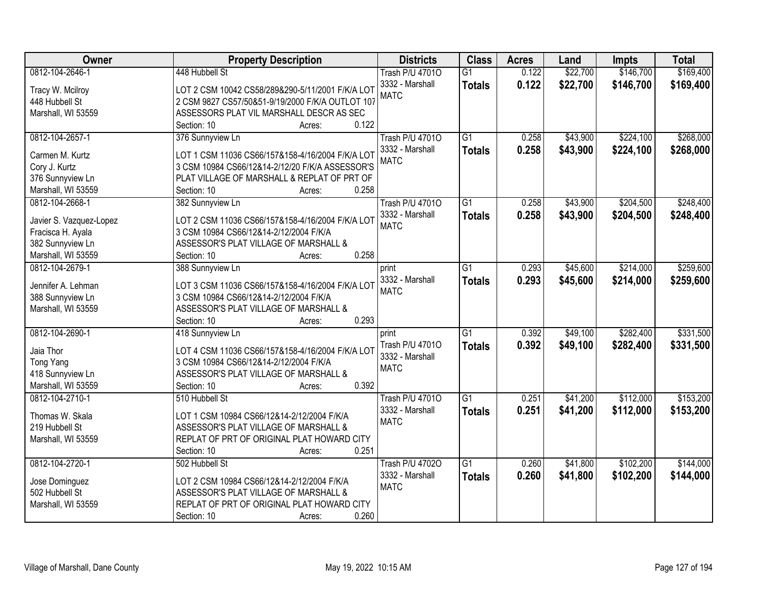| <b>Owner</b>            | <b>Property Description</b>                      | <b>Districts</b>       | <b>Class</b>    | <b>Acres</b> | Land     | <b>Impts</b> | <b>Total</b> |
|-------------------------|--------------------------------------------------|------------------------|-----------------|--------------|----------|--------------|--------------|
| 0812-104-2646-1         | 448 Hubbell St                                   | <b>Trash P/U 47010</b> | $\overline{G1}$ | 0.122        | \$22,700 | \$146,700    | \$169,400    |
| Tracy W. Mcilroy        | LOT 2 CSM 10042 CS58/289&290-5/11/2001 F/K/A LOT | 3332 - Marshall        | <b>Totals</b>   | 0.122        | \$22,700 | \$146,700    | \$169,400    |
| 448 Hubbell St          | 2 CSM 9827 CS57/50&51-9/19/2000 F/K/A OUTLOT 107 | <b>MATC</b>            |                 |              |          |              |              |
| Marshall, WI 53559      | ASSESSORS PLAT VIL MARSHALL DESCR AS SEC         |                        |                 |              |          |              |              |
|                         | 0.122<br>Section: 10<br>Acres:                   |                        |                 |              |          |              |              |
| 0812-104-2657-1         | 376 Sunnyview Ln                                 | <b>Trash P/U 47010</b> | $\overline{G1}$ | 0.258        | \$43,900 | \$224,100    | \$268,000    |
|                         |                                                  | 3332 - Marshall        | <b>Totals</b>   | 0.258        | \$43,900 | \$224,100    | \$268,000    |
| Carmen M. Kurtz         | LOT 1 CSM 11036 CS66/157&158-4/16/2004 F/K/A LOT | <b>MATC</b>            |                 |              |          |              |              |
| Cory J. Kurtz           | 3 CSM 10984 CS66/12&14-2/12/20 F/K/A ASSESSOR'S  |                        |                 |              |          |              |              |
| 376 Sunnyview Ln        | PLAT VILLAGE OF MARSHALL & REPLAT OF PRT OF      |                        |                 |              |          |              |              |
| Marshall, WI 53559      | 0.258<br>Section: 10<br>Acres:                   |                        |                 |              |          |              |              |
| 0812-104-2668-1         | 382 Sunnyview Ln                                 | <b>Trash P/U 47010</b> | G <sub>1</sub>  | 0.258        | \$43,900 | \$204,500    | \$248,400    |
| Javier S. Vazquez-Lopez | LOT 2 CSM 11036 CS66/157&158-4/16/2004 F/K/A LOT | 3332 - Marshall        | <b>Totals</b>   | 0.258        | \$43,900 | \$204,500    | \$248,400    |
| Fracisca H. Ayala       | 3 CSM 10984 CS66/12&14-2/12/2004 F/K/A           | <b>MATC</b>            |                 |              |          |              |              |
| 382 Sunnyview Ln        | ASSESSOR'S PLAT VILLAGE OF MARSHALL &            |                        |                 |              |          |              |              |
| Marshall, WI 53559      | 0.258<br>Section: 10<br>Acres:                   |                        |                 |              |          |              |              |
| 0812-104-2679-1         | 388 Sunnyview Ln                                 | print                  | $\overline{G1}$ | 0.293        | \$45,600 | \$214,000    | \$259,600    |
|                         |                                                  | 3332 - Marshall        | <b>Totals</b>   | 0.293        | \$45,600 | \$214,000    | \$259,600    |
| Jennifer A. Lehman      | LOT 3 CSM 11036 CS66/157&158-4/16/2004 F/K/A LOT | <b>MATC</b>            |                 |              |          |              |              |
| 388 Sunnyview Ln        | 3 CSM 10984 CS66/12&14-2/12/2004 F/K/A           |                        |                 |              |          |              |              |
| Marshall, WI 53559      | ASSESSOR'S PLAT VILLAGE OF MARSHALL &            |                        |                 |              |          |              |              |
|                         | 0.293<br>Section: 10<br>Acres:                   |                        |                 |              |          |              |              |
| 0812-104-2690-1         | 418 Sunnyview Ln                                 | print                  | $\overline{G1}$ | 0.392        | \$49,100 | \$282,400    | \$331,500    |
| Jaia Thor               | LOT 4 CSM 11036 CS66/157&158-4/16/2004 F/K/A LOT | Trash P/U 47010        | <b>Totals</b>   | 0.392        | \$49,100 | \$282,400    | \$331,500    |
| <b>Tong Yang</b>        | 3 CSM 10984 CS66/12&14-2/12/2004 F/K/A           | 3332 - Marshall        |                 |              |          |              |              |
| 418 Sunnyview Ln        | ASSESSOR'S PLAT VILLAGE OF MARSHALL &            | <b>MATC</b>            |                 |              |          |              |              |
| Marshall, WI 53559      | 0.392<br>Section: 10<br>Acres:                   |                        |                 |              |          |              |              |
| 0812-104-2710-1         | 510 Hubbell St                                   | <b>Trash P/U 47010</b> | $\overline{G1}$ | 0.251        | \$41,200 | \$112,000    | \$153,200    |
|                         |                                                  | 3332 - Marshall        | <b>Totals</b>   | 0.251        | \$41,200 | \$112,000    | \$153,200    |
| Thomas W. Skala         | LOT 1 CSM 10984 CS66/12&14-2/12/2004 F/K/A       | <b>MATC</b>            |                 |              |          |              |              |
| 219 Hubbell St          | ASSESSOR'S PLAT VILLAGE OF MARSHALL &            |                        |                 |              |          |              |              |
| Marshall, WI 53559      | REPLAT OF PRT OF ORIGINAL PLAT HOWARD CITY       |                        |                 |              |          |              |              |
|                         | 0.251<br>Section: 10<br>Acres:                   |                        |                 |              |          |              |              |
| 0812-104-2720-1         | 502 Hubbell St                                   | <b>Trash P/U 47020</b> | $\overline{G1}$ | 0.260        | \$41,800 | \$102,200    | \$144,000    |
| Jose Dominguez          | LOT 2 CSM 10984 CS66/12&14-2/12/2004 F/K/A       | 3332 - Marshall        | <b>Totals</b>   | 0.260        | \$41,800 | \$102,200    | \$144,000    |
| 502 Hubbell St          | ASSESSOR'S PLAT VILLAGE OF MARSHALL &            | <b>MATC</b>            |                 |              |          |              |              |
| Marshall, WI 53559      | REPLAT OF PRT OF ORIGINAL PLAT HOWARD CITY       |                        |                 |              |          |              |              |
|                         | 0.260<br>Section: 10<br>Acres:                   |                        |                 |              |          |              |              |
|                         |                                                  |                        |                 |              |          |              |              |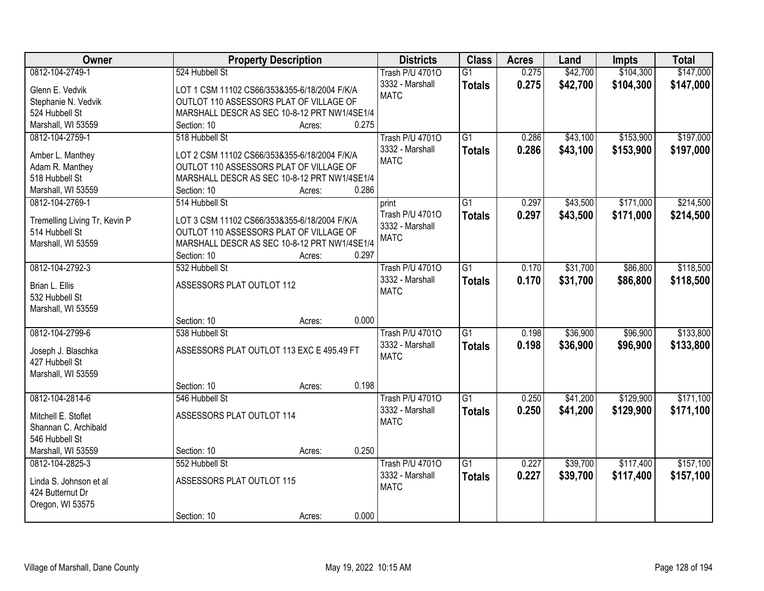| Owner<br><b>Property Description</b>                                          |                 | <b>Districts</b>       | <b>Class</b>    | <b>Acres</b> | Land     | <b>Impts</b> | <b>Total</b> |
|-------------------------------------------------------------------------------|-----------------|------------------------|-----------------|--------------|----------|--------------|--------------|
| 0812-104-2749-1<br>524 Hubbell St                                             |                 | <b>Trash P/U 47010</b> | $\overline{G1}$ | 0.275        | \$42,700 | \$104,300    | \$147,000    |
| Glenn E. Vedvik<br>LOT 1 CSM 11102 CS66/353&355-6/18/2004 F/K/A               |                 | 3332 - Marshall        | <b>Totals</b>   | 0.275        | \$42,700 | \$104,300    | \$147,000    |
| OUTLOT 110 ASSESSORS PLAT OF VILLAGE OF<br>Stephanie N. Vedvik                |                 | <b>MATC</b>            |                 |              |          |              |              |
| 524 Hubbell St<br>MARSHALL DESCR AS SEC 10-8-12 PRT NW1/4SE1/4                |                 |                        |                 |              |          |              |              |
| Marshall, WI 53559<br>Section: 10                                             | 0.275<br>Acres: |                        |                 |              |          |              |              |
| 0812-104-2759-1<br>518 Hubbell St                                             |                 | <b>Trash P/U 47010</b> | $\overline{G1}$ | 0.286        | \$43,100 | \$153,900    | \$197,000    |
|                                                                               |                 | 3332 - Marshall        | <b>Totals</b>   | 0.286        | \$43,100 | \$153,900    | \$197,000    |
| LOT 2 CSM 11102 CS66/353&355-6/18/2004 F/K/A<br>Amber L. Manthey              |                 | <b>MATC</b>            |                 |              |          |              |              |
| OUTLOT 110 ASSESSORS PLAT OF VILLAGE OF<br>Adam R. Manthey                    |                 |                        |                 |              |          |              |              |
| 518 Hubbell St<br>MARSHALL DESCR AS SEC 10-8-12 PRT NW1/4SE1/4                |                 |                        |                 |              |          |              |              |
| Marshall, WI 53559<br>Section: 10                                             | 0.286<br>Acres: |                        |                 |              |          |              |              |
| 0812-104-2769-1<br>514 Hubbell St                                             |                 | print                  | G1              | 0.297        | \$43,500 | \$171,000    | \$214,500    |
| Tremelling Living Tr, Kevin P<br>LOT 3 CSM 11102 CS66/353&355-6/18/2004 F/K/A |                 | Trash P/U 47010        | <b>Totals</b>   | 0.297        | \$43,500 | \$171,000    | \$214,500    |
| 514 Hubbell St<br>OUTLOT 110 ASSESSORS PLAT OF VILLAGE OF                     |                 | 3332 - Marshall        |                 |              |          |              |              |
| MARSHALL DESCR AS SEC 10-8-12 PRT NW1/4SE1/4<br>Marshall, WI 53559            |                 | <b>MATC</b>            |                 |              |          |              |              |
| Section: 10                                                                   | 0.297<br>Acres: |                        |                 |              |          |              |              |
| 0812-104-2792-3<br>532 Hubbell St                                             |                 | <b>Trash P/U 47010</b> | G1              | 0.170        | \$31,700 | \$86,800     | \$118,500    |
|                                                                               |                 | 3332 - Marshall        | <b>Totals</b>   | 0.170        | \$31,700 | \$86,800     | \$118,500    |
| ASSESSORS PLAT OUTLOT 112<br>Brian L. Ellis                                   |                 | <b>MATC</b>            |                 |              |          |              |              |
| 532 Hubbell St                                                                |                 |                        |                 |              |          |              |              |
| Marshall, WI 53559                                                            |                 |                        |                 |              |          |              |              |
| Section: 10                                                                   | 0.000<br>Acres: |                        |                 |              |          |              |              |
| 0812-104-2799-6<br>538 Hubbell St                                             |                 | <b>Trash P/U 47010</b> | $\overline{G1}$ | 0.198        | \$36,900 | \$96,900     | \$133,800    |
| ASSESSORS PLAT OUTLOT 113 EXC E 495.49 FT<br>Joseph J. Blaschka               |                 | 3332 - Marshall        | <b>Totals</b>   | 0.198        | \$36,900 | \$96,900     | \$133,800    |
| 427 Hubbell St                                                                |                 | <b>MATC</b>            |                 |              |          |              |              |
| Marshall, WI 53559                                                            |                 |                        |                 |              |          |              |              |
| Section: 10                                                                   | 0.198<br>Acres: |                        |                 |              |          |              |              |
| 0812-104-2814-6<br>546 Hubbell St                                             |                 | <b>Trash P/U 47010</b> | $\overline{G1}$ | 0.250        | \$41,200 | \$129,900    | \$171,100    |
|                                                                               |                 | 3332 - Marshall        | <b>Totals</b>   | 0.250        | \$41,200 | \$129,900    | \$171,100    |
| ASSESSORS PLAT OUTLOT 114<br>Mitchell E. Stoflet                              |                 | <b>MATC</b>            |                 |              |          |              |              |
| Shannan C. Archibald                                                          |                 |                        |                 |              |          |              |              |
| 546 Hubbell St                                                                |                 |                        |                 |              |          |              |              |
| Marshall, WI 53559<br>Section: 10                                             | 0.250<br>Acres: |                        |                 |              |          |              |              |
| 0812-104-2825-3<br>552 Hubbell St                                             |                 | <b>Trash P/U 47010</b> | $\overline{G1}$ | 0.227        | \$39,700 | \$117,400    | \$157,100    |
| ASSESSORS PLAT OUTLOT 115<br>Linda S. Johnson et al                           |                 | 3332 - Marshall        | <b>Totals</b>   | 0.227        | \$39,700 | \$117,400    | \$157,100    |
| 424 Butternut Dr                                                              |                 | <b>MATC</b>            |                 |              |          |              |              |
| Oregon, WI 53575                                                              |                 |                        |                 |              |          |              |              |
| Section: 10                                                                   | 0.000<br>Acres: |                        |                 |              |          |              |              |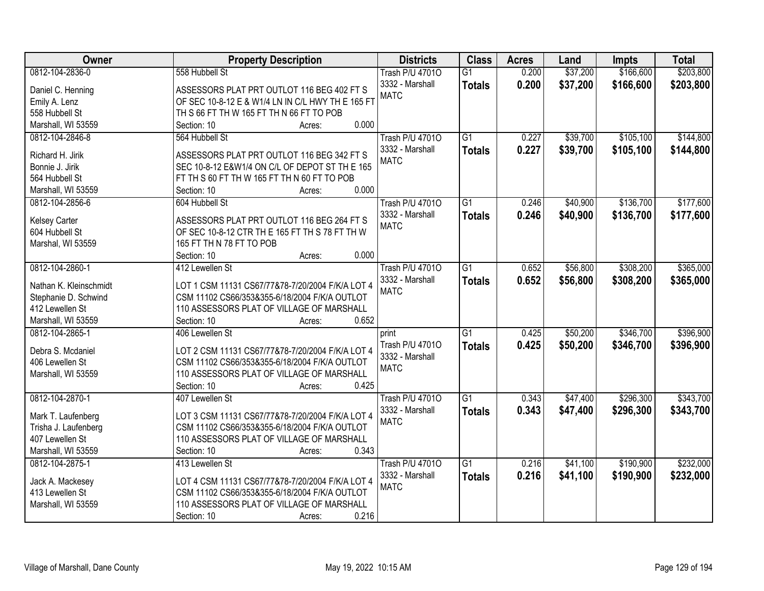| Owner                  | <b>Property Description</b>                       | <b>Districts</b>       | <b>Class</b>    | <b>Acres</b> | Land     | <b>Impts</b> | <b>Total</b> |
|------------------------|---------------------------------------------------|------------------------|-----------------|--------------|----------|--------------|--------------|
| 0812-104-2836-0        | 558 Hubbell St                                    | <b>Trash P/U 47010</b> | $\overline{G1}$ | 0.200        | \$37,200 | \$166,600    | \$203,800    |
| Daniel C. Henning      | ASSESSORS PLAT PRT OUTLOT 116 BEG 402 FT S        | 3332 - Marshall        | <b>Totals</b>   | 0.200        | \$37,200 | \$166,600    | \$203,800    |
| Emily A. Lenz          | OF SEC 10-8-12 E & W1/4 LN IN C/L HWY TH E 165 FT | <b>MATC</b>            |                 |              |          |              |              |
| 558 Hubbell St         | TH S 66 FT TH W 165 FT TH N 66 FT TO POB          |                        |                 |              |          |              |              |
| Marshall, WI 53559     | 0.000<br>Section: 10<br>Acres:                    |                        |                 |              |          |              |              |
| 0812-104-2846-8        | 564 Hubbell St                                    | <b>Trash P/U 47010</b> | $\overline{G1}$ | 0.227        | \$39,700 | \$105,100    | \$144,800    |
|                        |                                                   | 3332 - Marshall        | <b>Totals</b>   | 0.227        | \$39,700 | \$105,100    | \$144,800    |
| Richard H. Jirik       | ASSESSORS PLAT PRT OUTLOT 116 BEG 342 FT S        | <b>MATC</b>            |                 |              |          |              |              |
| Bonnie J. Jirik        | SEC 10-8-12 E&W1/4 ON C/L OF DEPOT ST TH E 165    |                        |                 |              |          |              |              |
| 564 Hubbell St         | FT TH S 60 FT TH W 165 FT TH N 60 FT TO POB       |                        |                 |              |          |              |              |
| Marshall, WI 53559     | 0.000<br>Section: 10<br>Acres:                    |                        |                 |              |          |              |              |
| 0812-104-2856-6        | 604 Hubbell St                                    | <b>Trash P/U 47010</b> | $\overline{G1}$ | 0.246        | \$40,900 | \$136,700    | \$177,600    |
| <b>Kelsey Carter</b>   | ASSESSORS PLAT PRT OUTLOT 116 BEG 264 FT S        | 3332 - Marshall        | <b>Totals</b>   | 0.246        | \$40,900 | \$136,700    | \$177,600    |
| 604 Hubbell St         | OF SEC 10-8-12 CTR TH E 165 FT TH S 78 FT TH W    | <b>MATC</b>            |                 |              |          |              |              |
| Marshal, WI 53559      | 165 FT TH N 78 FT TO POB                          |                        |                 |              |          |              |              |
|                        | 0.000<br>Section: 10<br>Acres:                    |                        |                 |              |          |              |              |
| 0812-104-2860-1        | 412 Lewellen St                                   | <b>Trash P/U 47010</b> | $\overline{G1}$ | 0.652        | \$56,800 | \$308,200    | \$365,000    |
|                        |                                                   | 3332 - Marshall        | <b>Totals</b>   | 0.652        | \$56,800 | \$308,200    | \$365,000    |
| Nathan K. Kleinschmidt | LOT 1 CSM 11131 CS67/77&78-7/20/2004 F/K/A LOT 4  | <b>MATC</b>            |                 |              |          |              |              |
| Stephanie D. Schwind   | CSM 11102 CS66/353&355-6/18/2004 F/K/A OUTLOT     |                        |                 |              |          |              |              |
| 412 Lewellen St        | 110 ASSESSORS PLAT OF VILLAGE OF MARSHALL         |                        |                 |              |          |              |              |
| Marshall, WI 53559     | 0.652<br>Section: 10<br>Acres:                    |                        |                 |              |          |              |              |
| 0812-104-2865-1        | 406 Lewellen St                                   | print                  | $\overline{G1}$ | 0.425        | \$50,200 | \$346,700    | \$396,900    |
| Debra S. Mcdaniel      | LOT 2 CSM 11131 CS67/77&78-7/20/2004 F/K/A LOT 4  | Trash P/U 47010        | <b>Totals</b>   | 0.425        | \$50,200 | \$346,700    | \$396,900    |
| 406 Lewellen St        | CSM 11102 CS66/353&355-6/18/2004 F/K/A OUTLOT     | 3332 - Marshall        |                 |              |          |              |              |
| Marshall, WI 53559     | 110 ASSESSORS PLAT OF VILLAGE OF MARSHALL         | <b>MATC</b>            |                 |              |          |              |              |
|                        | 0.425<br>Section: 10<br>Acres:                    |                        |                 |              |          |              |              |
| 0812-104-2870-1        | 407 Lewellen St                                   | <b>Trash P/U 47010</b> | $\overline{G1}$ | 0.343        | \$47,400 | \$296,300    | \$343,700    |
|                        |                                                   | 3332 - Marshall        | <b>Totals</b>   | 0.343        | \$47,400 | \$296,300    | \$343,700    |
| Mark T. Laufenberg     | LOT 3 CSM 11131 CS67/77&78-7/20/2004 F/K/A LOT 4  | <b>MATC</b>            |                 |              |          |              |              |
| Trisha J. Laufenberg   | CSM 11102 CS66/353&355-6/18/2004 F/K/A OUTLOT     |                        |                 |              |          |              |              |
| 407 Lewellen St        | 110 ASSESSORS PLAT OF VILLAGE OF MARSHALL         |                        |                 |              |          |              |              |
| Marshall, WI 53559     | 0.343<br>Section: 10<br>Acres:                    |                        |                 |              |          |              |              |
| 0812-104-2875-1        | 413 Lewellen St                                   | <b>Trash P/U 47010</b> | $\overline{G1}$ | 0.216        | \$41,100 | \$190,900    | \$232,000    |
| Jack A. Mackesey       | LOT 4 CSM 11131 CS67/77&78-7/20/2004 F/K/A LOT 4  | 3332 - Marshall        | <b>Totals</b>   | 0.216        | \$41,100 | \$190,900    | \$232,000    |
| 413 Lewellen St        | CSM 11102 CS66/353&355-6/18/2004 F/K/A OUTLOT     | <b>MATC</b>            |                 |              |          |              |              |
| Marshall, WI 53559     | 110 ASSESSORS PLAT OF VILLAGE OF MARSHALL         |                        |                 |              |          |              |              |
|                        | 0.216                                             |                        |                 |              |          |              |              |
|                        | Section: 10<br>Acres:                             |                        |                 |              |          |              |              |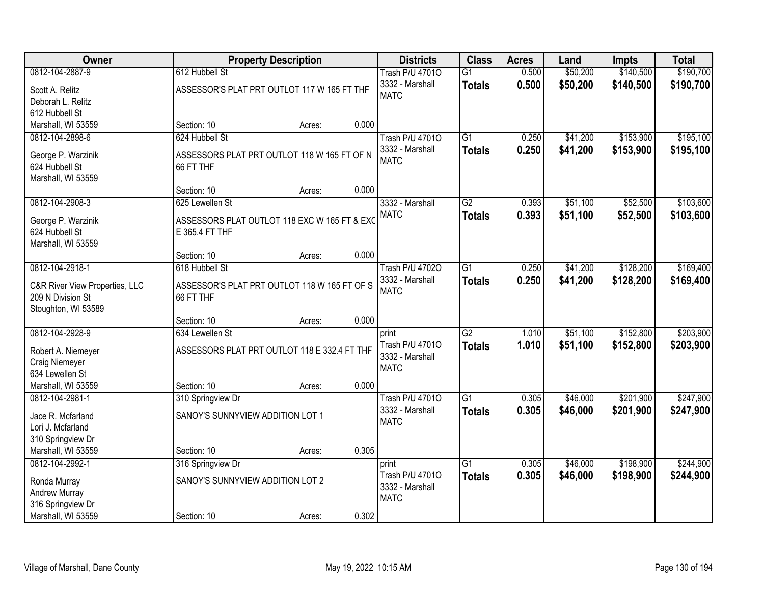| Owner                                               | <b>Property Description</b>                  |        |       | <b>Districts</b>               | <b>Class</b>    | <b>Acres</b> | Land     | <b>Impts</b> | <b>Total</b> |
|-----------------------------------------------------|----------------------------------------------|--------|-------|--------------------------------|-----------------|--------------|----------|--------------|--------------|
| 0812-104-2887-9                                     | 612 Hubbell St                               |        |       | <b>Trash P/U 47010</b>         | $\overline{G1}$ | 0.500        | \$50,200 | \$140,500    | \$190,700    |
| Scott A. Relitz                                     | ASSESSOR'S PLAT PRT OUTLOT 117 W 165 FT THF  |        |       | 3332 - Marshall                | <b>Totals</b>   | 0.500        | \$50,200 | \$140,500    | \$190,700    |
| Deborah L. Relitz                                   |                                              |        |       | <b>MATC</b>                    |                 |              |          |              |              |
| 612 Hubbell St                                      |                                              |        |       |                                |                 |              |          |              |              |
| Marshall, WI 53559                                  | Section: 10                                  | Acres: | 0.000 |                                |                 |              |          |              |              |
| 0812-104-2898-6                                     | 624 Hubbell St                               |        |       | <b>Trash P/U 47010</b>         | $\overline{G1}$ | 0.250        | \$41,200 | \$153,900    | \$195,100    |
| George P. Warzinik                                  | ASSESSORS PLAT PRT OUTLOT 118 W 165 FT OF N  |        |       | 3332 - Marshall                | <b>Totals</b>   | 0.250        | \$41,200 | \$153,900    | \$195,100    |
| 624 Hubbell St                                      | 66 FT THF                                    |        |       | <b>MATC</b>                    |                 |              |          |              |              |
| Marshall, WI 53559                                  |                                              |        |       |                                |                 |              |          |              |              |
|                                                     | Section: 10                                  | Acres: | 0.000 |                                |                 |              |          |              |              |
| 0812-104-2908-3                                     | 625 Lewellen St                              |        |       | 3332 - Marshall                | G2              | 0.393        | \$51,100 | \$52,500     | \$103,600    |
| George P. Warzinik                                  | ASSESSORS PLAT OUTLOT 118 EXC W 165 FT & EXC |        |       | <b>MATC</b>                    | <b>Totals</b>   | 0.393        | \$51,100 | \$52,500     | \$103,600    |
| 624 Hubbell St                                      | E 365.4 FT THF                               |        |       |                                |                 |              |          |              |              |
| Marshall, WI 53559                                  |                                              |        |       |                                |                 |              |          |              |              |
|                                                     | Section: 10                                  | Acres: | 0.000 |                                |                 |              |          |              |              |
| 0812-104-2918-1                                     | 618 Hubbell St                               |        |       | <b>Trash P/U 47020</b>         | $\overline{G1}$ | 0.250        | \$41,200 | \$128,200    | \$169,400    |
|                                                     | ASSESSOR'S PLAT PRT OUTLOT 118 W 165 FT OF S |        |       | 3332 - Marshall                | <b>Totals</b>   | 0.250        | \$41,200 | \$128,200    | \$169,400    |
| C&R River View Properties, LLC<br>209 N Division St | 66 FT THF                                    |        |       | <b>MATC</b>                    |                 |              |          |              |              |
| Stoughton, WI 53589                                 |                                              |        |       |                                |                 |              |          |              |              |
|                                                     | Section: 10                                  | Acres: | 0.000 |                                |                 |              |          |              |              |
| 0812-104-2928-9                                     | 634 Lewellen St                              |        |       | print                          | $\overline{G2}$ | 1.010        | \$51,100 | \$152,800    | \$203,900    |
|                                                     |                                              |        |       | Trash P/U 47010                | <b>Totals</b>   | 1.010        | \$51,100 | \$152,800    | \$203,900    |
| Robert A. Niemeyer                                  | ASSESSORS PLAT PRT OUTLOT 118 E 332.4 FT THF |        |       | 3332 - Marshall                |                 |              |          |              |              |
| Craig Niemeyer                                      |                                              |        |       | <b>MATC</b>                    |                 |              |          |              |              |
| 634 Lewellen St<br>Marshall, WI 53559               | Section: 10                                  |        | 0.000 |                                |                 |              |          |              |              |
| 0812-104-2981-1                                     |                                              | Acres: |       | <b>Trash P/U 47010</b>         | $\overline{G1}$ | 0.305        | \$46,000 | \$201,900    | \$247,900    |
|                                                     | 310 Springview Dr                            |        |       | 3332 - Marshall                |                 | 0.305        | \$46,000 | \$201,900    | \$247,900    |
| Jace R. Mcfarland                                   | SANOY'S SUNNYVIEW ADDITION LOT 1             |        |       | <b>MATC</b>                    | <b>Totals</b>   |              |          |              |              |
| Lori J. Mcfarland                                   |                                              |        |       |                                |                 |              |          |              |              |
| 310 Springview Dr                                   |                                              |        |       |                                |                 |              |          |              |              |
| Marshall, WI 53559                                  | Section: 10                                  | Acres: | 0.305 |                                |                 |              |          |              |              |
| 0812-104-2992-1                                     | 316 Springview Dr                            |        |       | print                          | $\overline{G1}$ | 0.305        | \$46,000 | \$198,900    | \$244,900    |
| Ronda Murray                                        | SANOY'S SUNNYVIEW ADDITION LOT 2             |        |       | Trash P/U 47010                | <b>Totals</b>   | 0.305        | \$46,000 | \$198,900    | \$244,900    |
| Andrew Murray                                       |                                              |        |       | 3332 - Marshall<br><b>MATC</b> |                 |              |          |              |              |
| 316 Springview Dr                                   |                                              |        |       |                                |                 |              |          |              |              |
| Marshall, WI 53559                                  | Section: 10                                  | Acres: | 0.302 |                                |                 |              |          |              |              |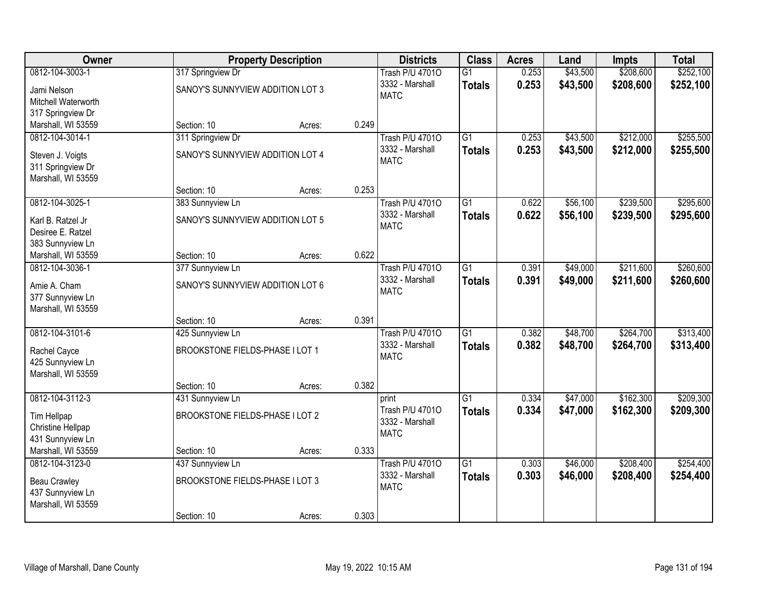| Owner                                  |                                  | <b>Property Description</b> |       | <b>Districts</b>                          | <b>Class</b>    | <b>Acres</b> | Land     | <b>Impts</b> | <b>Total</b> |
|----------------------------------------|----------------------------------|-----------------------------|-------|-------------------------------------------|-----------------|--------------|----------|--------------|--------------|
| 0812-104-3003-1                        | 317 Springview Dr                |                             |       | <b>Trash P/U 47010</b>                    | $\overline{G1}$ | 0.253        | \$43,500 | \$208,600    | \$252,100    |
| Jami Nelson                            | SANOY'S SUNNYVIEW ADDITION LOT 3 |                             |       | 3332 - Marshall                           | <b>Totals</b>   | 0.253        | \$43,500 | \$208,600    | \$252,100    |
| Mitchell Waterworth                    |                                  |                             |       | <b>MATC</b>                               |                 |              |          |              |              |
| 317 Springview Dr                      |                                  |                             |       |                                           |                 |              |          |              |              |
| Marshall, WI 53559                     | Section: 10                      | Acres:                      | 0.249 |                                           |                 |              |          |              |              |
| 0812-104-3014-1                        | 311 Springview Dr                |                             |       | <b>Trash P/U 47010</b>                    | $\overline{G1}$ | 0.253        | \$43,500 | \$212,000    | \$255,500    |
| Steven J. Voigts                       | SANOY'S SUNNYVIEW ADDITION LOT 4 |                             |       | 3332 - Marshall                           | <b>Totals</b>   | 0.253        | \$43,500 | \$212,000    | \$255,500    |
| 311 Springview Dr                      |                                  |                             |       | <b>MATC</b>                               |                 |              |          |              |              |
| Marshall, WI 53559                     |                                  |                             |       |                                           |                 |              |          |              |              |
|                                        | Section: 10                      | Acres:                      | 0.253 |                                           |                 |              |          |              |              |
| 0812-104-3025-1                        | 383 Sunnyview Ln                 |                             |       | <b>Trash P/U 47010</b>                    | $\overline{G1}$ | 0.622        | \$56,100 | \$239,500    | \$295,600    |
|                                        |                                  |                             |       | 3332 - Marshall                           | <b>Totals</b>   | 0.622        | \$56,100 | \$239,500    | \$295,600    |
| Karl B. Ratzel Jr<br>Desiree E. Ratzel | SANOY'S SUNNYVIEW ADDITION LOT 5 |                             |       | <b>MATC</b>                               |                 |              |          |              |              |
| 383 Sunnyview Ln                       |                                  |                             |       |                                           |                 |              |          |              |              |
| Marshall, WI 53559                     | Section: 10                      | Acres:                      | 0.622 |                                           |                 |              |          |              |              |
| 0812-104-3036-1                        | 377 Sunnyview Ln                 |                             |       | <b>Trash P/U 47010</b>                    | $\overline{G1}$ | 0.391        | \$49,000 | \$211,600    | \$260,600    |
|                                        |                                  |                             |       | 3332 - Marshall                           | <b>Totals</b>   | 0.391        | \$49,000 | \$211,600    | \$260,600    |
| Amie A. Cham                           | SANOY'S SUNNYVIEW ADDITION LOT 6 |                             |       | <b>MATC</b>                               |                 |              |          |              |              |
| 377 Sunnyview Ln                       |                                  |                             |       |                                           |                 |              |          |              |              |
| Marshall, WI 53559                     |                                  |                             |       |                                           |                 |              |          |              |              |
| 0812-104-3101-6                        | Section: 10                      | Acres:                      | 0.391 |                                           | $\overline{G1}$ | 0.382        |          | \$264,700    | \$313,400    |
|                                        | 425 Sunnyview Ln                 |                             |       | <b>Trash P/U 47010</b><br>3332 - Marshall |                 |              | \$48,700 |              |              |
| Rachel Cayce                           | BROOKSTONE FIELDS-PHASE I LOT 1  |                             |       | <b>MATC</b>                               | <b>Totals</b>   | 0.382        | \$48,700 | \$264,700    | \$313,400    |
| 425 Sunnyview Ln                       |                                  |                             |       |                                           |                 |              |          |              |              |
| Marshall, WI 53559                     |                                  |                             |       |                                           |                 |              |          |              |              |
|                                        | Section: 10                      | Acres:                      | 0.382 |                                           |                 |              |          |              |              |
| 0812-104-3112-3                        | 431 Sunnyview Ln                 |                             |       | print                                     | $\overline{G1}$ | 0.334        | \$47,000 | \$162,300    | \$209,300    |
| Tim Hellpap                            | BROOKSTONE FIELDS-PHASE I LOT 2  |                             |       | Trash P/U 47010                           | <b>Totals</b>   | 0.334        | \$47,000 | \$162,300    | \$209,300    |
| Christine Hellpap                      |                                  |                             |       | 3332 - Marshall<br><b>MATC</b>            |                 |              |          |              |              |
| 431 Sunnyview Ln                       |                                  |                             |       |                                           |                 |              |          |              |              |
| Marshall, WI 53559                     | Section: 10                      | Acres:                      | 0.333 |                                           |                 |              |          |              |              |
| 0812-104-3123-0                        | 437 Sunnyview Ln                 |                             |       | <b>Trash P/U 47010</b>                    | $\overline{G1}$ | 0.303        | \$46,000 | \$208,400    | \$254,400    |
| Beau Crawley                           | BROOKSTONE FIELDS-PHASE I LOT 3  |                             |       | 3332 - Marshall                           | <b>Totals</b>   | 0.303        | \$46,000 | \$208,400    | \$254,400    |
| 437 Sunnyview Ln                       |                                  |                             |       | <b>MATC</b>                               |                 |              |          |              |              |
| Marshall, WI 53559                     |                                  |                             |       |                                           |                 |              |          |              |              |
|                                        | Section: 10                      | Acres:                      | 0.303 |                                           |                 |              |          |              |              |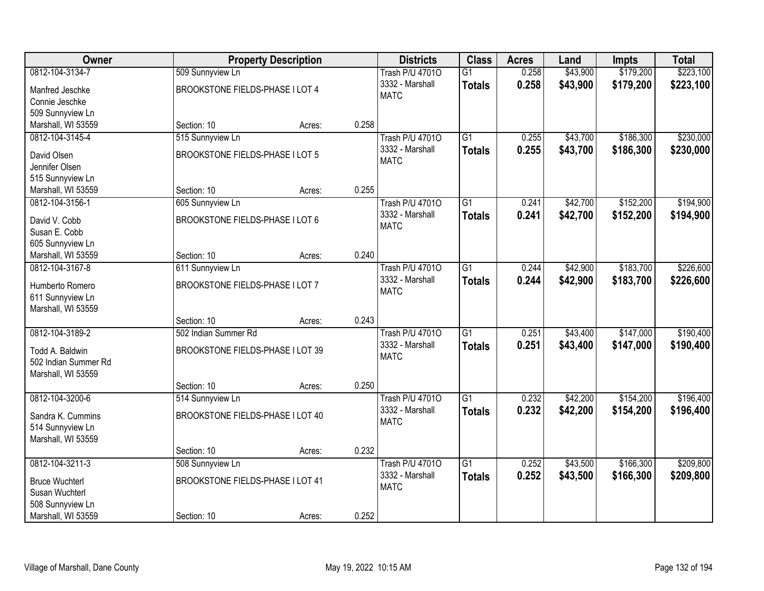| <b>Owner</b>                  |                                  | <b>Property Description</b> |       | <b>Districts</b>                          | <b>Class</b>    | <b>Acres</b> | Land     | <b>Impts</b> | <b>Total</b> |
|-------------------------------|----------------------------------|-----------------------------|-------|-------------------------------------------|-----------------|--------------|----------|--------------|--------------|
| 0812-104-3134-7               | 509 Sunnyview Ln                 |                             |       | <b>Trash P/U 47010</b>                    | $\overline{G1}$ | 0.258        | \$43,900 | \$179,200    | \$223,100    |
| Manfred Jeschke               | BROOKSTONE FIELDS-PHASE I LOT 4  |                             |       | 3332 - Marshall                           | <b>Totals</b>   | 0.258        | \$43,900 | \$179,200    | \$223,100    |
| Connie Jeschke                |                                  |                             |       | <b>MATC</b>                               |                 |              |          |              |              |
| 509 Sunnyview Ln              |                                  |                             |       |                                           |                 |              |          |              |              |
| Marshall, WI 53559            | Section: 10                      | Acres:                      | 0.258 |                                           |                 |              |          |              |              |
| 0812-104-3145-4               | 515 Sunnyview Ln                 |                             |       | <b>Trash P/U 47010</b>                    | $\overline{G1}$ | 0.255        | \$43,700 | \$186,300    | \$230,000    |
|                               |                                  |                             |       | 3332 - Marshall                           | <b>Totals</b>   | 0.255        | \$43,700 | \$186,300    | \$230,000    |
| David Olsen<br>Jennifer Olsen | BROOKSTONE FIELDS-PHASE I LOT 5  |                             |       | <b>MATC</b>                               |                 |              |          |              |              |
| 515 Sunnyview Ln              |                                  |                             |       |                                           |                 |              |          |              |              |
| Marshall, WI 53559            | Section: 10                      | Acres:                      | 0.255 |                                           |                 |              |          |              |              |
| 0812-104-3156-1               | 605 Sunnyview Ln                 |                             |       | <b>Trash P/U 47010</b>                    | $\overline{G1}$ | 0.241        | \$42,700 | \$152,200    | \$194,900    |
|                               |                                  |                             |       | 3332 - Marshall                           | <b>Totals</b>   | 0.241        | \$42,700 | \$152,200    | \$194,900    |
| David V. Cobb                 | BROOKSTONE FIELDS-PHASE I LOT 6  |                             |       | <b>MATC</b>                               |                 |              |          |              |              |
| Susan E. Cobb                 |                                  |                             |       |                                           |                 |              |          |              |              |
| 605 Sunnyview Ln              |                                  |                             |       |                                           |                 |              |          |              |              |
| Marshall, WI 53559            | Section: 10                      | Acres:                      | 0.240 |                                           |                 |              |          |              |              |
| 0812-104-3167-8               | 611 Sunnyview Ln                 |                             |       | <b>Trash P/U 47010</b>                    | $\overline{G1}$ | 0.244        | \$42,900 | \$183,700    | \$226,600    |
| Humberto Romero               | BROOKSTONE FIELDS-PHASE I LOT 7  |                             |       | 3332 - Marshall                           | <b>Totals</b>   | 0.244        | \$42,900 | \$183,700    | \$226,600    |
| 611 Sunnyview Ln              |                                  |                             |       | <b>MATC</b>                               |                 |              |          |              |              |
| Marshall, WI 53559            |                                  |                             |       |                                           |                 |              |          |              |              |
|                               | Section: 10                      | Acres:                      | 0.243 |                                           |                 |              |          |              |              |
| 0812-104-3189-2               | 502 Indian Summer Rd             |                             |       | <b>Trash P/U 47010</b>                    | $\overline{G1}$ | 0.251        | \$43,400 | \$147,000    | \$190,400    |
| Todd A. Baldwin               | BROOKSTONE FIELDS-PHASE I LOT 39 |                             |       | 3332 - Marshall                           | <b>Totals</b>   | 0.251        | \$43,400 | \$147,000    | \$190,400    |
| 502 Indian Summer Rd          |                                  |                             |       | <b>MATC</b>                               |                 |              |          |              |              |
| Marshall, WI 53559            |                                  |                             |       |                                           |                 |              |          |              |              |
|                               | Section: 10                      | Acres:                      | 0.250 |                                           |                 |              |          |              |              |
| 0812-104-3200-6               | 514 Sunnyview Ln                 |                             |       | <b>Trash P/U 47010</b>                    | $\overline{G1}$ | 0.232        | \$42,200 | \$154,200    | \$196,400    |
|                               |                                  |                             |       | 3332 - Marshall                           | <b>Totals</b>   | 0.232        | \$42,200 | \$154,200    | \$196,400    |
| Sandra K. Cummins             | BROOKSTONE FIELDS-PHASE I LOT 40 |                             |       | <b>MATC</b>                               |                 |              |          |              |              |
| 514 Sunnyview Ln              |                                  |                             |       |                                           |                 |              |          |              |              |
| Marshall, WI 53559            |                                  |                             |       |                                           |                 |              |          |              |              |
| 0812-104-3211-3               | Section: 10                      | Acres:                      | 0.232 |                                           | $\overline{G1}$ | 0.252        | \$43,500 | \$166,300    |              |
|                               | 508 Sunnyview Ln                 |                             |       | <b>Trash P/U 47010</b><br>3332 - Marshall |                 |              |          |              | \$209,800    |
| <b>Bruce Wuchterl</b>         | BROOKSTONE FIELDS-PHASE I LOT 41 |                             |       | <b>MATC</b>                               | <b>Totals</b>   | 0.252        | \$43,500 | \$166,300    | \$209,800    |
| Susan Wuchterl                |                                  |                             |       |                                           |                 |              |          |              |              |
| 508 Sunnyview Ln              |                                  |                             |       |                                           |                 |              |          |              |              |
| Marshall, WI 53559            | Section: 10                      | Acres:                      | 0.252 |                                           |                 |              |          |              |              |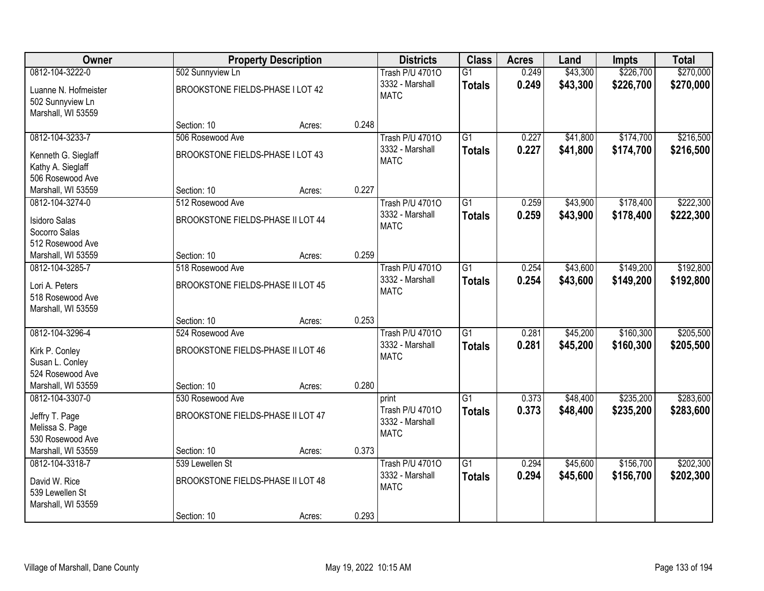| Owner                |                                   | <b>Property Description</b> |       | <b>Districts</b>       | <b>Class</b>    | <b>Acres</b> | Land     | Impts     | <b>Total</b> |
|----------------------|-----------------------------------|-----------------------------|-------|------------------------|-----------------|--------------|----------|-----------|--------------|
| 0812-104-3222-0      | 502 Sunnyview Ln                  |                             |       | <b>Trash P/U 47010</b> | $\overline{G1}$ | 0.249        | \$43,300 | \$226,700 | \$270,000    |
| Luanne N. Hofmeister | BROOKSTONE FIELDS-PHASE I LOT 42  |                             |       | 3332 - Marshall        | <b>Totals</b>   | 0.249        | \$43,300 | \$226,700 | \$270,000    |
| 502 Sunnyview Ln     |                                   |                             |       | <b>MATC</b>            |                 |              |          |           |              |
| Marshall, WI 53559   |                                   |                             |       |                        |                 |              |          |           |              |
|                      | Section: 10                       | Acres:                      | 0.248 |                        |                 |              |          |           |              |
| 0812-104-3233-7      | 506 Rosewood Ave                  |                             |       | <b>Trash P/U 47010</b> | $\overline{G1}$ | 0.227        | \$41,800 | \$174,700 | \$216,500    |
| Kenneth G. Sieglaff  | BROOKSTONE FIELDS-PHASE I LOT 43  |                             |       | 3332 - Marshall        | <b>Totals</b>   | 0.227        | \$41,800 | \$174,700 | \$216,500    |
| Kathy A. Sieglaff    |                                   |                             |       | <b>MATC</b>            |                 |              |          |           |              |
| 506 Rosewood Ave     |                                   |                             |       |                        |                 |              |          |           |              |
| Marshall, WI 53559   | Section: 10                       | Acres:                      | 0.227 |                        |                 |              |          |           |              |
| 0812-104-3274-0      | 512 Rosewood Ave                  |                             |       | <b>Trash P/U 47010</b> | G1              | 0.259        | \$43,900 | \$178,400 | \$222,300    |
| <b>Isidoro Salas</b> | BROOKSTONE FIELDS-PHASE II LOT 44 |                             |       | 3332 - Marshall        | <b>Totals</b>   | 0.259        | \$43,900 | \$178,400 | \$222,300    |
| Socorro Salas        |                                   |                             |       | <b>MATC</b>            |                 |              |          |           |              |
| 512 Rosewood Ave     |                                   |                             |       |                        |                 |              |          |           |              |
| Marshall, WI 53559   | Section: 10                       | Acres:                      | 0.259 |                        |                 |              |          |           |              |
| 0812-104-3285-7      | 518 Rosewood Ave                  |                             |       | <b>Trash P/U 47010</b> | $\overline{G1}$ | 0.254        | \$43,600 | \$149,200 | \$192,800    |
| Lori A. Peters       | BROOKSTONE FIELDS-PHASE II LOT 45 |                             |       | 3332 - Marshall        | <b>Totals</b>   | 0.254        | \$43,600 | \$149,200 | \$192,800    |
| 518 Rosewood Ave     |                                   |                             |       | <b>MATC</b>            |                 |              |          |           |              |
| Marshall, WI 53559   |                                   |                             |       |                        |                 |              |          |           |              |
|                      | Section: 10                       | Acres:                      | 0.253 |                        |                 |              |          |           |              |
| 0812-104-3296-4      | 524 Rosewood Ave                  |                             |       | <b>Trash P/U 47010</b> | $\overline{G1}$ | 0.281        | \$45,200 | \$160,300 | \$205,500    |
| Kirk P. Conley       | BROOKSTONE FIELDS-PHASE II LOT 46 |                             |       | 3332 - Marshall        | <b>Totals</b>   | 0.281        | \$45,200 | \$160,300 | \$205,500    |
| Susan L. Conley      |                                   |                             |       | <b>MATC</b>            |                 |              |          |           |              |
| 524 Rosewood Ave     |                                   |                             |       |                        |                 |              |          |           |              |
| Marshall, WI 53559   | Section: 10                       | Acres:                      | 0.280 |                        |                 |              |          |           |              |
| 0812-104-3307-0      | 530 Rosewood Ave                  |                             |       | print                  | $\overline{G1}$ | 0.373        | \$48,400 | \$235,200 | \$283,600    |
| Jeffry T. Page       | BROOKSTONE FIELDS-PHASE II LOT 47 |                             |       | Trash P/U 47010        | <b>Totals</b>   | 0.373        | \$48,400 | \$235,200 | \$283,600    |
| Melissa S. Page      |                                   |                             |       | 3332 - Marshall        |                 |              |          |           |              |
| 530 Rosewood Ave     |                                   |                             |       | <b>MATC</b>            |                 |              |          |           |              |
| Marshall, WI 53559   | Section: 10                       | Acres:                      | 0.373 |                        |                 |              |          |           |              |
| 0812-104-3318-7      | 539 Lewellen St                   |                             |       | <b>Trash P/U 47010</b> | $\overline{G1}$ | 0.294        | \$45,600 | \$156,700 | \$202,300    |
| David W. Rice        | BROOKSTONE FIELDS-PHASE II LOT 48 |                             |       | 3332 - Marshall        | <b>Totals</b>   | 0.294        | \$45,600 | \$156,700 | \$202,300    |
| 539 Lewellen St      |                                   |                             |       | <b>MATC</b>            |                 |              |          |           |              |
| Marshall, WI 53559   |                                   |                             |       |                        |                 |              |          |           |              |
|                      | Section: 10                       | Acres:                      | 0.293 |                        |                 |              |          |           |              |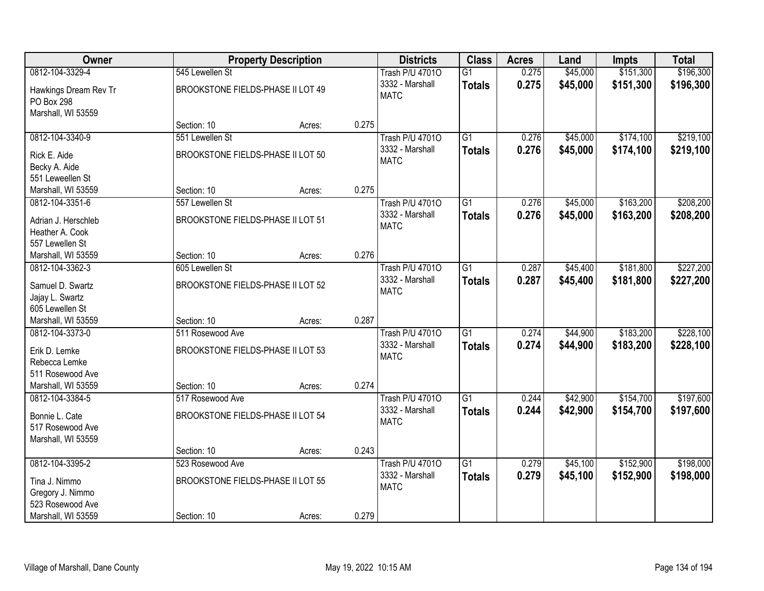| Owner                                  |                                   | <b>Property Description</b> |       | <b>Districts</b>               | <b>Class</b>    | <b>Acres</b> | Land     | <b>Impts</b> | <b>Total</b> |
|----------------------------------------|-----------------------------------|-----------------------------|-------|--------------------------------|-----------------|--------------|----------|--------------|--------------|
| 0812-104-3329-4                        | 545 Lewellen St                   |                             |       | <b>Trash P/U 47010</b>         | $\overline{G1}$ | 0.275        | \$45,000 | \$151,300    | \$196,300    |
| Hawkings Dream Rev Tr                  | BROOKSTONE FIELDS-PHASE II LOT 49 |                             |       | 3332 - Marshall                | <b>Totals</b>   | 0.275        | \$45,000 | \$151,300    | \$196,300    |
| PO Box 298                             |                                   |                             |       | <b>MATC</b>                    |                 |              |          |              |              |
| Marshall, WI 53559                     |                                   |                             |       |                                |                 |              |          |              |              |
|                                        | Section: 10                       | Acres:                      | 0.275 |                                |                 |              |          |              |              |
| 0812-104-3340-9                        | 551 Lewellen St                   |                             |       | <b>Trash P/U 47010</b>         | $\overline{G1}$ | 0.276        | \$45,000 | \$174,100    | \$219,100    |
| Rick E. Aide                           | BROOKSTONE FIELDS-PHASE II LOT 50 |                             |       | 3332 - Marshall                | <b>Totals</b>   | 0.276        | \$45,000 | \$174,100    | \$219,100    |
| Becky A. Aide                          |                                   |                             |       | <b>MATC</b>                    |                 |              |          |              |              |
| 551 Leweellen St                       |                                   |                             |       |                                |                 |              |          |              |              |
| Marshall, WI 53559                     | Section: 10                       | Acres:                      | 0.275 |                                |                 |              |          |              |              |
| 0812-104-3351-6                        | 557 Lewellen St                   |                             |       | <b>Trash P/U 47010</b>         | G1              | 0.276        | \$45,000 | \$163,200    | \$208,200    |
| Adrian J. Herschleb                    | BROOKSTONE FIELDS-PHASE II LOT 51 |                             |       | 3332 - Marshall                | <b>Totals</b>   | 0.276        | \$45,000 | \$163,200    | \$208,200    |
| Heather A. Cook                        |                                   |                             |       | <b>MATC</b>                    |                 |              |          |              |              |
| 557 Lewellen St                        |                                   |                             |       |                                |                 |              |          |              |              |
| Marshall, WI 53559                     | Section: 10                       | Acres:                      | 0.276 |                                |                 |              |          |              |              |
| 0812-104-3362-3                        | 605 Lewellen St                   |                             |       | <b>Trash P/U 47010</b>         | $\overline{G1}$ | 0.287        | \$45,400 | \$181,800    | \$227,200    |
| Samuel D. Swartz                       | BROOKSTONE FIELDS-PHASE II LOT 52 |                             |       | 3332 - Marshall                | <b>Totals</b>   | 0.287        | \$45,400 | \$181,800    | \$227,200    |
| Jajay L. Swartz                        |                                   |                             |       | <b>MATC</b>                    |                 |              |          |              |              |
| 605 Lewellen St                        |                                   |                             |       |                                |                 |              |          |              |              |
| Marshall, WI 53559                     | Section: 10                       | Acres:                      | 0.287 |                                |                 |              |          |              |              |
| 0812-104-3373-0                        | 511 Rosewood Ave                  |                             |       | <b>Trash P/U 47010</b>         | G <sub>1</sub>  | 0.274        | \$44,900 | \$183,200    | \$228,100    |
|                                        |                                   |                             |       | 3332 - Marshall                | <b>Totals</b>   | 0.274        | \$44,900 | \$183,200    | \$228,100    |
| Erik D. Lemke                          | BROOKSTONE FIELDS-PHASE II LOT 53 |                             |       | <b>MATC</b>                    |                 |              |          |              |              |
| Rebecca Lemke                          |                                   |                             |       |                                |                 |              |          |              |              |
| 511 Rosewood Ave<br>Marshall, WI 53559 | Section: 10                       | Acres:                      | 0.274 |                                |                 |              |          |              |              |
| 0812-104-3384-5                        | 517 Rosewood Ave                  |                             |       | <b>Trash P/U 47010</b>         | $\overline{G1}$ | 0.244        | \$42,900 | \$154,700    | \$197,600    |
|                                        |                                   |                             |       | 3332 - Marshall                | <b>Totals</b>   | 0.244        | \$42,900 | \$154,700    | \$197,600    |
| Bonnie L. Cate                         | BROOKSTONE FIELDS-PHASE II LOT 54 |                             |       | <b>MATC</b>                    |                 |              |          |              |              |
| 517 Rosewood Ave                       |                                   |                             |       |                                |                 |              |          |              |              |
| Marshall, WI 53559                     |                                   |                             |       |                                |                 |              |          |              |              |
|                                        | Section: 10                       | Acres:                      | 0.243 |                                |                 |              |          |              |              |
| 0812-104-3395-2                        | 523 Rosewood Ave                  |                             |       | <b>Trash P/U 47010</b>         | $\overline{G1}$ | 0.279        | \$45,100 | \$152,900    | \$198,000    |
| Tina J. Nimmo                          | BROOKSTONE FIELDS-PHASE II LOT 55 |                             |       | 3332 - Marshall<br><b>MATC</b> | <b>Totals</b>   | 0.279        | \$45,100 | \$152,900    | \$198,000    |
| Gregory J. Nimmo                       |                                   |                             |       |                                |                 |              |          |              |              |
| 523 Rosewood Ave                       |                                   |                             |       |                                |                 |              |          |              |              |
| Marshall, WI 53559                     | Section: 10                       | Acres:                      | 0.279 |                                |                 |              |          |              |              |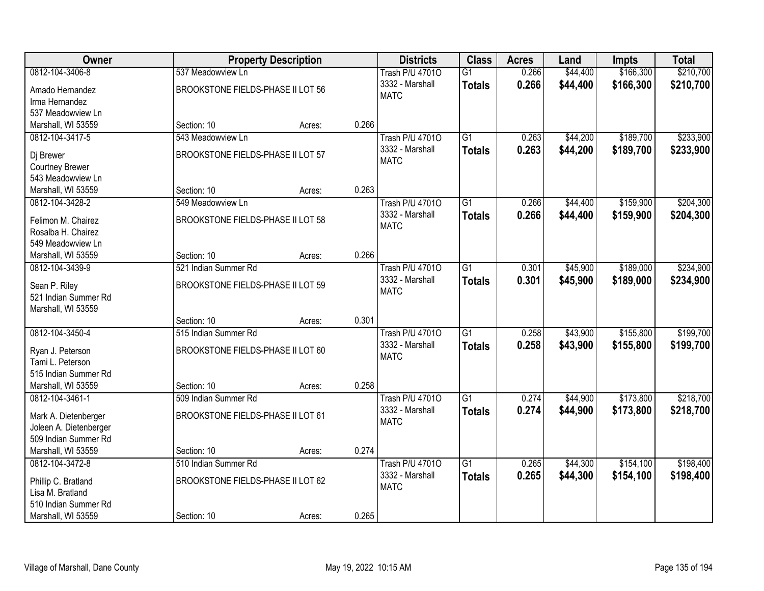| Owner                                          |                                   | <b>Property Description</b> |       | <b>Districts</b>       | <b>Class</b>    | <b>Acres</b> | Land     | <b>Impts</b> | <b>Total</b> |
|------------------------------------------------|-----------------------------------|-----------------------------|-------|------------------------|-----------------|--------------|----------|--------------|--------------|
| 0812-104-3406-8                                | 537 Meadowview Ln                 |                             |       | <b>Trash P/U 47010</b> | $\overline{G1}$ | 0.266        | \$44,400 | \$166,300    | \$210,700    |
| Amado Hernandez                                | BROOKSTONE FIELDS-PHASE II LOT 56 |                             |       | 3332 - Marshall        | <b>Totals</b>   | 0.266        | \$44,400 | \$166,300    | \$210,700    |
| Irma Hernandez                                 |                                   |                             |       | <b>MATC</b>            |                 |              |          |              |              |
| 537 Meadowview Ln                              |                                   |                             |       |                        |                 |              |          |              |              |
| Marshall, WI 53559                             | Section: 10                       | Acres:                      | 0.266 |                        |                 |              |          |              |              |
| 0812-104-3417-5                                | 543 Meadowview Ln                 |                             |       | <b>Trash P/U 47010</b> | $\overline{G1}$ | 0.263        | \$44,200 | \$189,700    | \$233,900    |
| Dj Brewer                                      | BROOKSTONE FIELDS-PHASE II LOT 57 |                             |       | 3332 - Marshall        | <b>Totals</b>   | 0.263        | \$44,200 | \$189,700    | \$233,900    |
| <b>Courtney Brewer</b>                         |                                   |                             |       | <b>MATC</b>            |                 |              |          |              |              |
| 543 Meadowview Ln                              |                                   |                             |       |                        |                 |              |          |              |              |
| Marshall, WI 53559                             | Section: 10                       | Acres:                      | 0.263 |                        |                 |              |          |              |              |
| 0812-104-3428-2                                | 549 Meadowview Ln                 |                             |       | <b>Trash P/U 47010</b> | G1              | 0.266        | \$44,400 | \$159,900    | \$204,300    |
| Felimon M. Chairez                             | BROOKSTONE FIELDS-PHASE II LOT 58 |                             |       | 3332 - Marshall        | <b>Totals</b>   | 0.266        | \$44,400 | \$159,900    | \$204,300    |
| Rosalba H. Chairez                             |                                   |                             |       | <b>MATC</b>            |                 |              |          |              |              |
| 549 Meadowview Ln                              |                                   |                             |       |                        |                 |              |          |              |              |
| Marshall, WI 53559                             | Section: 10                       | Acres:                      | 0.266 |                        |                 |              |          |              |              |
| 0812-104-3439-9                                | 521 Indian Summer Rd              |                             |       | <b>Trash P/U 47010</b> | $\overline{G1}$ | 0.301        | \$45,900 | \$189,000    | \$234,900    |
| Sean P. Riley                                  | BROOKSTONE FIELDS-PHASE II LOT 59 |                             |       | 3332 - Marshall        | <b>Totals</b>   | 0.301        | \$45,900 | \$189,000    | \$234,900    |
| 521 Indian Summer Rd                           |                                   |                             |       | <b>MATC</b>            |                 |              |          |              |              |
| Marshall, WI 53559                             |                                   |                             |       |                        |                 |              |          |              |              |
|                                                | Section: 10                       | Acres:                      | 0.301 |                        |                 |              |          |              |              |
| 0812-104-3450-4                                | 515 Indian Summer Rd              |                             |       | <b>Trash P/U 47010</b> | $\overline{G1}$ | 0.258        | \$43,900 | \$155,800    | \$199,700    |
|                                                | BROOKSTONE FIELDS-PHASE II LOT 60 |                             |       | 3332 - Marshall        | <b>Totals</b>   | 0.258        | \$43,900 | \$155,800    | \$199,700    |
| Ryan J. Peterson<br>Tami L. Peterson           |                                   |                             |       | <b>MATC</b>            |                 |              |          |              |              |
| 515 Indian Summer Rd                           |                                   |                             |       |                        |                 |              |          |              |              |
| Marshall, WI 53559                             | Section: 10                       | Acres:                      | 0.258 |                        |                 |              |          |              |              |
| 0812-104-3461-1                                | 509 Indian Summer Rd              |                             |       | <b>Trash P/U 47010</b> | $\overline{G1}$ | 0.274        | \$44,900 | \$173,800    | \$218,700    |
|                                                |                                   |                             |       | 3332 - Marshall        | <b>Totals</b>   | 0.274        | \$44,900 | \$173,800    | \$218,700    |
| Mark A. Dietenberger<br>Joleen A. Dietenberger | BROOKSTONE FIELDS-PHASE II LOT 61 |                             |       | <b>MATC</b>            |                 |              |          |              |              |
| 509 Indian Summer Rd                           |                                   |                             |       |                        |                 |              |          |              |              |
| Marshall, WI 53559                             | Section: 10                       | Acres:                      | 0.274 |                        |                 |              |          |              |              |
| 0812-104-3472-8                                | 510 Indian Summer Rd              |                             |       | <b>Trash P/U 47010</b> | $\overline{G1}$ | 0.265        | \$44,300 | \$154,100    | \$198,400    |
|                                                |                                   |                             |       | 3332 - Marshall        | <b>Totals</b>   | 0.265        | \$44,300 | \$154,100    | \$198,400    |
| Phillip C. Bratland<br>Lisa M. Bratland        | BROOKSTONE FIELDS-PHASE II LOT 62 |                             |       | <b>MATC</b>            |                 |              |          |              |              |
| 510 Indian Summer Rd                           |                                   |                             |       |                        |                 |              |          |              |              |
| Marshall, WI 53559                             | Section: 10                       | Acres:                      | 0.265 |                        |                 |              |          |              |              |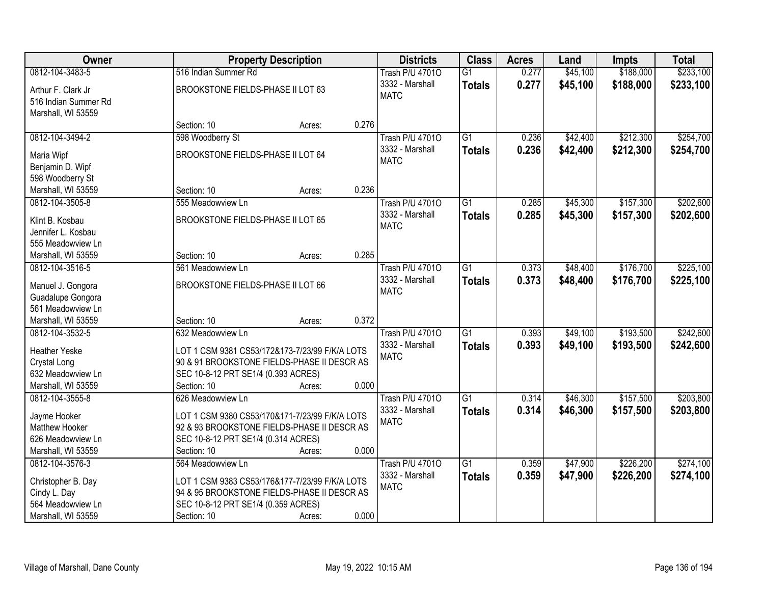| Owner                                                            | <b>Property Description</b>                    |       | <b>Districts</b>               | <b>Class</b>    | <b>Acres</b> | Land     | <b>Impts</b> | <b>Total</b> |
|------------------------------------------------------------------|------------------------------------------------|-------|--------------------------------|-----------------|--------------|----------|--------------|--------------|
| 0812-104-3483-5                                                  | 516 Indian Summer Rd                           |       | <b>Trash P/U 47010</b>         | $\overline{G1}$ | 0.277        | \$45,100 | \$188,000    | \$233,100    |
| Arthur F. Clark Jr<br>516 Indian Summer Rd<br>Marshall, WI 53559 | BROOKSTONE FIELDS-PHASE II LOT 63              |       | 3332 - Marshall<br><b>MATC</b> | <b>Totals</b>   | 0.277        | \$45,100 | \$188,000    | \$233,100    |
|                                                                  | Section: 10<br>Acres:                          | 0.276 |                                |                 |              |          |              |              |
| 0812-104-3494-2                                                  | 598 Woodberry St                               |       | <b>Trash P/U 47010</b>         | $\overline{G1}$ | 0.236        | \$42,400 | \$212,300    | \$254,700    |
|                                                                  |                                                |       | 3332 - Marshall                | <b>Totals</b>   | 0.236        | \$42,400 | \$212,300    | \$254,700    |
| Maria Wipf                                                       | BROOKSTONE FIELDS-PHASE II LOT 64              |       | <b>MATC</b>                    |                 |              |          |              |              |
| Benjamin D. Wipf                                                 |                                                |       |                                |                 |              |          |              |              |
| 598 Woodberry St                                                 | Section: 10                                    | 0.236 |                                |                 |              |          |              |              |
| Marshall, WI 53559<br>0812-104-3505-8                            | Acres:<br>555 Meadowview Ln                    |       | <b>Trash P/U 47010</b>         | $\overline{G1}$ | 0.285        | \$45,300 | \$157,300    | \$202,600    |
|                                                                  |                                                |       | 3332 - Marshall                |                 |              |          |              |              |
| Klint B. Kosbau                                                  | BROOKSTONE FIELDS-PHASE II LOT 65              |       | <b>MATC</b>                    | <b>Totals</b>   | 0.285        | \$45,300 | \$157,300    | \$202,600    |
| Jennifer L. Kosbau                                               |                                                |       |                                |                 |              |          |              |              |
| 555 Meadowview Ln                                                |                                                |       |                                |                 |              |          |              |              |
| Marshall, WI 53559                                               | Section: 10<br>Acres:                          | 0.285 |                                |                 |              |          |              |              |
| 0812-104-3516-5                                                  | 561 Meadowview Ln                              |       | <b>Trash P/U 47010</b>         | $\overline{G1}$ | 0.373        | \$48,400 | \$176,700    | \$225,100    |
| Manuel J. Gongora                                                | BROOKSTONE FIELDS-PHASE II LOT 66              |       | 3332 - Marshall                | <b>Totals</b>   | 0.373        | \$48,400 | \$176,700    | \$225,100    |
| Guadalupe Gongora                                                |                                                |       | <b>MATC</b>                    |                 |              |          |              |              |
| 561 Meadowview Ln                                                |                                                |       |                                |                 |              |          |              |              |
| Marshall, WI 53559                                               | Section: 10<br>Acres:                          | 0.372 |                                |                 |              |          |              |              |
| 0812-104-3532-5                                                  | 632 Meadowview Ln                              |       | <b>Trash P/U 47010</b>         | $\overline{G1}$ | 0.393        | \$49,100 | \$193,500    | \$242,600    |
|                                                                  |                                                |       | 3332 - Marshall                | <b>Totals</b>   | 0.393        | \$49,100 | \$193,500    | \$242,600    |
| <b>Heather Yeske</b>                                             | LOT 1 CSM 9381 CS53/172&173-7/23/99 F/K/A LOTS |       | <b>MATC</b>                    |                 |              |          |              |              |
| Crystal Long                                                     | 90 & 91 BROOKSTONE FIELDS-PHASE II DESCR AS    |       |                                |                 |              |          |              |              |
| 632 Meadowview Ln                                                | SEC 10-8-12 PRT SE1/4 (0.393 ACRES)            |       |                                |                 |              |          |              |              |
| Marshall, WI 53559                                               | Section: 10<br>Acres:                          | 0.000 |                                |                 |              |          |              |              |
| 0812-104-3555-8                                                  | 626 Meadowview Ln                              |       | <b>Trash P/U 47010</b>         | $\overline{G1}$ | 0.314        | \$46,300 | \$157,500    | \$203,800    |
| Jayme Hooker                                                     | LOT 1 CSM 9380 CS53/170&171-7/23/99 F/K/A LOTS |       | 3332 - Marshall                | <b>Totals</b>   | 0.314        | \$46,300 | \$157,500    | \$203,800    |
| Matthew Hooker                                                   | 92 & 93 BROOKSTONE FIELDS-PHASE II DESCR AS    |       | <b>MATC</b>                    |                 |              |          |              |              |
| 626 Meadowview Ln                                                | SEC 10-8-12 PRT SE1/4 (0.314 ACRES)            |       |                                |                 |              |          |              |              |
| Marshall, WI 53559                                               | Section: 10<br>Acres:                          | 0.000 |                                |                 |              |          |              |              |
| 0812-104-3576-3                                                  | 564 Meadowview Ln                              |       | <b>Trash P/U 47010</b>         | $\overline{G1}$ | 0.359        | \$47,900 | \$226,200    | \$274,100    |
|                                                                  |                                                |       | 3332 - Marshall                | <b>Totals</b>   | 0.359        | \$47,900 | \$226,200    | \$274,100    |
| Christopher B. Day                                               | LOT 1 CSM 9383 CS53/176&177-7/23/99 F/K/A LOTS |       | <b>MATC</b>                    |                 |              |          |              |              |
| Cindy L. Day<br>564 Meadowview Ln                                | 94 & 95 BROOKSTONE FIELDS-PHASE II DESCR AS    |       |                                |                 |              |          |              |              |
|                                                                  | SEC 10-8-12 PRT SE1/4 (0.359 ACRES)            |       |                                |                 |              |          |              |              |
| Marshall, WI 53559                                               | Section: 10<br>Acres:                          | 0.000 |                                |                 |              |          |              |              |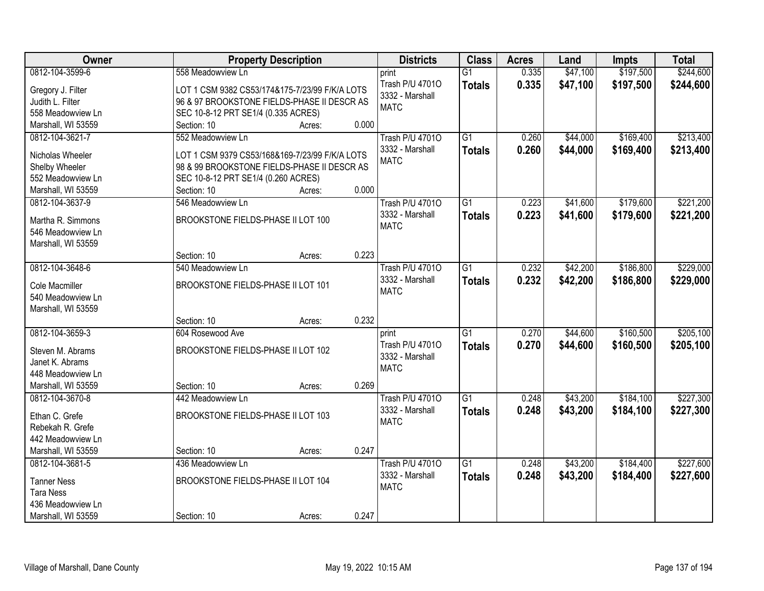| Owner              | <b>Property Description</b>                    | <b>Districts</b>         | <b>Class</b>    | <b>Acres</b> | Land     | <b>Impts</b> | <b>Total</b> |
|--------------------|------------------------------------------------|--------------------------|-----------------|--------------|----------|--------------|--------------|
| 0812-104-3599-6    | 558 Meadowview Ln                              | print                    | $\overline{G1}$ | 0.335        | \$47,100 | \$197,500    | \$244,600    |
| Gregory J. Filter  | LOT 1 CSM 9382 CS53/174&175-7/23/99 F/K/A LOTS | Trash P/U 47010          | <b>Totals</b>   | 0.335        | \$47,100 | \$197,500    | \$244,600    |
| Judith L. Filter   | 96 & 97 BROOKSTONE FIELDS-PHASE II DESCR AS    | 3332 - Marshall          |                 |              |          |              |              |
| 558 Meadowview Ln  | SEC 10-8-12 PRT SE1/4 (0.335 ACRES)            | <b>MATC</b>              |                 |              |          |              |              |
| Marshall, WI 53559 | Section: 10<br>0.000<br>Acres:                 |                          |                 |              |          |              |              |
| 0812-104-3621-7    | 552 Meadowview Ln                              | <b>Trash P/U 47010</b>   | $\overline{G1}$ | 0.260        | \$44,000 | \$169,400    | \$213,400    |
|                    |                                                | 3332 - Marshall          | <b>Totals</b>   | 0.260        | \$44,000 | \$169,400    | \$213,400    |
| Nicholas Wheeler   | LOT 1 CSM 9379 CS53/168&169-7/23/99 F/K/A LOTS | <b>MATC</b>              |                 |              |          |              |              |
| Shelby Wheeler     | 98 & 99 BROOKSTONE FIELDS-PHASE II DESCR AS    |                          |                 |              |          |              |              |
| 552 Meadowview Ln  | SEC 10-8-12 PRT SE1/4 (0.260 ACRES)            |                          |                 |              |          |              |              |
| Marshall, WI 53559 | 0.000<br>Section: 10<br>Acres:                 |                          |                 |              |          |              |              |
| 0812-104-3637-9    | 546 Meadowview Ln                              | Trash P/U 47010          | G1              | 0.223        | \$41,600 | \$179,600    | \$221,200    |
| Martha R. Simmons  | BROOKSTONE FIELDS-PHASE II LOT 100             | 3332 - Marshall          | <b>Totals</b>   | 0.223        | \$41,600 | \$179,600    | \$221,200    |
| 546 Meadowview Ln  |                                                | <b>MATC</b>              |                 |              |          |              |              |
| Marshall, WI 53559 |                                                |                          |                 |              |          |              |              |
|                    | 0.223<br>Section: 10<br>Acres:                 |                          |                 |              |          |              |              |
| 0812-104-3648-6    | 540 Meadowview Ln                              | <b>Trash P/U 47010</b>   | G1              | 0.232        | \$42,200 | \$186,800    | \$229,000    |
|                    |                                                | 3332 - Marshall          | <b>Totals</b>   | 0.232        | \$42,200 | \$186,800    | \$229,000    |
| Cole Macmiller     | BROOKSTONE FIELDS-PHASE II LOT 101             | <b>MATC</b>              |                 |              |          |              |              |
| 540 Meadowview Ln  |                                                |                          |                 |              |          |              |              |
| Marshall, WI 53559 | 0.232<br>Section: 10                           |                          |                 |              |          |              |              |
| 0812-104-3659-3    | Acres:<br>604 Rosewood Ave                     |                          | $\overline{G1}$ | 0.270        | \$44,600 | \$160,500    | \$205,100    |
|                    |                                                | print<br>Trash P/U 47010 |                 |              |          |              |              |
| Steven M. Abrams   | BROOKSTONE FIELDS-PHASE II LOT 102             | 3332 - Marshall          | <b>Totals</b>   | 0.270        | \$44,600 | \$160,500    | \$205,100    |
| Janet K. Abrams    |                                                | <b>MATC</b>              |                 |              |          |              |              |
| 448 Meadowview Ln  |                                                |                          |                 |              |          |              |              |
| Marshall, WI 53559 | Section: 10<br>0.269<br>Acres:                 |                          |                 |              |          |              |              |
| 0812-104-3670-8    | 442 Meadowview Ln                              | <b>Trash P/U 47010</b>   | $\overline{G1}$ | 0.248        | \$43,200 | \$184,100    | \$227,300    |
| Ethan C. Grefe     | BROOKSTONE FIELDS-PHASE II LOT 103             | 3332 - Marshall          | <b>Totals</b>   | 0.248        | \$43,200 | \$184,100    | \$227,300    |
| Rebekah R. Grefe   |                                                | <b>MATC</b>              |                 |              |          |              |              |
| 442 Meadowview Ln  |                                                |                          |                 |              |          |              |              |
| Marshall, WI 53559 | 0.247<br>Section: 10<br>Acres:                 |                          |                 |              |          |              |              |
| 0812-104-3681-5    | 436 Meadowview Ln                              | <b>Trash P/U 47010</b>   | $\overline{G1}$ | 0.248        | \$43,200 | \$184,400    | \$227,600    |
|                    |                                                | 3332 - Marshall          | <b>Totals</b>   | 0.248        | \$43,200 | \$184,400    | \$227,600    |
| <b>Tanner Ness</b> | BROOKSTONE FIELDS-PHASE II LOT 104             | <b>MATC</b>              |                 |              |          |              |              |
| <b>Tara Ness</b>   |                                                |                          |                 |              |          |              |              |
| 436 Meadowview Ln  |                                                |                          |                 |              |          |              |              |
| Marshall, WI 53559 | 0.247<br>Section: 10<br>Acres:                 |                          |                 |              |          |              |              |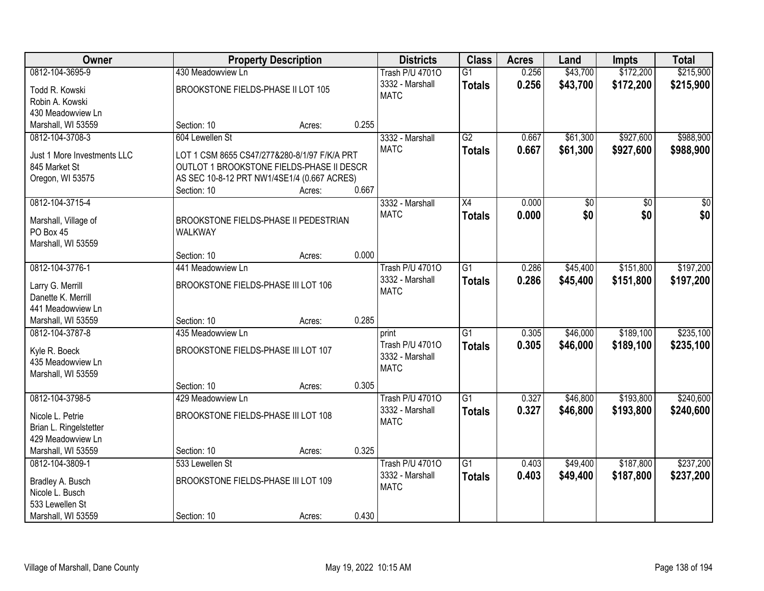| Owner                       |                                              | <b>Property Description</b> |       | <b>Districts</b>       | <b>Class</b>    | <b>Acres</b> | Land     | <b>Impts</b> | <b>Total</b> |
|-----------------------------|----------------------------------------------|-----------------------------|-------|------------------------|-----------------|--------------|----------|--------------|--------------|
| 0812-104-3695-9             | 430 Meadowview Ln                            |                             |       | <b>Trash P/U 47010</b> | $\overline{G1}$ | 0.256        | \$43,700 | \$172,200    | \$215,900    |
| Todd R. Kowski              | BROOKSTONE FIELDS-PHASE II LOT 105           |                             |       | 3332 - Marshall        | <b>Totals</b>   | 0.256        | \$43,700 | \$172,200    | \$215,900    |
| Robin A. Kowski             |                                              |                             |       | <b>MATC</b>            |                 |              |          |              |              |
| 430 Meadowview Ln           |                                              |                             |       |                        |                 |              |          |              |              |
| Marshall, WI 53559          | Section: 10                                  | Acres:                      | 0.255 |                        |                 |              |          |              |              |
| 0812-104-3708-3             | 604 Lewellen St                              |                             |       | 3332 - Marshall        | G2              | 0.667        | \$61,300 | \$927,600    | \$988,900    |
|                             |                                              |                             |       | <b>MATC</b>            | <b>Totals</b>   | 0.667        | \$61,300 | \$927,600    | \$988,900    |
| Just 1 More Investments LLC | LOT 1 CSM 8655 CS47/277&280-8/1/97 F/K/A PRT |                             |       |                        |                 |              |          |              |              |
| 845 Market St               | OUTLOT 1 BROOKSTONE FIELDS-PHASE II DESCR    |                             |       |                        |                 |              |          |              |              |
| Oregon, WI 53575            | AS SEC 10-8-12 PRT NW1/4SE1/4 (0.667 ACRES)  |                             |       |                        |                 |              |          |              |              |
|                             | Section: 10                                  | Acres:                      | 0.667 |                        |                 |              |          |              |              |
| 0812-104-3715-4             |                                              |                             |       | 3332 - Marshall        | X4              | 0.000        | \$0      | \$0          | \$0          |
| Marshall, Village of        | BROOKSTONE FIELDS-PHASE II PEDESTRIAN        |                             |       | <b>MATC</b>            | <b>Totals</b>   | 0.000        | \$0      | \$0          | \$0          |
| PO Box 45                   | WALKWAY                                      |                             |       |                        |                 |              |          |              |              |
| Marshall, WI 53559          |                                              |                             |       |                        |                 |              |          |              |              |
|                             | Section: 10                                  | Acres:                      | 0.000 |                        |                 |              |          |              |              |
| 0812-104-3776-1             | 441 Meadowview Ln                            |                             |       | <b>Trash P/U 47010</b> | G1              | 0.286        | \$45,400 | \$151,800    | \$197,200    |
|                             |                                              |                             |       | 3332 - Marshall        | <b>Totals</b>   | 0.286        | \$45,400 | \$151,800    | \$197,200    |
| Larry G. Merrill            | BROOKSTONE FIELDS-PHASE III LOT 106          |                             |       | <b>MATC</b>            |                 |              |          |              |              |
| Danette K. Merrill          |                                              |                             |       |                        |                 |              |          |              |              |
| 441 Meadowview Ln           |                                              |                             |       |                        |                 |              |          |              |              |
| Marshall, WI 53559          | Section: 10                                  | Acres:                      | 0.285 |                        |                 |              |          |              |              |
| 0812-104-3787-8             | 435 Meadowview Ln                            |                             |       | print                  | $\overline{G1}$ | 0.305        | \$46,000 | \$189,100    | \$235,100    |
| Kyle R. Boeck               | BROOKSTONE FIELDS-PHASE III LOT 107          |                             |       | Trash P/U 47010        | Totals          | 0.305        | \$46,000 | \$189,100    | \$235,100    |
| 435 Meadowview Ln           |                                              |                             |       | 3332 - Marshall        |                 |              |          |              |              |
| Marshall, WI 53559          |                                              |                             |       | <b>MATC</b>            |                 |              |          |              |              |
|                             | Section: 10                                  | Acres:                      | 0.305 |                        |                 |              |          |              |              |
| 0812-104-3798-5             | 429 Meadowview Ln                            |                             |       | <b>Trash P/U 47010</b> | $\overline{G1}$ | 0.327        | \$46,800 | \$193,800    | \$240,600    |
|                             | BROOKSTONE FIELDS-PHASE III LOT 108          |                             |       | 3332 - Marshall        | <b>Totals</b>   | 0.327        | \$46,800 | \$193,800    | \$240,600    |
| Nicole L. Petrie            |                                              |                             |       | <b>MATC</b>            |                 |              |          |              |              |
| Brian L. Ringelstetter      |                                              |                             |       |                        |                 |              |          |              |              |
| 429 Meadowview Ln           |                                              |                             | 0.325 |                        |                 |              |          |              |              |
| Marshall, WI 53559          | Section: 10                                  | Acres:                      |       |                        |                 |              |          |              | \$237,200    |
| 0812-104-3809-1             | 533 Lewellen St                              |                             |       | <b>Trash P/U 47010</b> | $\overline{G1}$ | 0.403        | \$49,400 | \$187,800    |              |
| Bradley A. Busch            | BROOKSTONE FIELDS-PHASE III LOT 109          |                             |       | 3332 - Marshall        | <b>Totals</b>   | 0.403        | \$49,400 | \$187,800    | \$237,200    |
| Nicole L. Busch             |                                              |                             |       | <b>MATC</b>            |                 |              |          |              |              |
| 533 Lewellen St             |                                              |                             |       |                        |                 |              |          |              |              |
| Marshall, WI 53559          | Section: 10                                  | Acres:                      | 0.430 |                        |                 |              |          |              |              |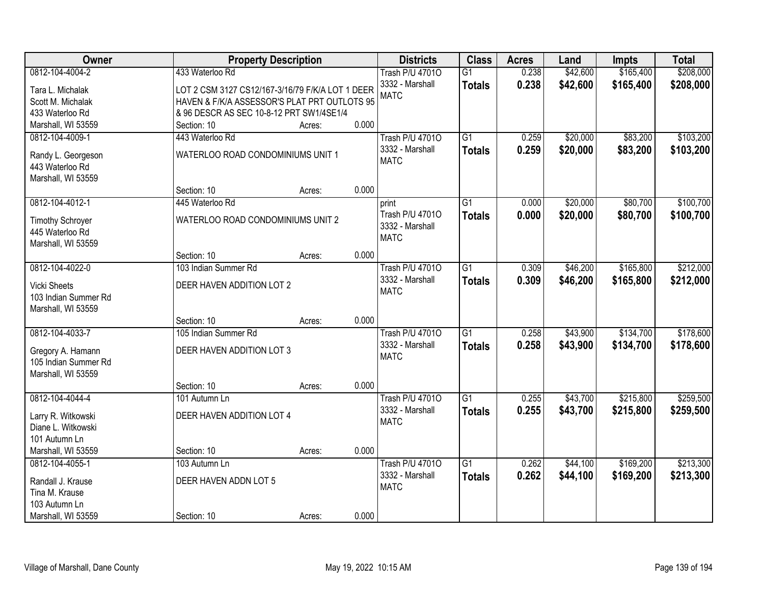| Owner                                      | <b>Property Description</b>                      |                 | <b>Districts</b>       | <b>Class</b>    | <b>Acres</b> | Land     | <b>Impts</b> | <b>Total</b> |
|--------------------------------------------|--------------------------------------------------|-----------------|------------------------|-----------------|--------------|----------|--------------|--------------|
| 0812-104-4004-2                            | 433 Waterloo Rd                                  |                 | <b>Trash P/U 47010</b> | $\overline{G1}$ | 0.238        | \$42,600 | \$165,400    | \$208,000    |
| Tara L. Michalak                           | LOT 2 CSM 3127 CS12/167-3/16/79 F/K/A LOT 1 DEER |                 | 3332 - Marshall        | <b>Totals</b>   | 0.238        | \$42,600 | \$165,400    | \$208,000    |
| Scott M. Michalak                          | HAVEN & F/K/A ASSESSOR'S PLAT PRT OUTLOTS 95     |                 | <b>MATC</b>            |                 |              |          |              |              |
| 433 Waterloo Rd                            | & 96 DESCR AS SEC 10-8-12 PRT SW1/4SE1/4         |                 |                        |                 |              |          |              |              |
| Marshall, WI 53559                         | Section: 10                                      | 0.000<br>Acres: |                        |                 |              |          |              |              |
| 0812-104-4009-1                            | 443 Waterloo Rd                                  |                 | <b>Trash P/U 47010</b> | $\overline{G1}$ | 0.259        | \$20,000 | \$83,200     | \$103,200    |
|                                            |                                                  |                 | 3332 - Marshall        |                 | 0.259        | \$20,000 | \$83,200     | \$103,200    |
| Randy L. Georgeson                         | WATERLOO ROAD CONDOMINIUMS UNIT 1                |                 | <b>MATC</b>            | <b>Totals</b>   |              |          |              |              |
| 443 Waterloo Rd                            |                                                  |                 |                        |                 |              |          |              |              |
| Marshall, WI 53559                         |                                                  |                 |                        |                 |              |          |              |              |
|                                            | Section: 10                                      | 0.000<br>Acres: |                        |                 |              |          |              |              |
| 0812-104-4012-1                            | 445 Waterloo Rd                                  |                 | print                  | G1              | 0.000        | \$20,000 | \$80,700     | \$100,700    |
|                                            | WATERLOO ROAD CONDOMINIUMS UNIT 2                |                 | Trash P/U 47010        | <b>Totals</b>   | 0.000        | \$20,000 | \$80,700     | \$100,700    |
| <b>Timothy Schroyer</b><br>445 Waterloo Rd |                                                  |                 | 3332 - Marshall        |                 |              |          |              |              |
| Marshall, WI 53559                         |                                                  |                 | <b>MATC</b>            |                 |              |          |              |              |
|                                            | Section: 10                                      | 0.000<br>Acres: |                        |                 |              |          |              |              |
| 0812-104-4022-0                            | 103 Indian Summer Rd                             |                 | <b>Trash P/U 47010</b> | G1              | 0.309        | \$46,200 | \$165,800    | \$212,000    |
|                                            |                                                  |                 | 3332 - Marshall        |                 |              |          |              |              |
| <b>Vicki Sheets</b>                        | DEER HAVEN ADDITION LOT 2                        |                 | <b>MATC</b>            | <b>Totals</b>   | 0.309        | \$46,200 | \$165,800    | \$212,000    |
| 103 Indian Summer Rd                       |                                                  |                 |                        |                 |              |          |              |              |
| Marshall, WI 53559                         |                                                  |                 |                        |                 |              |          |              |              |
|                                            | Section: 10                                      | 0.000<br>Acres: |                        |                 |              |          |              |              |
| 0812-104-4033-7                            | 105 Indian Summer Rd                             |                 | <b>Trash P/U 47010</b> | $\overline{G1}$ | 0.258        | \$43,900 | \$134,700    | \$178,600    |
| Gregory A. Hamann                          | DEER HAVEN ADDITION LOT 3                        |                 | 3332 - Marshall        | <b>Totals</b>   | 0.258        | \$43,900 | \$134,700    | \$178,600    |
| 105 Indian Summer Rd                       |                                                  |                 | <b>MATC</b>            |                 |              |          |              |              |
| Marshall, WI 53559                         |                                                  |                 |                        |                 |              |          |              |              |
|                                            | Section: 10                                      | 0.000<br>Acres: |                        |                 |              |          |              |              |
| 0812-104-4044-4                            | 101 Autumn Ln                                    |                 | <b>Trash P/U 47010</b> | $\overline{G1}$ | 0.255        | \$43,700 | \$215,800    | \$259,500    |
|                                            |                                                  |                 | 3332 - Marshall        |                 | 0.255        | \$43,700 | \$215,800    | \$259,500    |
| Larry R. Witkowski                         | DEER HAVEN ADDITION LOT 4                        |                 | <b>MATC</b>            | <b>Totals</b>   |              |          |              |              |
| Diane L. Witkowski                         |                                                  |                 |                        |                 |              |          |              |              |
| 101 Autumn Ln                              |                                                  |                 |                        |                 |              |          |              |              |
| Marshall, WI 53559                         | Section: 10                                      | 0.000<br>Acres: |                        |                 |              |          |              |              |
| 0812-104-4055-1                            | 103 Autumn Ln                                    |                 | <b>Trash P/U 47010</b> | $\overline{G1}$ | 0.262        | \$44,100 | \$169,200    | \$213,300    |
| Randall J. Krause                          | DEER HAVEN ADDN LOT 5                            |                 | 3332 - Marshall        | <b>Totals</b>   | 0.262        | \$44,100 | \$169,200    | \$213,300    |
| Tina M. Krause                             |                                                  |                 | <b>MATC</b>            |                 |              |          |              |              |
| 103 Autumn Ln                              |                                                  |                 |                        |                 |              |          |              |              |
| Marshall, WI 53559                         | Section: 10                                      | 0.000<br>Acres: |                        |                 |              |          |              |              |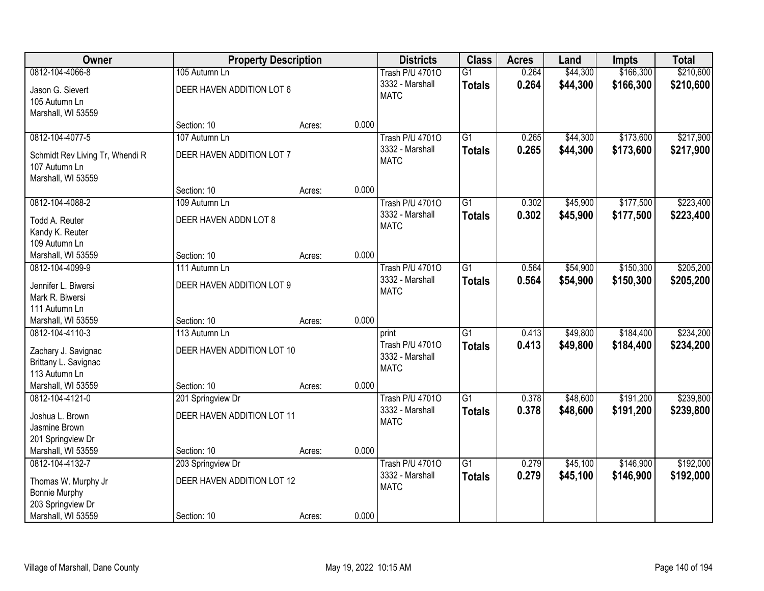| <b>Owner</b>                                     |                            | <b>Property Description</b> |       | <b>Districts</b>               | <b>Class</b>    | <b>Acres</b> | Land     | <b>Impts</b> | <b>Total</b> |
|--------------------------------------------------|----------------------------|-----------------------------|-------|--------------------------------|-----------------|--------------|----------|--------------|--------------|
| 0812-104-4066-8                                  | 105 Autumn Ln              |                             |       | <b>Trash P/U 47010</b>         | $\overline{G1}$ | 0.264        | \$44,300 | \$166,300    | \$210,600    |
| Jason G. Sievert<br>105 Autumn Ln                | DEER HAVEN ADDITION LOT 6  |                             |       | 3332 - Marshall<br><b>MATC</b> | <b>Totals</b>   | 0.264        | \$44,300 | \$166,300    | \$210,600    |
| Marshall, WI 53559                               |                            |                             |       |                                |                 |              |          |              |              |
|                                                  | Section: 10                | Acres:                      | 0.000 |                                |                 |              |          |              |              |
| 0812-104-4077-5                                  | 107 Autumn Ln              |                             |       | <b>Trash P/U 47010</b>         | $\overline{G1}$ | 0.265        | \$44,300 | \$173,600    | \$217,900    |
| Schmidt Rev Living Tr, Whendi R<br>107 Autumn Ln | DEER HAVEN ADDITION LOT 7  |                             |       | 3332 - Marshall<br><b>MATC</b> | <b>Totals</b>   | 0.265        | \$44,300 | \$173,600    | \$217,900    |
| Marshall, WI 53559                               |                            |                             |       |                                |                 |              |          |              |              |
|                                                  | Section: 10                | Acres:                      | 0.000 |                                |                 |              |          |              |              |
| 0812-104-4088-2                                  | 109 Autumn Ln              |                             |       | <b>Trash P/U 47010</b>         | $\overline{G1}$ | 0.302        | \$45,900 | \$177,500    | \$223,400    |
| Todd A. Reuter                                   | DEER HAVEN ADDN LOT 8      |                             |       | 3332 - Marshall                | <b>Totals</b>   | 0.302        | \$45,900 | \$177,500    | \$223,400    |
| Kandy K. Reuter                                  |                            |                             |       | <b>MATC</b>                    |                 |              |          |              |              |
| 109 Autumn Ln                                    |                            |                             |       |                                |                 |              |          |              |              |
| Marshall, WI 53559                               | Section: 10                | Acres:                      | 0.000 |                                |                 |              |          |              |              |
| 0812-104-4099-9                                  | 111 Autumn Ln              |                             |       | <b>Trash P/U 47010</b>         | $\overline{G1}$ | 0.564        | \$54,900 | \$150,300    | \$205,200    |
| Jennifer L. Biwersi                              | DEER HAVEN ADDITION LOT 9  |                             |       | 3332 - Marshall                | <b>Totals</b>   | 0.564        | \$54,900 | \$150,300    | \$205,200    |
| Mark R. Biwersi                                  |                            |                             |       | <b>MATC</b>                    |                 |              |          |              |              |
| 111 Autumn Ln                                    |                            |                             |       |                                |                 |              |          |              |              |
| Marshall, WI 53559                               | Section: 10                | Acres:                      | 0.000 |                                |                 |              |          |              |              |
| 0812-104-4110-3                                  | 113 Autumn Ln              |                             |       | print                          | $\overline{G1}$ | 0.413        | \$49,800 | \$184,400    | \$234,200    |
| Zachary J. Savignac                              | DEER HAVEN ADDITION LOT 10 |                             |       | Trash P/U 47010                | <b>Totals</b>   | 0.413        | \$49,800 | \$184,400    | \$234,200    |
| Brittany L. Savignac                             |                            |                             |       | 3332 - Marshall                |                 |              |          |              |              |
| 113 Autumn Ln                                    |                            |                             |       | <b>MATC</b>                    |                 |              |          |              |              |
| Marshall, WI 53559                               | Section: 10                | Acres:                      | 0.000 |                                |                 |              |          |              |              |
| 0812-104-4121-0                                  | 201 Springview Dr          |                             |       | <b>Trash P/U 47010</b>         | $\overline{G1}$ | 0.378        | \$48,600 | \$191,200    | \$239,800    |
| Joshua L. Brown                                  | DEER HAVEN ADDITION LOT 11 |                             |       | 3332 - Marshall                | <b>Totals</b>   | 0.378        | \$48,600 | \$191,200    | \$239,800    |
| Jasmine Brown                                    |                            |                             |       | <b>MATC</b>                    |                 |              |          |              |              |
| 201 Springview Dr                                |                            |                             |       |                                |                 |              |          |              |              |
| Marshall, WI 53559                               | Section: 10                | Acres:                      | 0.000 |                                |                 |              |          |              |              |
| 0812-104-4132-7                                  | 203 Springview Dr          |                             |       | <b>Trash P/U 47010</b>         | $\overline{G1}$ | 0.279        | \$45,100 | \$146,900    | \$192,000    |
| Thomas W. Murphy Jr                              | DEER HAVEN ADDITION LOT 12 |                             |       | 3332 - Marshall                | <b>Totals</b>   | 0.279        | \$45,100 | \$146,900    | \$192,000    |
| <b>Bonnie Murphy</b>                             |                            |                             |       | <b>MATC</b>                    |                 |              |          |              |              |
| 203 Springview Dr                                |                            |                             |       |                                |                 |              |          |              |              |
| Marshall, WI 53559                               | Section: 10                | Acres:                      | 0.000 |                                |                 |              |          |              |              |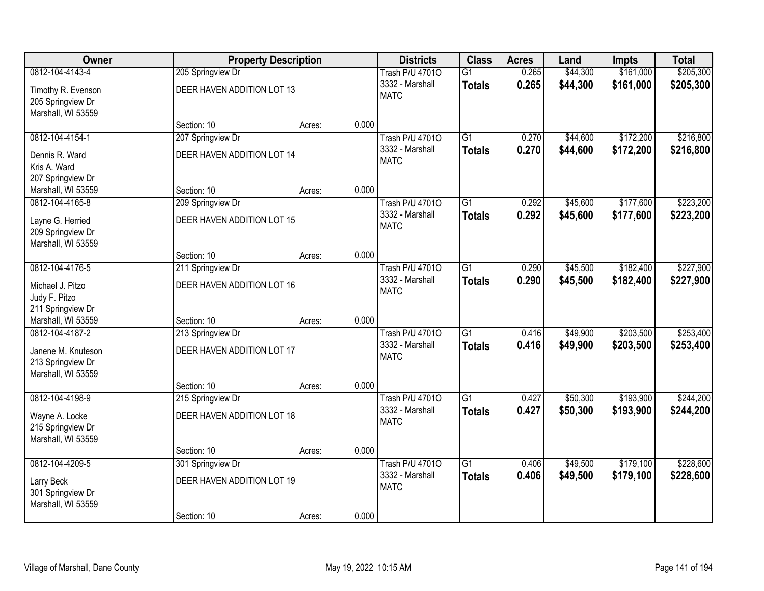| Owner              |                            | <b>Property Description</b> |       | <b>Districts</b>       | <b>Class</b>    | <b>Acres</b> | Land     | Impts     | <b>Total</b> |
|--------------------|----------------------------|-----------------------------|-------|------------------------|-----------------|--------------|----------|-----------|--------------|
| 0812-104-4143-4    | 205 Springview Dr          |                             |       | <b>Trash P/U 47010</b> | $\overline{G1}$ | 0.265        | \$44,300 | \$161,000 | \$205,300    |
| Timothy R. Evenson | DEER HAVEN ADDITION LOT 13 |                             |       | 3332 - Marshall        | <b>Totals</b>   | 0.265        | \$44,300 | \$161,000 | \$205,300    |
| 205 Springview Dr  |                            |                             |       | <b>MATC</b>            |                 |              |          |           |              |
| Marshall, WI 53559 |                            |                             |       |                        |                 |              |          |           |              |
|                    | Section: 10                | Acres:                      | 0.000 |                        |                 |              |          |           |              |
| 0812-104-4154-1    | 207 Springview Dr          |                             |       | <b>Trash P/U 47010</b> | $\overline{G1}$ | 0.270        | \$44,600 | \$172,200 | \$216,800    |
| Dennis R. Ward     | DEER HAVEN ADDITION LOT 14 |                             |       | 3332 - Marshall        | <b>Totals</b>   | 0.270        | \$44,600 | \$172,200 | \$216,800    |
| Kris A. Ward       |                            |                             |       | <b>MATC</b>            |                 |              |          |           |              |
| 207 Springview Dr  |                            |                             |       |                        |                 |              |          |           |              |
| Marshall, WI 53559 | Section: 10                | Acres:                      | 0.000 |                        |                 |              |          |           |              |
| 0812-104-4165-8    | 209 Springview Dr          |                             |       | <b>Trash P/U 47010</b> | G1              | 0.292        | \$45,600 | \$177,600 | \$223,200    |
| Layne G. Herried   | DEER HAVEN ADDITION LOT 15 |                             |       | 3332 - Marshall        | <b>Totals</b>   | 0.292        | \$45,600 | \$177,600 | \$223,200    |
| 209 Springview Dr  |                            |                             |       | <b>MATC</b>            |                 |              |          |           |              |
| Marshall, WI 53559 |                            |                             |       |                        |                 |              |          |           |              |
|                    | Section: 10                | Acres:                      | 0.000 |                        |                 |              |          |           |              |
| 0812-104-4176-5    | 211 Springview Dr          |                             |       | <b>Trash P/U 47010</b> | $\overline{G1}$ | 0.290        | \$45,500 | \$182,400 | \$227,900    |
| Michael J. Pitzo   | DEER HAVEN ADDITION LOT 16 |                             |       | 3332 - Marshall        | <b>Totals</b>   | 0.290        | \$45,500 | \$182,400 | \$227,900    |
| Judy F. Pitzo      |                            |                             |       | <b>MATC</b>            |                 |              |          |           |              |
| 211 Springview Dr  |                            |                             |       |                        |                 |              |          |           |              |
| Marshall, WI 53559 | Section: 10                | Acres:                      | 0.000 |                        |                 |              |          |           |              |
| 0812-104-4187-2    | 213 Springview Dr          |                             |       | <b>Trash P/U 47010</b> | $\overline{G1}$ | 0.416        | \$49,900 | \$203,500 | \$253,400    |
| Janene M. Knuteson | DEER HAVEN ADDITION LOT 17 |                             |       | 3332 - Marshall        | <b>Totals</b>   | 0.416        | \$49,900 | \$203,500 | \$253,400    |
| 213 Springview Dr  |                            |                             |       | <b>MATC</b>            |                 |              |          |           |              |
| Marshall, WI 53559 |                            |                             |       |                        |                 |              |          |           |              |
|                    | Section: 10                | Acres:                      | 0.000 |                        |                 |              |          |           |              |
| 0812-104-4198-9    | 215 Springview Dr          |                             |       | <b>Trash P/U 47010</b> | $\overline{G1}$ | 0.427        | \$50,300 | \$193,900 | \$244,200    |
| Wayne A. Locke     | DEER HAVEN ADDITION LOT 18 |                             |       | 3332 - Marshall        | <b>Totals</b>   | 0.427        | \$50,300 | \$193,900 | \$244,200    |
| 215 Springview Dr  |                            |                             |       | <b>MATC</b>            |                 |              |          |           |              |
| Marshall, WI 53559 |                            |                             |       |                        |                 |              |          |           |              |
|                    | Section: 10                | Acres:                      | 0.000 |                        |                 |              |          |           |              |
| 0812-104-4209-5    | 301 Springview Dr          |                             |       | <b>Trash P/U 47010</b> | $\overline{G1}$ | 0.406        | \$49,500 | \$179,100 | \$228,600    |
| Larry Beck         | DEER HAVEN ADDITION LOT 19 |                             |       | 3332 - Marshall        | <b>Totals</b>   | 0.406        | \$49,500 | \$179,100 | \$228,600    |
| 301 Springview Dr  |                            |                             |       | <b>MATC</b>            |                 |              |          |           |              |
| Marshall, WI 53559 |                            |                             |       |                        |                 |              |          |           |              |
|                    | Section: 10                | Acres:                      | 0.000 |                        |                 |              |          |           |              |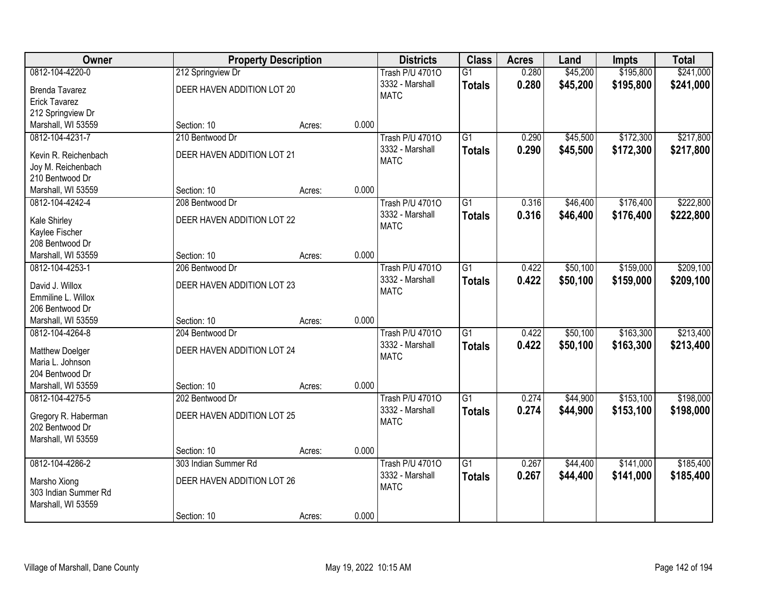| Owner                             |                            | <b>Property Description</b> |       | <b>Districts</b>               | <b>Class</b>    | <b>Acres</b> | Land     | Impts     | <b>Total</b> |
|-----------------------------------|----------------------------|-----------------------------|-------|--------------------------------|-----------------|--------------|----------|-----------|--------------|
| 0812-104-4220-0                   | 212 Springview Dr          |                             |       | <b>Trash P/U 47010</b>         | $\overline{G1}$ | 0.280        | \$45,200 | \$195,800 | \$241,000    |
| <b>Brenda Tavarez</b>             | DEER HAVEN ADDITION LOT 20 |                             |       | 3332 - Marshall                | <b>Totals</b>   | 0.280        | \$45,200 | \$195,800 | \$241,000    |
| <b>Erick Tavarez</b>              |                            |                             |       | <b>MATC</b>                    |                 |              |          |           |              |
| 212 Springview Dr                 |                            |                             |       |                                |                 |              |          |           |              |
| Marshall, WI 53559                | Section: 10                | Acres:                      | 0.000 |                                |                 |              |          |           |              |
| 0812-104-4231-7                   | 210 Bentwood Dr            |                             |       | <b>Trash P/U 47010</b>         | $\overline{G1}$ | 0.290        | \$45,500 | \$172,300 | \$217,800    |
| Kevin R. Reichenbach              | DEER HAVEN ADDITION LOT 21 |                             |       | 3332 - Marshall                | <b>Totals</b>   | 0.290        | \$45,500 | \$172,300 | \$217,800    |
| Joy M. Reichenbach                |                            |                             |       | <b>MATC</b>                    |                 |              |          |           |              |
| 210 Bentwood Dr                   |                            |                             |       |                                |                 |              |          |           |              |
| Marshall, WI 53559                | Section: 10                | Acres:                      | 0.000 |                                |                 |              |          |           |              |
| 0812-104-4242-4                   | 208 Bentwood Dr            |                             |       | <b>Trash P/U 47010</b>         | $\overline{G1}$ | 0.316        | \$46,400 | \$176,400 | \$222,800    |
|                                   |                            |                             |       | 3332 - Marshall                | <b>Totals</b>   | 0.316        | \$46,400 | \$176,400 | \$222,800    |
| Kale Shirley                      | DEER HAVEN ADDITION LOT 22 |                             |       | <b>MATC</b>                    |                 |              |          |           |              |
| Kaylee Fischer<br>208 Bentwood Dr |                            |                             |       |                                |                 |              |          |           |              |
| Marshall, WI 53559                | Section: 10                | Acres:                      | 0.000 |                                |                 |              |          |           |              |
| 0812-104-4253-1                   | 206 Bentwood Dr            |                             |       | <b>Trash P/U 47010</b>         | $\overline{G1}$ | 0.422        | \$50,100 | \$159,000 | \$209,100    |
|                                   |                            |                             |       | 3332 - Marshall                | <b>Totals</b>   | 0.422        | \$50,100 | \$159,000 | \$209,100    |
| David J. Willox                   | DEER HAVEN ADDITION LOT 23 |                             |       | <b>MATC</b>                    |                 |              |          |           |              |
| Emmiline L. Willox                |                            |                             |       |                                |                 |              |          |           |              |
| 206 Bentwood Dr                   |                            |                             |       |                                |                 |              |          |           |              |
| Marshall, WI 53559                | Section: 10                | Acres:                      | 0.000 |                                |                 |              |          |           |              |
| 0812-104-4264-8                   | 204 Bentwood Dr            |                             |       | <b>Trash P/U 47010</b>         | $\overline{G1}$ | 0.422        | \$50,100 | \$163,300 | \$213,400    |
| Matthew Doelger                   | DEER HAVEN ADDITION LOT 24 |                             |       | 3332 - Marshall<br><b>MATC</b> | <b>Totals</b>   | 0.422        | \$50,100 | \$163,300 | \$213,400    |
| Maria L. Johnson                  |                            |                             |       |                                |                 |              |          |           |              |
| 204 Bentwood Dr                   |                            |                             |       |                                |                 |              |          |           |              |
| Marshall, WI 53559                | Section: 10                | Acres:                      | 0.000 |                                |                 |              |          |           |              |
| 0812-104-4275-5                   | 202 Bentwood Dr            |                             |       | <b>Trash P/U 47010</b>         | $\overline{G1}$ | 0.274        | \$44,900 | \$153,100 | \$198,000    |
| Gregory R. Haberman               | DEER HAVEN ADDITION LOT 25 |                             |       | 3332 - Marshall                | <b>Totals</b>   | 0.274        | \$44,900 | \$153,100 | \$198,000    |
| 202 Bentwood Dr                   |                            |                             |       | <b>MATC</b>                    |                 |              |          |           |              |
| Marshall, WI 53559                |                            |                             |       |                                |                 |              |          |           |              |
|                                   | Section: 10                | Acres:                      | 0.000 |                                |                 |              |          |           |              |
| 0812-104-4286-2                   | 303 Indian Summer Rd       |                             |       | <b>Trash P/U 47010</b>         | $\overline{G1}$ | 0.267        | \$44,400 | \$141,000 | \$185,400    |
| Marsho Xiong                      | DEER HAVEN ADDITION LOT 26 |                             |       | 3332 - Marshall                | <b>Totals</b>   | 0.267        | \$44,400 | \$141,000 | \$185,400    |
| 303 Indian Summer Rd              |                            |                             |       | <b>MATC</b>                    |                 |              |          |           |              |
| Marshall, WI 53559                |                            |                             |       |                                |                 |              |          |           |              |
|                                   | Section: 10                | Acres:                      | 0.000 |                                |                 |              |          |           |              |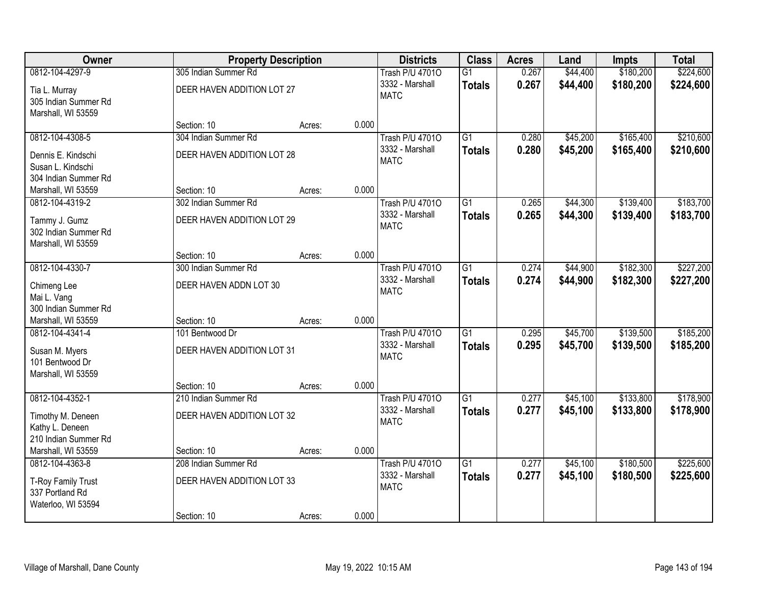| Owner                                      |                            | <b>Property Description</b> |       | <b>Districts</b>               | <b>Class</b>    | <b>Acres</b> | Land     | Impts     | <b>Total</b> |
|--------------------------------------------|----------------------------|-----------------------------|-------|--------------------------------|-----------------|--------------|----------|-----------|--------------|
| 0812-104-4297-9                            | 305 Indian Summer Rd       |                             |       | <b>Trash P/U 47010</b>         | $\overline{G1}$ | 0.267        | \$44,400 | \$180,200 | \$224,600    |
| Tia L. Murray<br>305 Indian Summer Rd      | DEER HAVEN ADDITION LOT 27 |                             |       | 3332 - Marshall<br><b>MATC</b> | <b>Totals</b>   | 0.267        | \$44,400 | \$180,200 | \$224,600    |
| Marshall, WI 53559                         | Section: 10                | Acres:                      | 0.000 |                                |                 |              |          |           |              |
| 0812-104-4308-5                            | 304 Indian Summer Rd       |                             |       | <b>Trash P/U 47010</b>         | $\overline{G1}$ | 0.280        | \$45,200 | \$165,400 | \$210,600    |
|                                            |                            |                             |       | 3332 - Marshall                | <b>Totals</b>   | 0.280        | \$45,200 | \$165,400 | \$210,600    |
| Dennis E. Kindschi                         | DEER HAVEN ADDITION LOT 28 |                             |       | <b>MATC</b>                    |                 |              |          |           |              |
| Susan L. Kindschi<br>304 Indian Summer Rd  |                            |                             |       |                                |                 |              |          |           |              |
| Marshall, WI 53559                         | Section: 10                | Acres:                      | 0.000 |                                |                 |              |          |           |              |
| 0812-104-4319-2                            | 302 Indian Summer Rd       |                             |       | <b>Trash P/U 47010</b>         | G1              | 0.265        | \$44,300 | \$139,400 | \$183,700    |
|                                            |                            |                             |       | 3332 - Marshall                | <b>Totals</b>   | 0.265        | \$44,300 | \$139,400 | \$183,700    |
| Tammy J. Gumz                              | DEER HAVEN ADDITION LOT 29 |                             |       | <b>MATC</b>                    |                 |              |          |           |              |
| 302 Indian Summer Rd<br>Marshall, WI 53559 |                            |                             |       |                                |                 |              |          |           |              |
|                                            | Section: 10                | Acres:                      | 0.000 |                                |                 |              |          |           |              |
| 0812-104-4330-7                            | 300 Indian Summer Rd       |                             |       | <b>Trash P/U 47010</b>         | $\overline{G1}$ | 0.274        | \$44,900 | \$182,300 | \$227,200    |
|                                            |                            |                             |       | 3332 - Marshall                | <b>Totals</b>   | 0.274        | \$44,900 | \$182,300 | \$227,200    |
| Chimeng Lee<br>Mai L. Vang                 | DEER HAVEN ADDN LOT 30     |                             |       | <b>MATC</b>                    |                 |              |          |           |              |
| 300 Indian Summer Rd                       |                            |                             |       |                                |                 |              |          |           |              |
| Marshall, WI 53559                         | Section: 10                | Acres:                      | 0.000 |                                |                 |              |          |           |              |
| 0812-104-4341-4                            | 101 Bentwood Dr            |                             |       | <b>Trash P/U 47010</b>         | $\overline{G1}$ | 0.295        | \$45,700 | \$139,500 | \$185,200    |
|                                            |                            |                             |       | 3332 - Marshall                | <b>Totals</b>   | 0.295        | \$45,700 | \$139,500 | \$185,200    |
| Susan M. Myers<br>101 Bentwood Dr          | DEER HAVEN ADDITION LOT 31 |                             |       | <b>MATC</b>                    |                 |              |          |           |              |
| Marshall, WI 53559                         |                            |                             |       |                                |                 |              |          |           |              |
|                                            | Section: 10                | Acres:                      | 0.000 |                                |                 |              |          |           |              |
| 0812-104-4352-1                            | 210 Indian Summer Rd       |                             |       | <b>Trash P/U 47010</b>         | $\overline{G1}$ | 0.277        | \$45,100 | \$133,800 | \$178,900    |
| Timothy M. Deneen                          | DEER HAVEN ADDITION LOT 32 |                             |       | 3332 - Marshall                | <b>Totals</b>   | 0.277        | \$45,100 | \$133,800 | \$178,900    |
| Kathy L. Deneen                            |                            |                             |       | <b>MATC</b>                    |                 |              |          |           |              |
| 210 Indian Summer Rd                       |                            |                             |       |                                |                 |              |          |           |              |
| Marshall, WI 53559                         | Section: 10                | Acres:                      | 0.000 |                                |                 |              |          |           |              |
| 0812-104-4363-8                            | 208 Indian Summer Rd       |                             |       | <b>Trash P/U 47010</b>         | $\overline{G1}$ | 0.277        | \$45,100 | \$180,500 | \$225,600    |
| T-Roy Family Trust                         | DEER HAVEN ADDITION LOT 33 |                             |       | 3332 - Marshall                | <b>Totals</b>   | 0.277        | \$45,100 | \$180,500 | \$225,600    |
| 337 Portland Rd                            |                            |                             |       | <b>MATC</b>                    |                 |              |          |           |              |
| Waterloo, WI 53594                         |                            |                             |       |                                |                 |              |          |           |              |
|                                            | Section: 10                | Acres:                      | 0.000 |                                |                 |              |          |           |              |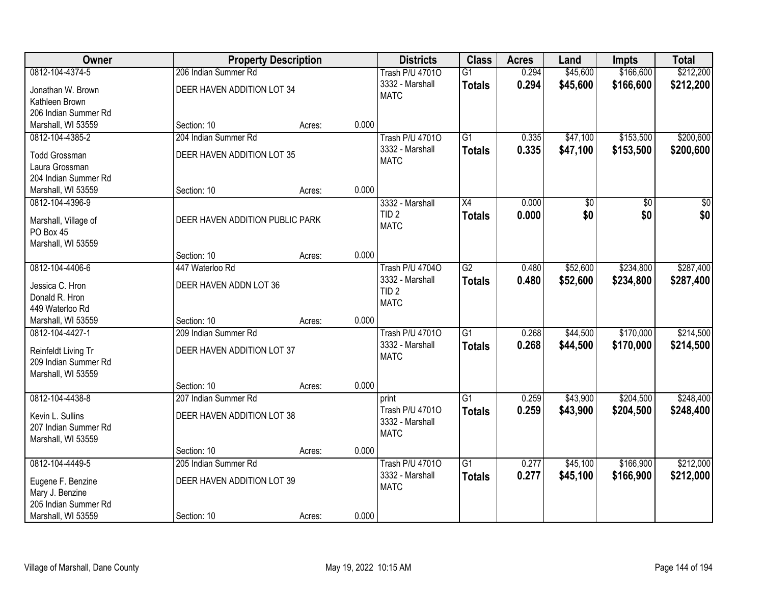| Owner                                  |                                 | <b>Property Description</b> |       | <b>Districts</b>                | <b>Class</b>    | <b>Acres</b> | Land            | <b>Impts</b>    | <b>Total</b>     |
|----------------------------------------|---------------------------------|-----------------------------|-------|---------------------------------|-----------------|--------------|-----------------|-----------------|------------------|
| 0812-104-4374-5                        | 206 Indian Summer Rd            |                             |       | <b>Trash P/U 47010</b>          | $\overline{G1}$ | 0.294        | \$45,600        | \$166,600       | \$212,200        |
| Jonathan W. Brown<br>Kathleen Brown    | DEER HAVEN ADDITION LOT 34      |                             |       | 3332 - Marshall<br><b>MATC</b>  | <b>Totals</b>   | 0.294        | \$45,600        | \$166,600       | \$212,200        |
| 206 Indian Summer Rd                   |                                 |                             |       |                                 |                 |              |                 |                 |                  |
| Marshall, WI 53559                     | Section: 10                     | Acres:                      | 0.000 |                                 |                 |              |                 |                 |                  |
| 0812-104-4385-2                        | 204 Indian Summer Rd            |                             |       | <b>Trash P/U 47010</b>          | $\overline{G1}$ | 0.335        | \$47,100        | \$153,500       | \$200,600        |
| <b>Todd Grossman</b><br>Laura Grossman | DEER HAVEN ADDITION LOT 35      |                             |       | 3332 - Marshall<br><b>MATC</b>  | <b>Totals</b>   | 0.335        | \$47,100        | \$153,500       | \$200,600        |
| 204 Indian Summer Rd                   |                                 |                             |       |                                 |                 |              |                 |                 |                  |
| Marshall, WI 53559                     | Section: 10                     | Acres:                      | 0.000 |                                 |                 |              |                 |                 |                  |
| 0812-104-4396-9                        |                                 |                             |       | 3332 - Marshall                 | X4              | 0.000        | $\overline{60}$ | $\overline{50}$ | $\overline{\$0}$ |
| Marshall, Village of<br>PO Box 45      | DEER HAVEN ADDITION PUBLIC PARK |                             |       | TID <sub>2</sub><br><b>MATC</b> | <b>Totals</b>   | 0.000        | \$0             | \$0             | \$0              |
| Marshall, WI 53559                     |                                 |                             |       |                                 |                 |              |                 |                 |                  |
|                                        | Section: 10                     | Acres:                      | 0.000 |                                 |                 |              |                 |                 |                  |
| 0812-104-4406-6                        | 447 Waterloo Rd                 |                             |       | Trash P/U 47040                 | $\overline{G2}$ | 0.480        | \$52,600        | \$234,800       | \$287,400        |
| Jessica C. Hron                        | DEER HAVEN ADDN LOT 36          |                             |       | 3332 - Marshall                 | <b>Totals</b>   | 0.480        | \$52,600        | \$234,800       | \$287,400        |
| Donald R. Hron                         |                                 |                             |       | TID <sub>2</sub>                |                 |              |                 |                 |                  |
| 449 Waterloo Rd                        |                                 |                             |       | <b>MATC</b>                     |                 |              |                 |                 |                  |
| Marshall, WI 53559                     | Section: 10                     | Acres:                      | 0.000 |                                 |                 |              |                 |                 |                  |
| 0812-104-4427-1                        | 209 Indian Summer Rd            |                             |       | <b>Trash P/U 47010</b>          | $\overline{G1}$ | 0.268        | \$44,500        | \$170,000       | \$214,500        |
| Reinfeldt Living Tr                    | DEER HAVEN ADDITION LOT 37      |                             |       | 3332 - Marshall                 | <b>Totals</b>   | 0.268        | \$44,500        | \$170,000       | \$214,500        |
| 209 Indian Summer Rd                   |                                 |                             |       | <b>MATC</b>                     |                 |              |                 |                 |                  |
| Marshall, WI 53559                     |                                 |                             |       |                                 |                 |              |                 |                 |                  |
|                                        | Section: 10                     | Acres:                      | 0.000 |                                 |                 |              |                 |                 |                  |
| 0812-104-4438-8                        | 207 Indian Summer Rd            |                             |       | print                           | $\overline{G1}$ | 0.259        | \$43,900        | \$204,500       | \$248,400        |
| Kevin L. Sullins                       | DEER HAVEN ADDITION LOT 38      |                             |       | Trash P/U 47010                 | <b>Totals</b>   | 0.259        | \$43,900        | \$204,500       | \$248,400        |
| 207 Indian Summer Rd                   |                                 |                             |       | 3332 - Marshall                 |                 |              |                 |                 |                  |
| Marshall, WI 53559                     |                                 |                             |       | <b>MATC</b>                     |                 |              |                 |                 |                  |
|                                        | Section: 10                     | Acres:                      | 0.000 |                                 |                 |              |                 |                 |                  |
| 0812-104-4449-5                        | 205 Indian Summer Rd            |                             |       | <b>Trash P/U 47010</b>          | $\overline{G1}$ | 0.277        | \$45,100        | \$166,900       | \$212,000        |
| Eugene F. Benzine                      | DEER HAVEN ADDITION LOT 39      |                             |       | 3332 - Marshall                 | <b>Totals</b>   | 0.277        | \$45,100        | \$166,900       | \$212,000        |
| Mary J. Benzine                        |                                 |                             |       | <b>MATC</b>                     |                 |              |                 |                 |                  |
| 205 Indian Summer Rd                   |                                 |                             |       |                                 |                 |              |                 |                 |                  |
| Marshall, WI 53559                     | Section: 10                     | Acres:                      | 0.000 |                                 |                 |              |                 |                 |                  |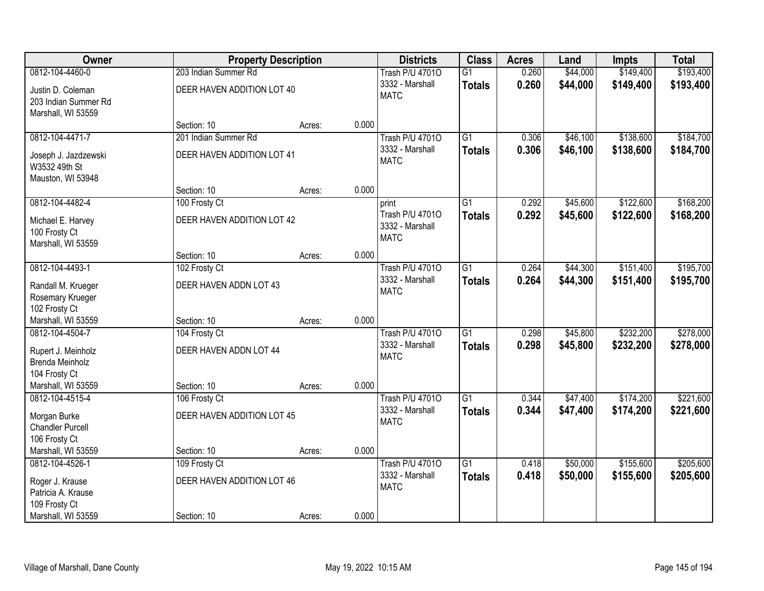| Owner                                                                     |                                         | <b>Property Description</b> |       | <b>Districts</b>                                         | <b>Class</b>                     | <b>Acres</b>   | Land                 | <b>Impts</b>           | <b>Total</b>           |
|---------------------------------------------------------------------------|-----------------------------------------|-----------------------------|-------|----------------------------------------------------------|----------------------------------|----------------|----------------------|------------------------|------------------------|
| 0812-104-4460-0                                                           | 203 Indian Summer Rd                    |                             |       | <b>Trash P/U 47010</b>                                   | $\overline{G1}$                  | 0.260          | \$44,000             | \$149,400              | \$193,400              |
| Justin D. Coleman<br>203 Indian Summer Rd<br>Marshall, WI 53559           | DEER HAVEN ADDITION LOT 40              |                             |       | 3332 - Marshall<br><b>MATC</b>                           | <b>Totals</b>                    | 0.260          | \$44,000             | \$149,400              | \$193,400              |
|                                                                           | Section: 10                             | Acres:                      | 0.000 |                                                          |                                  |                |                      |                        |                        |
| 0812-104-4471-7                                                           | 201 Indian Summer Rd                    |                             |       | <b>Trash P/U 47010</b>                                   | $\overline{G1}$                  | 0.306          | \$46,100             | \$138,600              | \$184,700              |
| Joseph J. Jazdzewski<br>W3532 49th St<br>Mauston, WI 53948                | DEER HAVEN ADDITION LOT 41              |                             |       | 3332 - Marshall<br><b>MATC</b>                           | <b>Totals</b>                    | 0.306          | \$46,100             | \$138,600              | \$184,700              |
|                                                                           | Section: 10                             | Acres:                      | 0.000 |                                                          |                                  |                |                      |                        |                        |
| 0812-104-4482-4                                                           | 100 Frosty Ct                           |                             |       | print                                                    | $\overline{G1}$                  | 0.292          | \$45,600             | \$122,600              | \$168,200              |
| Michael E. Harvey<br>100 Frosty Ct<br>Marshall, WI 53559                  | DEER HAVEN ADDITION LOT 42              |                             |       | Trash P/U 47010<br>3332 - Marshall<br><b>MATC</b>        | <b>Totals</b>                    | 0.292          | \$45,600             | \$122,600              | \$168,200              |
|                                                                           | Section: 10                             | Acres:                      | 0.000 |                                                          |                                  |                |                      |                        |                        |
| 0812-104-4493-1                                                           | 102 Frosty Ct                           |                             |       | <b>Trash P/U 47010</b>                                   | $\overline{G1}$                  | 0.264          | \$44,300             | \$151,400              | \$195,700              |
| Randall M. Krueger<br>Rosemary Krueger<br>102 Frosty Ct                   | DEER HAVEN ADDN LOT 43                  |                             |       | 3332 - Marshall<br><b>MATC</b>                           | <b>Totals</b>                    | 0.264          | \$44,300             | \$151,400              | \$195,700              |
| Marshall, WI 53559                                                        | Section: 10                             | Acres:                      | 0.000 |                                                          |                                  |                |                      |                        |                        |
| 0812-104-4504-7<br>Rupert J. Meinholz<br>Brenda Meinholz<br>104 Frosty Ct | 104 Frosty Ct<br>DEER HAVEN ADDN LOT 44 |                             |       | <b>Trash P/U 47010</b><br>3332 - Marshall<br><b>MATC</b> | $\overline{G1}$<br><b>Totals</b> | 0.298<br>0.298 | \$45,800<br>\$45,800 | \$232,200<br>\$232,200 | \$278,000<br>\$278,000 |
| Marshall, WI 53559                                                        | Section: 10                             | Acres:                      | 0.000 |                                                          |                                  |                |                      |                        |                        |
| 0812-104-4515-4                                                           | 106 Frosty Ct                           |                             |       | <b>Trash P/U 47010</b>                                   | $\overline{G1}$                  | 0.344          | \$47,400             | \$174,200              | \$221,600              |
| Morgan Burke<br><b>Chandler Purcell</b><br>106 Frosty Ct                  | DEER HAVEN ADDITION LOT 45              |                             |       | 3332 - Marshall<br><b>MATC</b>                           | <b>Totals</b>                    | 0.344          | \$47,400             | \$174,200              | \$221,600              |
| Marshall, WI 53559                                                        | Section: 10                             | Acres:                      | 0.000 |                                                          |                                  |                |                      |                        |                        |
| 0812-104-4526-1                                                           | 109 Frosty Ct                           |                             |       | <b>Trash P/U 47010</b>                                   | $\overline{G1}$                  | 0.418          | \$50,000             | \$155,600              | \$205,600              |
| Roger J. Krause<br>Patricia A. Krause<br>109 Frosty Ct                    | DEER HAVEN ADDITION LOT 46              |                             |       | 3332 - Marshall<br><b>MATC</b>                           | <b>Totals</b>                    | 0.418          | \$50,000             | \$155,600              | \$205,600              |
| Marshall, WI 53559                                                        | Section: 10                             | Acres:                      | 0.000 |                                                          |                                  |                |                      |                        |                        |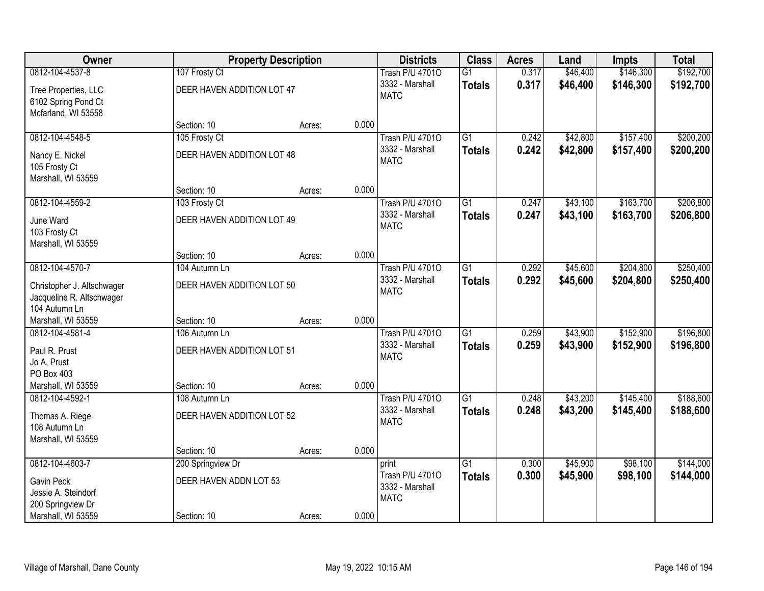| Owner                                                                    |                            | <b>Property Description</b> |       | <b>Districts</b>                                  | <b>Class</b>    | <b>Acres</b> | Land     | <b>Impts</b> | <b>Total</b> |
|--------------------------------------------------------------------------|----------------------------|-----------------------------|-------|---------------------------------------------------|-----------------|--------------|----------|--------------|--------------|
| 0812-104-4537-8                                                          | 107 Frosty Ct              |                             |       | <b>Trash P/U 47010</b>                            | $\overline{G1}$ | 0.317        | \$46,400 | \$146,300    | \$192,700    |
| Tree Properties, LLC<br>6102 Spring Pond Ct<br>Mcfarland, WI 53558       | DEER HAVEN ADDITION LOT 47 |                             |       | 3332 - Marshall<br><b>MATC</b>                    | <b>Totals</b>   | 0.317        | \$46,400 | \$146,300    | \$192,700    |
|                                                                          | Section: 10                | Acres:                      | 0.000 |                                                   |                 |              |          |              |              |
| 0812-104-4548-5                                                          | 105 Frosty Ct              |                             |       | <b>Trash P/U 47010</b>                            | $\overline{G1}$ | 0.242        | \$42,800 | \$157,400    | \$200,200    |
| Nancy E. Nickel<br>105 Frosty Ct<br>Marshall, WI 53559                   | DEER HAVEN ADDITION LOT 48 |                             |       | 3332 - Marshall<br><b>MATC</b>                    | <b>Totals</b>   | 0.242        | \$42,800 | \$157,400    | \$200,200    |
|                                                                          | Section: 10                | Acres:                      | 0.000 |                                                   |                 |              |          |              |              |
| 0812-104-4559-2                                                          | 103 Frosty Ct              |                             |       | <b>Trash P/U 47010</b>                            | $\overline{G1}$ | 0.247        | \$43,100 | \$163,700    | \$206,800    |
| June Ward<br>103 Frosty Ct<br>Marshall, WI 53559                         | DEER HAVEN ADDITION LOT 49 |                             |       | 3332 - Marshall<br><b>MATC</b>                    | <b>Totals</b>   | 0.247        | \$43,100 | \$163,700    | \$206,800    |
|                                                                          | Section: 10                | Acres:                      | 0.000 |                                                   |                 |              |          |              |              |
| 0812-104-4570-7                                                          | 104 Autumn Ln              |                             |       | <b>Trash P/U 47010</b>                            | $\overline{G1}$ | 0.292        | \$45,600 | \$204,800    | \$250,400    |
| Christopher J. Altschwager<br>Jacqueline R. Altschwager<br>104 Autumn Ln | DEER HAVEN ADDITION LOT 50 |                             |       | 3332 - Marshall<br><b>MATC</b>                    | <b>Totals</b>   | 0.292        | \$45,600 | \$204,800    | \$250,400    |
| Marshall, WI 53559                                                       | Section: 10                | Acres:                      | 0.000 |                                                   |                 |              |          |              |              |
| 0812-104-4581-4                                                          | 106 Autumn Ln              |                             |       | <b>Trash P/U 47010</b>                            | $\overline{G1}$ | 0.259        | \$43,900 | \$152,900    | \$196,800    |
| Paul R. Prust                                                            | DEER HAVEN ADDITION LOT 51 |                             |       | 3332 - Marshall                                   | <b>Totals</b>   | 0.259        | \$43,900 | \$152,900    | \$196,800    |
| Jo A. Prust                                                              |                            |                             |       | <b>MATC</b>                                       |                 |              |          |              |              |
| PO Box 403                                                               |                            |                             |       |                                                   |                 |              |          |              |              |
| Marshall, WI 53559                                                       | Section: 10                | Acres:                      | 0.000 |                                                   |                 |              |          |              |              |
| 0812-104-4592-1                                                          | 108 Autumn Ln              |                             |       | <b>Trash P/U 47010</b>                            | $\overline{G1}$ | 0.248        | \$43,200 | \$145,400    | \$188,600    |
| Thomas A. Riege<br>108 Autumn Ln<br>Marshall, WI 53559                   | DEER HAVEN ADDITION LOT 52 |                             |       | 3332 - Marshall<br><b>MATC</b>                    | <b>Totals</b>   | 0.248        | \$43,200 | \$145,400    | \$188,600    |
|                                                                          | Section: 10                | Acres:                      | 0.000 |                                                   |                 |              |          |              |              |
| 0812-104-4603-7                                                          | 200 Springview Dr          |                             |       | print                                             | $\overline{G1}$ | 0.300        | \$45,900 | \$98,100     | \$144,000    |
| Gavin Peck<br>Jessie A. Steindorf<br>200 Springview Dr                   | DEER HAVEN ADDN LOT 53     |                             |       | Trash P/U 47010<br>3332 - Marshall<br><b>MATC</b> | <b>Totals</b>   | 0.300        | \$45,900 | \$98,100     | \$144,000    |
| Marshall, WI 53559                                                       | Section: 10                | Acres:                      | 0.000 |                                                   |                 |              |          |              |              |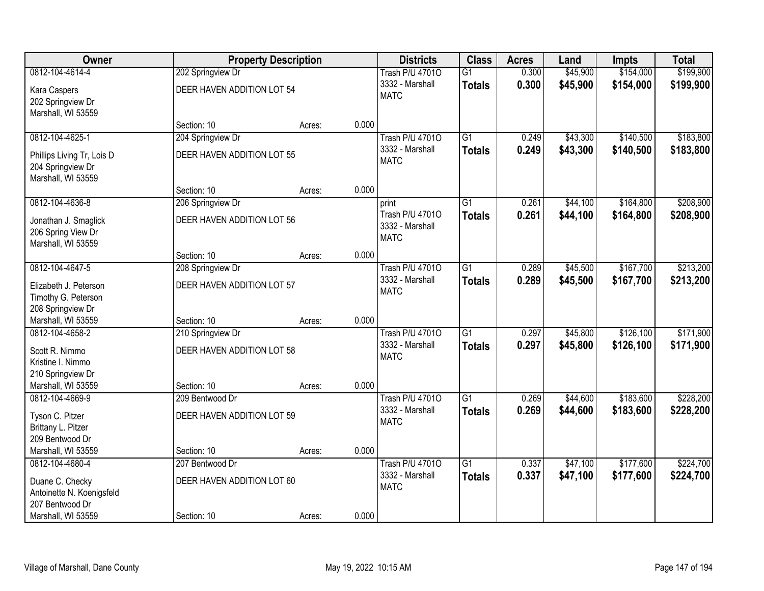| <b>Owner</b>               |                            | <b>Property Description</b> |       | <b>Districts</b>               | <b>Class</b>    | <b>Acres</b> | Land     | <b>Impts</b> | <b>Total</b> |
|----------------------------|----------------------------|-----------------------------|-------|--------------------------------|-----------------|--------------|----------|--------------|--------------|
| 0812-104-4614-4            | 202 Springview Dr          |                             |       | <b>Trash P/U 47010</b>         | $\overline{G1}$ | 0.300        | \$45,900 | \$154,000    | \$199,900    |
| Kara Caspers               | DEER HAVEN ADDITION LOT 54 |                             |       | 3332 - Marshall                | <b>Totals</b>   | 0.300        | \$45,900 | \$154,000    | \$199,900    |
| 202 Springview Dr          |                            |                             |       | <b>MATC</b>                    |                 |              |          |              |              |
| Marshall, WI 53559         |                            |                             |       |                                |                 |              |          |              |              |
|                            | Section: 10                | Acres:                      | 0.000 |                                |                 |              |          |              |              |
| 0812-104-4625-1            | 204 Springview Dr          |                             |       | <b>Trash P/U 47010</b>         | $\overline{G1}$ | 0.249        | \$43,300 | \$140,500    | \$183,800    |
| Phillips Living Tr, Lois D | DEER HAVEN ADDITION LOT 55 |                             |       | 3332 - Marshall                | <b>Totals</b>   | 0.249        | \$43,300 | \$140,500    | \$183,800    |
| 204 Springview Dr          |                            |                             |       | <b>MATC</b>                    |                 |              |          |              |              |
| Marshall, WI 53559         |                            |                             |       |                                |                 |              |          |              |              |
|                            | Section: 10                | Acres:                      | 0.000 |                                |                 |              |          |              |              |
| 0812-104-4636-8            | 206 Springview Dr          |                             |       | print                          | $\overline{G1}$ | 0.261        | \$44,100 | \$164,800    | \$208,900    |
| Jonathan J. Smaglick       | DEER HAVEN ADDITION LOT 56 |                             |       | Trash P/U 47010                | <b>Totals</b>   | 0.261        | \$44,100 | \$164,800    | \$208,900    |
| 206 Spring View Dr         |                            |                             |       | 3332 - Marshall<br><b>MATC</b> |                 |              |          |              |              |
| Marshall, WI 53559         |                            |                             |       |                                |                 |              |          |              |              |
|                            | Section: 10                | Acres:                      | 0.000 |                                |                 |              |          |              |              |
| 0812-104-4647-5            | 208 Springview Dr          |                             |       | <b>Trash P/U 47010</b>         | $\overline{G1}$ | 0.289        | \$45,500 | \$167,700    | \$213,200    |
| Elizabeth J. Peterson      | DEER HAVEN ADDITION LOT 57 |                             |       | 3332 - Marshall                | <b>Totals</b>   | 0.289        | \$45,500 | \$167,700    | \$213,200    |
| Timothy G. Peterson        |                            |                             |       | <b>MATC</b>                    |                 |              |          |              |              |
| 208 Springview Dr          |                            |                             |       |                                |                 |              |          |              |              |
| Marshall, WI 53559         | Section: 10                | Acres:                      | 0.000 |                                |                 |              |          |              |              |
| 0812-104-4658-2            | 210 Springview Dr          |                             |       | <b>Trash P/U 47010</b>         | $\overline{G1}$ | 0.297        | \$45,800 | \$126,100    | \$171,900    |
| Scott R. Nimmo             | DEER HAVEN ADDITION LOT 58 |                             |       | 3332 - Marshall                | <b>Totals</b>   | 0.297        | \$45,800 | \$126,100    | \$171,900    |
| Kristine I. Nimmo          |                            |                             |       | <b>MATC</b>                    |                 |              |          |              |              |
| 210 Springview Dr          |                            |                             |       |                                |                 |              |          |              |              |
| Marshall, WI 53559         | Section: 10                | Acres:                      | 0.000 |                                |                 |              |          |              |              |
| 0812-104-4669-9            | 209 Bentwood Dr            |                             |       | <b>Trash P/U 47010</b>         | $\overline{G1}$ | 0.269        | \$44,600 | \$183,600    | \$228,200    |
| Tyson C. Pitzer            | DEER HAVEN ADDITION LOT 59 |                             |       | 3332 - Marshall<br><b>MATC</b> | <b>Totals</b>   | 0.269        | \$44,600 | \$183,600    | \$228,200    |
| Brittany L. Pitzer         |                            |                             |       |                                |                 |              |          |              |              |
| 209 Bentwood Dr            |                            |                             |       |                                |                 |              |          |              |              |
| Marshall, WI 53559         | Section: 10                | Acres:                      | 0.000 |                                |                 |              |          |              |              |
| 0812-104-4680-4            | 207 Bentwood Dr            |                             |       | <b>Trash P/U 47010</b>         | $\overline{G1}$ | 0.337        | \$47,100 | \$177,600    | \$224,700    |
| Duane C. Checky            | DEER HAVEN ADDITION LOT 60 |                             |       | 3332 - Marshall                | <b>Totals</b>   | 0.337        | \$47,100 | \$177,600    | \$224,700    |
| Antoinette N. Koenigsfeld  |                            |                             |       | <b>MATC</b>                    |                 |              |          |              |              |
| 207 Bentwood Dr            |                            |                             |       |                                |                 |              |          |              |              |
| Marshall, WI 53559         | Section: 10                | Acres:                      | 0.000 |                                |                 |              |          |              |              |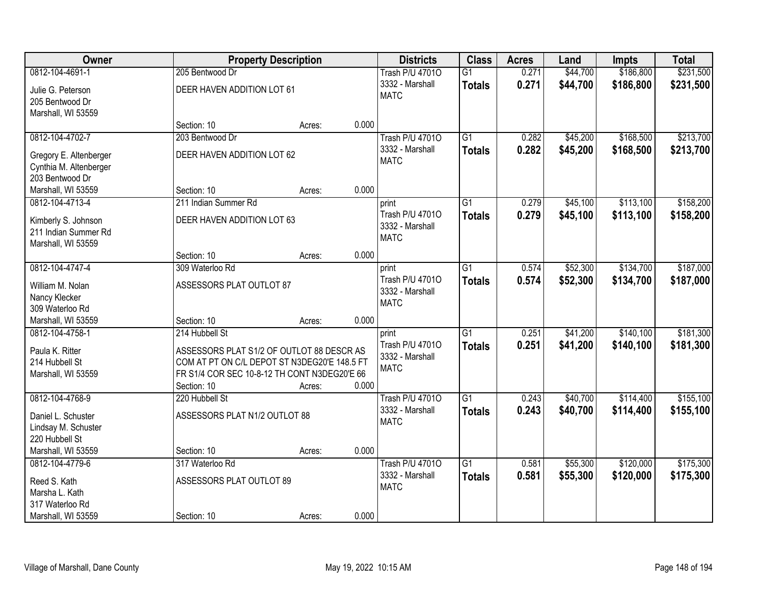| Owner                  | <b>Property Description</b>                  |                 | <b>Districts</b>               | <b>Class</b>    | <b>Acres</b> | Land     | <b>Impts</b> | <b>Total</b> |
|------------------------|----------------------------------------------|-----------------|--------------------------------|-----------------|--------------|----------|--------------|--------------|
| 0812-104-4691-1        | 205 Bentwood Dr                              |                 | <b>Trash P/U 47010</b>         | $\overline{G1}$ | 0.271        | \$44,700 | \$186,800    | \$231,500    |
| Julie G. Peterson      | DEER HAVEN ADDITION LOT 61                   |                 | 3332 - Marshall                | <b>Totals</b>   | 0.271        | \$44,700 | \$186,800    | \$231,500    |
| 205 Bentwood Dr        |                                              |                 | <b>MATC</b>                    |                 |              |          |              |              |
| Marshall, WI 53559     |                                              |                 |                                |                 |              |          |              |              |
|                        | Section: 10                                  | 0.000<br>Acres: |                                |                 |              |          |              |              |
| 0812-104-4702-7        | 203 Bentwood Dr                              |                 | <b>Trash P/U 47010</b>         | $\overline{G1}$ | 0.282        | \$45,200 | \$168,500    | \$213,700    |
| Gregory E. Altenberger | DEER HAVEN ADDITION LOT 62                   |                 | 3332 - Marshall                | <b>Totals</b>   | 0.282        | \$45,200 | \$168,500    | \$213,700    |
| Cynthia M. Altenberger |                                              |                 | <b>MATC</b>                    |                 |              |          |              |              |
| 203 Bentwood Dr        |                                              |                 |                                |                 |              |          |              |              |
| Marshall, WI 53559     | Section: 10                                  | 0.000<br>Acres: |                                |                 |              |          |              |              |
| 0812-104-4713-4        | 211 Indian Summer Rd                         |                 | print                          | G1              | 0.279        | \$45,100 | \$113,100    | \$158,200    |
| Kimberly S. Johnson    | DEER HAVEN ADDITION LOT 63                   |                 | Trash P/U 47010                | <b>Totals</b>   | 0.279        | \$45,100 | \$113,100    | \$158,200    |
| 211 Indian Summer Rd   |                                              |                 | 3332 - Marshall                |                 |              |          |              |              |
| Marshall, WI 53559     |                                              |                 | <b>MATC</b>                    |                 |              |          |              |              |
|                        | Section: 10                                  | 0.000<br>Acres: |                                |                 |              |          |              |              |
| 0812-104-4747-4        | 309 Waterloo Rd                              |                 | print                          | $\overline{G1}$ | 0.574        | \$52,300 | \$134,700    | \$187,000    |
| William M. Nolan       | ASSESSORS PLAT OUTLOT 87                     |                 | Trash P/U 47010                | <b>Totals</b>   | 0.574        | \$52,300 | \$134,700    | \$187,000    |
| Nancy Klecker          |                                              |                 | 3332 - Marshall<br><b>MATC</b> |                 |              |          |              |              |
| 309 Waterloo Rd        |                                              |                 |                                |                 |              |          |              |              |
| Marshall, WI 53559     | Section: 10                                  | 0.000<br>Acres: |                                |                 |              |          |              |              |
| 0812-104-4758-1        | 214 Hubbell St                               |                 | print                          | $\overline{G1}$ | 0.251        | \$41,200 | \$140,100    | \$181,300    |
| Paula K. Ritter        | ASSESSORS PLAT S1/2 OF OUTLOT 88 DESCR AS    |                 | Trash P/U 47010                | <b>Totals</b>   | 0.251        | \$41,200 | \$140,100    | \$181,300    |
| 214 Hubbell St         | COM AT PT ON C/L DEPOT ST N3DEG20'E 148.5 FT |                 | 3332 - Marshall<br><b>MATC</b> |                 |              |          |              |              |
| Marshall, WI 53559     | FR S1/4 COR SEC 10-8-12 TH CONT N3DEG20'E 66 |                 |                                |                 |              |          |              |              |
|                        | Section: 10                                  | 0.000<br>Acres: |                                |                 |              |          |              |              |
| 0812-104-4768-9        | 220 Hubbell St                               |                 | <b>Trash P/U 47010</b>         | $\overline{G1}$ | 0.243        | \$40,700 | \$114,400    | \$155,100    |
| Daniel L. Schuster     | ASSESSORS PLAT N1/2 OUTLOT 88                |                 | 3332 - Marshall                | <b>Totals</b>   | 0.243        | \$40,700 | \$114,400    | \$155,100    |
| Lindsay M. Schuster    |                                              |                 | <b>MATC</b>                    |                 |              |          |              |              |
| 220 Hubbell St         |                                              |                 |                                |                 |              |          |              |              |
| Marshall, WI 53559     | Section: 10                                  | 0.000<br>Acres: |                                |                 |              |          |              |              |
| 0812-104-4779-6        | 317 Waterloo Rd                              |                 | <b>Trash P/U 47010</b>         | $\overline{G1}$ | 0.581        | \$55,300 | \$120,000    | \$175,300    |
| Reed S. Kath           | ASSESSORS PLAT OUTLOT 89                     |                 | 3332 - Marshall                | <b>Totals</b>   | 0.581        | \$55,300 | \$120,000    | \$175,300    |
| Marsha L. Kath         |                                              |                 | <b>MATC</b>                    |                 |              |          |              |              |
| 317 Waterloo Rd        |                                              |                 |                                |                 |              |          |              |              |
| Marshall, WI 53559     | Section: 10                                  | 0.000<br>Acres: |                                |                 |              |          |              |              |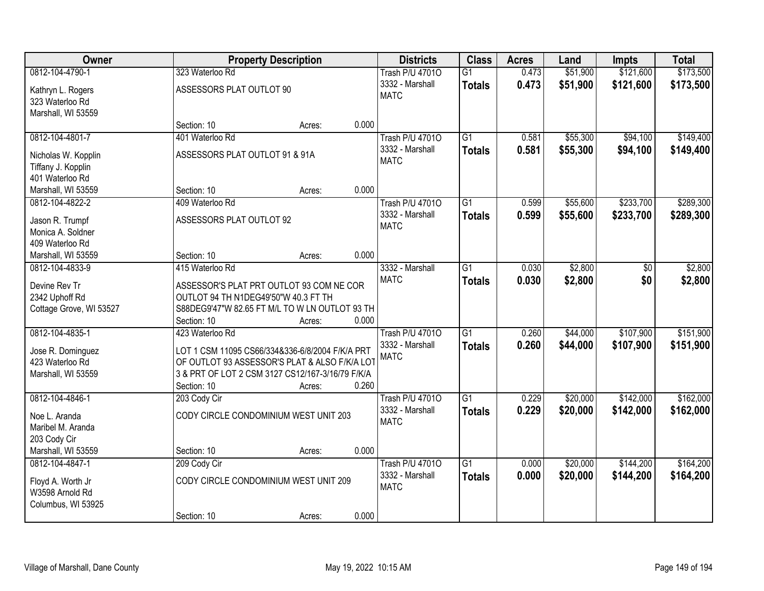| Owner                                |                                                                                                  | <b>Property Description</b> |       | <b>Districts</b>       | <b>Class</b>    | <b>Acres</b> | Land     | <b>Impts</b> | <b>Total</b> |
|--------------------------------------|--------------------------------------------------------------------------------------------------|-----------------------------|-------|------------------------|-----------------|--------------|----------|--------------|--------------|
| 0812-104-4790-1                      | 323 Waterloo Rd                                                                                  |                             |       | <b>Trash P/U 47010</b> | $\overline{G1}$ | 0.473        | \$51,900 | \$121,600    | \$173,500    |
| Kathryn L. Rogers                    | ASSESSORS PLAT OUTLOT 90                                                                         |                             |       | 3332 - Marshall        | <b>Totals</b>   | 0.473        | \$51,900 | \$121,600    | \$173,500    |
| 323 Waterloo Rd                      |                                                                                                  |                             |       | <b>MATC</b>            |                 |              |          |              |              |
| Marshall, WI 53559                   |                                                                                                  |                             |       |                        |                 |              |          |              |              |
|                                      | Section: 10                                                                                      | Acres:                      | 0.000 |                        |                 |              |          |              |              |
| 0812-104-4801-7                      | 401 Waterloo Rd                                                                                  |                             |       | <b>Trash P/U 47010</b> | $\overline{G1}$ | 0.581        | \$55,300 | \$94,100     | \$149,400    |
| Nicholas W. Kopplin                  | ASSESSORS PLAT OUTLOT 91 & 91A                                                                   |                             |       | 3332 - Marshall        | <b>Totals</b>   | 0.581        | \$55,300 | \$94,100     | \$149,400    |
| Tiffany J. Kopplin                   |                                                                                                  |                             |       | <b>MATC</b>            |                 |              |          |              |              |
| 401 Waterloo Rd                      |                                                                                                  |                             |       |                        |                 |              |          |              |              |
| Marshall, WI 53559                   | Section: 10                                                                                      | Acres:                      | 0.000 |                        |                 |              |          |              |              |
| 0812-104-4822-2                      | 409 Waterloo Rd                                                                                  |                             |       | <b>Trash P/U 47010</b> | G1              | 0.599        | \$55,600 | \$233,700    | \$289,300    |
|                                      |                                                                                                  |                             |       | 3332 - Marshall        | <b>Totals</b>   | 0.599        | \$55,600 | \$233,700    | \$289,300    |
| Jason R. Trumpf                      | ASSESSORS PLAT OUTLOT 92                                                                         |                             |       | <b>MATC</b>            |                 |              |          |              |              |
| Monica A. Soldner                    |                                                                                                  |                             |       |                        |                 |              |          |              |              |
| 409 Waterloo Rd                      |                                                                                                  |                             |       |                        |                 |              |          |              |              |
| Marshall, WI 53559                   | Section: 10                                                                                      | Acres:                      | 0.000 |                        |                 |              |          |              |              |
| 0812-104-4833-9                      | 415 Waterloo Rd                                                                                  |                             |       | 3332 - Marshall        | $\overline{G1}$ | 0.030        | \$2,800  | \$0          | \$2,800      |
| Devine Rev Tr                        | ASSESSOR'S PLAT PRT OUTLOT 93 COM NE COR                                                         |                             |       | <b>MATC</b>            | <b>Totals</b>   | 0.030        | \$2,800  | \$0          | \$2,800      |
| 2342 Uphoff Rd                       | OUTLOT 94 TH N1DEG49'50"W 40.3 FT TH                                                             |                             |       |                        |                 |              |          |              |              |
| Cottage Grove, WI 53527              | S88DEG9'47"W 82.65 FT M/L TO W LN OUTLOT 93 TH                                                   |                             |       |                        |                 |              |          |              |              |
|                                      | Section: 10                                                                                      | Acres:                      | 0.000 |                        |                 |              |          |              |              |
| 0812-104-4835-1                      | 423 Waterloo Rd                                                                                  |                             |       | <b>Trash P/U 47010</b> | $\overline{G1}$ | 0.260        | \$44,000 | \$107,900    | \$151,900    |
|                                      |                                                                                                  |                             |       | 3332 - Marshall        | <b>Totals</b>   | 0.260        | \$44,000 | \$107,900    | \$151,900    |
| Jose R. Dominguez<br>423 Waterloo Rd | LOT 1 CSM 11095 CS66/334&336-6/8/2004 F/K/A PRT<br>OF OUTLOT 93 ASSESSOR'S PLAT & ALSO F/K/A LOT |                             |       | <b>MATC</b>            |                 |              |          |              |              |
| Marshall, WI 53559                   | 3 & PRT OF LOT 2 CSM 3127 CS12/167-3/16/79 F/K/A                                                 |                             |       |                        |                 |              |          |              |              |
|                                      | Section: 10                                                                                      | Acres:                      | 0.260 |                        |                 |              |          |              |              |
| 0812-104-4846-1                      | 203 Cody Cir                                                                                     |                             |       | <b>Trash P/U 47010</b> | $\overline{G1}$ | 0.229        | \$20,000 | \$142,000    | \$162,000    |
|                                      |                                                                                                  |                             |       | 3332 - Marshall        | <b>Totals</b>   | 0.229        | \$20,000 | \$142,000    | \$162,000    |
| Noe L. Aranda                        | CODY CIRCLE CONDOMINIUM WEST UNIT 203                                                            |                             |       | <b>MATC</b>            |                 |              |          |              |              |
| Maribel M. Aranda                    |                                                                                                  |                             |       |                        |                 |              |          |              |              |
| 203 Cody Cir                         |                                                                                                  |                             |       |                        |                 |              |          |              |              |
| Marshall, WI 53559                   | Section: 10                                                                                      | Acres:                      | 0.000 |                        |                 |              |          |              |              |
| 0812-104-4847-1                      | 209 Cody Cir                                                                                     |                             |       | <b>Trash P/U 47010</b> | $\overline{G1}$ | 0.000        | \$20,000 | \$144,200    | \$164,200    |
| Floyd A. Worth Jr                    | CODY CIRCLE CONDOMINIUM WEST UNIT 209                                                            |                             |       | 3332 - Marshall        | <b>Totals</b>   | 0.000        | \$20,000 | \$144,200    | \$164,200    |
| W3598 Arnold Rd                      |                                                                                                  |                             |       | <b>MATC</b>            |                 |              |          |              |              |
| Columbus, WI 53925                   |                                                                                                  |                             |       |                        |                 |              |          |              |              |
|                                      | Section: 10                                                                                      | Acres:                      | 0.000 |                        |                 |              |          |              |              |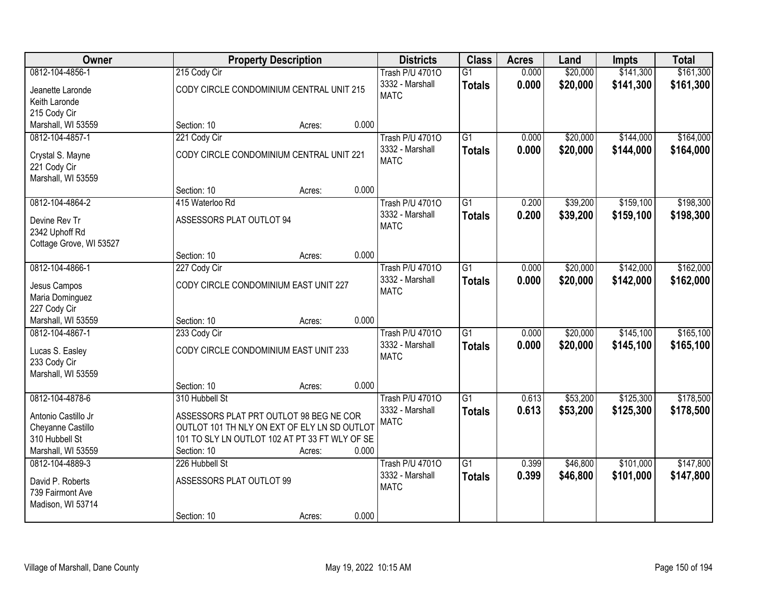| Owner                            |                                              | <b>Property Description</b>                    |       | <b>Districts</b>               | <b>Class</b>    | <b>Acres</b> | Land     | <b>Impts</b> | <b>Total</b> |
|----------------------------------|----------------------------------------------|------------------------------------------------|-------|--------------------------------|-----------------|--------------|----------|--------------|--------------|
| 0812-104-4856-1                  | 215 Cody Cir                                 |                                                |       | <b>Trash P/U 47010</b>         | $\overline{G1}$ | 0.000        | \$20,000 | \$141,300    | \$161,300    |
| Jeanette Laronde                 | CODY CIRCLE CONDOMINIUM CENTRAL UNIT 215     |                                                |       | 3332 - Marshall                | <b>Totals</b>   | 0.000        | \$20,000 | \$141,300    | \$161,300    |
| Keith Laronde                    |                                              |                                                |       | <b>MATC</b>                    |                 |              |          |              |              |
| 215 Cody Cir                     |                                              |                                                |       |                                |                 |              |          |              |              |
| Marshall, WI 53559               | Section: 10                                  | Acres:                                         | 0.000 |                                |                 |              |          |              |              |
| 0812-104-4857-1                  | 221 Cody Cir                                 |                                                |       | <b>Trash P/U 47010</b>         | $\overline{G1}$ | 0.000        | \$20,000 | \$144,000    | \$164,000    |
|                                  |                                              | CODY CIRCLE CONDOMINIUM CENTRAL UNIT 221       |       | 3332 - Marshall                | <b>Totals</b>   | 0.000        | \$20,000 | \$144,000    | \$164,000    |
| Crystal S. Mayne<br>221 Cody Cir |                                              |                                                |       | <b>MATC</b>                    |                 |              |          |              |              |
| Marshall, WI 53559               |                                              |                                                |       |                                |                 |              |          |              |              |
|                                  | Section: 10                                  | Acres:                                         | 0.000 |                                |                 |              |          |              |              |
| 0812-104-4864-2                  | 415 Waterloo Rd                              |                                                |       | <b>Trash P/U 47010</b>         | $\overline{G1}$ | 0.200        | \$39,200 | \$159,100    | \$198,300    |
|                                  |                                              |                                                |       | 3332 - Marshall                | <b>Totals</b>   | 0.200        | \$39,200 | \$159,100    | \$198,300    |
| Devine Rev Tr                    | ASSESSORS PLAT OUTLOT 94                     |                                                |       | <b>MATC</b>                    |                 |              |          |              |              |
| 2342 Uphoff Rd                   |                                              |                                                |       |                                |                 |              |          |              |              |
| Cottage Grove, WI 53527          | Section: 10                                  | Acres:                                         | 0.000 |                                |                 |              |          |              |              |
| 0812-104-4866-1                  | 227 Cody Cir                                 |                                                |       | <b>Trash P/U 47010</b>         | G1              | 0.000        | \$20,000 | \$142,000    | \$162,000    |
|                                  |                                              |                                                |       | 3332 - Marshall                | <b>Totals</b>   | 0.000        | \$20,000 | \$142,000    | \$162,000    |
| Jesus Campos                     |                                              | CODY CIRCLE CONDOMINIUM EAST UNIT 227          |       | <b>MATC</b>                    |                 |              |          |              |              |
| Maria Dominguez                  |                                              |                                                |       |                                |                 |              |          |              |              |
| 227 Cody Cir                     |                                              |                                                |       |                                |                 |              |          |              |              |
| Marshall, WI 53559               | Section: 10                                  | Acres:                                         | 0.000 |                                | $\overline{G1}$ |              |          |              |              |
| 0812-104-4867-1                  | 233 Cody Cir                                 |                                                |       | <b>Trash P/U 47010</b>         |                 | 0.000        | \$20,000 | \$145,100    | \$165,100    |
| Lucas S. Easley                  |                                              | CODY CIRCLE CONDOMINIUM EAST UNIT 233          |       | 3332 - Marshall<br><b>MATC</b> | <b>Totals</b>   | 0.000        | \$20,000 | \$145,100    | \$165,100    |
| 233 Cody Cir                     |                                              |                                                |       |                                |                 |              |          |              |              |
| Marshall, WI 53559               |                                              |                                                |       |                                |                 |              |          |              |              |
|                                  | Section: 10                                  | Acres:                                         | 0.000 |                                |                 |              |          |              |              |
| 0812-104-4878-6                  | 310 Hubbell St                               |                                                |       | <b>Trash P/U 47010</b>         | $\overline{G1}$ | 0.613        | \$53,200 | \$125,300    | \$178,500    |
| Antonio Castillo Jr              |                                              | ASSESSORS PLAT PRT OUTLOT 98 BEG NE COR        |       | 3332 - Marshall                | <b>Totals</b>   | 0.613        | \$53,200 | \$125,300    | \$178,500    |
| Cheyanne Castillo                | OUTLOT 101 TH NLY ON EXT OF ELY LN SD OUTLOT |                                                |       | <b>MATC</b>                    |                 |              |          |              |              |
| 310 Hubbell St                   |                                              | 101 TO SLY LN OUTLOT 102 AT PT 33 FT WLY OF SE |       |                                |                 |              |          |              |              |
| Marshall, WI 53559               | Section: 10                                  | Acres:                                         | 0.000 |                                |                 |              |          |              |              |
| 0812-104-4889-3                  | 226 Hubbell St                               |                                                |       | <b>Trash P/U 47010</b>         | $\overline{G1}$ | 0.399        | \$46,800 | \$101,000    | \$147,800    |
| David P. Roberts                 | ASSESSORS PLAT OUTLOT 99                     |                                                |       | 3332 - Marshall                | <b>Totals</b>   | 0.399        | \$46,800 | \$101,000    | \$147,800    |
| 739 Fairmont Ave                 |                                              |                                                |       | <b>MATC</b>                    |                 |              |          |              |              |
| Madison, WI 53714                |                                              |                                                |       |                                |                 |              |          |              |              |
|                                  | Section: 10                                  | Acres:                                         | 0.000 |                                |                 |              |          |              |              |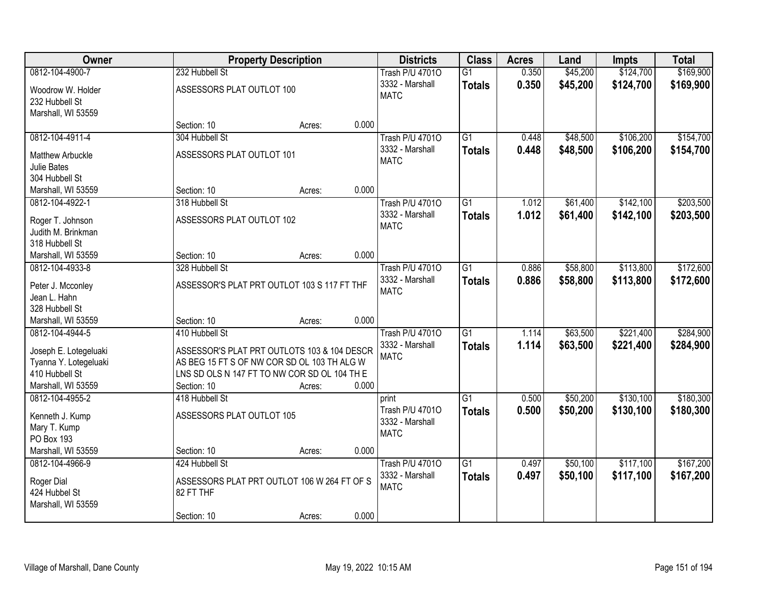| Owner                                          |                                              | <b>Property Description</b> |       | <b>Districts</b>       | <b>Class</b>    | <b>Acres</b> | Land     | <b>Impts</b> | <b>Total</b> |
|------------------------------------------------|----------------------------------------------|-----------------------------|-------|------------------------|-----------------|--------------|----------|--------------|--------------|
| 0812-104-4900-7                                | 232 Hubbell St                               |                             |       | <b>Trash P/U 47010</b> | $\overline{G1}$ | 0.350        | \$45,200 | \$124,700    | \$169,900    |
| Woodrow W. Holder                              | ASSESSORS PLAT OUTLOT 100                    |                             |       | 3332 - Marshall        | <b>Totals</b>   | 0.350        | \$45,200 | \$124,700    | \$169,900    |
| 232 Hubbell St                                 |                                              |                             |       | <b>MATC</b>            |                 |              |          |              |              |
| Marshall, WI 53559                             |                                              |                             |       |                        |                 |              |          |              |              |
|                                                | Section: 10                                  | Acres:                      | 0.000 |                        |                 |              |          |              |              |
| 0812-104-4911-4                                | 304 Hubbell St                               |                             |       | <b>Trash P/U 47010</b> | $\overline{G1}$ | 0.448        | \$48,500 | \$106,200    | \$154,700    |
| <b>Matthew Arbuckle</b>                        | ASSESSORS PLAT OUTLOT 101                    |                             |       | 3332 - Marshall        | <b>Totals</b>   | 0.448        | \$48,500 | \$106,200    | \$154,700    |
| <b>Julie Bates</b>                             |                                              |                             |       | <b>MATC</b>            |                 |              |          |              |              |
| 304 Hubbell St                                 |                                              |                             |       |                        |                 |              |          |              |              |
| Marshall, WI 53559                             | Section: 10                                  | Acres:                      | 0.000 |                        |                 |              |          |              |              |
| 0812-104-4922-1                                | 318 Hubbell St                               |                             |       | <b>Trash P/U 47010</b> | $\overline{G1}$ | 1.012        | \$61,400 | \$142,100    | \$203,500    |
| Roger T. Johnson                               | ASSESSORS PLAT OUTLOT 102                    |                             |       | 3332 - Marshall        | <b>Totals</b>   | 1.012        | \$61,400 | \$142,100    | \$203,500    |
| Judith M. Brinkman                             |                                              |                             |       | <b>MATC</b>            |                 |              |          |              |              |
| 318 Hubbell St                                 |                                              |                             |       |                        |                 |              |          |              |              |
| Marshall, WI 53559                             | Section: 10                                  | Acres:                      | 0.000 |                        |                 |              |          |              |              |
| 0812-104-4933-8                                | 328 Hubbell St                               |                             |       | <b>Trash P/U 47010</b> | $\overline{G1}$ | 0.886        | \$58,800 | \$113,800    | \$172,600    |
| Peter J. Mcconley                              | ASSESSOR'S PLAT PRT OUTLOT 103 S 117 FT THF  |                             |       | 3332 - Marshall        | <b>Totals</b>   | 0.886        | \$58,800 | \$113,800    | \$172,600    |
| Jean L. Hahn                                   |                                              |                             |       | <b>MATC</b>            |                 |              |          |              |              |
| 328 Hubbell St                                 |                                              |                             |       |                        |                 |              |          |              |              |
| Marshall, WI 53559                             | Section: 10                                  | Acres:                      | 0.000 |                        |                 |              |          |              |              |
| 0812-104-4944-5                                | 410 Hubbell St                               |                             |       | <b>Trash P/U 47010</b> | $\overline{G1}$ | 1.114        | \$63,500 | \$221,400    | \$284,900    |
|                                                | ASSESSOR'S PLAT PRT OUTLOTS 103 & 104 DESCR  |                             |       | 3332 - Marshall        | <b>Totals</b>   | 1.114        | \$63,500 | \$221,400    | \$284,900    |
| Joseph E. Lotegeluaki<br>Tyanna Y. Lotegeluaki | AS BEG 15 FT S OF NW COR SD OL 103 TH ALG W  |                             |       | <b>MATC</b>            |                 |              |          |              |              |
| 410 Hubbell St                                 | LNS SD OLS N 147 FT TO NW COR SD OL 104 TH E |                             |       |                        |                 |              |          |              |              |
| Marshall, WI 53559                             | Section: 10                                  | Acres:                      | 0.000 |                        |                 |              |          |              |              |
| 0812-104-4955-2                                | 418 Hubbell St                               |                             |       | print                  | $\overline{G1}$ | 0.500        | \$50,200 | \$130,100    | \$180,300    |
|                                                | ASSESSORS PLAT OUTLOT 105                    |                             |       | Trash P/U 47010        | <b>Totals</b>   | 0.500        | \$50,200 | \$130,100    | \$180,300    |
| Kenneth J. Kump<br>Mary T. Kump                |                                              |                             |       | 3332 - Marshall        |                 |              |          |              |              |
| PO Box 193                                     |                                              |                             |       | <b>MATC</b>            |                 |              |          |              |              |
| Marshall, WI 53559                             | Section: 10                                  | Acres:                      | 0.000 |                        |                 |              |          |              |              |
| 0812-104-4966-9                                | 424 Hubbell St                               |                             |       | <b>Trash P/U 47010</b> | $\overline{G1}$ | 0.497        | \$50,100 | \$117,100    | \$167,200    |
|                                                |                                              |                             |       | 3332 - Marshall        | <b>Totals</b>   | 0.497        | \$50,100 | \$117,100    | \$167,200    |
| Roger Dial                                     | ASSESSORS PLAT PRT OUTLOT 106 W 264 FT OF S  |                             |       | <b>MATC</b>            |                 |              |          |              |              |
| 424 Hubbel St<br>Marshall, WI 53559            | 82 FT THF                                    |                             |       |                        |                 |              |          |              |              |
|                                                | Section: 10                                  | Acres:                      | 0.000 |                        |                 |              |          |              |              |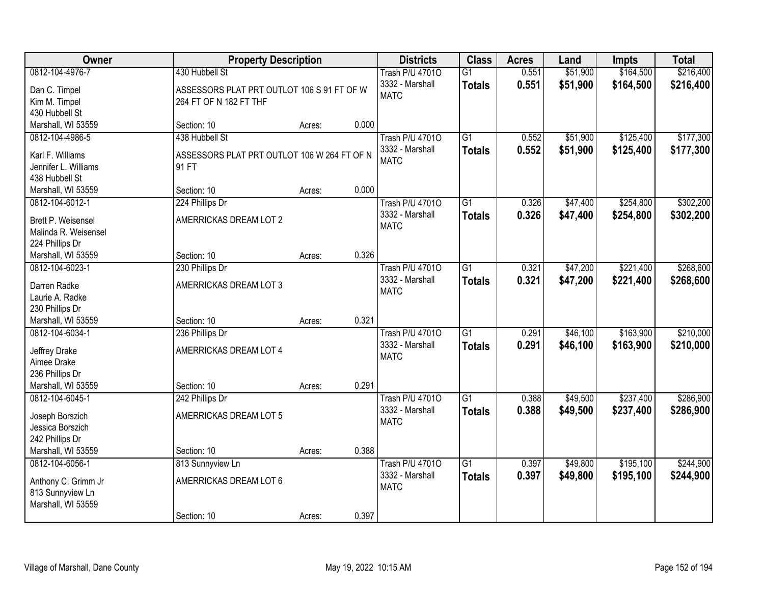| <b>Owner</b>                                                                             | <b>Property Description</b>                                                            |        |       | <b>Districts</b>                                         | <b>Class</b>                     | <b>Acres</b>   | Land                 | <b>Impts</b>           | <b>Total</b>           |
|------------------------------------------------------------------------------------------|----------------------------------------------------------------------------------------|--------|-------|----------------------------------------------------------|----------------------------------|----------------|----------------------|------------------------|------------------------|
| 0812-104-4976-7<br>Dan C. Timpel<br>Kim M. Timpel                                        | 430 Hubbell St<br>ASSESSORS PLAT PRT OUTLOT 106 S 91 FT OF W<br>264 FT OF N 182 FT THF |        |       | <b>Trash P/U 47010</b><br>3332 - Marshall<br><b>MATC</b> | $\overline{G1}$<br><b>Totals</b> | 0.551<br>0.551 | \$51,900<br>\$51,900 | \$164,500<br>\$164,500 | \$216,400<br>\$216,400 |
| 430 Hubbell St<br>Marshall, WI 53559                                                     | Section: 10                                                                            | Acres: | 0.000 |                                                          |                                  |                |                      |                        |                        |
| 0812-104-4986-5<br>Karl F. Williams<br>Jennifer L. Williams<br>438 Hubbell St            | 438 Hubbell St<br>ASSESSORS PLAT PRT OUTLOT 106 W 264 FT OF N<br>91 FT                 |        |       | <b>Trash P/U 47010</b><br>3332 - Marshall<br><b>MATC</b> | $\overline{G1}$<br><b>Totals</b> | 0.552<br>0.552 | \$51,900<br>\$51,900 | \$125,400<br>\$125,400 | \$177,300<br>\$177,300 |
| Marshall, WI 53559                                                                       | Section: 10                                                                            | Acres: | 0.000 |                                                          |                                  |                |                      |                        |                        |
| 0812-104-6012-1<br>Brett P. Weisensel<br>Malinda R. Weisensel<br>224 Phillips Dr         | 224 Phillips Dr<br>AMERRICKAS DREAM LOT 2                                              |        |       | <b>Trash P/U 47010</b><br>3332 - Marshall<br><b>MATC</b> | $\overline{G1}$<br><b>Totals</b> | 0.326<br>0.326 | \$47,400<br>\$47,400 | \$254,800<br>\$254,800 | \$302,200<br>\$302,200 |
| Marshall, WI 53559                                                                       | Section: 10                                                                            | Acres: | 0.326 |                                                          |                                  |                |                      |                        |                        |
| 0812-104-6023-1<br>Darren Radke<br>Laurie A. Radke<br>230 Phillips Dr                    | 230 Phillips Dr<br>AMERRICKAS DREAM LOT 3                                              |        |       | <b>Trash P/U 47010</b><br>3332 - Marshall<br><b>MATC</b> | $\overline{G1}$<br><b>Totals</b> | 0.321<br>0.321 | \$47,200<br>\$47,200 | \$221,400<br>\$221,400 | \$268,600<br>\$268,600 |
| Marshall, WI 53559                                                                       | Section: 10                                                                            | Acres: | 0.321 |                                                          |                                  |                |                      |                        |                        |
| 0812-104-6034-1<br>Jeffrey Drake<br>Aimee Drake<br>236 Phillips Dr<br>Marshall, WI 53559 | 236 Phillips Dr<br>AMERRICKAS DREAM LOT 4<br>Section: 10                               | Acres: | 0.291 | <b>Trash P/U 47010</b><br>3332 - Marshall<br><b>MATC</b> | $\overline{G1}$<br><b>Totals</b> | 0.291<br>0.291 | \$46,100<br>\$46,100 | \$163,900<br>\$163,900 | \$210,000<br>\$210,000 |
| 0812-104-6045-1                                                                          | 242 Phillips Dr                                                                        |        |       | <b>Trash P/U 47010</b>                                   | $\overline{G1}$                  | 0.388          | \$49,500             | \$237,400              | \$286,900              |
| Joseph Borszich<br>Jessica Borszich<br>242 Phillips Dr                                   | AMERRICKAS DREAM LOT 5                                                                 |        |       | 3332 - Marshall<br><b>MATC</b>                           | <b>Totals</b>                    | 0.388          | \$49,500             | \$237,400              | \$286,900              |
| Marshall, WI 53559                                                                       | Section: 10                                                                            | Acres: | 0.388 |                                                          |                                  |                |                      |                        |                        |
| 0812-104-6056-1<br>Anthony C. Grimm Jr<br>813 Sunnyview Ln<br>Marshall, WI 53559         | 813 Sunnyview Ln<br>AMERRICKAS DREAM LOT 6<br>Section: 10                              | Acres: | 0.397 | <b>Trash P/U 47010</b><br>3332 - Marshall<br><b>MATC</b> | $\overline{G1}$<br><b>Totals</b> | 0.397<br>0.397 | \$49,800<br>\$49,800 | \$195,100<br>\$195,100 | \$244,900<br>\$244,900 |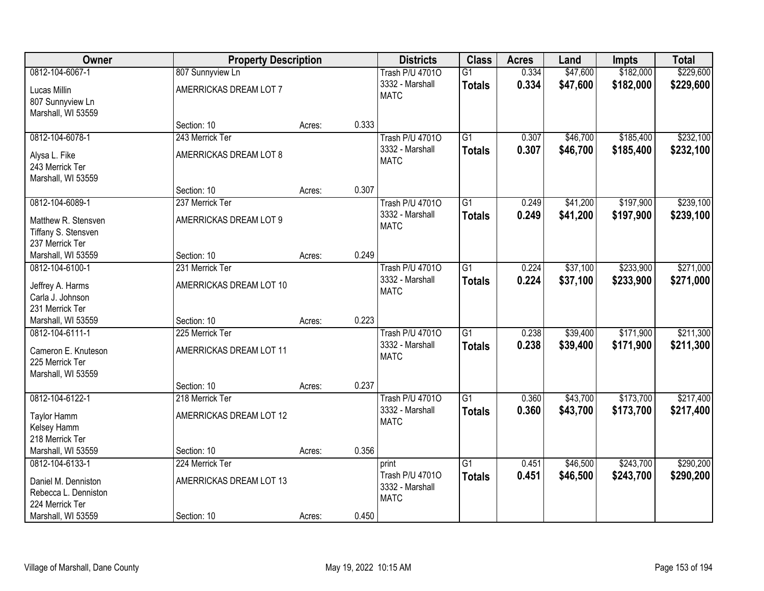| Owner                | <b>Property Description</b> |        |       | <b>Districts</b>       | <b>Class</b>    | <b>Acres</b> | Land     | <b>Impts</b> | <b>Total</b> |
|----------------------|-----------------------------|--------|-------|------------------------|-----------------|--------------|----------|--------------|--------------|
| 0812-104-6067-1      | 807 Sunnyview Ln            |        |       | <b>Trash P/U 47010</b> | $\overline{G1}$ | 0.334        | \$47,600 | \$182,000    | \$229,600    |
| Lucas Millin         | AMERRICKAS DREAM LOT 7      |        |       | 3332 - Marshall        | <b>Totals</b>   | 0.334        | \$47,600 | \$182,000    | \$229,600    |
| 807 Sunnyview Ln     |                             |        |       | <b>MATC</b>            |                 |              |          |              |              |
| Marshall, WI 53559   |                             |        |       |                        |                 |              |          |              |              |
|                      | Section: 10                 | Acres: | 0.333 |                        |                 |              |          |              |              |
| 0812-104-6078-1      | 243 Merrick Ter             |        |       | <b>Trash P/U 47010</b> | $\overline{G1}$ | 0.307        | \$46,700 | \$185,400    | \$232,100    |
| Alysa L. Fike        | AMERRICKAS DREAM LOT 8      |        |       | 3332 - Marshall        | <b>Totals</b>   | 0.307        | \$46,700 | \$185,400    | \$232,100    |
| 243 Merrick Ter      |                             |        |       | <b>MATC</b>            |                 |              |          |              |              |
| Marshall, WI 53559   |                             |        |       |                        |                 |              |          |              |              |
|                      | Section: 10                 | Acres: | 0.307 |                        |                 |              |          |              |              |
| 0812-104-6089-1      | 237 Merrick Ter             |        |       | <b>Trash P/U 47010</b> | G1              | 0.249        | \$41,200 | \$197,900    | \$239,100    |
| Matthew R. Stensven  | AMERRICKAS DREAM LOT 9      |        |       | 3332 - Marshall        | <b>Totals</b>   | 0.249        | \$41,200 | \$197,900    | \$239,100    |
| Tiffany S. Stensven  |                             |        |       | <b>MATC</b>            |                 |              |          |              |              |
| 237 Merrick Ter      |                             |        |       |                        |                 |              |          |              |              |
| Marshall, WI 53559   | Section: 10                 | Acres: | 0.249 |                        |                 |              |          |              |              |
| 0812-104-6100-1      | 231 Merrick Ter             |        |       | <b>Trash P/U 47010</b> | $\overline{G1}$ | 0.224        | \$37,100 | \$233,900    | \$271,000    |
| Jeffrey A. Harms     | AMERRICKAS DREAM LOT 10     |        |       | 3332 - Marshall        | <b>Totals</b>   | 0.224        | \$37,100 | \$233,900    | \$271,000    |
| Carla J. Johnson     |                             |        |       | <b>MATC</b>            |                 |              |          |              |              |
| 231 Merrick Ter      |                             |        |       |                        |                 |              |          |              |              |
| Marshall, WI 53559   | Section: 10                 | Acres: | 0.223 |                        |                 |              |          |              |              |
| 0812-104-6111-1      | 225 Merrick Ter             |        |       | <b>Trash P/U 47010</b> | $\overline{G1}$ | 0.238        | \$39,400 | \$171,900    | \$211,300    |
| Cameron E. Knuteson  | AMERRICKAS DREAM LOT 11     |        |       | 3332 - Marshall        | <b>Totals</b>   | 0.238        | \$39,400 | \$171,900    | \$211,300    |
| 225 Merrick Ter      |                             |        |       | <b>MATC</b>            |                 |              |          |              |              |
| Marshall, WI 53559   |                             |        |       |                        |                 |              |          |              |              |
|                      | Section: 10                 | Acres: | 0.237 |                        |                 |              |          |              |              |
| 0812-104-6122-1      | 218 Merrick Ter             |        |       | <b>Trash P/U 47010</b> | $\overline{G1}$ | 0.360        | \$43,700 | \$173,700    | \$217,400    |
| Taylor Hamm          | AMERRICKAS DREAM LOT 12     |        |       | 3332 - Marshall        | <b>Totals</b>   | 0.360        | \$43,700 | \$173,700    | \$217,400    |
| Kelsey Hamm          |                             |        |       | <b>MATC</b>            |                 |              |          |              |              |
| 218 Merrick Ter      |                             |        |       |                        |                 |              |          |              |              |
| Marshall, WI 53559   | Section: 10                 | Acres: | 0.356 |                        |                 |              |          |              |              |
| 0812-104-6133-1      | 224 Merrick Ter             |        |       | print                  | $\overline{G1}$ | 0.451        | \$46,500 | \$243,700    | \$290,200    |
| Daniel M. Denniston  | AMERRICKAS DREAM LOT 13     |        |       | Trash P/U 47010        | <b>Totals</b>   | 0.451        | \$46,500 | \$243,700    | \$290,200    |
| Rebecca L. Denniston |                             |        |       | 3332 - Marshall        |                 |              |          |              |              |
| 224 Merrick Ter      |                             |        |       | <b>MATC</b>            |                 |              |          |              |              |
| Marshall, WI 53559   | Section: 10                 | Acres: | 0.450 |                        |                 |              |          |              |              |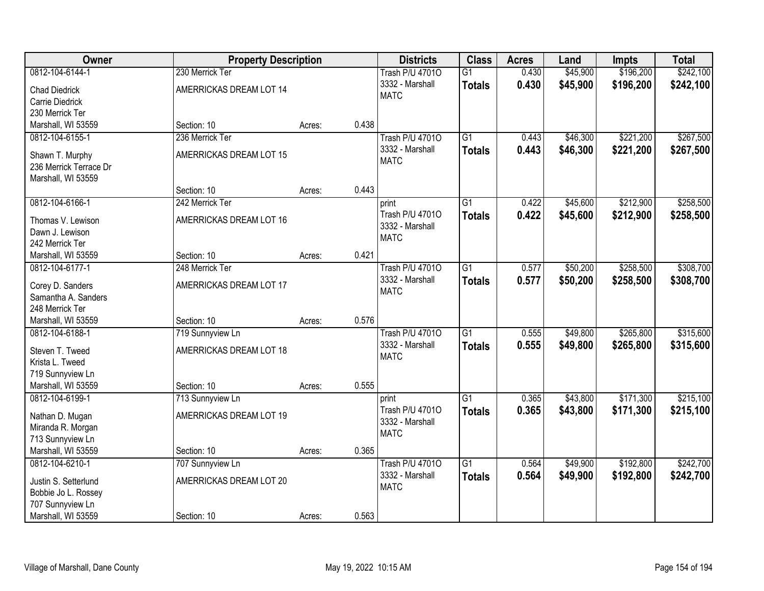| <b>Owner</b>                          | <b>Property Description</b> |        |       | <b>Districts</b>               | <b>Class</b>    | <b>Acres</b> | Land     | <b>Impts</b> | <b>Total</b> |
|---------------------------------------|-----------------------------|--------|-------|--------------------------------|-----------------|--------------|----------|--------------|--------------|
| 0812-104-6144-1                       | 230 Merrick Ter             |        |       | <b>Trash P/U 47010</b>         | $\overline{G1}$ | 0.430        | \$45,900 | \$196,200    | \$242,100    |
| <b>Chad Diedrick</b>                  | AMERRICKAS DREAM LOT 14     |        |       | 3332 - Marshall                | <b>Totals</b>   | 0.430        | \$45,900 | \$196,200    | \$242,100    |
| Carrie Diedrick                       |                             |        |       | <b>MATC</b>                    |                 |              |          |              |              |
| 230 Merrick Ter                       |                             |        |       |                                |                 |              |          |              |              |
| Marshall, WI 53559                    | Section: 10                 | Acres: | 0.438 |                                |                 |              |          |              |              |
| 0812-104-6155-1                       | 236 Merrick Ter             |        |       | <b>Trash P/U 47010</b>         | $\overline{G1}$ | 0.443        | \$46,300 | \$221,200    | \$267,500    |
|                                       |                             |        |       | 3332 - Marshall                | <b>Totals</b>   | 0.443        | \$46,300 | \$221,200    | \$267,500    |
| Shawn T. Murphy                       | AMERRICKAS DREAM LOT 15     |        |       | <b>MATC</b>                    |                 |              |          |              |              |
| 236 Merrick Terrace Dr                |                             |        |       |                                |                 |              |          |              |              |
| Marshall, WI 53559                    |                             |        |       |                                |                 |              |          |              |              |
|                                       | Section: 10                 | Acres: | 0.443 |                                |                 |              |          |              |              |
| 0812-104-6166-1                       | 242 Merrick Ter             |        |       | print                          | $\overline{G1}$ | 0.422        | \$45,600 | \$212,900    | \$258,500    |
| Thomas V. Lewison                     | AMERRICKAS DREAM LOT 16     |        |       | Trash P/U 47010                | <b>Totals</b>   | 0.422        | \$45,600 | \$212,900    | \$258,500    |
| Dawn J. Lewison                       |                             |        |       | 3332 - Marshall                |                 |              |          |              |              |
| 242 Merrick Ter                       |                             |        |       | <b>MATC</b>                    |                 |              |          |              |              |
| Marshall, WI 53559                    | Section: 10                 | Acres: | 0.421 |                                |                 |              |          |              |              |
| 0812-104-6177-1                       | 248 Merrick Ter             |        |       | <b>Trash P/U 47010</b>         | $\overline{G1}$ | 0.577        | \$50,200 | \$258,500    | \$308,700    |
|                                       |                             |        |       | 3332 - Marshall                | <b>Totals</b>   | 0.577        | \$50,200 | \$258,500    | \$308,700    |
| Corey D. Sanders                      | AMERRICKAS DREAM LOT 17     |        |       | <b>MATC</b>                    |                 |              |          |              |              |
| Samantha A. Sanders                   |                             |        |       |                                |                 |              |          |              |              |
| 248 Merrick Ter<br>Marshall, WI 53559 | Section: 10                 |        | 0.576 |                                |                 |              |          |              |              |
| 0812-104-6188-1                       |                             | Acres: |       |                                | $\overline{G1}$ | 0.555        | \$49,800 | \$265,800    | \$315,600    |
|                                       | 719 Sunnyview Ln            |        |       | <b>Trash P/U 47010</b>         |                 |              |          |              |              |
| Steven T. Tweed                       | AMERRICKAS DREAM LOT 18     |        |       | 3332 - Marshall<br><b>MATC</b> | <b>Totals</b>   | 0.555        | \$49,800 | \$265,800    | \$315,600    |
| Krista L. Tweed                       |                             |        |       |                                |                 |              |          |              |              |
| 719 Sunnyview Ln                      |                             |        |       |                                |                 |              |          |              |              |
| Marshall, WI 53559                    | Section: 10                 | Acres: | 0.555 |                                |                 |              |          |              |              |
| 0812-104-6199-1                       | 713 Sunnyview Ln            |        |       | print                          | $\overline{G1}$ | 0.365        | \$43,800 | \$171,300    | \$215,100    |
| Nathan D. Mugan                       | AMERRICKAS DREAM LOT 19     |        |       | Trash P/U 47010                | <b>Totals</b>   | 0.365        | \$43,800 | \$171,300    | \$215,100    |
| Miranda R. Morgan                     |                             |        |       | 3332 - Marshall                |                 |              |          |              |              |
| 713 Sunnyview Ln                      |                             |        |       | <b>MATC</b>                    |                 |              |          |              |              |
| Marshall, WI 53559                    | Section: 10                 | Acres: | 0.365 |                                |                 |              |          |              |              |
| 0812-104-6210-1                       | 707 Sunnyview Ln            |        |       | <b>Trash P/U 47010</b>         | $\overline{G1}$ | 0.564        | \$49,900 | \$192,800    | \$242,700    |
|                                       |                             |        |       | 3332 - Marshall                | <b>Totals</b>   | 0.564        | \$49,900 | \$192,800    | \$242,700    |
| Justin S. Setterlund                  | AMERRICKAS DREAM LOT 20     |        |       | <b>MATC</b>                    |                 |              |          |              |              |
| Bobbie Jo L. Rossey                   |                             |        |       |                                |                 |              |          |              |              |
| 707 Sunnyview Ln                      |                             |        |       |                                |                 |              |          |              |              |
| Marshall, WI 53559                    | Section: 10                 | Acres: | 0.563 |                                |                 |              |          |              |              |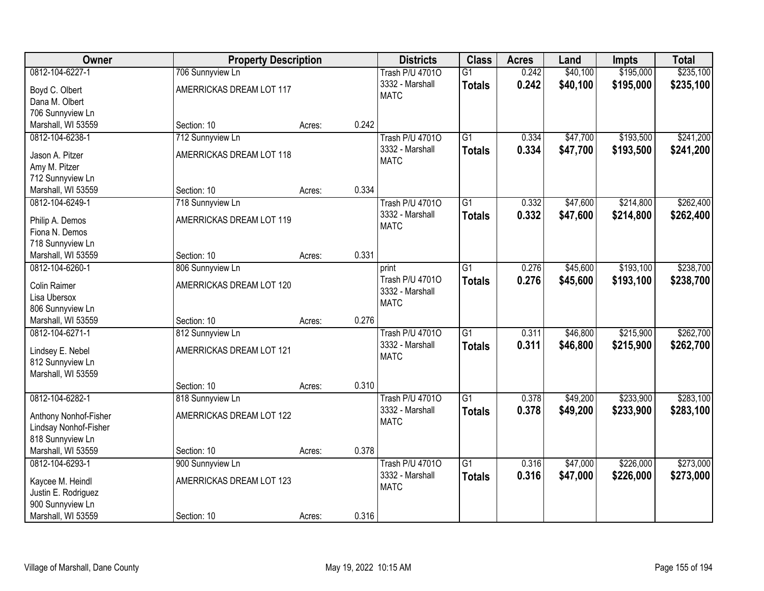| Owner                                   | <b>Property Description</b> |        |       | <b>Districts</b>               | <b>Class</b>    | <b>Acres</b> | Land     | <b>Impts</b> | <b>Total</b> |
|-----------------------------------------|-----------------------------|--------|-------|--------------------------------|-----------------|--------------|----------|--------------|--------------|
| 0812-104-6227-1                         | 706 Sunnyview Ln            |        |       | <b>Trash P/U 47010</b>         | $\overline{G1}$ | 0.242        | \$40,100 | \$195,000    | \$235,100    |
| Boyd C. Olbert                          | AMERRICKAS DREAM LOT 117    |        |       | 3332 - Marshall                | <b>Totals</b>   | 0.242        | \$40,100 | \$195,000    | \$235,100    |
| Dana M. Olbert                          |                             |        |       | <b>MATC</b>                    |                 |              |          |              |              |
| 706 Sunnyview Ln                        |                             |        |       |                                |                 |              |          |              |              |
| Marshall, WI 53559                      | Section: 10                 | Acres: | 0.242 |                                |                 |              |          |              |              |
| 0812-104-6238-1                         | 712 Sunnyview Ln            |        |       | <b>Trash P/U 47010</b>         | $\overline{G1}$ | 0.334        | \$47,700 | \$193,500    | \$241,200    |
|                                         |                             |        |       | 3332 - Marshall                | <b>Totals</b>   | 0.334        | \$47,700 | \$193,500    | \$241,200    |
| Jason A. Pitzer                         | AMERRICKAS DREAM LOT 118    |        |       | <b>MATC</b>                    |                 |              |          |              |              |
| Amy M. Pitzer                           |                             |        |       |                                |                 |              |          |              |              |
| 712 Sunnyview Ln                        |                             |        |       |                                |                 |              |          |              |              |
| Marshall, WI 53559                      | Section: 10                 | Acres: | 0.334 |                                |                 |              |          |              |              |
| 0812-104-6249-1                         | 718 Sunnyview Ln            |        |       | <b>Trash P/U 47010</b>         | $\overline{G1}$ | 0.332        | \$47,600 | \$214,800    | \$262,400    |
| Philip A. Demos                         | AMERRICKAS DREAM LOT 119    |        |       | 3332 - Marshall<br><b>MATC</b> | <b>Totals</b>   | 0.332        | \$47,600 | \$214,800    | \$262,400    |
| Fiona N. Demos                          |                             |        |       |                                |                 |              |          |              |              |
| 718 Sunnyview Ln                        |                             |        |       |                                |                 |              |          |              |              |
| Marshall, WI 53559                      | Section: 10                 | Acres: | 0.331 |                                |                 |              |          |              |              |
| 0812-104-6260-1                         | 806 Sunnyview Ln            |        |       | print                          | $\overline{G1}$ | 0.276        | \$45,600 | \$193,100    | \$238,700    |
| Colin Raimer                            | AMERRICKAS DREAM LOT 120    |        |       | Trash P/U 47010                | <b>Totals</b>   | 0.276        | \$45,600 | \$193,100    | \$238,700    |
| Lisa Ubersox                            |                             |        |       | 3332 - Marshall                |                 |              |          |              |              |
| 806 Sunnyview Ln                        |                             |        |       | <b>MATC</b>                    |                 |              |          |              |              |
| Marshall, WI 53559                      | Section: 10                 | Acres: | 0.276 |                                |                 |              |          |              |              |
| 0812-104-6271-1                         | 812 Sunnyview Ln            |        |       | <b>Trash P/U 47010</b>         | $\overline{G1}$ | 0.311        | \$46,800 | \$215,900    | \$262,700    |
|                                         |                             |        |       | 3332 - Marshall                | <b>Totals</b>   | 0.311        | \$46,800 | \$215,900    | \$262,700    |
| Lindsey E. Nebel                        | AMERRICKAS DREAM LOT 121    |        |       | <b>MATC</b>                    |                 |              |          |              |              |
| 812 Sunnyview Ln                        |                             |        |       |                                |                 |              |          |              |              |
| Marshall, WI 53559                      |                             |        |       |                                |                 |              |          |              |              |
|                                         | Section: 10                 | Acres: | 0.310 |                                |                 |              |          |              |              |
| 0812-104-6282-1                         | 818 Sunnyview Ln            |        |       | <b>Trash P/U 47010</b>         | $\overline{G1}$ | 0.378        | \$49,200 | \$233,900    | \$283,100    |
| Anthony Nonhof-Fisher                   | AMERRICKAS DREAM LOT 122    |        |       | 3332 - Marshall                | <b>Totals</b>   | 0.378        | \$49,200 | \$233,900    | \$283,100    |
| Lindsay Nonhof-Fisher                   |                             |        |       | <b>MATC</b>                    |                 |              |          |              |              |
| 818 Sunnyview Ln                        |                             |        |       |                                |                 |              |          |              |              |
| Marshall, WI 53559                      | Section: 10                 | Acres: | 0.378 |                                |                 |              |          |              |              |
| 0812-104-6293-1                         | 900 Sunnyview Ln            |        |       | <b>Trash P/U 47010</b>         | $\overline{G1}$ | 0.316        | \$47,000 | \$226,000    | \$273,000    |
|                                         | AMERRICKAS DREAM LOT 123    |        |       | 3332 - Marshall                | <b>Totals</b>   | 0.316        | \$47,000 | \$226,000    | \$273,000    |
| Kaycee M. Heindl<br>Justin E. Rodriguez |                             |        |       | <b>MATC</b>                    |                 |              |          |              |              |
| 900 Sunnyview Ln                        |                             |        |       |                                |                 |              |          |              |              |
|                                         |                             |        |       |                                |                 |              |          |              |              |
| Marshall, WI 53559                      | Section: 10                 | Acres: | 0.316 |                                |                 |              |          |              |              |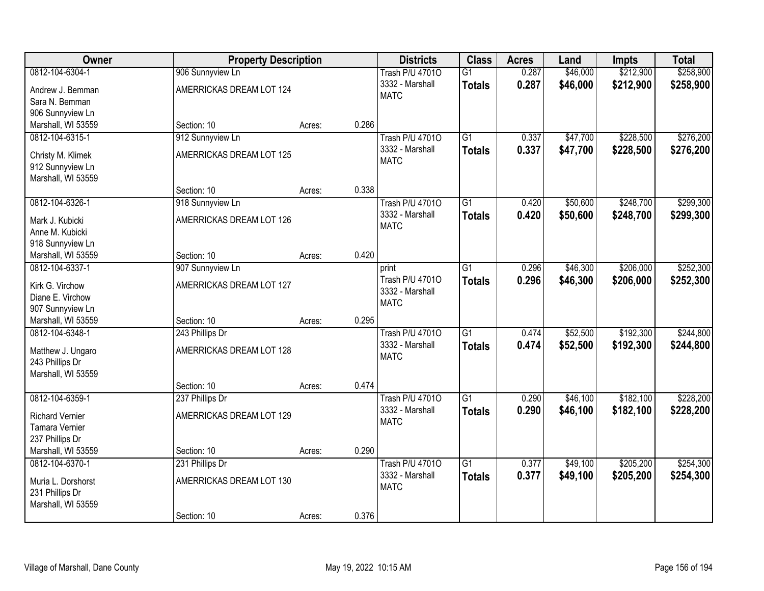| <b>Owner</b>                         | <b>Property Description</b> |        |       | <b>Districts</b>                          | <b>Class</b>    | <b>Acres</b>   | Land     | Impts     | <b>Total</b> |
|--------------------------------------|-----------------------------|--------|-------|-------------------------------------------|-----------------|----------------|----------|-----------|--------------|
| 0812-104-6304-1                      | 906 Sunnyview Ln            |        |       | <b>Trash P/U 47010</b>                    | $\overline{G1}$ | 0.287          | \$46,000 | \$212,900 | \$258,900    |
| Andrew J. Bemman                     | AMERRICKAS DREAM LOT 124    |        |       | 3332 - Marshall                           | <b>Totals</b>   | 0.287          | \$46,000 | \$212,900 | \$258,900    |
| Sara N. Bemman                       |                             |        |       | <b>MATC</b>                               |                 |                |          |           |              |
| 906 Sunnyview Ln                     |                             |        |       |                                           |                 |                |          |           |              |
| Marshall, WI 53559                   | Section: 10                 | Acres: | 0.286 |                                           |                 |                |          |           |              |
| 0812-104-6315-1                      | 912 Sunnyview Ln            |        |       | <b>Trash P/U 47010</b>                    | $\overline{G1}$ | 0.337          | \$47,700 | \$228,500 | \$276,200    |
| Christy M. Klimek                    | AMERRICKAS DREAM LOT 125    |        |       | 3332 - Marshall                           | <b>Totals</b>   | 0.337          | \$47,700 | \$228,500 | \$276,200    |
| 912 Sunnyview Ln                     |                             |        |       | <b>MATC</b>                               |                 |                |          |           |              |
| Marshall, WI 53559                   |                             |        |       |                                           |                 |                |          |           |              |
|                                      | Section: 10                 | Acres: | 0.338 |                                           |                 |                |          |           |              |
| 0812-104-6326-1                      | 918 Sunnyview Ln            |        |       | <b>Trash P/U 47010</b>                    | $\overline{G1}$ | 0.420          | \$50,600 | \$248,700 | \$299,300    |
|                                      | AMERRICKAS DREAM LOT 126    |        |       | 3332 - Marshall                           | <b>Totals</b>   | 0.420          | \$50,600 | \$248,700 | \$299,300    |
| Mark J. Kubicki<br>Anne M. Kubicki   |                             |        |       | <b>MATC</b>                               |                 |                |          |           |              |
| 918 Sunnyview Ln                     |                             |        |       |                                           |                 |                |          |           |              |
| Marshall, WI 53559                   | Section: 10                 | Acres: | 0.420 |                                           |                 |                |          |           |              |
| 0812-104-6337-1                      | 907 Sunnyview Ln            |        |       | print                                     | $\overline{G1}$ | 0.296          | \$46,300 | \$206,000 | \$252,300    |
|                                      |                             |        |       | Trash P/U 47010                           | <b>Totals</b>   | 0.296          | \$46,300 | \$206,000 | \$252,300    |
| Kirk G. Virchow                      | AMERRICKAS DREAM LOT 127    |        |       | 3332 - Marshall                           |                 |                |          |           |              |
| Diane E. Virchow<br>907 Sunnyview Ln |                             |        |       | <b>MATC</b>                               |                 |                |          |           |              |
| Marshall, WI 53559                   | Section: 10                 | Acres: | 0.295 |                                           |                 |                |          |           |              |
| 0812-104-6348-1                      | 243 Phillips Dr             |        |       | <b>Trash P/U 47010</b>                    | $\overline{G1}$ | 0.474          | \$52,500 | \$192,300 | \$244,800    |
|                                      |                             |        |       | 3332 - Marshall                           | <b>Totals</b>   | 0.474          | \$52,500 | \$192,300 | \$244,800    |
| Matthew J. Ungaro                    | AMERRICKAS DREAM LOT 128    |        |       | <b>MATC</b>                               |                 |                |          |           |              |
| 243 Phillips Dr                      |                             |        |       |                                           |                 |                |          |           |              |
| Marshall, WI 53559                   | Section: 10                 |        | 0.474 |                                           |                 |                |          |           |              |
| 0812-104-6359-1                      | 237 Phillips Dr             | Acres: |       | <b>Trash P/U 47010</b>                    | $\overline{G1}$ | 0.290          | \$46,100 | \$182,100 | \$228,200    |
|                                      |                             |        |       | 3332 - Marshall                           | <b>Totals</b>   | 0.290          | \$46,100 | \$182,100 | \$228,200    |
| <b>Richard Vernier</b>               | AMERRICKAS DREAM LOT 129    |        |       | <b>MATC</b>                               |                 |                |          |           |              |
| <b>Tamara Vernier</b>                |                             |        |       |                                           |                 |                |          |           |              |
| 237 Phillips Dr                      |                             |        |       |                                           |                 |                |          |           |              |
| Marshall, WI 53559                   | Section: 10                 | Acres: | 0.290 |                                           | $\overline{G1}$ |                |          |           |              |
| 0812-104-6370-1                      | 231 Phillips Dr             |        |       | <b>Trash P/U 47010</b><br>3332 - Marshall |                 | 0.377<br>0.377 | \$49,100 | \$205,200 | \$254,300    |
| Muria L. Dorshorst                   | AMERRICKAS DREAM LOT 130    |        |       | <b>MATC</b>                               | <b>Totals</b>   |                | \$49,100 | \$205,200 | \$254,300    |
| 231 Phillips Dr                      |                             |        |       |                                           |                 |                |          |           |              |
| Marshall, WI 53559                   |                             |        |       |                                           |                 |                |          |           |              |
|                                      | Section: 10                 | Acres: | 0.376 |                                           |                 |                |          |           |              |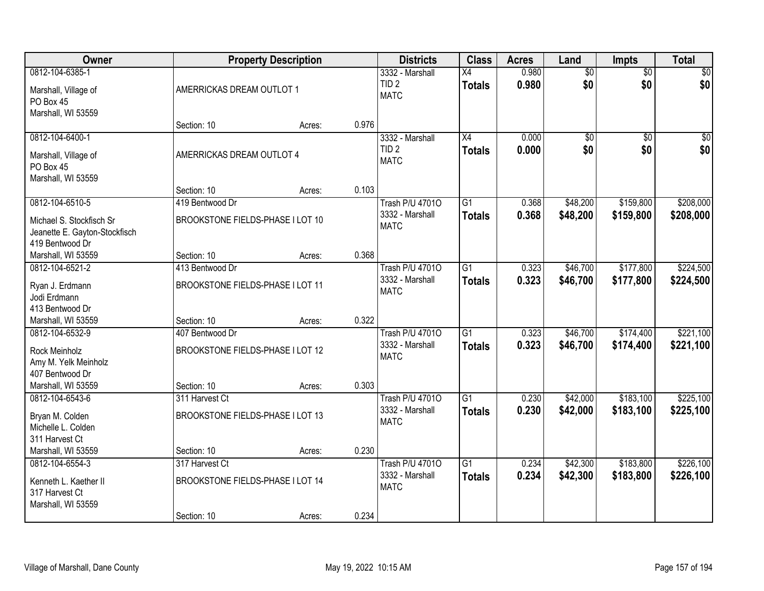| <b>Owner</b>                                                                                      |                                                                    | <b>Property Description</b> |       | <b>Districts</b>                                         | <b>Class</b>                     | <b>Acres</b>   | Land                   | <b>Impts</b>           | <b>Total</b>           |
|---------------------------------------------------------------------------------------------------|--------------------------------------------------------------------|-----------------------------|-------|----------------------------------------------------------|----------------------------------|----------------|------------------------|------------------------|------------------------|
| 0812-104-6385-1<br>Marshall, Village of<br>PO Box 45<br>Marshall, WI 53559                        | AMERRICKAS DREAM OUTLOT 1                                          |                             |       | 3332 - Marshall<br>TID <sub>2</sub><br><b>MATC</b>       | X4<br><b>Totals</b>              | 0.980<br>0.980 | $\overline{50}$<br>\$0 | $\overline{50}$<br>\$0 | $\sqrt{50}$<br>\$0     |
|                                                                                                   | Section: 10                                                        | Acres:                      | 0.976 |                                                          |                                  |                |                        |                        |                        |
| 0812-104-6400-1<br>Marshall, Village of<br>PO Box 45<br>Marshall, WI 53559                        | AMERRICKAS DREAM OUTLOT 4                                          |                             |       | 3332 - Marshall<br>TID <sub>2</sub><br><b>MATC</b>       | X4<br><b>Totals</b>              | 0.000<br>0.000 | $\overline{50}$<br>\$0 | $\overline{50}$<br>\$0 | $\sqrt{50}$<br>\$0     |
|                                                                                                   | Section: 10                                                        | Acres:                      | 0.103 |                                                          |                                  |                |                        |                        |                        |
| 0812-104-6510-5<br>Michael S. Stockfisch Sr<br>Jeanette E. Gayton-Stockfisch<br>419 Bentwood Dr   | 419 Bentwood Dr<br>BROOKSTONE FIELDS-PHASE I LOT 10                |                             |       | Trash P/U 47010<br>3332 - Marshall<br><b>MATC</b>        | $\overline{G1}$<br><b>Totals</b> | 0.368<br>0.368 | \$48,200<br>\$48,200   | \$159,800<br>\$159,800 | \$208,000<br>\$208,000 |
| Marshall, WI 53559                                                                                | Section: 10                                                        | Acres:                      | 0.368 |                                                          |                                  |                |                        |                        |                        |
| 0812-104-6521-2<br>Ryan J. Erdmann<br>Jodi Erdmann<br>413 Bentwood Dr                             | 413 Bentwood Dr<br>BROOKSTONE FIELDS-PHASE I LOT 11                |                             |       | <b>Trash P/U 47010</b><br>3332 - Marshall<br><b>MATC</b> | $\overline{G1}$<br><b>Totals</b> | 0.323<br>0.323 | \$46,700<br>\$46,700   | \$177,800<br>\$177,800 | \$224,500<br>\$224,500 |
| Marshall, WI 53559                                                                                | Section: 10                                                        | Acres:                      | 0.322 |                                                          |                                  |                |                        |                        |                        |
| 0812-104-6532-9<br>Rock Meinholz<br>Amy M. Yelk Meinholz<br>407 Bentwood Dr<br>Marshall, WI 53559 | 407 Bentwood Dr<br>BROOKSTONE FIELDS-PHASE I LOT 12<br>Section: 10 | Acres:                      | 0.303 | <b>Trash P/U 47010</b><br>3332 - Marshall<br><b>MATC</b> | $\overline{G1}$<br><b>Totals</b> | 0.323<br>0.323 | \$46,700<br>\$46,700   | \$174,400<br>\$174,400 | \$221,100<br>\$221,100 |
| 0812-104-6543-6                                                                                   | 311 Harvest Ct                                                     |                             |       | <b>Trash P/U 47010</b>                                   | $\overline{G1}$                  | 0.230          | \$42,000               | \$183,100              | \$225,100              |
| Bryan M. Colden<br>Michelle L. Colden<br>311 Harvest Ct                                           | BROOKSTONE FIELDS-PHASE I LOT 13                                   |                             |       | 3332 - Marshall<br><b>MATC</b>                           | <b>Totals</b>                    | 0.230          | \$42,000               | \$183,100              | \$225,100              |
| Marshall, WI 53559                                                                                | Section: 10                                                        | Acres:                      | 0.230 |                                                          |                                  |                |                        |                        |                        |
| 0812-104-6554-3<br>Kenneth L. Kaether II<br>317 Harvest Ct<br>Marshall, WI 53559                  | 317 Harvest Ct<br>BROOKSTONE FIELDS-PHASE I LOT 14<br>Section: 10  | Acres:                      | 0.234 | <b>Trash P/U 47010</b><br>3332 - Marshall<br><b>MATC</b> | $\overline{G1}$<br><b>Totals</b> | 0.234<br>0.234 | \$42,300<br>\$42,300   | \$183,800<br>\$183,800 | \$226,100<br>\$226,100 |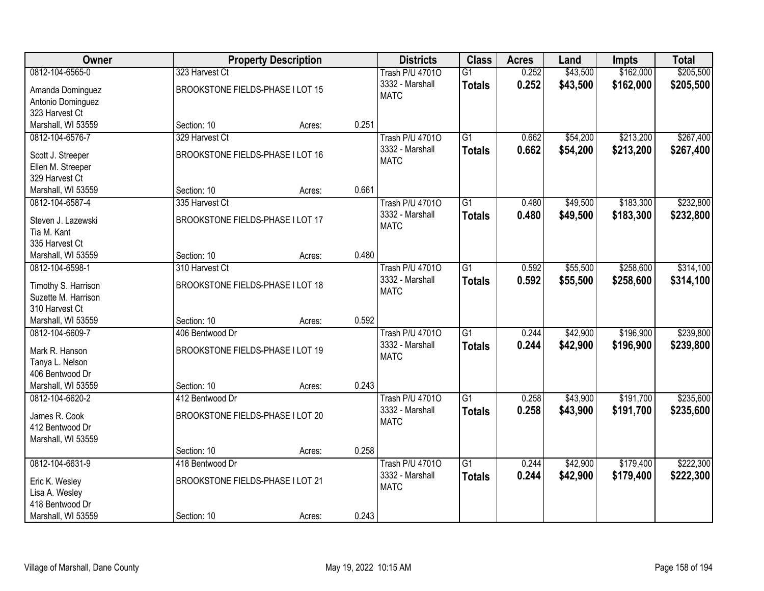| <b>Owner</b>                  |                                  | <b>Property Description</b> |       | <b>Districts</b>       | <b>Class</b>    | <b>Acres</b> | Land     | Impts     | <b>Total</b> |
|-------------------------------|----------------------------------|-----------------------------|-------|------------------------|-----------------|--------------|----------|-----------|--------------|
| 0812-104-6565-0               | 323 Harvest Ct                   |                             |       | <b>Trash P/U 47010</b> | $\overline{G1}$ | 0.252        | \$43,500 | \$162,000 | \$205,500    |
| Amanda Dominguez              | BROOKSTONE FIELDS-PHASE I LOT 15 |                             |       | 3332 - Marshall        | <b>Totals</b>   | 0.252        | \$43,500 | \$162,000 | \$205,500    |
| Antonio Dominguez             |                                  |                             |       | <b>MATC</b>            |                 |              |          |           |              |
| 323 Harvest Ct                |                                  |                             |       |                        |                 |              |          |           |              |
| Marshall, WI 53559            | Section: 10                      | Acres:                      | 0.251 |                        |                 |              |          |           |              |
| 0812-104-6576-7               | 329 Harvest Ct                   |                             |       | <b>Trash P/U 47010</b> | $\overline{G1}$ | 0.662        | \$54,200 | \$213,200 | \$267,400    |
| Scott J. Streeper             | BROOKSTONE FIELDS-PHASE I LOT 16 |                             |       | 3332 - Marshall        | <b>Totals</b>   | 0.662        | \$54,200 | \$213,200 | \$267,400    |
| Ellen M. Streeper             |                                  |                             |       | <b>MATC</b>            |                 |              |          |           |              |
| 329 Harvest Ct                |                                  |                             |       |                        |                 |              |          |           |              |
| Marshall, WI 53559            | Section: 10                      | Acres:                      | 0.661 |                        |                 |              |          |           |              |
| 0812-104-6587-4               | 335 Harvest Ct                   |                             |       | <b>Trash P/U 47010</b> | $\overline{G1}$ | 0.480        | \$49,500 | \$183,300 | \$232,800    |
|                               |                                  |                             |       | 3332 - Marshall        | <b>Totals</b>   | 0.480        | \$49,500 | \$183,300 | \$232,800    |
| Steven J. Lazewski            | BROOKSTONE FIELDS-PHASE I LOT 17 |                             |       | <b>MATC</b>            |                 |              |          |           |              |
| Tia M. Kant<br>335 Harvest Ct |                                  |                             |       |                        |                 |              |          |           |              |
| Marshall, WI 53559            | Section: 10                      | Acres:                      | 0.480 |                        |                 |              |          |           |              |
| 0812-104-6598-1               | 310 Harvest Ct                   |                             |       | <b>Trash P/U 47010</b> | $\overline{G1}$ | 0.592        | \$55,500 | \$258,600 | \$314,100    |
|                               |                                  |                             |       | 3332 - Marshall        | <b>Totals</b>   | 0.592        | \$55,500 | \$258,600 | \$314,100    |
| Timothy S. Harrison           | BROOKSTONE FIELDS-PHASE I LOT 18 |                             |       | <b>MATC</b>            |                 |              |          |           |              |
| Suzette M. Harrison           |                                  |                             |       |                        |                 |              |          |           |              |
| 310 Harvest Ct                |                                  |                             |       |                        |                 |              |          |           |              |
| Marshall, WI 53559            | Section: 10                      | Acres:                      | 0.592 |                        |                 |              |          |           |              |
| 0812-104-6609-7               | 406 Bentwood Dr                  |                             |       | <b>Trash P/U 47010</b> | $\overline{G1}$ | 0.244        | \$42,900 | \$196,900 | \$239,800    |
| Mark R. Hanson                | BROOKSTONE FIELDS-PHASE I LOT 19 |                             |       | 3332 - Marshall        | <b>Totals</b>   | 0.244        | \$42,900 | \$196,900 | \$239,800    |
| Tanya L. Nelson               |                                  |                             |       | <b>MATC</b>            |                 |              |          |           |              |
| 406 Bentwood Dr               |                                  |                             |       |                        |                 |              |          |           |              |
| Marshall, WI 53559            | Section: 10                      | Acres:                      | 0.243 |                        |                 |              |          |           |              |
| 0812-104-6620-2               | 412 Bentwood Dr                  |                             |       | <b>Trash P/U 47010</b> | $\overline{G1}$ | 0.258        | \$43,900 | \$191,700 | \$235,600    |
| James R. Cook                 | BROOKSTONE FIELDS-PHASE I LOT 20 |                             |       | 3332 - Marshall        | <b>Totals</b>   | 0.258        | \$43,900 | \$191,700 | \$235,600    |
| 412 Bentwood Dr               |                                  |                             |       | <b>MATC</b>            |                 |              |          |           |              |
| Marshall, WI 53559            |                                  |                             |       |                        |                 |              |          |           |              |
|                               | Section: 10                      | Acres:                      | 0.258 |                        |                 |              |          |           |              |
| 0812-104-6631-9               | 418 Bentwood Dr                  |                             |       | <b>Trash P/U 47010</b> | $\overline{G1}$ | 0.244        | \$42,900 | \$179,400 | \$222,300    |
| Eric K. Wesley                | BROOKSTONE FIELDS-PHASE I LOT 21 |                             |       | 3332 - Marshall        | <b>Totals</b>   | 0.244        | \$42,900 | \$179,400 | \$222,300    |
| Lisa A. Wesley                |                                  |                             |       | <b>MATC</b>            |                 |              |          |           |              |
| 418 Bentwood Dr               |                                  |                             |       |                        |                 |              |          |           |              |
| Marshall, WI 53559            | Section: 10                      | Acres:                      | 0.243 |                        |                 |              |          |           |              |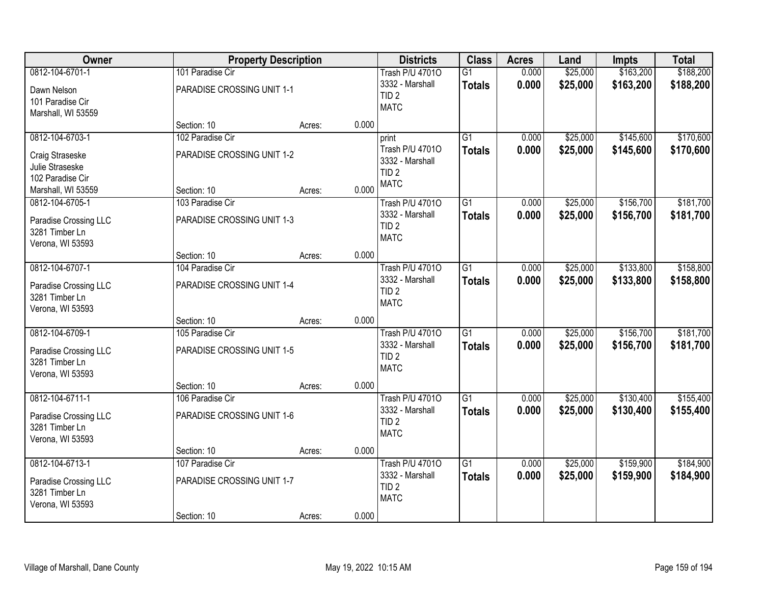| <b>Owner</b>                                                                                    | <b>Property Description</b>                                   |                 | <b>Districts</b>                                                               | <b>Class</b>                     | <b>Acres</b>   | Land                 | <b>Impts</b>           | <b>Total</b>           |
|-------------------------------------------------------------------------------------------------|---------------------------------------------------------------|-----------------|--------------------------------------------------------------------------------|----------------------------------|----------------|----------------------|------------------------|------------------------|
| 0812-104-6701-1<br>Dawn Nelson<br>101 Paradise Cir<br>Marshall, WI 53559                        | 101 Paradise Cir<br>PARADISE CROSSING UNIT 1-1                |                 | <b>Trash P/U 47010</b><br>3332 - Marshall<br>TID <sub>2</sub><br><b>MATC</b>   | G1<br><b>Totals</b>              | 0.000<br>0.000 | \$25,000<br>\$25,000 | \$163,200<br>\$163,200 | \$188,200<br>\$188,200 |
|                                                                                                 | Section: 10                                                   | 0.000<br>Acres: |                                                                                |                                  |                |                      |                        |                        |
| 0812-104-6703-1<br>Craig Straseske<br>Julie Straseske<br>102 Paradise Cir<br>Marshall, WI 53559 | 102 Paradise Cir<br>PARADISE CROSSING UNIT 1-2<br>Section: 10 | 0.000<br>Acres: | print<br>Trash P/U 47010<br>3332 - Marshall<br>TID <sub>2</sub><br><b>MATC</b> | $\overline{G1}$<br><b>Totals</b> | 0.000<br>0.000 | \$25,000<br>\$25,000 | \$145,600<br>\$145,600 | \$170,600<br>\$170,600 |
| 0812-104-6705-1<br>Paradise Crossing LLC<br>3281 Timber Ln<br>Verona, WI 53593                  | 103 Paradise Cir<br>PARADISE CROSSING UNIT 1-3                |                 | <b>Trash P/U 47010</b><br>3332 - Marshall<br>TID <sub>2</sub><br><b>MATC</b>   | G1<br><b>Totals</b>              | 0.000<br>0.000 | \$25,000<br>\$25,000 | \$156,700<br>\$156,700 | \$181,700<br>\$181,700 |
|                                                                                                 | Section: 10                                                   | 0.000<br>Acres: |                                                                                |                                  |                |                      |                        |                        |
| 0812-104-6707-1<br>Paradise Crossing LLC<br>3281 Timber Ln<br>Verona, WI 53593                  | 104 Paradise Cir<br>PARADISE CROSSING UNIT 1-4                |                 | <b>Trash P/U 47010</b><br>3332 - Marshall<br>TID <sub>2</sub><br><b>MATC</b>   | $\overline{G1}$<br><b>Totals</b> | 0.000<br>0.000 | \$25,000<br>\$25,000 | \$133,800<br>\$133,800 | \$158,800<br>\$158,800 |
|                                                                                                 | Section: 10                                                   | 0.000<br>Acres: |                                                                                |                                  |                |                      |                        |                        |
| 0812-104-6709-1<br>Paradise Crossing LLC<br>3281 Timber Ln<br>Verona, WI 53593                  | 105 Paradise Cir<br>PARADISE CROSSING UNIT 1-5                |                 | <b>Trash P/U 47010</b><br>3332 - Marshall<br>TID <sub>2</sub><br><b>MATC</b>   | $\overline{G1}$<br><b>Totals</b> | 0.000<br>0.000 | \$25,000<br>\$25,000 | \$156,700<br>\$156,700 | \$181,700<br>\$181,700 |
| 0812-104-6711-1                                                                                 | Section: 10<br>106 Paradise Cir                               | 0.000<br>Acres: | <b>Trash P/U 47010</b>                                                         | $\overline{G1}$                  | 0.000          | \$25,000             | \$130,400              | \$155,400              |
| Paradise Crossing LLC<br>3281 Timber Ln<br>Verona, WI 53593                                     | PARADISE CROSSING UNIT 1-6                                    |                 | 3332 - Marshall<br>TID <sub>2</sub><br><b>MATC</b>                             | <b>Totals</b>                    | 0.000          | \$25,000             | \$130,400              | \$155,400              |
|                                                                                                 | Section: 10                                                   | 0.000<br>Acres: |                                                                                |                                  |                |                      |                        |                        |
| 0812-104-6713-1<br>Paradise Crossing LLC<br>3281 Timber Ln<br>Verona, WI 53593                  | 107 Paradise Cir<br>PARADISE CROSSING UNIT 1-7<br>Section: 10 | 0.000<br>Acres: | <b>Trash P/U 47010</b><br>3332 - Marshall<br>TID <sub>2</sub><br><b>MATC</b>   | $\overline{G1}$<br><b>Totals</b> | 0.000<br>0.000 | \$25,000<br>\$25,000 | \$159,900<br>\$159,900 | \$184,900<br>\$184,900 |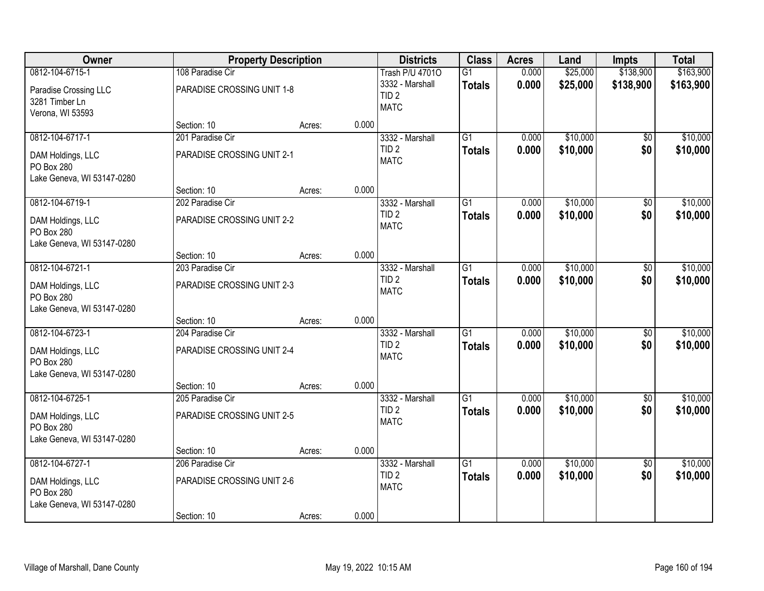| Owner                           | <b>Property Description</b> |        |       | <b>Districts</b>                    | <b>Class</b>    | <b>Acres</b> | Land     | <b>Impts</b>    | <b>Total</b> |
|---------------------------------|-----------------------------|--------|-------|-------------------------------------|-----------------|--------------|----------|-----------------|--------------|
| 0812-104-6715-1                 | 108 Paradise Cir            |        |       | <b>Trash P/U 47010</b>              | $\overline{G1}$ | 0.000        | \$25,000 | \$138,900       | \$163,900    |
| Paradise Crossing LLC           | PARADISE CROSSING UNIT 1-8  |        |       | 3332 - Marshall                     | <b>Totals</b>   | 0.000        | \$25,000 | \$138,900       | \$163,900    |
| 3281 Timber Ln                  |                             |        |       | TID <sub>2</sub><br><b>MATC</b>     |                 |              |          |                 |              |
| Verona, WI 53593                |                             |        |       |                                     |                 |              |          |                 |              |
|                                 | Section: 10                 | Acres: | 0.000 |                                     |                 |              |          |                 |              |
| 0812-104-6717-1                 | 201 Paradise Cir            |        |       | 3332 - Marshall<br>TID <sub>2</sub> | $\overline{G1}$ | 0.000        | \$10,000 | $\overline{50}$ | \$10,000     |
| DAM Holdings, LLC               | PARADISE CROSSING UNIT 2-1  |        |       | <b>MATC</b>                         | <b>Totals</b>   | 0.000        | \$10,000 | \$0             | \$10,000     |
| PO Box 280                      |                             |        |       |                                     |                 |              |          |                 |              |
| Lake Geneva, WI 53147-0280      | Section: 10                 | Acres: | 0.000 |                                     |                 |              |          |                 |              |
| 0812-104-6719-1                 | 202 Paradise Cir            |        |       | 3332 - Marshall                     | $\overline{G1}$ | 0.000        | \$10,000 | \$0             | \$10,000     |
|                                 |                             |        |       | TID <sub>2</sub>                    | <b>Totals</b>   | 0.000        | \$10,000 | \$0             | \$10,000     |
| DAM Holdings, LLC<br>PO Box 280 | PARADISE CROSSING UNIT 2-2  |        |       | <b>MATC</b>                         |                 |              |          |                 |              |
| Lake Geneva, WI 53147-0280      |                             |        |       |                                     |                 |              |          |                 |              |
|                                 | Section: 10                 | Acres: | 0.000 |                                     |                 |              |          |                 |              |
| 0812-104-6721-1                 | 203 Paradise Cir            |        |       | 3332 - Marshall                     | $\overline{G1}$ | 0.000        | \$10,000 | \$0             | \$10,000     |
| DAM Holdings, LLC               | PARADISE CROSSING UNIT 2-3  |        |       | TID <sub>2</sub>                    | <b>Totals</b>   | 0.000        | \$10,000 | \$0             | \$10,000     |
| PO Box 280                      |                             |        |       | <b>MATC</b>                         |                 |              |          |                 |              |
| Lake Geneva, WI 53147-0280      |                             |        |       |                                     |                 |              |          |                 |              |
|                                 | Section: 10                 | Acres: | 0.000 |                                     |                 |              |          |                 |              |
| 0812-104-6723-1                 | 204 Paradise Cir            |        |       | 3332 - Marshall                     | $\overline{G1}$ | 0.000        | \$10,000 | \$0             | \$10,000     |
| DAM Holdings, LLC               | PARADISE CROSSING UNIT 2-4  |        |       | TID <sub>2</sub><br><b>MATC</b>     | <b>Totals</b>   | 0.000        | \$10,000 | \$0             | \$10,000     |
| PO Box 280                      |                             |        |       |                                     |                 |              |          |                 |              |
| Lake Geneva, WI 53147-0280      | Section: 10                 |        | 0.000 |                                     |                 |              |          |                 |              |
| 0812-104-6725-1                 | 205 Paradise Cir            | Acres: |       | 3332 - Marshall                     | $\overline{G1}$ | 0.000        | \$10,000 | $\sqrt{6}$      | \$10,000     |
|                                 |                             |        |       | TID <sub>2</sub>                    | <b>Totals</b>   | 0.000        | \$10,000 | \$0             | \$10,000     |
| DAM Holdings, LLC<br>PO Box 280 | PARADISE CROSSING UNIT 2-5  |        |       | <b>MATC</b>                         |                 |              |          |                 |              |
| Lake Geneva, WI 53147-0280      |                             |        |       |                                     |                 |              |          |                 |              |
|                                 | Section: 10                 | Acres: | 0.000 |                                     |                 |              |          |                 |              |
| 0812-104-6727-1                 | 206 Paradise Cir            |        |       | 3332 - Marshall                     | $\overline{G1}$ | 0.000        | \$10,000 | $\overline{30}$ | \$10,000     |
| DAM Holdings, LLC               | PARADISE CROSSING UNIT 2-6  |        |       | TID <sub>2</sub>                    | <b>Totals</b>   | 0.000        | \$10,000 | \$0             | \$10,000     |
| PO Box 280                      |                             |        |       | <b>MATC</b>                         |                 |              |          |                 |              |
| Lake Geneva, WI 53147-0280      |                             |        |       |                                     |                 |              |          |                 |              |
|                                 | Section: 10                 | Acres: | 0.000 |                                     |                 |              |          |                 |              |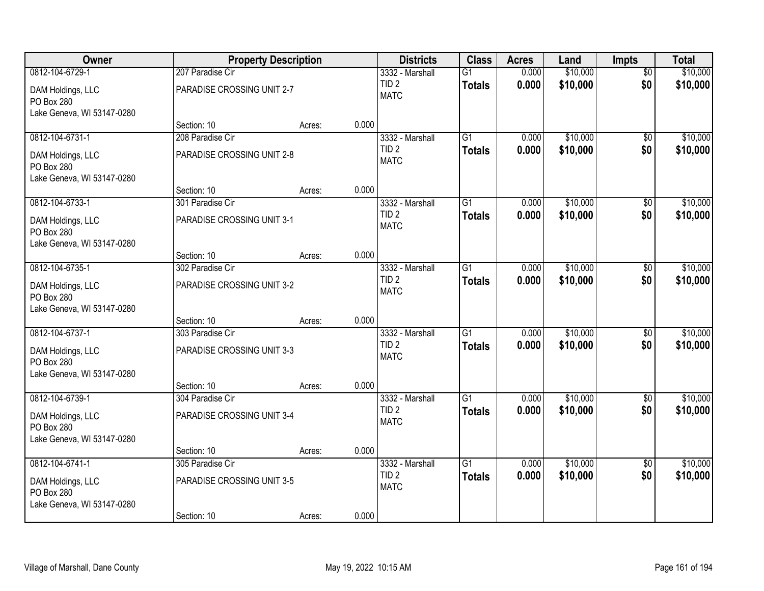| Owner                                                         |                            | <b>Property Description</b> |       | <b>Districts</b>                    | <b>Class</b>    | <b>Acres</b> | Land                 | <b>Impts</b>    | <b>Total</b> |
|---------------------------------------------------------------|----------------------------|-----------------------------|-------|-------------------------------------|-----------------|--------------|----------------------|-----------------|--------------|
| 0812-104-6729-1                                               | 207 Paradise Cir           |                             |       | 3332 - Marshall                     | $\overline{G1}$ | 0.000        | \$10,000             | $\overline{50}$ | \$10,000     |
| DAM Holdings, LLC<br>PO Box 280                               | PARADISE CROSSING UNIT 2-7 |                             |       | TID <sub>2</sub><br><b>MATC</b>     | <b>Totals</b>   | 0.000        | \$10,000             | \$0             | \$10,000     |
| Lake Geneva, WI 53147-0280                                    |                            |                             |       |                                     |                 |              |                      |                 |              |
|                                                               | Section: 10                | Acres:                      | 0.000 |                                     |                 |              |                      |                 |              |
| 0812-104-6731-1                                               | 208 Paradise Cir           |                             |       | 3332 - Marshall<br>TID <sub>2</sub> | $\overline{G1}$ | 0.000        | \$10,000             | $\overline{30}$ | \$10,000     |
| DAM Holdings, LLC<br>PO Box 280<br>Lake Geneva, WI 53147-0280 | PARADISE CROSSING UNIT 2-8 |                             |       | <b>MATC</b>                         | <b>Totals</b>   | 0.000        | \$10,000             | \$0             | \$10,000     |
|                                                               | Section: 10                | Acres:                      | 0.000 |                                     |                 |              |                      |                 |              |
| 0812-104-6733-1                                               | 301 Paradise Cir           |                             |       | 3332 - Marshall                     | $\overline{G1}$ | 0.000        | \$10,000             | \$0             | \$10,000     |
| DAM Holdings, LLC<br>PO Box 280                               | PARADISE CROSSING UNIT 3-1 |                             |       | TID <sub>2</sub><br><b>MATC</b>     | <b>Totals</b>   | 0.000        | \$10,000             | \$0             | \$10,000     |
| Lake Geneva, WI 53147-0280                                    | Section: 10                | Acres:                      | 0.000 |                                     |                 |              |                      |                 |              |
| 0812-104-6735-1                                               | 302 Paradise Cir           |                             |       | 3332 - Marshall                     | $\overline{G1}$ | 0.000        | \$10,000             | \$0             | \$10,000     |
| DAM Holdings, LLC<br>PO Box 280                               | PARADISE CROSSING UNIT 3-2 |                             |       | TID <sub>2</sub><br><b>MATC</b>     | <b>Totals</b>   | 0.000        | \$10,000             | \$0             | \$10,000     |
| Lake Geneva, WI 53147-0280                                    |                            |                             |       |                                     |                 |              |                      |                 |              |
|                                                               | Section: 10                | Acres:                      | 0.000 |                                     | $\overline{G1}$ |              |                      |                 |              |
| 0812-104-6737-1                                               | 303 Paradise Cir           |                             |       | 3332 - Marshall<br>TID <sub>2</sub> |                 | 0.000        | \$10,000<br>\$10,000 | \$0<br>\$0      | \$10,000     |
| DAM Holdings, LLC<br>PO Box 280<br>Lake Geneva, WI 53147-0280 | PARADISE CROSSING UNIT 3-3 |                             |       | <b>MATC</b>                         | <b>Totals</b>   | 0.000        |                      |                 | \$10,000     |
|                                                               | Section: 10                | Acres:                      | 0.000 |                                     |                 |              |                      |                 |              |
| 0812-104-6739-1                                               | 304 Paradise Cir           |                             |       | 3332 - Marshall                     | $\overline{G1}$ | 0.000        | \$10,000             | \$0             | \$10,000     |
| DAM Holdings, LLC<br>PO Box 280                               | PARADISE CROSSING UNIT 3-4 |                             |       | TID <sub>2</sub><br><b>MATC</b>     | <b>Totals</b>   | 0.000        | \$10,000             | \$0             | \$10,000     |
| Lake Geneva, WI 53147-0280                                    | Section: 10                | Acres:                      | 0.000 |                                     |                 |              |                      |                 |              |
| 0812-104-6741-1                                               | 305 Paradise Cir           |                             |       | 3332 - Marshall                     | $\overline{G1}$ | 0.000        | \$10,000             | $\overline{50}$ | \$10,000     |
| DAM Holdings, LLC<br>PO Box 280                               | PARADISE CROSSING UNIT 3-5 |                             |       | TID <sub>2</sub><br><b>MATC</b>     | <b>Totals</b>   | 0.000        | \$10,000             | \$0             | \$10,000     |
| Lake Geneva, WI 53147-0280                                    | Section: 10                | Acres:                      | 0.000 |                                     |                 |              |                      |                 |              |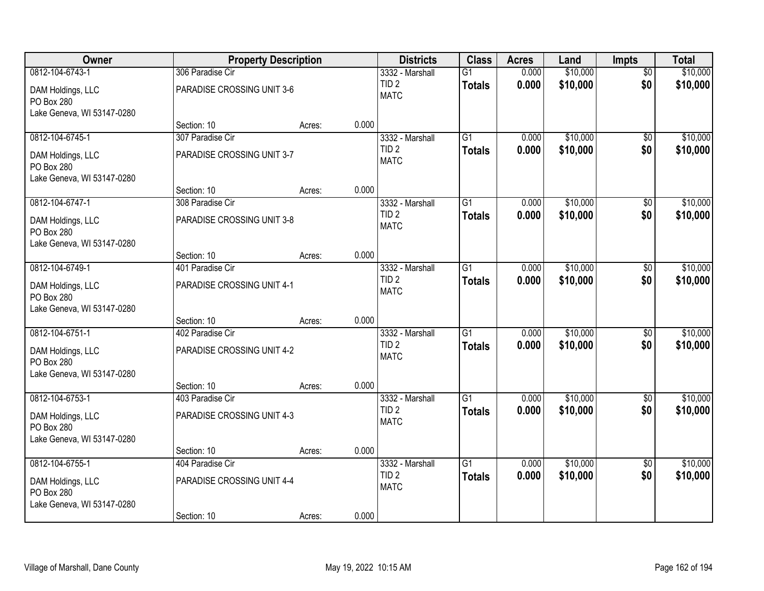| Owner                                                         | <b>Property Description</b> |        |       | <b>Districts</b>                    | <b>Class</b>    | <b>Acres</b> | Land     | <b>Impts</b>    | <b>Total</b> |
|---------------------------------------------------------------|-----------------------------|--------|-------|-------------------------------------|-----------------|--------------|----------|-----------------|--------------|
| 0812-104-6743-1                                               | 306 Paradise Cir            |        |       | 3332 - Marshall                     | $\overline{G1}$ | 0.000        | \$10,000 | $\overline{50}$ | \$10,000     |
| DAM Holdings, LLC<br>PO Box 280                               | PARADISE CROSSING UNIT 3-6  |        |       | TID <sub>2</sub><br><b>MATC</b>     | <b>Totals</b>   | 0.000        | \$10,000 | \$0             | \$10,000     |
| Lake Geneva, WI 53147-0280                                    |                             |        |       |                                     |                 |              |          |                 |              |
|                                                               | Section: 10                 | Acres: | 0.000 |                                     |                 |              |          |                 |              |
| 0812-104-6745-1                                               | 307 Paradise Cir            |        |       | 3332 - Marshall<br>TID <sub>2</sub> | $\overline{G1}$ | 0.000        | \$10,000 | $\overline{30}$ | \$10,000     |
| DAM Holdings, LLC<br>PO Box 280<br>Lake Geneva, WI 53147-0280 | PARADISE CROSSING UNIT 3-7  |        |       | <b>MATC</b>                         | <b>Totals</b>   | 0.000        | \$10,000 | \$0             | \$10,000     |
|                                                               | Section: 10                 | Acres: | 0.000 |                                     |                 |              |          |                 |              |
| 0812-104-6747-1                                               | 308 Paradise Cir            |        |       | 3332 - Marshall                     | $\overline{G1}$ | 0.000        | \$10,000 | \$0             | \$10,000     |
| DAM Holdings, LLC<br>PO Box 280                               | PARADISE CROSSING UNIT 3-8  |        |       | TID <sub>2</sub><br><b>MATC</b>     | <b>Totals</b>   | 0.000        | \$10,000 | \$0             | \$10,000     |
| Lake Geneva, WI 53147-0280                                    | Section: 10                 | Acres: | 0.000 |                                     |                 |              |          |                 |              |
| 0812-104-6749-1                                               | 401 Paradise Cir            |        |       | 3332 - Marshall                     | $\overline{G1}$ | 0.000        | \$10,000 | \$0             | \$10,000     |
|                                                               |                             |        |       | TID <sub>2</sub>                    | <b>Totals</b>   | 0.000        | \$10,000 | \$0             | \$10,000     |
| DAM Holdings, LLC<br>PO Box 280                               | PARADISE CROSSING UNIT 4-1  |        |       | <b>MATC</b>                         |                 |              |          |                 |              |
| Lake Geneva, WI 53147-0280                                    |                             |        |       |                                     |                 |              |          |                 |              |
|                                                               | Section: 10                 | Acres: | 0.000 |                                     |                 |              |          |                 |              |
| 0812-104-6751-1                                               | 402 Paradise Cir            |        |       | 3332 - Marshall                     | $\overline{G1}$ | 0.000        | \$10,000 | \$0             | \$10,000     |
| DAM Holdings, LLC                                             | PARADISE CROSSING UNIT 4-2  |        |       | TID <sub>2</sub>                    | <b>Totals</b>   | 0.000        | \$10,000 | \$0             | \$10,000     |
| PO Box 280                                                    |                             |        |       | <b>MATC</b>                         |                 |              |          |                 |              |
| Lake Geneva, WI 53147-0280                                    |                             |        |       |                                     |                 |              |          |                 |              |
|                                                               | Section: 10                 | Acres: | 0.000 |                                     |                 |              |          |                 |              |
| 0812-104-6753-1                                               | 403 Paradise Cir            |        |       | 3332 - Marshall                     | $\overline{G1}$ | 0.000        | \$10,000 | \$0             | \$10,000     |
| DAM Holdings, LLC<br>PO Box 280                               | PARADISE CROSSING UNIT 4-3  |        |       | TID <sub>2</sub><br><b>MATC</b>     | <b>Totals</b>   | 0.000        | \$10,000 | \$0             | \$10,000     |
| Lake Geneva, WI 53147-0280                                    |                             |        |       |                                     |                 |              |          |                 |              |
|                                                               | Section: 10                 | Acres: | 0.000 |                                     |                 |              |          |                 |              |
| 0812-104-6755-1                                               | 404 Paradise Cir            |        |       | 3332 - Marshall                     | $\overline{G1}$ | 0.000        | \$10,000 | $\overline{50}$ | \$10,000     |
| DAM Holdings, LLC<br>PO Box 280                               | PARADISE CROSSING UNIT 4-4  |        |       | TID <sub>2</sub><br><b>MATC</b>     | <b>Totals</b>   | 0.000        | \$10,000 | \$0             | \$10,000     |
| Lake Geneva, WI 53147-0280                                    |                             |        |       |                                     |                 |              |          |                 |              |
|                                                               | Section: 10                 | Acres: | 0.000 |                                     |                 |              |          |                 |              |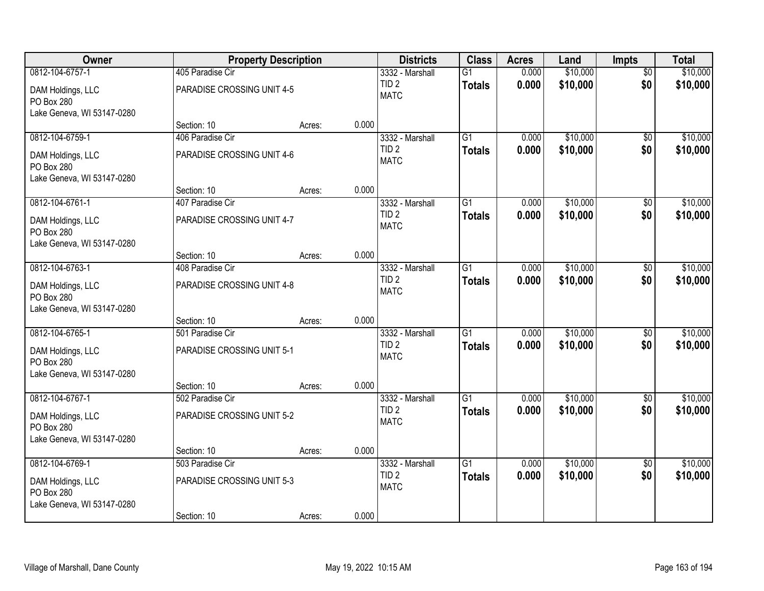| Owner                                                         | <b>Property Description</b>     |        |       | <b>Districts</b>                    | <b>Class</b>    | <b>Acres</b> | Land     | <b>Impts</b>    | <b>Total</b> |
|---------------------------------------------------------------|---------------------------------|--------|-------|-------------------------------------|-----------------|--------------|----------|-----------------|--------------|
| 0812-104-6757-1                                               | 405 Paradise Cir                |        |       | 3332 - Marshall                     | $\overline{G1}$ | 0.000        | \$10,000 | $\overline{50}$ | \$10,000     |
| DAM Holdings, LLC<br>PO Box 280                               | PARADISE CROSSING UNIT 4-5      |        |       | TID <sub>2</sub><br><b>MATC</b>     | <b>Totals</b>   | 0.000        | \$10,000 | \$0             | \$10,000     |
| Lake Geneva, WI 53147-0280                                    |                                 |        |       |                                     |                 |              |          |                 |              |
|                                                               | Section: 10                     | Acres: | 0.000 |                                     |                 |              |          |                 |              |
| 0812-104-6759-1                                               | 406 Paradise Cir                |        |       | 3332 - Marshall<br>TID <sub>2</sub> | $\overline{G1}$ | 0.000        | \$10,000 | $\overline{30}$ | \$10,000     |
| DAM Holdings, LLC<br>PO Box 280<br>Lake Geneva, WI 53147-0280 | PARADISE CROSSING UNIT 4-6      |        |       | <b>MATC</b>                         | <b>Totals</b>   | 0.000        | \$10,000 | \$0             | \$10,000     |
|                                                               | Section: 10                     | Acres: | 0.000 |                                     |                 |              |          |                 |              |
| 0812-104-6761-1                                               | 407 Paradise Cir                |        |       | 3332 - Marshall                     | $\overline{G1}$ | 0.000        | \$10,000 | \$0             | \$10,000     |
| DAM Holdings, LLC<br>PO Box 280                               | PARADISE CROSSING UNIT 4-7      |        |       | TID <sub>2</sub><br><b>MATC</b>     | <b>Totals</b>   | 0.000        | \$10,000 | \$0             | \$10,000     |
| Lake Geneva, WI 53147-0280                                    | Section: 10                     | Acres: | 0.000 |                                     |                 |              |          |                 |              |
| 0812-104-6763-1                                               | 408 Paradise Cir                |        |       | 3332 - Marshall                     | $\overline{G1}$ | 0.000        | \$10,000 | \$0             | \$10,000     |
| DAM Holdings, LLC<br>PO Box 280                               | PARADISE CROSSING UNIT 4-8      |        |       | TID <sub>2</sub><br><b>MATC</b>     | <b>Totals</b>   | 0.000        | \$10,000 | \$0             | \$10,000     |
| Lake Geneva, WI 53147-0280                                    |                                 |        |       |                                     |                 |              |          |                 |              |
| 0812-104-6765-1                                               | Section: 10<br>501 Paradise Cir | Acres: | 0.000 |                                     | $\overline{G1}$ | 0.000        | \$10,000 |                 | \$10,000     |
|                                                               |                                 |        |       | 3332 - Marshall<br>TID <sub>2</sub> | <b>Totals</b>   | 0.000        | \$10,000 | \$0<br>\$0      | \$10,000     |
| DAM Holdings, LLC<br>PO Box 280<br>Lake Geneva, WI 53147-0280 | PARADISE CROSSING UNIT 5-1      |        |       | <b>MATC</b>                         |                 |              |          |                 |              |
|                                                               | Section: 10                     | Acres: | 0.000 |                                     |                 |              |          |                 |              |
| 0812-104-6767-1                                               | 502 Paradise Cir                |        |       | 3332 - Marshall                     | $\overline{G1}$ | 0.000        | \$10,000 | \$0             | \$10,000     |
| DAM Holdings, LLC<br>PO Box 280                               | PARADISE CROSSING UNIT 5-2      |        |       | TID <sub>2</sub><br><b>MATC</b>     | <b>Totals</b>   | 0.000        | \$10,000 | \$0             | \$10,000     |
| Lake Geneva, WI 53147-0280                                    | Section: 10                     | Acres: | 0.000 |                                     |                 |              |          |                 |              |
| 0812-104-6769-1                                               | 503 Paradise Cir                |        |       | 3332 - Marshall                     | $\overline{G1}$ | 0.000        | \$10,000 | $\overline{50}$ | \$10,000     |
| DAM Holdings, LLC<br>PO Box 280                               | PARADISE CROSSING UNIT 5-3      |        |       | TID <sub>2</sub><br><b>MATC</b>     | <b>Totals</b>   | 0.000        | \$10,000 | \$0             | \$10,000     |
| Lake Geneva, WI 53147-0280                                    | Section: 10                     | Acres: | 0.000 |                                     |                 |              |          |                 |              |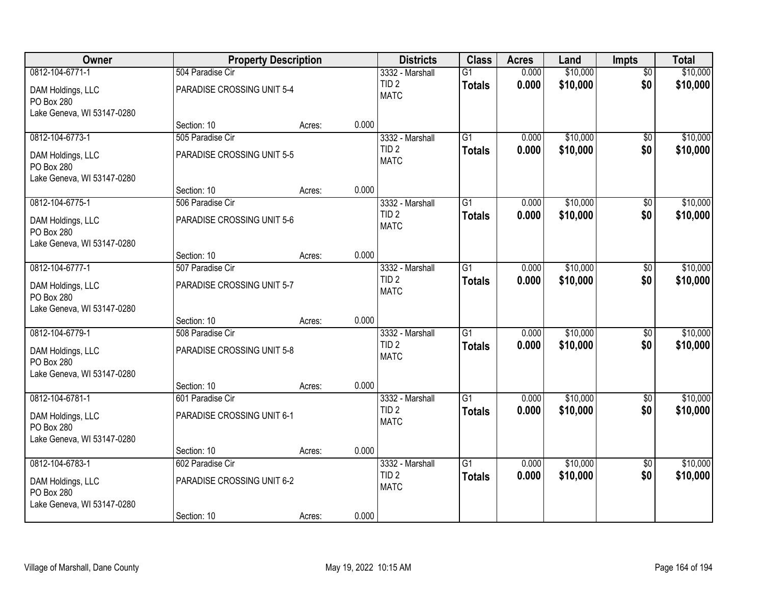| Owner                                                         | <b>Property Description</b> |        |       | <b>Districts</b>                    | <b>Class</b>    | <b>Acres</b> | Land     | <b>Impts</b>    | <b>Total</b> |
|---------------------------------------------------------------|-----------------------------|--------|-------|-------------------------------------|-----------------|--------------|----------|-----------------|--------------|
| 0812-104-6771-1                                               | 504 Paradise Cir            |        |       | 3332 - Marshall                     | $\overline{G1}$ | 0.000        | \$10,000 | $\overline{50}$ | \$10,000     |
| DAM Holdings, LLC<br>PO Box 280                               | PARADISE CROSSING UNIT 5-4  |        |       | TID <sub>2</sub><br><b>MATC</b>     | <b>Totals</b>   | 0.000        | \$10,000 | \$0             | \$10,000     |
| Lake Geneva, WI 53147-0280                                    |                             |        |       |                                     |                 |              |          |                 |              |
|                                                               | Section: 10                 | Acres: | 0.000 |                                     |                 |              |          |                 |              |
| 0812-104-6773-1                                               | 505 Paradise Cir            |        |       | 3332 - Marshall<br>TID <sub>2</sub> | $\overline{G1}$ | 0.000        | \$10,000 | $\overline{30}$ | \$10,000     |
| DAM Holdings, LLC<br>PO Box 280<br>Lake Geneva, WI 53147-0280 | PARADISE CROSSING UNIT 5-5  |        |       | <b>MATC</b>                         | <b>Totals</b>   | 0.000        | \$10,000 | \$0             | \$10,000     |
|                                                               | Section: 10                 | Acres: | 0.000 |                                     |                 |              |          |                 |              |
| 0812-104-6775-1                                               | 506 Paradise Cir            |        |       | 3332 - Marshall                     | $\overline{G1}$ | 0.000        | \$10,000 | \$0             | \$10,000     |
| DAM Holdings, LLC<br>PO Box 280                               | PARADISE CROSSING UNIT 5-6  |        |       | TID <sub>2</sub><br><b>MATC</b>     | <b>Totals</b>   | 0.000        | \$10,000 | \$0             | \$10,000     |
| Lake Geneva, WI 53147-0280                                    | Section: 10                 | Acres: | 0.000 |                                     |                 |              |          |                 |              |
| 0812-104-6777-1                                               | 507 Paradise Cir            |        |       | 3332 - Marshall                     | $\overline{G1}$ | 0.000        | \$10,000 | \$0             | \$10,000     |
| DAM Holdings, LLC<br>PO Box 280                               | PARADISE CROSSING UNIT 5-7  |        |       | TID <sub>2</sub><br><b>MATC</b>     | <b>Totals</b>   | 0.000        | \$10,000 | \$0             | \$10,000     |
| Lake Geneva, WI 53147-0280                                    |                             |        |       |                                     |                 |              |          |                 |              |
|                                                               | Section: 10                 | Acres: | 0.000 |                                     | $\overline{G1}$ |              |          |                 |              |
| 0812-104-6779-1                                               | 508 Paradise Cir            |        |       | 3332 - Marshall<br>TID <sub>2</sub> |                 | 0.000        | \$10,000 | \$0             | \$10,000     |
| DAM Holdings, LLC<br>PO Box 280<br>Lake Geneva, WI 53147-0280 | PARADISE CROSSING UNIT 5-8  |        |       | <b>MATC</b>                         | <b>Totals</b>   | 0.000        | \$10,000 | \$0             | \$10,000     |
|                                                               | Section: 10                 | Acres: | 0.000 |                                     |                 |              |          |                 |              |
| 0812-104-6781-1                                               | 601 Paradise Cir            |        |       | 3332 - Marshall                     | $\overline{G1}$ | 0.000        | \$10,000 | \$0             | \$10,000     |
| DAM Holdings, LLC<br>PO Box 280                               | PARADISE CROSSING UNIT 6-1  |        |       | TID <sub>2</sub><br><b>MATC</b>     | <b>Totals</b>   | 0.000        | \$10,000 | \$0             | \$10,000     |
| Lake Geneva, WI 53147-0280                                    | Section: 10                 | Acres: | 0.000 |                                     |                 |              |          |                 |              |
| 0812-104-6783-1                                               | 602 Paradise Cir            |        |       | 3332 - Marshall                     | $\overline{G1}$ | 0.000        | \$10,000 | $\overline{50}$ | \$10,000     |
| DAM Holdings, LLC<br>PO Box 280                               | PARADISE CROSSING UNIT 6-2  |        |       | TID <sub>2</sub><br><b>MATC</b>     | <b>Totals</b>   | 0.000        | \$10,000 | \$0             | \$10,000     |
| Lake Geneva, WI 53147-0280                                    | Section: 10                 | Acres: | 0.000 |                                     |                 |              |          |                 |              |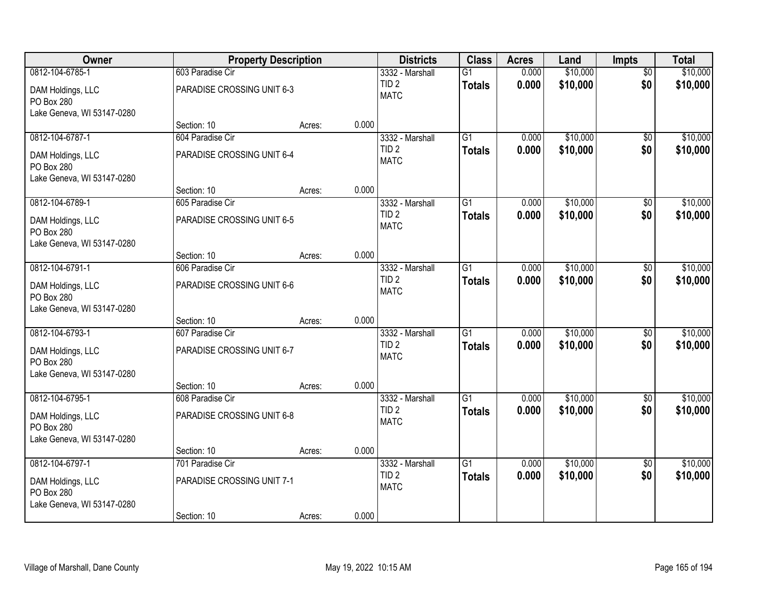| <b>Owner</b>                    |                            | <b>Property Description</b> |       | <b>Districts</b>                | <b>Class</b>    | <b>Acres</b> | Land     | <b>Impts</b>    | <b>Total</b> |
|---------------------------------|----------------------------|-----------------------------|-------|---------------------------------|-----------------|--------------|----------|-----------------|--------------|
| 0812-104-6785-1                 | 603 Paradise Cir           |                             |       | 3332 - Marshall                 | $\overline{G1}$ | 0.000        | \$10,000 | $\overline{50}$ | \$10,000     |
| DAM Holdings, LLC<br>PO Box 280 | PARADISE CROSSING UNIT 6-3 |                             |       | TID <sub>2</sub><br><b>MATC</b> | <b>Totals</b>   | 0.000        | \$10,000 | \$0             | \$10,000     |
| Lake Geneva, WI 53147-0280      |                            |                             |       |                                 |                 |              |          |                 |              |
|                                 | Section: 10                | Acres:                      | 0.000 |                                 |                 |              |          |                 |              |
| 0812-104-6787-1                 | 604 Paradise Cir           |                             |       | 3332 - Marshall                 | $\overline{G1}$ | 0.000        | \$10,000 | \$0             | \$10,000     |
| DAM Holdings, LLC<br>PO Box 280 | PARADISE CROSSING UNIT 6-4 |                             |       | TID <sub>2</sub><br><b>MATC</b> | <b>Totals</b>   | 0.000        | \$10,000 | \$0             | \$10,000     |
| Lake Geneva, WI 53147-0280      |                            |                             |       |                                 |                 |              |          |                 |              |
|                                 | Section: 10                | Acres:                      | 0.000 |                                 |                 |              |          |                 |              |
| 0812-104-6789-1                 | 605 Paradise Cir           |                             |       | 3332 - Marshall                 | G1              | 0.000        | \$10,000 | \$0             | \$10,000     |
| DAM Holdings, LLC<br>PO Box 280 | PARADISE CROSSING UNIT 6-5 |                             |       | TID <sub>2</sub><br><b>MATC</b> | <b>Totals</b>   | 0.000        | \$10,000 | \$0             | \$10,000     |
| Lake Geneva, WI 53147-0280      |                            |                             |       |                                 |                 |              |          |                 |              |
|                                 | Section: 10                | Acres:                      | 0.000 |                                 |                 |              |          |                 |              |
| 0812-104-6791-1                 | 606 Paradise Cir           |                             |       | 3332 - Marshall                 | $\overline{G1}$ | 0.000        | \$10,000 | \$0             | \$10,000     |
| DAM Holdings, LLC<br>PO Box 280 | PARADISE CROSSING UNIT 6-6 |                             |       | TID <sub>2</sub><br><b>MATC</b> | <b>Totals</b>   | 0.000        | \$10,000 | \$0             | \$10,000     |
| Lake Geneva, WI 53147-0280      |                            |                             |       |                                 |                 |              |          |                 |              |
|                                 | Section: 10                | Acres:                      | 0.000 |                                 |                 |              |          |                 |              |
| 0812-104-6793-1                 | 607 Paradise Cir           |                             |       | 3332 - Marshall                 | $\overline{G1}$ | 0.000        | \$10,000 | $\overline{50}$ | \$10,000     |
| DAM Holdings, LLC               | PARADISE CROSSING UNIT 6-7 |                             |       | TID <sub>2</sub>                | <b>Totals</b>   | 0.000        | \$10,000 | \$0             | \$10,000     |
| PO Box 280                      |                            |                             |       | <b>MATC</b>                     |                 |              |          |                 |              |
| Lake Geneva, WI 53147-0280      |                            |                             |       |                                 |                 |              |          |                 |              |
|                                 | Section: 10                | Acres:                      | 0.000 |                                 |                 |              |          |                 |              |
| 0812-104-6795-1                 | 608 Paradise Cir           |                             |       | 3332 - Marshall                 | $\overline{G1}$ | 0.000        | \$10,000 | $\sqrt{6}$      | \$10,000     |
| DAM Holdings, LLC<br>PO Box 280 | PARADISE CROSSING UNIT 6-8 |                             |       | TID <sub>2</sub><br><b>MATC</b> | <b>Totals</b>   | 0.000        | \$10,000 | \$0             | \$10,000     |
| Lake Geneva, WI 53147-0280      |                            |                             |       |                                 |                 |              |          |                 |              |
|                                 | Section: 10                | Acres:                      | 0.000 |                                 |                 |              |          |                 |              |
| 0812-104-6797-1                 | 701 Paradise Cir           |                             |       | 3332 - Marshall                 | $\overline{G1}$ | 0.000        | \$10,000 | $\overline{50}$ | \$10,000     |
| DAM Holdings, LLC<br>PO Box 280 | PARADISE CROSSING UNIT 7-1 |                             |       | TID <sub>2</sub><br><b>MATC</b> | <b>Totals</b>   | 0.000        | \$10,000 | \$0             | \$10,000     |
| Lake Geneva, WI 53147-0280      |                            |                             |       |                                 |                 |              |          |                 |              |
|                                 | Section: 10                | Acres:                      | 0.000 |                                 |                 |              |          |                 |              |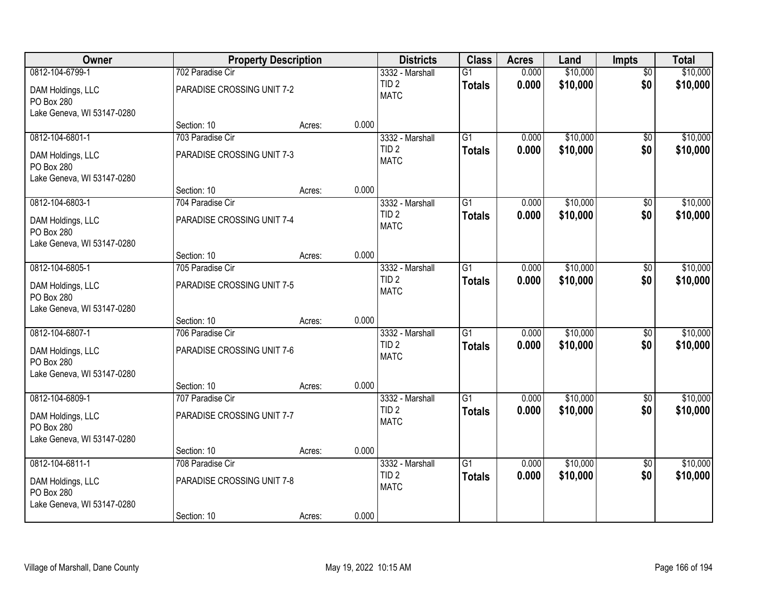| Owner                                                         |                            | <b>Property Description</b> |       | <b>Districts</b>                    | <b>Class</b>    | <b>Acres</b> | Land     | <b>Impts</b>    | <b>Total</b> |
|---------------------------------------------------------------|----------------------------|-----------------------------|-------|-------------------------------------|-----------------|--------------|----------|-----------------|--------------|
| 0812-104-6799-1                                               | 702 Paradise Cir           |                             |       | 3332 - Marshall                     | $\overline{G1}$ | 0.000        | \$10,000 | $\overline{50}$ | \$10,000     |
| DAM Holdings, LLC<br>PO Box 280                               | PARADISE CROSSING UNIT 7-2 |                             |       | TID <sub>2</sub><br><b>MATC</b>     | <b>Totals</b>   | 0.000        | \$10,000 | \$0             | \$10,000     |
| Lake Geneva, WI 53147-0280                                    |                            |                             |       |                                     |                 |              |          |                 |              |
|                                                               | Section: 10                | Acres:                      | 0.000 |                                     |                 |              |          |                 |              |
| 0812-104-6801-1                                               | 703 Paradise Cir           |                             |       | 3332 - Marshall<br>TID <sub>2</sub> | $\overline{G1}$ | 0.000        | \$10,000 | $\overline{30}$ | \$10,000     |
| DAM Holdings, LLC<br>PO Box 280<br>Lake Geneva, WI 53147-0280 | PARADISE CROSSING UNIT 7-3 |                             |       | <b>MATC</b>                         | <b>Totals</b>   | 0.000        | \$10,000 | \$0             | \$10,000     |
|                                                               | Section: 10                | Acres:                      | 0.000 |                                     |                 |              |          |                 |              |
| 0812-104-6803-1                                               | 704 Paradise Cir           |                             |       | 3332 - Marshall                     | $\overline{G1}$ | 0.000        | \$10,000 | \$0             | \$10,000     |
| DAM Holdings, LLC<br>PO Box 280                               | PARADISE CROSSING UNIT 7-4 |                             |       | TID <sub>2</sub><br><b>MATC</b>     | <b>Totals</b>   | 0.000        | \$10,000 | \$0             | \$10,000     |
| Lake Geneva, WI 53147-0280                                    | Section: 10                | Acres:                      | 0.000 |                                     |                 |              |          |                 |              |
| 0812-104-6805-1                                               | 705 Paradise Cir           |                             |       | 3332 - Marshall                     | $\overline{G1}$ | 0.000        | \$10,000 | \$0             | \$10,000     |
| DAM Holdings, LLC                                             | PARADISE CROSSING UNIT 7-5 |                             |       | TID <sub>2</sub><br><b>MATC</b>     | <b>Totals</b>   | 0.000        | \$10,000 | \$0             | \$10,000     |
| PO Box 280                                                    |                            |                             |       |                                     |                 |              |          |                 |              |
| Lake Geneva, WI 53147-0280                                    | Section: 10                | Acres:                      | 0.000 |                                     |                 |              |          |                 |              |
| 0812-104-6807-1                                               | 706 Paradise Cir           |                             |       | 3332 - Marshall                     | $\overline{G1}$ | 0.000        | \$10,000 | \$0             | \$10,000     |
|                                                               |                            |                             |       | TID <sub>2</sub>                    | <b>Totals</b>   | 0.000        | \$10,000 | \$0             | \$10,000     |
| DAM Holdings, LLC                                             | PARADISE CROSSING UNIT 7-6 |                             |       | <b>MATC</b>                         |                 |              |          |                 |              |
| PO Box 280<br>Lake Geneva, WI 53147-0280                      |                            |                             |       |                                     |                 |              |          |                 |              |
|                                                               | Section: 10                | Acres:                      | 0.000 |                                     |                 |              |          |                 |              |
| 0812-104-6809-1                                               | 707 Paradise Cir           |                             |       | 3332 - Marshall                     | $\overline{G1}$ | 0.000        | \$10,000 | \$0             | \$10,000     |
| DAM Holdings, LLC                                             | PARADISE CROSSING UNIT 7-7 |                             |       | TID <sub>2</sub>                    | <b>Totals</b>   | 0.000        | \$10,000 | \$0             | \$10,000     |
| PO Box 280                                                    |                            |                             |       | <b>MATC</b>                         |                 |              |          |                 |              |
| Lake Geneva, WI 53147-0280                                    |                            |                             |       |                                     |                 |              |          |                 |              |
|                                                               | Section: 10                | Acres:                      | 0.000 |                                     |                 |              |          |                 |              |
| 0812-104-6811-1                                               | 708 Paradise Cir           |                             |       | 3332 - Marshall                     | $\overline{G1}$ | 0.000        | \$10,000 | $\overline{50}$ | \$10,000     |
| DAM Holdings, LLC                                             | PARADISE CROSSING UNIT 7-8 |                             |       | TID <sub>2</sub>                    | <b>Totals</b>   | 0.000        | \$10,000 | \$0             | \$10,000     |
| PO Box 280                                                    |                            |                             |       | <b>MATC</b>                         |                 |              |          |                 |              |
| Lake Geneva, WI 53147-0280                                    |                            |                             |       |                                     |                 |              |          |                 |              |
|                                                               | Section: 10                | Acres:                      | 0.000 |                                     |                 |              |          |                 |              |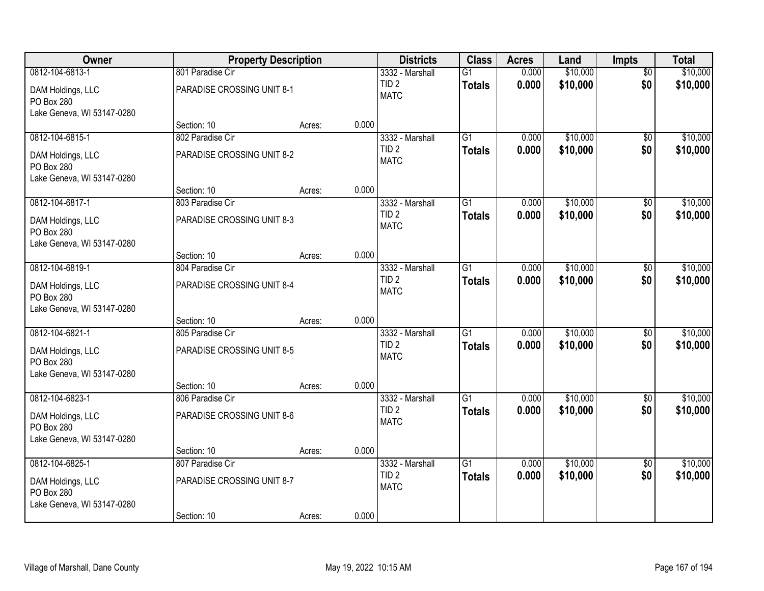| Owner                                                         | <b>Property Description</b>     |        |       | <b>Districts</b>                    | <b>Class</b>    | <b>Acres</b> | Land     | <b>Impts</b>    | <b>Total</b> |
|---------------------------------------------------------------|---------------------------------|--------|-------|-------------------------------------|-----------------|--------------|----------|-----------------|--------------|
| 0812-104-6813-1                                               | 801 Paradise Cir                |        |       | 3332 - Marshall                     | $\overline{G1}$ | 0.000        | \$10,000 | $\overline{50}$ | \$10,000     |
| DAM Holdings, LLC<br>PO Box 280                               | PARADISE CROSSING UNIT 8-1      |        |       | TID <sub>2</sub><br><b>MATC</b>     | <b>Totals</b>   | 0.000        | \$10,000 | \$0             | \$10,000     |
| Lake Geneva, WI 53147-0280                                    |                                 |        |       |                                     |                 |              |          |                 |              |
|                                                               | Section: 10                     | Acres: | 0.000 |                                     |                 |              |          |                 |              |
| 0812-104-6815-1                                               | 802 Paradise Cir                |        |       | 3332 - Marshall<br>TID <sub>2</sub> | $\overline{G1}$ | 0.000        | \$10,000 | $\overline{30}$ | \$10,000     |
| DAM Holdings, LLC<br>PO Box 280<br>Lake Geneva, WI 53147-0280 | PARADISE CROSSING UNIT 8-2      |        |       | <b>MATC</b>                         | <b>Totals</b>   | 0.000        | \$10,000 | \$0             | \$10,000     |
|                                                               | Section: 10                     | Acres: | 0.000 |                                     |                 |              |          |                 |              |
| 0812-104-6817-1                                               | 803 Paradise Cir                |        |       | 3332 - Marshall                     | $\overline{G1}$ | 0.000        | \$10,000 | \$0             | \$10,000     |
| DAM Holdings, LLC<br>PO Box 280                               | PARADISE CROSSING UNIT 8-3      |        |       | TID <sub>2</sub><br><b>MATC</b>     | <b>Totals</b>   | 0.000        | \$10,000 | \$0             | \$10,000     |
| Lake Geneva, WI 53147-0280                                    | Section: 10                     | Acres: | 0.000 |                                     |                 |              |          |                 |              |
| 0812-104-6819-1                                               | 804 Paradise Cir                |        |       | 3332 - Marshall                     | $\overline{G1}$ | 0.000        | \$10,000 | \$0             | \$10,000     |
|                                                               |                                 |        |       | TID <sub>2</sub>                    | <b>Totals</b>   | 0.000        | \$10,000 | \$0             | \$10,000     |
| DAM Holdings, LLC<br>PO Box 280                               | PARADISE CROSSING UNIT 8-4      |        |       | <b>MATC</b>                         |                 |              |          |                 |              |
| Lake Geneva, WI 53147-0280                                    |                                 |        |       |                                     |                 |              |          |                 |              |
| 0812-104-6821-1                                               | Section: 10                     | Acres: | 0.000 |                                     | $\overline{G1}$ | 0.000        | \$10,000 |                 | \$10,000     |
|                                                               | 805 Paradise Cir                |        |       | 3332 - Marshall<br>TID <sub>2</sub> |                 |              | \$10,000 | \$0<br>\$0      |              |
| DAM Holdings, LLC                                             | PARADISE CROSSING UNIT 8-5      |        |       | <b>MATC</b>                         | <b>Totals</b>   | 0.000        |          |                 | \$10,000     |
| PO Box 280                                                    |                                 |        |       |                                     |                 |              |          |                 |              |
| Lake Geneva, WI 53147-0280                                    |                                 |        |       |                                     |                 |              |          |                 |              |
| 0812-104-6823-1                                               | Section: 10<br>806 Paradise Cir | Acres: | 0.000 | 3332 - Marshall                     | $\overline{G1}$ | 0.000        | \$10,000 |                 | \$10,000     |
|                                                               |                                 |        |       | TID <sub>2</sub>                    | <b>Totals</b>   | 0.000        | \$10,000 | \$0<br>\$0      | \$10,000     |
| DAM Holdings, LLC<br>PO Box 280                               | PARADISE CROSSING UNIT 8-6      |        |       | <b>MATC</b>                         |                 |              |          |                 |              |
| Lake Geneva, WI 53147-0280                                    |                                 |        |       |                                     |                 |              |          |                 |              |
|                                                               | Section: 10                     | Acres: | 0.000 |                                     |                 |              |          |                 |              |
| 0812-104-6825-1                                               | 807 Paradise Cir                |        |       | 3332 - Marshall                     | $\overline{G1}$ | 0.000        | \$10,000 | $\overline{50}$ | \$10,000     |
| DAM Holdings, LLC<br>PO Box 280                               | PARADISE CROSSING UNIT 8-7      |        |       | TID <sub>2</sub><br><b>MATC</b>     | <b>Totals</b>   | 0.000        | \$10,000 | \$0             | \$10,000     |
| Lake Geneva, WI 53147-0280                                    |                                 |        |       |                                     |                 |              |          |                 |              |
|                                                               | Section: 10                     | Acres: | 0.000 |                                     |                 |              |          |                 |              |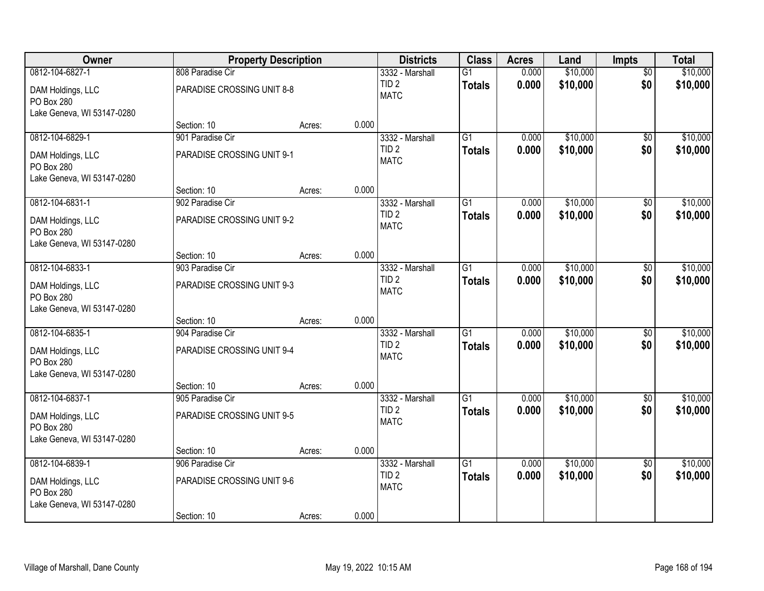| Owner                                                         | <b>Property Description</b> |        |       | <b>Districts</b>                | <b>Class</b>    | <b>Acres</b> | Land     | <b>Impts</b>    | <b>Total</b> |
|---------------------------------------------------------------|-----------------------------|--------|-------|---------------------------------|-----------------|--------------|----------|-----------------|--------------|
| 0812-104-6827-1                                               | 808 Paradise Cir            |        |       | 3332 - Marshall                 | $\overline{G1}$ | 0.000        | \$10,000 | $\overline{50}$ | \$10,000     |
| DAM Holdings, LLC<br>PO Box 280                               | PARADISE CROSSING UNIT 8-8  |        |       | TID <sub>2</sub><br><b>MATC</b> | <b>Totals</b>   | 0.000        | \$10,000 | \$0             | \$10,000     |
| Lake Geneva, WI 53147-0280                                    |                             |        |       |                                 |                 |              |          |                 |              |
|                                                               | Section: 10                 | Acres: | 0.000 |                                 |                 |              |          |                 |              |
| 0812-104-6829-1                                               | 901 Paradise Cir            |        |       | 3332 - Marshall                 | $\overline{G1}$ | 0.000        | \$10,000 | $\overline{30}$ | \$10,000     |
| DAM Holdings, LLC<br>PO Box 280<br>Lake Geneva, WI 53147-0280 | PARADISE CROSSING UNIT 9-1  |        |       | TID <sub>2</sub><br><b>MATC</b> | <b>Totals</b>   | 0.000        | \$10,000 | \$0             | \$10,000     |
|                                                               | Section: 10                 | Acres: | 0.000 |                                 |                 |              |          |                 |              |
| 0812-104-6831-1                                               | 902 Paradise Cir            |        |       | 3332 - Marshall                 | $\overline{G1}$ | 0.000        | \$10,000 | \$0             | \$10,000     |
| DAM Holdings, LLC<br>PO Box 280                               | PARADISE CROSSING UNIT 9-2  |        |       | TID <sub>2</sub><br><b>MATC</b> | <b>Totals</b>   | 0.000        | \$10,000 | \$0             | \$10,000     |
| Lake Geneva, WI 53147-0280                                    | Section: 10                 | Acres: | 0.000 |                                 |                 |              |          |                 |              |
| 0812-104-6833-1                                               | 903 Paradise Cir            |        |       | 3332 - Marshall                 | $\overline{G1}$ | 0.000        | \$10,000 | \$0             | \$10,000     |
| DAM Holdings, LLC<br>PO Box 280                               | PARADISE CROSSING UNIT 9-3  |        |       | TID <sub>2</sub><br><b>MATC</b> | <b>Totals</b>   | 0.000        | \$10,000 | \$0             | \$10,000     |
| Lake Geneva, WI 53147-0280                                    |                             |        |       |                                 |                 |              |          |                 |              |
|                                                               | Section: 10                 | Acres: | 0.000 |                                 |                 |              |          |                 |              |
| 0812-104-6835-1                                               | 904 Paradise Cir            |        |       | 3332 - Marshall                 | $\overline{G1}$ | 0.000        | \$10,000 | \$0             | \$10,000     |
| DAM Holdings, LLC                                             | PARADISE CROSSING UNIT 9-4  |        |       | TID <sub>2</sub>                | <b>Totals</b>   | 0.000        | \$10,000 | \$0             | \$10,000     |
| PO Box 280                                                    |                             |        |       | <b>MATC</b>                     |                 |              |          |                 |              |
| Lake Geneva, WI 53147-0280                                    |                             |        |       |                                 |                 |              |          |                 |              |
|                                                               | Section: 10                 | Acres: | 0.000 |                                 |                 |              |          |                 |              |
| 0812-104-6837-1                                               | 905 Paradise Cir            |        |       | 3332 - Marshall                 | $\overline{G1}$ | 0.000        | \$10,000 | \$0             | \$10,000     |
| DAM Holdings, LLC<br>PO Box 280                               | PARADISE CROSSING UNIT 9-5  |        |       | TID <sub>2</sub><br><b>MATC</b> | <b>Totals</b>   | 0.000        | \$10,000 | \$0             | \$10,000     |
| Lake Geneva, WI 53147-0280                                    |                             |        |       |                                 |                 |              |          |                 |              |
|                                                               | Section: 10                 | Acres: | 0.000 |                                 |                 |              |          |                 |              |
| 0812-104-6839-1                                               | 906 Paradise Cir            |        |       | 3332 - Marshall                 | $\overline{G1}$ | 0.000        | \$10,000 | $\overline{50}$ | \$10,000     |
| DAM Holdings, LLC<br>PO Box 280                               | PARADISE CROSSING UNIT 9-6  |        |       | TID <sub>2</sub><br><b>MATC</b> | <b>Totals</b>   | 0.000        | \$10,000 | \$0             | \$10,000     |
| Lake Geneva, WI 53147-0280                                    |                             |        |       |                                 |                 |              |          |                 |              |
|                                                               | Section: 10                 | Acres: | 0.000 |                                 |                 |              |          |                 |              |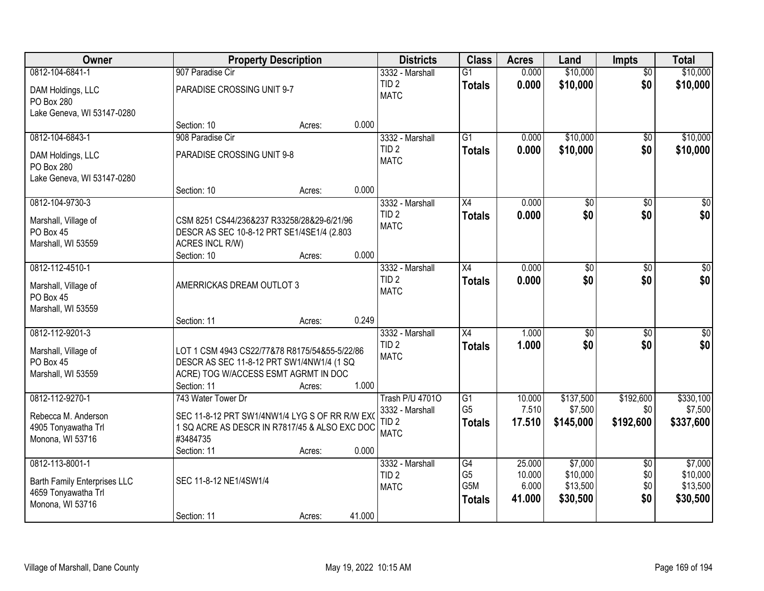| Owner                                   |                                                               | <b>Property Description</b> |        | <b>Districts</b>                    | <b>Class</b>         | <b>Acres</b>     | Land                | <b>Impts</b>           | <b>Total</b>        |
|-----------------------------------------|---------------------------------------------------------------|-----------------------------|--------|-------------------------------------|----------------------|------------------|---------------------|------------------------|---------------------|
| 0812-104-6841-1                         | 907 Paradise Cir                                              |                             |        | 3332 - Marshall                     | $\overline{G1}$      | 0.000            | \$10,000            | $\overline{50}$        | \$10,000            |
| DAM Holdings, LLC<br>PO Box 280         | PARADISE CROSSING UNIT 9-7                                    |                             |        | TID <sub>2</sub><br><b>MATC</b>     | <b>Totals</b>        | 0.000            | \$10,000            | \$0                    | \$10,000            |
| Lake Geneva, WI 53147-0280              |                                                               |                             |        |                                     |                      |                  |                     |                        |                     |
|                                         | Section: 10                                                   | Acres:                      | 0.000  |                                     |                      |                  |                     |                        |                     |
| 0812-104-6843-1                         | 908 Paradise Cir                                              |                             |        | 3332 - Marshall                     | $\overline{G1}$      | 0.000            | \$10,000            | \$0                    | \$10,000            |
| DAM Holdings, LLC<br>PO Box 280         | PARADISE CROSSING UNIT 9-8                                    |                             |        | TID <sub>2</sub><br><b>MATC</b>     | <b>Totals</b>        | 0.000            | \$10,000            | \$0                    | \$10,000            |
| Lake Geneva, WI 53147-0280              | Section: 10                                                   | Acres:                      | 0.000  |                                     |                      |                  |                     |                        |                     |
| 0812-104-9730-3                         |                                                               |                             |        | 3332 - Marshall                     | X4                   | 0.000            | \$0                 | \$0                    | $\overline{50}$     |
| Marshall, Village of                    | CSM 8251 CS44/236&237 R33258/28&29-6/21/96                    |                             |        | TID <sub>2</sub><br><b>MATC</b>     | <b>Totals</b>        | 0.000            | \$0                 | \$0                    | \$0                 |
| PO Box 45<br>Marshall, WI 53559         | DESCR AS SEC 10-8-12 PRT SE1/4SE1/4 (2.803<br>ACRES INCL R/W) |                             |        |                                     |                      |                  |                     |                        |                     |
|                                         | Section: 10                                                   | Acres:                      | 0.000  |                                     |                      |                  |                     |                        |                     |
| 0812-112-4510-1                         |                                                               |                             |        | 3332 - Marshall                     | X4                   | 0.000            | \$0                 | $\sqrt[6]{3}$          | $\sqrt{50}$         |
| Marshall, Village of                    | AMERRICKAS DREAM OUTLOT 3                                     |                             |        | TID <sub>2</sub><br><b>MATC</b>     | <b>Totals</b>        | 0.000            | \$0                 | \$0                    | \$0                 |
| PO Box 45                               |                                                               |                             |        |                                     |                      |                  |                     |                        |                     |
| Marshall, WI 53559                      | Section: 11                                                   | Acres:                      | 0.249  |                                     |                      |                  |                     |                        |                     |
| 0812-112-9201-3                         |                                                               |                             |        | 3332 - Marshall                     | $\overline{X4}$      | 1.000            | $\overline{50}$     | $\overline{50}$        | $\overline{50}$     |
| Marshall, Village of                    | LOT 1 CSM 4943 CS22/77&78 R8175/54&55-5/22/86                 |                             |        | TID <sub>2</sub>                    | <b>Totals</b>        | 1.000            | \$0                 | \$0                    | \$0                 |
| PO Box 45                               | DESCR AS SEC 11-8-12 PRT SW1/4NW1/4 (1 SQ                     |                             |        | <b>MATC</b>                         |                      |                  |                     |                        |                     |
| Marshall, WI 53559                      | ACRE) TOG W/ACCESS ESMT AGRMT IN DOC                          |                             |        |                                     |                      |                  |                     |                        |                     |
|                                         | Section: 11                                                   | Acres:                      | 1.000  |                                     |                      |                  |                     |                        |                     |
| 0812-112-9270-1                         | 743 Water Tower Dr                                            |                             |        | <b>Trash P/U 47010</b>              | G1                   | 10.000           | \$137,500           | \$192,600              | \$330,100           |
| Rebecca M. Anderson                     | SEC 11-8-12 PRT SW1/4NW1/4 LYG S OF RR R/W EX(                |                             |        | 3332 - Marshall<br>TID <sub>2</sub> | G <sub>5</sub>       | 7.510            | \$7,500             | \$0                    | \$7,500             |
| 4905 Tonyawatha Trl                     | 1 SQ ACRE AS DESCR IN R7817/45 & ALSO EXC DOC                 |                             |        | <b>MATC</b>                         | <b>Totals</b>        | 17.510           | \$145,000           | \$192,600              | \$337,600           |
| Monona, WI 53716                        | #3484735                                                      |                             |        |                                     |                      |                  |                     |                        |                     |
|                                         | Section: 11                                                   | Acres:                      | 0.000  |                                     |                      |                  |                     |                        |                     |
| 0812-113-8001-1                         |                                                               |                             |        | 3332 - Marshall<br>TID <sub>2</sub> | G4<br>G <sub>5</sub> | 25,000<br>10.000 | \$7,000<br>\$10,000 | $\overline{50}$<br>\$0 | \$7,000<br>\$10,000 |
| Barth Family Enterprises LLC            | SEC 11-8-12 NE1/4SW1/4                                        |                             |        | <b>MATC</b>                         | G5M                  | 6.000            | \$13,500            | \$0                    | \$13,500            |
| 4659 Tonyawatha Trl<br>Monona, WI 53716 |                                                               |                             |        |                                     | <b>Totals</b>        | 41.000           | \$30,500            | \$0                    | \$30,500            |
|                                         | Section: 11                                                   | Acres:                      | 41.000 |                                     |                      |                  |                     |                        |                     |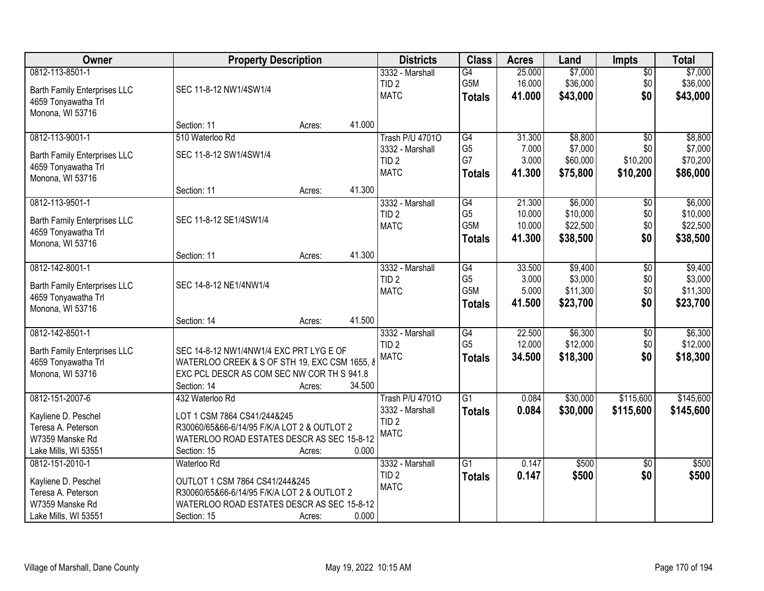| <b>Owner</b>                        | <b>Property Description</b>                   |        |        | <b>Districts</b>                | <b>Class</b>    | <b>Acres</b> | Land     | <b>Impts</b>    | <b>Total</b> |
|-------------------------------------|-----------------------------------------------|--------|--------|---------------------------------|-----------------|--------------|----------|-----------------|--------------|
| 0812-113-8501-1                     |                                               |        |        | 3332 - Marshall                 | $\overline{G4}$ | 25.000       | \$7,000  | $\sqrt{$0}$     | \$7,000      |
| Barth Family Enterprises LLC        | SEC 11-8-12 NW1/4SW1/4                        |        |        | TID <sub>2</sub>                | G5M             | 16.000       | \$36,000 | \$0             | \$36,000     |
| 4659 Tonyawatha Trl                 |                                               |        |        | <b>MATC</b>                     | <b>Totals</b>   | 41.000       | \$43,000 | \$0             | \$43,000     |
| Monona, WI 53716                    |                                               |        |        |                                 |                 |              |          |                 |              |
|                                     | Section: 11                                   | Acres: | 41.000 |                                 |                 |              |          |                 |              |
| 0812-113-9001-1                     | 510 Waterloo Rd                               |        |        | <b>Trash P/U 47010</b>          | G4              | 31.300       | \$8,800  | \$0             | \$8,800      |
| <b>Barth Family Enterprises LLC</b> | SEC 11-8-12 SW1/4SW1/4                        |        |        | 3332 - Marshall                 | G <sub>5</sub>  | 7.000        | \$7,000  | \$0             | \$7,000      |
| 4659 Tonyawatha Trl                 |                                               |        |        | TID <sub>2</sub><br><b>MATC</b> | G7              | 3.000        | \$60,000 | \$10,200        | \$70,200     |
| Monona, WI 53716                    |                                               |        |        |                                 | <b>Totals</b>   | 41.300       | \$75,800 | \$10,200        | \$86,000     |
|                                     | Section: 11                                   | Acres: | 41.300 |                                 |                 |              |          |                 |              |
| 0812-113-9501-1                     |                                               |        |        | 3332 - Marshall                 | $\overline{G4}$ | 21.300       | \$6,000  | \$0             | \$6,000      |
| Barth Family Enterprises LLC        | SEC 11-8-12 SE1/4SW1/4                        |        |        | TID <sub>2</sub>                | G <sub>5</sub>  | 10.000       | \$10,000 | \$0             | \$10,000     |
| 4659 Tonyawatha Trl                 |                                               |        |        | <b>MATC</b>                     | G5M             | 10.000       | \$22,500 | \$0             | \$22,500     |
| Monona, WI 53716                    |                                               |        |        |                                 | <b>Totals</b>   | 41.300       | \$38,500 | \$0             | \$38,500     |
|                                     | Section: 11                                   | Acres: | 41.300 |                                 |                 |              |          |                 |              |
| 0812-142-8001-1                     |                                               |        |        | 3332 - Marshall                 | G4              | 33.500       | \$9,400  | $\sqrt[6]{3}$   | \$9,400      |
| Barth Family Enterprises LLC        | SEC 14-8-12 NE1/4NW1/4                        |        |        | TID <sub>2</sub>                | G <sub>5</sub>  | 3.000        | \$3,000  | \$0             | \$3,000      |
| 4659 Tonyawatha Trl                 |                                               |        |        | <b>MATC</b>                     | G5M             | 5.000        | \$11,300 | \$0             | \$11,300     |
| Monona, WI 53716                    |                                               |        |        |                                 | <b>Totals</b>   | 41.500       | \$23,700 | \$0             | \$23,700     |
|                                     | Section: 14                                   | Acres: | 41.500 |                                 |                 |              |          |                 |              |
| 0812-142-8501-1                     |                                               |        |        | 3332 - Marshall                 | G4              | 22.500       | \$6,300  | \$0             | \$6,300      |
| Barth Family Enterprises LLC        | SEC 14-8-12 NW1/4NW1/4 EXC PRT LYG E OF       |        |        | TID <sub>2</sub>                | G <sub>5</sub>  | 12.000       | \$12,000 | \$0             | \$12,000     |
| 4659 Tonyawatha Trl                 | WATERLOO CREEK & S OF STH 19, EXC CSM 1655, 8 |        |        | <b>MATC</b>                     | <b>Totals</b>   | 34.500       | \$18,300 | \$0             | \$18,300     |
| Monona, WI 53716                    | EXC PCL DESCR AS COM SEC NW COR TH S 941.8    |        |        |                                 |                 |              |          |                 |              |
|                                     | Section: 14                                   | Acres: | 34.500 |                                 |                 |              |          |                 |              |
| 0812-151-2007-6                     | 432 Waterloo Rd                               |        |        | <b>Trash P/U 47010</b>          | $\overline{G1}$ | 0.084        | \$30,000 | \$115,600       | \$145,600    |
| Kayliene D. Peschel                 | LOT 1 CSM 7864 CS41/244&245                   |        |        | 3332 - Marshall                 | <b>Totals</b>   | 0.084        | \$30,000 | \$115,600       | \$145,600    |
| Teresa A. Peterson                  | R30060/65&66-6/14/95 F/K/A LOT 2 & OUTLOT 2   |        |        | TID <sub>2</sub>                |                 |              |          |                 |              |
| W7359 Manske Rd                     | WATERLOO ROAD ESTATES DESCR AS SEC 15-8-12    |        |        | <b>MATC</b>                     |                 |              |          |                 |              |
| Lake Mills, WI 53551                | Section: 15                                   | Acres: | 0.000  |                                 |                 |              |          |                 |              |
| 0812-151-2010-1                     | Waterloo Rd                                   |        |        | 3332 - Marshall                 | $\overline{G1}$ | 0.147        | \$500    | $\overline{30}$ | \$500        |
| Kayliene D. Peschel                 | OUTLOT 1 CSM 7864 CS41/244&245                |        |        | TID <sub>2</sub>                | <b>Totals</b>   | 0.147        | \$500    | \$0             | \$500        |
| Teresa A. Peterson                  | R30060/65&66-6/14/95 F/K/A LOT 2 & OUTLOT 2   |        |        | <b>MATC</b>                     |                 |              |          |                 |              |
| W7359 Manske Rd                     | WATERLOO ROAD ESTATES DESCR AS SEC 15-8-12    |        |        |                                 |                 |              |          |                 |              |
| Lake Mills, WI 53551                | Section: 15                                   | Acres: | 0.000  |                                 |                 |              |          |                 |              |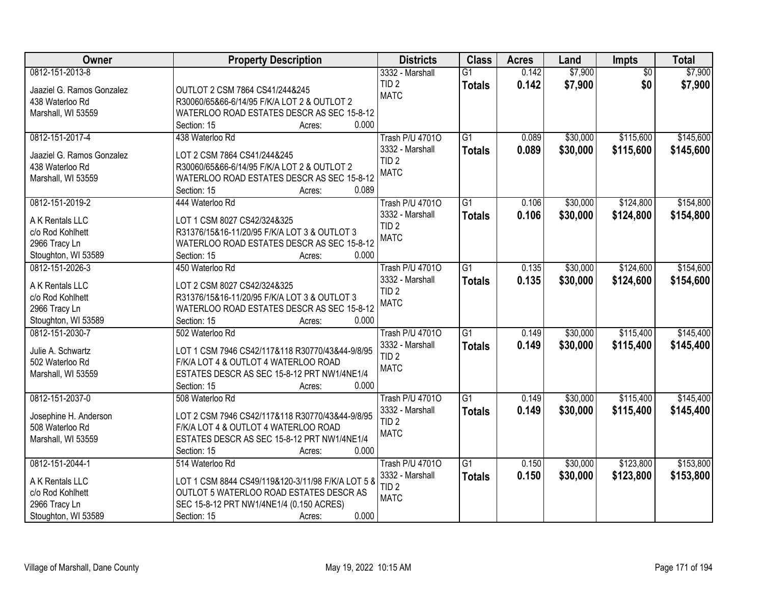| Owner                     | <b>Property Description</b>                                        | <b>Districts</b>       | <b>Class</b>    | <b>Acres</b> | Land     | <b>Impts</b>    | <b>Total</b> |
|---------------------------|--------------------------------------------------------------------|------------------------|-----------------|--------------|----------|-----------------|--------------|
| 0812-151-2013-8           |                                                                    | 3332 - Marshall        | $\overline{G1}$ | 0.142        | \$7,900  | $\overline{30}$ | \$7,900      |
| Jaaziel G. Ramos Gonzalez | OUTLOT 2 CSM 7864 CS41/244&245                                     | TID <sub>2</sub>       | <b>Totals</b>   | 0.142        | \$7,900  | \$0             | \$7,900      |
| 438 Waterloo Rd           | R30060/65&66-6/14/95 F/K/A LOT 2 & OUTLOT 2                        | <b>MATC</b>            |                 |              |          |                 |              |
| Marshall, WI 53559        | WATERLOO ROAD ESTATES DESCR AS SEC 15-8-12                         |                        |                 |              |          |                 |              |
|                           | 0.000<br>Section: 15<br>Acres:                                     |                        |                 |              |          |                 |              |
| 0812-151-2017-4           | 438 Waterloo Rd                                                    | <b>Trash P/U 47010</b> | $\overline{G1}$ | 0.089        | \$30,000 | \$115,600       | \$145,600    |
|                           |                                                                    | 3332 - Marshall        | <b>Totals</b>   | 0.089        | \$30,000 | \$115,600       | \$145,600    |
| Jaaziel G. Ramos Gonzalez | LOT 2 CSM 7864 CS41/244&245                                        | TID <sub>2</sub>       |                 |              |          |                 |              |
| 438 Waterloo Rd           | R30060/65&66-6/14/95 F/K/A LOT 2 & OUTLOT 2                        | <b>MATC</b>            |                 |              |          |                 |              |
| Marshall, WI 53559        | WATERLOO ROAD ESTATES DESCR AS SEC 15-8-12<br>0.089<br>Section: 15 |                        |                 |              |          |                 |              |
| 0812-151-2019-2           | Acres:<br>444 Waterloo Rd                                          | <b>Trash P/U 47010</b> | $\overline{G1}$ | 0.106        | \$30,000 | \$124,800       | \$154,800    |
|                           |                                                                    | 3332 - Marshall        |                 |              |          |                 |              |
| A K Rentals LLC           | LOT 1 CSM 8027 CS42/324&325                                        | TID <sub>2</sub>       | <b>Totals</b>   | 0.106        | \$30,000 | \$124,800       | \$154,800    |
| c/o Rod Kohlhett          | R31376/15&16-11/20/95 F/K/A LOT 3 & OUTLOT 3                       | <b>MATC</b>            |                 |              |          |                 |              |
| 2966 Tracy Ln             | WATERLOO ROAD ESTATES DESCR AS SEC 15-8-12                         |                        |                 |              |          |                 |              |
| Stoughton, WI 53589       | Section: 15<br>0.000<br>Acres:                                     |                        |                 |              |          |                 |              |
| 0812-151-2026-3           | 450 Waterloo Rd                                                    | <b>Trash P/U 47010</b> | $\overline{G1}$ | 0.135        | \$30,000 | \$124,600       | \$154,600    |
| A K Rentals LLC           | LOT 2 CSM 8027 CS42/324&325                                        | 3332 - Marshall        | <b>Totals</b>   | 0.135        | \$30,000 | \$124,600       | \$154,600    |
| c/o Rod Kohlhett          | R31376/15&16-11/20/95 F/K/A LOT 3 & OUTLOT 3                       | TID <sub>2</sub>       |                 |              |          |                 |              |
| 2966 Tracy Ln             | WATERLOO ROAD ESTATES DESCR AS SEC 15-8-12                         | <b>MATC</b>            |                 |              |          |                 |              |
| Stoughton, WI 53589       | Section: 15<br>0.000<br>Acres:                                     |                        |                 |              |          |                 |              |
| 0812-151-2030-7           | 502 Waterloo Rd                                                    | <b>Trash P/U 47010</b> | $\overline{G1}$ | 0.149        | \$30,000 | \$115,400       | \$145,400    |
|                           |                                                                    | 3332 - Marshall        | <b>Totals</b>   | 0.149        | \$30,000 | \$115,400       | \$145,400    |
| Julie A. Schwartz         | LOT 1 CSM 7946 CS42/117&118 R30770/43&44-9/8/95                    | TID <sub>2</sub>       |                 |              |          |                 |              |
| 502 Waterloo Rd           | F/K/A LOT 4 & OUTLOT 4 WATERLOO ROAD                               | <b>MATC</b>            |                 |              |          |                 |              |
| Marshall, WI 53559        | ESTATES DESCR AS SEC 15-8-12 PRT NW1/4NE1/4                        |                        |                 |              |          |                 |              |
|                           | Section: 15<br>0.000<br>Acres:                                     |                        |                 |              |          |                 |              |
| 0812-151-2037-0           | 508 Waterloo Rd                                                    | <b>Trash P/U 47010</b> | $\overline{G1}$ | 0.149        | \$30,000 | \$115,400       | \$145,400    |
| Josephine H. Anderson     | LOT 2 CSM 7946 CS42/117&118 R30770/43&44-9/8/95                    | 3332 - Marshall        | <b>Totals</b>   | 0.149        | \$30,000 | \$115,400       | \$145,400    |
| 508 Waterloo Rd           | F/K/A LOT 4 & OUTLOT 4 WATERLOO ROAD                               | TID <sub>2</sub>       |                 |              |          |                 |              |
| Marshall, WI 53559        | ESTATES DESCR AS SEC 15-8-12 PRT NW1/4NE1/4                        | <b>MATC</b>            |                 |              |          |                 |              |
|                           | 0.000<br>Section: 15<br>Acres:                                     |                        |                 |              |          |                 |              |
| 0812-151-2044-1           | 514 Waterloo Rd                                                    | <b>Trash P/U 47010</b> | $\overline{G1}$ | 0.150        | \$30,000 | \$123,800       | \$153,800    |
|                           |                                                                    | 3332 - Marshall        | <b>Totals</b>   | 0.150        | \$30,000 | \$123,800       | \$153,800    |
| A K Rentals LLC           | LOT 1 CSM 8844 CS49/119&120-3/11/98 F/K/A LOT 5 &                  | TID <sub>2</sub>       |                 |              |          |                 |              |
| c/o Rod Kohlhett          | OUTLOT 5 WATERLOO ROAD ESTATES DESCR AS                            | <b>MATC</b>            |                 |              |          |                 |              |
| 2966 Tracy Ln             | SEC 15-8-12 PRT NW1/4NE1/4 (0.150 ACRES)                           |                        |                 |              |          |                 |              |
| Stoughton, WI 53589       | 0.000<br>Section: 15<br>Acres:                                     |                        |                 |              |          |                 |              |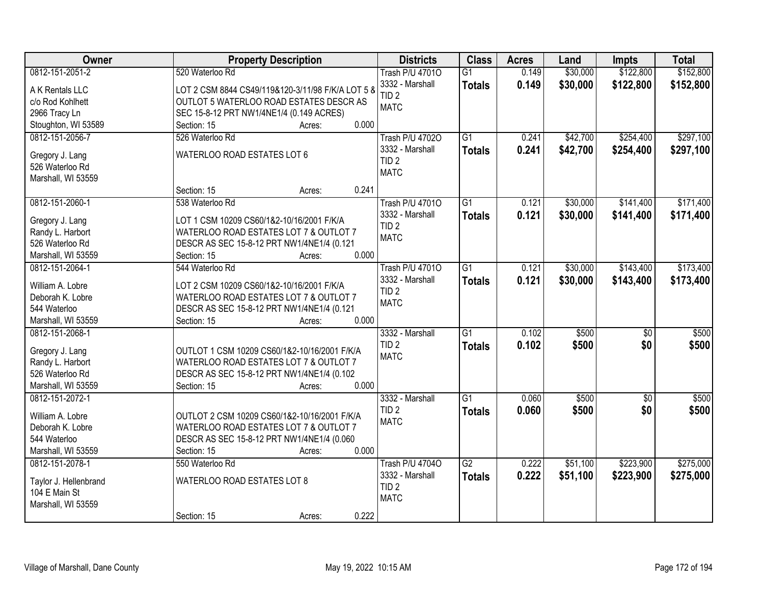| Owner                            | <b>Property Description</b>                         | <b>Districts</b>                | <b>Class</b>    | <b>Acres</b> | Land     | <b>Impts</b> | <b>Total</b> |
|----------------------------------|-----------------------------------------------------|---------------------------------|-----------------|--------------|----------|--------------|--------------|
| 0812-151-2051-2                  | 520 Waterloo Rd                                     | <b>Trash P/U 47010</b>          | $\overline{G1}$ | 0.149        | \$30,000 | \$122,800    | \$152,800    |
| A K Rentals LLC                  | LOT 2 CSM 8844 CS49/119&120-3/11/98 F/K/A LOT 5 &   | 3332 - Marshall                 | <b>Totals</b>   | 0.149        | \$30,000 | \$122,800    | \$152,800    |
| c/o Rod Kohlhett                 | OUTLOT 5 WATERLOO ROAD ESTATES DESCR AS             | TID <sub>2</sub>                |                 |              |          |              |              |
| 2966 Tracy Ln                    | SEC 15-8-12 PRT NW1/4NE1/4 (0.149 ACRES)            | <b>MATC</b>                     |                 |              |          |              |              |
| Stoughton, WI 53589              | 0.000<br>Section: 15<br>Acres:                      |                                 |                 |              |          |              |              |
| 0812-151-2056-7                  | 526 Waterloo Rd                                     | <b>Trash P/U 47020</b>          | $\overline{G1}$ | 0.241        | \$42,700 | \$254,400    | \$297,100    |
|                                  |                                                     | 3332 - Marshall                 | <b>Totals</b>   | 0.241        | \$42,700 | \$254,400    | \$297,100    |
| Gregory J. Lang                  | WATERLOO ROAD ESTATES LOT 6                         | TID <sub>2</sub>                |                 |              |          |              |              |
| 526 Waterloo Rd                  |                                                     | <b>MATC</b>                     |                 |              |          |              |              |
| Marshall, WI 53559               |                                                     |                                 |                 |              |          |              |              |
|                                  | 0.241<br>Section: 15<br>Acres:                      |                                 |                 |              |          |              |              |
| 0812-151-2060-1                  | 538 Waterloo Rd                                     | Trash P/U 47010                 | $\overline{G1}$ | 0.121        | \$30,000 | \$141,400    | \$171,400    |
| Gregory J. Lang                  | LOT 1 CSM 10209 CS60/1&2-10/16/2001 F/K/A           | 3332 - Marshall                 | <b>Totals</b>   | 0.121        | \$30,000 | \$141,400    | \$171,400    |
| Randy L. Harbort                 | WATERLOO ROAD ESTATES LOT 7 & OUTLOT 7              | TID <sub>2</sub>                |                 |              |          |              |              |
| 526 Waterloo Rd                  | DESCR AS SEC 15-8-12 PRT NW1/4NE1/4 (0.121          | <b>MATC</b>                     |                 |              |          |              |              |
| Marshall, WI 53559               | 0.000<br>Section: 15<br>Acres:                      |                                 |                 |              |          |              |              |
| 0812-151-2064-1                  | 544 Waterloo Rd                                     | <b>Trash P/U 47010</b>          | $\overline{G1}$ | 0.121        | \$30,000 | \$143,400    | \$173,400    |
|                                  |                                                     | 3332 - Marshall                 | <b>Totals</b>   | 0.121        | \$30,000 | \$143,400    | \$173,400    |
| William A. Lobre                 | LOT 2 CSM 10209 CS60/1&2-10/16/2001 F/K/A           | TID <sub>2</sub>                |                 |              |          |              |              |
| Deborah K. Lobre<br>544 Waterloo | WATERLOO ROAD ESTATES LOT 7 & OUTLOT 7              | <b>MATC</b>                     |                 |              |          |              |              |
| Marshall, WI 53559               | DESCR AS SEC 15-8-12 PRT NW1/4NE1/4 (0.121<br>0.000 |                                 |                 |              |          |              |              |
| 0812-151-2068-1                  | Section: 15<br>Acres:                               |                                 | $\overline{G1}$ | 0.102        | \$500    |              | \$500        |
|                                  |                                                     | 3332 - Marshall                 |                 |              |          | \$0          |              |
| Gregory J. Lang                  | OUTLOT 1 CSM 10209 CS60/1&2-10/16/2001 F/K/A        | TID <sub>2</sub><br><b>MATC</b> | <b>Totals</b>   | 0.102        | \$500    | \$0          | \$500        |
| Randy L. Harbort                 | WATERLOO ROAD ESTATES LOT 7 & OUTLOT 7              |                                 |                 |              |          |              |              |
| 526 Waterloo Rd                  | DESCR AS SEC 15-8-12 PRT NW1/4NE1/4 (0.102          |                                 |                 |              |          |              |              |
| Marshall, WI 53559               | 0.000<br>Section: 15<br>Acres:                      |                                 |                 |              |          |              |              |
| 0812-151-2072-1                  |                                                     | 3332 - Marshall                 | $\overline{G1}$ | 0.060        | \$500    | \$0          | \$500        |
| William A. Lobre                 | OUTLOT 2 CSM 10209 CS60/1&2-10/16/2001 F/K/A        | TID <sub>2</sub>                | <b>Totals</b>   | 0.060        | \$500    | \$0          | \$500        |
| Deborah K. Lobre                 | WATERLOO ROAD ESTATES LOT 7 & OUTLOT 7              | <b>MATC</b>                     |                 |              |          |              |              |
| 544 Waterloo                     | DESCR AS SEC 15-8-12 PRT NW1/4NE1/4 (0.060          |                                 |                 |              |          |              |              |
| Marshall, WI 53559               | 0.000<br>Section: 15<br>Acres:                      |                                 |                 |              |          |              |              |
| 0812-151-2078-1                  | 550 Waterloo Rd                                     | <b>Trash P/U 47040</b>          | $\overline{G2}$ | 0.222        | \$51,100 | \$223,900    | \$275,000    |
|                                  |                                                     | 3332 - Marshall                 | <b>Totals</b>   | 0.222        | \$51,100 | \$223,900    | \$275,000    |
| Taylor J. Hellenbrand            | WATERLOO ROAD ESTATES LOT 8                         | TID <sub>2</sub>                |                 |              |          |              |              |
| 104 E Main St                    |                                                     | <b>MATC</b>                     |                 |              |          |              |              |
| Marshall, WI 53559               |                                                     |                                 |                 |              |          |              |              |
|                                  | 0.222<br>Section: 15<br>Acres:                      |                                 |                 |              |          |              |              |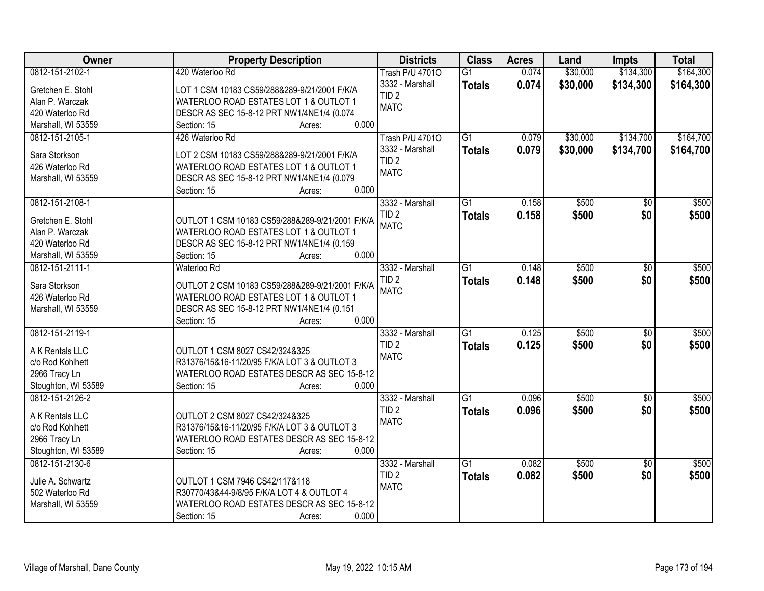| Owner                              | <b>Property Description</b>                                        | <b>Districts</b>       | <b>Class</b>    | <b>Acres</b> | Land     | <b>Impts</b>    | <b>Total</b> |
|------------------------------------|--------------------------------------------------------------------|------------------------|-----------------|--------------|----------|-----------------|--------------|
| 0812-151-2102-1                    | 420 Waterloo Rd                                                    | <b>Trash P/U 47010</b> | $\overline{G1}$ | 0.074        | \$30,000 | \$134,300       | \$164,300    |
| Gretchen E. Stohl                  | LOT 1 CSM 10183 CS59/288&289-9/21/2001 F/K/A                       | 3332 - Marshall        | <b>Totals</b>   | 0.074        | \$30,000 | \$134,300       | \$164,300    |
| Alan P. Warczak                    | WATERLOO ROAD ESTATES LOT 1 & OUTLOT 1                             | TID <sub>2</sub>       |                 |              |          |                 |              |
| 420 Waterloo Rd                    | DESCR AS SEC 15-8-12 PRT NW1/4NE1/4 (0.074                         | <b>MATC</b>            |                 |              |          |                 |              |
| Marshall, WI 53559                 | 0.000<br>Section: 15<br>Acres:                                     |                        |                 |              |          |                 |              |
| 0812-151-2105-1                    | 426 Waterloo Rd                                                    | <b>Trash P/U 47010</b> | $\overline{G1}$ | 0.079        | \$30,000 | \$134,700       | \$164,700    |
|                                    |                                                                    | 3332 - Marshall        |                 | 0.079        |          |                 | \$164,700    |
| Sara Storkson                      | LOT 2 CSM 10183 CS59/288&289-9/21/2001 F/K/A                       | TID <sub>2</sub>       | <b>Totals</b>   |              | \$30,000 | \$134,700       |              |
| 426 Waterloo Rd                    | WATERLOO ROAD ESTATES LOT 1 & OUTLOT 1                             | <b>MATC</b>            |                 |              |          |                 |              |
| Marshall, WI 53559                 | DESCR AS SEC 15-8-12 PRT NW1/4NE1/4 (0.079                         |                        |                 |              |          |                 |              |
|                                    | 0.000<br>Section: 15<br>Acres:                                     |                        |                 |              |          |                 |              |
| 0812-151-2108-1                    |                                                                    | 3332 - Marshall        | $\overline{G1}$ | 0.158        | \$500    | \$0             | \$500        |
| Gretchen E. Stohl                  | OUTLOT 1 CSM 10183 CS59/288&289-9/21/2001 F/K/A                    | TID <sub>2</sub>       | <b>Totals</b>   | 0.158        | \$500    | \$0             | \$500        |
|                                    |                                                                    | <b>MATC</b>            |                 |              |          |                 |              |
| Alan P. Warczak<br>420 Waterloo Rd | WATERLOO ROAD ESTATES LOT 1 & OUTLOT 1                             |                        |                 |              |          |                 |              |
|                                    | DESCR AS SEC 15-8-12 PRT NW1/4NE1/4 (0.159<br>0.000<br>Section: 15 |                        |                 |              |          |                 |              |
| Marshall, WI 53559                 | Acres:                                                             |                        |                 |              |          |                 |              |
| 0812-151-2111-1                    | Waterloo Rd                                                        | 3332 - Marshall        | $\overline{G1}$ | 0.148        | \$500    | \$0             | \$500        |
| Sara Storkson                      | OUTLOT 2 CSM 10183 CS59/288&289-9/21/2001 F/K/A                    | TID <sub>2</sub>       | <b>Totals</b>   | 0.148        | \$500    | \$0             | \$500        |
| 426 Waterloo Rd                    | WATERLOO ROAD ESTATES LOT 1 & OUTLOT 1                             | <b>MATC</b>            |                 |              |          |                 |              |
| Marshall, WI 53559                 | DESCR AS SEC 15-8-12 PRT NW1/4NE1/4 (0.151                         |                        |                 |              |          |                 |              |
|                                    | 0.000<br>Section: 15<br>Acres:                                     |                        |                 |              |          |                 |              |
| 0812-151-2119-1                    |                                                                    | 3332 - Marshall        | $\overline{G1}$ | 0.125        | \$500    | $\overline{50}$ | \$500        |
|                                    |                                                                    | TID <sub>2</sub>       | <b>Totals</b>   | 0.125        | \$500    | \$0             | \$500        |
| A K Rentals LLC                    | OUTLOT 1 CSM 8027 CS42/324&325                                     | <b>MATC</b>            |                 |              |          |                 |              |
| c/o Rod Kohlhett                   | R31376/15&16-11/20/95 F/K/A LOT 3 & OUTLOT 3                       |                        |                 |              |          |                 |              |
| 2966 Tracy Ln                      | WATERLOO ROAD ESTATES DESCR AS SEC 15-8-12                         |                        |                 |              |          |                 |              |
| Stoughton, WI 53589                | 0.000<br>Section: 15<br>Acres:                                     |                        |                 |              |          |                 |              |
| 0812-151-2126-2                    |                                                                    | 3332 - Marshall        | $\overline{G1}$ | 0.096        | \$500    | $\overline{50}$ | \$500        |
| A K Rentals LLC                    | OUTLOT 2 CSM 8027 CS42/324&325                                     | TID <sub>2</sub>       | <b>Totals</b>   | 0.096        | \$500    | \$0             | \$500        |
| c/o Rod Kohlhett                   | R31376/15&16-11/20/95 F/K/A LOT 3 & OUTLOT 3                       | <b>MATC</b>            |                 |              |          |                 |              |
| 2966 Tracy Ln                      | WATERLOO ROAD ESTATES DESCR AS SEC 15-8-12                         |                        |                 |              |          |                 |              |
| Stoughton, WI 53589                | 0.000<br>Section: 15<br>Acres:                                     |                        |                 |              |          |                 |              |
| 0812-151-2130-6                    |                                                                    | 3332 - Marshall        | $\overline{G1}$ | 0.082        | \$500    | $\overline{50}$ | \$500        |
|                                    |                                                                    | TID <sub>2</sub>       | <b>Totals</b>   | 0.082        | \$500    | \$0             | \$500        |
| Julie A. Schwartz                  | OUTLOT 1 CSM 7946 CS42/117&118                                     | <b>MATC</b>            |                 |              |          |                 |              |
| 502 Waterloo Rd                    | R30770/43&44-9/8/95 F/K/A LOT 4 & OUTLOT 4                         |                        |                 |              |          |                 |              |
| Marshall, WI 53559                 | WATERLOO ROAD ESTATES DESCR AS SEC 15-8-12                         |                        |                 |              |          |                 |              |
|                                    | 0.000<br>Section: 15<br>Acres:                                     |                        |                 |              |          |                 |              |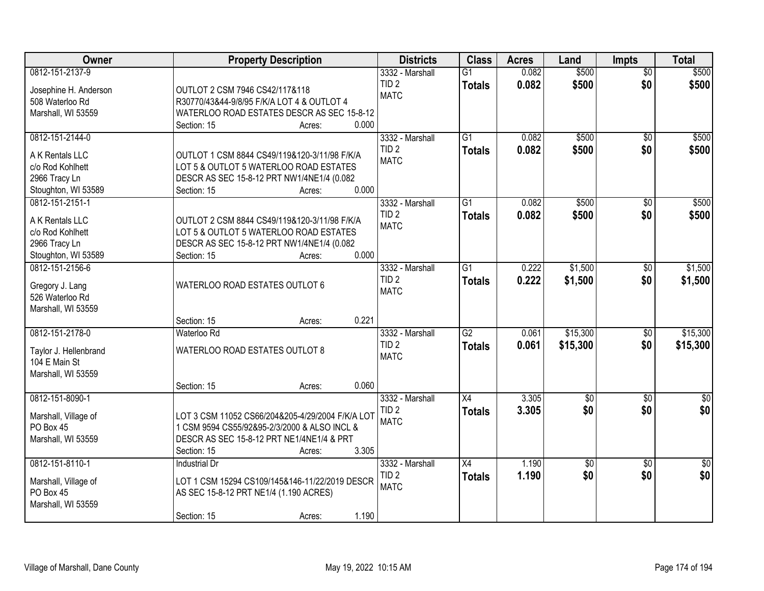| Owner                                                                                          | <b>Property Description</b>                                                                                                                                                     | <b>Districts</b>                                   | <b>Class</b>                     | <b>Acres</b>   | Land                   | <b>Impts</b>           | <b>Total</b>            |
|------------------------------------------------------------------------------------------------|---------------------------------------------------------------------------------------------------------------------------------------------------------------------------------|----------------------------------------------------|----------------------------------|----------------|------------------------|------------------------|-------------------------|
| 0812-151-2137-9<br>Josephine H. Anderson<br>508 Waterloo Rd<br>Marshall, WI 53559              | OUTLOT 2 CSM 7946 CS42/117&118<br>R30770/43&44-9/8/95 F/K/A LOT 4 & OUTLOT 4<br>WATERLOO ROAD ESTATES DESCR AS SEC 15-8-12<br>0.000<br>Section: 15<br>Acres:                    | 3332 - Marshall<br>TID <sub>2</sub><br><b>MATC</b> | $\overline{G1}$<br><b>Totals</b> | 0.082<br>0.082 | \$500<br>\$500         | $\overline{50}$<br>\$0 | \$500<br>\$500          |
| 0812-151-2144-0<br>A K Rentals LLC<br>c/o Rod Kohlhett<br>2966 Tracy Ln<br>Stoughton, WI 53589 | OUTLOT 1 CSM 8844 CS49/119&120-3/11/98 F/K/A<br>LOT 5 & OUTLOT 5 WATERLOO ROAD ESTATES<br>DESCR AS SEC 15-8-12 PRT NW1/4NE1/4 (0.082<br>0.000<br>Section: 15<br>Acres:          | 3332 - Marshall<br>TID <sub>2</sub><br><b>MATC</b> | $\overline{G1}$<br><b>Totals</b> | 0.082<br>0.082 | \$500<br>\$500         | $\overline{30}$<br>\$0 | \$500<br>\$500          |
| 0812-151-2151-1<br>A K Rentals LLC<br>c/o Rod Kohlhett<br>2966 Tracy Ln<br>Stoughton, WI 53589 | OUTLOT 2 CSM 8844 CS49/119&120-3/11/98 F/K/A<br>LOT 5 & OUTLOT 5 WATERLOO ROAD ESTATES<br>DESCR AS SEC 15-8-12 PRT NW1/4NE1/4 (0.082<br>0.000<br>Section: 15<br>Acres:          | 3332 - Marshall<br>TID <sub>2</sub><br><b>MATC</b> | G1<br><b>Totals</b>              | 0.082<br>0.082 | \$500<br>\$500         | \$0<br>\$0             | \$500<br>\$500          |
| 0812-151-2156-6<br>Gregory J. Lang<br>526 Waterloo Rd<br>Marshall, WI 53559                    | WATERLOO ROAD ESTATES OUTLOT 6<br>0.221<br>Section: 15<br>Acres:                                                                                                                | 3332 - Marshall<br>TID <sub>2</sub><br><b>MATC</b> | $\overline{G1}$<br><b>Totals</b> | 0.222<br>0.222 | \$1,500<br>\$1,500     | $\sqrt[6]{}$<br>\$0    | \$1,500<br>\$1,500      |
| 0812-151-2178-0<br>Taylor J. Hellenbrand<br>104 E Main St<br>Marshall, WI 53559                | Waterloo Rd<br>WATERLOO ROAD ESTATES OUTLOT 8<br>0.060<br>Section: 15<br>Acres:                                                                                                 | 3332 - Marshall<br>TID <sub>2</sub><br><b>MATC</b> | $\overline{G2}$<br><b>Totals</b> | 0.061<br>0.061 | \$15,300<br>\$15,300   | \$0<br>\$0             | \$15,300<br>\$15,300    |
| 0812-151-8090-1<br>Marshall, Village of<br>PO Box 45<br>Marshall, WI 53559                     | LOT 3 CSM 11052 CS66/204&205-4/29/2004 F/K/A LOT<br>1 CSM 9594 CS55/92&95-2/3/2000 & ALSO INCL &<br>DESCR AS SEC 15-8-12 PRT NE1/4NE1/4 & PRT<br>3.305<br>Section: 15<br>Acres: | 3332 - Marshall<br>TID <sub>2</sub><br><b>MATC</b> | X4<br><b>Totals</b>              | 3.305<br>3.305 | $\overline{60}$<br>\$0 | $\sqrt{6}$<br>\$0      | $\overline{\$0}$<br>\$0 |
| 0812-151-8110-1<br>Marshall, Village of<br>PO Box 45<br>Marshall, WI 53559                     | <b>Industrial Dr</b><br>LOT 1 CSM 15294 CS109/145&146-11/22/2019 DESCR<br>AS SEC 15-8-12 PRT NE1/4 (1.190 ACRES)<br>1.190<br>Section: 15<br>Acres:                              | 3332 - Marshall<br>TID <sub>2</sub><br><b>MATC</b> | X4<br><b>Totals</b>              | 1.190<br>1.190 | $\overline{50}$<br>\$0 | $\overline{50}$<br>\$0 | $\overline{50}$<br>\$0  |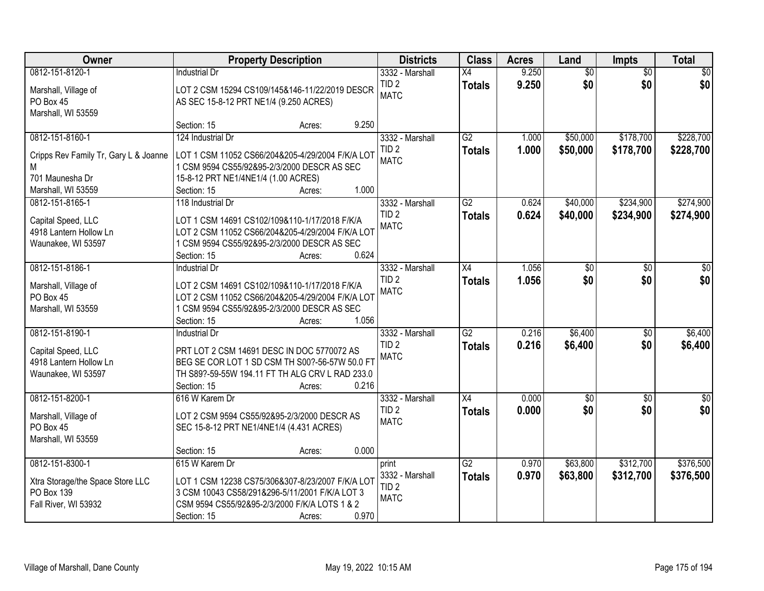| Owner                                          |                                                                                                    | <b>Property Description</b> |       | <b>Districts</b> | <b>Class</b>    | <b>Acres</b> | Land            | Impts           | <b>Total</b>    |
|------------------------------------------------|----------------------------------------------------------------------------------------------------|-----------------------------|-------|------------------|-----------------|--------------|-----------------|-----------------|-----------------|
| 0812-151-8120-1                                | <b>Industrial Dr</b>                                                                               |                             |       | 3332 - Marshall  | X4              | 9.250        | $\overline{60}$ | $\overline{50}$ | $\overline{50}$ |
| Marshall, Village of                           | LOT 2 CSM 15294 CS109/145&146-11/22/2019 DESCR                                                     |                             |       | TID <sub>2</sub> | <b>Totals</b>   | 9.250        | \$0             | \$0             | \$0             |
| PO Box 45                                      | AS SEC 15-8-12 PRT NE1/4 (9.250 ACRES)                                                             |                             |       | <b>MATC</b>      |                 |              |                 |                 |                 |
| Marshall, WI 53559                             |                                                                                                    |                             |       |                  |                 |              |                 |                 |                 |
|                                                | Section: 15                                                                                        | Acres:                      | 9.250 |                  |                 |              |                 |                 |                 |
| 0812-151-8160-1                                | 124 Industrial Dr                                                                                  |                             |       | 3332 - Marshall  | $\overline{G2}$ | 1.000        | \$50,000        | \$178,700       | \$228,700       |
| Cripps Rev Family Tr, Gary L & Joanne          | LOT 1 CSM 11052 CS66/204&205-4/29/2004 F/K/A LOT                                                   |                             |       | TID <sub>2</sub> | <b>Totals</b>   | 1.000        | \$50,000        | \$178,700       | \$228,700       |
| М                                              | 1 CSM 9594 CS55/92&95-2/3/2000 DESCR AS SEC                                                        |                             |       | <b>MATC</b>      |                 |              |                 |                 |                 |
| 701 Maunesha Dr                                | 15-8-12 PRT NE1/4NE1/4 (1.00 ACRES)                                                                |                             |       |                  |                 |              |                 |                 |                 |
| Marshall, WI 53559                             | Section: 15                                                                                        | Acres:                      | 1.000 |                  |                 |              |                 |                 |                 |
| 0812-151-8165-1                                | 118 Industrial Dr                                                                                  |                             |       | 3332 - Marshall  | $\overline{G2}$ | 0.624        | \$40,000        | \$234,900       | \$274,900       |
| Capital Speed, LLC                             | LOT 1 CSM 14691 CS102/109&110-1/17/2018 F/K/A                                                      |                             |       | TID <sub>2</sub> | <b>Totals</b>   | 0.624        | \$40,000        | \$234,900       | \$274,900       |
| 4918 Lantern Hollow Ln                         | LOT 2 CSM 11052 CS66/204&205-4/29/2004 F/K/A LOT                                                   |                             |       | <b>MATC</b>      |                 |              |                 |                 |                 |
| Waunakee, WI 53597                             | 1 CSM 9594 CS55/92&95-2/3/2000 DESCR AS SEC                                                        |                             |       |                  |                 |              |                 |                 |                 |
|                                                | Section: 15                                                                                        | Acres:                      | 0.624 |                  |                 |              |                 |                 |                 |
| 0812-151-8186-1                                | <b>Industrial Dr</b>                                                                               |                             |       | 3332 - Marshall  | X4              | 1.056        | \$0             | \$0             | \$0             |
|                                                | LOT 2 CSM 14691 CS102/109&110-1/17/2018 F/K/A                                                      |                             |       | TID <sub>2</sub> | <b>Totals</b>   | 1.056        | \$0             | \$0             | \$0             |
| Marshall, Village of<br>PO Box 45              | LOT 2 CSM 11052 CS66/204&205-4/29/2004 F/K/A LOT                                                   |                             |       | <b>MATC</b>      |                 |              |                 |                 |                 |
| Marshall, WI 53559                             | 1 CSM 9594 CS55/92&95-2/3/2000 DESCR AS SEC                                                        |                             |       |                  |                 |              |                 |                 |                 |
|                                                | Section: 15                                                                                        | Acres:                      | 1.056 |                  |                 |              |                 |                 |                 |
| 0812-151-8190-1                                | <b>Industrial Dr</b>                                                                               |                             |       | 3332 - Marshall  | $\overline{G2}$ | 0.216        | \$6,400         | $\overline{50}$ | \$6,400         |
|                                                | PRT LOT 2 CSM 14691 DESC IN DOC 5770072 AS                                                         |                             |       | TID <sub>2</sub> | <b>Totals</b>   | 0.216        | \$6,400         | \$0             | \$6,400         |
| Capital Speed, LLC<br>4918 Lantern Hollow Ln   | BEG SE COR LOT 1 SD CSM TH S00?-56-57W 50.0 FT                                                     |                             |       | <b>MATC</b>      |                 |              |                 |                 |                 |
| Waunakee, WI 53597                             | TH S89?-59-55W 194.11 FT TH ALG CRV L RAD 233.0                                                    |                             |       |                  |                 |              |                 |                 |                 |
|                                                | Section: 15                                                                                        | Acres:                      | 0.216 |                  |                 |              |                 |                 |                 |
| 0812-151-8200-1                                | 616 W Karem Dr                                                                                     |                             |       | 3332 - Marshall  | X4              | 0.000        | $\sqrt{6}$      | $\sqrt{6}$      | $\frac{1}{6}$   |
| Marshall, Village of                           | LOT 2 CSM 9594 CS55/92&95-2/3/2000 DESCR AS                                                        |                             |       | TID <sub>2</sub> | <b>Totals</b>   | 0.000        | \$0             | \$0             | \$0             |
| PO Box 45                                      | SEC 15-8-12 PRT NE1/4NE1/4 (4.431 ACRES)                                                           |                             |       | <b>MATC</b>      |                 |              |                 |                 |                 |
| Marshall, WI 53559                             |                                                                                                    |                             |       |                  |                 |              |                 |                 |                 |
|                                                | Section: 15                                                                                        | Acres:                      | 0.000 |                  |                 |              |                 |                 |                 |
| 0812-151-8300-1                                | 615 W Karem Dr                                                                                     |                             |       | print            | $\overline{G2}$ | 0.970        | \$63,800        | \$312,700       | \$376,500       |
|                                                |                                                                                                    |                             |       | 3332 - Marshall  | <b>Totals</b>   | 0.970        | \$63,800        | \$312,700       | \$376,500       |
| Xtra Storage/the Space Store LLC<br>PO Box 139 | LOT 1 CSM 12238 CS75/306&307-8/23/2007 F/K/A LOT<br>3 CSM 10043 CS58/291&296-5/11/2001 F/K/A LOT 3 |                             |       | TID <sub>2</sub> |                 |              |                 |                 |                 |
| Fall River, WI 53932                           | CSM 9594 CS55/92&95-2/3/2000 F/K/A LOTS 1 & 2                                                      |                             |       | <b>MATC</b>      |                 |              |                 |                 |                 |
|                                                | Section: 15                                                                                        | Acres:                      | 0.970 |                  |                 |              |                 |                 |                 |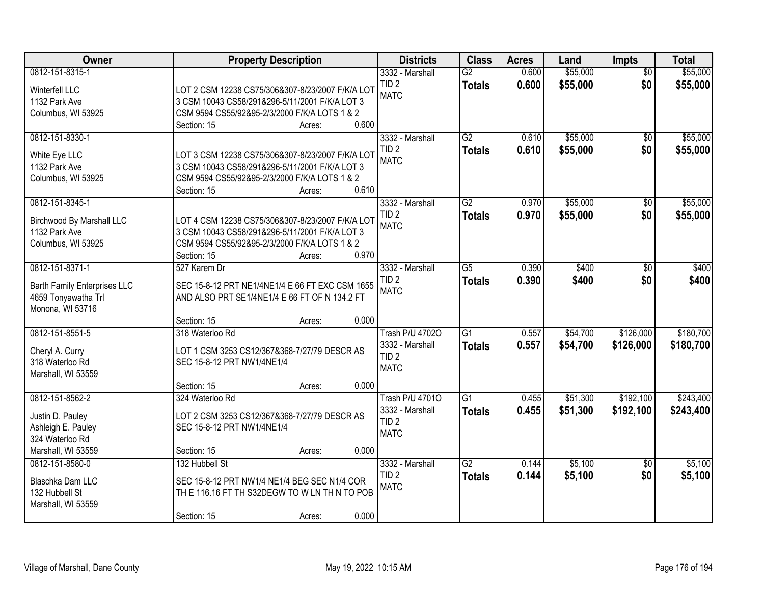| Owner                                                                                              | <b>Property Description</b>                                                                                                                                                  |       | <b>Districts</b>                                                             | <b>Class</b>                     | <b>Acres</b>   | Land                 | Impts                  | <b>Total</b>           |
|----------------------------------------------------------------------------------------------------|------------------------------------------------------------------------------------------------------------------------------------------------------------------------------|-------|------------------------------------------------------------------------------|----------------------------------|----------------|----------------------|------------------------|------------------------|
| 0812-151-8315-1<br>Winterfell LLC<br>1132 Park Ave<br>Columbus, WI 53925                           | LOT 2 CSM 12238 CS75/306&307-8/23/2007 F/K/A LOT<br>3 CSM 10043 CS58/291&296-5/11/2001 F/K/A LOT 3<br>CSM 9594 CS55/92&95-2/3/2000 F/K/A LOTS 1 & 2<br>Section: 15<br>Acres: | 0.600 | 3332 - Marshall<br>TID <sub>2</sub><br><b>MATC</b>                           | $\overline{G2}$<br><b>Totals</b> | 0.600<br>0.600 | \$55,000<br>\$55,000 | $\overline{50}$<br>\$0 | \$55,000<br>\$55,000   |
| 0812-151-8330-1<br>White Eye LLC<br>1132 Park Ave<br>Columbus, WI 53925                            | LOT 3 CSM 12238 CS75/306&307-8/23/2007 F/K/A LOT<br>3 CSM 10043 CS58/291&296-5/11/2001 F/K/A LOT 3<br>CSM 9594 CS55/92&95-2/3/2000 F/K/A LOTS 1 & 2<br>Section: 15<br>Acres: | 0.610 | 3332 - Marshall<br>TID <sub>2</sub><br><b>MATC</b>                           | $\overline{G2}$<br><b>Totals</b> | 0.610<br>0.610 | \$55,000<br>\$55,000 | \$0<br>\$0             | \$55,000<br>\$55,000   |
| 0812-151-8345-1<br>Birchwood By Marshall LLC<br>1132 Park Ave<br>Columbus, WI 53925                | LOT 4 CSM 12238 CS75/306&307-8/23/2007 F/K/A LOT<br>3 CSM 10043 CS58/291&296-5/11/2001 F/K/A LOT 3<br>CSM 9594 CS55/92&95-2/3/2000 F/K/A LOTS 1 & 2<br>Section: 15<br>Acres: | 0.970 | 3332 - Marshall<br>TID <sub>2</sub><br><b>MATC</b>                           | G2<br><b>Totals</b>              | 0.970<br>0.970 | \$55,000<br>\$55,000 | \$0<br>\$0             | \$55,000<br>\$55,000   |
| 0812-151-8371-1<br>Barth Family Enterprises LLC<br>4659 Tonyawatha Trl<br>Monona, WI 53716         | 527 Karem Dr<br>SEC 15-8-12 PRT NE1/4NE1/4 E 66 FT EXC CSM 1655<br>AND ALSO PRT SE1/4NE1/4 E 66 FT OF N 134.2 FT<br>Section: 15<br>Acres:                                    | 0.000 | 3332 - Marshall<br>TID <sub>2</sub><br><b>MATC</b>                           | $\overline{G5}$<br><b>Totals</b> | 0.390<br>0.390 | \$400<br>\$400       | $\frac{1}{20}$<br>\$0  | \$400<br>\$400         |
| 0812-151-8551-5<br>Cheryl A. Curry<br>318 Waterloo Rd<br>Marshall, WI 53559                        | 318 Waterloo Rd<br>LOT 1 CSM 3253 CS12/367&368-7/27/79 DESCR AS<br>SEC 15-8-12 PRT NW1/4NE1/4<br>Section: 15<br>Acres:                                                       | 0.000 | <b>Trash P/U 47020</b><br>3332 - Marshall<br>TID <sub>2</sub><br><b>MATC</b> | $\overline{G1}$<br><b>Totals</b> | 0.557<br>0.557 | \$54,700<br>\$54,700 | \$126,000<br>\$126,000 | \$180,700<br>\$180,700 |
| 0812-151-8562-2<br>Justin D. Pauley<br>Ashleigh E. Pauley<br>324 Waterloo Rd<br>Marshall, WI 53559 | 324 Waterloo Rd<br>LOT 2 CSM 3253 CS12/367&368-7/27/79 DESCR AS<br>SEC 15-8-12 PRT NW1/4NE1/4<br>Section: 15<br>Acres:                                                       | 0.000 | <b>Trash P/U 47010</b><br>3332 - Marshall<br>TID <sub>2</sub><br><b>MATC</b> | $\overline{G1}$<br><b>Totals</b> | 0.455<br>0.455 | \$51,300<br>\$51,300 | \$192,100<br>\$192,100 | \$243,400<br>\$243,400 |
| 0812-151-8580-0<br>Blaschka Dam LLC<br>132 Hubbell St<br>Marshall, WI 53559                        | 132 Hubbell St<br>SEC 15-8-12 PRT NW1/4 NE1/4 BEG SEC N1/4 COR<br>THE 116.16 FT TH S32DEGW TO WLN THN TO POB<br>Section: 15<br>Acres:                                        | 0.000 | 3332 - Marshall<br>TID <sub>2</sub><br><b>MATC</b>                           | $\overline{G2}$<br><b>Totals</b> | 0.144<br>0.144 | \$5,100<br>\$5,100   | $\overline{30}$<br>\$0 | \$5,100<br>\$5,100     |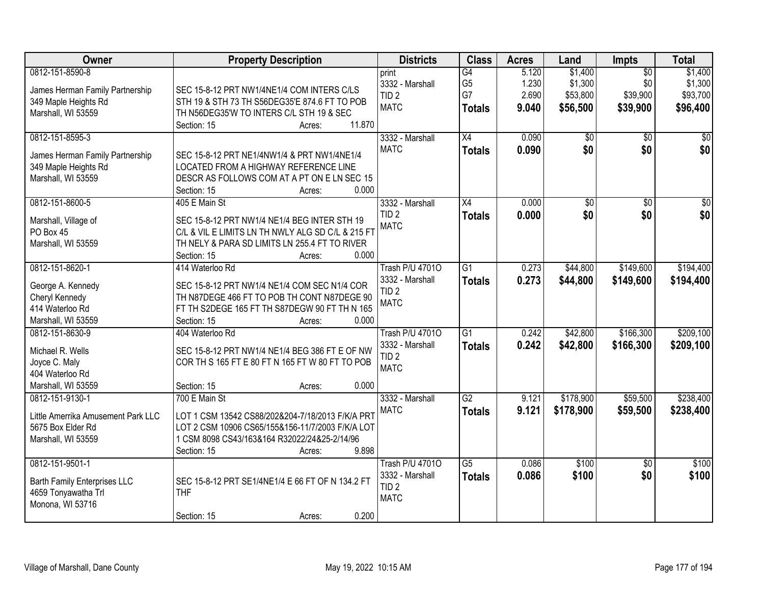| Owner                                                                                             | <b>Property Description</b>                                                                                                                                                                             | <b>Districts</b>                                                             | <b>Class</b>                                | <b>Acres</b>                     | Land                                       | <b>Impts</b>                                   | <b>Total</b>                               |
|---------------------------------------------------------------------------------------------------|---------------------------------------------------------------------------------------------------------------------------------------------------------------------------------------------------------|------------------------------------------------------------------------------|---------------------------------------------|----------------------------------|--------------------------------------------|------------------------------------------------|--------------------------------------------|
| 0812-151-8590-8<br>James Herman Family Partnership<br>349 Maple Heights Rd<br>Marshall, WI 53559  | SEC 15-8-12 PRT NW1/4NE1/4 COM INTERS C/LS<br>STH 19 & STH 73 TH S56DEG35'E 874.6 FT TO POB<br>TH N56DEG35'W TO INTERS C/L STH 19 & SEC<br>11.870<br>Section: 15                                        | print<br>3332 - Marshall<br>TID <sub>2</sub><br><b>MATC</b>                  | G4<br>G <sub>5</sub><br>G7<br><b>Totals</b> | 5.120<br>1.230<br>2.690<br>9.040 | \$1,400<br>\$1,300<br>\$53,800<br>\$56,500 | $\overline{50}$<br>\$0<br>\$39,900<br>\$39,900 | \$1,400<br>\$1,300<br>\$93,700<br>\$96,400 |
| 0812-151-8595-3<br>James Herman Family Partnership<br>349 Maple Heights Rd<br>Marshall, WI 53559  | Acres:<br>SEC 15-8-12 PRT NE1/4NW1/4 & PRT NW1/4NE1/4<br>LOCATED FROM A HIGHWAY REFERENCE LINE<br>DESCR AS FOLLOWS COM AT A PT ON E LN SEC 15<br>0.000<br>Section: 15<br>Acres:                         | 3332 - Marshall<br><b>MATC</b>                                               | $\overline{X4}$<br><b>Totals</b>            | 0.090<br>0.090                   | \$0<br>\$0                                 | $\overline{50}$<br>\$0                         | \$0<br>\$0                                 |
| 0812-151-8600-5<br>Marshall, Village of<br>PO Box 45<br>Marshall, WI 53559                        | 405 E Main St<br>SEC 15-8-12 PRT NW1/4 NE1/4 BEG INTER STH 19<br>C/L & VIL E LIMITS LN TH NWLY ALG SD C/L & 215 FT<br>TH NELY & PARA SD LIMITS LN 255.4 FT TO RIVER<br>Section: 15<br>0.000<br>Acres:   | 3332 - Marshall<br>TID <sub>2</sub><br><b>MATC</b>                           | $\overline{X4}$<br><b>Totals</b>            | 0.000<br>0.000                   | $\overline{50}$<br>\$0                     | $\overline{50}$<br>\$0                         | $\overline{50}$<br>\$0                     |
| 0812-151-8620-1<br>George A. Kennedy<br>Cheryl Kennedy<br>414 Waterloo Rd<br>Marshall, WI 53559   | 414 Waterloo Rd<br>SEC 15-8-12 PRT NW1/4 NE1/4 COM SEC N1/4 COR<br>TH N87DEGE 466 FT TO POB TH CONT N87DEGE 90<br>FT TH S2DEGE 165 FT TH S87DEGW 90 FT TH N 165<br>Section: 15<br>0.000<br>Acres:       | <b>Trash P/U 47010</b><br>3332 - Marshall<br>TID <sub>2</sub><br><b>MATC</b> | $\overline{G1}$<br><b>Totals</b>            | 0.273<br>0.273                   | \$44,800<br>\$44,800                       | \$149,600<br>\$149,600                         | \$194,400<br>\$194,400                     |
| 0812-151-8630-9<br>Michael R. Wells<br>Joyce C. Maly<br>404 Waterloo Rd<br>Marshall, WI 53559     | 404 Waterloo Rd<br>SEC 15-8-12 PRT NW1/4 NE1/4 BEG 386 FT E OF NW<br>COR TH S 165 FT E 80 FT N 165 FT W 80 FT TO POB<br>0.000<br>Section: 15<br>Acres:                                                  | <b>Trash P/U 47010</b><br>3332 - Marshall<br>TID <sub>2</sub><br><b>MATC</b> | $\overline{G1}$<br><b>Totals</b>            | 0.242<br>0.242                   | \$42,800<br>\$42,800                       | \$166,300<br>\$166,300                         | \$209,100<br>\$209,100                     |
| 0812-151-9130-1<br>Little Amerrika Amusement Park LLC<br>5675 Box Elder Rd<br>Marshall, WI 53559  | 700 E Main St<br>LOT 1 CSM 13542 CS88/202&204-7/18/2013 F/K/A PRT<br>LOT 2 CSM 10906 CS65/155&156-11/7/2003 F/K/A LOT<br>1 CSM 8098 CS43/163&164 R32022/24&25-2/14/96<br>9.898<br>Section: 15<br>Acres: | 3332 - Marshall<br><b>MATC</b>                                               | $\overline{G2}$<br><b>Totals</b>            | 9.121<br>9.121                   | \$178,900<br>\$178,900                     | \$59,500<br>\$59,500                           | \$238,400<br>\$238,400                     |
| 0812-151-9501-1<br><b>Barth Family Enterprises LLC</b><br>4659 Tonyawatha Trl<br>Monona, WI 53716 | SEC 15-8-12 PRT SE1/4NE1/4 E 66 FT OF N 134.2 FT<br><b>THF</b><br>0.200<br>Section: 15<br>Acres:                                                                                                        | <b>Trash P/U 47010</b><br>3332 - Marshall<br>TID <sub>2</sub><br><b>MATC</b> | $\overline{G5}$<br><b>Totals</b>            | 0.086<br>0.086                   | \$100<br>\$100                             | $\overline{30}$<br>\$0                         | \$100<br>\$100                             |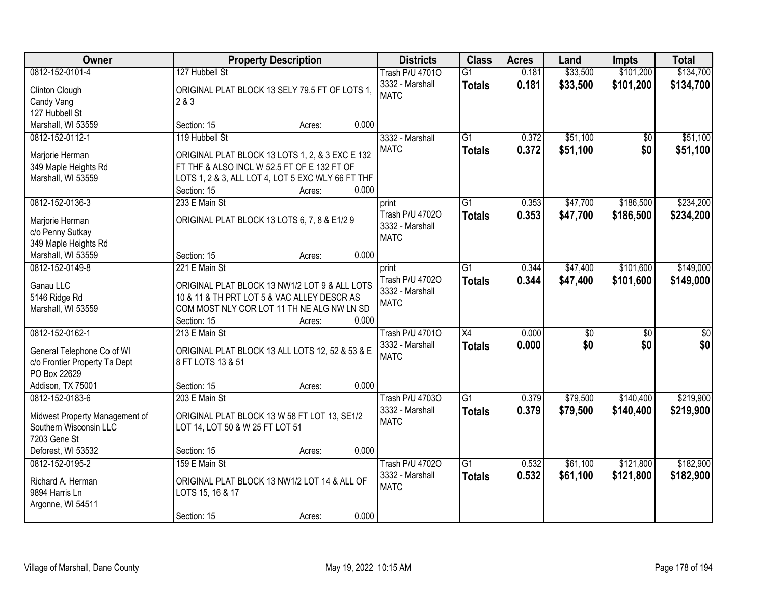| <b>Owner</b>                   |                                                   | <b>Property Description</b> |       | <b>Districts</b>       | <b>Class</b>    | <b>Acres</b> | Land            | <b>Impts</b>    | <b>Total</b>    |
|--------------------------------|---------------------------------------------------|-----------------------------|-------|------------------------|-----------------|--------------|-----------------|-----------------|-----------------|
| 0812-152-0101-4                | 127 Hubbell St                                    |                             |       | <b>Trash P/U 47010</b> | $\overline{G1}$ | 0.181        | \$33,500        | \$101,200       | \$134,700       |
| Clinton Clough                 | ORIGINAL PLAT BLOCK 13 SELY 79.5 FT OF LOTS 1,    |                             |       | 3332 - Marshall        | <b>Totals</b>   | 0.181        | \$33,500        | \$101,200       | \$134,700       |
| Candy Vang                     | 2 & 3                                             |                             |       | <b>MATC</b>            |                 |              |                 |                 |                 |
| 127 Hubbell St                 |                                                   |                             |       |                        |                 |              |                 |                 |                 |
| Marshall, WI 53559             | Section: 15                                       | Acres:                      | 0.000 |                        |                 |              |                 |                 |                 |
| 0812-152-0112-1                | 119 Hubbell St                                    |                             |       | 3332 - Marshall        | $\overline{G1}$ | 0.372        | \$51,100        | \$0             | \$51,100        |
|                                |                                                   |                             |       | <b>MATC</b>            | <b>Totals</b>   | 0.372        | \$51,100        | \$0             | \$51,100        |
| Marjorie Herman                | ORIGINAL PLAT BLOCK 13 LOTS 1, 2, & 3 EXC E 132   |                             |       |                        |                 |              |                 |                 |                 |
| 349 Maple Heights Rd           | FT THF & ALSO INCL W 52.5 FT OF E 132 FT OF       |                             |       |                        |                 |              |                 |                 |                 |
| Marshall, WI 53559             | LOTS 1, 2 & 3, ALL LOT 4, LOT 5 EXC WLY 66 FT THF |                             |       |                        |                 |              |                 |                 |                 |
|                                | Section: 15                                       | Acres:                      | 0.000 |                        |                 |              |                 |                 |                 |
| 0812-152-0136-3                | 233 E Main St                                     |                             |       | print                  | G1              | 0.353        | \$47,700        | \$186,500       | \$234,200       |
| Marjorie Herman                | ORIGINAL PLAT BLOCK 13 LOTS 6, 7, 8 & E1/2 9      |                             |       | Trash P/U 47020        | <b>Totals</b>   | 0.353        | \$47,700        | \$186,500       | \$234,200       |
| c/o Penny Sutkay               |                                                   |                             |       | 3332 - Marshall        |                 |              |                 |                 |                 |
| 349 Maple Heights Rd           |                                                   |                             |       | <b>MATC</b>            |                 |              |                 |                 |                 |
| Marshall, WI 53559             | Section: 15                                       | Acres:                      | 0.000 |                        |                 |              |                 |                 |                 |
| 0812-152-0149-8                | 221 E Main St                                     |                             |       | print                  | G1              | 0.344        | \$47,400        | \$101,600       | \$149,000       |
|                                |                                                   |                             |       | Trash P/U 47020        | <b>Totals</b>   | 0.344        | \$47,400        | \$101,600       | \$149,000       |
| Ganau LLC                      | ORIGINAL PLAT BLOCK 13 NW1/2 LOT 9 & ALL LOTS     |                             |       | 3332 - Marshall        |                 |              |                 |                 |                 |
| 5146 Ridge Rd                  | 10 & 11 & TH PRT LOT 5 & VAC ALLEY DESCR AS       |                             |       | <b>MATC</b>            |                 |              |                 |                 |                 |
| Marshall, WI 53559             | COM MOST NLY COR LOT 11 TH NE ALG NW LN SD        |                             |       |                        |                 |              |                 |                 |                 |
|                                | Section: 15                                       | Acres:                      | 0.000 |                        |                 |              |                 |                 |                 |
| 0812-152-0162-1                | 213 E Main St                                     |                             |       | <b>Trash P/U 47010</b> | $\overline{X4}$ | 0.000        | $\overline{50}$ | $\overline{50}$ | $\overline{50}$ |
| General Telephone Co of WI     | ORIGINAL PLAT BLOCK 13 ALL LOTS 12, 52 & 53 & E   |                             |       | 3332 - Marshall        | <b>Totals</b>   | 0.000        | \$0             | \$0             | \$0             |
| c/o Frontier Property Ta Dept  | 8 FT LOTS 13 & 51                                 |                             |       | <b>MATC</b>            |                 |              |                 |                 |                 |
| PO Box 22629                   |                                                   |                             |       |                        |                 |              |                 |                 |                 |
| Addison, TX 75001              | Section: 15                                       | Acres:                      | 0.000 |                        |                 |              |                 |                 |                 |
| 0812-152-0183-6                | 203 E Main St                                     |                             |       | <b>Trash P/U 47030</b> | $\overline{G1}$ | 0.379        | \$79,500        | \$140,400       | \$219,900       |
|                                |                                                   |                             |       | 3332 - Marshall        | <b>Totals</b>   | 0.379        | \$79,500        | \$140,400       | \$219,900       |
| Midwest Property Management of | ORIGINAL PLAT BLOCK 13 W 58 FT LOT 13, SE1/2      |                             |       | <b>MATC</b>            |                 |              |                 |                 |                 |
| Southern Wisconsin LLC         | LOT 14, LOT 50 & W 25 FT LOT 51                   |                             |       |                        |                 |              |                 |                 |                 |
| 7203 Gene St                   |                                                   |                             |       |                        |                 |              |                 |                 |                 |
| Deforest, WI 53532             | Section: 15                                       | Acres:                      | 0.000 |                        |                 |              |                 |                 |                 |
| 0812-152-0195-2                | 159 E Main St                                     |                             |       | <b>Trash P/U 47020</b> | $\overline{G1}$ | 0.532        | \$61,100        | \$121,800       | \$182,900       |
| Richard A. Herman              | ORIGINAL PLAT BLOCK 13 NW1/2 LOT 14 & ALL OF      |                             |       | 3332 - Marshall        | <b>Totals</b>   | 0.532        | \$61,100        | \$121,800       | \$182,900       |
| 9894 Harris Ln                 | LOTS 15, 16 & 17                                  |                             |       | <b>MATC</b>            |                 |              |                 |                 |                 |
| Argonne, WI 54511              |                                                   |                             |       |                        |                 |              |                 |                 |                 |
|                                | Section: 15                                       | Acres:                      | 0.000 |                        |                 |              |                 |                 |                 |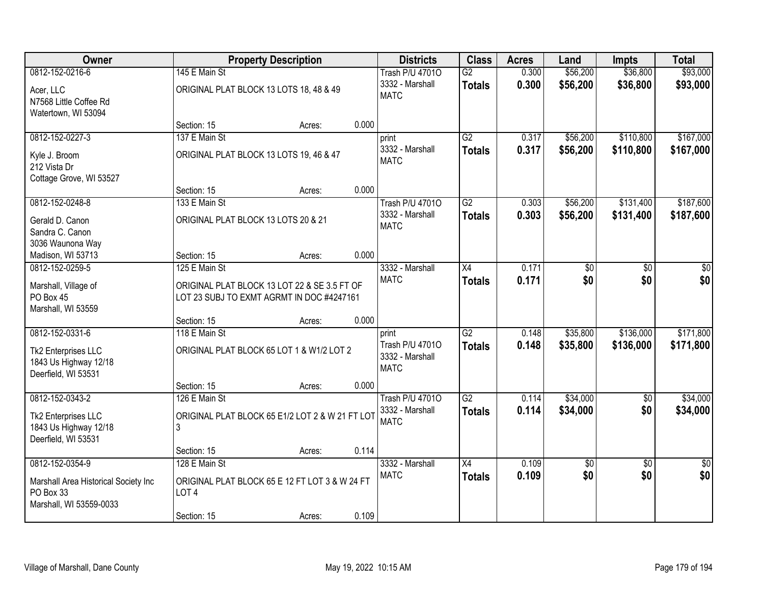| Owner                                                                                  |                                                                                           | <b>Property Description</b> |       | <b>Districts</b>                                           | <b>Class</b>                     | <b>Acres</b>   | Land                 | <b>Impts</b>           | <b>Total</b>           |
|----------------------------------------------------------------------------------------|-------------------------------------------------------------------------------------------|-----------------------------|-------|------------------------------------------------------------|----------------------------------|----------------|----------------------|------------------------|------------------------|
| 0812-152-0216-6                                                                        | 145 E Main St                                                                             |                             |       | <b>Trash P/U 47010</b>                                     | $\overline{G2}$                  | 0.300          | \$56,200             | \$36,800               | \$93,000               |
| Acer, LLC<br>N7568 Little Coffee Rd<br>Watertown, WI 53094                             | ORIGINAL PLAT BLOCK 13 LOTS 18, 48 & 49                                                   |                             |       | 3332 - Marshall<br><b>MATC</b>                             | <b>Totals</b>                    | 0.300          | \$56,200             | \$36,800               | \$93,000               |
|                                                                                        | Section: 15                                                                               | Acres:                      | 0.000 |                                                            |                                  |                |                      |                        |                        |
| 0812-152-0227-3                                                                        | 137 E Main St                                                                             |                             |       | print                                                      | G2                               | 0.317          | \$56,200             | \$110,800              | \$167,000              |
| Kyle J. Broom<br>212 Vista Dr<br>Cottage Grove, WI 53527                               | ORIGINAL PLAT BLOCK 13 LOTS 19, 46 & 47                                                   |                             |       | 3332 - Marshall<br><b>MATC</b>                             | <b>Totals</b>                    | 0.317          | \$56,200             | \$110,800              | \$167,000              |
|                                                                                        | Section: 15                                                                               | Acres:                      | 0.000 |                                                            |                                  |                |                      |                        |                        |
| 0812-152-0248-8                                                                        | 133 E Main St                                                                             |                             |       | <b>Trash P/U 47010</b>                                     | G2                               | 0.303          | \$56,200             | \$131,400              | \$187,600              |
| Gerald D. Canon<br>Sandra C. Canon                                                     | ORIGINAL PLAT BLOCK 13 LOTS 20 & 21                                                       |                             |       | 3332 - Marshall<br><b>MATC</b>                             | <b>Totals</b>                    | 0.303          | \$56,200             | \$131,400              | \$187,600              |
| 3036 Waunona Way<br>Madison, WI 53713                                                  | Section: 15                                                                               | Acres:                      | 0.000 |                                                            |                                  |                |                      |                        |                        |
| 0812-152-0259-5                                                                        | 125 E Main St                                                                             |                             |       | 3332 - Marshall                                            | $\overline{X4}$                  | 0.171          | \$0                  | \$0                    | \$0                    |
| Marshall, Village of<br>PO Box 45<br>Marshall, WI 53559                                | ORIGINAL PLAT BLOCK 13 LOT 22 & SE 3.5 FT OF<br>LOT 23 SUBJ TO EXMT AGRMT IN DOC #4247161 |                             |       | <b>MATC</b>                                                | <b>Totals</b>                    | 0.171          | \$0                  | \$0                    | \$0                    |
|                                                                                        | Section: 15                                                                               | Acres:                      | 0.000 |                                                            |                                  |                |                      |                        |                        |
| 0812-152-0331-6<br>Tk2 Enterprises LLC<br>1843 Us Highway 12/18<br>Deerfield, WI 53531 | 118 E Main St<br>ORIGINAL PLAT BLOCK 65 LOT 1 & W1/2 LOT 2                                |                             |       | print<br>Trash P/U 47010<br>3332 - Marshall<br><b>MATC</b> | $\overline{G2}$<br><b>Totals</b> | 0.148<br>0.148 | \$35,800<br>\$35,800 | \$136,000<br>\$136,000 | \$171,800<br>\$171,800 |
|                                                                                        | Section: 15                                                                               | Acres:                      | 0.000 |                                                            |                                  |                |                      |                        |                        |
| 0812-152-0343-2                                                                        | 126 E Main St                                                                             |                             |       | <b>Trash P/U 47010</b>                                     | $\overline{G2}$                  | 0.114          | \$34,000             | \$0                    | \$34,000               |
| Tk2 Enterprises LLC<br>1843 Us Highway 12/18<br>Deerfield, WI 53531                    | ORIGINAL PLAT BLOCK 65 E1/2 LOT 2 & W 21 FT LOT<br>3                                      |                             |       | 3332 - Marshall<br><b>MATC</b>                             | <b>Totals</b>                    | 0.114          | \$34,000             | \$0                    | \$34,000               |
|                                                                                        | Section: 15                                                                               | Acres:                      | 0.114 |                                                            |                                  |                |                      |                        |                        |
| 0812-152-0354-9                                                                        | 128 E Main St                                                                             |                             |       | 3332 - Marshall                                            | $\overline{X4}$                  | 0.109          | \$0                  | $\overline{50}$        | $\overline{50}$        |
| Marshall Area Historical Society Inc<br>PO Box 33<br>Marshall, WI 53559-0033           | ORIGINAL PLAT BLOCK 65 E 12 FT LOT 3 & W 24 FT<br>LOT <sub>4</sub>                        |                             |       | <b>MATC</b>                                                | <b>Totals</b>                    | 0.109          | \$0                  | \$0                    | \$0                    |
|                                                                                        | Section: 15                                                                               | Acres:                      | 0.109 |                                                            |                                  |                |                      |                        |                        |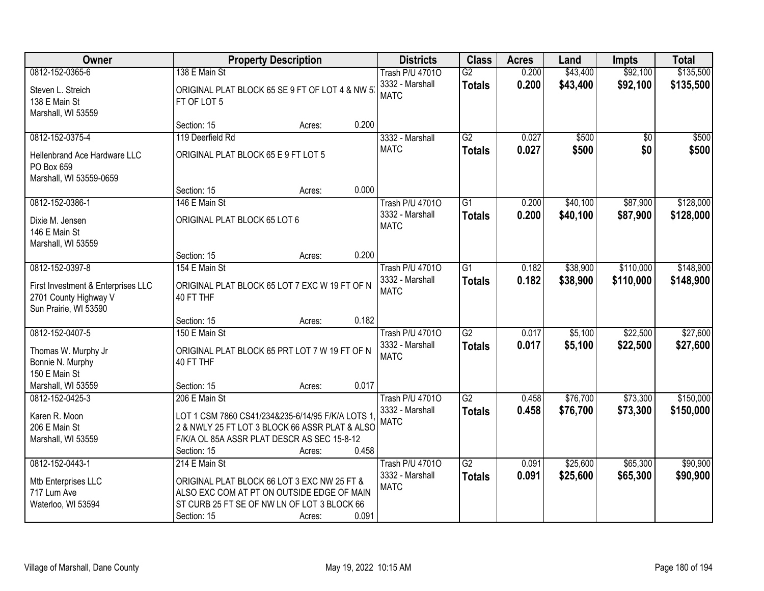| <b>Owner</b>                                                                         |                                                                                                                                                                  | <b>Property Description</b> |       | <b>Districts</b>                          | <b>Class</b>                     | <b>Acres</b>   | Land               | <b>Impts</b>         | <b>Total</b>         |
|--------------------------------------------------------------------------------------|------------------------------------------------------------------------------------------------------------------------------------------------------------------|-----------------------------|-------|-------------------------------------------|----------------------------------|----------------|--------------------|----------------------|----------------------|
| 0812-152-0365-6                                                                      | 138 E Main St                                                                                                                                                    |                             |       | <b>Trash P/U 47010</b>                    | $\overline{G2}$                  | 0.200          | \$43,400           | \$92,100             | \$135,500            |
| Steven L. Streich<br>138 E Main St<br>Marshall, WI 53559                             | ORIGINAL PLAT BLOCK 65 SE 9 FT OF LOT 4 & NW 5<br>FT OF LOT 5                                                                                                    |                             |       | 3332 - Marshall<br><b>MATC</b>            | <b>Totals</b>                    | 0.200          | \$43,400           | \$92,100             | \$135,500            |
|                                                                                      | Section: 15                                                                                                                                                      | Acres:                      | 0.200 |                                           |                                  |                |                    |                      |                      |
| 0812-152-0375-4                                                                      | 119 Deerfield Rd                                                                                                                                                 |                             |       | 3332 - Marshall                           | $\overline{G2}$                  | 0.027          | \$500              | \$0                  | \$500                |
| Hellenbrand Ace Hardware LLC<br>PO Box 659<br>Marshall, WI 53559-0659                | ORIGINAL PLAT BLOCK 65 E 9 FT LOT 5                                                                                                                              |                             |       | <b>MATC</b>                               | <b>Totals</b>                    | 0.027          | \$500              | \$0                  | \$500                |
|                                                                                      | Section: 15                                                                                                                                                      | Acres:                      | 0.000 |                                           |                                  |                |                    |                      |                      |
| 0812-152-0386-1                                                                      | 146 E Main St                                                                                                                                                    |                             |       | <b>Trash P/U 47010</b>                    | $\overline{G1}$                  | 0.200          | \$40,100           | \$87,900             | \$128,000            |
| Dixie M. Jensen<br>146 E Main St<br>Marshall, WI 53559                               | ORIGINAL PLAT BLOCK 65 LOT 6                                                                                                                                     |                             |       | 3332 - Marshall<br><b>MATC</b>            | <b>Totals</b>                    | 0.200          | \$40,100           | \$87,900             | \$128,000            |
|                                                                                      | Section: 15                                                                                                                                                      | Acres:                      | 0.200 |                                           |                                  |                |                    |                      |                      |
| 0812-152-0397-8                                                                      | 154 E Main St                                                                                                                                                    |                             |       | <b>Trash P/U 47010</b>                    | G1                               | 0.182          | \$38,900           | \$110,000            | \$148,900            |
| First Investment & Enterprises LLC<br>2701 County Highway V<br>Sun Prairie, WI 53590 | ORIGINAL PLAT BLOCK 65 LOT 7 EXC W 19 FT OF N<br>40 FT THF                                                                                                       |                             |       | 3332 - Marshall<br><b>MATC</b>            | <b>Totals</b>                    | 0.182          | \$38,900           | \$110,000            | \$148,900            |
|                                                                                      | Section: 15                                                                                                                                                      | Acres:                      | 0.182 |                                           |                                  |                |                    |                      |                      |
| 0812-152-0407-5<br>Thomas W. Murphy Jr                                               | 150 E Main St<br>ORIGINAL PLAT BLOCK 65 PRT LOT 7 W 19 FT OF N                                                                                                   |                             |       | <b>Trash P/U 47010</b><br>3332 - Marshall | $\overline{G2}$<br><b>Totals</b> | 0.017<br>0.017 | \$5,100<br>\$5,100 | \$22,500<br>\$22,500 | \$27,600<br>\$27,600 |
| Bonnie N. Murphy<br>150 E Main St                                                    | 40 FT THF                                                                                                                                                        |                             |       | <b>MATC</b>                               |                                  |                |                    |                      |                      |
| Marshall, WI 53559                                                                   | Section: 15                                                                                                                                                      | Acres:                      | 0.017 |                                           |                                  |                |                    |                      |                      |
| 0812-152-0425-3                                                                      | 206 E Main St                                                                                                                                                    |                             |       | <b>Trash P/U 47010</b>                    | $\overline{G2}$                  | 0.458          | \$76,700           | \$73,300             | \$150,000            |
| Karen R. Moon<br>206 E Main St<br>Marshall, WI 53559                                 | LOT 1 CSM 7860 CS41/234&235-6/14/95 F/K/A LOTS 1<br>2 & NWLY 25 FT LOT 3 BLOCK 66 ASSR PLAT & ALSO<br>F/K/A OL 85A ASSR PLAT DESCR AS SEC 15-8-12<br>Section: 15 | Acres:                      | 0.458 | 3332 - Marshall<br><b>MATC</b>            | <b>Totals</b>                    | 0.458          | \$76,700           | \$73,300             | \$150,000            |
| 0812-152-0443-1                                                                      | 214 E Main St                                                                                                                                                    |                             |       | <b>Trash P/U 47010</b>                    | $\overline{G2}$                  | 0.091          | \$25,600           | \$65,300             | \$90,900             |
| Mtb Enterprises LLC<br>717 Lum Ave<br>Waterloo, WI 53594                             | ORIGINAL PLAT BLOCK 66 LOT 3 EXC NW 25 FT &<br>ALSO EXC COM AT PT ON OUTSIDE EDGE OF MAIN<br>ST CURB 25 FT SE OF NW LN OF LOT 3 BLOCK 66<br>Section: 15          | Acres:                      | 0.091 | 3332 - Marshall<br><b>MATC</b>            | <b>Totals</b>                    | 0.091          | \$25,600           | \$65,300             | \$90,900             |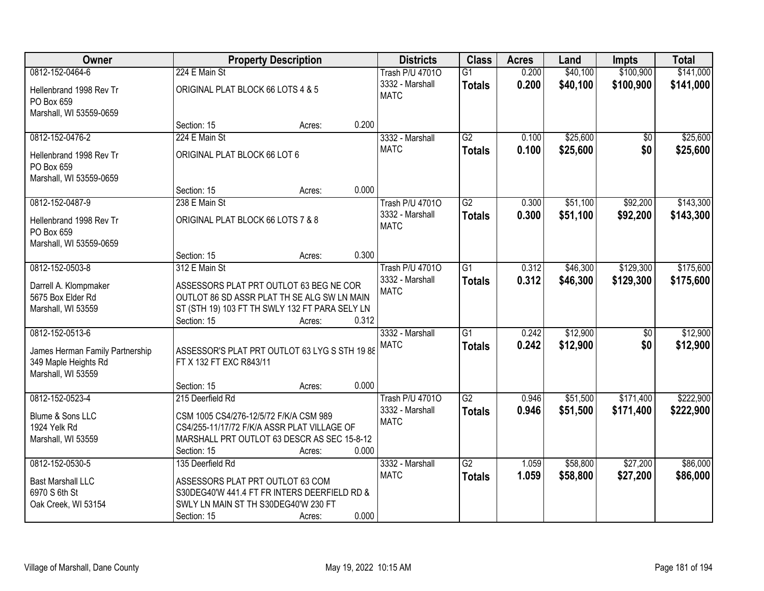| Owner                                                            |                                                                                        | <b>Property Description</b> |       | <b>Districts</b>               | <b>Class</b>    | <b>Acres</b> | Land     | <b>Impts</b>    | <b>Total</b> |
|------------------------------------------------------------------|----------------------------------------------------------------------------------------|-----------------------------|-------|--------------------------------|-----------------|--------------|----------|-----------------|--------------|
| 0812-152-0464-6                                                  | 224 E Main St                                                                          |                             |       | <b>Trash P/U 47010</b>         | $\overline{G1}$ | 0.200        | \$40,100 | \$100,900       | \$141,000    |
| Hellenbrand 1998 Rev Tr<br>PO Box 659                            | ORIGINAL PLAT BLOCK 66 LOTS 4 & 5                                                      |                             |       | 3332 - Marshall<br><b>MATC</b> | <b>Totals</b>   | 0.200        | \$40,100 | \$100,900       | \$141,000    |
| Marshall, WI 53559-0659                                          |                                                                                        |                             |       |                                |                 |              |          |                 |              |
|                                                                  | Section: 15                                                                            | Acres:                      | 0.200 |                                |                 |              |          |                 |              |
| 0812-152-0476-2                                                  | 224 E Main St                                                                          |                             |       | 3332 - Marshall                | $\overline{G2}$ | 0.100        | \$25,600 | $\overline{50}$ | \$25,600     |
| Hellenbrand 1998 Rev Tr<br>PO Box 659<br>Marshall, WI 53559-0659 | ORIGINAL PLAT BLOCK 66 LOT 6                                                           |                             |       | <b>MATC</b>                    | <b>Totals</b>   | 0.100        | \$25,600 | \$0             | \$25,600     |
|                                                                  | Section: 15                                                                            | Acres:                      | 0.000 |                                |                 |              |          |                 |              |
| 0812-152-0487-9                                                  | 238 E Main St                                                                          |                             |       | <b>Trash P/U 47010</b>         | G2              | 0.300        | \$51,100 | \$92,200        | \$143,300    |
|                                                                  |                                                                                        |                             |       | 3332 - Marshall                | <b>Totals</b>   | 0.300        | \$51,100 | \$92,200        | \$143,300    |
| Hellenbrand 1998 Rev Tr                                          | ORIGINAL PLAT BLOCK 66 LOTS 7 & 8                                                      |                             |       | <b>MATC</b>                    |                 |              |          |                 |              |
| PO Box 659<br>Marshall, WI 53559-0659                            |                                                                                        |                             |       |                                |                 |              |          |                 |              |
|                                                                  | Section: 15                                                                            | Acres:                      | 0.300 |                                |                 |              |          |                 |              |
| 0812-152-0503-8                                                  | 312 E Main St                                                                          |                             |       | <b>Trash P/U 47010</b>         | $\overline{G1}$ | 0.312        | \$46,300 | \$129,300       | \$175,600    |
|                                                                  |                                                                                        |                             |       | 3332 - Marshall                | <b>Totals</b>   | 0.312        | \$46,300 | \$129,300       | \$175,600    |
| Darrell A. Klompmaker<br>5675 Box Elder Rd                       | ASSESSORS PLAT PRT OUTLOT 63 BEG NE COR<br>OUTLOT 86 SD ASSR PLAT TH SE ALG SW LN MAIN |                             |       | <b>MATC</b>                    |                 |              |          |                 |              |
| Marshall, WI 53559                                               | ST (STH 19) 103 FT TH SWLY 132 FT PARA SELY LN                                         |                             |       |                                |                 |              |          |                 |              |
|                                                                  | Section: 15                                                                            | Acres:                      | 0.312 |                                |                 |              |          |                 |              |
| 0812-152-0513-6                                                  |                                                                                        |                             |       | 3332 - Marshall                | $\overline{G1}$ | 0.242        | \$12,900 | $\overline{50}$ | \$12,900     |
| James Herman Family Partnership                                  | ASSESSOR'S PLAT PRT OUTLOT 63 LYG S STH 19 88                                          |                             |       | <b>MATC</b>                    | <b>Totals</b>   | 0.242        | \$12,900 | \$0             | \$12,900     |
| 349 Maple Heights Rd                                             | FT X 132 FT EXC R843/11                                                                |                             |       |                                |                 |              |          |                 |              |
| Marshall, WI 53559                                               |                                                                                        |                             |       |                                |                 |              |          |                 |              |
|                                                                  | Section: 15                                                                            | Acres:                      | 0.000 |                                |                 |              |          |                 |              |
| 0812-152-0523-4                                                  | 215 Deerfield Rd                                                                       |                             |       | <b>Trash P/U 47010</b>         | $\overline{G2}$ | 0.946        | \$51,500 | \$171,400       | \$222,900    |
| Blume & Sons LLC                                                 | CSM 1005 CS4/276-12/5/72 F/K/A CSM 989                                                 |                             |       | 3332 - Marshall                | <b>Totals</b>   | 0.946        | \$51,500 | \$171,400       | \$222,900    |
| 1924 Yelk Rd                                                     | CS4/255-11/17/72 F/K/A ASSR PLAT VILLAGE OF                                            |                             |       | <b>MATC</b>                    |                 |              |          |                 |              |
| Marshall, WI 53559                                               | MARSHALL PRT OUTLOT 63 DESCR AS SEC 15-8-12                                            |                             |       |                                |                 |              |          |                 |              |
|                                                                  | Section: 15                                                                            | Acres:                      | 0.000 |                                |                 |              |          |                 |              |
| 0812-152-0530-5                                                  | 135 Deerfield Rd                                                                       |                             |       | 3332 - Marshall                | $\overline{G2}$ | 1.059        | \$58,800 | \$27,200        | \$86,000     |
| <b>Bast Marshall LLC</b>                                         | ASSESSORS PLAT PRT OUTLOT 63 COM                                                       |                             |       | <b>MATC</b>                    | <b>Totals</b>   | 1.059        | \$58,800 | \$27,200        | \$86,000     |
| 6970 S 6th St                                                    | S30DEG40'W 441.4 FT FR INTERS DEERFIELD RD &                                           |                             |       |                                |                 |              |          |                 |              |
| Oak Creek, WI 53154                                              | SWLY LN MAIN ST TH S30DEG40'W 230 FT                                                   |                             |       |                                |                 |              |          |                 |              |
|                                                                  | Section: 15                                                                            | Acres:                      | 0.000 |                                |                 |              |          |                 |              |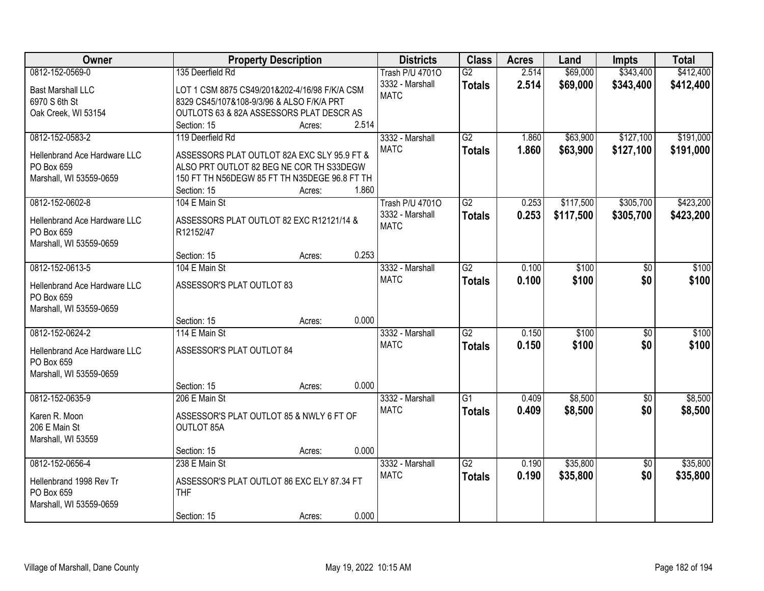| Owner                               | <b>Property Description</b>                   |       | <b>Districts</b>       | <b>Class</b>    | <b>Acres</b> | Land      | <b>Impts</b>    | <b>Total</b> |
|-------------------------------------|-----------------------------------------------|-------|------------------------|-----------------|--------------|-----------|-----------------|--------------|
| 0812-152-0569-0                     | 135 Deerfield Rd                              |       | <b>Trash P/U 47010</b> | $\overline{G2}$ | 2.514        | \$69,000  | \$343,400       | \$412,400    |
| <b>Bast Marshall LLC</b>            | LOT 1 CSM 8875 CS49/201&202-4/16/98 F/K/A CSM |       | 3332 - Marshall        | <b>Totals</b>   | 2.514        | \$69,000  | \$343,400       | \$412,400    |
| 6970 S 6th St                       | 8329 CS45/107&108-9/3/96 & ALSO F/K/A PRT     |       | <b>MATC</b>            |                 |              |           |                 |              |
| Oak Creek, WI 53154                 | OUTLOTS 63 & 82A ASSESSORS PLAT DESCR AS      |       |                        |                 |              |           |                 |              |
|                                     | Section: 15<br>Acres:                         | 2.514 |                        |                 |              |           |                 |              |
| 0812-152-0583-2                     | 119 Deerfield Rd                              |       | 3332 - Marshall        | G2              | 1.860        | \$63,900  | \$127,100       | \$191,000    |
|                                     |                                               |       | <b>MATC</b>            | <b>Totals</b>   | 1.860        | \$63,900  | \$127,100       | \$191,000    |
| <b>Hellenbrand Ace Hardware LLC</b> | ASSESSORS PLAT OUTLOT 82A EXC SLY 95.9 FT &   |       |                        |                 |              |           |                 |              |
| PO Box 659                          | ALSO PRT OUTLOT 82 BEG NE COR TH S33DEGW      |       |                        |                 |              |           |                 |              |
| Marshall, WI 53559-0659             | 150 FT TH N56DEGW 85 FT TH N35DEGE 96.8 FT TH |       |                        |                 |              |           |                 |              |
|                                     | Section: 15<br>Acres:                         | 1.860 |                        |                 |              |           |                 |              |
| 0812-152-0602-8                     | 104 E Main St                                 |       | <b>Trash P/U 47010</b> | G2              | 0.253        | \$117,500 | \$305,700       | \$423,200    |
| Hellenbrand Ace Hardware LLC        | ASSESSORS PLAT OUTLOT 82 EXC R12121/14 &      |       | 3332 - Marshall        | <b>Totals</b>   | 0.253        | \$117,500 | \$305,700       | \$423,200    |
| PO Box 659                          | R12152/47                                     |       | <b>MATC</b>            |                 |              |           |                 |              |
| Marshall, WI 53559-0659             |                                               |       |                        |                 |              |           |                 |              |
|                                     | Section: 15<br>Acres:                         | 0.253 |                        |                 |              |           |                 |              |
| 0812-152-0613-5                     | 104 E Main St                                 |       | 3332 - Marshall        | $\overline{G2}$ | 0.100        | \$100     | \$0             | \$100        |
| Hellenbrand Ace Hardware LLC        | ASSESSOR'S PLAT OUTLOT 83                     |       | <b>MATC</b>            | <b>Totals</b>   | 0.100        | \$100     | \$0             | \$100        |
| PO Box 659                          |                                               |       |                        |                 |              |           |                 |              |
| Marshall, WI 53559-0659             |                                               |       |                        |                 |              |           |                 |              |
|                                     | Section: 15<br>Acres:                         | 0.000 |                        |                 |              |           |                 |              |
| 0812-152-0624-2                     | 114 E Main St                                 |       | 3332 - Marshall        | $\overline{G2}$ | 0.150        | \$100     | $\overline{50}$ | \$100        |
|                                     |                                               |       | <b>MATC</b>            |                 | 0.150        | \$100     | \$0             | \$100        |
| Hellenbrand Ace Hardware LLC        | ASSESSOR'S PLAT OUTLOT 84                     |       |                        | <b>Totals</b>   |              |           |                 |              |
| PO Box 659                          |                                               |       |                        |                 |              |           |                 |              |
| Marshall, WI 53559-0659             |                                               |       |                        |                 |              |           |                 |              |
|                                     | Section: 15<br>Acres:                         | 0.000 |                        |                 |              |           |                 |              |
| 0812-152-0635-9                     | 206 E Main St                                 |       | 3332 - Marshall        | $\overline{G1}$ | 0.409        | \$8,500   | $\overline{50}$ | \$8,500      |
| Karen R. Moon                       | ASSESSOR'S PLAT OUTLOT 85 & NWLY 6 FT OF      |       | <b>MATC</b>            | <b>Totals</b>   | 0.409        | \$8,500   | \$0             | \$8,500      |
| 206 E Main St                       | OUTLOT 85A                                    |       |                        |                 |              |           |                 |              |
| Marshall, WI 53559                  |                                               |       |                        |                 |              |           |                 |              |
|                                     | Section: 15<br>Acres:                         | 0.000 |                        |                 |              |           |                 |              |
| 0812-152-0656-4                     | 238 E Main St                                 |       | 3332 - Marshall        | $\overline{G2}$ | 0.190        | \$35,800  | $\overline{50}$ | \$35,800     |
|                                     |                                               |       | <b>MATC</b>            | <b>Totals</b>   | 0.190        | \$35,800  | \$0             | \$35,800     |
| Hellenbrand 1998 Rev Tr             | ASSESSOR'S PLAT OUTLOT 86 EXC ELY 87.34 FT    |       |                        |                 |              |           |                 |              |
| PO Box 659                          | <b>THF</b>                                    |       |                        |                 |              |           |                 |              |
| Marshall, WI 53559-0659             |                                               |       |                        |                 |              |           |                 |              |
|                                     | Section: 15<br>Acres:                         | 0.000 |                        |                 |              |           |                 |              |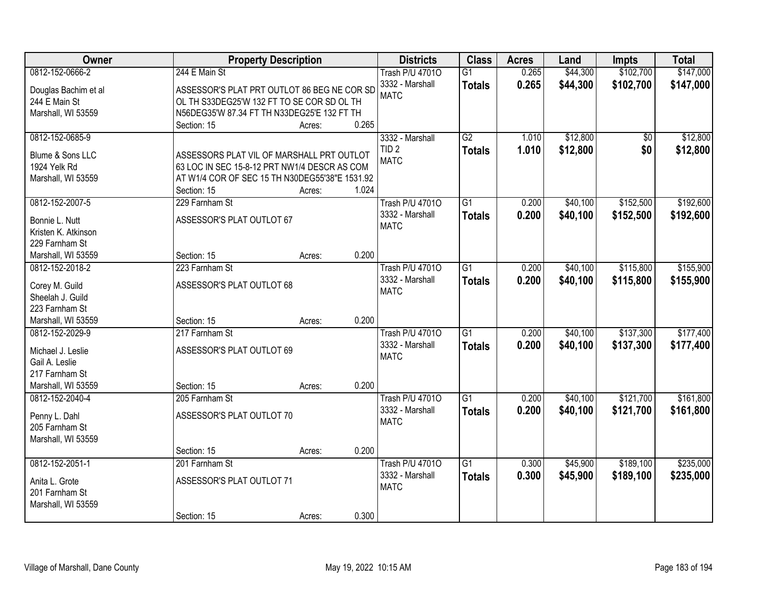| \$102,700<br>\$147,000<br>0812-152-0666-2<br>244 E Main St<br>0.265<br>\$44,300<br><b>Trash P/U 47010</b><br>$\overline{G1}$<br>0.265<br>3332 - Marshall<br>\$44,300<br>\$102,700<br>\$147,000<br><b>Totals</b><br>ASSESSOR'S PLAT PRT OUTLOT 86 BEG NE COR SD<br>Douglas Bachim et al<br><b>MATC</b><br>OL TH S33DEG25'W 132 FT TO SE COR SD OL TH<br>244 E Main St<br>N56DEG35'W 87.34 FT TH N33DEG25'E 132 FT TH<br>Marshall, WI 53559<br>0.265<br>Section: 15<br>Acres:<br>G2<br>\$12,800<br>\$12,800<br>0812-152-0685-9<br>3332 - Marshall<br>1.010<br>\$0<br>TID <sub>2</sub><br>1.010<br>\$12,800<br>\$0<br>\$12,800<br><b>Totals</b><br>Blume & Sons LLC<br>ASSESSORS PLAT VIL OF MARSHALL PRT OUTLOT<br><b>MATC</b><br>63 LOC IN SEC 15-8-12 PRT NW1/4 DESCR AS COM<br>1924 Yelk Rd<br>AT W1/4 COR OF SEC 15 TH N30DEG55'38"E 1531.92<br>Marshall, WI 53559<br>1.024<br>Section: 15<br>Acres:<br>\$192,600<br>0812-152-2007-5<br>$\overline{G1}$<br>\$40,100<br>\$152,500<br>229 Farnham St<br><b>Trash P/U 47010</b><br>0.200<br>3332 - Marshall<br>0.200<br>\$40,100<br>\$152,500<br>\$192,600<br><b>Totals</b><br>ASSESSOR'S PLAT OUTLOT 67<br>Bonnie L. Nutt<br><b>MATC</b><br>Kristen K. Atkinson<br>229 Farnham St<br>0.200<br>Marshall, WI 53559<br>Section: 15<br>Acres:<br>\$115,800<br>\$155,900<br>0812-152-2018-2<br><b>Trash P/U 47010</b><br>$\overline{G1}$<br>\$40,100<br>223 Farnham St<br>0.200<br>3332 - Marshall<br>0.200<br>\$40,100<br>\$115,800<br>\$155,900<br><b>Totals</b><br>ASSESSOR'S PLAT OUTLOT 68<br>Corey M. Guild<br><b>MATC</b><br>Sheelah J. Guild<br>223 Farnham St<br>0.200<br>Section: 15<br>Marshall, WI 53559<br>Acres:<br>$\overline{G1}$<br>\$137,300<br>\$177,400<br>0812-152-2029-9<br>217 Farnham St<br><b>Trash P/U 47010</b><br>0.200<br>\$40,100 |
|------------------------------------------------------------------------------------------------------------------------------------------------------------------------------------------------------------------------------------------------------------------------------------------------------------------------------------------------------------------------------------------------------------------------------------------------------------------------------------------------------------------------------------------------------------------------------------------------------------------------------------------------------------------------------------------------------------------------------------------------------------------------------------------------------------------------------------------------------------------------------------------------------------------------------------------------------------------------------------------------------------------------------------------------------------------------------------------------------------------------------------------------------------------------------------------------------------------------------------------------------------------------------------------------------------------------------------------------------------------------------------------------------------------------------------------------------------------------------------------------------------------------------------------------------------------------------------------------------------------------------------------------------------------------------------------------------------------------------------------------------------------------------------------------------------|
|                                                                                                                                                                                                                                                                                                                                                                                                                                                                                                                                                                                                                                                                                                                                                                                                                                                                                                                                                                                                                                                                                                                                                                                                                                                                                                                                                                                                                                                                                                                                                                                                                                                                                                                                                                                                            |
|                                                                                                                                                                                                                                                                                                                                                                                                                                                                                                                                                                                                                                                                                                                                                                                                                                                                                                                                                                                                                                                                                                                                                                                                                                                                                                                                                                                                                                                                                                                                                                                                                                                                                                                                                                                                            |
|                                                                                                                                                                                                                                                                                                                                                                                                                                                                                                                                                                                                                                                                                                                                                                                                                                                                                                                                                                                                                                                                                                                                                                                                                                                                                                                                                                                                                                                                                                                                                                                                                                                                                                                                                                                                            |
|                                                                                                                                                                                                                                                                                                                                                                                                                                                                                                                                                                                                                                                                                                                                                                                                                                                                                                                                                                                                                                                                                                                                                                                                                                                                                                                                                                                                                                                                                                                                                                                                                                                                                                                                                                                                            |
|                                                                                                                                                                                                                                                                                                                                                                                                                                                                                                                                                                                                                                                                                                                                                                                                                                                                                                                                                                                                                                                                                                                                                                                                                                                                                                                                                                                                                                                                                                                                                                                                                                                                                                                                                                                                            |
|                                                                                                                                                                                                                                                                                                                                                                                                                                                                                                                                                                                                                                                                                                                                                                                                                                                                                                                                                                                                                                                                                                                                                                                                                                                                                                                                                                                                                                                                                                                                                                                                                                                                                                                                                                                                            |
|                                                                                                                                                                                                                                                                                                                                                                                                                                                                                                                                                                                                                                                                                                                                                                                                                                                                                                                                                                                                                                                                                                                                                                                                                                                                                                                                                                                                                                                                                                                                                                                                                                                                                                                                                                                                            |
|                                                                                                                                                                                                                                                                                                                                                                                                                                                                                                                                                                                                                                                                                                                                                                                                                                                                                                                                                                                                                                                                                                                                                                                                                                                                                                                                                                                                                                                                                                                                                                                                                                                                                                                                                                                                            |
|                                                                                                                                                                                                                                                                                                                                                                                                                                                                                                                                                                                                                                                                                                                                                                                                                                                                                                                                                                                                                                                                                                                                                                                                                                                                                                                                                                                                                                                                                                                                                                                                                                                                                                                                                                                                            |
|                                                                                                                                                                                                                                                                                                                                                                                                                                                                                                                                                                                                                                                                                                                                                                                                                                                                                                                                                                                                                                                                                                                                                                                                                                                                                                                                                                                                                                                                                                                                                                                                                                                                                                                                                                                                            |
|                                                                                                                                                                                                                                                                                                                                                                                                                                                                                                                                                                                                                                                                                                                                                                                                                                                                                                                                                                                                                                                                                                                                                                                                                                                                                                                                                                                                                                                                                                                                                                                                                                                                                                                                                                                                            |
|                                                                                                                                                                                                                                                                                                                                                                                                                                                                                                                                                                                                                                                                                                                                                                                                                                                                                                                                                                                                                                                                                                                                                                                                                                                                                                                                                                                                                                                                                                                                                                                                                                                                                                                                                                                                            |
|                                                                                                                                                                                                                                                                                                                                                                                                                                                                                                                                                                                                                                                                                                                                                                                                                                                                                                                                                                                                                                                                                                                                                                                                                                                                                                                                                                                                                                                                                                                                                                                                                                                                                                                                                                                                            |
|                                                                                                                                                                                                                                                                                                                                                                                                                                                                                                                                                                                                                                                                                                                                                                                                                                                                                                                                                                                                                                                                                                                                                                                                                                                                                                                                                                                                                                                                                                                                                                                                                                                                                                                                                                                                            |
|                                                                                                                                                                                                                                                                                                                                                                                                                                                                                                                                                                                                                                                                                                                                                                                                                                                                                                                                                                                                                                                                                                                                                                                                                                                                                                                                                                                                                                                                                                                                                                                                                                                                                                                                                                                                            |
|                                                                                                                                                                                                                                                                                                                                                                                                                                                                                                                                                                                                                                                                                                                                                                                                                                                                                                                                                                                                                                                                                                                                                                                                                                                                                                                                                                                                                                                                                                                                                                                                                                                                                                                                                                                                            |
|                                                                                                                                                                                                                                                                                                                                                                                                                                                                                                                                                                                                                                                                                                                                                                                                                                                                                                                                                                                                                                                                                                                                                                                                                                                                                                                                                                                                                                                                                                                                                                                                                                                                                                                                                                                                            |
|                                                                                                                                                                                                                                                                                                                                                                                                                                                                                                                                                                                                                                                                                                                                                                                                                                                                                                                                                                                                                                                                                                                                                                                                                                                                                                                                                                                                                                                                                                                                                                                                                                                                                                                                                                                                            |
|                                                                                                                                                                                                                                                                                                                                                                                                                                                                                                                                                                                                                                                                                                                                                                                                                                                                                                                                                                                                                                                                                                                                                                                                                                                                                                                                                                                                                                                                                                                                                                                                                                                                                                                                                                                                            |
|                                                                                                                                                                                                                                                                                                                                                                                                                                                                                                                                                                                                                                                                                                                                                                                                                                                                                                                                                                                                                                                                                                                                                                                                                                                                                                                                                                                                                                                                                                                                                                                                                                                                                                                                                                                                            |
|                                                                                                                                                                                                                                                                                                                                                                                                                                                                                                                                                                                                                                                                                                                                                                                                                                                                                                                                                                                                                                                                                                                                                                                                                                                                                                                                                                                                                                                                                                                                                                                                                                                                                                                                                                                                            |
|                                                                                                                                                                                                                                                                                                                                                                                                                                                                                                                                                                                                                                                                                                                                                                                                                                                                                                                                                                                                                                                                                                                                                                                                                                                                                                                                                                                                                                                                                                                                                                                                                                                                                                                                                                                                            |
| 3332 - Marshall<br>0.200<br>\$137,300<br>\$177,400<br>\$40,100<br><b>Totals</b>                                                                                                                                                                                                                                                                                                                                                                                                                                                                                                                                                                                                                                                                                                                                                                                                                                                                                                                                                                                                                                                                                                                                                                                                                                                                                                                                                                                                                                                                                                                                                                                                                                                                                                                            |
| ASSESSOR'S PLAT OUTLOT 69<br>Michael J. Leslie<br><b>MATC</b>                                                                                                                                                                                                                                                                                                                                                                                                                                                                                                                                                                                                                                                                                                                                                                                                                                                                                                                                                                                                                                                                                                                                                                                                                                                                                                                                                                                                                                                                                                                                                                                                                                                                                                                                              |
| Gail A. Leslie                                                                                                                                                                                                                                                                                                                                                                                                                                                                                                                                                                                                                                                                                                                                                                                                                                                                                                                                                                                                                                                                                                                                                                                                                                                                                                                                                                                                                                                                                                                                                                                                                                                                                                                                                                                             |
| 217 Farnham St<br>0.200                                                                                                                                                                                                                                                                                                                                                                                                                                                                                                                                                                                                                                                                                                                                                                                                                                                                                                                                                                                                                                                                                                                                                                                                                                                                                                                                                                                                                                                                                                                                                                                                                                                                                                                                                                                    |
| Marshall, WI 53559<br>Section: 15<br>Acres:                                                                                                                                                                                                                                                                                                                                                                                                                                                                                                                                                                                                                                                                                                                                                                                                                                                                                                                                                                                                                                                                                                                                                                                                                                                                                                                                                                                                                                                                                                                                                                                                                                                                                                                                                                |
| \$121,700<br>\$161,800<br>0812-152-2040-4<br>205 Farnham St<br>$\overline{G1}$<br>\$40,100<br><b>Trash P/U 47010</b><br>0.200                                                                                                                                                                                                                                                                                                                                                                                                                                                                                                                                                                                                                                                                                                                                                                                                                                                                                                                                                                                                                                                                                                                                                                                                                                                                                                                                                                                                                                                                                                                                                                                                                                                                              |
| 3332 - Marshall<br>0.200<br>\$40,100<br>\$121,700<br>\$161,800<br><b>Totals</b><br>ASSESSOR'S PLAT OUTLOT 70<br>Penny L. Dahl                                                                                                                                                                                                                                                                                                                                                                                                                                                                                                                                                                                                                                                                                                                                                                                                                                                                                                                                                                                                                                                                                                                                                                                                                                                                                                                                                                                                                                                                                                                                                                                                                                                                              |
| <b>MATC</b><br>205 Farnham St                                                                                                                                                                                                                                                                                                                                                                                                                                                                                                                                                                                                                                                                                                                                                                                                                                                                                                                                                                                                                                                                                                                                                                                                                                                                                                                                                                                                                                                                                                                                                                                                                                                                                                                                                                              |
| Marshall, WI 53559                                                                                                                                                                                                                                                                                                                                                                                                                                                                                                                                                                                                                                                                                                                                                                                                                                                                                                                                                                                                                                                                                                                                                                                                                                                                                                                                                                                                                                                                                                                                                                                                                                                                                                                                                                                         |
| 0.200<br>Section: 15<br>Acres:                                                                                                                                                                                                                                                                                                                                                                                                                                                                                                                                                                                                                                                                                                                                                                                                                                                                                                                                                                                                                                                                                                                                                                                                                                                                                                                                                                                                                                                                                                                                                                                                                                                                                                                                                                             |
| 0812-152-2051-1<br>$\overline{G1}$<br>\$189,100<br>\$235,000<br>201 Farnham St<br><b>Trash P/U 47010</b><br>0.300<br>\$45,900                                                                                                                                                                                                                                                                                                                                                                                                                                                                                                                                                                                                                                                                                                                                                                                                                                                                                                                                                                                                                                                                                                                                                                                                                                                                                                                                                                                                                                                                                                                                                                                                                                                                              |
| 3332 - Marshall<br>0.300<br>\$45,900<br>\$189,100<br>\$235,000<br><b>Totals</b><br>ASSESSOR'S PLAT OUTLOT 71<br>Anita L. Grote                                                                                                                                                                                                                                                                                                                                                                                                                                                                                                                                                                                                                                                                                                                                                                                                                                                                                                                                                                                                                                                                                                                                                                                                                                                                                                                                                                                                                                                                                                                                                                                                                                                                             |
| <b>MATC</b><br>201 Farnham St                                                                                                                                                                                                                                                                                                                                                                                                                                                                                                                                                                                                                                                                                                                                                                                                                                                                                                                                                                                                                                                                                                                                                                                                                                                                                                                                                                                                                                                                                                                                                                                                                                                                                                                                                                              |
| Marshall, WI 53559                                                                                                                                                                                                                                                                                                                                                                                                                                                                                                                                                                                                                                                                                                                                                                                                                                                                                                                                                                                                                                                                                                                                                                                                                                                                                                                                                                                                                                                                                                                                                                                                                                                                                                                                                                                         |
| 0.300<br>Section: 15<br>Acres:                                                                                                                                                                                                                                                                                                                                                                                                                                                                                                                                                                                                                                                                                                                                                                                                                                                                                                                                                                                                                                                                                                                                                                                                                                                                                                                                                                                                                                                                                                                                                                                                                                                                                                                                                                             |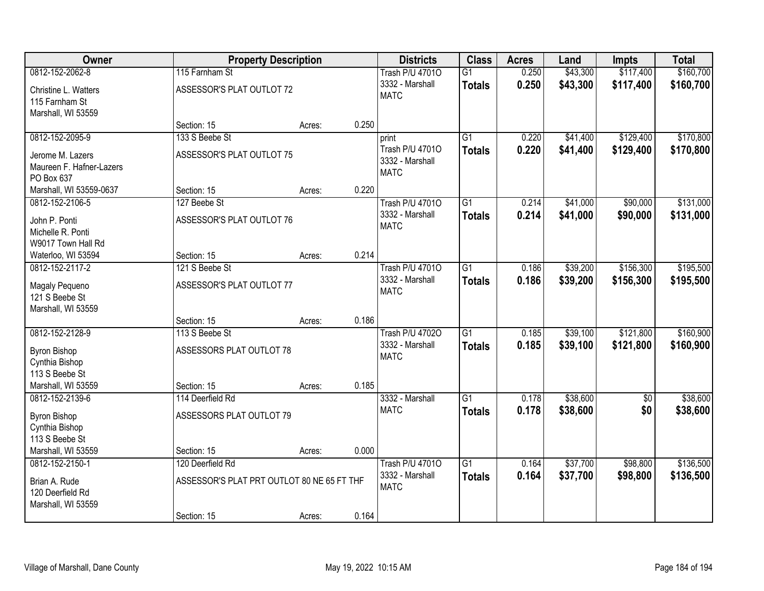| Owner                    |                                            | <b>Property Description</b> |       | <b>Districts</b>                   | <b>Class</b>    | <b>Acres</b> | Land     | Impts      | <b>Total</b> |
|--------------------------|--------------------------------------------|-----------------------------|-------|------------------------------------|-----------------|--------------|----------|------------|--------------|
| 0812-152-2062-8          | 115 Farnham St                             |                             |       | <b>Trash P/U 47010</b>             | $\overline{G1}$ | 0.250        | \$43,300 | \$117,400  | \$160,700    |
| Christine L. Watters     | ASSESSOR'S PLAT OUTLOT 72                  |                             |       | 3332 - Marshall                    | <b>Totals</b>   | 0.250        | \$43,300 | \$117,400  | \$160,700    |
| 115 Farnham St           |                                            |                             |       | <b>MATC</b>                        |                 |              |          |            |              |
| Marshall, WI 53559       |                                            |                             |       |                                    |                 |              |          |            |              |
|                          | Section: 15                                | Acres:                      | 0.250 |                                    |                 |              |          |            |              |
| 0812-152-2095-9          | 133 S Beebe St                             |                             |       | print                              | $\overline{G1}$ | 0.220        | \$41,400 | \$129,400  | \$170,800    |
| Jerome M. Lazers         | ASSESSOR'S PLAT OUTLOT 75                  |                             |       | Trash P/U 47010<br>3332 - Marshall | <b>Totals</b>   | 0.220        | \$41,400 | \$129,400  | \$170,800    |
| Maureen F. Hafner-Lazers |                                            |                             |       | <b>MATC</b>                        |                 |              |          |            |              |
| PO Box 637               |                                            |                             |       |                                    |                 |              |          |            |              |
| Marshall, WI 53559-0637  | Section: 15                                | Acres:                      | 0.220 |                                    |                 |              |          |            |              |
| 0812-152-2106-5          | 127 Beebe St                               |                             |       | <b>Trash P/U 47010</b>             | G1              | 0.214        | \$41,000 | \$90,000   | \$131,000    |
| John P. Ponti            | ASSESSOR'S PLAT OUTLOT 76                  |                             |       | 3332 - Marshall<br><b>MATC</b>     | <b>Totals</b>   | 0.214        | \$41,000 | \$90,000   | \$131,000    |
| Michelle R. Ponti        |                                            |                             |       |                                    |                 |              |          |            |              |
| W9017 Town Hall Rd       |                                            |                             |       |                                    |                 |              |          |            |              |
| Waterloo, WI 53594       | Section: 15                                | Acres:                      | 0.214 |                                    |                 |              |          |            |              |
| 0812-152-2117-2          | 121 S Beebe St                             |                             |       | <b>Trash P/U 47010</b>             | $\overline{G1}$ | 0.186        | \$39,200 | \$156,300  | \$195,500    |
| Magaly Pequeno           | ASSESSOR'S PLAT OUTLOT 77                  |                             |       | 3332 - Marshall<br><b>MATC</b>     | <b>Totals</b>   | 0.186        | \$39,200 | \$156,300  | \$195,500    |
| 121 S Beebe St           |                                            |                             |       |                                    |                 |              |          |            |              |
| Marshall, WI 53559       |                                            |                             |       |                                    |                 |              |          |            |              |
|                          | Section: 15                                | Acres:                      | 0.186 |                                    |                 |              |          |            |              |
| 0812-152-2128-9          | 113 S Beebe St                             |                             |       | <b>Trash P/U 47020</b>             | $\overline{G1}$ | 0.185        | \$39,100 | \$121,800  | \$160,900    |
| <b>Byron Bishop</b>      | ASSESSORS PLAT OUTLOT 78                   |                             |       | 3332 - Marshall<br><b>MATC</b>     | <b>Totals</b>   | 0.185        | \$39,100 | \$121,800  | \$160,900    |
| Cynthia Bishop           |                                            |                             |       |                                    |                 |              |          |            |              |
| 113 S Beebe St           |                                            |                             |       |                                    |                 |              |          |            |              |
| Marshall, WI 53559       | Section: 15                                | Acres:                      | 0.185 |                                    |                 |              |          |            |              |
| 0812-152-2139-6          | 114 Deerfield Rd                           |                             |       | 3332 - Marshall                    | $\overline{G1}$ | 0.178        | \$38,600 | $\sqrt{6}$ | \$38,600     |
| <b>Byron Bishop</b>      | ASSESSORS PLAT OUTLOT 79                   |                             |       | <b>MATC</b>                        | <b>Totals</b>   | 0.178        | \$38,600 | \$0        | \$38,600     |
| Cynthia Bishop           |                                            |                             |       |                                    |                 |              |          |            |              |
| 113 S Beebe St           |                                            |                             |       |                                    |                 |              |          |            |              |
| Marshall, WI 53559       | Section: 15                                | Acres:                      | 0.000 |                                    |                 |              |          |            |              |
| 0812-152-2150-1          | 120 Deerfield Rd                           |                             |       | <b>Trash P/U 47010</b>             | $\overline{G1}$ | 0.164        | \$37,700 | \$98,800   | \$136,500    |
| Brian A. Rude            | ASSESSOR'S PLAT PRT OUTLOT 80 NE 65 FT THF |                             |       | 3332 - Marshall<br><b>MATC</b>     | <b>Totals</b>   | 0.164        | \$37,700 | \$98,800   | \$136,500    |
| 120 Deerfield Rd         |                                            |                             |       |                                    |                 |              |          |            |              |
| Marshall, WI 53559       |                                            |                             |       |                                    |                 |              |          |            |              |
|                          | Section: 15                                | Acres:                      | 0.164 |                                    |                 |              |          |            |              |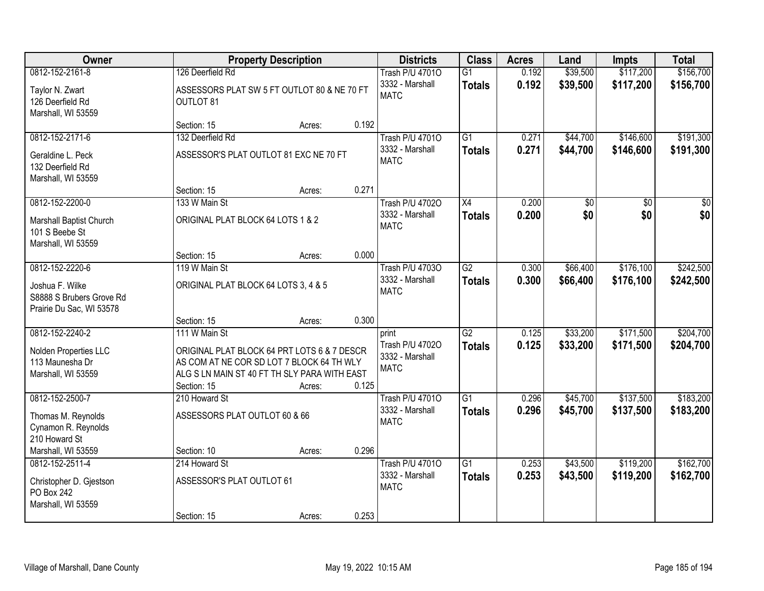| <b>Owner</b>                                                            |                                                                                                                                                         | <b>Property Description</b> |       | <b>Districts</b>                                  | <b>Class</b>    | <b>Acres</b> | Land     | <b>Impts</b> | <b>Total</b> |
|-------------------------------------------------------------------------|---------------------------------------------------------------------------------------------------------------------------------------------------------|-----------------------------|-------|---------------------------------------------------|-----------------|--------------|----------|--------------|--------------|
| 0812-152-2161-8                                                         | 126 Deerfield Rd                                                                                                                                        |                             |       | <b>Trash P/U 47010</b>                            | $\overline{G1}$ | 0.192        | \$39,500 | \$117,200    | \$156,700    |
| Taylor N. Zwart<br>126 Deerfield Rd<br>Marshall, WI 53559               | ASSESSORS PLAT SW 5 FT OUTLOT 80 & NE 70 FT<br>OUTLOT 81                                                                                                |                             |       | 3332 - Marshall<br><b>MATC</b>                    | <b>Totals</b>   | 0.192        | \$39,500 | \$117,200    | \$156,700    |
|                                                                         | Section: 15                                                                                                                                             | Acres:                      | 0.192 |                                                   |                 |              |          |              |              |
| 0812-152-2171-6                                                         | 132 Deerfield Rd                                                                                                                                        |                             |       | <b>Trash P/U 47010</b>                            | $\overline{G1}$ | 0.271        | \$44,700 | \$146,600    | \$191,300    |
| Geraldine L. Peck<br>132 Deerfield Rd<br>Marshall, WI 53559             | ASSESSOR'S PLAT OUTLOT 81 EXC NE 70 FT                                                                                                                  |                             |       | 3332 - Marshall<br><b>MATC</b>                    | <b>Totals</b>   | 0.271        | \$44,700 | \$146,600    | \$191,300    |
|                                                                         | Section: 15                                                                                                                                             | Acres:                      | 0.271 |                                                   |                 |              |          |              |              |
| 0812-152-2200-0                                                         | 133 W Main St                                                                                                                                           |                             |       | <b>Trash P/U 47020</b>                            | X4              | 0.200        | \$0      | \$0          | \$0          |
| Marshall Baptist Church<br>101 S Beebe St<br>Marshall, WI 53559         | ORIGINAL PLAT BLOCK 64 LOTS 1 & 2                                                                                                                       |                             |       | 3332 - Marshall<br><b>MATC</b>                    | <b>Totals</b>   | 0.200        | \$0      | \$0          | \$0          |
|                                                                         | Section: 15                                                                                                                                             | Acres:                      | 0.000 |                                                   |                 |              |          |              |              |
| 0812-152-2220-6                                                         | 119 W Main St                                                                                                                                           |                             |       | <b>Trash P/U 47030</b>                            | $\overline{G2}$ | 0.300        | \$66,400 | \$176,100    | \$242,500    |
| Joshua F. Wilke<br>S8888 S Brubers Grove Rd<br>Prairie Du Sac, WI 53578 | ORIGINAL PLAT BLOCK 64 LOTS 3, 4 & 5                                                                                                                    |                             |       | 3332 - Marshall<br><b>MATC</b>                    | <b>Totals</b>   | 0.300        | \$66,400 | \$176,100    | \$242,500    |
|                                                                         | Section: 15                                                                                                                                             | Acres:                      | 0.300 |                                                   |                 |              |          |              |              |
| 0812-152-2240-2                                                         | 111 W Main St                                                                                                                                           |                             |       | print                                             | $\overline{G2}$ | 0.125        | \$33,200 | \$171,500    | \$204,700    |
| Nolden Properties LLC<br>113 Maunesha Dr<br>Marshall, WI 53559          | ORIGINAL PLAT BLOCK 64 PRT LOTS 6 & 7 DESCR<br>AS COM AT NE COR SD LOT 7 BLOCK 64 TH WLY<br>ALG S LN MAIN ST 40 FT TH SLY PARA WITH EAST<br>Section: 15 | Acres:                      | 0.125 | Trash P/U 47020<br>3332 - Marshall<br><b>MATC</b> | <b>Totals</b>   | 0.125        | \$33,200 | \$171,500    | \$204,700    |
| 0812-152-2500-7                                                         | 210 Howard St                                                                                                                                           |                             |       | <b>Trash P/U 47010</b>                            | $\overline{G1}$ | 0.296        | \$45,700 | \$137,500    | \$183,200    |
| Thomas M. Reynolds<br>Cynamon R. Reynolds<br>210 Howard St              | ASSESSORS PLAT OUTLOT 60 & 66                                                                                                                           |                             |       | 3332 - Marshall<br><b>MATC</b>                    | <b>Totals</b>   | 0.296        | \$45,700 | \$137,500    | \$183,200    |
| Marshall, WI 53559                                                      | Section: 10                                                                                                                                             | Acres:                      | 0.296 |                                                   |                 |              |          |              |              |
| 0812-152-2511-4                                                         | 214 Howard St                                                                                                                                           |                             |       | <b>Trash P/U 47010</b>                            | $\overline{G1}$ | 0.253        | \$43,500 | \$119,200    | \$162,700    |
| Christopher D. Gjestson<br>PO Box 242<br>Marshall, WI 53559             | ASSESSOR'S PLAT OUTLOT 61                                                                                                                               |                             |       | 3332 - Marshall<br><b>MATC</b>                    | <b>Totals</b>   | 0.253        | \$43,500 | \$119,200    | \$162,700    |
|                                                                         | Section: 15                                                                                                                                             | Acres:                      | 0.253 |                                                   |                 |              |          |              |              |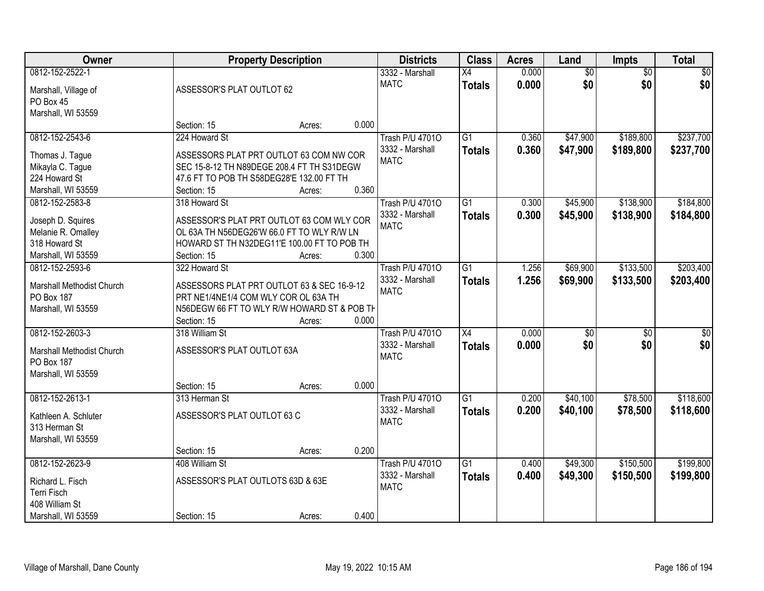| Owner                     |                                           | <b>Property Description</b>                 | <b>Districts</b>       | <b>Class</b>    | <b>Acres</b> | Land            | Impts           | <b>Total</b> |
|---------------------------|-------------------------------------------|---------------------------------------------|------------------------|-----------------|--------------|-----------------|-----------------|--------------|
| 0812-152-2522-1           |                                           |                                             | 3332 - Marshall        | X4              | 0.000        | $\overline{50}$ | $\overline{50}$ | \$0          |
| Marshall, Village of      | ASSESSOR'S PLAT OUTLOT 62                 |                                             | <b>MATC</b>            | <b>Totals</b>   | 0.000        | \$0             | \$0             | \$0          |
| PO Box 45                 |                                           |                                             |                        |                 |              |                 |                 |              |
| Marshall, WI 53559        |                                           |                                             |                        |                 |              |                 |                 |              |
|                           | Section: 15                               | Acres:                                      | 0.000                  |                 |              |                 |                 |              |
| 0812-152-2543-6           | 224 Howard St                             |                                             | <b>Trash P/U 47010</b> | $\overline{G1}$ | 0.360        | \$47,900        | \$189,800       | \$237,700    |
|                           |                                           |                                             | 3332 - Marshall        | <b>Totals</b>   | 0.360        | \$47,900        | \$189,800       | \$237,700    |
| Thomas J. Tague           |                                           | ASSESSORS PLAT PRT OUTLOT 63 COM NW COR     | <b>MATC</b>            |                 |              |                 |                 |              |
| Mikayla C. Tague          |                                           | SEC 15-8-12 TH N89DEGE 208.4 FT TH S31DEGW  |                        |                 |              |                 |                 |              |
| 224 Howard St             | 47.6 FT TO POB TH S58DEG28'E 132.00 FT TH |                                             |                        |                 |              |                 |                 |              |
| Marshall, WI 53559        | Section: 15                               | Acres:                                      | 0.360                  |                 |              |                 |                 |              |
| 0812-152-2583-8           | 318 Howard St                             |                                             | <b>Trash P/U 47010</b> | G1              | 0.300        | \$45,900        | \$138,900       | \$184,800    |
| Joseph D. Squires         |                                           | ASSESSOR'S PLAT PRT OUTLOT 63 COM WLY COR   | 3332 - Marshall        | <b>Totals</b>   | 0.300        | \$45,900        | \$138,900       | \$184,800    |
| Melanie R. Omalley        |                                           | OL 63A TH N56DEG26'W 66.0 FT TO WLY R/W LN  | <b>MATC</b>            |                 |              |                 |                 |              |
| 318 Howard St             |                                           | HOWARD ST TH N32DEG11'E 100.00 FT TO POB TH |                        |                 |              |                 |                 |              |
| Marshall, WI 53559        | Section: 15                               | Acres:                                      | 0.300                  |                 |              |                 |                 |              |
| 0812-152-2593-6           | 322 Howard St                             |                                             | <b>Trash P/U 47010</b> | $\overline{G1}$ | 1.256        | \$69,900        | \$133,500       | \$203,400    |
|                           |                                           |                                             | 3332 - Marshall        | <b>Totals</b>   | 1.256        | \$69,900        | \$133,500       | \$203,400    |
| Marshall Methodist Church |                                           | ASSESSORS PLAT PRT OUTLOT 63 & SEC 16-9-12  | <b>MATC</b>            |                 |              |                 |                 |              |
| PO Box 187                | PRT NE1/4NE1/4 COM WLY COR OL 63A TH      |                                             |                        |                 |              |                 |                 |              |
| Marshall, WI 53559        |                                           | N56DEGW 66 FT TO WLY R/W HOWARD ST & POB TH |                        |                 |              |                 |                 |              |
|                           | Section: 15                               | Acres:                                      | 0.000                  |                 |              |                 |                 |              |
| 0812-152-2603-3           | 318 William St                            |                                             | <b>Trash P/U 47010</b> | $\overline{X4}$ | 0.000        | \$0             | $\overline{50}$ | \$0          |
| Marshall Methodist Church | ASSESSOR'S PLAT OUTLOT 63A                |                                             | 3332 - Marshall        | <b>Totals</b>   | 0.000        | \$0             | \$0             | \$0          |
| PO Box 187                |                                           |                                             | <b>MATC</b>            |                 |              |                 |                 |              |
| Marshall, WI 53559        |                                           |                                             |                        |                 |              |                 |                 |              |
|                           | Section: 15                               | Acres:                                      | 0.000                  |                 |              |                 |                 |              |
| 0812-152-2613-1           | 313 Herman St                             |                                             | <b>Trash P/U 47010</b> | $\overline{G1}$ | 0.200        | \$40,100        | \$78,500        | \$118,600    |
| Kathleen A. Schluter      | ASSESSOR'S PLAT OUTLOT 63 C               |                                             | 3332 - Marshall        | <b>Totals</b>   | 0.200        | \$40,100        | \$78,500        | \$118,600    |
|                           |                                           |                                             | <b>MATC</b>            |                 |              |                 |                 |              |
| 313 Herman St             |                                           |                                             |                        |                 |              |                 |                 |              |
| Marshall, WI 53559        | Section: 15                               |                                             | 0.200                  |                 |              |                 |                 |              |
|                           |                                           | Acres:                                      |                        |                 |              |                 |                 |              |
| 0812-152-2623-9           | 408 William St                            |                                             | <b>Trash P/U 47010</b> | G1              | 0.400        | \$49,300        | \$150,500       | \$199,800    |
| Richard L. Fisch          | ASSESSOR'S PLAT OUTLOTS 63D & 63E         |                                             | 3332 - Marshall        | <b>Totals</b>   | 0.400        | \$49,300        | \$150,500       | \$199,800    |
| Terri Fisch               |                                           |                                             | <b>MATC</b>            |                 |              |                 |                 |              |
| 408 William St            |                                           |                                             |                        |                 |              |                 |                 |              |
| Marshall, WI 53559        | Section: 15                               | Acres:                                      | 0.400                  |                 |              |                 |                 |              |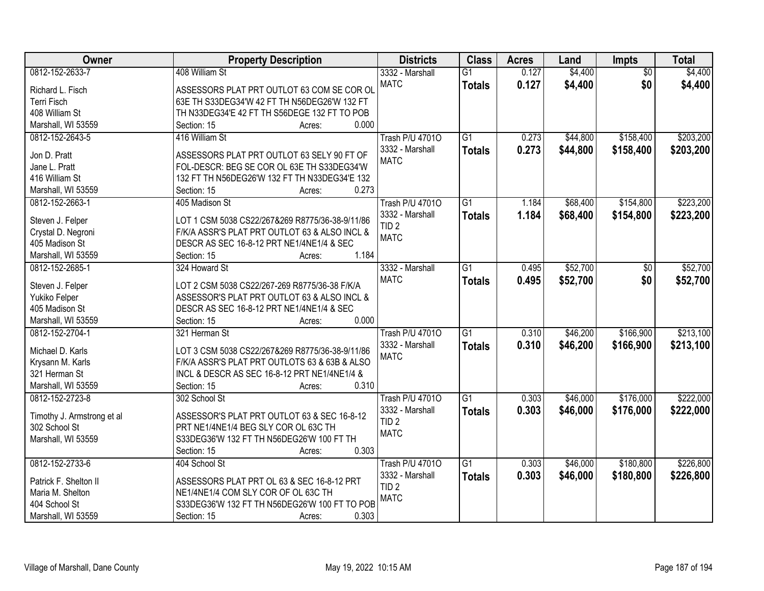| Owner                             | <b>Property Description</b>                                                                      | <b>Districts</b>       | <b>Class</b>    | <b>Acres</b> | Land     | Impts           | <b>Total</b> |
|-----------------------------------|--------------------------------------------------------------------------------------------------|------------------------|-----------------|--------------|----------|-----------------|--------------|
| 0812-152-2633-7                   | 408 William St                                                                                   | 3332 - Marshall        | $\overline{G1}$ | 0.127        | \$4,400  | $\overline{50}$ | \$4,400      |
| Richard L. Fisch                  | ASSESSORS PLAT PRT OUTLOT 63 COM SE COR OL                                                       | <b>MATC</b>            | <b>Totals</b>   | 0.127        | \$4,400  | \$0             | \$4,400      |
| <b>Terri Fisch</b>                | 63E TH S33DEG34'W 42 FT TH N56DEG26'W 132 FT                                                     |                        |                 |              |          |                 |              |
| 408 William St                    | TH N33DEG34'E 42 FT TH S56DEGE 132 FT TO POB                                                     |                        |                 |              |          |                 |              |
| Marshall, WI 53559                | 0.000<br>Section: 15<br>Acres:                                                                   |                        |                 |              |          |                 |              |
| 0812-152-2643-5                   | 416 William St                                                                                   | <b>Trash P/U 47010</b> | $\overline{G1}$ | 0.273        | \$44,800 | \$158,400       | \$203,200    |
|                                   |                                                                                                  | 3332 - Marshall        | <b>Totals</b>   | 0.273        | \$44,800 | \$158,400       | \$203,200    |
| Jon D. Pratt                      | ASSESSORS PLAT PRT OUTLOT 63 SELY 90 FT OF                                                       | <b>MATC</b>            |                 |              |          |                 |              |
| Jane L. Pratt                     | FOL-DESCR: BEG SE COR OL 63E TH S33DEG34'W                                                       |                        |                 |              |          |                 |              |
| 416 William St                    | 132 FT TH N56DEG26'W 132 FT TH N33DEG34'E 132                                                    |                        |                 |              |          |                 |              |
| Marshall, WI 53559                | 0.273<br>Section: 15<br>Acres:                                                                   |                        |                 |              |          |                 |              |
| 0812-152-2663-1                   | 405 Madison St                                                                                   | <b>Trash P/U 47010</b> | $\overline{G1}$ | 1.184        | \$68,400 | \$154,800       | \$223,200    |
| Steven J. Felper                  | LOT 1 CSM 5038 CS22/267&269 R8775/36-38-9/11/86                                                  | 3332 - Marshall        | <b>Totals</b>   | 1.184        | \$68,400 | \$154,800       | \$223,200    |
| Crystal D. Negroni                | F/K/A ASSR'S PLAT PRT OUTLOT 63 & ALSO INCL &                                                    | TID <sub>2</sub>       |                 |              |          |                 |              |
| 405 Madison St                    | DESCR AS SEC 16-8-12 PRT NE1/4NE1/4 & SEC                                                        | <b>MATC</b>            |                 |              |          |                 |              |
| Marshall, WI 53559                | 1.184<br>Section: 15<br>Acres:                                                                   |                        |                 |              |          |                 |              |
| 0812-152-2685-1                   | 324 Howard St                                                                                    | 3332 - Marshall        | $\overline{G1}$ | 0.495        | \$52,700 | \$0             | \$52,700     |
|                                   |                                                                                                  | <b>MATC</b>            |                 | 0.495        | \$52,700 | \$0             | \$52,700     |
| Steven J. Felper                  | LOT 2 CSM 5038 CS22/267-269 R8775/36-38 F/K/A                                                    |                        | <b>Totals</b>   |              |          |                 |              |
| Yukiko Felper                     | ASSESSOR'S PLAT PRT OUTLOT 63 & ALSO INCL &                                                      |                        |                 |              |          |                 |              |
| 405 Madison St                    | DESCR AS SEC 16-8-12 PRT NE1/4NE1/4 & SEC                                                        |                        |                 |              |          |                 |              |
| Marshall, WI 53559                | 0.000<br>Section: 15<br>Acres:                                                                   |                        |                 |              |          |                 |              |
| 0812-152-2704-1                   | 321 Herman St                                                                                    | <b>Trash P/U 47010</b> | $\overline{G1}$ | 0.310        | \$46,200 | \$166,900       | \$213,100    |
| Michael D. Karls                  |                                                                                                  | 3332 - Marshall        | <b>Totals</b>   | 0.310        | \$46,200 | \$166,900       | \$213,100    |
|                                   | LOT 3 CSM 5038 CS22/267&269 R8775/36-38-9/11/86<br>F/K/A ASSR'S PLAT PRT OUTLOTS 63 & 63B & ALSO | <b>MATC</b>            |                 |              |          |                 |              |
| Krysann M. Karls<br>321 Herman St | INCL & DESCR AS SEC 16-8-12 PRT NE1/4NE1/4 &                                                     |                        |                 |              |          |                 |              |
|                                   | 0.310                                                                                            |                        |                 |              |          |                 |              |
| Marshall, WI 53559                | Section: 15<br>Acres:                                                                            |                        |                 |              |          |                 |              |
| 0812-152-2723-8                   | 302 School St                                                                                    | <b>Trash P/U 47010</b> | $\overline{G1}$ | 0.303        | \$46,000 | \$176,000       | \$222,000    |
| Timothy J. Armstrong et al        | ASSESSOR'S PLAT PRT OUTLOT 63 & SEC 16-8-12                                                      | 3332 - Marshall        | <b>Totals</b>   | 0.303        | \$46,000 | \$176,000       | \$222,000    |
| 302 School St                     | PRT NE1/4NE1/4 BEG SLY COR OL 63C TH                                                             | TID <sub>2</sub>       |                 |              |          |                 |              |
| Marshall, WI 53559                | S33DEG36'W 132 FT TH N56DEG26'W 100 FT TH                                                        | <b>MATC</b>            |                 |              |          |                 |              |
|                                   | 0.303<br>Section: 15<br>Acres:                                                                   |                        |                 |              |          |                 |              |
| 0812-152-2733-6                   | 404 School St                                                                                    | <b>Trash P/U 47010</b> | $\overline{G1}$ | 0.303        | \$46,000 | \$180,800       | \$226,800    |
|                                   |                                                                                                  | 3332 - Marshall        | <b>Totals</b>   | 0.303        | \$46,000 | \$180,800       | \$226,800    |
| Patrick F. Shelton II             | ASSESSORS PLAT PRT OL 63 & SEC 16-8-12 PRT                                                       | TID <sub>2</sub>       |                 |              |          |                 |              |
| Maria M. Shelton                  | NE1/4NE1/4 COM SLY COR OF OL 63C TH                                                              | <b>MATC</b>            |                 |              |          |                 |              |
| 404 School St                     | S33DEG36'W 132 FT TH N56DEG26'W 100 FT TO POB                                                    |                        |                 |              |          |                 |              |
| Marshall, WI 53559                | 0.303<br>Section: 15<br>Acres:                                                                   |                        |                 |              |          |                 |              |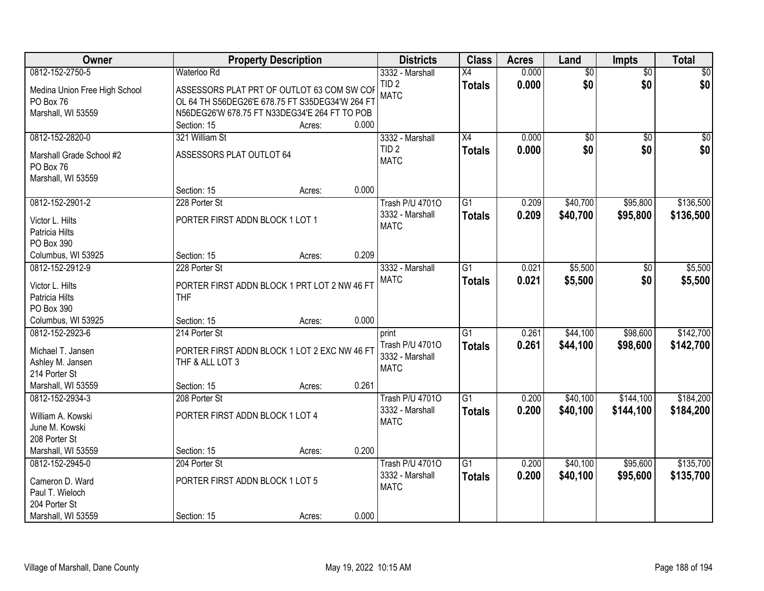| Owner                                                                                        |                                                                                                                                                | <b>Property Description</b> |       | <b>Districts</b>                                           | <b>Class</b>                     | <b>Acres</b>   | Land                   | <b>Impts</b>           | <b>Total</b>            |
|----------------------------------------------------------------------------------------------|------------------------------------------------------------------------------------------------------------------------------------------------|-----------------------------|-------|------------------------------------------------------------|----------------------------------|----------------|------------------------|------------------------|-------------------------|
| 0812-152-2750-5                                                                              | Waterloo Rd                                                                                                                                    |                             |       | 3332 - Marshall                                            | X4                               | 0.000          | $\overline{50}$        | $\overline{50}$        | \$0                     |
| Medina Union Free High School<br>PO Box 76<br>Marshall, WI 53559                             | ASSESSORS PLAT PRT OF OUTLOT 63 COM SW COF<br>OL 64 TH S56DEG26'E 678.75 FT S35DEG34'W 264 FT<br>N56DEG26'W 678.75 FT N33DEG34'E 264 FT TO POB |                             |       | TID <sub>2</sub><br><b>MATC</b>                            | <b>Totals</b>                    | 0.000          | \$0                    | \$0                    | \$0                     |
|                                                                                              | Section: 15                                                                                                                                    | Acres:                      | 0.000 |                                                            |                                  |                |                        |                        |                         |
| 0812-152-2820-0<br>Marshall Grade School #2<br>PO Box 76<br>Marshall, WI 53559               | 321 William St<br>ASSESSORS PLAT OUTLOT 64                                                                                                     |                             |       | 3332 - Marshall<br>TID <sub>2</sub><br><b>MATC</b>         | $\overline{X4}$<br><b>Totals</b> | 0.000<br>0.000 | $\overline{50}$<br>\$0 | $\overline{30}$<br>\$0 | $\overline{\$0}$<br>\$0 |
|                                                                                              | Section: 15                                                                                                                                    | Acres:                      | 0.000 |                                                            |                                  |                |                        |                        |                         |
| 0812-152-2901-2<br>Victor L. Hilts<br>Patricia Hilts<br>PO Box 390                           | 228 Porter St<br>PORTER FIRST ADDN BLOCK 1 LOT 1                                                                                               |                             |       | <b>Trash P/U 47010</b><br>3332 - Marshall<br><b>MATC</b>   | $\overline{G1}$<br><b>Totals</b> | 0.209<br>0.209 | \$40,700<br>\$40,700   | \$95,800<br>\$95,800   | \$136,500<br>\$136,500  |
| Columbus, WI 53925                                                                           | Section: 15                                                                                                                                    | Acres:                      | 0.209 |                                                            |                                  |                |                        |                        |                         |
| 0812-152-2912-9<br>Victor L. Hilts<br>Patricia Hilts<br>PO Box 390                           | 228 Porter St<br>PORTER FIRST ADDN BLOCK 1 PRT LOT 2 NW 46 FT<br><b>THF</b>                                                                    |                             |       | 3332 - Marshall<br><b>MATC</b>                             | $\overline{G1}$<br><b>Totals</b> | 0.021<br>0.021 | \$5,500<br>\$5,500     | \$0<br>\$0             | \$5,500<br>\$5,500      |
| Columbus, WI 53925                                                                           | Section: 15                                                                                                                                    | Acres:                      | 0.000 |                                                            |                                  |                |                        |                        |                         |
| 0812-152-2923-6<br>Michael T. Jansen<br>Ashley M. Jansen<br>214 Porter St                    | 214 Porter St<br>PORTER FIRST ADDN BLOCK 1 LOT 2 EXC NW 46 FT<br>THF & ALL LOT 3                                                               |                             |       | print<br>Trash P/U 47010<br>3332 - Marshall<br><b>MATC</b> | $\overline{G1}$<br><b>Totals</b> | 0.261<br>0.261 | \$44,100<br>\$44,100   | \$98,600<br>\$98,600   | \$142,700<br>\$142,700  |
| Marshall, WI 53559                                                                           | Section: 15                                                                                                                                    | Acres:                      | 0.261 |                                                            |                                  |                |                        |                        |                         |
| 0812-152-2934-3<br>William A. Kowski<br>June M. Kowski<br>208 Porter St                      | 208 Porter St<br>PORTER FIRST ADDN BLOCK 1 LOT 4                                                                                               |                             |       | <b>Trash P/U 47010</b><br>3332 - Marshall<br><b>MATC</b>   | $\overline{G1}$<br><b>Totals</b> | 0.200<br>0.200 | \$40,100<br>\$40,100   | \$144,100<br>\$144,100 | \$184,200<br>\$184,200  |
| Marshall, WI 53559                                                                           | Section: 15                                                                                                                                    | Acres:                      | 0.200 |                                                            |                                  |                |                        |                        |                         |
| 0812-152-2945-0<br>Cameron D. Ward<br>Paul T. Wieloch<br>204 Porter St<br>Marshall, WI 53559 | 204 Porter St<br>PORTER FIRST ADDN BLOCK 1 LOT 5<br>Section: 15                                                                                | Acres:                      | 0.000 | <b>Trash P/U 47010</b><br>3332 - Marshall<br><b>MATC</b>   | $\overline{G1}$<br><b>Totals</b> | 0.200<br>0.200 | \$40,100<br>\$40,100   | \$95,600<br>\$95,600   | \$135,700<br>\$135,700  |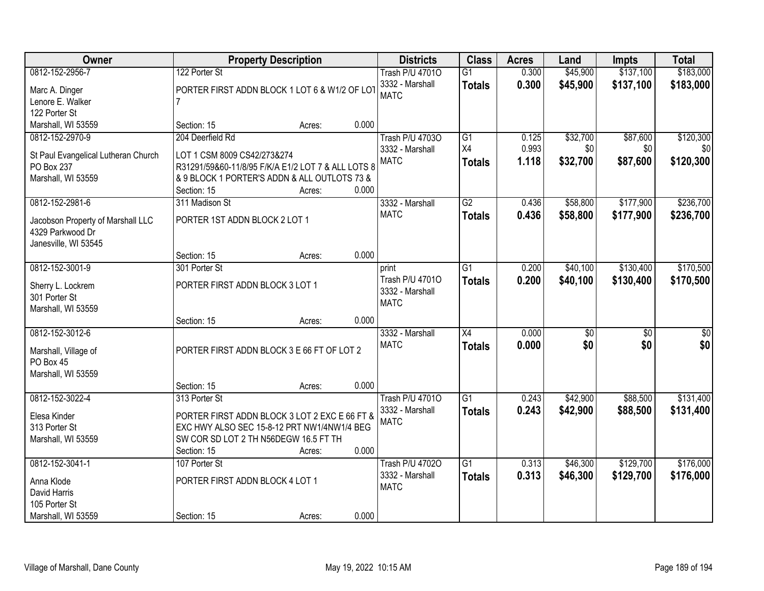| Owner                                                 |                                                    | <b>Property Description</b> |       | <b>Districts</b>               | <b>Class</b>    | <b>Acres</b> | Land     | <b>Impts</b>    | <b>Total</b>    |
|-------------------------------------------------------|----------------------------------------------------|-----------------------------|-------|--------------------------------|-----------------|--------------|----------|-----------------|-----------------|
| 0812-152-2956-7                                       | 122 Porter St                                      |                             |       | <b>Trash P/U 47010</b>         | $\overline{G1}$ | 0.300        | \$45,900 | \$137,100       | \$183,000       |
| Marc A. Dinger                                        | PORTER FIRST ADDN BLOCK 1 LOT 6 & W1/2 OF LOT      |                             |       | 3332 - Marshall                | <b>Totals</b>   | 0.300        | \$45,900 | \$137,100       | \$183,000       |
| Lenore E. Walker                                      |                                                    |                             |       | <b>MATC</b>                    |                 |              |          |                 |                 |
| 122 Porter St                                         |                                                    |                             |       |                                |                 |              |          |                 |                 |
| Marshall, WI 53559                                    | Section: 15                                        | Acres:                      | 0.000 |                                |                 |              |          |                 |                 |
| 0812-152-2970-9                                       | 204 Deerfield Rd                                   |                             |       | <b>Trash P/U 47030</b>         | G1              | 0.125        | \$32,700 | \$87,600        | \$120,300       |
| St Paul Evangelical Lutheran Church                   | LOT 1 CSM 8009 CS42/273&274                        |                             |       | 3332 - Marshall                | X4              | 0.993        | \$0      | \$0             | \$0             |
| PO Box 237                                            | R31291/59&60-11/8/95 F/K/A E1/2 LOT 7 & ALL LOTS 8 |                             |       | <b>MATC</b>                    | <b>Totals</b>   | 1.118        | \$32,700 | \$87,600        | \$120,300       |
| Marshall, WI 53559                                    | & 9 BLOCK 1 PORTER'S ADDN & ALL OUTLOTS 73 &       |                             |       |                                |                 |              |          |                 |                 |
|                                                       | Section: 15                                        | Acres:                      | 0.000 |                                |                 |              |          |                 |                 |
| 0812-152-2981-6                                       | 311 Madison St                                     |                             |       | 3332 - Marshall                | G2              | 0.436        | \$58,800 | \$177,900       | \$236,700       |
|                                                       |                                                    |                             |       | <b>MATC</b>                    | <b>Totals</b>   | 0.436        | \$58,800 | \$177,900       | \$236,700       |
| Jacobson Property of Marshall LLC<br>4329 Parkwood Dr | PORTER 1ST ADDN BLOCK 2 LOT 1                      |                             |       |                                |                 |              |          |                 |                 |
| Janesville, WI 53545                                  |                                                    |                             |       |                                |                 |              |          |                 |                 |
|                                                       | Section: 15                                        | Acres:                      | 0.000 |                                |                 |              |          |                 |                 |
| 0812-152-3001-9                                       | 301 Porter St                                      |                             |       | print                          | G1              | 0.200        | \$40,100 | \$130,400       | \$170,500       |
|                                                       |                                                    |                             |       | Trash P/U 47010                | <b>Totals</b>   | 0.200        | \$40,100 | \$130,400       | \$170,500       |
| Sherry L. Lockrem                                     | PORTER FIRST ADDN BLOCK 3 LOT 1                    |                             |       | 3332 - Marshall                |                 |              |          |                 |                 |
| 301 Porter St<br>Marshall, WI 53559                   |                                                    |                             |       | <b>MATC</b>                    |                 |              |          |                 |                 |
|                                                       | Section: 15                                        | Acres:                      | 0.000 |                                |                 |              |          |                 |                 |
| 0812-152-3012-6                                       |                                                    |                             |       | 3332 - Marshall                | $\overline{X4}$ | 0.000        | \$0      | $\overline{50}$ | $\overline{50}$ |
|                                                       |                                                    |                             |       | <b>MATC</b>                    | <b>Totals</b>   | 0.000        | \$0      | \$0             | \$0             |
| Marshall, Village of                                  | PORTER FIRST ADDN BLOCK 3 E 66 FT OF LOT 2         |                             |       |                                |                 |              |          |                 |                 |
| PO Box 45                                             |                                                    |                             |       |                                |                 |              |          |                 |                 |
| Marshall, WI 53559                                    | Section: 15                                        |                             | 0.000 |                                |                 |              |          |                 |                 |
| 0812-152-3022-4                                       | 313 Porter St                                      | Acres:                      |       | <b>Trash P/U 47010</b>         | G1              | 0.243        | \$42,900 | \$88,500        | \$131,400       |
|                                                       |                                                    |                             |       | 3332 - Marshall                | <b>Totals</b>   | 0.243        | \$42,900 | \$88,500        | \$131,400       |
| Elesa Kinder                                          | PORTER FIRST ADDN BLOCK 3 LOT 2 EXC E 66 FT &      |                             |       | <b>MATC</b>                    |                 |              |          |                 |                 |
| 313 Porter St                                         | EXC HWY ALSO SEC 15-8-12 PRT NW1/4NW1/4 BEG        |                             |       |                                |                 |              |          |                 |                 |
| Marshall, WI 53559                                    | SW COR SD LOT 2 TH N56DEGW 16.5 FT TH              |                             |       |                                |                 |              |          |                 |                 |
|                                                       | Section: 15                                        | Acres:                      | 0.000 |                                |                 |              |          |                 |                 |
| 0812-152-3041-1                                       | 107 Porter St                                      |                             |       | <b>Trash P/U 47020</b>         | $\overline{G1}$ | 0.313        | \$46,300 | \$129,700       | \$176,000       |
| Anna Klode                                            | PORTER FIRST ADDN BLOCK 4 LOT 1                    |                             |       | 3332 - Marshall<br><b>MATC</b> | <b>Totals</b>   | 0.313        | \$46,300 | \$129,700       | \$176,000       |
| David Harris                                          |                                                    |                             |       |                                |                 |              |          |                 |                 |
| 105 Porter St                                         |                                                    |                             |       |                                |                 |              |          |                 |                 |
| Marshall, WI 53559                                    | Section: 15                                        | Acres:                      | 0.000 |                                |                 |              |          |                 |                 |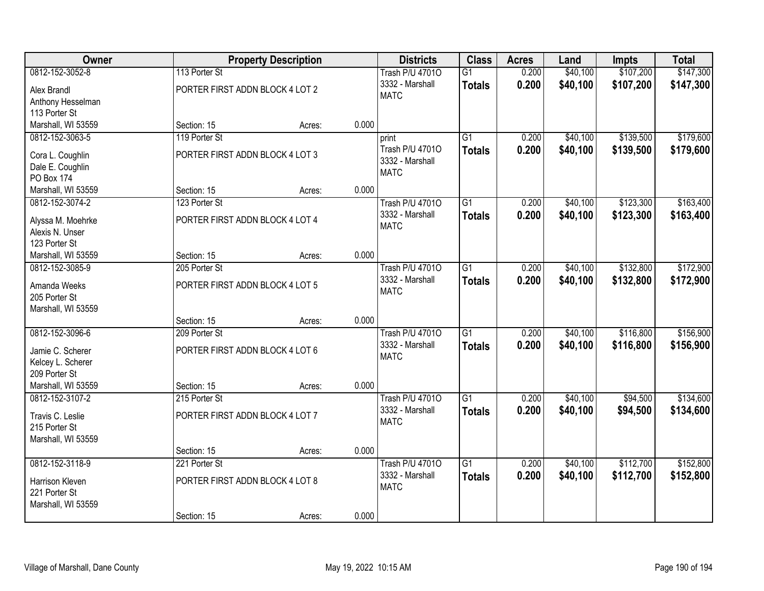| Owner                                                     |                                                  | <b>Property Description</b> |       | <b>Districts</b>                                  | <b>Class</b>                     | <b>Acres</b>   | Land                 | Impts                  | <b>Total</b>           |
|-----------------------------------------------------------|--------------------------------------------------|-----------------------------|-------|---------------------------------------------------|----------------------------------|----------------|----------------------|------------------------|------------------------|
| 0812-152-3052-8<br>Alex Brandl                            | 113 Porter St<br>PORTER FIRST ADDN BLOCK 4 LOT 2 |                             |       | <b>Trash P/U 47010</b><br>3332 - Marshall         | $\overline{G1}$<br><b>Totals</b> | 0.200<br>0.200 | \$40,100<br>\$40,100 | \$107,200<br>\$107,200 | \$147,300<br>\$147,300 |
| Anthony Hesselman<br>113 Porter St                        |                                                  |                             |       | <b>MATC</b>                                       |                                  |                |                      |                        |                        |
| Marshall, WI 53559                                        | Section: 15                                      | Acres:                      | 0.000 |                                                   |                                  |                |                      |                        |                        |
| 0812-152-3063-5                                           | 119 Porter St                                    |                             |       | print                                             | $\overline{G1}$                  | 0.200          | \$40,100             | \$139,500              | \$179,600              |
| Cora L. Coughlin<br>Dale E. Coughlin<br><b>PO Box 174</b> | PORTER FIRST ADDN BLOCK 4 LOT 3                  |                             |       | Trash P/U 47010<br>3332 - Marshall<br><b>MATC</b> | <b>Totals</b>                    | 0.200          | \$40,100             | \$139,500              | \$179,600              |
| Marshall, WI 53559                                        | Section: 15                                      | Acres:                      | 0.000 |                                                   |                                  |                |                      |                        |                        |
| 0812-152-3074-2                                           | 123 Porter St                                    |                             |       | <b>Trash P/U 47010</b>                            | $\overline{G1}$                  | 0.200          | \$40,100             | \$123,300              | \$163,400              |
| Alyssa M. Moehrke<br>Alexis N. Unser<br>123 Porter St     | PORTER FIRST ADDN BLOCK 4 LOT 4                  |                             |       | 3332 - Marshall<br><b>MATC</b>                    | <b>Totals</b>                    | 0.200          | \$40,100             | \$123,300              | \$163,400              |
| Marshall, WI 53559                                        | Section: 15                                      | Acres:                      | 0.000 |                                                   |                                  |                |                      |                        |                        |
| 0812-152-3085-9                                           | 205 Porter St                                    |                             |       | <b>Trash P/U 47010</b>                            | $\overline{G1}$                  | 0.200          | \$40,100             | \$132,800              | \$172,900              |
| Amanda Weeks<br>205 Porter St<br>Marshall, WI 53559       | PORTER FIRST ADDN BLOCK 4 LOT 5                  |                             |       | 3332 - Marshall<br><b>MATC</b>                    | <b>Totals</b>                    | 0.200          | \$40,100             | \$132,800              | \$172,900              |
|                                                           | Section: 15                                      | Acres:                      | 0.000 |                                                   |                                  |                |                      |                        |                        |
| 0812-152-3096-6                                           | 209 Porter St                                    |                             |       | <b>Trash P/U 47010</b>                            | $\overline{G1}$                  | 0.200          | \$40,100             | \$116,800              | \$156,900              |
| Jamie C. Scherer<br>Kelcey L. Scherer<br>209 Porter St    | PORTER FIRST ADDN BLOCK 4 LOT 6                  |                             |       | 3332 - Marshall<br><b>MATC</b>                    | <b>Totals</b>                    | 0.200          | \$40,100             | \$116,800              | \$156,900              |
| Marshall, WI 53559                                        | Section: 15                                      | Acres:                      | 0.000 |                                                   |                                  |                |                      |                        |                        |
| 0812-152-3107-2                                           | 215 Porter St                                    |                             |       | <b>Trash P/U 47010</b>                            | $\overline{G1}$                  | 0.200          | \$40,100             | \$94,500               | \$134,600              |
| Travis C. Leslie<br>215 Porter St<br>Marshall, WI 53559   | PORTER FIRST ADDN BLOCK 4 LOT 7                  |                             |       | 3332 - Marshall<br><b>MATC</b>                    | <b>Totals</b>                    | 0.200          | \$40,100             | \$94,500               | \$134,600              |
|                                                           | Section: 15                                      | Acres:                      | 0.000 |                                                   |                                  |                |                      |                        |                        |
| 0812-152-3118-9                                           | 221 Porter St                                    |                             |       | <b>Trash P/U 47010</b>                            | $\overline{G1}$                  | 0.200          | \$40,100             | \$112,700              | \$152,800              |
| Harrison Kleven<br>221 Porter St<br>Marshall, WI 53559    | PORTER FIRST ADDN BLOCK 4 LOT 8                  |                             |       | 3332 - Marshall<br><b>MATC</b>                    | <b>Totals</b>                    | 0.200          | \$40,100             | \$112,700              | \$152,800              |
|                                                           | Section: 15                                      | Acres:                      | 0.000 |                                                   |                                  |                |                      |                        |                        |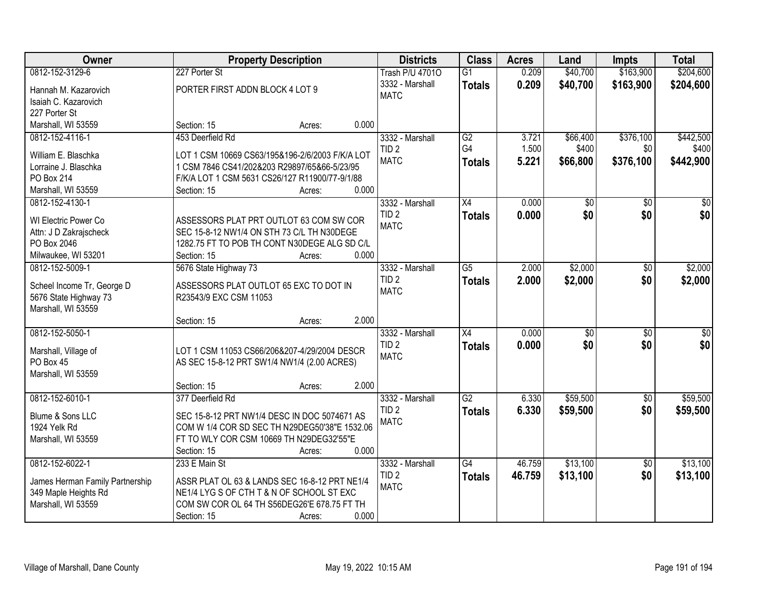| <b>Owner</b>                                            | <b>Property Description</b>                     |       | <b>Districts</b>       | <b>Class</b>    | <b>Acres</b> | Land            | Impts           | <b>Total</b>    |
|---------------------------------------------------------|-------------------------------------------------|-------|------------------------|-----------------|--------------|-----------------|-----------------|-----------------|
| 0812-152-3129-6                                         | 227 Porter St                                   |       | <b>Trash P/U 47010</b> | $\overline{G1}$ | 0.209        | \$40,700        | \$163,900       | \$204,600       |
| Hannah M. Kazarovich                                    | PORTER FIRST ADDN BLOCK 4 LOT 9                 |       | 3332 - Marshall        | <b>Totals</b>   | 0.209        | \$40,700        | \$163,900       | \$204,600       |
| Isaiah C. Kazarovich                                    |                                                 |       | <b>MATC</b>            |                 |              |                 |                 |                 |
| 227 Porter St                                           |                                                 |       |                        |                 |              |                 |                 |                 |
| Marshall, WI 53559                                      | Section: 15<br>Acres:                           | 0.000 |                        |                 |              |                 |                 |                 |
| 0812-152-4116-1                                         | 453 Deerfield Rd                                |       | 3332 - Marshall        | G2              | 3.721        | \$66,400        | \$376,100       | \$442,500       |
|                                                         |                                                 |       | TID <sub>2</sub>       | G4              | 1.500        | \$400           | \$0             | \$400           |
| William E. Blaschka                                     | LOT 1 CSM 10669 CS63/195&196-2/6/2003 F/K/A LOT |       | <b>MATC</b>            | <b>Totals</b>   | 5.221        | \$66,800        | \$376,100       | \$442,900       |
| Lorraine J. Blaschka                                    | 1 CSM 7846 CS41/202&203 R29897/65&66-5/23/95    |       |                        |                 |              |                 |                 |                 |
| PO Box 214                                              | F/K/A LOT 1 CSM 5631 CS26/127 R11900/77-9/1/88  |       |                        |                 |              |                 |                 |                 |
| Marshall, WI 53559                                      | Section: 15<br>Acres:                           | 0.000 |                        |                 |              |                 |                 |                 |
| 0812-152-4130-1                                         |                                                 |       | 3332 - Marshall        | X4              | 0.000        | \$0             | \$0             | \$0             |
| WI Electric Power Co                                    | ASSESSORS PLAT PRT OUTLOT 63 COM SW COR         |       | TID <sub>2</sub>       | <b>Totals</b>   | 0.000        | \$0             | \$0             | \$0             |
| Attn: J D Zakrajscheck                                  | SEC 15-8-12 NW1/4 ON STH 73 C/L TH N30DEGE      |       | <b>MATC</b>            |                 |              |                 |                 |                 |
| PO Box 2046                                             | 1282.75 FT TO POB TH CONT N30DEGE ALG SD C/L    |       |                        |                 |              |                 |                 |                 |
| Milwaukee, WI 53201                                     | Section: 15<br>Acres:                           | 0.000 |                        |                 |              |                 |                 |                 |
| 0812-152-5009-1                                         | 5676 State Highway 73                           |       | 3332 - Marshall        | $\overline{G5}$ | 2.000        | \$2,000         | \$0             | \$2,000         |
|                                                         |                                                 |       | TID <sub>2</sub>       |                 | 2.000        | \$2,000         | \$0             | \$2,000         |
| Scheel Income Tr, George D                              | ASSESSORS PLAT OUTLOT 65 EXC TO DOT IN          |       | <b>MATC</b>            | <b>Totals</b>   |              |                 |                 |                 |
| 5676 State Highway 73                                   | R23543/9 EXC CSM 11053                          |       |                        |                 |              |                 |                 |                 |
| Marshall, WI 53559                                      |                                                 |       |                        |                 |              |                 |                 |                 |
|                                                         | Section: 15<br>Acres:                           | 2.000 |                        |                 |              |                 |                 |                 |
| 0812-152-5050-1                                         |                                                 |       | 3332 - Marshall        | $\overline{X4}$ | 0.000        | $\overline{50}$ | $\overline{50}$ | $\overline{50}$ |
| Marshall, Village of                                    | LOT 1 CSM 11053 CS66/206&207-4/29/2004 DESCR    |       | TID <sub>2</sub>       | <b>Totals</b>   | 0.000        | \$0             | \$0             | \$0             |
| PO Box 45                                               | AS SEC 15-8-12 PRT SW1/4 NW1/4 (2.00 ACRES)     |       | <b>MATC</b>            |                 |              |                 |                 |                 |
| Marshall, WI 53559                                      |                                                 |       |                        |                 |              |                 |                 |                 |
|                                                         | Section: 15<br>Acres:                           | 2.000 |                        |                 |              |                 |                 |                 |
| 0812-152-6010-1                                         | 377 Deerfield Rd                                |       | 3332 - Marshall        | $\overline{G2}$ | 6.330        | \$59,500        | $\overline{50}$ | \$59,500        |
|                                                         |                                                 |       | TID <sub>2</sub>       | <b>Totals</b>   | 6.330        | \$59,500        | \$0             | \$59,500        |
| Blume & Sons LLC                                        | SEC 15-8-12 PRT NW1/4 DESC IN DOC 5074671 AS    |       | <b>MATC</b>            |                 |              |                 |                 |                 |
| 1924 Yelk Rd                                            | COM W 1/4 COR SD SEC TH N29DEG50'38"E 1532.06   |       |                        |                 |              |                 |                 |                 |
| Marshall, WI 53559                                      | FT TO WLY COR CSM 10669 TH N29DEG32'55"E        |       |                        |                 |              |                 |                 |                 |
|                                                         | Section: 15<br>Acres:                           | 0.000 |                        |                 |              |                 |                 |                 |
| 0812-152-6022-1                                         | 233 E Main St                                   |       | 3332 - Marshall        | $\overline{G4}$ | 46.759       | \$13,100        | $\overline{50}$ | \$13,100        |
|                                                         | ASSR PLAT OL 63 & LANDS SEC 16-8-12 PRT NE1/4   |       | TID <sub>2</sub>       | <b>Totals</b>   | 46.759       | \$13,100        | \$0             | \$13,100        |
| James Herman Family Partnership<br>349 Maple Heights Rd | NE1/4 LYG S OF CTH T & N OF SCHOOL ST EXC       |       | <b>MATC</b>            |                 |              |                 |                 |                 |
| Marshall, WI 53559                                      | COM SW COR OL 64 TH S56DEG26'E 678.75 FT TH     |       |                        |                 |              |                 |                 |                 |
|                                                         | Section: 15                                     | 0.000 |                        |                 |              |                 |                 |                 |
|                                                         | Acres:                                          |       |                        |                 |              |                 |                 |                 |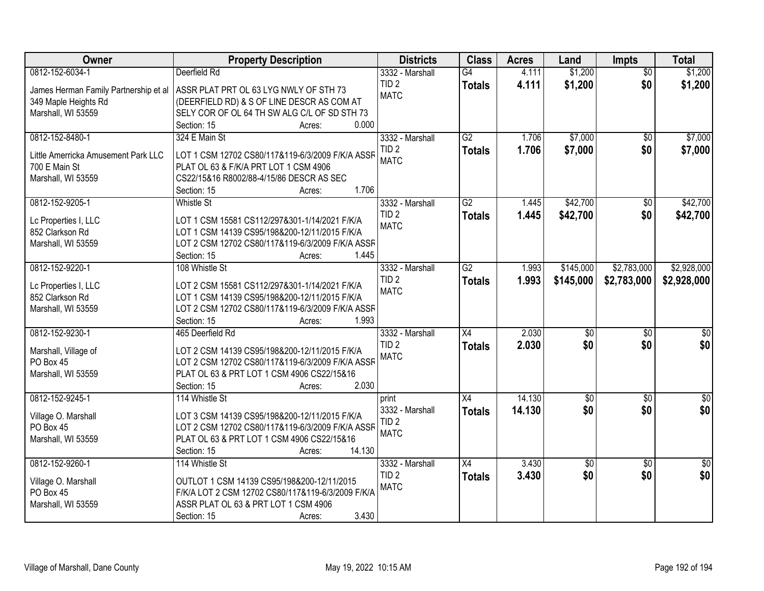| Owner                                 | <b>Property Description</b>                               | <b>Districts</b>                    | <b>Class</b>    | <b>Acres</b> | Land            | <b>Impts</b>    | <b>Total</b>     |
|---------------------------------------|-----------------------------------------------------------|-------------------------------------|-----------------|--------------|-----------------|-----------------|------------------|
| 0812-152-6034-1                       | Deerfield Rd                                              | 3332 - Marshall                     | $\overline{G4}$ | 4.111        | \$1,200         | $\overline{50}$ | \$1,200          |
| James Herman Family Partnership et al | ASSR PLAT PRT OL 63 LYG NWLY OF STH 73                    | TID <sub>2</sub>                    | <b>Totals</b>   | 4.111        | \$1,200         | \$0             | \$1,200          |
| 349 Maple Heights Rd                  | (DEERFIELD RD) & S OF LINE DESCR AS COM AT                | <b>MATC</b>                         |                 |              |                 |                 |                  |
| Marshall, WI 53559                    | SELY COR OF OL 64 TH SW ALG C/L OF SD STH 73              |                                     |                 |              |                 |                 |                  |
|                                       | 0.000<br>Section: 15<br>Acres:                            |                                     |                 |              |                 |                 |                  |
| 0812-152-8480-1                       | 324 E Main St                                             | 3332 - Marshall                     | $\overline{G2}$ | 1.706        | \$7,000         | \$0             | \$7,000          |
|                                       |                                                           | TID <sub>2</sub>                    | <b>Totals</b>   | 1.706        | \$7,000         | \$0             | \$7,000          |
| Little Amerricka Amusement Park LLC   | LOT 1 CSM 12702 CS80/117&119-6/3/2009 F/K/A ASSF          | <b>MATC</b>                         |                 |              |                 |                 |                  |
| 700 E Main St                         | PLAT OL 63 & F/K/A PRT LOT 1 CSM 4906                     |                                     |                 |              |                 |                 |                  |
| Marshall, WI 53559                    | CS22/15&16 R8002/88-4/15/86 DESCR AS SEC<br>1.706         |                                     |                 |              |                 |                 |                  |
|                                       | Section: 15<br>Acres:                                     |                                     |                 |              |                 |                 |                  |
| 0812-152-9205-1                       | <b>Whistle St</b>                                         | 3332 - Marshall                     | $\overline{G2}$ | 1.445        | \$42,700        | $\overline{50}$ | \$42,700         |
| Lc Properties I, LLC                  | LOT 1 CSM 15581 CS112/297&301-1/14/2021 F/K/A             | TID <sub>2</sub>                    | <b>Totals</b>   | 1.445        | \$42,700        | \$0             | \$42,700         |
| 852 Clarkson Rd                       | LOT 1 CSM 14139 CS95/198&200-12/11/2015 F/K/A             | <b>MATC</b>                         |                 |              |                 |                 |                  |
| Marshall, WI 53559                    | LOT 2 CSM 12702 CS80/117&119-6/3/2009 F/K/A ASSF          |                                     |                 |              |                 |                 |                  |
|                                       | Section: 15<br>1.445<br>Acres:                            |                                     |                 |              |                 |                 |                  |
| 0812-152-9220-1                       | 108 Whistle St                                            | 3332 - Marshall                     | $\overline{G2}$ | 1.993        | \$145,000       | \$2,783,000     | \$2,928,000      |
|                                       |                                                           | TID <sub>2</sub>                    | <b>Totals</b>   | 1.993        | \$145,000       | \$2,783,000     | \$2,928,000      |
| Lc Properties I, LLC                  | LOT 2 CSM 15581 CS112/297&301-1/14/2021 F/K/A             | <b>MATC</b>                         |                 |              |                 |                 |                  |
| 852 Clarkson Rd                       | LOT 1 CSM 14139 CS95/198&200-12/11/2015 F/K/A             |                                     |                 |              |                 |                 |                  |
| Marshall, WI 53559                    | LOT 2 CSM 12702 CS80/117&119-6/3/2009 F/K/A ASSF<br>1.993 |                                     |                 |              |                 |                 |                  |
| 0812-152-9230-1                       | Section: 15<br>Acres:                                     |                                     | $\overline{X4}$ | 2.030        |                 |                 |                  |
|                                       | 465 Deerfield Rd                                          | 3332 - Marshall                     |                 |              | $\overline{50}$ | $\overline{50}$ | $\overline{\$0}$ |
| Marshall, Village of                  | LOT 2 CSM 14139 CS95/198&200-12/11/2015 F/K/A             | TID <sub>2</sub><br><b>MATC</b>     | <b>Totals</b>   | 2.030        | \$0             | \$0             | \$0              |
| PO Box 45                             | LOT 2 CSM 12702 CS80/117&119-6/3/2009 F/K/A ASSR          |                                     |                 |              |                 |                 |                  |
| Marshall, WI 53559                    | PLAT OL 63 & PRT LOT 1 CSM 4906 CS22/15&16                |                                     |                 |              |                 |                 |                  |
|                                       | 2.030<br>Section: 15<br>Acres:                            |                                     |                 |              |                 |                 |                  |
| 0812-152-9245-1                       | 114 Whistle St                                            | print                               | $\overline{X4}$ | 14.130       | $\sqrt{6}$      | $\sqrt{6}$      | $\frac{6}{3}$    |
|                                       | LOT 3 CSM 14139 CS95/198&200-12/11/2015 F/K/A             | 3332 - Marshall                     | <b>Totals</b>   | 14.130       | \$0             | \$0             | \$0              |
| Village O. Marshall<br>PO Box 45      | LOT 2 CSM 12702 CS80/117&119-6/3/2009 F/K/A ASSR          | TID <sub>2</sub>                    |                 |              |                 |                 |                  |
|                                       | PLAT OL 63 & PRT LOT 1 CSM 4906 CS22/15&16                | <b>MATC</b>                         |                 |              |                 |                 |                  |
| Marshall, WI 53559                    | 14.130                                                    |                                     |                 |              |                 |                 |                  |
| 0812-152-9260-1                       | Section: 15<br>Acres:                                     |                                     |                 |              |                 |                 |                  |
|                                       | 114 Whistle St                                            | 3332 - Marshall<br>TID <sub>2</sub> | $\overline{X4}$ | 3.430        | \$0             | $\overline{50}$ | $\overline{50}$  |
| Village O. Marshall                   | OUTLOT 1 CSM 14139 CS95/198&200-12/11/2015                |                                     | <b>Totals</b>   | 3.430        | \$0             | \$0             | \$0              |
| PO Box 45                             | F/K/A LOT 2 CSM 12702 CS80/117&119-6/3/2009 F/K/A         | <b>MATC</b>                         |                 |              |                 |                 |                  |
| Marshall, WI 53559                    | ASSR PLAT OL 63 & PRT LOT 1 CSM 4906                      |                                     |                 |              |                 |                 |                  |
|                                       | 3.430<br>Section: 15<br>Acres:                            |                                     |                 |              |                 |                 |                  |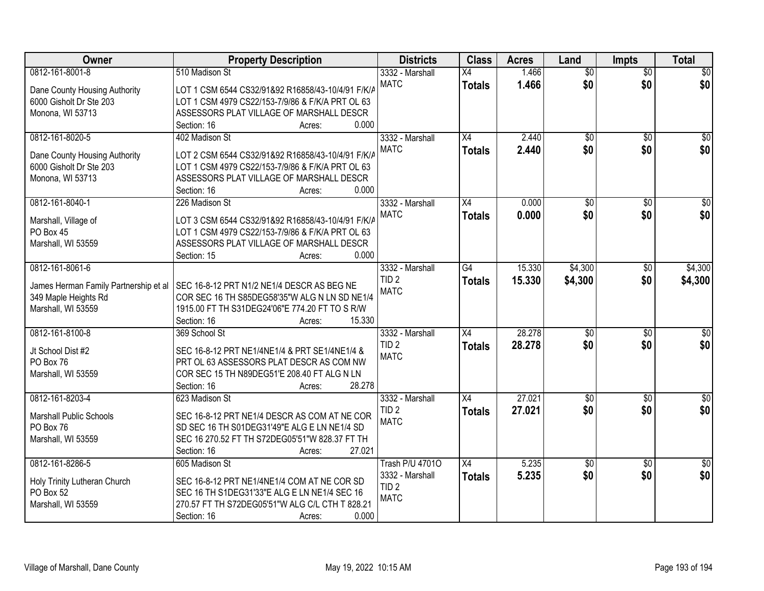| Owner                                      | <b>Property Description</b>                                                                 | <b>Districts</b>       | <b>Class</b>    | <b>Acres</b> | Land            | Impts           | <b>Total</b>     |
|--------------------------------------------|---------------------------------------------------------------------------------------------|------------------------|-----------------|--------------|-----------------|-----------------|------------------|
| 0812-161-8001-8                            | 510 Madison St                                                                              | 3332 - Marshall        | X4              | 1.466        | $\overline{50}$ | $\overline{50}$ | $\sqrt{50}$      |
| Dane County Housing Authority              | LOT 1 CSM 6544 CS32/91&92 R16858/43-10/4/91 F/K/A                                           | <b>MATC</b>            | <b>Totals</b>   | 1.466        | \$0             | \$0             | \$0              |
| 6000 Gisholt Dr Ste 203                    | LOT 1 CSM 4979 CS22/153-7/9/86 & F/K/A PRT OL 63                                            |                        |                 |              |                 |                 |                  |
| Monona, WI 53713                           | ASSESSORS PLAT VILLAGE OF MARSHALL DESCR                                                    |                        |                 |              |                 |                 |                  |
|                                            | 0.000<br>Section: 16<br>Acres:                                                              |                        |                 |              |                 |                 |                  |
| 0812-161-8020-5                            | 402 Madison St                                                                              | 3332 - Marshall        | $\overline{X4}$ | 2.440        | \$0             | \$0             | \$0              |
|                                            |                                                                                             | <b>MATC</b>            | <b>Totals</b>   | 2.440        | \$0             | \$0             | \$0              |
| Dane County Housing Authority              | LOT 2 CSM 6544 CS32/91&92 R16858/43-10/4/91 F/K/A                                           |                        |                 |              |                 |                 |                  |
| 6000 Gisholt Dr Ste 203                    | LOT 1 CSM 4979 CS22/153-7/9/86 & F/K/A PRT OL 63                                            |                        |                 |              |                 |                 |                  |
| Monona, WI 53713                           | ASSESSORS PLAT VILLAGE OF MARSHALL DESCR<br>0.000                                           |                        |                 |              |                 |                 |                  |
|                                            | Section: 16<br>Acres:                                                                       |                        |                 |              |                 |                 |                  |
| 0812-161-8040-1                            | 226 Madison St                                                                              | 3332 - Marshall        | $\overline{X4}$ | 0.000        | $\overline{50}$ | $\sqrt[6]{}$    | $\sqrt{50}$      |
| Marshall, Village of                       | LOT 3 CSM 6544 CS32/91&92 R16858/43-10/4/91 F/K/A                                           | <b>MATC</b>            | <b>Totals</b>   | 0.000        | \$0             | \$0             | \$0              |
| PO Box 45                                  | LOT 1 CSM 4979 CS22/153-7/9/86 & F/K/A PRT OL 63                                            |                        |                 |              |                 |                 |                  |
| Marshall, WI 53559                         | ASSESSORS PLAT VILLAGE OF MARSHALL DESCR                                                    |                        |                 |              |                 |                 |                  |
|                                            | 0.000<br>Section: 15<br>Acres:                                                              |                        |                 |              |                 |                 |                  |
| 0812-161-8061-6                            |                                                                                             | 3332 - Marshall        | G4              | 15.330       | \$4,300         | \$0             | \$4,300          |
|                                            |                                                                                             | TID <sub>2</sub>       | <b>Totals</b>   | 15.330       | \$4,300         | \$0             | \$4,300          |
| James Herman Family Partnership et al      | SEC 16-8-12 PRT N1/2 NE1/4 DESCR AS BEG NE<br>COR SEC 16 TH S85DEG58'35"W ALG N LN SD NE1/4 | <b>MATC</b>            |                 |              |                 |                 |                  |
| 349 Maple Heights Rd<br>Marshall, WI 53559 | 1915.00 FT TH S31DEG24'06"E 774.20 FT TO S R/W                                              |                        |                 |              |                 |                 |                  |
|                                            | 15.330<br>Section: 16<br>Acres:                                                             |                        |                 |              |                 |                 |                  |
| 0812-161-8100-8                            | 369 School St                                                                               | 3332 - Marshall        | $\overline{X4}$ | 28.278       | $\overline{50}$ | $\overline{50}$ | $\overline{50}$  |
|                                            |                                                                                             | TID <sub>2</sub>       |                 | 28.278       | \$0             | \$0             | \$0              |
| Jt School Dist #2                          | SEC 16-8-12 PRT NE1/4NE1/4 & PRT SE1/4NE1/4 &                                               | <b>MATC</b>            | <b>Totals</b>   |              |                 |                 |                  |
| PO Box 76                                  | PRT OL 63 ASSESSORS PLAT DESCR AS COM NW                                                    |                        |                 |              |                 |                 |                  |
| Marshall, WI 53559                         | COR SEC 15 TH N89DEG51'E 208.40 FT ALG N LN                                                 |                        |                 |              |                 |                 |                  |
|                                            | 28.278<br>Section: 16<br>Acres:                                                             |                        |                 |              |                 |                 |                  |
| 0812-161-8203-4                            | 623 Madison St                                                                              | 3332 - Marshall        | X4              | 27.021       | $\overline{50}$ | $\overline{50}$ | $\overline{\$0}$ |
| <b>Marshall Public Schools</b>             | SEC 16-8-12 PRT NE1/4 DESCR AS COM AT NE COR                                                | TID <sub>2</sub>       | <b>Totals</b>   | 27.021       | \$0             | \$0             | \$0              |
| PO Box 76                                  | SD SEC 16 TH S01DEG31'49"E ALG E LN NE1/4 SD                                                | <b>MATC</b>            |                 |              |                 |                 |                  |
| Marshall, WI 53559                         | SEC 16 270.52 FT TH S72DEG05'51"W 828.37 FT TH                                              |                        |                 |              |                 |                 |                  |
|                                            | 27.021<br>Section: 16<br>Acres:                                                             |                        |                 |              |                 |                 |                  |
| 0812-161-8286-5                            | 605 Madison St                                                                              | <b>Trash P/U 47010</b> | $\overline{X4}$ | 5.235        | $\overline{50}$ | $\overline{30}$ | $\overline{30}$  |
|                                            |                                                                                             | 3332 - Marshall        | <b>Totals</b>   | 5.235        | \$0             | \$0             | \$0              |
| Holy Trinity Lutheran Church               | SEC 16-8-12 PRT NE1/4NE1/4 COM AT NE COR SD                                                 | TID <sub>2</sub>       |                 |              |                 |                 |                  |
| PO Box 52                                  | SEC 16 TH S1DEG31'33"E ALG E LN NE1/4 SEC 16                                                | <b>MATC</b>            |                 |              |                 |                 |                  |
| Marshall, WI 53559                         | 270.57 FT TH S72DEG05'51"W ALG C/L CTH T 828.21                                             |                        |                 |              |                 |                 |                  |
|                                            | 0.000<br>Section: 16<br>Acres:                                                              |                        |                 |              |                 |                 |                  |